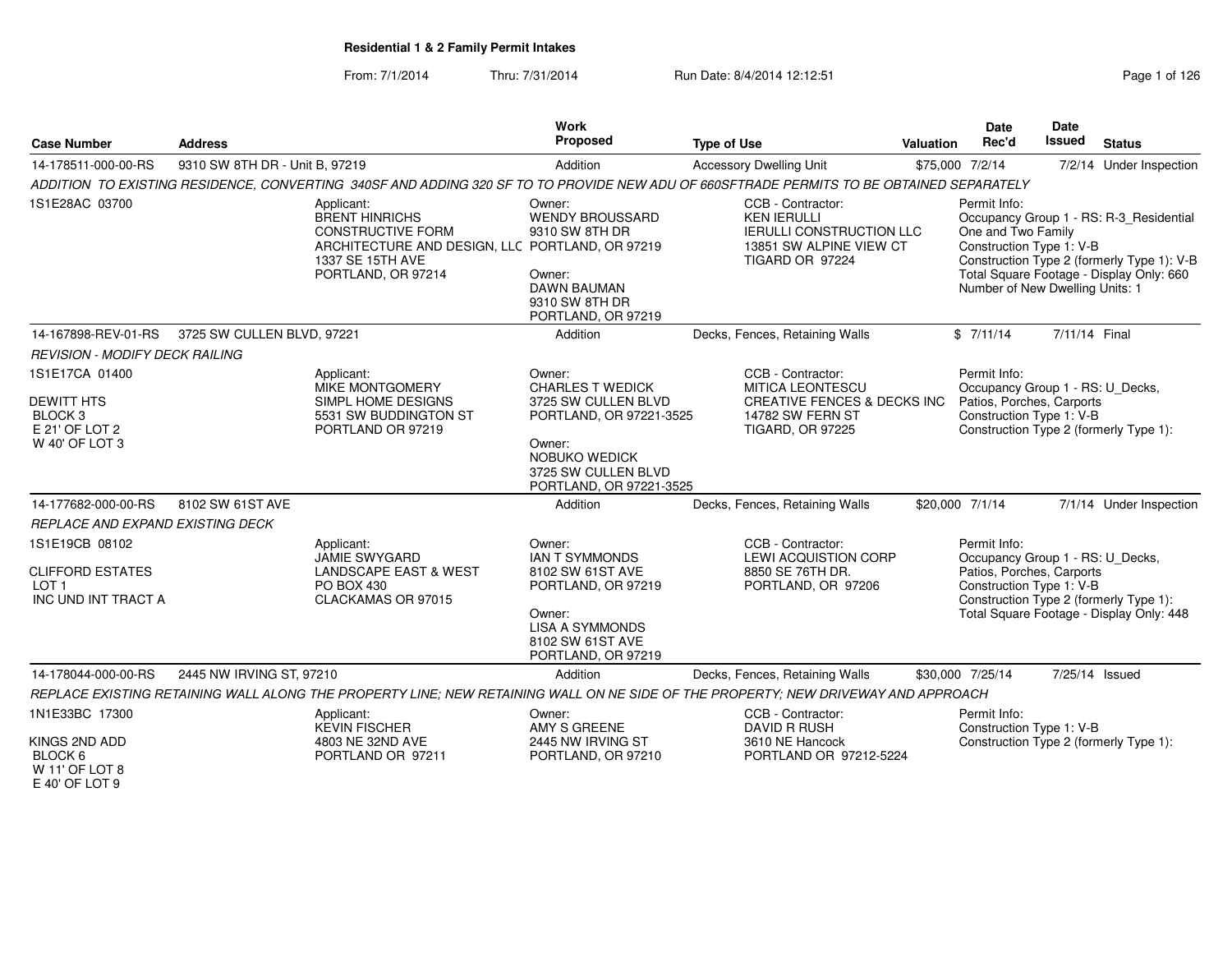| <b>Case Number</b>                                                                            | <b>Address</b>                 |                                                                                                                                                              | <b>Work</b><br>Proposed                                                                                                    | <b>Type of Use</b>                                                                                                             | Valuation | Date<br>Rec'd                                                                                             | Date<br><b>Issued</b> | <b>Status</b>                                                                                                                     |
|-----------------------------------------------------------------------------------------------|--------------------------------|--------------------------------------------------------------------------------------------------------------------------------------------------------------|----------------------------------------------------------------------------------------------------------------------------|--------------------------------------------------------------------------------------------------------------------------------|-----------|-----------------------------------------------------------------------------------------------------------|-----------------------|-----------------------------------------------------------------------------------------------------------------------------------|
| 14-178511-000-00-RS                                                                           | 9310 SW 8TH DR - Unit B, 97219 |                                                                                                                                                              | Addition                                                                                                                   | <b>Accessory Dwelling Unit</b>                                                                                                 |           | \$75,000 7/2/14                                                                                           |                       | 7/2/14 Under Inspection                                                                                                           |
|                                                                                               |                                | ADDITION TO EXISTING RESIDENCE, CONVERTING 340SF AND ADDING 320 SF TO TO PROVIDE NEW ADU OF 660SFTRADE PERMITS TO BE OBTAINED SEPARATELY                     |                                                                                                                            |                                                                                                                                |           |                                                                                                           |                       |                                                                                                                                   |
| 1S1E28AC 03700                                                                                |                                | Applicant:<br><b>BRENT HINRICHS</b><br><b>CONSTRUCTIVE FORM</b><br>ARCHITECTURE AND DESIGN, LLC PORTLAND, OR 97219<br>1337 SE 15TH AVE<br>PORTLAND, OR 97214 | Owner:<br><b>WENDY BROUSSARD</b><br>9310 SW 8TH DR<br>Owner:<br><b>DAWN BAUMAN</b><br>9310 SW 8TH DR<br>PORTLAND, OR 97219 | CCB - Contractor:<br><b>KEN IERULLI</b><br><b>IERULLI CONSTRUCTION LLC</b><br>13851 SW ALPINE VIEW CT<br>TIGARD OR 97224       |           | Permit Info:<br>One and Two Family<br>Construction Type 1: V-B<br>Number of New Dwelling Units: 1         |                       | Occupancy Group 1 - RS: R-3_Residential<br>Construction Type 2 (formerly Type 1): V-B<br>Total Square Footage - Display Only: 660 |
| 14-167898-REV-01-RS                                                                           | 3725 SW CULLEN BLVD, 97221     |                                                                                                                                                              | Addition                                                                                                                   | Decks, Fences, Retaining Walls                                                                                                 |           | \$7/11/14                                                                                                 | 7/11/14 Final         |                                                                                                                                   |
| <b>REVISION - MODIFY DECK RAILING</b>                                                         |                                |                                                                                                                                                              |                                                                                                                            |                                                                                                                                |           |                                                                                                           |                       |                                                                                                                                   |
| 1S1E17CA 01400<br><b>DEWITT HTS</b><br>BLOCK <sub>3</sub><br>E 21' OF LOT 2<br>W 40' OF LOT 3 |                                | Applicant:<br>MIKE MONTGOMERY<br>SIMPL HOME DESIGNS<br>5531 SW BUDDINGTON ST<br>PORTLAND OR 97219                                                            | Owner:<br><b>CHARLES T WEDICK</b><br>3725 SW CULLEN BLVD<br>PORTLAND, OR 97221-3525<br>Owner:<br><b>NOBUKO WEDICK</b>      | CCB - Contractor:<br>MITICA LEONTESCU<br><b>CREATIVE FENCES &amp; DECKS INC</b><br>14782 SW FERN ST<br><b>TIGARD, OR 97225</b> |           | Permit Info:<br>Occupancy Group 1 - RS: U_Decks,<br>Patios, Porches, Carports<br>Construction Type 1: V-B |                       | Construction Type 2 (formerly Type 1):                                                                                            |
|                                                                                               | 8102 SW 61ST AVE               |                                                                                                                                                              | 3725 SW CULLEN BLVD<br>PORTLAND, OR 97221-3525<br>Addition                                                                 |                                                                                                                                |           |                                                                                                           |                       |                                                                                                                                   |
| 14-177682-000-00-RS                                                                           |                                |                                                                                                                                                              |                                                                                                                            | Decks, Fences, Retaining Walls                                                                                                 |           | \$20,000 7/1/14                                                                                           |                       | 7/1/14 Under Inspection                                                                                                           |
| REPLACE AND EXPAND EXISTING DECK<br>1S1E19CB 08102                                            |                                | Applicant:<br><b>JAMIE SWYGARD</b>                                                                                                                           | Owner:<br><b>IAN T SYMMONDS</b>                                                                                            | CCB - Contractor:<br><b>LEWI ACQUISTION CORP</b>                                                                               |           | Permit Info:<br>Occupancy Group 1 - RS: U_Decks,                                                          |                       |                                                                                                                                   |
| <b>CLIFFORD ESTATES</b><br>LOT 1<br>INC UND INT TRACT A                                       |                                | <b>LANDSCAPE EAST &amp; WEST</b><br>PO BOX 430<br>CLACKAMAS OR 97015                                                                                         | 8102 SW 61ST AVE<br>PORTLAND, OR 97219<br>Owner:<br><b>LISA A SYMMONDS</b><br>8102 SW 61ST AVE<br>PORTLAND, OR 97219       | 8850 SE 76TH DR.<br>PORTLAND, OR 97206                                                                                         |           | Patios, Porches, Carports<br>Construction Type 1: V-B                                                     |                       | Construction Type 2 (formerly Type 1):<br>Total Square Footage - Display Only: 448                                                |
| 14-178044-000-00-RS                                                                           | 2445 NW IRVING ST, 97210       |                                                                                                                                                              | Addition                                                                                                                   | Decks, Fences, Retaining Walls                                                                                                 |           | \$30,000 7/25/14                                                                                          | 7/25/14 Issued        |                                                                                                                                   |
|                                                                                               |                                | REPLACE EXISTING RETAINING WALL ALONG THE PROPERTY LINE; NEW RETAINING WALL ON NE SIDE OF THE PROPERTY; NEW DRIVEWAY AND APPROACH                            |                                                                                                                            |                                                                                                                                |           |                                                                                                           |                       |                                                                                                                                   |
| 1N1E33BC 17300<br>KINGS 2ND ADD                                                               |                                | Applicant:<br><b>KEVIN FISCHER</b><br>4803 NE 32ND AVE                                                                                                       | Owner:<br>AMY S GREENE<br>2445 NW IRVING ST                                                                                | CCB - Contractor:<br><b>DAVID R RUSH</b><br>3610 NE Hancock                                                                    |           | Permit Info:<br>Construction Type 1: V-B                                                                  |                       | Construction Type 2 (formerly Type 1):                                                                                            |
| BLOCK 6<br>W 11' OF LOT 8<br>E 40' OF LOT 9                                                   |                                | PORTLAND OR 97211                                                                                                                                            | PORTLAND, OR 97210                                                                                                         | PORTLAND OR 97212-5224                                                                                                         |           |                                                                                                           |                       |                                                                                                                                   |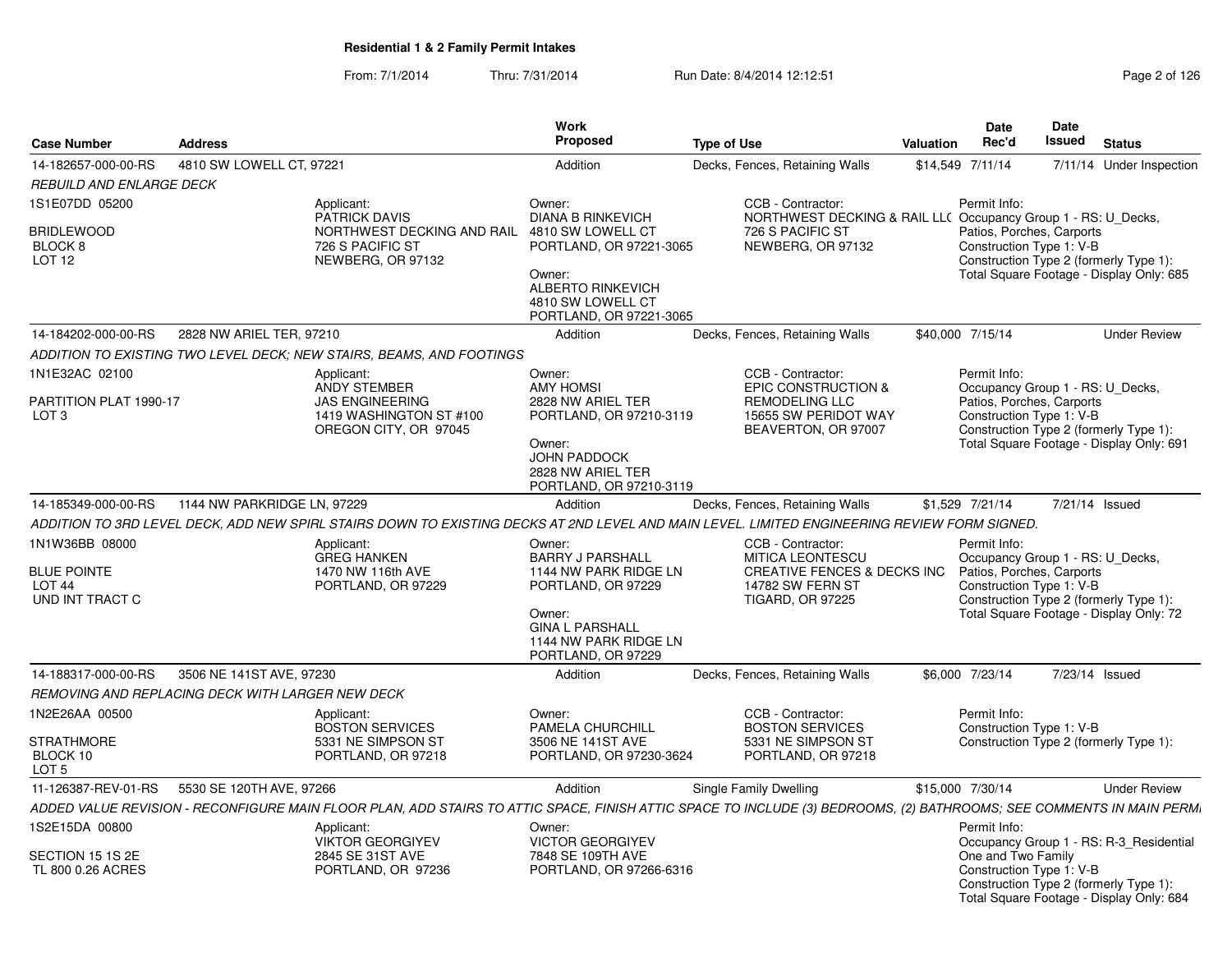|                                                            |                                                  |                                                                                                                                                                      | <b>Work</b>                                                                        |                                                                                       |                  | <b>Date</b>                                           | Date          |                                                                                    |
|------------------------------------------------------------|--------------------------------------------------|----------------------------------------------------------------------------------------------------------------------------------------------------------------------|------------------------------------------------------------------------------------|---------------------------------------------------------------------------------------|------------------|-------------------------------------------------------|---------------|------------------------------------------------------------------------------------|
| <b>Case Number</b>                                         | <b>Address</b>                                   |                                                                                                                                                                      | <b>Proposed</b>                                                                    | <b>Type of Use</b>                                                                    | <b>Valuation</b> | Rec'd                                                 | <b>Issued</b> | <b>Status</b>                                                                      |
| 14-182657-000-00-RS                                        | 4810 SW LOWELL CT, 97221                         |                                                                                                                                                                      | Addition                                                                           | Decks, Fences, Retaining Walls                                                        |                  | \$14,549 7/11/14                                      |               | 7/11/14 Under Inspection                                                           |
| REBUILD AND ENLARGE DECK                                   |                                                  |                                                                                                                                                                      |                                                                                    |                                                                                       |                  |                                                       |               |                                                                                    |
| 1S1E07DD 05200                                             |                                                  | Applicant:<br>PATRICK DAVIS                                                                                                                                          | Owner:<br><b>DIANA B RINKEVICH</b>                                                 | CCB - Contractor:<br>NORTHWEST DECKING & RAIL LL( Occupancy Group 1 - RS: U_Decks,    |                  | Permit Info:                                          |               |                                                                                    |
| BRIDLEWOOD<br>BLOCK <sub>8</sub><br>LOT <sub>12</sub>      |                                                  | NORTHWEST DECKING AND RAIL<br>726 S PACIFIC ST<br>NEWBERG, OR 97132                                                                                                  | 4810 SW LOWELL CT<br>PORTLAND, OR 97221-3065                                       | 726 S PACIFIC ST<br>NEWBERG, OR 97132                                                 |                  | Patios, Porches, Carports<br>Construction Type 1: V-B |               | Construction Type 2 (formerly Type 1):                                             |
|                                                            |                                                  |                                                                                                                                                                      | Owner:<br><b>ALBERTO RINKEVICH</b><br>4810 SW LOWELL CT<br>PORTLAND, OR 97221-3065 |                                                                                       |                  |                                                       |               | Total Square Footage - Display Only: 685                                           |
| 14-184202-000-00-RS                                        | 2828 NW ARIEL TER, 97210                         |                                                                                                                                                                      | Addition                                                                           | Decks, Fences, Retaining Walls                                                        |                  | \$40,000 7/15/14                                      |               | <b>Under Review</b>                                                                |
|                                                            |                                                  | ADDITION TO EXISTING TWO LEVEL DECK; NEW STAIRS, BEAMS, AND FOOTINGS                                                                                                 |                                                                                    |                                                                                       |                  |                                                       |               |                                                                                    |
| 1N1E32AC 02100                                             |                                                  | Applicant:<br><b>ANDY STEMBER</b>                                                                                                                                    | Owner:<br><b>AMY HOMSI</b>                                                         | CCB - Contractor:<br><b>EPIC CONSTRUCTION &amp;</b>                                   |                  | Permit Info:<br>Occupancy Group 1 - RS: U Decks,      |               |                                                                                    |
| PARTITION PLAT 1990-17<br>LOT <sub>3</sub>                 |                                                  | <b>JAS ENGINEERING</b><br>1419 WASHINGTON ST #100<br>OREGON CITY, OR 97045                                                                                           | 2828 NW ARIEL TER<br>PORTLAND, OR 97210-3119                                       | <b>REMODELING LLC</b><br>15655 SW PERIDOT WAY<br>BEAVERTON, OR 97007                  |                  | Patios, Porches, Carports<br>Construction Type 1: V-B |               | Construction Type 2 (formerly Type 1):                                             |
|                                                            |                                                  |                                                                                                                                                                      | Owner:<br><b>JOHN PADDOCK</b><br>2828 NW ARIEL TER<br>PORTLAND, OR 97210-3119      |                                                                                       |                  |                                                       |               | Total Square Footage - Display Only: 691                                           |
| 14-185349-000-00-RS                                        | 1144 NW PARKRIDGE LN, 97229                      |                                                                                                                                                                      | Addition                                                                           | Decks, Fences, Retaining Walls                                                        |                  | \$1,529 7/21/14                                       |               | 7/21/14 Issued                                                                     |
|                                                            |                                                  | ADDITION TO 3RD LEVEL DECK. ADD NEW SPIRL STAIRS DOWN TO EXISTING DECKS AT 2ND LEVEL AND MAIN LEVEL. LIMITED ENGINEERING REVIEW FORM SIGNED.                         |                                                                                    |                                                                                       |                  |                                                       |               |                                                                                    |
| 1N1W36BB 08000                                             |                                                  | Applicant:<br><b>GREG HANKEN</b>                                                                                                                                     | Owner:<br><b>BARRY J PARSHALL</b>                                                  | CCB - Contractor:<br><b>MITICA LEONTESCU</b>                                          |                  | Permit Info:<br>Occupancy Group 1 - RS: U Decks,      |               |                                                                                    |
| <b>BLUE POINTE</b><br>LOT <sub>44</sub><br>UND INT TRACT C |                                                  | 1470 NW 116th AVE<br>PORTLAND, OR 97229                                                                                                                              | 1144 NW PARK RIDGE LN<br>PORTLAND, OR 97229                                        | <b>CREATIVE FENCES &amp; DECKS INC</b><br>14782 SW FERN ST<br><b>TIGARD, OR 97225</b> |                  | Patios, Porches, Carports<br>Construction Type 1: V-B |               | Construction Type 2 (formerly Type 1):                                             |
|                                                            |                                                  |                                                                                                                                                                      | Owner:<br><b>GINA L PARSHALL</b><br>1144 NW PARK RIDGE LN<br>PORTLAND, OR 97229    |                                                                                       |                  |                                                       |               | Total Square Footage - Display Only: 72                                            |
| 14-188317-000-00-RS                                        | 3506 NE 141ST AVE, 97230                         |                                                                                                                                                                      | Addition                                                                           | Decks, Fences, Retaining Walls                                                        |                  | \$6,000 7/23/14                                       |               | 7/23/14 Issued                                                                     |
|                                                            | REMOVING AND REPLACING DECK WITH LARGER NEW DECK |                                                                                                                                                                      |                                                                                    |                                                                                       |                  |                                                       |               |                                                                                    |
| 1N2E26AA 00500                                             |                                                  | Applicant:<br><b>BOSTON SERVICES</b>                                                                                                                                 | Owner:<br><b>PAMELA CHURCHILL</b>                                                  | CCB - Contractor:<br><b>BOSTON SERVICES</b>                                           |                  | Permit Info:<br>Construction Type 1: V-B              |               |                                                                                    |
| <b>STRATHMORE</b><br>BLOCK 10<br>LOT <sub>5</sub>          |                                                  | 5331 NE SIMPSON ST<br>PORTLAND, OR 97218                                                                                                                             | 3506 NE 141ST AVE<br>PORTLAND, OR 97230-3624                                       | 5331 NE SIMPSON ST<br>PORTLAND, OR 97218                                              |                  |                                                       |               | Construction Type 2 (formerly Type 1):                                             |
| 11-126387-REV-01-RS                                        | 5530 SE 120TH AVE, 97266                         |                                                                                                                                                                      | Addition                                                                           | Single Family Dwelling                                                                |                  | \$15,000 7/30/14                                      |               | <b>Under Review</b>                                                                |
|                                                            |                                                  | ADDED VALUE REVISION - RECONFIGURE MAIN FLOOR PLAN, ADD STAIRS TO ATTIC SPACE, FINISH ATTIC SPACE TO INCLUDE (3) BEDROOMS, (2) BATHROOMS; SEE COMMENTS IN MAIN PERM. |                                                                                    |                                                                                       |                  |                                                       |               |                                                                                    |
| 1S2E15DA 00800                                             |                                                  | Applicant:<br><b>VIKTOR GEORGIYEV</b>                                                                                                                                | Owner:<br><b>VICTOR GEORGIYEV</b>                                                  |                                                                                       |                  | Permit Info:                                          |               | Occupancy Group 1 - RS: R-3_Residential                                            |
| SECTION 15 1S 2E<br>TL 800 0.26 ACRES                      |                                                  | 2845 SE 31ST AVE<br>PORTLAND, OR 97236                                                                                                                               | 7848 SE 109TH AVE<br>PORTLAND, OR 97266-6316                                       |                                                                                       |                  | One and Two Family<br>Construction Type 1: V-B        |               | Construction Type 2 (formerly Type 1):<br>Total Square Footage - Display Only: 684 |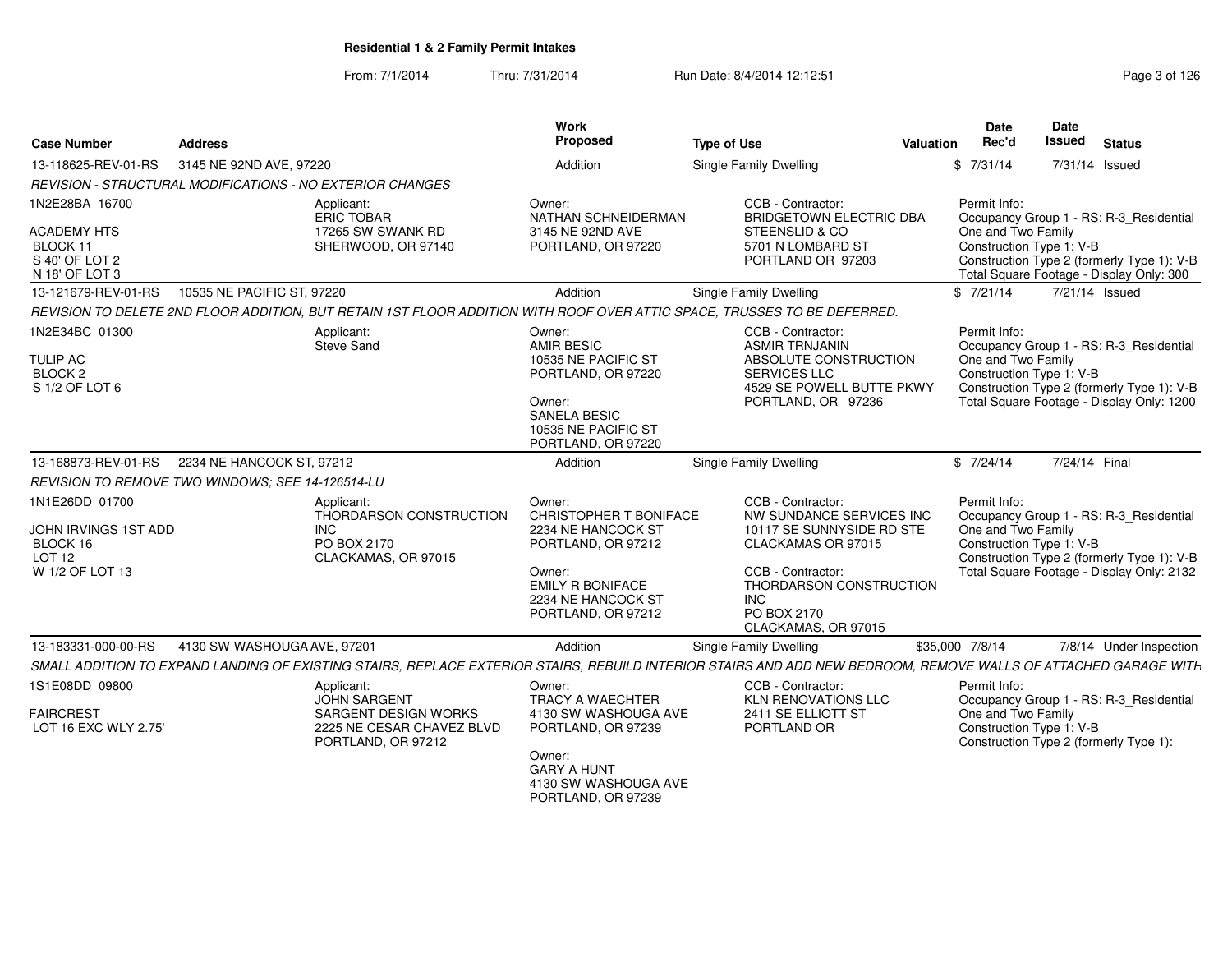| <b>Case Number</b>                                                                     | <b>Address</b>                                          |                                                                                           | Work<br>Proposed                                                                                                                                              | <b>Type of Use</b>                                                                                                                                                                                   | <b>Valuation</b> | <b>Date</b><br>Rec'd                                           | Date<br>Issued | <b>Status</b>                                                                                                                      |
|----------------------------------------------------------------------------------------|---------------------------------------------------------|-------------------------------------------------------------------------------------------|---------------------------------------------------------------------------------------------------------------------------------------------------------------|------------------------------------------------------------------------------------------------------------------------------------------------------------------------------------------------------|------------------|----------------------------------------------------------------|----------------|------------------------------------------------------------------------------------------------------------------------------------|
| 13-118625-REV-01-RS                                                                    | 3145 NE 92ND AVE, 97220                                 |                                                                                           | Addition                                                                                                                                                      | Single Family Dwelling                                                                                                                                                                               |                  | \$7/31/14                                                      |                | 7/31/14 Issued                                                                                                                     |
|                                                                                        |                                                         | REVISION - STRUCTURAL MODIFICATIONS - NO EXTERIOR CHANGES                                 |                                                                                                                                                               |                                                                                                                                                                                                      |                  |                                                                |                |                                                                                                                                    |
| 1N2E28BA 16700<br><b>ACADEMY HTS</b><br>BLOCK 11<br>S 40' OF LOT 2<br>N 18' OF LOT 3   |                                                         | Applicant:<br><b>ERIC TOBAR</b><br>17265 SW SWANK RD<br>SHERWOOD, OR 97140                | Owner:<br>NATHAN SCHNEIDERMAN<br>3145 NE 92ND AVE<br>PORTLAND, OR 97220                                                                                       | CCB - Contractor:<br><b>BRIDGETOWN ELECTRIC DBA</b><br>STEENSLID & CO<br>5701 N LOMBARD ST<br>PORTLAND OR 97203                                                                                      |                  | Permit Info:<br>One and Two Family<br>Construction Type 1: V-B |                | Occupancy Group 1 - RS: R-3 Residential<br>Construction Type 2 (formerly Type 1): V-B<br>Total Square Footage - Display Only: 300  |
| 13-121679-REV-01-RS                                                                    | 10535 NE PACIFIC ST, 97220                              |                                                                                           | Addition                                                                                                                                                      | Single Family Dwelling                                                                                                                                                                               |                  | \$7/21/14                                                      |                | 7/21/14 Issued                                                                                                                     |
|                                                                                        |                                                         |                                                                                           |                                                                                                                                                               | REVISION TO DELETE 2ND FLOOR ADDITION, BUT RETAIN 1ST FLOOR ADDITION WITH ROOF OVER ATTIC SPACE, TRUSSES TO BE DEFERRED.                                                                             |                  |                                                                |                |                                                                                                                                    |
| 1N2E34BC 01300<br><b>TULIP AC</b><br><b>BLOCK 2</b><br>S 1/2 OF LOT 6                  |                                                         | Applicant:<br>Steve Sand                                                                  | Owner:<br><b>AMIR BESIC</b><br>10535 NE PACIFIC ST<br>PORTLAND, OR 97220<br>Owner:<br><b>SANELA BESIC</b><br>10535 NE PACIFIC ST<br>PORTLAND, OR 97220        | CCB - Contractor:<br><b>ASMIR TRNJANIN</b><br>ABSOLUTE CONSTRUCTION<br><b>SERVICES LLC</b><br>4529 SE POWELL BUTTE PKWY<br>PORTLAND, OR 97236                                                        |                  | Permit Info:<br>One and Two Family<br>Construction Type 1: V-B |                | Occupancy Group 1 - RS: R-3 Residential<br>Construction Type 2 (formerly Type 1): V-B<br>Total Square Footage - Display Only: 1200 |
| 13-168873-REV-01-RS                                                                    | 2234 NE HANCOCK ST, 97212                               |                                                                                           | Addition                                                                                                                                                      | <b>Single Family Dwelling</b>                                                                                                                                                                        |                  | \$7/24/14                                                      | 7/24/14 Final  |                                                                                                                                    |
|                                                                                        | <b>REVISION TO REMOVE TWO WINDOWS: SEE 14-126514-LU</b> |                                                                                           |                                                                                                                                                               |                                                                                                                                                                                                      |                  |                                                                |                |                                                                                                                                    |
| 1N1E26DD 01700<br>JOHN IRVINGS 1ST ADD<br>BLOCK 16<br><b>LOT 12</b><br>W 1/2 OF LOT 13 |                                                         | Applicant:<br>THORDARSON CONSTRUCTION<br><b>INC</b><br>PO BOX 2170<br>CLACKAMAS, OR 97015 | Owner:<br>CHRISTOPHER T BONIFACE<br>2234 NE HANCOCK ST<br>PORTLAND, OR 97212<br>Owner:<br><b>EMILY R BONIFACE</b><br>2234 NE HANCOCK ST<br>PORTLAND, OR 97212 | CCB - Contractor:<br>NW SUNDANCE SERVICES INC<br>10117 SE SUNNYSIDE RD STE<br>CLACKAMAS OR 97015<br>CCB - Contractor:<br>THORDARSON CONSTRUCTION<br><b>INC</b><br>PO BOX 2170<br>CLACKAMAS, OR 97015 |                  | Permit Info:<br>One and Two Family<br>Construction Type 1: V-B |                | Occupancy Group 1 - RS: R-3_Residential<br>Construction Type 2 (formerly Type 1): V-B<br>Total Square Footage - Display Only: 2132 |
| 13-183331-000-00-RS                                                                    | 4130 SW WASHOUGA AVE, 97201                             |                                                                                           | Addition                                                                                                                                                      | Single Family Dwelling                                                                                                                                                                               |                  | \$35,000 7/8/14                                                |                | 7/8/14 Under Inspection                                                                                                            |
|                                                                                        |                                                         |                                                                                           |                                                                                                                                                               | SMALL ADDITION TO EXPAND LANDING OF EXISTING STAIRS, REPLACE EXTERIOR STAIRS, REBUILD INTERIOR STAIRS AND ADD NEW BEDROOM, REMOVE WALLS OF ATTACHED GARAGE WITH                                      |                  |                                                                |                |                                                                                                                                    |
| 1S1E08DD 09800<br><b>FAIRCREST</b>                                                     |                                                         | Applicant:<br><b>JOHN SARGENT</b><br><b>SARGENT DESIGN WORKS</b>                          | Owner:<br>TRACY A WAECHTER<br>4130 SW WASHOUGA AVE                                                                                                            | CCB - Contractor:<br><b>KLN RENOVATIONS LLC</b><br>2411 SE ELLIOTT ST                                                                                                                                |                  | Permit Info:<br>One and Two Family                             |                | Occupancy Group 1 - RS: R-3_Residential                                                                                            |
| LOT 16 EXC WLY 2.75'                                                                   |                                                         | 2225 NE CESAR CHAVEZ BLVD<br>PORTLAND, OR 97212                                           | PORTLAND, OR 97239<br>Owner:<br><b>GARY A HUNT</b><br>4130 SW WASHOUGA AVE<br>PORTLAND, OR 97239                                                              | PORTLAND OR                                                                                                                                                                                          |                  | Construction Type 1: V-B                                       |                | Construction Type 2 (formerly Type 1):                                                                                             |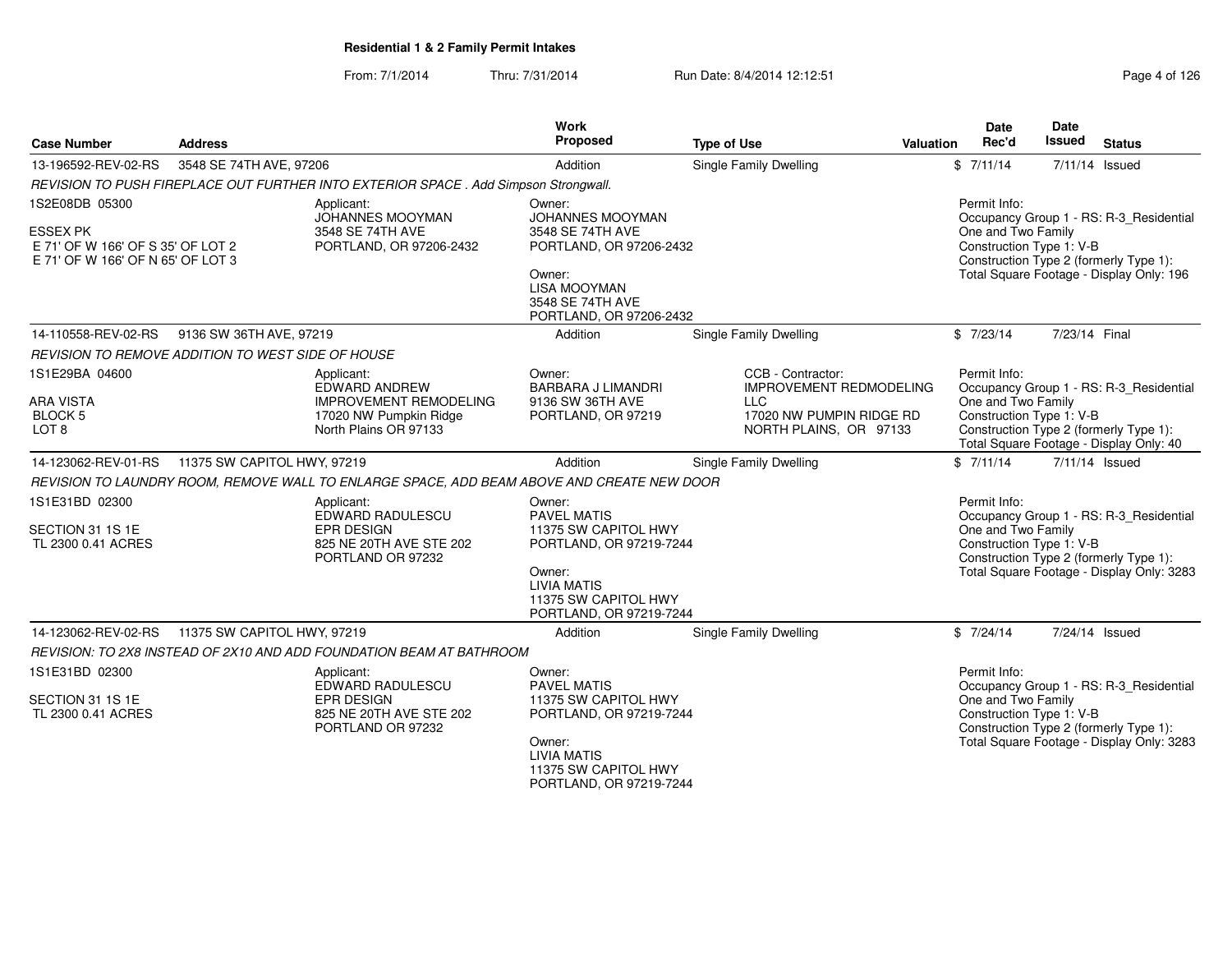| <b>Case Number</b>                                                                                          | <b>Address</b>              |                                                                                                                 | <b>Work</b><br>Proposed                                                                                                                                            | <b>Type of Use</b>                                                                                                      | Valuation | Date<br>Rec'd                                                  | Date<br>Issued | <b>Status</b>                                                                                                                  |
|-------------------------------------------------------------------------------------------------------------|-----------------------------|-----------------------------------------------------------------------------------------------------------------|--------------------------------------------------------------------------------------------------------------------------------------------------------------------|-------------------------------------------------------------------------------------------------------------------------|-----------|----------------------------------------------------------------|----------------|--------------------------------------------------------------------------------------------------------------------------------|
| 13-196592-REV-02-RS                                                                                         | 3548 SE 74TH AVE, 97206     |                                                                                                                 | Addition                                                                                                                                                           | Single Family Dwelling                                                                                                  |           | \$7/11/14                                                      |                | 7/11/14 Issued                                                                                                                 |
|                                                                                                             |                             | REVISION TO PUSH FIREPLACE OUT FURTHER INTO EXTERIOR SPACE . Add Simpson Strongwall.                            |                                                                                                                                                                    |                                                                                                                         |           |                                                                |                |                                                                                                                                |
| 1S2E08DB 05300<br><b>ESSEX PK</b><br>E 71' OF W 166' OF S 35' OF LOT 2<br>E 71' OF W 166' OF N 65' OF LOT 3 |                             | Applicant:<br>JOHANNES MOOYMAN<br>3548 SE 74TH AVE<br>PORTLAND, OR 97206-2432                                   | Owner:<br>JOHANNES MOOYMAN<br>3548 SE 74TH AVE<br>PORTLAND, OR 97206-2432<br>Owner:<br><b>LISA MOOYMAN</b><br>3548 SE 74TH AVE<br>PORTLAND, OR 97206-2432          |                                                                                                                         |           | Permit Info:<br>One and Two Family<br>Construction Type 1: V-B |                | Occupancy Group 1 - RS: R-3_Residential<br>Construction Type 2 (formerly Type 1):<br>Total Square Footage - Display Only: 196  |
| 14-110558-REV-02-RS                                                                                         | 9136 SW 36TH AVE, 97219     |                                                                                                                 | Addition                                                                                                                                                           | <b>Single Family Dwelling</b>                                                                                           |           | \$7/23/14                                                      | 7/23/14 Final  |                                                                                                                                |
| <b>REVISION TO REMOVE ADDITION TO WEST SIDE OF HOUSE</b>                                                    |                             |                                                                                                                 |                                                                                                                                                                    |                                                                                                                         |           |                                                                |                |                                                                                                                                |
| 1S1E29BA 04600<br>ARA VISTA<br>BLOCK 5<br>LOT 8                                                             |                             | Applicant:<br>EDWARD ANDREW<br><b>IMPROVEMENT REMODELING</b><br>17020 NW Pumpkin Ridge<br>North Plains OR 97133 | Owner:<br><b>BARBARA J LIMANDRI</b><br>9136 SW 36TH AVE<br>PORTLAND, OR 97219                                                                                      | CCB - Contractor:<br><b>IMPROVEMENT REDMODELING</b><br><b>LLC</b><br>17020 NW PUMPIN RIDGE RD<br>NORTH PLAINS, OR 97133 |           | Permit Info:<br>One and Two Family<br>Construction Type 1: V-B |                | Occupancy Group 1 - RS: R-3_Residential<br>Construction Type 2 (formerly Type 1):<br>Total Square Footage - Display Only: 40   |
| 14-123062-REV-01-RS                                                                                         | 11375 SW CAPITOL HWY, 97219 |                                                                                                                 | Addition                                                                                                                                                           | Single Family Dwelling                                                                                                  |           | \$7/11/14                                                      |                | 7/11/14 Issued                                                                                                                 |
|                                                                                                             |                             | REVISION TO LAUNDRY ROOM, REMOVE WALL TO ENLARGE SPACE, ADD BEAM ABOVE AND CREATE NEW DOOR                      |                                                                                                                                                                    |                                                                                                                         |           |                                                                |                |                                                                                                                                |
| 1S1E31BD 02300<br>SECTION 31 1S 1E<br>TL 2300 0.41 ACRES                                                    |                             | Applicant:<br>EDWARD RADULESCU<br>EPR DESIGN<br>825 NE 20TH AVE STE 202<br>PORTLAND OR 97232                    | Owner:<br><b>PAVEL MATIS</b><br>11375 SW CAPITOL HWY<br>PORTLAND, OR 97219-7244<br>Owner:<br><b>LIVIA MATIS</b><br>11375 SW CAPITOL HWY<br>PORTLAND, OR 97219-7244 |                                                                                                                         |           | Permit Info:<br>One and Two Family<br>Construction Type 1: V-B |                | Occupancy Group 1 - RS: R-3_Residential<br>Construction Type 2 (formerly Type 1):<br>Total Square Footage - Display Only: 3283 |
| 14-123062-REV-02-RS                                                                                         | 11375 SW CAPITOL HWY, 97219 |                                                                                                                 | Addition                                                                                                                                                           | Single Family Dwelling                                                                                                  |           | \$7/24/14                                                      |                | 7/24/14 Issued                                                                                                                 |
|                                                                                                             |                             | REVISION: TO 2X8 INSTEAD OF 2X10 AND ADD FOUNDATION BEAM AT BATHROOM                                            |                                                                                                                                                                    |                                                                                                                         |           |                                                                |                |                                                                                                                                |
| 1S1E31BD 02300<br>SECTION 31 1S 1E<br>TL 2300 0.41 ACRES                                                    |                             | Applicant:<br>EDWARD RADULESCU<br>EPR DESIGN<br>825 NE 20TH AVE STE 202<br>PORTLAND OR 97232                    | Owner:<br><b>PAVEL MATIS</b><br>11375 SW CAPITOL HWY<br>PORTLAND, OR 97219-7244<br>Owner:<br><b>LIVIA MATIS</b><br>11375 SW CAPITOL HWY<br>PORTLAND, OR 97219-7244 |                                                                                                                         |           | Permit Info:<br>One and Two Family<br>Construction Type 1: V-B |                | Occupancy Group 1 - RS: R-3_Residential<br>Construction Type 2 (formerly Type 1):<br>Total Square Footage - Display Only: 3283 |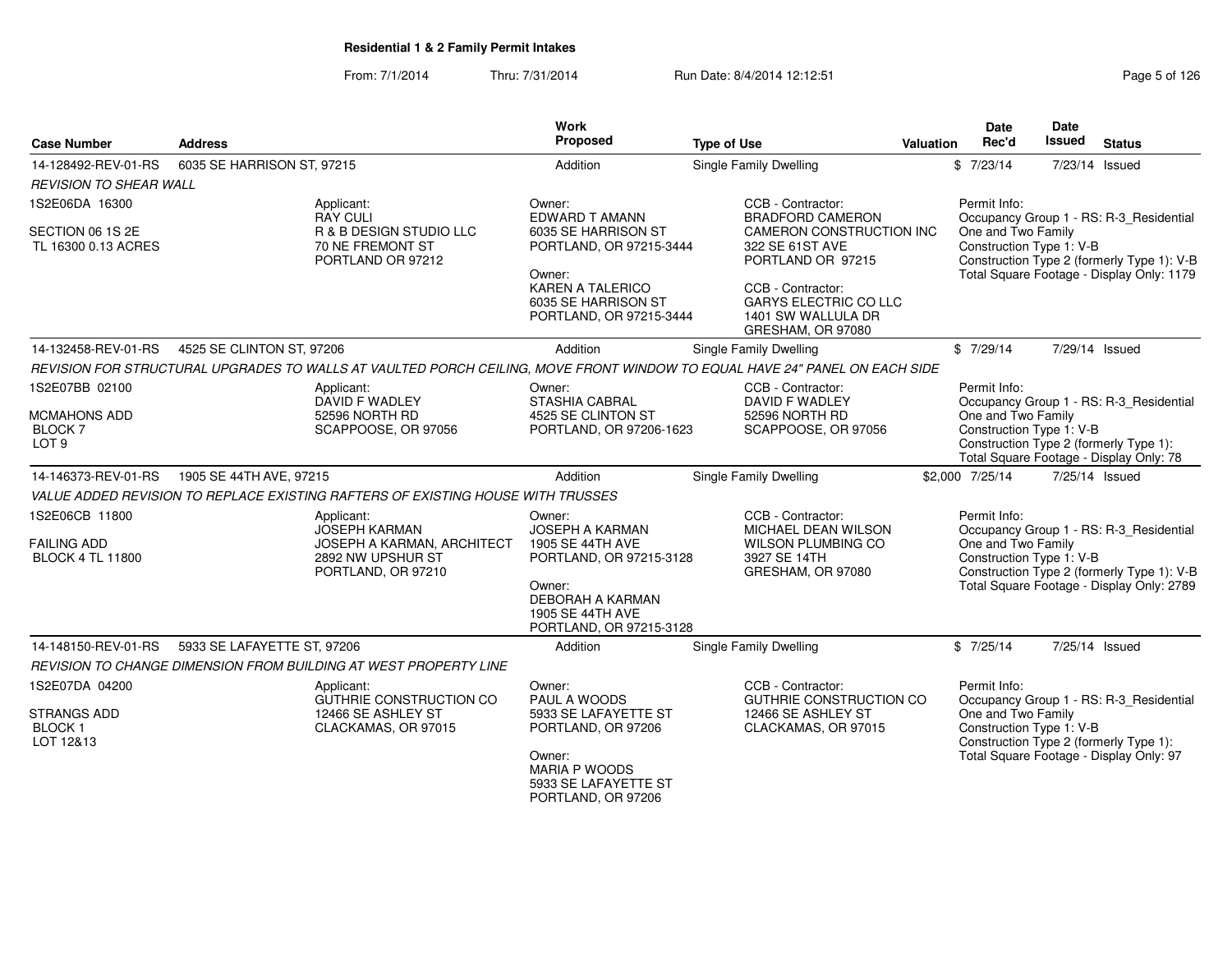| <b>Case Number</b>                                                         | <b>Address</b>                                                                                                             | <b>Work</b><br>Proposed                                                                                                                                                  | <b>Type of Use</b>                                                                                                                                                                                               | <b>Valuation</b> | Date<br>Rec'd                                                  | Date<br><b>Issued</b> | <b>Status</b>                                                                                                                      |
|----------------------------------------------------------------------------|----------------------------------------------------------------------------------------------------------------------------|--------------------------------------------------------------------------------------------------------------------------------------------------------------------------|------------------------------------------------------------------------------------------------------------------------------------------------------------------------------------------------------------------|------------------|----------------------------------------------------------------|-----------------------|------------------------------------------------------------------------------------------------------------------------------------|
| 14-128492-REV-01-RS                                                        | 6035 SE HARRISON ST, 97215                                                                                                 | Addition                                                                                                                                                                 | <b>Single Family Dwelling</b>                                                                                                                                                                                    |                  | \$7/23/14                                                      | 7/23/14 Issued        |                                                                                                                                    |
| <b>REVISION TO SHEAR WALL</b>                                              |                                                                                                                            |                                                                                                                                                                          |                                                                                                                                                                                                                  |                  |                                                                |                       |                                                                                                                                    |
| 1S2E06DA 16300<br>SECTION 06 1S 2E<br>TL 16300 0.13 ACRES                  | Applicant:<br><b>RAY CULI</b><br>R & B DESIGN STUDIO LLC<br><b>70 NE FREMONT ST</b><br>PORTLAND OR 97212                   | Owner:<br><b>EDWARD T AMANN</b><br>6035 SE HARRISON ST<br>PORTLAND, OR 97215-3444<br>Owner:<br><b>KAREN A TALERICO</b><br>6035 SE HARRISON ST<br>PORTLAND, OR 97215-3444 | CCB - Contractor:<br><b>BRADFORD CAMERON</b><br>CAMERON CONSTRUCTION INC<br>322 SE 61ST AVE<br>PORTLAND OR 97215<br>CCB - Contractor:<br><b>GARYS ELECTRIC CO LLC</b><br>1401 SW WALLULA DR<br>GRESHAM, OR 97080 |                  | Permit Info:<br>One and Two Family<br>Construction Type 1: V-B |                       | Occupancy Group 1 - RS: R-3_Residential<br>Construction Type 2 (formerly Type 1): V-B<br>Total Square Footage - Display Only: 1179 |
| 14-132458-REV-01-RS                                                        | 4525 SE CLINTON ST, 97206                                                                                                  | Addition                                                                                                                                                                 | <b>Single Family Dwelling</b>                                                                                                                                                                                    |                  | \$7/29/14                                                      |                       | 7/29/14 Issued                                                                                                                     |
|                                                                            | REVISION FOR STRUCTURAL UPGRADES TO WALLS AT VAULTED PORCH CEILING, MOVE FRONT WINDOW TO EQUAL HAVE 24" PANEL ON EACH SIDE |                                                                                                                                                                          |                                                                                                                                                                                                                  |                  |                                                                |                       |                                                                                                                                    |
| 1S2E07BB 02100<br><b>MCMAHONS ADD</b><br><b>BLOCK7</b><br>LOT <sub>9</sub> | Applicant:<br>DAVID F WADLEY<br>52596 NORTH RD<br>SCAPPOOSE, OR 97056                                                      | Owner:<br><b>STASHIA CABRAL</b><br>4525 SE CLINTON ST<br>PORTLAND, OR 97206-1623                                                                                         | CCB - Contractor:<br>DAVID F WADLEY<br>52596 NORTH RD<br>SCAPPOOSE, OR 97056                                                                                                                                     |                  | Permit Info:<br>One and Two Family<br>Construction Type 1: V-B |                       | Occupancy Group 1 - RS: R-3_Residential<br>Construction Type 2 (formerly Type 1):<br>Total Square Footage - Display Only: 78       |
| 14-146373-REV-01-RS                                                        | 1905 SE 44TH AVE, 97215                                                                                                    | Addition                                                                                                                                                                 | <b>Single Family Dwelling</b>                                                                                                                                                                                    |                  | \$2,000 7/25/14                                                | 7/25/14 Issued        |                                                                                                                                    |
|                                                                            | VALUE ADDED REVISION TO REPLACE EXISTING RAFTERS OF EXISTING HOUSE WITH TRUSSES                                            |                                                                                                                                                                          |                                                                                                                                                                                                                  |                  |                                                                |                       |                                                                                                                                    |
| 1S2E06CB 11800<br><b>FAILING ADD</b><br><b>BLOCK 4 TL 11800</b>            | Applicant:<br><b>JOSEPH KARMAN</b><br>JOSEPH A KARMAN, ARCHITECT<br>2892 NW UPSHUR ST<br>PORTLAND, OR 97210                | Owner:<br><b>JOSEPH A KARMAN</b><br>1905 SE 44TH AVE<br>PORTLAND, OR 97215-3128<br>Owner:<br><b>DEBORAH A KARMAN</b><br>1905 SE 44TH AVE<br>PORTLAND, OR 97215-3128      | CCB - Contractor:<br>MICHAEL DEAN WILSON<br><b>WILSON PLUMBING CO</b><br>3927 SE 14TH<br>GRESHAM, OR 97080                                                                                                       |                  | Permit Info:<br>One and Two Family<br>Construction Type 1: V-B |                       | Occupancy Group 1 - RS: R-3_Residential<br>Construction Type 2 (formerly Type 1): V-B<br>Total Square Footage - Display Only: 2789 |
| 14-148150-REV-01-RS                                                        | 5933 SE LAFAYETTE ST, 97206                                                                                                | Addition                                                                                                                                                                 | <b>Single Family Dwelling</b>                                                                                                                                                                                    |                  | \$7/25/14                                                      | 7/25/14 Issued        |                                                                                                                                    |
|                                                                            | REVISION TO CHANGE DIMENSION FROM BUILDING AT WEST PROPERTY LINE                                                           |                                                                                                                                                                          |                                                                                                                                                                                                                  |                  |                                                                |                       |                                                                                                                                    |
| 1S2E07DA 04200<br>STRANGS ADD<br><b>BLOCK1</b><br>LOT 12&13                | Applicant:<br><b>GUTHRIE CONSTRUCTION CO</b><br>12466 SE ASHLEY ST<br>CLACKAMAS, OR 97015                                  | Owner:<br>PAUL A WOODS<br>5933 SE LAFAYETTE ST<br>PORTLAND, OR 97206<br>Owner:<br><b>MARIA P WOODS</b><br>5933 SE LAFAYETTE ST<br>PORTLAND, OR 97206                     | CCB - Contractor:<br><b>GUTHRIE CONSTRUCTION CO</b><br>12466 SE ASHLEY ST<br>CLACKAMAS, OR 97015                                                                                                                 |                  | Permit Info:<br>One and Two Family<br>Construction Type 1: V-B |                       | Occupancy Group 1 - RS: R-3 Residential<br>Construction Type 2 (formerly Type 1):<br>Total Square Footage - Display Only: 97       |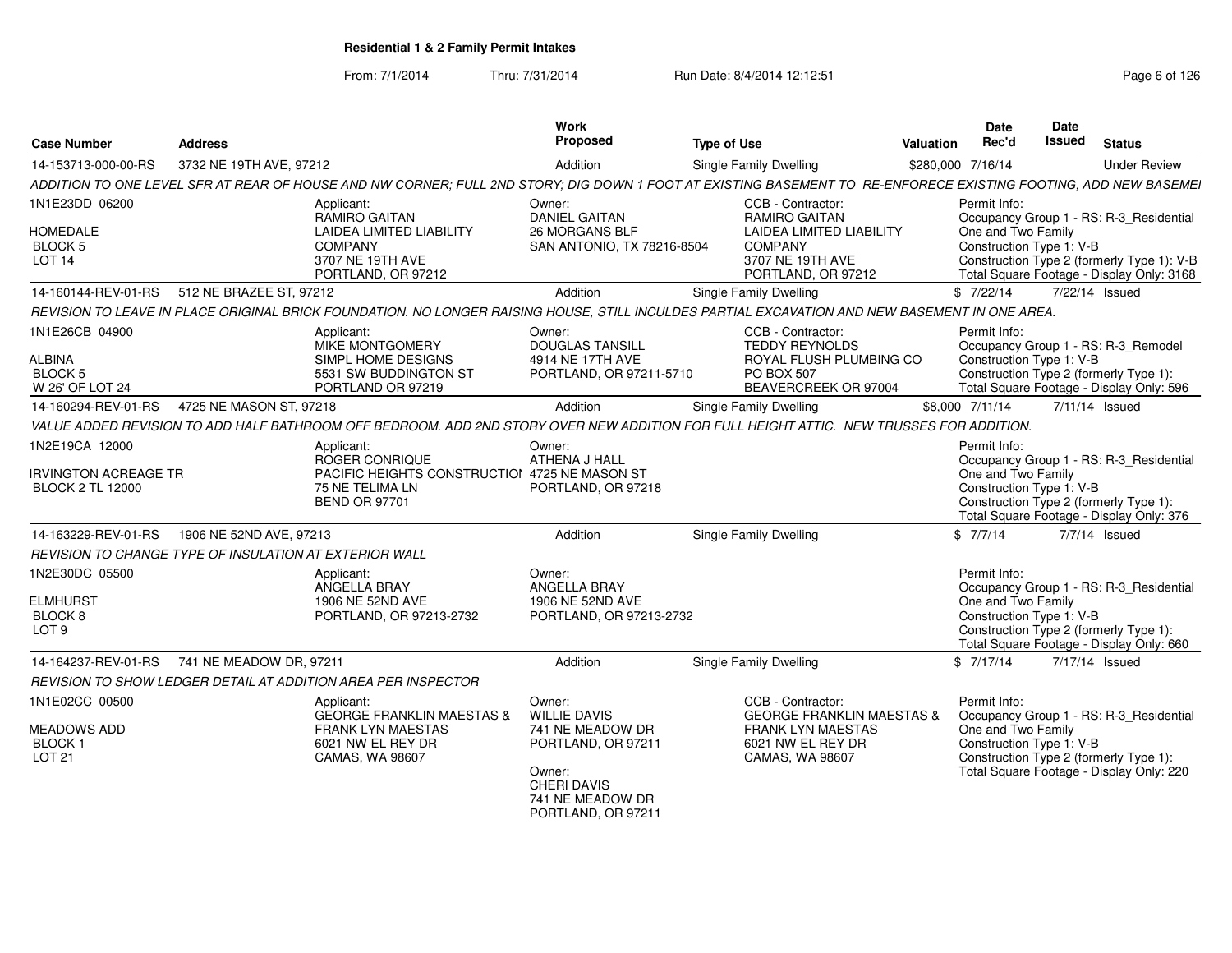| <b>Address</b><br><b>Case Number</b>                   |                                                                                                                                                | Work<br><b>Proposed</b>                                    | <b>Type of Use</b>                                                                           | Date<br>Rec'd<br>Valuation | Date<br><b>Issued Status</b>                                                       |
|--------------------------------------------------------|------------------------------------------------------------------------------------------------------------------------------------------------|------------------------------------------------------------|----------------------------------------------------------------------------------------------|----------------------------|------------------------------------------------------------------------------------|
| 14-153713-000-00-RS 3732 NE 19TH AVE, 97212            |                                                                                                                                                | Addition                                                   | Single Family Dwellin                                                                        | \$280,000 7/16/14          | <b>Under Review</b>                                                                |
|                                                        | ADDITION TO ONE LEVEL SFR AT REAR OF HOUSE AND NW CORNER; FULL 2ND S'                                                                          |                                                            | STORY; DIG DOWN 1 FOOT AT EXISTING BASEMENT TO RE-ENFORECE EXISTING FOOTING, ADD NEW BASEMEI |                            |                                                                                    |
| 1N1E23DD 06200                                         | Applicant:                                                                                                                                     | Owner:                                                     | CCB - Contractor:                                                                            | Permit Info:               |                                                                                    |
|                                                        | <b>RAMIRO GAITAN</b>                                                                                                                           | <b>DANIEL GAITAN</b>                                       | <b>RAMIRO GAITAN</b>                                                                         |                            | Occupancy Group 1 - RS: R-3 Residential                                            |
| <b>HOMEDALE</b>                                        | LAIDEA LIMITED LIABILITY                                                                                                                       | 26 MORGANS BLF                                             | <b>LAIDEA LIMITED LIABILITY</b>                                                              | One and Two Family         |                                                                                    |
| <b>BLOCK 5</b><br>$\_$ OT 14                           | COMPANY<br>3707 NE 19TH AVE                                                                                                                    | SAN ANTONIO, TX 78216-8504                                 | COMPANY<br>3707 NE 19TH AVE                                                                  |                            | Construction Type 1: V-B<br>Construction Type 2 (formerly Type 1): V-B             |
|                                                        | PORTLAND, OR 97212                                                                                                                             |                                                            | PORTLAND, OR 97212                                                                           |                            | Total Square Footage - Display Only: 3168                                          |
| 14-160144-REV-01-RS 512 NE BRAZEE ST, 97212            |                                                                                                                                                | Addition                                                   | <b>Single Family Dwelling</b>                                                                |                            | \$ 7/22/14 7/22/14 Issued                                                          |
|                                                        | REVISION TO LEAVE IN PLACE ORIGINAL BRICK FOUNDATION. NO LONGER RAISING HOUSE, STILL INCULDES PARTIAL EXCAVATION AND NEW BASEMENT IN ONE AREA. |                                                            |                                                                                              |                            |                                                                                    |
| 1N1E26CB 04900                                         | Applicant:                                                                                                                                     | Owner:                                                     | CCB - Contractor:                                                                            | Permit Info:               |                                                                                    |
|                                                        | MIKE MONTGOMERY                                                                                                                                | <b>DOUGLAS TANSILL</b>                                     | <b>TEDDY REYNOLDS</b>                                                                        |                            | Occupancy Group 1 - RS: R-3 Remodel                                                |
| ALBINA                                                 | SIMPL HOME DESIGNS                                                                                                                             | 4914 NE 17TH AVE                                           | ROYAL FLUSH PLUMBING CO                                                                      | Construction Type 1: V-B   |                                                                                    |
| <b>BLOCK 5</b><br>W 26' OF LOT 24                      | 5531 SW BUDDINGTON ST<br>PORTLAND OR 97219                                                                                                     | PORTLAND, OR 97211-5710                                    | PO BOX 507<br>BEAVERCREEK OR 97004                                                           |                            | Construction Type 2 (formerly Type 1):<br>Total Square Footage - Display Only: 596 |
| 14-160294-REV-01-RS  4725 NE MASON ST, 97218           |                                                                                                                                                | Addition                                                   | Single Family Dwelling                                                                       | \$8,000 7/11/14            | 7/11/14 Issued                                                                     |
|                                                        | VALUE ADDED REVISION TO ADD HALF BATHROOM OFF BEDROOM. ADD 2ND STORY OVER NEW ADDITION FOR FULL HEIGHT ATTIC. NEW TRUSSES FOR ADDITION.        |                                                            |                                                                                              |                            |                                                                                    |
|                                                        |                                                                                                                                                |                                                            |                                                                                              |                            |                                                                                    |
| 1N2E19CA 12000                                         | Applicant:<br>ROGER CONRIQUE                                                                                                                   | Owner:<br>ATHENA J HALL                                    |                                                                                              | Permit Info:               | Occupancy Group 1 - RS: R-3 Residential                                            |
| <b>IRVINGTON ACREAGE TR</b>                            |                                                                                                                                                | PACIFIC HEIGHTS CONSTRUCTIOI 4725 NE MASON ST              |                                                                                              | One and Two Family         |                                                                                    |
| <b>BLOCK 2 TL 12000</b>                                | 75 NE TELIMA LN                                                                                                                                | PORTLAND, OR 97218                                         |                                                                                              |                            | Construction Type 1: V-B                                                           |
|                                                        | <b>BEND OR 97701</b>                                                                                                                           |                                                            |                                                                                              |                            | Construction Type 2 (formerly Type 1):                                             |
|                                                        |                                                                                                                                                |                                                            |                                                                                              |                            | Total Square Footage - Display Only: 376                                           |
| 14-163229-REV-01-RS  1906 NE 52ND AVE, 97213           |                                                                                                                                                | Addition                                                   | Single Family Dwelling                                                                       |                            | \$ 7/7/14 7/7/14 Issued                                                            |
| REVISION TO CHANGE TYPE OF INSULATION AT EXTERIOR WALL |                                                                                                                                                |                                                            |                                                                                              |                            |                                                                                    |
| 1N2E30DC 05500                                         | Applicant:<br>ANGELLA BRAY                                                                                                                     | Owner:<br>ANGELLA BRAY                                     |                                                                                              | Permit Info:               | Occupancy Group 1 - RS: R-3_Residential                                            |
| <b>ELMHURST</b>                                        | 1906 NE 52ND AVE                                                                                                                               | 1906 NE 52ND AVE                                           |                                                                                              | One and Two Family         |                                                                                    |
| BLOCK 8                                                | PORTLAND, OR 97213-2732                                                                                                                        | PORTLAND, OR 97213-2732                                    |                                                                                              |                            | Construction Type 1: V-B                                                           |
| LOT 9                                                  |                                                                                                                                                |                                                            |                                                                                              |                            | Construction Type 2 (formerly Type 1):                                             |
|                                                        |                                                                                                                                                |                                                            |                                                                                              |                            | Total Square Footage - Display Only: 660                                           |
| 14-164237-REV-01-RS 741 NE MEADOW DR, 97211            |                                                                                                                                                | Addition                                                   | Single Family Dwelling                                                                       |                            | \$ 7/17/14 7/17/14 Issued                                                          |
|                                                        | REVISION TO SHOW LEDGER DETAIL AT ADDITION AREA PER INSPECTOR                                                                                  |                                                            |                                                                                              |                            |                                                                                    |
| 1N1E02CC 00500                                         | Applicant:                                                                                                                                     | Owner:                                                     | <b>CCB - Contractor:</b>                                                                     | Permit Info:               |                                                                                    |
| MEADOWS ADD                                            | <b>FRANK LYN MAESTAS</b>                                                                                                                       | GEORGE FRANKLIN MAESTAS & WILLIE DAVIS<br>741 NE MEADOW DR | <b>GEORGE FRANKLIN MAESTAS &amp;</b><br><b>FRANK LYN MAESTAS</b>                             | One and Two Family         | Occupancy Group 1 - RS: R-3_Residential                                            |
| BLOCK 1                                                | 6021 NW EL REY DR                                                                                                                              | PORTLAND, OR 97211                                         | 6021 NW EL REY DR                                                                            |                            | Construction Type 1: V-B                                                           |
| LOT 21                                                 | CAMAS, WA 98607                                                                                                                                |                                                            | CAMAS, WA 98607                                                                              |                            | Construction Type 2 (formerly Type 1):                                             |
|                                                        |                                                                                                                                                | Owner:<br>CHERI DAVIS                                      |                                                                                              |                            | Total Square Footage - Display Only: 220                                           |
|                                                        |                                                                                                                                                | 741 NE MEADOW DR                                           |                                                                                              |                            |                                                                                    |
|                                                        |                                                                                                                                                | PORTLAND, OR 97211                                         |                                                                                              |                            |                                                                                    |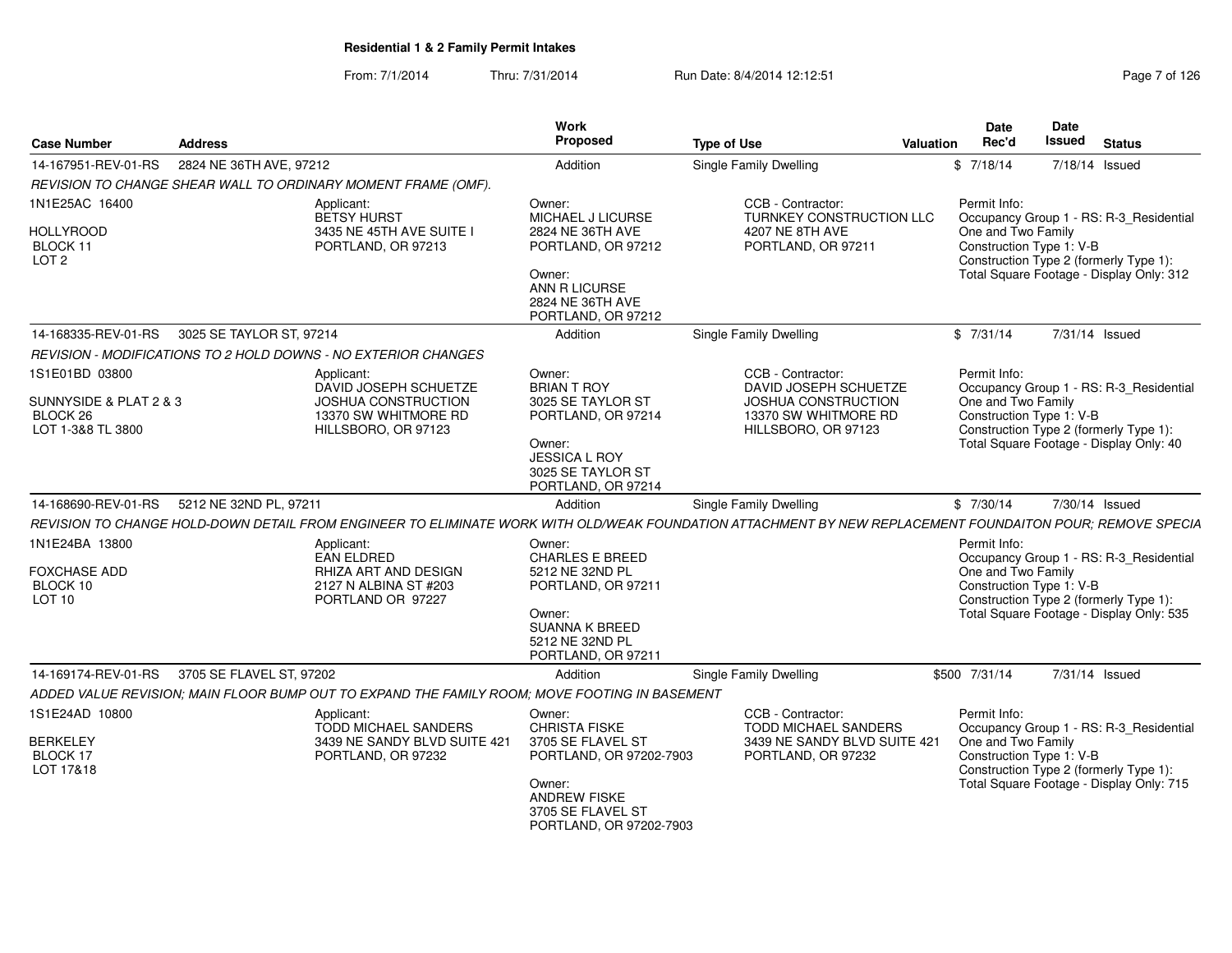From: 7/1/2014Thru: 7/31/2014 Run Date: 8/4/2014 12:12:51

| Page 7 of 126 |  |  |
|---------------|--|--|
|---------------|--|--|

| <b>Case Number</b>                                                     | <b>Address</b>           |                                                                                                       | <b>Work</b><br>Proposed                                                                                                         | <b>Type of Use</b>                                                                                                                                        | Valuation | <b>Date</b><br>Rec'd                                           | Date<br><b>Issued</b> | <b>Status</b>                                                                                                                 |
|------------------------------------------------------------------------|--------------------------|-------------------------------------------------------------------------------------------------------|---------------------------------------------------------------------------------------------------------------------------------|-----------------------------------------------------------------------------------------------------------------------------------------------------------|-----------|----------------------------------------------------------------|-----------------------|-------------------------------------------------------------------------------------------------------------------------------|
| 14-167951-REV-01-RS                                                    | 2824 NE 36TH AVE, 97212  |                                                                                                       | Addition                                                                                                                        | Single Family Dwelling                                                                                                                                    |           | \$7/18/14                                                      |                       | 7/18/14 Issued                                                                                                                |
|                                                                        |                          | REVISION TO CHANGE SHEAR WALL TO ORDINARY MOMENT FRAME (OMF).                                         |                                                                                                                                 |                                                                                                                                                           |           |                                                                |                       |                                                                                                                               |
| 1N1E25AC 16400                                                         |                          | Applicant:<br>BETSY HURST                                                                             | Owner:<br>MICHAEL J LICURSE                                                                                                     | CCB - Contractor:<br>TURNKEY CONSTRUCTION LLC                                                                                                             |           | Permit Info:                                                   |                       | Occupancy Group 1 - RS: R-3_Residential                                                                                       |
| <b>HOLLYROOD</b><br>BLOCK 11<br>LOT <sub>2</sub>                       |                          | 3435 NE 45TH AVE SUITE I<br>PORTLAND, OR 97213                                                        | 2824 NE 36TH AVE<br>PORTLAND, OR 97212<br>Owner:<br>ANN R LICURSE<br>2824 NE 36TH AVE<br>PORTLAND, OR 97212                     | 4207 NE 8TH AVE<br>PORTLAND, OR 97211                                                                                                                     |           | One and Two Family<br>Construction Type 1: V-B                 |                       | Construction Type 2 (formerly Type 1):<br>Total Square Footage - Display Only: 312                                            |
| 14-168335-REV-01-RS                                                    | 3025 SE TAYLOR ST, 97214 |                                                                                                       | Addition                                                                                                                        | Single Family Dwelling                                                                                                                                    |           | \$7/31/14                                                      |                       | 7/31/14 Issued                                                                                                                |
|                                                                        |                          | REVISION - MODIFICATIONS TO 2 HOLD DOWNS - NO EXTERIOR CHANGES                                        |                                                                                                                                 |                                                                                                                                                           |           |                                                                |                       |                                                                                                                               |
| 1S1E01BD 03800<br>SUNNYSIDE & PLAT 2 & 3                               |                          | Applicant:<br>DAVID JOSEPH SCHUETZE<br><b>JOSHUA CONSTRUCTION</b>                                     | Owner:<br><b>BRIAN T ROY</b><br>3025 SE TAYLOR ST                                                                               | CCB - Contractor:<br>DAVID JOSEPH SCHUETZE<br><b>JOSHUA CONSTRUCTION</b>                                                                                  |           | Permit Info:<br>One and Two Family                             |                       | Occupancy Group 1 - RS: R-3_Residential                                                                                       |
| BLOCK <sub>26</sub><br>LOT 1-3&8 TL 3800                               |                          | 13370 SW WHITMORE RD<br>HILLSBORO, OR 97123                                                           | PORTLAND, OR 97214<br>Owner:<br><b>JESSICA L ROY</b><br>3025 SE TAYLOR ST<br>PORTLAND, OR 97214                                 | 13370 SW WHITMORE RD<br>HILLSBORO, OR 97123                                                                                                               |           | Construction Type 1: V-B                                       |                       | Construction Type 2 (formerly Type 1):<br>Total Square Footage - Display Only: 40                                             |
| 14-168690-REV-01-RS                                                    | 5212 NE 32ND PL, 97211   |                                                                                                       | Addition                                                                                                                        | Single Family Dwelling                                                                                                                                    |           | \$7/30/14                                                      |                       | 7/30/14 Issued                                                                                                                |
|                                                                        |                          |                                                                                                       |                                                                                                                                 | REVISION TO CHANGE HOLD-DOWN DETAIL FROM ENGINEER TO ELIMINATE WORK WITH OLD/WEAK FOUNDATION ATTACHMENT BY NEW REPLACEMENT FOUNDAITON POUR; REMOVE SPECIA |           |                                                                |                       |                                                                                                                               |
| 1N1E24BA 13800<br><b>FOXCHASE ADD</b><br>BLOCK 10<br>LOT <sub>10</sub> |                          | Applicant:<br><b>EAN ELDRED</b><br>RHIZA ART AND DESIGN<br>2127 N ALBINA ST #203<br>PORTLAND OR 97227 | Owner:<br><b>CHARLES E BREED</b><br>5212 NE 32ND PL<br>PORTLAND, OR 97211<br>Owner:<br><b>SUANNA K BREED</b><br>5212 NE 32ND PL |                                                                                                                                                           |           | Permit Info:<br>One and Two Family<br>Construction Type 1: V-B |                       | Occupancy Group 1 - RS: R-3 Residential<br>Construction Type 2 (formerly Type 1):<br>Total Square Footage - Display Only: 535 |
| 14-169174-REV-01-RS                                                    | 3705 SE FLAVEL ST, 97202 |                                                                                                       | PORTLAND, OR 97211<br>Addition                                                                                                  | <b>Single Family Dwelling</b>                                                                                                                             |           | \$500 7/31/14                                                  |                       | 7/31/14 Issued                                                                                                                |
|                                                                        |                          | ADDED VALUE REVISION: MAIN FLOOR BUMP OUT TO EXPAND THE FAMILY ROOM: MOVE FOOTING IN BASEMENT         |                                                                                                                                 |                                                                                                                                                           |           |                                                                |                       |                                                                                                                               |
| 1S1E24AD 10800                                                         |                          | Applicant:                                                                                            | Owner:                                                                                                                          | CCB - Contractor:                                                                                                                                         |           | Permit Info:                                                   |                       |                                                                                                                               |
| <b>BERKELEY</b><br>BLOCK 17<br>LOT 17&18                               |                          | <b>TODD MICHAEL SANDERS</b><br>3439 NE SANDY BLVD SUITE 421<br>PORTLAND, OR 97232                     | <b>CHRISTA FISKE</b><br>3705 SE FLAVEL ST<br>PORTLAND, OR 97202-7903<br>Owner:<br><b>ANDREW FISKE</b>                           | TODD MICHAEL SANDERS<br>3439 NE SANDY BLVD SUITE 421<br>PORTLAND, OR 97232                                                                                |           | One and Two Family<br>Construction Type 1: V-B                 |                       | Occupancy Group 1 - RS: R-3_Residential<br>Construction Type 2 (formerly Type 1):<br>Total Square Footage - Display Only: 715 |
|                                                                        |                          |                                                                                                       | 3705 SE FLAVEL ST<br>PORTLAND, OR 97202-7903                                                                                    |                                                                                                                                                           |           |                                                                |                       |                                                                                                                               |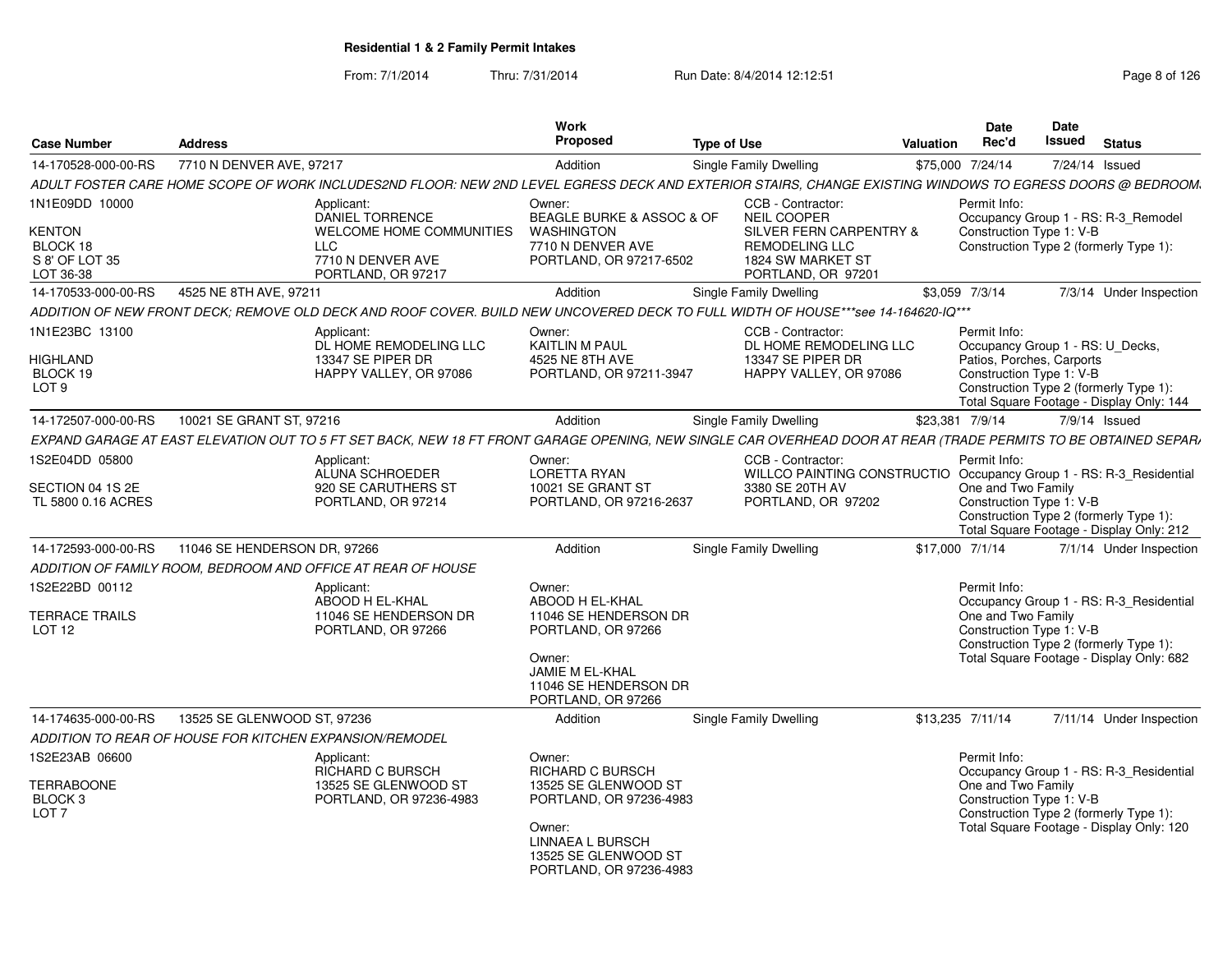| <b>Case Number</b>                                                  | <b>Address</b>                                               |                                                                                                                                                                 | <b>Work</b><br>Proposed                                                                                                                                        | <b>Type of Use</b> |                                                                                                                                        | Valuation | <b>Date</b><br>Rec'd                                                                                      | Date<br><b>Issued</b> | <b>Status</b>                                                                                                                 |
|---------------------------------------------------------------------|--------------------------------------------------------------|-----------------------------------------------------------------------------------------------------------------------------------------------------------------|----------------------------------------------------------------------------------------------------------------------------------------------------------------|--------------------|----------------------------------------------------------------------------------------------------------------------------------------|-----------|-----------------------------------------------------------------------------------------------------------|-----------------------|-------------------------------------------------------------------------------------------------------------------------------|
| 14-170528-000-00-RS                                                 | 7710 N DENVER AVE, 97217                                     |                                                                                                                                                                 | Addition                                                                                                                                                       |                    | Single Family Dwelling                                                                                                                 |           | \$75,000 7/24/14                                                                                          | 7/24/14 Issued        |                                                                                                                               |
|                                                                     |                                                              | ADULT FOSTER CARE HOME SCOPE OF WORK INCLUDES2ND FLOOR: NEW 2ND LEVEL EGRESS DECK AND EXTERIOR STAIRS, CHANGE EXISTING WINDOWS TO EGRESS DOORS @ BEDROOM.       |                                                                                                                                                                |                    |                                                                                                                                        |           |                                                                                                           |                       |                                                                                                                               |
| 1N1E09DD 10000<br>KENTON<br>BLOCK 18<br>S 8' OF LOT 35<br>LOT 36-38 | <b>LLC</b>                                                   | Applicant:<br><b>DANIEL TORRENCE</b><br>WELCOME HOME COMMUNITIES<br>7710 N DENVER AVE<br>PORTLAND, OR 97217                                                     | Owner:<br>BEAGLE BURKE & ASSOC & OF<br>WASHINGTON<br>7710 N DENVER AVE<br>PORTLAND, OR 97217-6502                                                              |                    | CCB - Contractor:<br><b>NEIL COOPER</b><br>SILVER FERN CARPENTRY &<br><b>REMODELING LLC</b><br>1824 SW MARKET ST<br>PORTLAND, OR 97201 |           | Permit Info:<br>Construction Type 1: V-B                                                                  |                       | Occupancy Group 1 - RS: R-3_Remodel<br>Construction Type 2 (formerly Type 1):                                                 |
| 14-170533-000-00-RS                                                 | 4525 NE 8TH AVE, 97211                                       |                                                                                                                                                                 | Addition                                                                                                                                                       |                    | Single Family Dwelling                                                                                                                 |           | \$3,059 7/3/14                                                                                            |                       | 7/3/14 Under Inspection                                                                                                       |
|                                                                     |                                                              | ADDITION OF NEW FRONT DECK; REMOVE OLD DECK AND ROOF COVER. BUILD NEW UNCOVERED DECK TO FULL WIDTH OF HOUSE***see 14-164620-IQ***                               |                                                                                                                                                                |                    |                                                                                                                                        |           |                                                                                                           |                       |                                                                                                                               |
| 1N1E23BC 13100<br>HIGHLAND<br>BLOCK 19<br>LOT <sub>9</sub>          |                                                              | Applicant:<br>DL HOME REMODELING LLC<br>13347 SE PIPER DR<br>HAPPY VALLEY, OR 97086                                                                             | Owner:<br>KAITLIN M PAUL<br>4525 NE 8TH AVE<br>PORTLAND, OR 97211-3947                                                                                         |                    | CCB - Contractor:<br>DL HOME REMODELING LLC<br>13347 SE PIPER DR<br>HAPPY VALLEY, OR 97086                                             |           | Permit Info:<br>Occupancy Group 1 - RS: U_Decks,<br>Patios, Porches, Carports<br>Construction Type 1: V-B |                       | Construction Type 2 (formerly Type 1):<br>Total Square Footage - Display Only: 144                                            |
| 14-172507-000-00-RS                                                 | 10021 SE GRANT ST, 97216                                     |                                                                                                                                                                 | Addition                                                                                                                                                       |                    | Single Family Dwelling                                                                                                                 |           | \$23,381 7/9/14                                                                                           |                       | $7/9/14$ Issued                                                                                                               |
|                                                                     |                                                              | EXPAND GARAGE AT EAST ELEVATION OUT TO 5 FT SET BACK, NEW 18 FT FRONT GARAGE OPENING, NEW SINGLE CAR OVERHEAD DOOR AT REAR (TRADE PERMITS TO BE OBTAINED SEPAR) |                                                                                                                                                                |                    |                                                                                                                                        |           |                                                                                                           |                       |                                                                                                                               |
| 1S2E04DD 05800                                                      |                                                              | Applicant:<br>ALUNA SCHROEDER                                                                                                                                   | Owner:<br>LORETTA RYAN                                                                                                                                         |                    | CCB - Contractor:<br>WILLCO PAINTING CONSTRUCTIO Occupancy Group 1 - RS: R-3_Residential                                               |           | Permit Info:                                                                                              |                       |                                                                                                                               |
| SECTION 04 1S 2E<br>TL 5800 0.16 ACRES                              |                                                              | 920 SE CARUTHERS ST<br>PORTLAND, OR 97214                                                                                                                       | 10021 SE GRANT ST<br>PORTLAND, OR 97216-2637                                                                                                                   |                    | 3380 SE 20TH AV<br>PORTLAND, OR 97202                                                                                                  |           | One and Two Family<br>Construction Type 1: V-B                                                            |                       | Construction Type 2 (formerly Type 1):<br>Total Square Footage - Display Only: 212                                            |
| 14-172593-000-00-RS                                                 | 11046 SE HENDERSON DR, 97266                                 |                                                                                                                                                                 | Addition                                                                                                                                                       |                    | Single Family Dwelling                                                                                                                 |           | \$17,000 7/1/14                                                                                           |                       | 7/1/14 Under Inspection                                                                                                       |
|                                                                     | ADDITION OF FAMILY ROOM, BEDROOM AND OFFICE AT REAR OF HOUSE |                                                                                                                                                                 |                                                                                                                                                                |                    |                                                                                                                                        |           |                                                                                                           |                       |                                                                                                                               |
| 1S2E22BD 00112<br>TERRACE TRAILS<br>LOT <sub>12</sub>               |                                                              | Applicant:<br>ABOOD H EL-KHAL<br>11046 SE HENDERSON DR<br>PORTLAND, OR 97266                                                                                    | Owner:<br>ABOOD H EL-KHAL<br>11046 SE HENDERSON DR<br>PORTLAND, OR 97266<br>Owner:<br>JAMIE M EL-KHAL<br>11046 SE HENDERSON DR<br>PORTLAND, OR 97266           |                    |                                                                                                                                        |           | Permit Info:<br>One and Two Family<br>Construction Type 1: V-B                                            |                       | Occupancy Group 1 - RS: R-3 Residential<br>Construction Type 2 (formerly Type 1):<br>Total Square Footage - Display Only: 682 |
| 14-174635-000-00-RS                                                 | 13525 SE GLENWOOD ST, 97236                                  |                                                                                                                                                                 | Addition                                                                                                                                                       |                    | Single Family Dwelling                                                                                                                 |           | \$13,235 7/11/14                                                                                          |                       | 7/11/14 Under Inspection                                                                                                      |
|                                                                     | ADDITION TO REAR OF HOUSE FOR KITCHEN EXPANSION/REMODEL      |                                                                                                                                                                 |                                                                                                                                                                |                    |                                                                                                                                        |           |                                                                                                           |                       |                                                                                                                               |
| 1S2E23AB 06600<br><b>TERRABOONE</b><br>BLOCK 3<br>LOT <sub>7</sub>  |                                                              | Applicant:<br><b>RICHARD C BURSCH</b><br>13525 SE GLENWOOD ST<br>PORTLAND, OR 97236-4983                                                                        | Owner:<br>RICHARD C BURSCH<br>13525 SE GLENWOOD ST<br>PORTLAND, OR 97236-4983<br>Owner:<br>LINNAEA L BURSCH<br>13525 SE GLENWOOD ST<br>PORTLAND, OR 97236-4983 |                    |                                                                                                                                        |           | Permit Info:<br>One and Two Family<br>Construction Type 1: V-B                                            |                       | Occupancy Group 1 - RS: R-3 Residential<br>Construction Type 2 (formerly Type 1):<br>Total Square Footage - Display Only: 120 |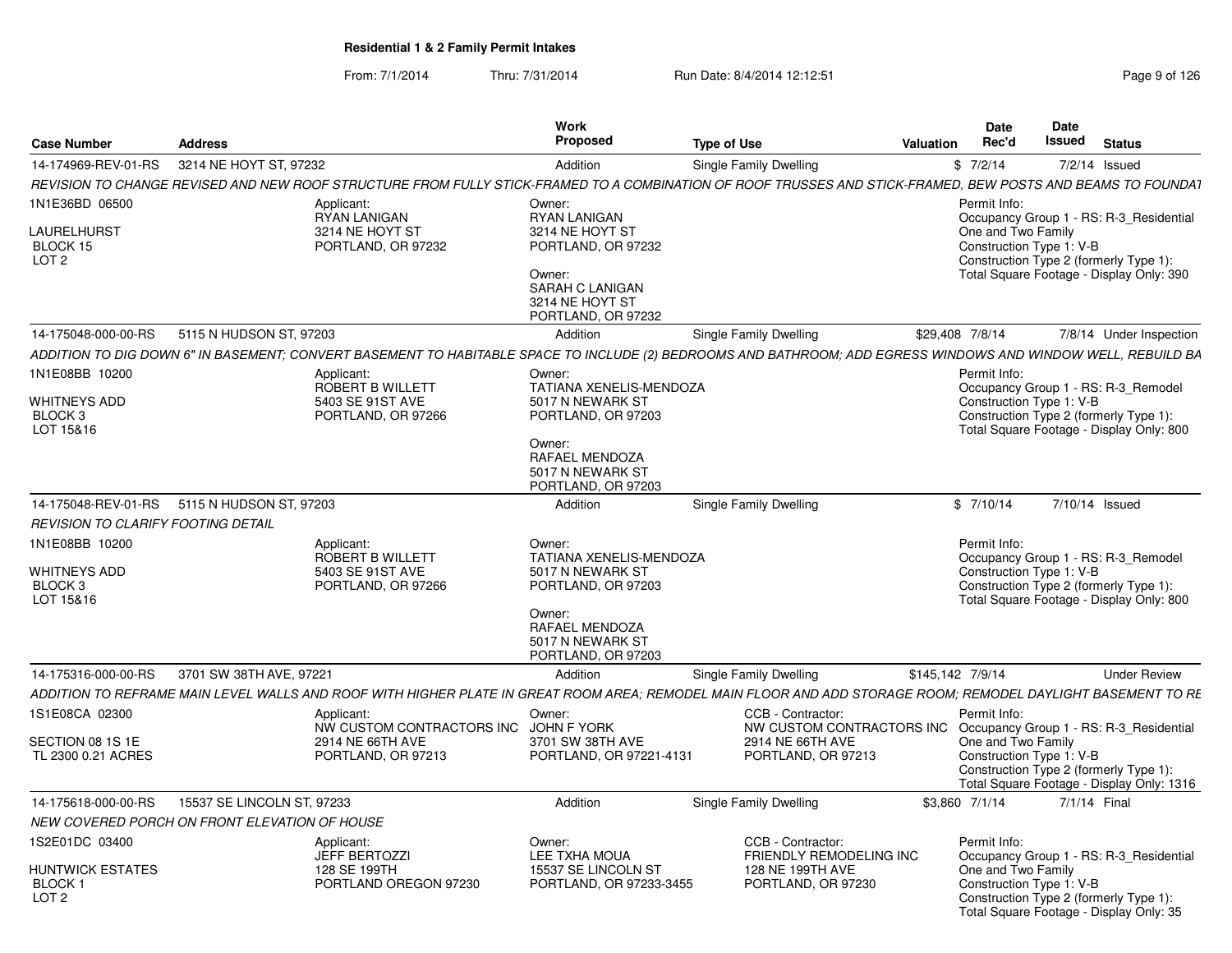|                                                                         |                                               |                                                                                                                                                               | <b>Work</b>                                                                                                                                              |                                                                                                                                  |                  | Date                               | <b>Date</b>                                                                                                                                               |  |
|-------------------------------------------------------------------------|-----------------------------------------------|---------------------------------------------------------------------------------------------------------------------------------------------------------------|----------------------------------------------------------------------------------------------------------------------------------------------------------|----------------------------------------------------------------------------------------------------------------------------------|------------------|------------------------------------|-----------------------------------------------------------------------------------------------------------------------------------------------------------|--|
| <b>Case Number</b>                                                      | <b>Address</b>                                |                                                                                                                                                               | <b>Proposed</b>                                                                                                                                          | <b>Type of Use</b>                                                                                                               | Valuation        | Rec'd                              | Issued<br><b>Status</b>                                                                                                                                   |  |
|                                                                         | 14-174969-REV-01-RS 3214 NE HOYT ST. 97232    |                                                                                                                                                               | Addition                                                                                                                                                 | Single Family Dwelling                                                                                                           |                  | \$7/2/14                           | 7/2/14 Issued                                                                                                                                             |  |
|                                                                         |                                               | REVISION TO CHANGE REVISED AND NEW ROOF STRUCTURE FROM FULLY STICK-FRAMED TO A COMBINATION OF ROOF TRUSSES AND STICK-FRAMED, BEW POSTS AND BEAMS TO FOUNDAT   |                                                                                                                                                          |                                                                                                                                  |                  |                                    |                                                                                                                                                           |  |
| 1N1E36BD 06500<br>LAURELHURST<br>BLOCK 15<br>LOT <sub>2</sub>           |                                               | Applicant:<br>RYAN LANIGAN<br>3214 NE HOYT ST<br>PORTLAND, OR 97232                                                                                           | Owner:<br>RYAN LANIGAN<br>3214 NE HOYT ST<br>PORTLAND, OR 97232<br>Owner:<br>SARAH C LANIGAN<br>3214 NE HOYT ST<br>PORTLAND, OR 97232                    |                                                                                                                                  |                  | Permit Info:<br>One and Two Family | Occupancy Group 1 - RS: R-3_Residential<br>Construction Type 1: V-B<br>Construction Type 2 (formerly Type 1):<br>Total Square Footage - Display Only: 390 |  |
| 14-175048-000-00-RS                                                     | 5115 N HUDSON ST, 97203                       |                                                                                                                                                               | Addition                                                                                                                                                 | Single Family Dwelling                                                                                                           | \$29,408 7/8/14  |                                    | 7/8/14 Under Inspection                                                                                                                                   |  |
|                                                                         |                                               | ADDITION TO DIG DOWN 6" IN BASEMENT; CONVERT BASEMENT TO HABITABLE SPACE TO INCLUDE (2) BEDROOMS AND BATHROOM; ADD EGRESS WINDOWS AND WINDOW WELL, REBUILD BA |                                                                                                                                                          |                                                                                                                                  |                  |                                    |                                                                                                                                                           |  |
| 1N1E08BB 10200<br>WHITNEYS ADD<br>BLOCK <sub>3</sub><br>LOT 15&16       |                                               | Applicant:<br>ROBERT B WILLETT<br>5403 SE 91ST AVE<br>PORTLAND, OR 97266                                                                                      | Owner:<br>TATIANA XENELIS-MENDOZA<br>5017 N NEWARK ST<br>PORTLAND, OR 97203<br>Owner:<br>RAFAEL MENDOZA<br>5017 N NEWARK ST<br>PORTLAND, OR 97203        |                                                                                                                                  |                  | Permit Info:                       | Occupancy Group 1 - RS: R-3_Remodel<br>Construction Type 1: V-B<br>Construction Type 2 (formerly Type 1):<br>Total Square Footage - Display Only: 800     |  |
|                                                                         | 14-175048-REV-01-RS 5115 N HUDSON ST, 97203   |                                                                                                                                                               | Addition                                                                                                                                                 | Single Family Dwelling                                                                                                           |                  | \$7/10/14                          | 7/10/14 Issued                                                                                                                                            |  |
| <b>REVISION TO CLARIFY FOOTING DETAIL</b>                               |                                               |                                                                                                                                                               |                                                                                                                                                          |                                                                                                                                  |                  |                                    |                                                                                                                                                           |  |
| 1N1E08BB 10200<br><b>WHITNEYS ADD</b><br><b>BLOCK3</b><br>LOT 15&16     |                                               | Applicant:<br>ROBERT B WILLETT<br>5403 SE 91ST AVE<br>PORTLAND, OR 97266                                                                                      | Owner:<br><b>TATIANA XENELIS-MENDOZA</b><br>5017 N NEWARK ST<br>PORTLAND, OR 97203<br>Owner:<br>RAFAEL MENDOZA<br>5017 N NEWARK ST<br>PORTLAND, OR 97203 |                                                                                                                                  |                  | Permit Info:                       | Occupancy Group 1 - RS: R-3 Remodel<br>Construction Type 1: V-B<br>Construction Type 2 (formerly Type 1):<br>Total Square Footage - Display Only: 800     |  |
| 14-175316-000-00-RS                                                     | 3701 SW 38TH AVE, 97221                       |                                                                                                                                                               | Addition                                                                                                                                                 | Single Family Dwelling                                                                                                           | \$145,142 7/9/14 |                                    | <b>Under Review</b>                                                                                                                                       |  |
|                                                                         |                                               | ADDITION TO REFRAME MAIN LEVEL WALLS AND ROOF WITH HIGHER PLATE IN GREAT ROOM AREA; REMODEL MAIN FLOOR AND ADD STORAGE ROOM; REMODEL DAYLIGHT BASEMENT TO RE  |                                                                                                                                                          |                                                                                                                                  |                  |                                    |                                                                                                                                                           |  |
| 1S1E08CA 02300<br>SECTION 08 1S 1E<br>TL 2300 0.21 ACRES                |                                               | Applicant:<br>NW CUSTOM CONTRACTORS INC JOHN F YORK<br>2914 NE 66TH AVE<br>PORTLAND, OR 97213                                                                 | Owner:<br>3701 SW 38TH AVE<br>PORTLAND, OR 97221-4131                                                                                                    | CCB - Contractor:<br>NW CUSTOM CONTRACTORS INC Occupancy Group 1 - RS: R-3 Residential<br>2914 NE 66TH AVE<br>PORTLAND, OR 97213 |                  | Permit Info:<br>One and Two Family | Construction Type 1: V-B                                                                                                                                  |  |
|                                                                         |                                               |                                                                                                                                                               |                                                                                                                                                          |                                                                                                                                  |                  |                                    | Construction Type 2 (formerly Type 1):<br>Total Square Footage - Display Only: 1316                                                                       |  |
| 14-175618-000-00-RS                                                     | 15537 SE LINCOLN ST, 97233                    |                                                                                                                                                               | Addition                                                                                                                                                 | Single Family Dwelling                                                                                                           | \$3,860 7/1/14   |                                    | 7/1/14 Final                                                                                                                                              |  |
|                                                                         | NEW COVERED PORCH ON FRONT ELEVATION OF HOUSE |                                                                                                                                                               |                                                                                                                                                          |                                                                                                                                  |                  |                                    |                                                                                                                                                           |  |
| 1S2E01DC 03400<br>HUNTWICK ESTATES<br><b>BLOCK1</b><br>LOT <sub>2</sub> |                                               | Applicant:<br><b>JEFF BERTOZZI</b><br>128 SE 199TH<br>PORTLAND OREGON 97230                                                                                   | Owner:<br>LEE TXHA MOUA<br>15537 SE LINCOLN ST<br>PORTLAND, OR 97233-3455                                                                                | CCB - Contractor:<br>FRIENDLY REMODELING INC<br>128 NE 199TH AVE<br>PORTLAND, OR 97230                                           |                  | Permit Info:<br>One and Two Family | Occupancy Group 1 - RS: R-3_Residential<br>Construction Type 1: V-B<br>Construction Type 2 (formerly Type 1):<br>Total Square Footage - Display Only: 35  |  |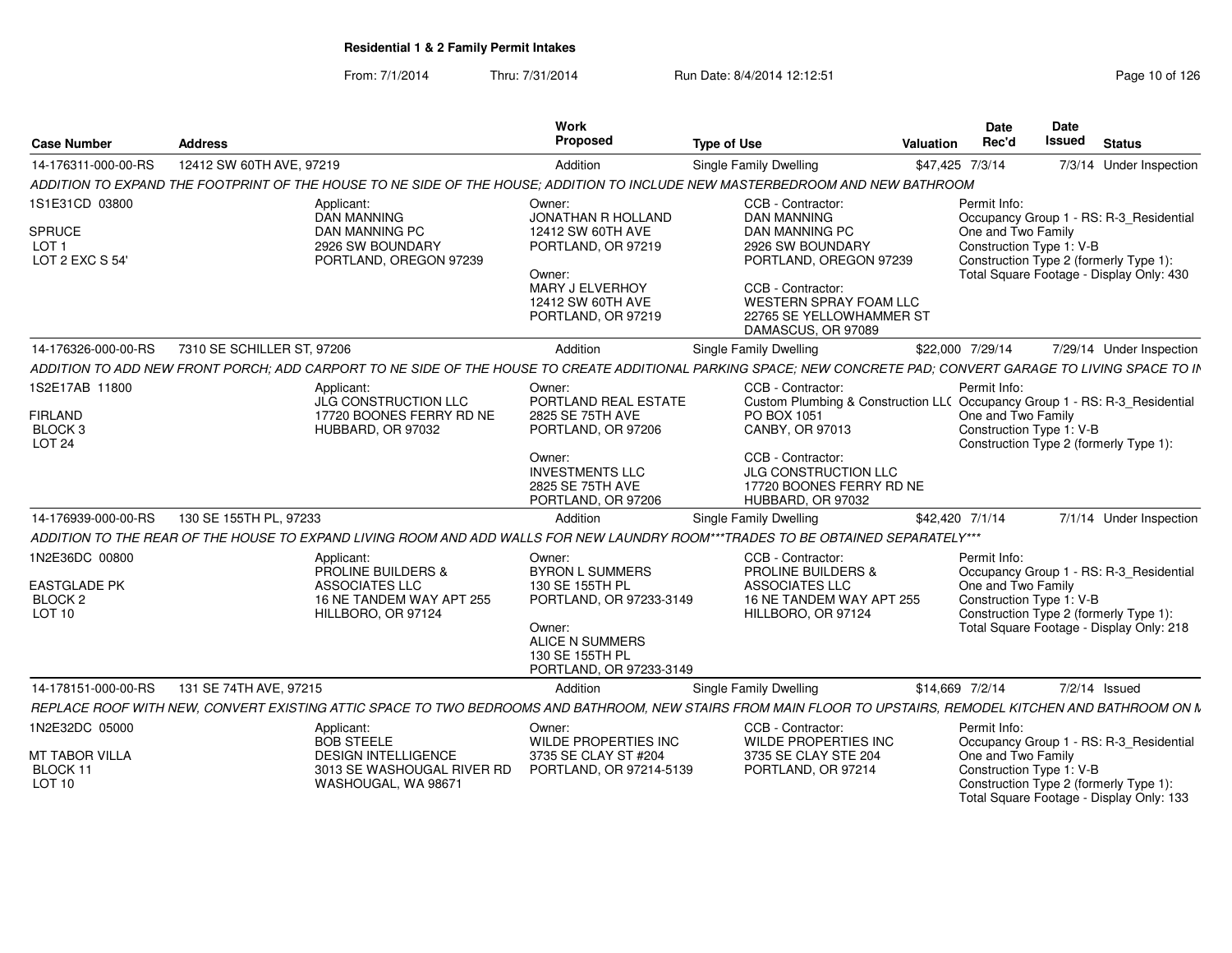| <b>Case Number</b>                                                               | <b>Address</b>             |                                                                                                                        | Work<br>Proposed                                                                                                                                                 | <b>Type of Use</b>                                                                                                                                                                                                                     | <b>Valuation</b> | Date<br>Rec'd                                                  | Date<br>Issued           | <b>Status</b>                                                                                                                 |
|----------------------------------------------------------------------------------|----------------------------|------------------------------------------------------------------------------------------------------------------------|------------------------------------------------------------------------------------------------------------------------------------------------------------------|----------------------------------------------------------------------------------------------------------------------------------------------------------------------------------------------------------------------------------------|------------------|----------------------------------------------------------------|--------------------------|-------------------------------------------------------------------------------------------------------------------------------|
| 14-176311-000-00-RS                                                              | 12412 SW 60TH AVE, 97219   |                                                                                                                        | Addition                                                                                                                                                         | Single Family Dwelling                                                                                                                                                                                                                 |                  | \$47,425 7/3/14                                                |                          | 7/3/14 Under Inspection                                                                                                       |
|                                                                                  |                            |                                                                                                                        |                                                                                                                                                                  | ADDITION TO EXPAND THE FOOTPRINT OF THE HOUSE TO NE SIDE OF THE HOUSE: ADDITION TO INCLUDE NEW MASTERBEDROOM AND NEW BATHROOM                                                                                                          |                  |                                                                |                          |                                                                                                                               |
| 1S1E31CD 03800<br>SPRUCE<br>LOT <sub>1</sub><br>LOT 2 EXC S 54'                  |                            | Applicant:<br><b>DAN MANNING</b><br>DAN MANNING PC<br>2926 SW BOUNDARY<br>PORTLAND, OREGON 97239                       | Owner:<br>JONATHAN R HOLLAND<br>12412 SW 60TH AVE<br>PORTLAND, OR 97219<br>Owner:<br><b>MARY J ELVERHOY</b><br>12412 SW 60TH AVE<br>PORTLAND, OR 97219           | CCB - Contractor:<br><b>DAN MANNING</b><br>DAN MANNING PC<br>2926 SW BOUNDARY<br>PORTLAND, OREGON 97239<br>CCB - Contractor:<br><b>WESTERN SPRAY FOAM LLC</b><br>22765 SE YELLOWHAMMER ST<br>DAMASCUS, OR 97089                        |                  | Permit Info:<br>One and Two Family<br>Construction Type 1: V-B |                          | Occupancy Group 1 - RS: R-3_Residential<br>Construction Type 2 (formerly Type 1):<br>Total Square Footage - Display Only: 430 |
| 14-176326-000-00-RS                                                              | 7310 SE SCHILLER ST, 97206 |                                                                                                                        | Addition                                                                                                                                                         | <b>Single Family Dwelling</b>                                                                                                                                                                                                          |                  | \$22,000 7/29/14                                               |                          | 7/29/14 Under Inspection                                                                                                      |
|                                                                                  |                            |                                                                                                                        |                                                                                                                                                                  | ADDITION TO ADD NEW FRONT PORCH: ADD CARPORT TO NE SIDE OF THE HOUSE TO CREATE ADDITIONAL PARKING SPACE: NEW CONCRETE PAD: CONVERT GARAGE TO LIVING SPACE TO IN                                                                        |                  |                                                                |                          |                                                                                                                               |
| 1S2E17AB 11800<br><b>FIRLAND</b><br>BLOCK <sub>3</sub><br><b>LOT 24</b>          |                            | Applicant:<br>JLG CONSTRUCTION LLC<br>17720 BOONES FERRY RD NE<br>HUBBARD, OR 97032                                    | Owner:<br>PORTLAND REAL ESTATE<br>2825 SE 75TH AVE<br>PORTLAND, OR 97206<br>Owner:<br><b>INVESTMENTS LLC</b><br>2825 SE 75TH AVE<br>PORTLAND, OR 97206           | CCB - Contractor:<br>Custom Plumbing & Construction LL( Occupancy Group 1 - RS: R-3_Residential<br>PO BOX 1051<br>CANBY, OR 97013<br>CCB - Contractor:<br><b>JLG CONSTRUCTION LLC</b><br>17720 BOONES FERRY RD NE<br>HUBBARD, OR 97032 |                  | Permit Info:<br>One and Two Family                             | Construction Type 1: V-B | Construction Type 2 (formerly Type 1):                                                                                        |
| 14-176939-000-00-RS                                                              | 130 SE 155TH PL, 97233     |                                                                                                                        | Addition                                                                                                                                                         | Single Family Dwelling                                                                                                                                                                                                                 |                  | \$42,420 7/1/14                                                |                          | 7/1/14 Under Inspection                                                                                                       |
|                                                                                  |                            |                                                                                                                        |                                                                                                                                                                  | ADDITION TO THE REAR OF THE HOUSE TO EXPAND LIVING ROOM AND ADD WALLS FOR NEW LAUNDRY ROOM***TRADES TO BE OBTAINED SEPARATELY***                                                                                                       |                  |                                                                |                          |                                                                                                                               |
| 1N2E36DC 00800<br><b>EASTGLADE PK</b><br>BLOCK <sub>2</sub><br>LOT <sub>10</sub> |                            | Applicant:<br><b>PROLINE BUILDERS &amp;</b><br><b>ASSOCIATES LLC</b><br>16 NE TANDEM WAY APT 255<br>HILLBORO, OR 97124 | Owner:<br><b>BYRON L SUMMERS</b><br>130 SE 155TH PL<br>PORTLAND, OR 97233-3149<br>Owner:<br><b>ALICE N SUMMERS</b><br>130 SE 155TH PL<br>PORTLAND, OR 97233-3149 | CCB - Contractor:<br><b>PROLINE BUILDERS &amp;</b><br><b>ASSOCIATES LLC</b><br>16 NE TANDEM WAY APT 255<br>HILLBORO, OR 97124                                                                                                          |                  | Permit Info:<br>One and Two Family                             | Construction Type 1: V-B | Occupancy Group 1 - RS: R-3 Residential<br>Construction Type 2 (formerly Type 1):<br>Total Square Footage - Display Only: 218 |
| 14-178151-000-00-RS                                                              | 131 SE 74TH AVE, 97215     |                                                                                                                        | Addition                                                                                                                                                         | Single Family Dwelling                                                                                                                                                                                                                 |                  | \$14,669 7/2/14                                                |                          | 7/2/14 Issued                                                                                                                 |
|                                                                                  |                            |                                                                                                                        |                                                                                                                                                                  | REPLACE ROOF WITH NEW. CONVERT EXISTING ATTIC SPACE TO TWO BEDROOMS AND BATHROOM. NEW STAIRS FROM MAIN FLOOR TO UPSTAIRS. REMODEL KITCHEN AND BATHROOM ON N                                                                            |                  |                                                                |                          |                                                                                                                               |
| 1N2E32DC 05000<br>MT TABOR VILLA<br>BLOCK 11<br>LOT <sub>10</sub>                |                            | Applicant:<br><b>BOB STEELE</b><br><b>DESIGN INTELLIGENCE</b><br>3013 SE WASHOUGAL RIVER RD<br>WASHOUGAL, WA 98671     | Owner:<br>WILDE PROPERTIES INC<br>3735 SE CLAY ST #204<br>PORTLAND, OR 97214-5139                                                                                | CCB - Contractor:<br><b>WILDE PROPERTIES INC</b><br>3735 SE CLAY STE 204<br>PORTLAND, OR 97214                                                                                                                                         |                  | Permit Info:<br>One and Two Family                             | Construction Type 1: V-B | Occupancy Group 1 - RS: R-3_Residential<br>Construction Type 2 (formerly Type 1):<br>Total Square Footage - Display Only: 133 |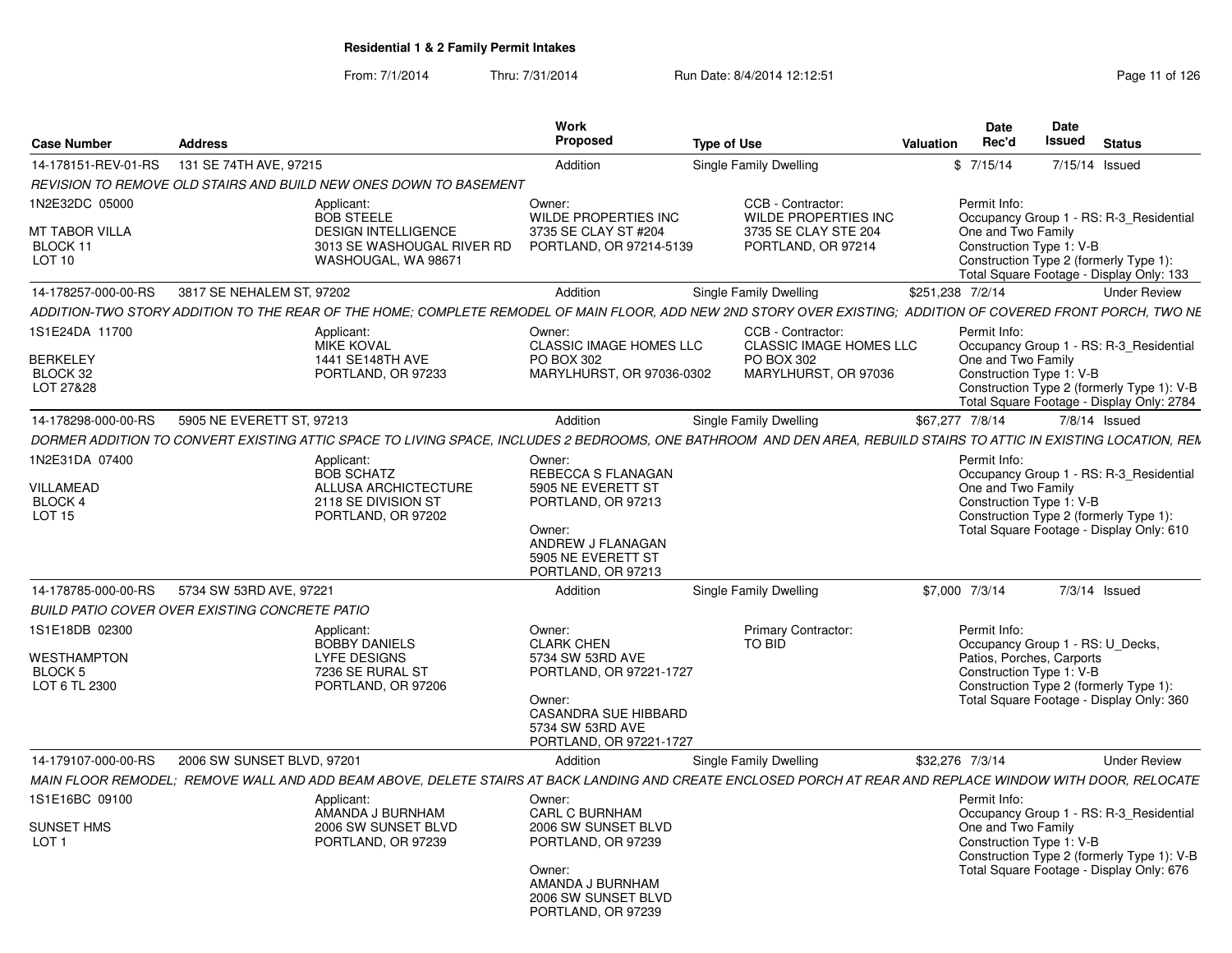| <b>Case Number</b>                             | <b>Address</b>             |                                                                                                                                                                    | <b>Work</b><br><b>Proposed</b>                                                       | <b>Type of Use</b>     |                                                     | Valuation        | <b>Date</b><br>Rec'd                           | Date<br>Issued<br><b>Status</b>                                                        |
|------------------------------------------------|----------------------------|--------------------------------------------------------------------------------------------------------------------------------------------------------------------|--------------------------------------------------------------------------------------|------------------------|-----------------------------------------------------|------------------|------------------------------------------------|----------------------------------------------------------------------------------------|
| 14-178151-REV-01-RS                            | 131 SE 74TH AVE, 97215     |                                                                                                                                                                    | Addition                                                                             | Single Family Dwelling |                                                     |                  | \$7/15/14                                      | 7/15/14 Issued                                                                         |
|                                                |                            | REVISION TO REMOVE OLD STAIRS AND BUILD NEW ONES DOWN TO BASEMENT                                                                                                  |                                                                                      |                        |                                                     |                  |                                                |                                                                                        |
| 1N2E32DC 05000                                 |                            | Applicant:<br><b>BOB STEELE</b>                                                                                                                                    | Owner:<br>WILDE PROPERTIES INC                                                       |                        | CCB - Contractor:<br>WILDE PROPERTIES INC           |                  | Permit Info:                                   | Occupancy Group 1 - RS: R-3_Residential                                                |
| MT TABOR VILLA<br>BLOCK 11<br>LOT 10           |                            | <b>DESIGN INTELLIGENCE</b><br>3013 SE WASHOUGAL RIVER RD<br>WASHOUGAL, WA 98671                                                                                    | 3735 SE CLAY ST #204<br>PORTLAND, OR 97214-5139                                      |                        | 3735 SE CLAY STE 204<br>PORTLAND, OR 97214          |                  | One and Two Family<br>Construction Type 1: V-B | Construction Type 2 (formerly Type 1):<br>Total Square Footage - Display Only: 133     |
| 14-178257-000-00-RS                            | 3817 SE NEHALEM ST. 97202  |                                                                                                                                                                    | Addition                                                                             | Single Family Dwelling |                                                     | \$251.238 7/2/14 |                                                | <b>Under Review</b>                                                                    |
|                                                |                            | ADDITION-TWO STORY ADDITION TO THE REAR OF THE HOME; COMPLETE REMODEL OF MAIN FLOOR, ADD NEW 2ND STORY OVER EXISTING; ADDITION OF COVERED FRONT PORCH, TWO NE      |                                                                                      |                        |                                                     |                  |                                                |                                                                                        |
| 1S1E24DA 11700                                 |                            | Applicant:<br><b>MIKE KOVAL</b>                                                                                                                                    | Owner:<br><b>CLASSIC IMAGE HOMES LLC</b>                                             |                        | CCB - Contractor:<br><b>CLASSIC IMAGE HOMES LLC</b> |                  | Permit Info:                                   | Occupancy Group 1 - RS: R-3_Residential                                                |
| <b>BERKELEY</b>                                |                            | 1441 SE148TH AVE                                                                                                                                                   | PO BOX 302                                                                           | PO BOX 302             |                                                     |                  | One and Two Family                             |                                                                                        |
| BLOCK 32<br>LOT 27&28                          |                            | PORTLAND, OR 97233                                                                                                                                                 | MARYLHURST, OR 97036-0302                                                            |                        | MARYLHURST, OR 97036                                |                  | Construction Type 1: V-B                       | Construction Type 2 (formerly Type 1): V-B                                             |
|                                                |                            |                                                                                                                                                                    |                                                                                      |                        |                                                     |                  |                                                | Total Square Footage - Display Only: 2784                                              |
| 14-178298-000-00-RS                            | 5905 NE EVERETT ST. 97213  |                                                                                                                                                                    | Addition                                                                             | Single Family Dwelling |                                                     | \$67.277 7/8/14  |                                                | $7/8/14$ Issued                                                                        |
|                                                |                            | DORMER ADDITION TO CONVERT EXISTING ATTIC SPACE TO LIVING SPACE, INCLUDES 2 BEDROOMS, ONE BATHROOM AND DEN AREA, REBUILD STAIRS TO ATTIC IN EXISTING LOCATION, REN |                                                                                      |                        |                                                     |                  |                                                |                                                                                        |
| 1N2E31DA 07400                                 |                            | Applicant:                                                                                                                                                         | Owner:                                                                               |                        |                                                     |                  | Permit Info:                                   |                                                                                        |
| VILLAMEAD                                      |                            | <b>BOB SCHATZ</b><br><b>ALLUSA ARCHICTECTURE</b>                                                                                                                   | REBECCA S FLANAGAN<br>5905 NE EVERETT ST                                             |                        |                                                     |                  | One and Two Family                             | Occupancy Group 1 - RS: R-3 Residential                                                |
| BLOCK 4                                        |                            | 2118 SE DIVISION ST                                                                                                                                                | PORTLAND, OR 97213                                                                   |                        |                                                     |                  | Construction Type 1: V-B                       |                                                                                        |
| <b>LOT 15</b>                                  |                            | PORTLAND, OR 97202                                                                                                                                                 |                                                                                      |                        |                                                     |                  |                                                | Construction Type 2 (formerly Type 1):                                                 |
|                                                |                            |                                                                                                                                                                    | Owner:<br>ANDREW J FLANAGAN<br>5905 NE EVERETT ST                                    |                        |                                                     |                  |                                                | Total Square Footage - Display Only: 610                                               |
|                                                |                            |                                                                                                                                                                    | PORTLAND, OR 97213                                                                   |                        |                                                     |                  |                                                |                                                                                        |
| 14-178785-000-00-RS                            | 5734 SW 53RD AVE, 97221    |                                                                                                                                                                    | Addition                                                                             | Single Family Dwelling |                                                     |                  | \$7,000 7/3/14                                 | $7/3/14$ Issued                                                                        |
| BUILD PATIO COVER OVER EXISTING CONCRETE PATIO |                            |                                                                                                                                                                    |                                                                                      |                        |                                                     |                  |                                                |                                                                                        |
| 1S1E18DB 02300                                 |                            | Applicant:                                                                                                                                                         | Owner:                                                                               |                        | <b>Primary Contractor:</b>                          |                  | Permit Info:                                   |                                                                                        |
| WESTHAMPTON                                    |                            | <b>BOBBY DANIELS</b><br><b>LYFE DESIGNS</b>                                                                                                                        | <b>CLARK CHEN</b><br>5734 SW 53RD AVE                                                | TO BID                 |                                                     |                  | Patios, Porches, Carports                      | Occupancy Group 1 - RS: U Decks,                                                       |
| <b>BLOCK 5</b>                                 |                            | 7236 SE RURAL ST                                                                                                                                                   | PORTLAND, OR 97221-1727                                                              |                        |                                                     |                  | Construction Type 1: V-B                       |                                                                                        |
| LOT 6 TL 2300                                  |                            | PORTLAND, OR 97206                                                                                                                                                 |                                                                                      |                        |                                                     |                  |                                                | Construction Type 2 (formerly Type 1):                                                 |
|                                                |                            |                                                                                                                                                                    | Owner:<br><b>CASANDRA SUE HIBBARD</b><br>5734 SW 53RD AVE<br>PORTLAND, OR 97221-1727 |                        |                                                     |                  |                                                | Total Square Footage - Display Only: 360                                               |
| 14-179107-000-00-RS                            | 2006 SW SUNSET BLVD, 97201 |                                                                                                                                                                    | Addition                                                                             | Single Family Dwelling |                                                     |                  | \$32,276 7/3/14                                | <b>Under Review</b>                                                                    |
|                                                |                            | MAIN FLOOR REMODEL: REMOVE WALL AND ADD BEAM ABOVE. DELETE STAIRS AT BACK LANDING AND CREATE ENCLOSED PORCH AT REAR AND REPLACE WINDOW WITH DOOR. RELOCATE         |                                                                                      |                        |                                                     |                  |                                                |                                                                                        |
| 1S1E16BC 09100                                 |                            | Applicant:<br>AMANDA J BURNHAM                                                                                                                                     | Owner:<br>CARL C BURNHAM                                                             |                        |                                                     |                  | Permit Info:                                   |                                                                                        |
| SUNSET HMS                                     |                            | 2006 SW SUNSET BLVD                                                                                                                                                | 2006 SW SUNSET BLVD                                                                  |                        |                                                     |                  | One and Two Family                             | Occupancy Group 1 - RS: R-3_Residential                                                |
| LOT <sub>1</sub>                               |                            | PORTLAND, OR 97239                                                                                                                                                 | PORTLAND, OR 97239                                                                   |                        |                                                     |                  | Construction Type 1: V-B                       |                                                                                        |
|                                                |                            |                                                                                                                                                                    | Owner:<br>AMANDA J BURNHAM<br>2006 SW SUNSET BLVD<br>PORTLAND, OR 97239              |                        |                                                     |                  |                                                | Construction Type 2 (formerly Type 1): V-B<br>Total Square Footage - Display Only: 676 |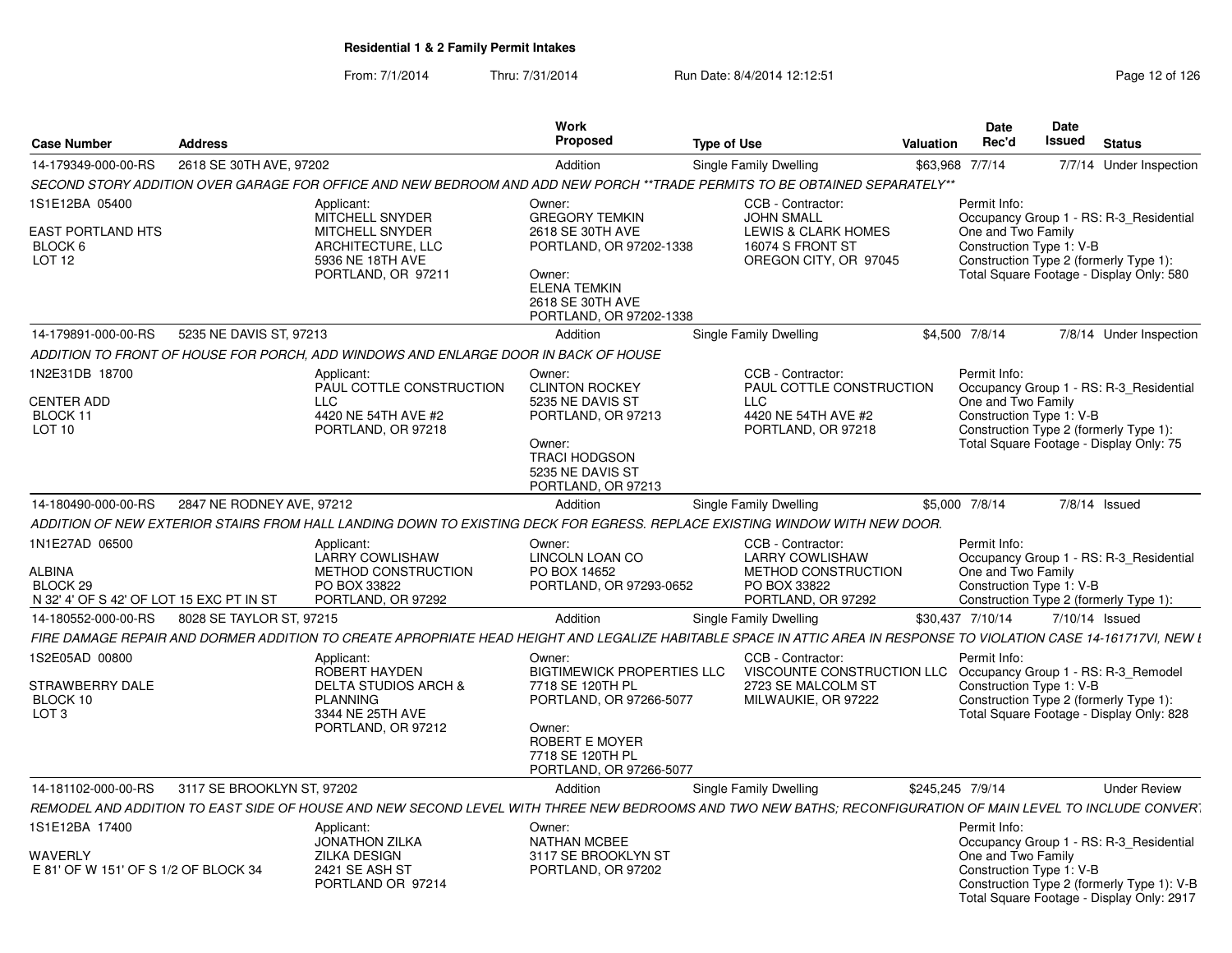| Case Number                                                                                 | <b>Address</b>             |                                                                                                                                                                     | <b>Work</b><br>Proposed                                                                                                                                                      | <b>Type of Use</b>                                                                                                | <b>Valuation</b> | <b>Date</b><br>Rec'd                                           | Date<br>Issued | <b>Status</b>                                                                                                                 |
|---------------------------------------------------------------------------------------------|----------------------------|---------------------------------------------------------------------------------------------------------------------------------------------------------------------|------------------------------------------------------------------------------------------------------------------------------------------------------------------------------|-------------------------------------------------------------------------------------------------------------------|------------------|----------------------------------------------------------------|----------------|-------------------------------------------------------------------------------------------------------------------------------|
| 14-179349-000-00-RS                                                                         | 2618 SE 30TH AVE, 97202    |                                                                                                                                                                     | Addition                                                                                                                                                                     | Single Family Dwelling                                                                                            |                  |                                                                |                |                                                                                                                               |
|                                                                                             |                            | SECOND STORY ADDITION OVER GARAGE FOR OFFICE AND NEW BEDROOM AND ADD NEW PORCH **TRADE PERMITS TO BE OBTAINED SEPARATELY**                                          |                                                                                                                                                                              |                                                                                                                   |                  | \$63,968 7/7/14                                                |                | 7/7/14 Under Inspection                                                                                                       |
| 1S1E12BA 05400<br>EAST PORTLAND HTS<br>BLOCK <sub>6</sub><br>LOT <sub>12</sub>              |                            | Applicant:<br>MITCHELL SNYDER<br><b>MITCHELL SNYDER</b><br>ARCHITECTURE, LLC<br>5936 NE 18TH AVE<br>PORTLAND, OR 97211                                              | Owner:<br><b>GREGORY TEMKIN</b><br>2618 SE 30TH AVE<br>PORTLAND, OR 97202-1338<br>Owner:<br><b>ELENA TEMKIN</b>                                                              | CCB - Contractor:<br><b>JOHN SMALL</b><br>LEWIS & CLARK HOMES<br><b>16074 S FRONT ST</b><br>OREGON CITY, OR 97045 |                  | Permit Info:<br>One and Two Family<br>Construction Type 1: V-B |                | Occupancy Group 1 - RS: R-3_Residential<br>Construction Type 2 (formerly Type 1):<br>Total Square Footage - Display Only: 580 |
|                                                                                             |                            |                                                                                                                                                                     | 2618 SE 30TH AVE<br>PORTLAND, OR 97202-1338                                                                                                                                  |                                                                                                                   |                  |                                                                |                |                                                                                                                               |
| 14-179891-000-00-RS                                                                         | 5235 NE DAVIS ST, 97213    |                                                                                                                                                                     | Addition                                                                                                                                                                     | Single Family Dwelling                                                                                            |                  | \$4,500 7/8/14                                                 |                | 7/8/14 Under Inspection                                                                                                       |
|                                                                                             |                            | ADDITION TO FRONT OF HOUSE FOR PORCH, ADD WINDOWS AND ENLARGE DOOR IN BACK OF HOUSE                                                                                 |                                                                                                                                                                              |                                                                                                                   |                  |                                                                |                |                                                                                                                               |
| 1N2E31DB 18700<br>CENTER ADD<br>BLOCK 11<br>LOT 10                                          |                            | Applicant:<br>PAUL COTTLE CONSTRUCTION<br>LLC.<br>4420 NE 54TH AVE #2<br>PORTLAND, OR 97218                                                                         | Owner:<br><b>CLINTON ROCKEY</b><br>5235 NE DAVIS ST<br>PORTLAND, OR 97213<br>Owner:<br><b>TRACI HODGSON</b><br>5235 NE DAVIS ST<br>PORTLAND, OR 97213                        | CCB - Contractor:<br>PAUL COTTLE CONSTRUCTION<br><b>LLC</b><br>4420 NE 54TH AVE #2<br>PORTLAND, OR 97218          |                  | Permit Info:<br>One and Two Family<br>Construction Type 1: V-B |                | Occupancy Group 1 - RS: R-3 Residential<br>Construction Type 2 (formerly Type 1):<br>Total Square Footage - Display Only: 75  |
| 14-180490-000-00-RS                                                                         | 2847 NE RODNEY AVE, 97212  |                                                                                                                                                                     | Addition                                                                                                                                                                     | Single Family Dwelling                                                                                            |                  | \$5,000 7/8/14                                                 |                | 7/8/14 Issued                                                                                                                 |
|                                                                                             |                            | ADDITION OF NEW EXTERIOR STAIRS FROM HALL LANDING DOWN TO EXISTING DECK FOR EGRESS. REPLACE EXISTING WINDOW WITH NEW DOOR.                                          |                                                                                                                                                                              |                                                                                                                   |                  |                                                                |                |                                                                                                                               |
| 1N1E27AD 06500<br>ALBINA<br>BLOCK <sub>29</sub><br>N 32' 4' OF S 42' OF LOT 15 EXC PT IN ST |                            | Applicant:<br><b>LARRY COWLISHAW</b><br>METHOD CONSTRUCTION<br>PO BOX 33822<br>PORTLAND, OR 97292                                                                   | Owner:<br>LINCOLN LOAN CO<br>PO BOX 14652<br>PORTLAND, OR 97293-0652                                                                                                         | CCB - Contractor:<br><b>LARRY COWLISHAW</b><br>METHOD CONSTRUCTION<br>PO BOX 33822<br>PORTLAND, OR 97292          |                  | Permit Info:<br>One and Two Family<br>Construction Type 1: V-B |                | Occupancy Group 1 - RS: R-3 Residential<br>Construction Type 2 (formerly Type 1):                                             |
| 14-180552-000-00-RS                                                                         | 8028 SE TAYLOR ST, 97215   |                                                                                                                                                                     | Addition                                                                                                                                                                     | Single Family Dwelling                                                                                            |                  | \$30,437 7/10/14                                               |                | 7/10/14 Issued                                                                                                                |
|                                                                                             |                            | FIRE DAMAGE REPAIR AND DORMER ADDITION TO CREATE APROPRIATE HEAD HEIGHT AND LEGALIZE HABITABLE SPACE IN ATTIC AREA IN RESPONSE TO VIOLATION CASE 14-161717VI, NEW L |                                                                                                                                                                              |                                                                                                                   |                  |                                                                |                |                                                                                                                               |
| 1S2E05AD 00800<br>STRAWBERRY DALE<br>BLOCK 10<br>LOT <sub>3</sub>                           |                            | Applicant:<br>ROBERT HAYDEN<br><b>DELTA STUDIOS ARCH &amp;</b><br><b>PLANNING</b><br>3344 NE 25TH AVE<br>PORTLAND, OR 97212                                         | Owner:<br><b>BIGTIMEWICK PROPERTIES LLC</b><br>7718 SE 120TH PL<br>PORTLAND, OR 97266-5077<br>Owner:<br><b>ROBERT E MOYER</b><br>7718 SE 120TH PL<br>PORTLAND, OR 97266-5077 | CCB - Contractor:<br>VISCOUNTE CONSTRUCTION LLC<br>2723 SE MALCOLM ST<br>MILWAUKIE, OR 97222                      |                  | Permit Info:<br>Construction Type 1: V-B                       |                | Occupancy Group 1 - RS: R-3_Remodel<br>Construction Type 2 (formerly Type 1):<br>Total Square Footage - Display Only: 828     |
| 14-181102-000-00-RS                                                                         | 3117 SE BROOKLYN ST, 97202 |                                                                                                                                                                     | Addition                                                                                                                                                                     | Single Family Dwelling                                                                                            |                  | \$245,245 7/9/14                                               |                | <b>Under Review</b>                                                                                                           |
|                                                                                             |                            | REMODEL AND ADDITION TO EAST SIDE OF HOUSE AND NEW SECOND LEVEL WITH THREE NEW BEDROOMS AND TWO NEW BATHS; RECONFIGURATION OF MAIN LEVEL TO INCLUDE CONVER.         |                                                                                                                                                                              |                                                                                                                   |                  |                                                                |                |                                                                                                                               |
| 1S1E12BA 17400                                                                              |                            | Applicant:<br><b>JONATHON ZILKA</b><br><b>ZILKA DESIGN</b>                                                                                                          | Owner:<br><b>NATHAN MCBEE</b><br>3117 SE BROOKLYN ST                                                                                                                         |                                                                                                                   |                  | Permit Info:<br>One and Two Family                             |                | Occupancy Group 1 - RS: R-3_Residential                                                                                       |
| WAVERLY<br>E 81' OF W 151' OF S 1/2 OF BLOCK 34                                             |                            | 2421 SE ASH ST<br>PORTLAND OR 97214                                                                                                                                 | PORTLAND, OR 97202                                                                                                                                                           |                                                                                                                   |                  | Construction Type 1: V-B                                       |                | Construction Type 2 (formerly Type 1): V-B<br>Total Square Footage - Display Only: 2917                                       |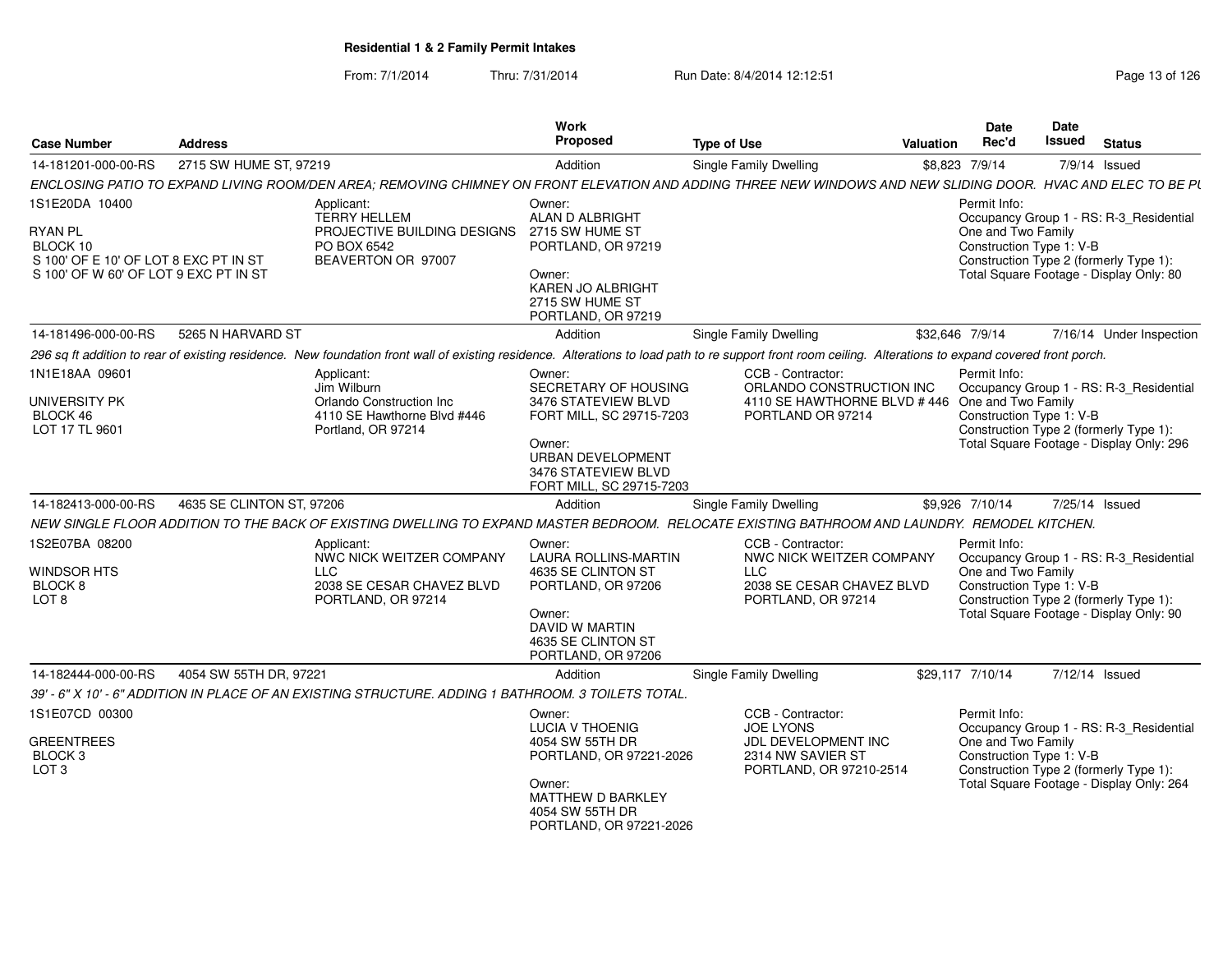| <b>Case Number</b>                                                                                           | <b>Address</b>            |                                                                                                                                                                                                          | Work<br><b>Proposed</b>                                                                                                                                             | <b>Type of Use</b>                                                                                                   | Valuation | <b>Date</b><br>Rec'd                                           | Date<br>Issued | <b>Status</b>                                                                                                                 |
|--------------------------------------------------------------------------------------------------------------|---------------------------|----------------------------------------------------------------------------------------------------------------------------------------------------------------------------------------------------------|---------------------------------------------------------------------------------------------------------------------------------------------------------------------|----------------------------------------------------------------------------------------------------------------------|-----------|----------------------------------------------------------------|----------------|-------------------------------------------------------------------------------------------------------------------------------|
| 14-181201-000-00-RS                                                                                          | 2715 SW HUME ST, 97219    |                                                                                                                                                                                                          | Addition                                                                                                                                                            | Single Family Dwelling                                                                                               |           | \$8,823 7/9/14                                                 |                | 7/9/14 Issued                                                                                                                 |
|                                                                                                              |                           | ENCLOSING PATIO TO EXPAND LIVING ROOM/DEN AREA; REMOVING CHIMNEY ON FRONT ELEVATION AND ADDING THREE NEW WINDOWS AND NEW SLIDING DOOR. HVAC AND ELEC TO BE PL                                            |                                                                                                                                                                     |                                                                                                                      |           |                                                                |                |                                                                                                                               |
| 1S1E20DA 10400                                                                                               |                           | Applicant:<br><b>TERRY HELLEM</b>                                                                                                                                                                        | Owner:<br>ALAN D ALBRIGHT                                                                                                                                           |                                                                                                                      |           | Permit Info:                                                   |                | Occupancy Group 1 - RS: R-3_Residential                                                                                       |
| <b>RYAN PL</b><br>BLOCK 10<br>S 100' OF E 10' OF LOT 8 EXC PT IN ST<br>S 100' OF W 60' OF LOT 9 EXC PT IN ST |                           | PROJECTIVE BUILDING DESIGNS<br>PO BOX 6542<br>BEAVERTON OR 97007                                                                                                                                         | 2715 SW HUME ST<br>PORTLAND, OR 97219<br>Owner:<br>KAREN JO ALBRIGHT<br>2715 SW HUME ST<br>PORTLAND, OR 97219                                                       |                                                                                                                      |           | One and Two Family<br>Construction Type 1: V-B                 |                | Construction Type 2 (formerly Type 1):<br>Total Square Footage - Display Only: 80                                             |
| 14-181496-000-00-RS                                                                                          | 5265 N HARVARD ST         |                                                                                                                                                                                                          | Addition                                                                                                                                                            | Single Family Dwelling                                                                                               |           | \$32,646 7/9/14                                                |                | 7/16/14 Under Inspection                                                                                                      |
|                                                                                                              |                           | 296 sq ft addition to rear of existing residence. New foundation front wall of existing residence. Alterations to load path to re support front room ceiling. Alterations to expand covered front porch. |                                                                                                                                                                     |                                                                                                                      |           |                                                                |                |                                                                                                                               |
| 1N1E18AA 09601<br><b>UNIVERSITY PK</b><br>BLOCK 46<br>LOT 17 TL 9601                                         |                           | Applicant:<br>Jim Wilburn<br>Orlando Construction Inc<br>4110 SE Hawthorne Blvd #446<br>Portland, OR 97214                                                                                               | Owner:<br>SECRETARY OF HOUSING<br>3476 STATEVIEW BLVD<br>FORT MILL, SC 29715-7203<br>Owner:<br>URBAN DEVELOPMENT<br>3476 STATEVIEW BLVD<br>FORT MILL, SC 29715-7203 | CCB - Contractor:<br>ORLANDO CONSTRUCTION INC<br>4110 SE HAWTHORNE BLVD #446 One and Two Family<br>PORTLAND OR 97214 |           | Permit Info:<br>Construction Type 1: V-B                       |                | Occupancy Group 1 - RS: R-3_Residential<br>Construction Type 2 (formerly Type 1):<br>Total Square Footage - Display Only: 296 |
| 14-182413-000-00-RS                                                                                          | 4635 SE CLINTON ST, 97206 |                                                                                                                                                                                                          | Addition                                                                                                                                                            | Single Family Dwelling                                                                                               |           | \$9.926 7/10/14                                                |                | 7/25/14 Issued                                                                                                                |
|                                                                                                              |                           | NEW SINGLE FLOOR ADDITION TO THE BACK OF EXISTING DWELLING TO EXPAND MASTER BEDROOM. RELOCATE EXISTING BATHROOM AND LAUNDRY. REMODEL KITCHEN.                                                            |                                                                                                                                                                     |                                                                                                                      |           |                                                                |                |                                                                                                                               |
| 1S2E07BA 08200<br><b>WINDSOR HTS</b><br>BLOCK 8<br>LOT 8                                                     |                           | Applicant:<br>NWC NICK WEITZER COMPANY<br><b>LLC</b><br>2038 SE CESAR CHAVEZ BLVD<br>PORTLAND, OR 97214                                                                                                  | Owner:<br><b>LAURA ROLLINS-MARTIN</b><br>4635 SE CLINTON ST<br>PORTLAND, OR 97206<br>Owner:<br><b>DAVID W MARTIN</b><br>4635 SE CLINTON ST<br>PORTLAND, OR 97206    | CCB - Contractor:<br>NWC NICK WEITZER COMPANY<br><b>LLC</b><br>2038 SE CESAR CHAVEZ BLVD<br>PORTLAND, OR 97214       |           | Permit Info:<br>One and Two Family<br>Construction Type 1: V-B |                | Occupancy Group 1 - RS: R-3_Residential<br>Construction Type 2 (formerly Type 1):<br>Total Square Footage - Display Only: 90  |
| 14-182444-000-00-RS                                                                                          | 4054 SW 55TH DR, 97221    |                                                                                                                                                                                                          | Addition                                                                                                                                                            | Single Family Dwelling                                                                                               |           | \$29,117 7/10/14                                               |                | 7/12/14 Issued                                                                                                                |
|                                                                                                              |                           | 39' - 6" X 10' - 6" ADDITION IN PLACE OF AN EXISTING STRUCTURE. ADDING 1 BATHROOM. 3 TOILETS TOTAL.                                                                                                      |                                                                                                                                                                     |                                                                                                                      |           |                                                                |                |                                                                                                                               |
| 1S1E07CD 00300<br><b>GREENTREES</b><br>BLOCK <sub>3</sub><br>LOT <sub>3</sub>                                |                           |                                                                                                                                                                                                          | Owner:<br><b>LUCIA V THOENIG</b><br>4054 SW 55TH DR<br>PORTLAND, OR 97221-2026<br>Owner:<br>MATTHEW D BARKLEY                                                       | CCB - Contractor:<br><b>JOE LYONS</b><br>JDL DEVELOPMENT INC<br>2314 NW SAVIER ST<br>PORTLAND, OR 97210-2514         |           | Permit Info:<br>One and Two Family<br>Construction Type 1: V-B |                | Occupancy Group 1 - RS: R-3_Residential<br>Construction Type 2 (formerly Type 1):<br>Total Square Footage - Display Only: 264 |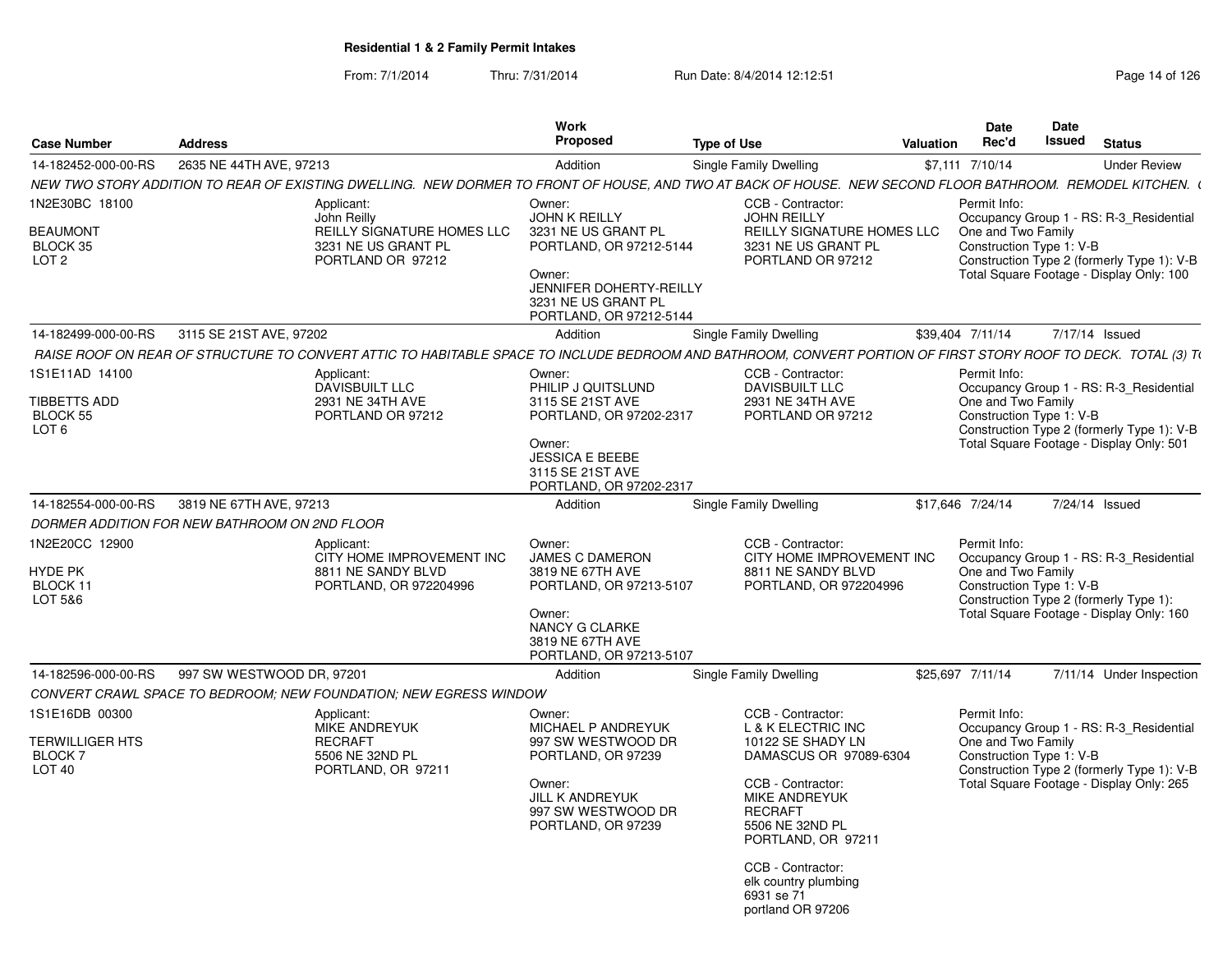|                                               |                           |                                                                                                                                                                | Work                                                                                |                                                                                                      |                  | <b>Date</b>                                    | Date   |                                                                                        |
|-----------------------------------------------|---------------------------|----------------------------------------------------------------------------------------------------------------------------------------------------------------|-------------------------------------------------------------------------------------|------------------------------------------------------------------------------------------------------|------------------|------------------------------------------------|--------|----------------------------------------------------------------------------------------|
| <b>Case Number</b>                            | <b>Address</b>            |                                                                                                                                                                | Proposed                                                                            | <b>Type of Use</b>                                                                                   | <b>Valuation</b> | Rec'd                                          | Issued | <b>Status</b>                                                                          |
| 14-182452-000-00-RS                           | 2635 NE 44TH AVE, 97213   |                                                                                                                                                                | Addition                                                                            | <b>Single Family Dwelling</b>                                                                        |                  | \$7,111 7/10/14                                |        | <b>Under Review</b>                                                                    |
|                                               |                           | NEW TWO STORY ADDITION TO REAR OF EXISTING DWELLING. NEW DORMER TO FRONT OF HOUSE, AND TWO AT BACK OF HOUSE. NEW SECOND FLOOR BATHROOM. REMODEL KITCHEN. (     |                                                                                     |                                                                                                      |                  |                                                |        |                                                                                        |
| 1N2E30BC 18100                                |                           | Applicant:<br>John Reilly                                                                                                                                      | Owner:<br><b>JOHN K REILLY</b>                                                      | CCB - Contractor:<br><b>JOHN REILLY</b>                                                              |                  | Permit Info:                                   |        | Occupancy Group 1 - RS: R-3_Residential                                                |
| <b>BEAUMONT</b><br>BLOCK 35                   |                           | REILLY SIGNATURE HOMES LLC<br>3231 NE US GRANT PL                                                                                                              | 3231 NE US GRANT PL<br>PORTLAND, OR 97212-5144                                      | REILLY SIGNATURE HOMES LLC<br>3231 NE US GRANT PL                                                    |                  | One and Two Family<br>Construction Type 1: V-B |        |                                                                                        |
| LOT <sub>2</sub>                              |                           | PORTLAND OR 97212                                                                                                                                              | Owner:<br>JENNIFER DOHERTY-REILLY<br>3231 NE US GRANT PL<br>PORTLAND, OR 97212-5144 | PORTLAND OR 97212                                                                                    |                  |                                                |        | Construction Type 2 (formerly Type 1): V-B<br>Total Square Footage - Display Only: 100 |
| 14-182499-000-00-RS                           | 3115 SE 21ST AVE, 97202   |                                                                                                                                                                | Addition                                                                            | Single Family Dwelling                                                                               |                  | \$39,404 7/11/14                               |        | 7/17/14 Issued                                                                         |
|                                               |                           | RAISE ROOF ON REAR OF STRUCTURE TO CONVERT ATTIC TO HABITABLE SPACE TO INCLUDE BEDROOM AND BATHROOM. CONVERT PORTION OF FIRST STORY ROOF TO DECK. TOTAL (3) T( |                                                                                     |                                                                                                      |                  |                                                |        |                                                                                        |
| 1S1E11AD 14100                                |                           | Applicant:                                                                                                                                                     | Owner:                                                                              | CCB - Contractor:                                                                                    |                  | Permit Info:                                   |        |                                                                                        |
|                                               |                           | <b>DAVISBUILT LLC</b>                                                                                                                                          | PHILIP J QUITSLUND                                                                  | DAVISBUILT LLC                                                                                       |                  |                                                |        | Occupancy Group 1 - RS: R-3 Residential                                                |
| TIBBETTS ADD<br>BLOCK 55                      |                           | 2931 NE 34TH AVE<br>PORTLAND OR 97212                                                                                                                          | 3115 SE 21ST AVE<br>PORTLAND, OR 97202-2317                                         | 2931 NE 34TH AVE<br>PORTLAND OR 97212                                                                |                  | One and Two Family<br>Construction Type 1: V-B |        |                                                                                        |
| LOT <sub>6</sub>                              |                           |                                                                                                                                                                |                                                                                     |                                                                                                      |                  |                                                |        | Construction Type 2 (formerly Type 1): V-B                                             |
|                                               |                           |                                                                                                                                                                | Owner:<br><b>JESSICA E BEEBE</b><br>3115 SE 21ST AVE<br>PORTLAND, OR 97202-2317     |                                                                                                      |                  |                                                |        | Total Square Footage - Display Only: 501                                               |
| 14-182554-000-00-RS                           | 3819 NE 67TH AVE, 97213   |                                                                                                                                                                | Addition                                                                            | Single Family Dwelling                                                                               |                  | \$17,646 7/24/14                               |        | 7/24/14 Issued                                                                         |
| DORMER ADDITION FOR NEW BATHROOM ON 2ND FLOOR |                           |                                                                                                                                                                |                                                                                     |                                                                                                      |                  |                                                |        |                                                                                        |
| 1N2E20CC 12900                                |                           | Applicant:                                                                                                                                                     | Owner:                                                                              | CCB - Contractor:                                                                                    |                  | Permit Info:                                   |        |                                                                                        |
| HYDE PK<br>BLOCK 11                           |                           | CITY HOME IMPROVEMENT INC<br>8811 NE SANDY BLVD<br>PORTLAND, OR 972204996                                                                                      | <b>JAMES C DAMERON</b><br>3819 NE 67TH AVE<br>PORTLAND, OR 97213-5107               | CITY HOME IMPROVEMENT INC<br>8811 NE SANDY BLVD<br>PORTLAND, OR 972204996                            |                  | One and Two Family<br>Construction Type 1: V-B |        | Occupancy Group 1 - RS: R-3 Residential                                                |
| LOT 5&6                                       |                           |                                                                                                                                                                | Owner:<br>NANCY G CLARKE<br>3819 NE 67TH AVE<br>PORTLAND, OR 97213-5107             |                                                                                                      |                  |                                                |        | Construction Type 2 (formerly Type 1):<br>Total Square Footage - Display Only: 160     |
| 14-182596-000-00-RS                           | 997 SW WESTWOOD DR, 97201 |                                                                                                                                                                | Addition                                                                            | Single Family Dwelling                                                                               |                  | \$25.697 7/11/14                               |        | 7/11/14 Under Inspection                                                               |
|                                               |                           | CONVERT CRAWL SPACE TO BEDROOM: NEW FOUNDATION: NEW EGRESS WINDOW                                                                                              |                                                                                     |                                                                                                      |                  |                                                |        |                                                                                        |
| 1S1E16DB 00300                                |                           | Applicant:<br><b>MIKE ANDREYUK</b>                                                                                                                             | Owner:<br>MICHAEL P ANDREYUK                                                        | CCB - Contractor:<br>L & K ELECTRIC INC                                                              |                  | Permit Info:                                   |        | Occupancy Group 1 - RS: R-3 Residential                                                |
| <b>TERWILLIGER HTS</b>                        |                           | <b>RECRAFT</b>                                                                                                                                                 | 997 SW WESTWOOD DR                                                                  | 10122 SE SHADY LN                                                                                    |                  | One and Two Family                             |        |                                                                                        |
| <b>BLOCK7</b><br>LOT <sub>40</sub>            |                           | 5506 NE 32ND PL<br>PORTLAND, OR 97211                                                                                                                          | PORTLAND, OR 97239                                                                  | DAMASCUS OR 97089-6304                                                                               |                  | Construction Type 1: V-B                       |        | Construction Type 2 (formerly Type 1): V-B                                             |
|                                               |                           |                                                                                                                                                                | Owner:<br><b>JILL K ANDREYUK</b><br>997 SW WESTWOOD DR<br>PORTLAND, OR 97239        | CCB - Contractor:<br><b>MIKE ANDREYUK</b><br><b>RECRAFT</b><br>5506 NE 32ND PL<br>PORTLAND, OR 97211 |                  |                                                |        | Total Square Footage - Display Only: 265                                               |
|                                               |                           |                                                                                                                                                                |                                                                                     | CCB - Contractor:<br>elk country plumbing<br>6931 se 71<br>portland OR 97206                         |                  |                                                |        |                                                                                        |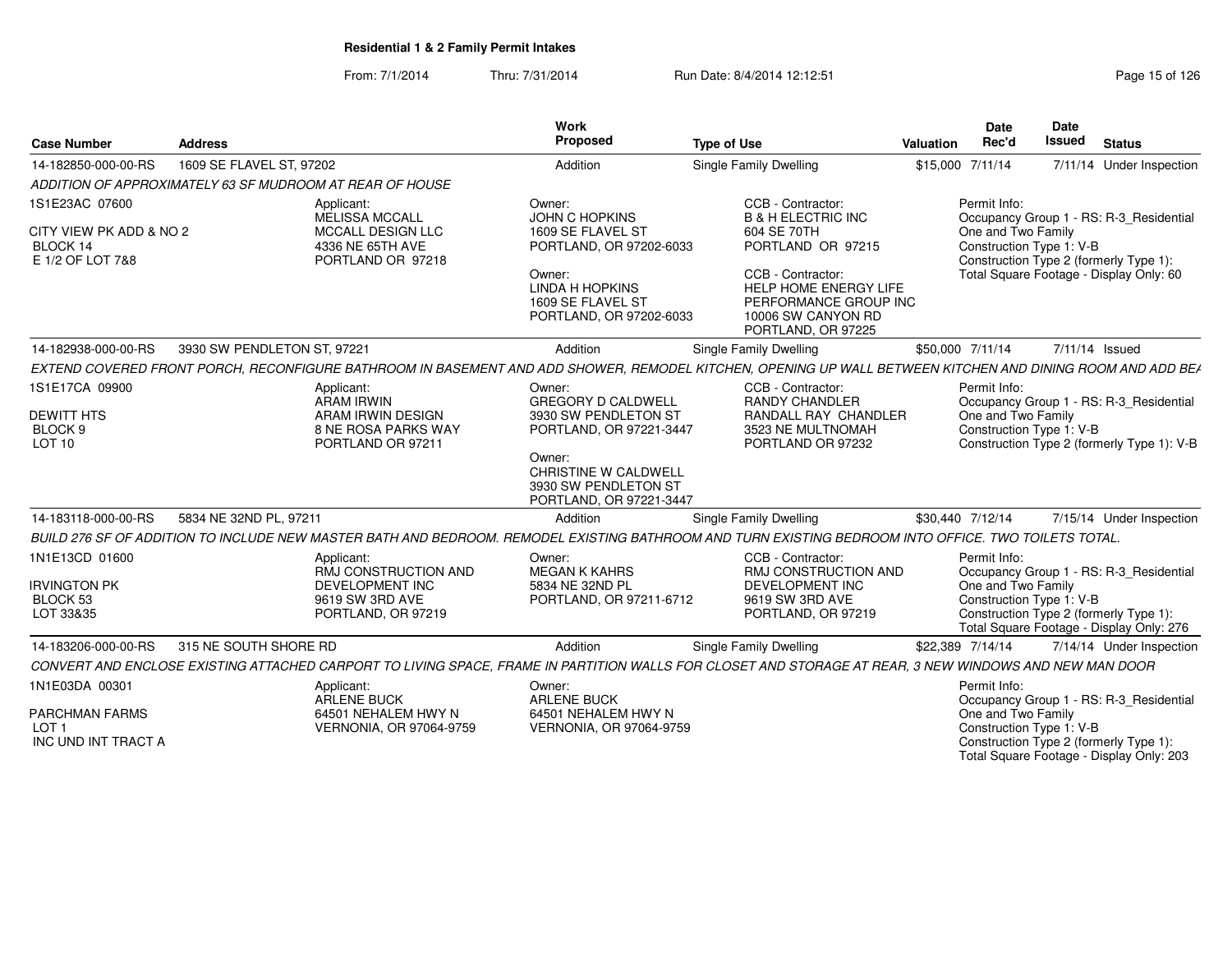| <b>Case Number</b>                                           | <b>Address</b>              |                                                                      | <b>Work</b><br>Proposed                                                           | <b>Type of Use</b>                                                                                                                                        | Valuation | <b>Date</b><br>Rec'd                           | Date<br><b>Issued</b> | <b>Status</b>                                                                      |
|--------------------------------------------------------------|-----------------------------|----------------------------------------------------------------------|-----------------------------------------------------------------------------------|-----------------------------------------------------------------------------------------------------------------------------------------------------------|-----------|------------------------------------------------|-----------------------|------------------------------------------------------------------------------------|
| 14-182850-000-00-RS                                          | 1609 SE FLAVEL ST, 97202    |                                                                      | Addition                                                                          | <b>Single Family Dwelling</b>                                                                                                                             |           | \$15,000 7/11/14                               |                       | 7/11/14 Under Inspection                                                           |
| ADDITION OF APPROXIMATELY 63 SF MUDROOM AT REAR OF HOUSE     |                             |                                                                      |                                                                                   |                                                                                                                                                           |           |                                                |                       |                                                                                    |
| 1S1E23AC 07600                                               |                             | Applicant:<br><b>MELISSA MCCALL</b>                                  | Owner:<br><b>JOHN C HOPKINS</b>                                                   | CCB - Contractor:<br><b>B &amp; H ELECTRIC INC</b>                                                                                                        |           | Permit Info:                                   |                       | Occupancy Group 1 - RS: R-3_Residential                                            |
| CITY VIEW PK ADD & NO 2<br>BLOCK 14<br>E 1/2 OF LOT 7&8      |                             | MCCALL DESIGN LLC<br>4336 NE 65TH AVE<br>PORTLAND OR 97218           | 1609 SE FLAVEL ST<br>PORTLAND, OR 97202-6033                                      | 604 SE 70TH<br>PORTLAND OR 97215                                                                                                                          |           | One and Two Family<br>Construction Type 1: V-B |                       | Construction Type 2 (formerly Type 1):                                             |
|                                                              |                             |                                                                      | Owner:<br><b>LINDA H HOPKINS</b><br>1609 SE FLAVEL ST<br>PORTLAND, OR 97202-6033  | CCB - Contractor:<br><b>HELP HOME ENERGY LIFE</b><br>PERFORMANCE GROUP INC<br>10006 SW CANYON RD<br>PORTLAND, OR 97225                                    |           |                                                |                       | Total Square Footage - Display Only: 60                                            |
| 14-182938-000-00-RS                                          | 3930 SW PENDLETON ST, 97221 |                                                                      | Addition                                                                          | <b>Single Family Dwelling</b>                                                                                                                             |           | \$50,000 7/11/14                               |                       | 7/11/14 Issued                                                                     |
|                                                              |                             |                                                                      |                                                                                   | EXTEND COVERED FRONT PORCH, RECONFIGURE BATHROOM IN BASEMENT AND ADD SHOWER, REMODEL KITCHEN, OPENING UP WALL BETWEEN KITCHEN AND DINING ROOM AND ADD BEA |           |                                                |                       |                                                                                    |
| 1S1E17CA 09900                                               |                             | Applicant:<br><b>ARAM IRWIN</b>                                      | Owner:<br><b>GREGORY D CALDWELL</b>                                               | CCB - Contractor:<br><b>RANDY CHANDLER</b>                                                                                                                |           | Permit Info:                                   |                       | Occupancy Group 1 - RS: R-3_Residential                                            |
| <b>DEWITT HTS</b><br>BLOCK <sub>9</sub><br>LOT <sub>10</sub> |                             | ARAM IRWIN DESIGN<br><b>8 NE ROSA PARKS WAY</b><br>PORTLAND OR 97211 | 3930 SW PENDLETON ST<br>PORTLAND, OR 97221-3447                                   | RANDALL RAY CHANDLER<br>3523 NE MULTNOMAH<br>PORTLAND OR 97232                                                                                            |           | One and Two Family<br>Construction Type 1: V-B |                       | Construction Type 2 (formerly Type 1): V-B                                         |
|                                                              |                             |                                                                      | Owner:<br>CHRISTINE W CALDWELL<br>3930 SW PENDLETON ST<br>PORTLAND, OR 97221-3447 |                                                                                                                                                           |           |                                                |                       |                                                                                    |
| 14-183118-000-00-RS                                          | 5834 NE 32ND PL, 97211      |                                                                      | Addition                                                                          | Single Family Dwelling                                                                                                                                    |           | \$30,440 7/12/14                               |                       | 7/15/14 Under Inspection                                                           |
|                                                              |                             |                                                                      |                                                                                   | BUILD 276 SF OF ADDITION TO INCLUDE NEW MASTER BATH AND BEDROOM. REMODEL EXISTING BATHROOM AND TURN EXISTING BEDROOM INTO OFFICE. TWO TOILETS TOTAL.      |           |                                                |                       |                                                                                    |
| 1N1E13CD 01600                                               |                             | Applicant:<br><b>RMJ CONSTRUCTION AND</b>                            | Owner:<br><b>MEGAN K KAHRS</b>                                                    | CCB - Contractor:<br>RMJ CONSTRUCTION AND                                                                                                                 |           | Permit Info:                                   |                       | Occupancy Group 1 - RS: R-3_Residential                                            |
| <b>IRVINGTON PK</b><br>BLOCK 53<br>LOT 33&35                 |                             | DEVELOPMENT INC<br>9619 SW 3RD AVE<br>PORTLAND, OR 97219             | 5834 NE 32ND PL<br>PORTLAND, OR 97211-6712                                        | DEVELOPMENT INC<br>9619 SW 3RD AVE<br>PORTLAND, OR 97219                                                                                                  |           | One and Two Family<br>Construction Type 1: V-B |                       | Construction Type 2 (formerly Type 1):<br>Total Square Footage - Display Only: 276 |
| 14-183206-000-00-RS                                          | 315 NE SOUTH SHORE RD       |                                                                      | Addition                                                                          | <b>Single Family Dwelling</b>                                                                                                                             |           | \$22,389 7/14/14                               |                       | 7/14/14 Under Inspection                                                           |
|                                                              |                             |                                                                      |                                                                                   | CONVERT AND ENCLOSE EXISTING ATTACHED CARPORT TO LIVING SPACE, FRAME IN PARTITION WALLS FOR CLOSET AND STORAGE AT REAR, 3 NEW WINDOWS AND NEW MAN DOOR    |           |                                                |                       |                                                                                    |
| 1N1E03DA 00301                                               |                             | Applicant:<br>ARLENE BUCK                                            | Owner:<br><b>ARLENE BUCK</b>                                                      |                                                                                                                                                           |           | Permit Info:                                   |                       | Occupancy Group 1 - RS: R-3_Residential                                            |
| PARCHMAN FARMS<br>LOT 1<br>INC UND INT TRACT A               |                             | 64501 NEHALEM HWY N<br>VERNONIA, OR 97064-9759                       | 64501 NEHALEM HWY N<br>VERNONIA, OR 97064-9759                                    |                                                                                                                                                           |           | One and Two Family<br>Construction Type 1: V-B |                       | Construction Type 2 (formerly Type 1):                                             |
|                                                              |                             |                                                                      |                                                                                   |                                                                                                                                                           |           |                                                |                       | Total Square Footage - Display Only: 203                                           |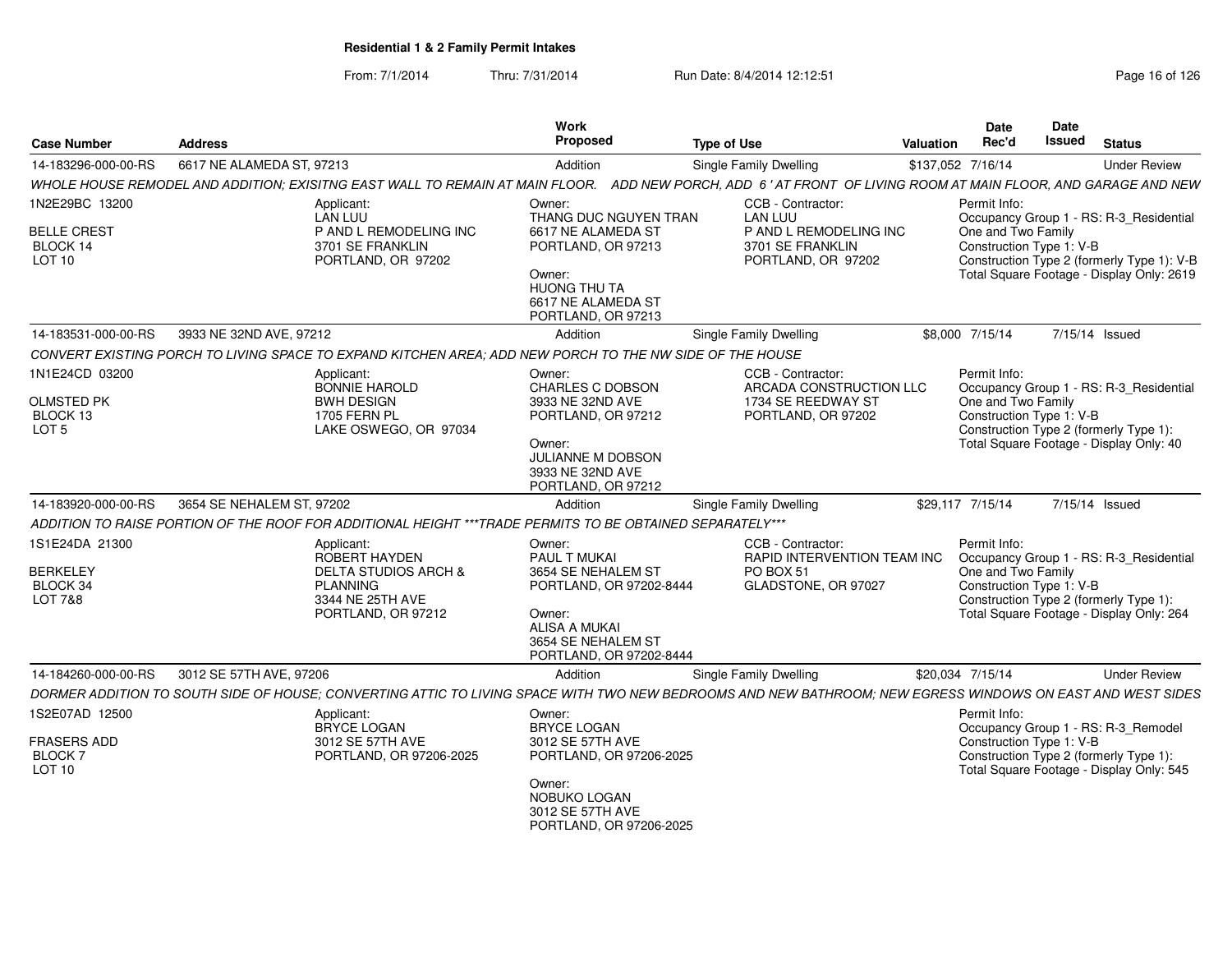| <b>Case Number</b>                                                  | <b>Address</b>                                                                                                                                             | Work<br>Proposed                                                                                                                                           | <b>Type of Use</b>                                                                       | <b>Date</b><br>Rec'd<br>Valuation  | <b>Date</b><br>Issued    | <b>Status</b>                                                                                                                 |
|---------------------------------------------------------------------|------------------------------------------------------------------------------------------------------------------------------------------------------------|------------------------------------------------------------------------------------------------------------------------------------------------------------|------------------------------------------------------------------------------------------|------------------------------------|--------------------------|-------------------------------------------------------------------------------------------------------------------------------|
| 14-183296-000-00-RS                                                 | 6617 NE ALAMEDA ST, 97213                                                                                                                                  | Addition                                                                                                                                                   | <b>Single Family Dwelling</b>                                                            | \$137,052 7/16/14                  |                          | <b>Under Review</b>                                                                                                           |
|                                                                     | WHOLE HOUSE REMODEL AND ADDITION; EXISITNG EAST WALL TO REMAIN AT MAIN FLOOR.                                                                              |                                                                                                                                                            | ADD NEW PORCH, ADD 6' AT FRONT OF LIVING ROOM AT MAIN FLOOR, AND GARAGE AND NEW          |                                    |                          |                                                                                                                               |
| 1N2E29BC 13200                                                      | Applicant:<br>LÀN LUU                                                                                                                                      | Owner:<br>THANG DUC NGUYEN TRAN                                                                                                                            | CCB - Contractor:<br><b>LAN LUU</b>                                                      | Permit Info:                       |                          | Occupancy Group 1 - RS: R-3_Residential                                                                                       |
| <b>BELLE CREST</b><br>BLOCK 14<br><b>LOT 10</b>                     | P AND L REMODELING INC<br>3701 SE FRANKLIN<br>PORTLAND, OR 97202                                                                                           | 6617 NE ALAMEDA ST<br>PORTLAND, OR 97213<br>Owner:<br>HUONG THU TA                                                                                         | P AND L REMODELING INC<br>3701 SE FRANKLIN<br>PORTLAND, OR 97202                         | One and Two Family                 | Construction Type 1: V-B | Construction Type 2 (formerly Type 1): V-B<br>Total Square Footage - Display Only: 2619                                       |
|                                                                     |                                                                                                                                                            | 6617 NE ALAMEDA ST<br>PORTLAND, OR 97213                                                                                                                   |                                                                                          |                                    |                          |                                                                                                                               |
|                                                                     | 14-183531-000-00-RS 3933 NE 32ND AVE, 97212                                                                                                                | Addition                                                                                                                                                   | <b>Single Family Dwelling</b>                                                            | \$8,000 7/15/14                    |                          | 7/15/14 Issued                                                                                                                |
|                                                                     | CONVERT EXISTING PORCH TO LIVING SPACE TO EXPAND KITCHEN AREA; ADD NEW PORCH TO THE NW SIDE OF THE HOUSE                                                   |                                                                                                                                                            |                                                                                          |                                    |                          |                                                                                                                               |
| 1N1E24CD 03200<br><b>OLMSTED PK</b><br>BLOCK 13<br>LOT <sub>5</sub> | Applicant:<br>BONNIE HAROLD<br><b>BWH DESIGN</b><br>1705 FERN PL<br>LAKE OSWEGO, OR 97034                                                                  | Owner:<br>CHARLES C DOBSON<br>3933 NE 32ND AVE<br>PORTLAND, OR 97212<br>Owner:<br><b>JULIANNE M DOBSON</b><br>3933 NE 32ND AVE                             | CCB - Contractor:<br>ARCADA CONSTRUCTION LLC<br>1734 SE REEDWAY ST<br>PORTLAND, OR 97202 | Permit Info:<br>One and Two Family | Construction Type 1: V-B | Occupancy Group 1 - RS: R-3_Residential<br>Construction Type 2 (formerly Type 1):<br>Total Square Footage - Display Only: 40  |
|                                                                     |                                                                                                                                                            | PORTLAND, OR 97212                                                                                                                                         |                                                                                          |                                    |                          |                                                                                                                               |
| 14-183920-000-00-RS                                                 | 3654 SE NEHALEM ST. 97202                                                                                                                                  | Addition                                                                                                                                                   | Single Family Dwelling                                                                   | \$29.117 7/15/14                   |                          | 7/15/14 Issued                                                                                                                |
|                                                                     | ADDITION TO RAISE PORTION OF THE ROOF FOR ADDITIONAL HEIGHT *** TRADE PERMITS TO BE OBTAINED SEPARATELY***                                                 |                                                                                                                                                            |                                                                                          |                                    |                          |                                                                                                                               |
| 1S1E24DA 21300<br><b>BERKELEY</b><br>BLOCK 34<br>LOT 7&8            | Applicant:<br>ROBERT HAYDEN<br><b>DELTA STUDIOS ARCH &amp;</b><br>PLANNING<br>3344 NE 25TH AVE<br>PORTLAND, OR 97212                                       | Owner:<br>PAUL T MUKAI<br>3654 SE NEHALEM ST<br>PORTLAND, OR 97202-8444<br>Owner:<br><b>ALISA A MUKAI</b><br>3654 SE NEHALEM ST<br>PORTLAND, OR 97202-8444 | CCB - Contractor:<br>RAPID INTERVENTION TEAM INC<br>PO BOX 51<br>GLADSTONE, OR 97027     | Permit Info:<br>One and Two Family | Construction Type 1: V-B | Occupancy Group 1 - RS: R-3_Residential<br>Construction Type 2 (formerly Type 1):<br>Total Square Footage - Display Only: 264 |
| 14-184260-000-00-RS                                                 | 3012 SE 57TH AVE, 97206                                                                                                                                    | Addition                                                                                                                                                   | <b>Single Family Dwelling</b>                                                            | \$20,034 7/15/14                   |                          | <b>Under Review</b>                                                                                                           |
|                                                                     | DORMER ADDITION TO SOUTH SIDE OF HOUSE; CONVERTING ATTIC TO LIVING SPACE WITH TWO NEW BEDROOMS AND NEW BATHROOM; NEW EGRESS WINDOWS ON EAST AND WEST SIDES |                                                                                                                                                            |                                                                                          |                                    |                          |                                                                                                                               |
| 1S2E07AD 12500<br><b>FRASERS ADD</b><br><b>BLOCK7</b>               | Applicant:<br>BRYCE LOGAN<br>3012 SE 57TH AVE<br>PORTLAND, OR 97206-2025                                                                                   | Owner:<br>BRYCE LOGAN<br>3012 SE 57TH AVE<br>PORTLAND, OR 97206-2025                                                                                       |                                                                                          | Permit Info:                       | Construction Type 1: V-B | Occupancy Group 1 - RS: R-3_Remodel<br>Construction Type 2 (formerly Type 1):                                                 |
| <b>LOT 10</b>                                                       |                                                                                                                                                            | Owner:<br>NOBUKO LOGAN<br>3012 SE 57TH AVE<br>PORTLAND, OR 97206-2025                                                                                      |                                                                                          |                                    |                          | Total Square Footage - Display Only: 545                                                                                      |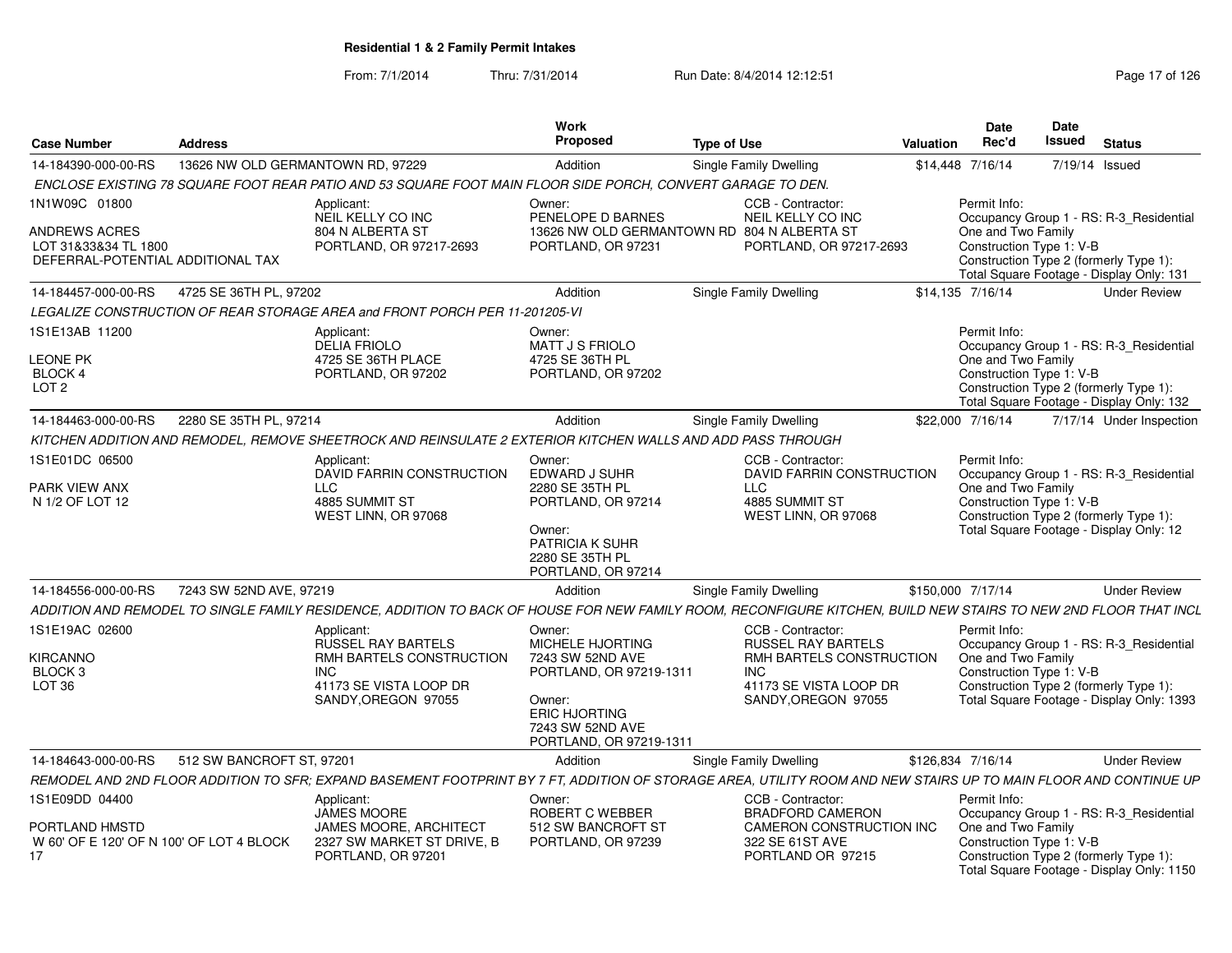| <b>Case Number</b>                                                                | <b>Address</b>                                                                                                                                                   | Work<br>Propose                                                                                 | <b>Type of Use</b>                                                     | Date<br>Rec'd<br>Valuation                     | <b>Date</b><br><b>Issued</b><br><b>Status</b>                                       |
|-----------------------------------------------------------------------------------|------------------------------------------------------------------------------------------------------------------------------------------------------------------|-------------------------------------------------------------------------------------------------|------------------------------------------------------------------------|------------------------------------------------|-------------------------------------------------------------------------------------|
| 14-184390-000-00-RS                                                               | 13626 NW OLD GERMANTOWN RD, 97229                                                                                                                                | Addition                                                                                        | Single Family Dwelling                                                 | \$14,448 7/16/14                               | 7/19/14 Issued                                                                      |
|                                                                                   | ENCLOSE EXISTING 78 SQUARE FOOT REAR PATIO AND 53 SQUARE FOOT MAIN FLOOR SIDE PORCH, CONVERT GARAGE TO DEN.                                                      |                                                                                                 |                                                                        |                                                |                                                                                     |
| 1N1W09C 01800                                                                     | Applicant:<br>NEIL KELLY CO INC                                                                                                                                  | Owner:<br>PENELOPE D BARNES                                                                     | CCB - Contractor:<br>NEIL KELLY CO INC                                 | Permit Info:                                   | Occupancy Group 1 - RS: R-3_Residential                                             |
| <b>ANDREWS ACRES</b><br>LOT 31&33&34 TL 1800<br>DEFERRAL-POTENTIAL ADDITIONAL TAX | 804 N ALBERTA ST<br>PORTLAND, OR 97217-2693                                                                                                                      | PORTLAND, OR 97231                                                                              | 13626 NW OLD GERMANTOWN RD 804 N ALBERTA ST<br>PORTLAND, OR 97217-2693 | One and Two Family<br>Construction Type 1: V-B | Construction Type 2 (formerly Type 1):<br>Total Square Footage - Display Only: 131  |
| 14-184457-000-00-RS 4725 SE 36TH PL, 97202                                        |                                                                                                                                                                  | Addition                                                                                        | Single Family Dwelling                                                 | \$14,135 7/16/14                               | <b>Under Review</b>                                                                 |
|                                                                                   | LEGALIZE CONSTRUCTION OF REAR STORAGE AREA and FRONT PORCH PER 11-201205-VI                                                                                      |                                                                                                 |                                                                        |                                                |                                                                                     |
| 1S1E13AB 11200                                                                    | Applicant:<br>DELIA FRIOLO                                                                                                                                       | Owner:<br>MATT J S FRIOLO                                                                       |                                                                        | Permit Info:                                   | Occupancy Group 1 - RS: R-3_Residential                                             |
| <b>LEONE PK</b><br>BLOCK 4                                                        | 4725 SE 36TH PLACE<br>PORTLAND, OR 97202                                                                                                                         | 4725 SE 36TH PL<br>PORTLAND, OR 97202                                                           |                                                                        | One and Two Family<br>Construction Type 1: V-B |                                                                                     |
| LOT <sub>2</sub>                                                                  |                                                                                                                                                                  |                                                                                                 |                                                                        |                                                | Construction Type 2 (formerly Type 1):<br>Total Square Footage - Display Only: 132  |
| 14-184463-000-00-RS                                                               | 2280 SE 35TH PL, 97214                                                                                                                                           | Addition                                                                                        | Single Family Dwelling                                                 | \$22,000 7/16/14                               | 7/17/14 Under Inspection                                                            |
|                                                                                   | KITCHEN ADDITION AND REMODEL. REMOVE SHEETROCK AND REINSULATE 2 EXTERIOR KITCHEN WALLS AND ADD PASS THROUGH                                                      |                                                                                                 |                                                                        |                                                |                                                                                     |
| 1S1E01DC 06500<br>PARK VIEW ANX                                                   | Applicant:<br>DAVID FARRIN CONSTRUCTION<br>LLC                                                                                                                   | Owner:<br><b>EDWARD J SUHR</b><br>2280 SE 35TH PL                                               | CCB - Contractor:<br>DAVID FARRIN CONSTRUCTION<br><b>LLC</b>           | Permit Info:<br>One and Two Family             | Occupancy Group 1 - RS: R-3 Residential                                             |
| N 1/2 OF LOT 12                                                                   | 4885 SUMMIT ST<br>WEST LINN, OR 97068                                                                                                                            | PORTLAND, OR 97214<br>Owner:<br><b>PATRICIA K SUHR</b><br>2280 SE 35TH PL<br>PORTLAND, OR 97214 | 4885 SUMMIT ST<br>WEST LINN, OR 97068                                  | Construction Type 1: V-B                       | Construction Type 2 (formerly Type 1):<br>Total Square Footage - Display Only: 12   |
| 14-184556-000-00-RS                                                               | 7243 SW 52ND AVE. 97219                                                                                                                                          | Addition                                                                                        | Single Family Dwelling                                                 | \$150,000 7/17/14                              | <b>Under Review</b>                                                                 |
|                                                                                   | ADDITION AND REMODEL TO SINGLE FAMILY RESIDENCE, ADDITION TO BACK OF HOUSE FOR NEW FAMILY ROOM, RECONFIGURE KITCHEN, BUILD NEW STAIRS TO NEW 2ND FLOOR THAT INCL |                                                                                                 |                                                                        |                                                |                                                                                     |
| 1S1E19AC 02600                                                                    | Applicant:<br><b>RUSSEL RAY BARTELS</b>                                                                                                                          | Owner:<br>MICHELE HJORTING                                                                      | CCB - Contractor:<br><b>RUSSEL RAY BARTELS</b>                         | Permit Info:                                   | Occupancy Group 1 - RS: R-3_Residential                                             |
| <b>KIRCANNO</b><br>BLOCK <sub>3</sub>                                             | RMH BARTELS CONSTRUCTION<br><b>INC</b>                                                                                                                           | 7243 SW 52ND AVE<br>PORTLAND, OR 97219-1311                                                     | RMH BARTELS CONSTRUCTION<br><b>INC</b>                                 | One and Two Family<br>Construction Type 1: V-B |                                                                                     |
| LOT 36                                                                            | 41173 SE VISTA LOOP DR<br>SANDY, OREGON 97055                                                                                                                    | Owner:<br><b>ERIC HJORTING</b><br>7243 SW 52ND AVE<br>PORTLAND, OR 97219-1311                   | 41173 SE VISTA LOOP DR<br>SANDY, OREGON 97055                          |                                                | Construction Type 2 (formerly Type 1):<br>Total Square Footage - Display Only: 1393 |
| 14-184643-000-00-RS                                                               | 512 SW BANCROFT ST, 97201                                                                                                                                        | Addition                                                                                        | Single Family Dwelling                                                 | \$126.834 7/16/14                              | <b>Under Review</b>                                                                 |
|                                                                                   | REMODEL AND 2ND FLOOR ADDITION TO SFR; EXPAND BASEMENT FOOTPRINT BY 7 FT, ADDITION OF STORAGE AREA, UTILITY ROOM AND NEW STAIRS UP TO MAIN FLOOR AND CONTINUE UP |                                                                                                 |                                                                        |                                                |                                                                                     |
| 1S1E09DD 04400                                                                    | Applicant:<br><b>JAMES MOORE</b>                                                                                                                                 | Owner:<br>ROBERT C WEBBER                                                                       | CCB - Contractor:<br><b>BRADFORD CAMERON</b>                           | Permit Info:                                   | Occupancy Group 1 - RS: R-3_Residential                                             |
| PORTLAND HMSTD<br>W 60' OF E 120' OF N 100' OF LOT 4 BLOCK                        | <b>JAMES MOORE, ARCHITECT</b><br>2327 SW MARKET ST DRIVE, B<br>PORTLAND, OR 97201                                                                                | 512 SW BANCROFT ST<br>PORTLAND, OR 97239                                                        | CAMERON CONSTRUCTION INC<br>322 SE 61ST AVE<br>PORTLAND OR 97215       | One and Two Family<br>Construction Type 1: V-B | Construction Type 2 (formerly Type 1):<br>Total Square Footage - Display Only: 1150 |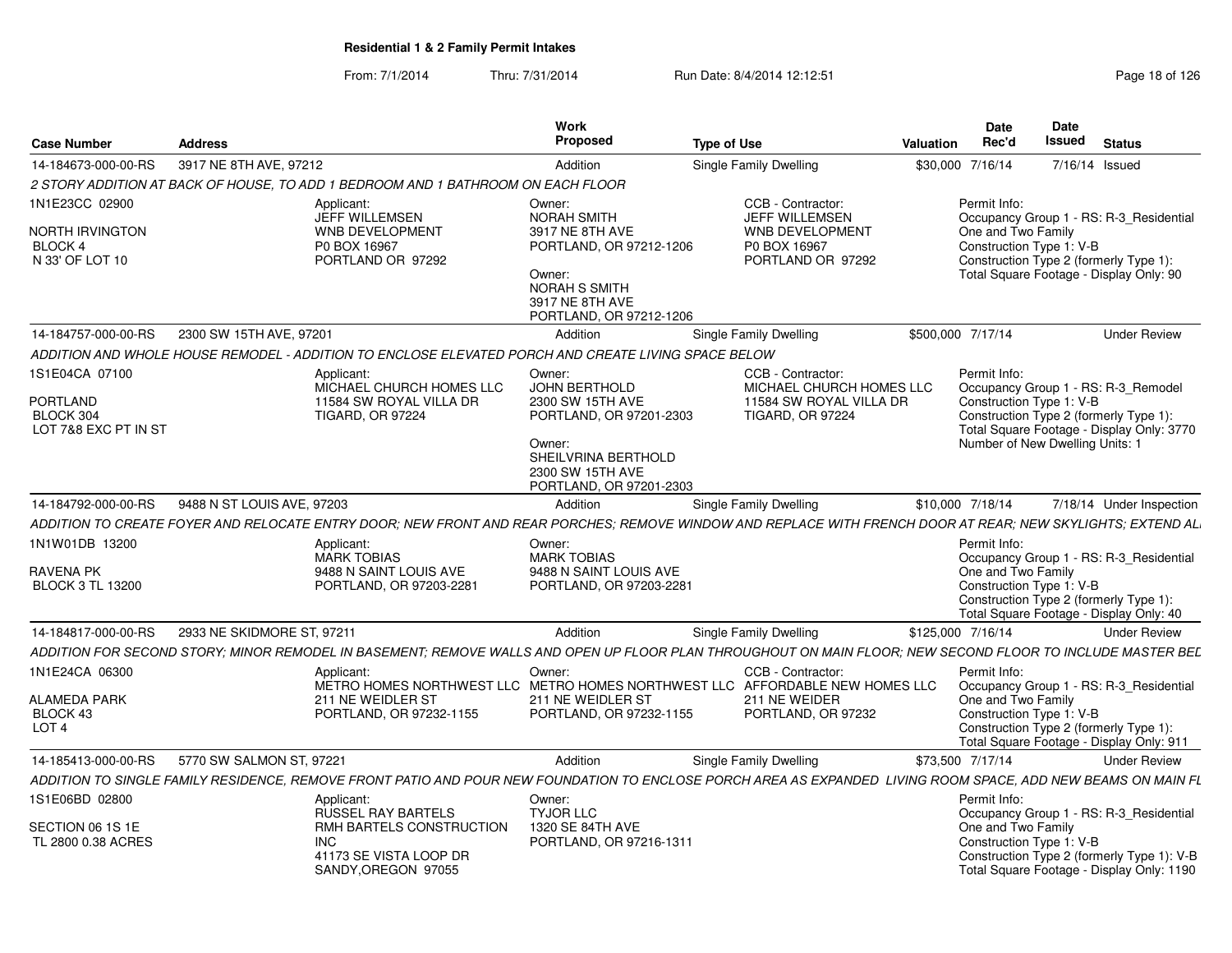|                                      |                                           |                                                                                  | Work                                              |                                                                                                                                                               | Date               | Date                                           |                                                                                         |
|--------------------------------------|-------------------------------------------|----------------------------------------------------------------------------------|---------------------------------------------------|---------------------------------------------------------------------------------------------------------------------------------------------------------------|--------------------|------------------------------------------------|-----------------------------------------------------------------------------------------|
| <b>Case Number</b>                   | <b>Address</b>                            |                                                                                  | Proposed                                          | <b>Type of Use</b>                                                                                                                                            | Rec'd<br>Valuation | Issued                                         | Status                                                                                  |
| 14-184673-000-00-RS                  | 3917 NE 8TH AVE, 97212                    |                                                                                  | Addition                                          | <b>Single Family Dwelling</b>                                                                                                                                 | \$30,000 7/16/14   |                                                | 7/16/14 Issued                                                                          |
|                                      |                                           | 2 STORY ADDITION AT BACK OF HOUSE. TO ADD 1 BEDROOM AND 1 BATHROOM ON EACH FLOOR |                                                   |                                                                                                                                                               |                    |                                                |                                                                                         |
| 1N1E23CC 02900                       |                                           | Applicant:                                                                       | Owner:                                            | CCB - Contractor:                                                                                                                                             | Permit Info:       |                                                |                                                                                         |
|                                      |                                           | JEFF WILLEMSEN                                                                   | <b>NORAH SMITH</b>                                | JEFF WILLEMSEN                                                                                                                                                |                    |                                                | Occupancy Group 1 - RS: R-3_Residential                                                 |
| <b>NORTH IRVINGTON</b><br>BLOCK 4    |                                           | <b>WNB DEVELOPMENT</b><br>P0 BOX 16967                                           | 3917 NE 8TH AVE<br>PORTLAND, OR 97212-1206        | WNB DEVELOPMENT<br>P0 BOX 16967                                                                                                                               |                    | One and Two Family<br>Construction Type 1: V-B |                                                                                         |
| N 33' OF LOT 10                      |                                           | PORTLAND OR 97292                                                                |                                                   | PORTLAND OR 97292                                                                                                                                             |                    |                                                | Construction Type 2 (formerly Type 1):                                                  |
|                                      |                                           |                                                                                  | Owner:                                            |                                                                                                                                                               |                    |                                                | Total Square Footage - Display Only: 90                                                 |
|                                      |                                           |                                                                                  | NORAH S SMITH<br>3917 NE 8TH AVE                  |                                                                                                                                                               |                    |                                                |                                                                                         |
|                                      |                                           |                                                                                  | PORTLAND, OR 97212-1206                           |                                                                                                                                                               |                    |                                                |                                                                                         |
| 14-184757-000-00-RS                  | 2300 SW 15TH AVE, 97201                   |                                                                                  | Addition                                          | Single Family Dwelling                                                                                                                                        | \$500,000 7/17/14  |                                                | <b>Under Review</b>                                                                     |
|                                      | <i>ADDITION AND WHOLE HOUSE REMODEL -</i> | ADDITION TO ENCLOSE ELEVATED PORCH AND CREATE LIVING SPACE BELOW .               |                                                   |                                                                                                                                                               |                    |                                                |                                                                                         |
| 1S1E04CA 07100                       |                                           | Applicant:                                                                       | Owner:                                            | CCB - Contractor:                                                                                                                                             | Permit Info:       |                                                |                                                                                         |
|                                      |                                           | MICHAEL CHURCH HOMES LLC                                                         | <b>JOHN BERTHOLD</b>                              | MICHAEL CHURCH HOMES LLC                                                                                                                                      |                    |                                                | Occupancy Group 1 - RS: R-3_Remodel                                                     |
| PORTLAND<br>BLOCK 304                |                                           | 11584 SW ROYAL VILLA DR<br><b>TIGARD, OR 97224</b>                               | 2300 SW 15TH AVE<br>PORTLAND, OR 97201-2303       | 11584 SW ROYAL VILLA DR<br><b>TIGARD, OR 97224</b>                                                                                                            |                    | Construction Type 1: V-B                       | Construction Type 2 (formerly Type 1):                                                  |
| LOT 7&8 EXC PT IN ST                 |                                           |                                                                                  |                                                   |                                                                                                                                                               |                    |                                                | Total Square Footage - Display Only: 3770                                               |
|                                      |                                           |                                                                                  | Owner:                                            |                                                                                                                                                               |                    | Number of New Dwelling Units: 1                |                                                                                         |
|                                      |                                           |                                                                                  | SHEILVRINA BERTHOLD<br>2300 SW 15TH AVE           |                                                                                                                                                               |                    |                                                |                                                                                         |
|                                      |                                           |                                                                                  | PORTLAND, OR 97201-2303                           |                                                                                                                                                               |                    |                                                |                                                                                         |
| 14-184792-000-00-RS                  | 9488 N ST LOUIS AVE, 97203                |                                                                                  | Addition                                          | Single Family Dwelling                                                                                                                                        | \$10,000 7/18/14   |                                                | 7/18/14 Under Inspection                                                                |
|                                      |                                           |                                                                                  |                                                   | ADDITION TO CREATE FOYER AND RELOCATE ENTRY DOOR: NEW FRONT AND REAR PORCHES: REMOVE WINDOW AND REPLACE WITH FRENCH DOOR AT REAR: NEW SKYLIGHTS: EXTEND ALI   |                    |                                                |                                                                                         |
| 1N1W01DB 13200                       |                                           | Applicant:                                                                       | Owner:                                            |                                                                                                                                                               | Permit Info:       |                                                |                                                                                         |
|                                      |                                           | <b>MARK TOBIAS</b>                                                               | <b>MARK TOBIAS</b>                                |                                                                                                                                                               |                    |                                                | Occupancy Group 1 - RS: R-3_Residential                                                 |
| RAVENA PK<br><b>BLOCK 3 TL 13200</b> |                                           | 9488 N SAINT LOUIS AVE<br>PORTLAND, OR 97203-2281                                | 9488 N SAINT LOUIS AVE<br>PORTLAND, OR 97203-2281 |                                                                                                                                                               |                    | One and Two Family<br>Construction Type 1: V-B |                                                                                         |
|                                      |                                           |                                                                                  |                                                   |                                                                                                                                                               |                    |                                                | Construction Type 2 (formerly Type 1):                                                  |
|                                      |                                           |                                                                                  |                                                   |                                                                                                                                                               |                    |                                                | Total Square Footage - Display Only: 40                                                 |
| 14-184817-000-00-RS                  | 2933 NE SKIDMORE ST, 97211                |                                                                                  | Addition                                          | Single Family Dwelling                                                                                                                                        | \$125,000 7/16/14  |                                                | <b>Under Review</b>                                                                     |
|                                      |                                           |                                                                                  |                                                   | ADDITION FOR SECOND STORY; MINOR REMODEL IN BASEMENT; REMOVE WALLS AND OPEN UP FLOOR PLAN THROUGHOUT ON MAIN FLOOR; NEW SECOND FLOOR TO INCLUDE MASTER BEL    |                    |                                                |                                                                                         |
| 1N1E24CA 06300                       |                                           | Applicant:                                                                       | Owner:                                            | CCB - Contractor:<br>METRO HOMES NORTHWEST LLC METRO HOMES NORTHWEST LLC AFFORDABLE NEW HOMES LLC                                                             | Permit Info:       |                                                |                                                                                         |
| <b>ALAMEDA PARK</b>                  |                                           | 211 NE WEIDLER ST                                                                | 211 NE WEIDLER ST                                 | 211 NE WEIDER                                                                                                                                                 |                    | One and Two Family                             | Occupancy Group 1 - RS: R-3_Residential                                                 |
| BLOCK 43                             |                                           | PORTLAND, OR 97232-1155                                                          | PORTLAND, OR 97232-1155                           | PORTLAND, OR 97232                                                                                                                                            |                    | Construction Type 1: V-B                       |                                                                                         |
| LOT <sub>4</sub>                     |                                           |                                                                                  |                                                   |                                                                                                                                                               |                    |                                                | Construction Type 2 (formerly Type 1):<br>Total Square Footage - Display Only: 911      |
| 14-185413-000-00-RS                  | 5770 SW SALMON ST, 97221                  |                                                                                  | Addition                                          |                                                                                                                                                               | \$73,500 7/17/14   |                                                | <b>Under Review</b>                                                                     |
|                                      |                                           |                                                                                  |                                                   | Single Family Dwelling                                                                                                                                        |                    |                                                |                                                                                         |
|                                      |                                           |                                                                                  |                                                   | ADDITION TO SINGLE FAMILY RESIDENCE, REMOVE FRONT PATIO AND POUR NEW FOUNDATION TO ENCLOSE PORCH AREA AS EXPANDED LIVING ROOM SPACE, ADD NEW BEAMS ON MAIN FL |                    |                                                |                                                                                         |
| 1S1E06BD 02800                       |                                           | Applicant:<br><b>RUSSEL RAY BARTELS</b>                                          | Owner:<br><b>TYJOR LLC</b>                        |                                                                                                                                                               | Permit Info:       |                                                | Occupancy Group 1 - RS: R-3_Residential                                                 |
| SECTION 06 1S 1E                     |                                           | RMH BARTELS CONSTRUCTION                                                         | 1320 SE 84TH AVE                                  |                                                                                                                                                               |                    | One and Two Family                             |                                                                                         |
| TL 2800 0.38 ACRES                   |                                           | <b>INC</b>                                                                       | PORTLAND, OR 97216-1311                           |                                                                                                                                                               |                    | Construction Type 1: V-B                       |                                                                                         |
|                                      |                                           | 41173 SE VISTA LOOP DR<br>SANDY, OREGON 97055                                    |                                                   |                                                                                                                                                               |                    |                                                | Construction Type 2 (formerly Type 1): V-B<br>Total Square Footage - Display Only: 1190 |
|                                      |                                           |                                                                                  |                                                   |                                                                                                                                                               |                    |                                                |                                                                                         |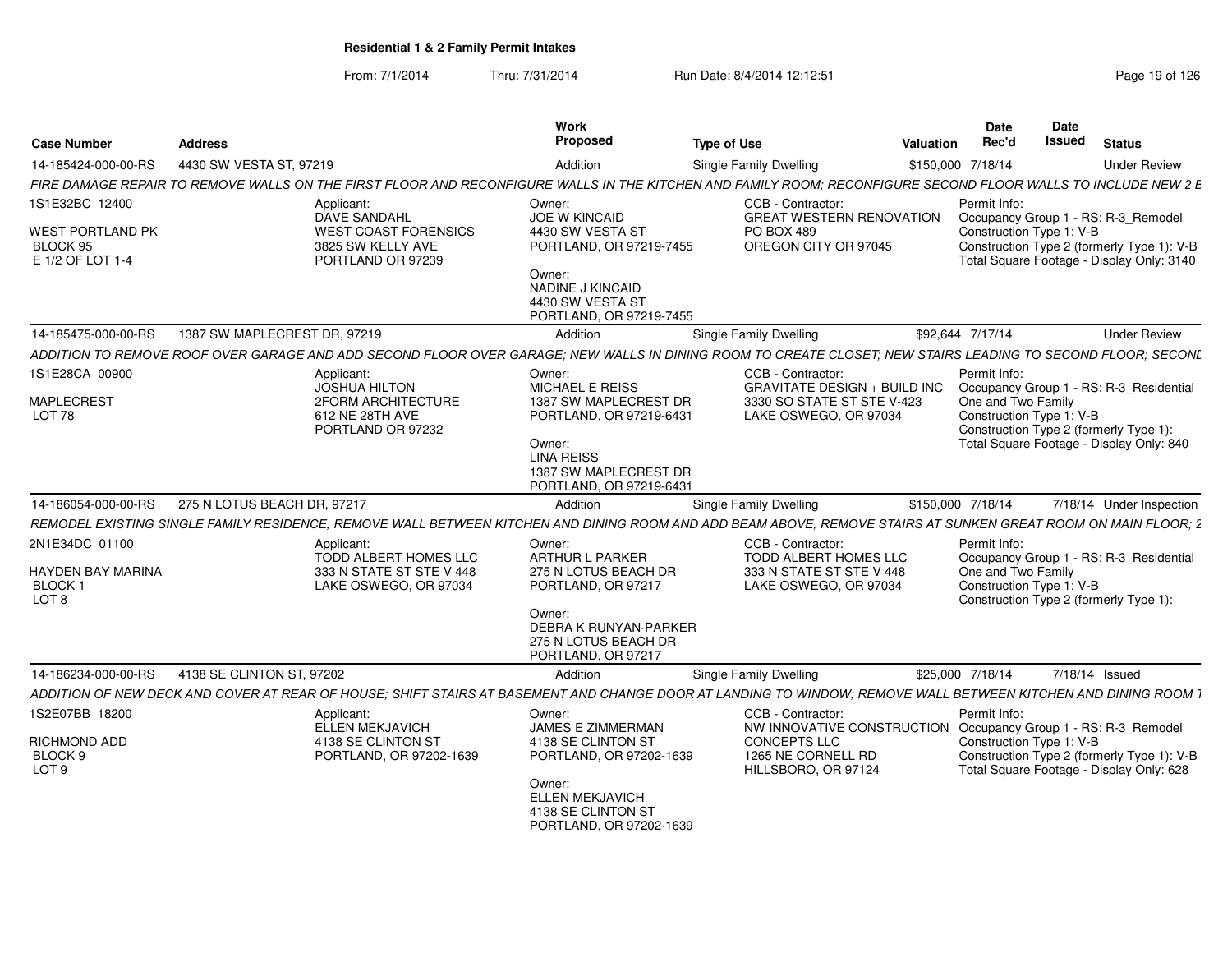| <b>Case Number</b>                                                      | <b>Address</b>               |                                                                                                  | Work<br>Proposed                                                                                                                                                         | <b>Type of Use</b>                                                                                                                                            | <b>Date</b><br>Rec'd<br>Valuation | Date<br>Issued                                                                           | <b>Status</b>                                                                                                                  |
|-------------------------------------------------------------------------|------------------------------|--------------------------------------------------------------------------------------------------|--------------------------------------------------------------------------------------------------------------------------------------------------------------------------|---------------------------------------------------------------------------------------------------------------------------------------------------------------|-----------------------------------|------------------------------------------------------------------------------------------|--------------------------------------------------------------------------------------------------------------------------------|
| 14-185424-000-00-RS                                                     | 4430 SW VESTA ST. 97219      |                                                                                                  | Addition                                                                                                                                                                 | <b>Single Family Dwelling</b>                                                                                                                                 | \$150,000 7/18/14                 |                                                                                          | <b>Under Review</b>                                                                                                            |
|                                                                         |                              |                                                                                                  |                                                                                                                                                                          | FIRE DAMAGE REPAIR TO REMOVE WALLS ON THE FIRST FLOOR AND RECONFIGURE WALLS IN THE KITCHEN AND FAMILY ROOM; RECONFIGURE SECOND FLOOR WALLS TO INCLUDE NEW 2 E |                                   |                                                                                          |                                                                                                                                |
| 1S1E32BC 12400                                                          |                              | Applicant:                                                                                       | Owner:                                                                                                                                                                   | CCB - Contractor:                                                                                                                                             | Permit Info:                      |                                                                                          |                                                                                                                                |
| <b>WEST PORTLAND PK</b><br>BLOCK 95<br>E 1/2 OF LOT 1-4                 |                              | DAVE SANDAHL<br><b>WEST COAST FORENSICS</b><br>3825 SW KELLY AVE<br>PORTLAND OR 97239            | JOE W KINCAID<br>4430 SW VESTA ST<br>PORTLAND, OR 97219-7455                                                                                                             | <b>GREAT WESTERN RENOVATION</b><br>PO BOX 489<br>OREGON CITY OR 97045                                                                                         |                                   | Construction Type 1: V-B                                                                 | Occupancy Group 1 - RS: R-3_Remodel<br>Construction Type 2 (formerly Type 1): V-B<br>Total Square Footage - Display Only: 3140 |
|                                                                         |                              |                                                                                                  | Owner:<br>NADINE J KINCAID<br>4430 SW VESTA ST<br>PORTLAND, OR 97219-7455                                                                                                |                                                                                                                                                               |                                   |                                                                                          |                                                                                                                                |
| 14-185475-000-00-RS                                                     | 1387 SW MAPLECREST DR. 97219 |                                                                                                  | Addition                                                                                                                                                                 | <b>Single Family Dwelling</b>                                                                                                                                 | \$92.644 7/17/14                  |                                                                                          | <b>Under Review</b>                                                                                                            |
|                                                                         |                              |                                                                                                  |                                                                                                                                                                          | ADDITION TO REMOVE ROOF OVER GARAGE AND ADD SECOND FLOOR OVER GARAGE: NEW WALLS IN DINING ROOM TO CREATE CLOSET: NEW STAIRS LEADING TO SECOND FLOOR: SECONL   |                                   |                                                                                          |                                                                                                                                |
| 1S1E28CA 00900<br><b>MAPLECREST</b><br>LOT <sub>78</sub>                |                              | Applicant:<br><b>JOSHUA HILTON</b><br>2FORM ARCHITECTURE<br>612 NE 28TH AVE<br>PORTLAND OR 97232 | Owner:<br><b>MICHAEL E REISS</b><br>1387 SW MAPLECREST DR<br>PORTLAND, OR 97219-6431<br>Owner:<br><b>LINA REISS</b><br>1387 SW MAPLECREST DR<br>PORTLAND, OR 97219-6431  | CCB - Contractor:<br>GRAVITATE DESIGN + BUILD INC  Occupancy Group 1 - RS: R-3_Residential<br>3330 SO STATE ST STE V-423<br>LAKE OSWEGO, OR 97034             | Permit Info:                      | One and Two Family<br>Construction Type 1: V-B<br>Construction Type 2 (formerly Type 1): | Total Square Footage - Display Only: 840                                                                                       |
| 14-186054-000-00-RS                                                     | 275 N LOTUS BEACH DR, 97217  |                                                                                                  | Addition                                                                                                                                                                 | Single Family Dwelling                                                                                                                                        | \$150,000 7/18/14                 |                                                                                          | 7/18/14 Under Inspection                                                                                                       |
|                                                                         |                              |                                                                                                  |                                                                                                                                                                          | REMODEL EXISTING SINGLE FAMILY RESIDENCE. REMOVE WALL BETWEEN KITCHEN AND DINING ROOM AND ADD BEAM ABOVE. REMOVE STAIRS AT SUNKEN GREAT ROOM ON MAIN FLOOR: 1 |                                   |                                                                                          |                                                                                                                                |
| 2N1E34DC 01100<br>HAYDEN BAY MARINA<br><b>BLOCK</b><br>LOT <sub>8</sub> |                              | Applicant:<br>TODD ALBERT HOMES LLC<br>333 N STATE ST STE V 448<br>LAKE OSWEGO, OR 97034         | Owner:<br>ARTHUR L PARKER<br>275 N LOTUS BEACH DR<br>PORTLAND, OR 97217<br>Owner:<br><b>DEBRA K RUNYAN-PARKER</b><br>275 N LOTUS BEACH DR<br>PORTLAND, OR 97217          | CCB - Contractor:<br>TODD ALBERT HOMES LLC<br>333 N STATE ST STE V 448<br>LAKE OSWEGO, OR 97034                                                               | Permit Info:                      | One and Two Family<br>Construction Type 1: V-B<br>Construction Type 2 (formerly Type 1): | Occupancy Group 1 - RS: R-3_Residential                                                                                        |
| 14-186234-000-00-RS                                                     | 4138 SE CLINTON ST. 97202    |                                                                                                  | Addition                                                                                                                                                                 | Single Family Dwelling                                                                                                                                        | \$25,000 7/18/14                  |                                                                                          | 7/18/14 Issued                                                                                                                 |
|                                                                         |                              |                                                                                                  |                                                                                                                                                                          | ADDITION OF NEW DECK AND COVER AT REAR OF HOUSE; SHIFT STAIRS AT BASEMENT AND CHANGE DOOR AT LANDING TO WINDOW; REMOVE WALL BETWEEN KITCHEN AND DINING ROOM   |                                   |                                                                                          |                                                                                                                                |
| 1S2E07BB 18200<br>RICHMOND ADD<br><b>BLOCK</b><br>LOT <sub>9</sub>      |                              | Applicant:<br>ELLEN MEKJAVICH<br>4138 SE CLINTON ST<br>PORTLAND, OR 97202-1639                   | Owner:<br><b>JAMES E ZIMMERMAN</b><br>4138 SE CLINTON ST<br>PORTLAND, OR 97202-1639<br>Owner:<br><b>ELLEN MEKJAVICH</b><br>4138 SE CLINTON ST<br>PORTLAND, OR 97202-1639 | CCB - Contractor:<br>NW INNOVATIVE CONSTRUCTION Occupancy Group 1 - RS: R-3_Remodel<br><b>CONCEPTS LLC</b><br>1265 NE CORNELL RD<br>HILLSBORO, OR 97124       | Permit Info:                      | Construction Type 1: V-B                                                                 | Construction Type 2 (formerly Type 1): V-B<br>Total Square Footage - Display Only: 628                                         |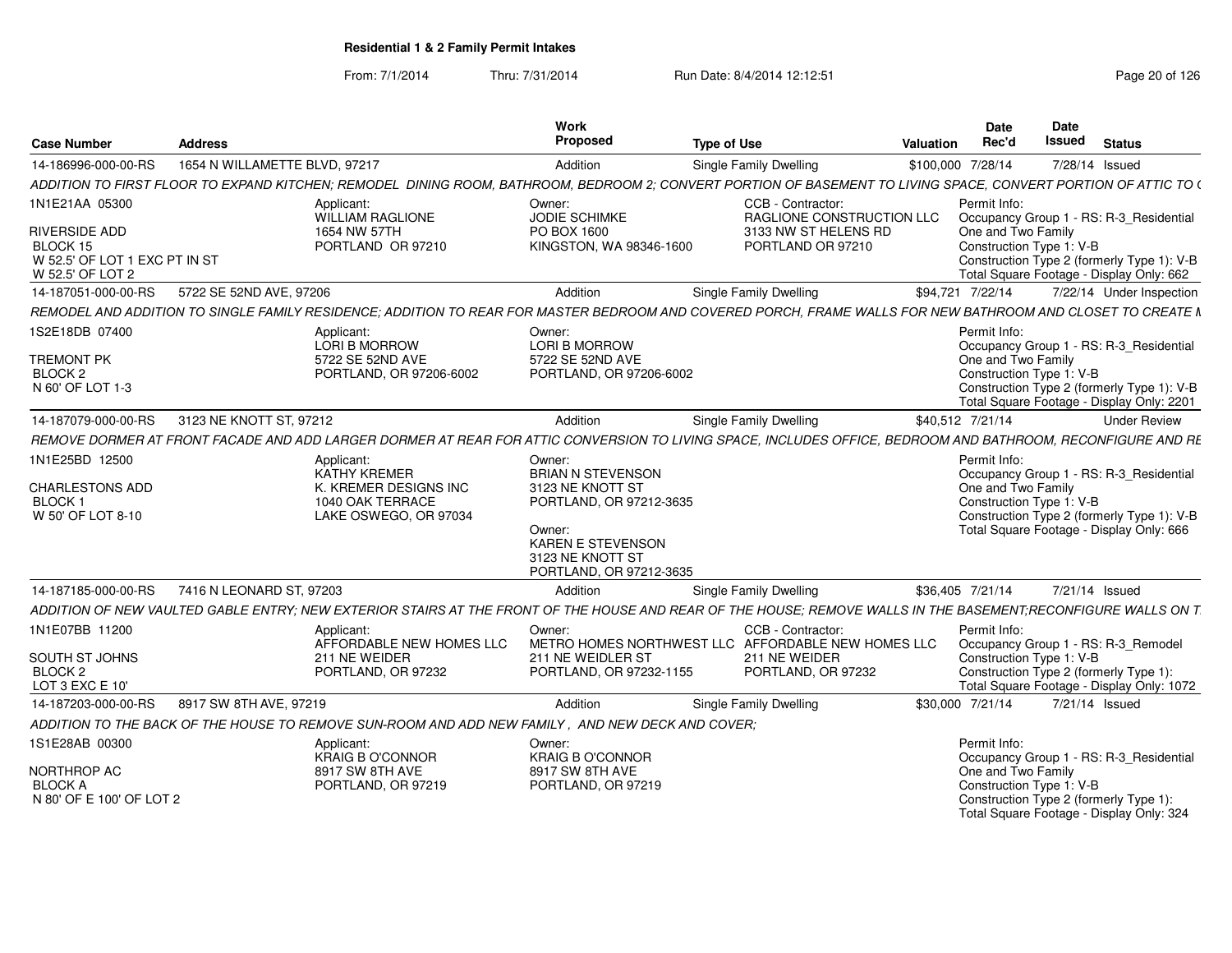| Case Number                           | <b>Address</b>                |                                                                                                  | Work<br>Propose                              | <b>Type of Use</b>                                                                                                                                              | Date<br>Rec'd<br>Valuation | Date<br>Issued<br><b>Status</b>                                                    |
|---------------------------------------|-------------------------------|--------------------------------------------------------------------------------------------------|----------------------------------------------|-----------------------------------------------------------------------------------------------------------------------------------------------------------------|----------------------------|------------------------------------------------------------------------------------|
| 14-186996-000-00-RS                   | 1654 N WILLAMETTE BLVD, 97217 |                                                                                                  | Addition                                     | Single Family Dwelling                                                                                                                                          | \$100,000 7/28/14          | 7/28/14 Issued                                                                     |
|                                       |                               |                                                                                                  |                                              | ADDITION TO FIRST FLOOR TO EXPAND KITCHEN; REMODEL DINING ROOM, BATHROOM, BEDROOM 2; CONVERT PORTION OF BASEMENT TO LIVING SPACE, CONVERT PORTION OF ATTIC TO ( |                            |                                                                                    |
| 1N1E21AA 05300                        |                               | Applicant:                                                                                       | Owner:                                       | CCB - Contractor                                                                                                                                                | Permit Info:               |                                                                                    |
|                                       |                               | WILLIAM RAGLIONE                                                                                 | <b>JODIE SCHIMKE</b>                         | RAGLIONE CONSTRUCTION LLC                                                                                                                                       |                            | Occupancy Group 1 - RS: R-3 Residential                                            |
| RIVERSIDE ADD<br>BLOCK 15             |                               | 1654 NW 57TH<br>PORTLAND OR 97210                                                                | PO BOX 1600<br>KINGSTON, WA 98346-1600       | 3133 NW ST HELENS RD<br>PORTLAND OR 97210                                                                                                                       | One and Two Family         | Construction Type 1: V-B                                                           |
| W 52.5' OF LOT 1 EXC PT IN ST         |                               |                                                                                                  |                                              |                                                                                                                                                                 |                            | Construction Type 2 (formerly Type 1): V-B                                         |
| W 52.5' OF LOT 2                      |                               |                                                                                                  |                                              |                                                                                                                                                                 |                            | Total Square Footage - Display Only: 662                                           |
| 14-187051-000-00-RS                   | 5722 SE 52ND AVE, 97206       |                                                                                                  | Addition                                     | Single Family Dwelling                                                                                                                                          | \$94,721 7/22/14           | 7/22/14 Under Inspection                                                           |
| REMODEL AND ADDITION TO SINGLE FAMILY |                               |                                                                                                  |                                              | RESIDENCE: ADDITION TO REAR FOR MASTER BEDROOM AND COVERED PORCH, FRAME WALLS FOR NEW BATHROOM AND CLOSET TO CREATE N                                           |                            |                                                                                    |
| 1S2E18DB 07400                        |                               | Applicant:                                                                                       | Owner:                                       |                                                                                                                                                                 | Permit Info:               |                                                                                    |
| TREMONT PK                            |                               | <b>LORI B MORROW</b><br>5722 SE 52ND AVE                                                         | LORI B MORROW<br>5722 SE 52ND AVE            |                                                                                                                                                                 | One and Two Family         | Occupancy Group 1 - RS: R-3 Residential                                            |
| BLOCK <sub>2</sub>                    |                               | PORTLAND, OR 97206-6002                                                                          | PORTLAND, OR 97206-6002                      |                                                                                                                                                                 |                            | Construction Type 1: V-B                                                           |
| N 60' OF LOT 1-3                      |                               |                                                                                                  |                                              |                                                                                                                                                                 |                            | Construction Type 2 (formerly Type 1): V-B                                         |
| 14-187079-000-00-RS                   | 3123 NE KNOTT ST, 97212       |                                                                                                  | Addition                                     | Single Family Dwelling                                                                                                                                          | \$40,512 7/21/14           | Total Square Footage - Display Only: 2201<br><b>Under Review</b>                   |
|                                       |                               |                                                                                                  |                                              | REMOVE DORMER AT FRONT FACADE AND ADD LARGER DORMER AT REAR FOR ATTIC CONVERSION TO LIVING SPACE, INCLUDES OFFICE, BEDROOM AND BATHROOM, RECONFIGURE AND RE     |                            |                                                                                    |
| 1N1E25BD 12500                        |                               | Applicant:                                                                                       | Owner:                                       |                                                                                                                                                                 | Permit Info:               |                                                                                    |
|                                       |                               | KATHY KREMER                                                                                     | <b>BRIAN N STEVENSON</b>                     |                                                                                                                                                                 |                            | Occupancy Group 1 - RS: R-3_Residential                                            |
| CHARLESTONS ADD                       |                               | K. KREMER DESIGNS INC<br>1040 OAK TERRACE                                                        | 3123 NE KNOTT ST                             |                                                                                                                                                                 | One and Two Family         |                                                                                    |
| BLOCK 1<br>W 50' OF LOT 8-10          |                               | LAKE OSWEGO, OR 97034                                                                            | PORTLAND, OR 97212-3635                      |                                                                                                                                                                 |                            | Construction Type 1: V-B<br>Construction Type 2 (formerly Type 1): V-E             |
|                                       |                               |                                                                                                  | Owner:                                       |                                                                                                                                                                 |                            | Total Square Footage - Display Only: 666                                           |
|                                       |                               |                                                                                                  | <b>KAREN E STEVENSON</b><br>3123 NE KNOTT ST |                                                                                                                                                                 |                            |                                                                                    |
|                                       |                               |                                                                                                  | PORTLAND, OR 97212-3635                      |                                                                                                                                                                 |                            |                                                                                    |
| 14-187185-000-00-RS                   | 7416 N LEONARD ST. 97203      |                                                                                                  | Addition                                     | Single Family Dwelling                                                                                                                                          | \$36.405 7/21/14           | 7/21/14 Issued                                                                     |
|                                       |                               |                                                                                                  |                                              | ADDITION OF NEW VAULTED GABLE ENTRY; NEW EXTERIOR STAIRS AT THE FRONT OF THE HOUSE AND REAR OF THE HOUSE; REMOVE WALLS IN THE BASEMENT;RECONFIGURE WALLS ON T   |                            |                                                                                    |
| 1N1E07BB 11200                        |                               | Applicant:                                                                                       | Owner:                                       | CCB - Contractor                                                                                                                                                | Permit Info:               |                                                                                    |
| SOUTH ST JOHNS                        |                               | AFFORDABLE NEW HOMES LLC<br>211 NE WEIDER                                                        | 211 NE WEIDLER ST                            | METRO HOMES NORTHWEST LLC AFFORDABLE NEW HOMES LLC<br>211 NE WEIDER                                                                                             |                            | Occupancy Group 1 - RS: R-3_Remodel<br>Construction Type 1: V-B                    |
| BLOCK 2                               |                               | PORTLAND, OR 97232                                                                               | PORTLAND, OR 97232-1155                      | PORTLAND, OR 97232                                                                                                                                              |                            | Construction Type 2 (formerly Type 1):                                             |
| LOT 3 EXC E 10'                       |                               |                                                                                                  |                                              |                                                                                                                                                                 |                            | Total Square Footage - Display Only: 1072                                          |
| 14-187203-000-00-RS                   | 8917 SW 8TH AVE, 97219        |                                                                                                  | Addition                                     | Single Family Dwelling                                                                                                                                          | \$30,000 7/21/14           | 7/21/14 Issued                                                                     |
|                                       |                               | ADDITION TO THE BACK OF THE HOUSE TO REMOVE SUN-ROOM AND ADD NEW FAMILY, AND NEW DECK AND COVER; |                                              |                                                                                                                                                                 |                            |                                                                                    |
| 1S1E28AB 00300                        |                               | Applicant:                                                                                       | Owner:                                       |                                                                                                                                                                 | Permit Info:               |                                                                                    |
| NORTHROP AC                           |                               | KRAIG B O'CONNOR<br>8917 SW 8TH AVE                                                              | <b>KRAIG B O'CONNOR</b><br>8917 SW 8TH AVE   |                                                                                                                                                                 | One and Two Family         | Occupancy Group 1 - RS: R-3 Residential                                            |
| <b>BLOCK A</b>                        |                               | PORTLAND, OR 97219                                                                               | PORTLAND, OR 97219                           |                                                                                                                                                                 |                            | Construction Type 1: V-B                                                           |
| N 80' OF E 100' OF LOT 2              |                               |                                                                                                  |                                              |                                                                                                                                                                 |                            | Construction Type 2 (formerly Type 1):<br>Total Square Footage - Display Only: 324 |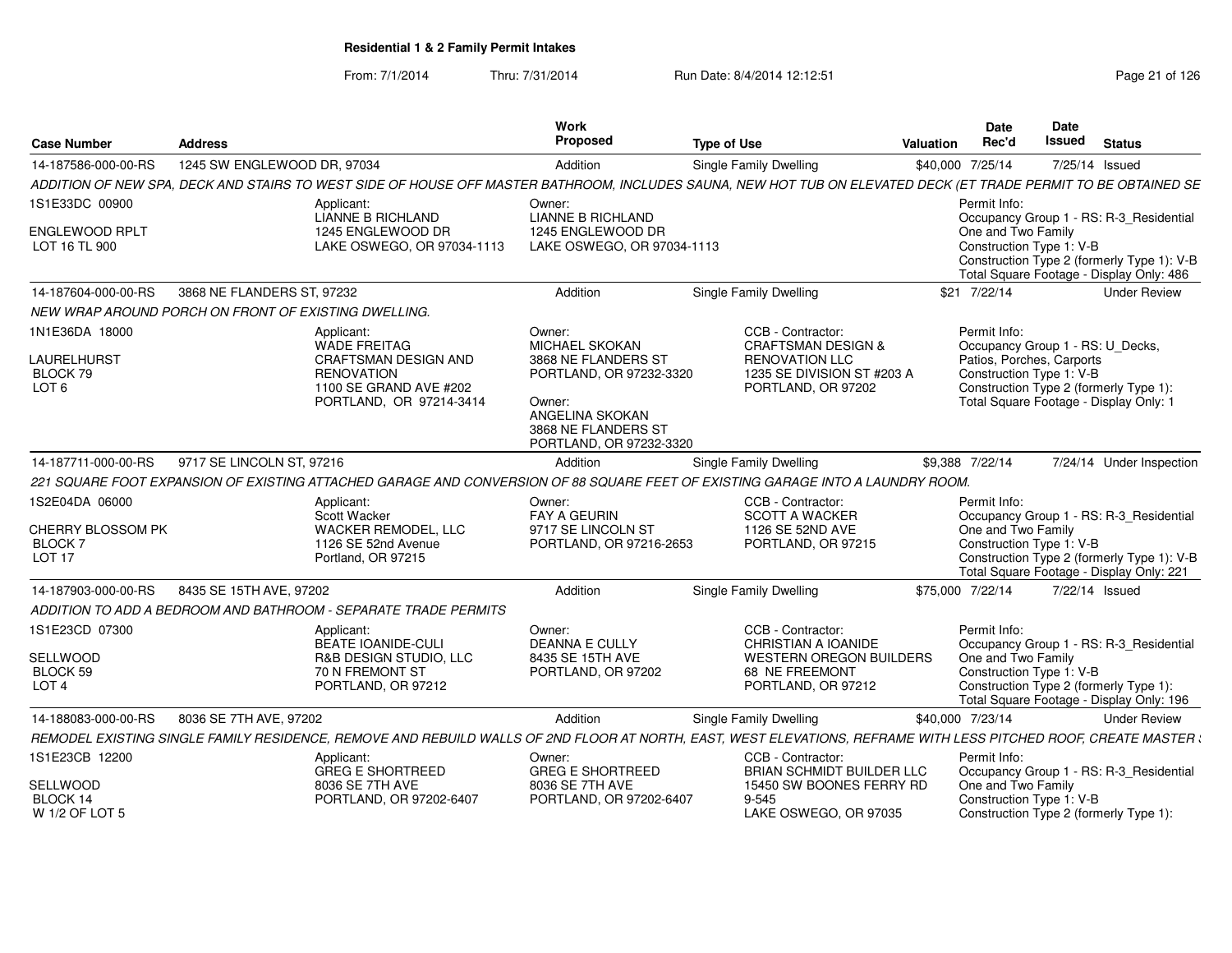| <b>Case Number</b>                                                   | <b>Address</b>                                                                                                                                                   | Work<br>Proposed                                                                                                                                                 | <b>Type of Use</b>                                                                                                              | Valuation        | <b>Date</b><br>Rec'd                                                  | Date<br>Issued | <b>Status</b>                                                                                                                     |
|----------------------------------------------------------------------|------------------------------------------------------------------------------------------------------------------------------------------------------------------|------------------------------------------------------------------------------------------------------------------------------------------------------------------|---------------------------------------------------------------------------------------------------------------------------------|------------------|-----------------------------------------------------------------------|----------------|-----------------------------------------------------------------------------------------------------------------------------------|
| 14-187586-000-00-RS                                                  | 1245 SW ENGLEWOOD DR, 97034                                                                                                                                      | Addition                                                                                                                                                         | Single Family Dwelling                                                                                                          | \$40,000 7/25/14 |                                                                       |                | 7/25/14 Issued                                                                                                                    |
|                                                                      | ADDITION OF NEW SPA, DECK AND STAIRS TO WEST SIDE OF HOUSE OFF MASTER BATHROOM, INCLUDES SAUNA, NEW HOT TUB ON ELEVATED DECK (ET TRADE PERMIT TO BE OBTAINED SE  |                                                                                                                                                                  |                                                                                                                                 |                  |                                                                       |                |                                                                                                                                   |
| 1S1E33DC 00900                                                       | Applicant:<br>LIANNE B RICHLAND                                                                                                                                  | Owner:<br><b>LIANNE B RICHLAND</b>                                                                                                                               |                                                                                                                                 |                  | Permit Info:                                                          |                | Occupancy Group 1 - RS: R-3 Residential                                                                                           |
| <b>ENGLEWOOD RPLT</b><br>LOT 16 TL 900                               | 1245 ENGLEWOOD DR<br>LAKE OSWEGO, OR 97034-1113                                                                                                                  | 1245 ENGLEWOOD DR<br>LAKE OSWEGO, OR 97034-1113                                                                                                                  |                                                                                                                                 |                  | One and Two Family<br>Construction Type 1: V-B                        |                | Construction Type 2 (formerly Type 1): V-B<br>Total Square Footage - Display Only: 486                                            |
| 14-187604-000-00-RS                                                  | 3868 NE FLANDERS ST, 97232                                                                                                                                       | Addition                                                                                                                                                         | Single Family Dwelling                                                                                                          |                  | \$21 7/22/14                                                          |                | <b>Under Review</b>                                                                                                               |
|                                                                      | NEW WRAP AROUND PORCH ON FRONT OF EXISTING DWELLING.                                                                                                             |                                                                                                                                                                  |                                                                                                                                 |                  |                                                                       |                |                                                                                                                                   |
| 1N1E36DA 18000<br><b>LAURELHURST</b><br>BLOCK 79<br>LOT <sub>6</sub> | Applicant:<br>WADE FREITAG<br><b>CRAFTSMAN DESIGN AND</b><br><b>RENOVATION</b><br>1100 SE GRAND AVE #202<br>PORTLAND, OR 97214-3414                              | Owner:<br><b>MICHAEL SKOKAN</b><br>3868 NE FLANDERS ST<br>PORTLAND, OR 97232-3320<br>Owner:<br>ANGELINA SKOKAN<br>3868 NE FLANDERS ST<br>PORTLAND, OR 97232-3320 | CCB - Contractor:<br><b>CRAFTSMAN DESIGN &amp;</b><br><b>RENOVATION LLC</b><br>1235 SE DIVISION ST #203 A<br>PORTLAND, OR 97202 |                  | Permit Info:<br>Patios, Porches, Carports<br>Construction Type 1: V-B |                | Occupancy Group 1 - RS: U_Decks,<br>Construction Type 2 (formerly Type 1):<br>Total Square Footage - Display Only: 1              |
| 14-187711-000-00-RS                                                  | 9717 SE LINCOLN ST, 97216                                                                                                                                        | Addition                                                                                                                                                         | <b>Single Family Dwelling</b>                                                                                                   | \$9,388 7/22/14  |                                                                       |                | 7/24/14 Under Inspection                                                                                                          |
|                                                                      | 221 SQUARE FOOT EXPANSION OF EXISTING ATTACHED GARAGE AND CONVERSION OF 88 SQUARE FEET OF EXISTING GARAGE INTO A LAUNDRY ROOM.                                   |                                                                                                                                                                  |                                                                                                                                 |                  |                                                                       |                |                                                                                                                                   |
| 1S2E04DA 06000<br>CHERRY BLOSSOM PK<br>BLOCK 7<br>LOT <sub>17</sub>  | Applicant:<br>Scott Wacker<br><b>WACKER REMODEL, LLC</b><br>1126 SE 52nd Avenue<br>Portland, OR 97215                                                            | Owner:<br><b>FAY A GEURIN</b><br>9717 SE LINCOLN ST<br>PORTLAND, OR 97216-2653                                                                                   | CCB - Contractor:<br><b>SCOTT A WACKER</b><br>1126 SE 52ND AVE<br>PORTLAND, OR 97215                                            |                  | Permit Info:<br>One and Two Family<br>Construction Type 1: V-B        |                | Occupancy Group 1 - RS: R-3_Residential<br>Construction Type 2 (formerly Type 1): V-B<br>Total Square Footage - Display Only: 221 |
| 14-187903-000-00-RS                                                  | 8435 SE 15TH AVE, 97202                                                                                                                                          | Addition                                                                                                                                                         | <b>Single Family Dwelling</b>                                                                                                   | \$75,000 7/22/14 |                                                                       |                | 7/22/14 Issued                                                                                                                    |
|                                                                      | ADDITION TO ADD A BEDROOM AND BATHROOM - SEPARATE TRADE PERMITS                                                                                                  |                                                                                                                                                                  |                                                                                                                                 |                  |                                                                       |                |                                                                                                                                   |
| 1S1E23CD 07300<br>SELLWOOD<br>BLOCK 59<br>LOT <sub>4</sub>           | Applicant:<br><b>BEATE IOANIDE-CULI</b><br><b>R&amp;B DESIGN STUDIO, LLC</b><br><b>70 N FREMONT ST</b><br>PORTLAND, OR 97212                                     | Owner:<br><b>DEANNA E CULLY</b><br>8435 SE 15TH AVE<br>PORTLAND, OR 97202                                                                                        | CCB - Contractor:<br>CHRISTIAN A IOANIDE<br><b>WESTERN OREGON BUILDERS</b><br>68 NE FREEMONT<br>PORTLAND, OR 97212              |                  | Permit Info:<br>One and Two Family<br>Construction Type 1: V-B        |                | Occupancy Group 1 - RS: R-3 Residential<br>Construction Type 2 (formerly Type 1):<br>Total Square Footage - Display Only: 196     |
| 14-188083-000-00-RS                                                  | 8036 SE 7TH AVE, 97202                                                                                                                                           | Addition                                                                                                                                                         | Single Family Dwelling                                                                                                          | \$40,000 7/23/14 |                                                                       |                | <b>Under Review</b>                                                                                                               |
|                                                                      | REMODEL EXISTING SINGLE FAMILY RESIDENCE, REMOVE AND REBUILD WALLS OF 2ND FLOOR AT NORTH, EAST, WEST ELEVATIONS, REFRAME WITH LESS PITCHED ROOF, CREATE MASTER ( |                                                                                                                                                                  |                                                                                                                                 |                  |                                                                       |                |                                                                                                                                   |
| 1S1E23CB 12200                                                       | Applicant:<br><b>GREG E SHORTREED</b>                                                                                                                            | Owner:<br><b>GREG E SHORTREED</b>                                                                                                                                | CCB - Contractor:<br>BRIAN SCHMIDT BUILDER LLC                                                                                  |                  | Permit Info:                                                          |                | Occupancy Group 1 - RS: R-3_Residential                                                                                           |
| SELLWOOD<br>BLOCK 14<br>W 1/2 OF LOT 5                               | 8036 SE 7TH AVE<br>PORTLAND, OR 97202-6407                                                                                                                       | 8036 SE 7TH AVE<br>PORTLAND, OR 97202-6407                                                                                                                       | 15450 SW BOONES FERRY RD<br>$9 - 545$<br>LAKE OSWEGO, OR 97035                                                                  |                  | One and Two Family<br>Construction Type 1: V-B                        |                | Construction Type 2 (formerly Type 1):                                                                                            |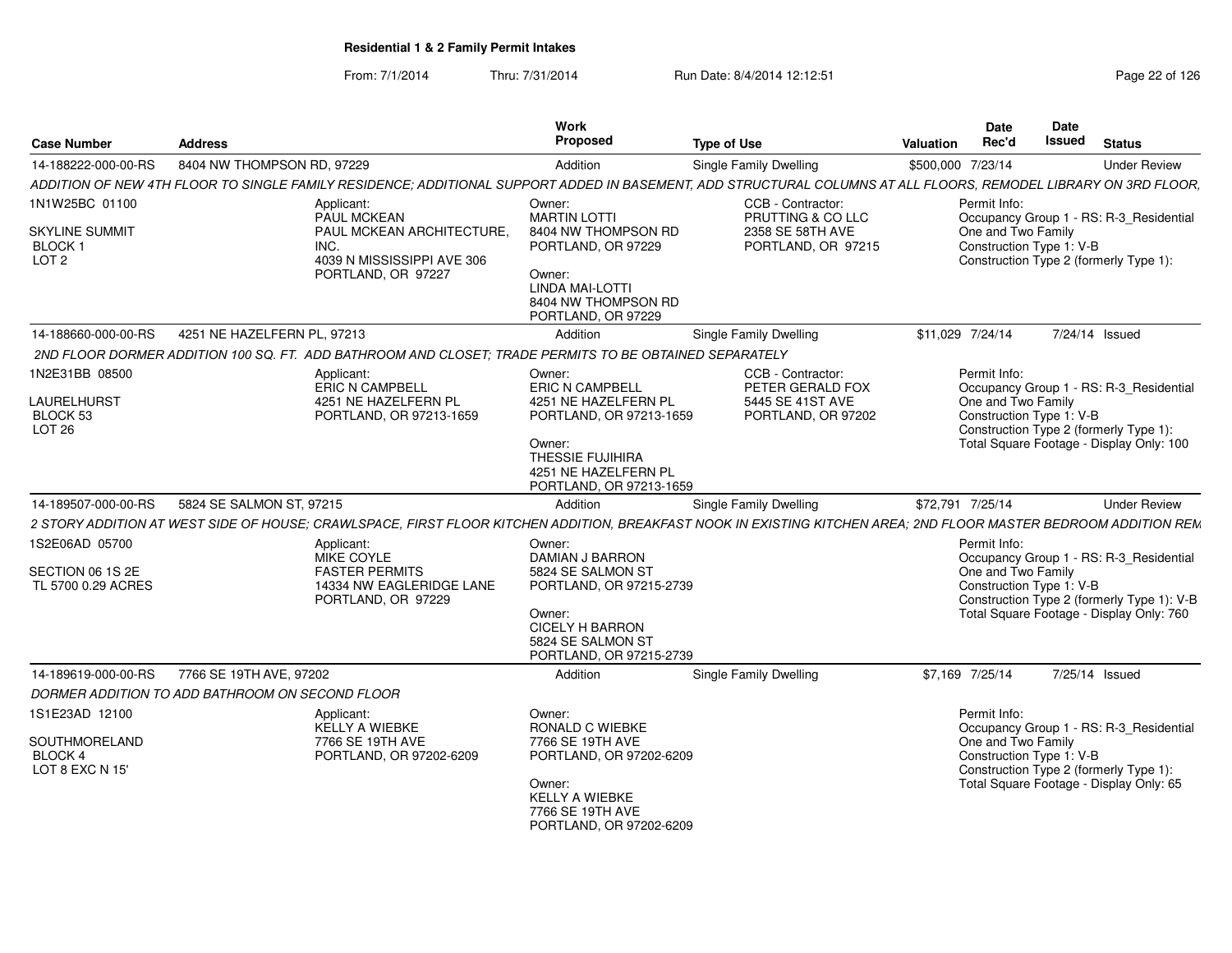| <b>Case Number</b>                                             | <b>Address</b>                                                                                      | Work<br><b>Proposed</b>                                                                                                                                              | <b>Type of Use</b>                                                              | Date<br>Rec'd<br>Valuation                                     | Date<br>Issued<br><b>Status</b>                                                                                                   |
|----------------------------------------------------------------|-----------------------------------------------------------------------------------------------------|----------------------------------------------------------------------------------------------------------------------------------------------------------------------|---------------------------------------------------------------------------------|----------------------------------------------------------------|-----------------------------------------------------------------------------------------------------------------------------------|
| 14-188222-000-00-RS                                            | 8404 NW THOMPSON RD, 97229                                                                          | Addition                                                                                                                                                             | Single Family Dwelling                                                          | \$500,000 7/23/14                                              | <b>Under Review</b>                                                                                                               |
|                                                                |                                                                                                     | ADDITION OF NEW 4TH FLOOR TO SINGLE FAMILY RESIDENCE; ADDITIONAL SUPPORT ADDED IN BASEMENT, ADD STRUCTURAL COLUMNS AT ALL FLOORS, REMODEL LIBRARY ON 3RD FLOOR,      |                                                                                 |                                                                |                                                                                                                                   |
| 1N1W25BC 01100                                                 | Applicant:<br>PAUL MCKEAN                                                                           | Owner:<br><b>MARTIN LOTTI</b>                                                                                                                                        | CCB - Contractor:<br>PRUTTING & CO LLC                                          | Permit Info:                                                   | Occupancy Group 1 - RS: R-3_Residential                                                                                           |
| <b>SKYLINE SUMMIT</b><br><b>BLOCK1</b><br>LOT <sub>2</sub>     | PAUL MCKEAN ARCHITECTURE,<br>INC.<br>4039 N MISSISSIPPI AVE 306<br>PORTLAND, OR 97227               | 8404 NW THOMPSON RD<br>PORTLAND, OR 97229<br>Owner:<br>LINDA MAI-LOTTI<br>8404 NW THOMPSON RD<br>PORTLAND, OR 97229                                                  | 2358 SE 58TH AVE<br>PORTLAND, OR 97215                                          | One and Two Family<br>Construction Type 1: V-B                 | Construction Type 2 (formerly Type 1):                                                                                            |
| 14-188660-000-00-RS                                            | 4251 NE HAZELFERN PL. 97213                                                                         | Addition                                                                                                                                                             | Single Family Dwelling                                                          | \$11,029 7/24/14                                               | 7/24/14 Issued                                                                                                                    |
|                                                                |                                                                                                     | 2ND FLOOR DORMER ADDITION 100 SQ. FT. ADD BATHROOM AND CLOSET; TRADE PERMITS TO BE OBTAINED SEPARATELY                                                               |                                                                                 |                                                                |                                                                                                                                   |
| 1N2E31BB 08500<br>LAURELHURST<br>BLOCK 53<br>LOT <sub>26</sub> | Applicant:<br><b>ERIC N CAMPBELL</b><br>4251 NE HAZELFERN PL<br>PORTLAND, OR 97213-1659             | Owner:<br><b>ERIC N CAMPBELL</b><br>4251 NE HAZELFERN PL<br>PORTLAND, OR 97213-1659<br>Owner:<br>THESSIE FUJIHIRA<br>4251 NE HAZELFERN PL<br>PORTLAND, OR 97213-1659 | CCB - Contractor:<br>PETER GERALD FOX<br>5445 SE 41ST AVE<br>PORTLAND, OR 97202 | Permit Info:<br>One and Two Family<br>Construction Type 1: V-B | Occupancy Group 1 - RS: R-3_Residential<br>Construction Type 2 (formerly Type 1):<br>Total Square Footage - Display Only: 100     |
| 14-189507-000-00-RS                                            | 5824 SE SALMON ST, 97215                                                                            | Addition                                                                                                                                                             | Single Family Dwelling                                                          | \$72,791 7/25/14                                               | <b>Under Review</b>                                                                                                               |
|                                                                |                                                                                                     | 2 STORY ADDITION AT WEST SIDE OF HOUSE; CRAWLSPACE, FIRST FLOOR KITCHEN ADDITION, BREAKFAST NOOK IN EXISTING KITCHEN AREA; 2ND FLOOR MASTER BEDROOM ADDITION REM     |                                                                                 |                                                                |                                                                                                                                   |
| 1S2E06AD 05700<br>SECTION 06 1S 2E<br>TL 5700 0.29 ACRES       | Applicant:<br>MIKE COYLE<br><b>FASTER PERMITS</b><br>14334 NW EAGLERIDGE LANE<br>PORTLAND, OR 97229 | Owner:<br><b>DAMIAN J BARRON</b><br>5824 SE SALMON ST<br>PORTLAND, OR 97215-2739<br>Owner:<br><b>CICELY H BARRON</b><br>5824 SE SALMON ST<br>PORTLAND, OR 97215-2739 |                                                                                 | Permit Info:<br>One and Two Family<br>Construction Type 1: V-B | Occupancy Group 1 - RS: R-3_Residential<br>Construction Type 2 (formerly Type 1): V-B<br>Total Square Footage - Display Only: 760 |
| 14-189619-000-00-RS                                            | 7766 SE 19TH AVE, 97202                                                                             | Addition                                                                                                                                                             | Single Family Dwelling                                                          | \$7,169 7/25/14                                                | 7/25/14 Issued                                                                                                                    |
|                                                                | DORMER ADDITION TO ADD BATHROOM ON SECOND FLOOR                                                     |                                                                                                                                                                      |                                                                                 |                                                                |                                                                                                                                   |
| 1S1E23AD 12100                                                 | Applicant:<br>KELLY A WIEBKE                                                                        | Owner:<br>RONALD C WIEBKE                                                                                                                                            |                                                                                 | Permit Info:                                                   | Occupancy Group 1 - RS: R-3 Residential                                                                                           |
| SOUTHMORELAND<br><b>BLOCK 4</b><br>LOT 8 EXC N 15'             | 7766 SE 19TH AVE<br>PORTLAND, OR 97202-6209                                                         | 7766 SE 19TH AVE<br>PORTLAND, OR 97202-6209<br>Owner:<br><b>KELLY A WIEBKE</b><br>7766 SE 19TH AVE<br>PORTLAND, OR 97202-6209                                        |                                                                                 | One and Two Family<br>Construction Type 1: V-B                 | Construction Type 2 (formerly Type 1):<br>Total Square Footage - Display Only: 65                                                 |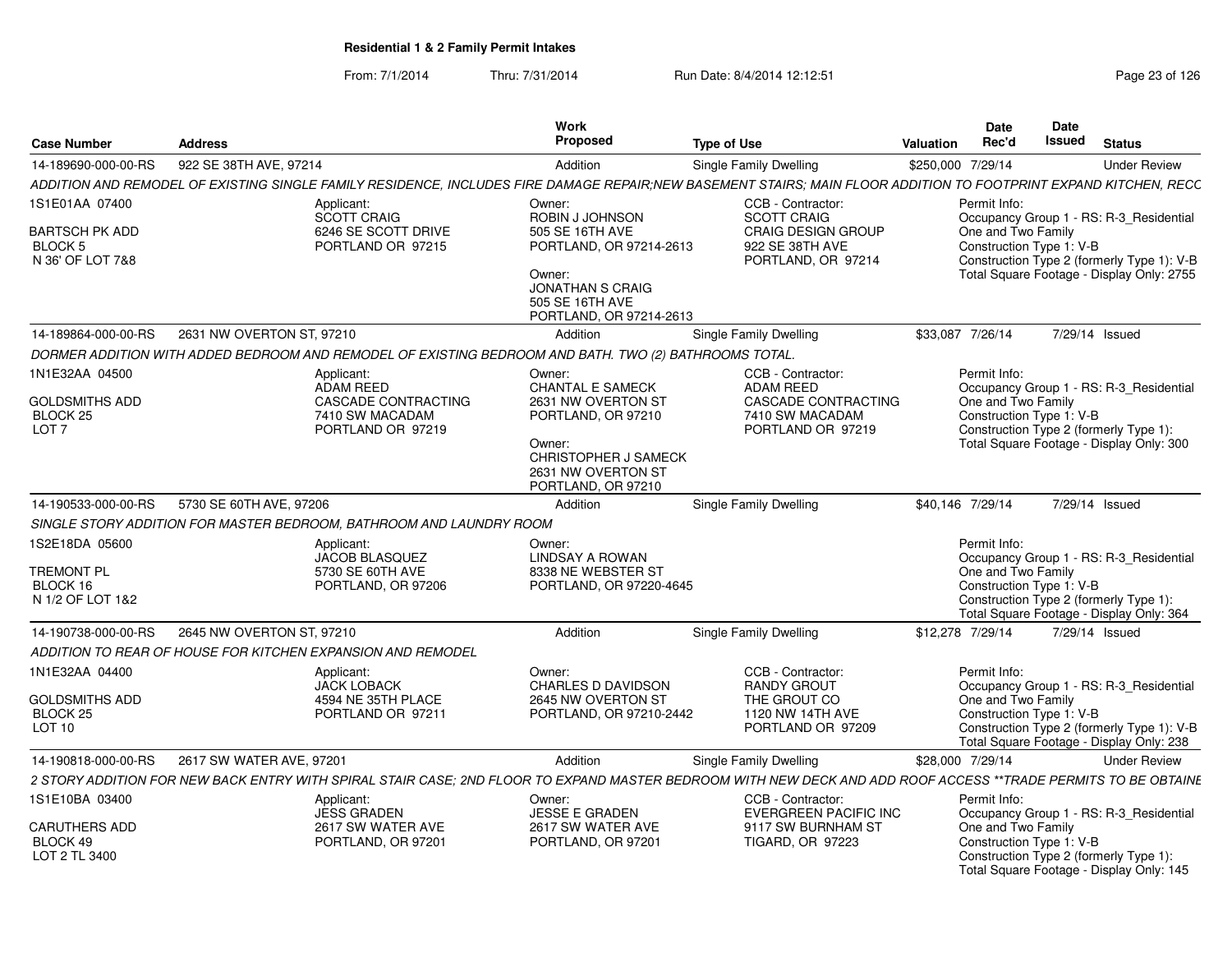| Case Number                                                                        | <b>Address</b>                                   |                                                                                                       | Work<br>Proposed                                                                                                                                            | Type of Use                                                                                                                                                      | Date<br>Rec'd<br>Valuation                                     | <b>Date</b><br>Issued<br>Status                                                                                                    |
|------------------------------------------------------------------------------------|--------------------------------------------------|-------------------------------------------------------------------------------------------------------|-------------------------------------------------------------------------------------------------------------------------------------------------------------|------------------------------------------------------------------------------------------------------------------------------------------------------------------|----------------------------------------------------------------|------------------------------------------------------------------------------------------------------------------------------------|
| 14-189690-000-00-RS                                                                | 922 SE 38TH AVE, 97214                           |                                                                                                       | Addition                                                                                                                                                    | <b>Single Family Dwelling</b>                                                                                                                                    | \$250,000 7/29/14                                              | <b>Under Review</b>                                                                                                                |
|                                                                                    |                                                  |                                                                                                       |                                                                                                                                                             | ADDITION AND REMODEL OF EXISTING SINGLE FAMILY RESIDENCE, INCLUDES FIRE DAMAGE REPAIR;NEW BASEMENT STAIRS; MAIN FLOOR ADDITION TO FOOTPRINT EXPAND KITCHEN, RECC |                                                                |                                                                                                                                    |
| 1S1E01AA 07400                                                                     |                                                  | Applicant:                                                                                            | Owner:                                                                                                                                                      | CCB - Contractor                                                                                                                                                 | Permit Info:                                                   |                                                                                                                                    |
| <b>BARTSCH PK ADD</b><br>BLOCK 5<br>N 36' OF LOT 7&8                               |                                                  | SCOTT CRAIG<br>6246 SE SCOTT DRIVE<br>PORTLAND OR 97215                                               | ROBIN J JOHNSON<br>505 SE 16TH AVE<br>PORTLAND, OR 97214-2613<br>Owner:<br><b>JONATHAN S CRAIG</b><br>505 SE 16TH AVE<br>PORTLAND, OR 97214-2613            | <b>SCOTT CRAIG</b><br><b>CRAIG DESIGN GROUP</b><br>922 SE 38TH AVE<br>PORTLAND, OR 97214                                                                         | One and Two Family<br>Construction Type 1: V-B                 | Occupancy Group 1 - RS: R-3_Residential<br>Construction Type 2 (formerly Type 1): V-B<br>Total Square Footage - Display Only: 2755 |
|                                                                                    |                                                  |                                                                                                       | Addition                                                                                                                                                    | Single Family Dwelling                                                                                                                                           | \$33,087 7/26/14                                               | 7/29/14 Issued                                                                                                                     |
|                                                                                    |                                                  | DORMER ADDITION WITH ADDED BEDROOM AND REMODEL OF EXISTING BEDROOM AND BATH. TWO (2) BATHROOMS TOTAL. |                                                                                                                                                             |                                                                                                                                                                  |                                                                |                                                                                                                                    |
| 1N1E32AA 04500<br><b>GOLDSMITHS ADD</b><br>BLOCK <sub>25</sub><br>LOT <sub>7</sub> |                                                  | Applicant:<br>ADAM REED<br>CASCADE CONTRACTING<br>7410 SW MACADAM<br>PORTLAND OR 97219                | Owner:<br><b>CHANTAL E SAMECK</b><br>2631 NW OVERTON ST<br>PORTLAND, OR 97210<br>Owner:<br>CHRISTOPHER J SAMECK<br>2631 NW OVERTON ST<br>PORTLAND, OR 97210 | CCB - Contractor:<br>ADAM REED<br><b>CASCADE CONTRACTING</b><br>7410 SW MACADAM<br>PORTLAND OR 97219                                                             | Permit Info:<br>One and Two Family<br>Construction Type 1: V-B | Occupancy Group 1 - RS: R-3_Residential<br>Construction Type 2 (formerly Type 1):<br>Total Square Footage - Display Only: 300      |
|                                                                                    | 14-190533-000-00-RS 5730 SE 60TH AVE, 97206      |                                                                                                       | Addition                                                                                                                                                    | <b>Single Family Dwelling</b>                                                                                                                                    | \$40,146 7/29/14                                               | 7/29/14 Issued                                                                                                                     |
|                                                                                    |                                                  | SINGLE STORY ADDITION FOR MASTER BEDROOM, BATHROOM AND LAUNDRY ROOM                                   |                                                                                                                                                             |                                                                                                                                                                  |                                                                |                                                                                                                                    |
| 1S2E18DA 05600<br>TREMONT PL<br>BLOCK 16<br>N 1/2 OF LOT 1&2                       |                                                  | Applicant:<br>JACOB BLASQUEZ<br>5730 SE 60TH AVE<br>PORTLAND, OR 97206                                | Owner:<br><b>LINDSAY A ROWAN</b><br>8338 NE WEBSTER ST<br>PORTLAND, OR 97220-4645                                                                           |                                                                                                                                                                  | Permit Info:<br>One and Two Family<br>Construction Type 1: V-B | Occupancy Group 1 - RS: R-3_Residential<br>Construction Type 2 (formerly Type 1):<br>Total Square Footage - Display Only: 364      |
| 14-190738-000-00-RS                                                                | 2645 NW OVERTON ST, 97210                        |                                                                                                       | Addition                                                                                                                                                    | Single Family Dwelling                                                                                                                                           | \$12,278 7/29/14                                               | 7/29/14 Issued                                                                                                                     |
|                                                                                    |                                                  | ADDITION TO REAR OF HOUSE FOR KITCHEN EXPANSION AND REMODEL                                           |                                                                                                                                                             |                                                                                                                                                                  |                                                                |                                                                                                                                    |
| 1N1E32AA 04400<br><b>GOLDSMITHS ADD</b><br>BLOCK 25<br><b>LOT 10</b>               |                                                  | Applicant:<br><b>JACK LOBACK</b><br>4594 NE 35TH PLACE<br>PORTLAND OR 97211                           | Owner:<br>CHARLES D DAVIDSON<br>2645 NW OVERTON ST<br>PORTLAND, OR 97210-2442                                                                               | CCB - Contractor:<br><b>RANDY GROUT</b><br>THE GROUT CO<br>1120 NW 14TH AVE<br>PORTLAND OR 97209                                                                 | Permit Info:<br>One and Two Family<br>Construction Type 1: V-B | Occupancy Group 1 - RS: R-3 Residential<br>Construction Type 2 (formerly Type 1): V-E<br>Total Square Footage - Display Only: 238  |
|                                                                                    | 14-190818-000-00-RS     2617 SW WATER AVE, 97201 |                                                                                                       | Addition                                                                                                                                                    | <b>Single Family Dwelling</b>                                                                                                                                    | \$28,000 7/29/14                                               | <b>Under Review</b>                                                                                                                |
|                                                                                    |                                                  |                                                                                                       |                                                                                                                                                             | 2 STORY ADDITION FOR NEW BACK ENTRY WITH SPIRAL STAIR CASE; 2ND FLOOR TO EXPAND MASTER BEDROOM WITH NEW DECK AND ADD ROOF ACCESS **TRADE PERMITS TO BE OBTAINE   |                                                                |                                                                                                                                    |
| 1S1E10BA 03400<br>CARUTHERS ADD<br>BLOCK 49<br>LOT 2 TL 3400                       |                                                  | Applicant:<br><b>JESS GRADEN</b><br>2617 SW WATER AVE<br>PORTLAND, OR 97201                           | Owner:<br><b>JESSE E GRADEN</b><br>2617 SW WATER AVE<br>PORTLAND, OR 97201                                                                                  | CCB - Contractor:<br><b>EVERGREEN PACIFIC INC</b><br>9117 SW BURNHAM ST<br><b>TIGARD, OR 97223</b>                                                               | Permit Info:<br>One and Two Family<br>Construction Type 1: V-B | Occupancy Group 1 - RS: R-3_Residential<br>Construction Type 2 (formerly Type 1):                                                  |
|                                                                                    |                                                  |                                                                                                       |                                                                                                                                                             |                                                                                                                                                                  |                                                                | Total Square Footage - Display Only: 145                                                                                           |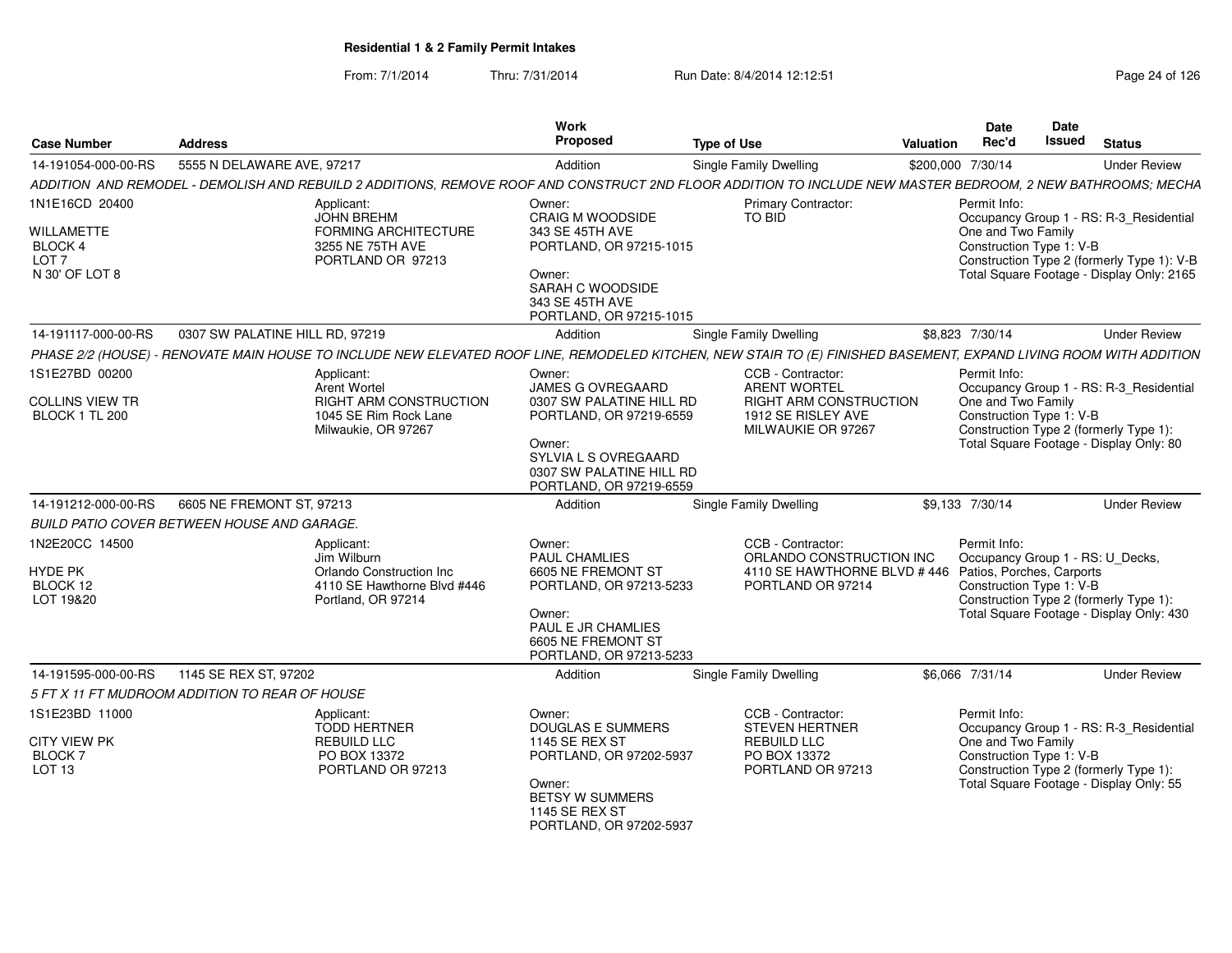| <b>Case Number</b>                                                 | <b>Address</b>                                                                                                                                                     | <b>Work</b><br>Proposed                                                                                                                                           | <b>Type of Use</b>                                                                               | <b>Valuation</b> | Date<br>Rec'd                                    | Date<br>Issued | <b>Status</b>                                                                                                                      |
|--------------------------------------------------------------------|--------------------------------------------------------------------------------------------------------------------------------------------------------------------|-------------------------------------------------------------------------------------------------------------------------------------------------------------------|--------------------------------------------------------------------------------------------------|------------------|--------------------------------------------------|----------------|------------------------------------------------------------------------------------------------------------------------------------|
| 14-191054-000-00-RS                                                | 5555 N DELAWARE AVE, 97217                                                                                                                                         | Addition                                                                                                                                                          | Single Family Dwelling                                                                           |                  | \$200,000 7/30/14                                |                | <b>Under Review</b>                                                                                                                |
|                                                                    | ADDITION AND REMODEL - DEMOLISH AND REBUILD 2 ADDITIONS, REMOVE ROOF AND CONSTRUCT 2ND FLOOR ADDITION TO INCLUDE NEW MASTER BEDROOM, 2 NEW BATHROOMS; MECHA        |                                                                                                                                                                   |                                                                                                  |                  |                                                  |                |                                                                                                                                    |
| 1N1E16CD 20400                                                     | Applicant:                                                                                                                                                         | Owner:                                                                                                                                                            | <b>Primary Contractor:</b>                                                                       |                  | Permit Info:                                     |                |                                                                                                                                    |
| <b>WILLAMETTE</b><br>BLOCK 4<br>LOT <sub>7</sub><br>N 30' OF LOT 8 | <b>JOHN BREHM</b><br>FORMING ARCHITECTURE<br>3255 NE 75TH AVE<br>PORTLAND OR 97213                                                                                 | CRAIG M WOODSIDE<br>343 SE 45TH AVE<br>PORTLAND, OR 97215-1015<br>Owner:<br>SARAH C WOODSIDE<br>343 SE 45TH AVE<br>PORTLAND, OR 97215-1015                        | <b>TO BID</b>                                                                                    |                  | One and Two Family<br>Construction Type 1: V-B   |                | Occupancy Group 1 - RS: R-3_Residential<br>Construction Type 2 (formerly Type 1): V-B<br>Total Square Footage - Display Only: 2165 |
| 14-191117-000-00-RS                                                | 0307 SW PALATINE HILL RD, 97219                                                                                                                                    | Addition                                                                                                                                                          | Single Family Dwelling                                                                           |                  | \$8,823 7/30/14                                  |                | <b>Under Review</b>                                                                                                                |
|                                                                    | PHASE 2/2 (HOUSE) - RENOVATE MAIN HOUSE TO INCLUDE NEW ELEVATED ROOF LINE, REMODELED KITCHEN, NEW STAIR TO (E) FINISHED BASEMENT, EXPAND LIVING ROOM WITH ADDITION |                                                                                                                                                                   |                                                                                                  |                  |                                                  |                |                                                                                                                                    |
| 1S1E27BD 00200                                                     | Applicant:                                                                                                                                                         | Owner:                                                                                                                                                            | CCB - Contractor:                                                                                |                  | Permit Info:                                     |                |                                                                                                                                    |
| COLLINS VIEW TR<br>BLOCK 1 TL 200                                  | Arent Wortel<br><b>RIGHT ARM CONSTRUCTION</b><br>1045 SE Rim Rock Lane<br>Milwaukie, OR 97267                                                                      | JAMES G OVREGAARD<br>0307 SW PALATINE HILL RD<br>PORTLAND, OR 97219-6559<br>Owner:<br>SYLVIA L S OVREGAARD<br>0307 SW PALATINE HILL RD<br>PORTLAND, OR 97219-6559 | <b>ARENT WORTEL</b><br><b>RIGHT ARM CONSTRUCTION</b><br>1912 SE RISLEY AVE<br>MILWAUKIE OR 97267 |                  | One and Two Family<br>Construction Type 1: V-B   |                | Occupancy Group 1 - RS: R-3_Residential<br>Construction Type 2 (formerly Type 1):<br>Total Square Footage - Display Only: 80       |
| 14-191212-000-00-RS                                                | 6605 NE FREMONT ST, 97213                                                                                                                                          | Addition                                                                                                                                                          | Single Family Dwelling                                                                           |                  | \$9,133 7/30/14                                  |                | <b>Under Review</b>                                                                                                                |
|                                                                    | <b>BUILD PATIO COVER BETWEEN HOUSE AND GARAGE.</b>                                                                                                                 |                                                                                                                                                                   |                                                                                                  |                  |                                                  |                |                                                                                                                                    |
| 1N2E20CC 14500                                                     | Applicant:<br>Jim Wilburn                                                                                                                                          | Owner:<br><b>PAUL CHAMLIES</b>                                                                                                                                    | CCB - Contractor:<br>ORLANDO CONSTRUCTION INC                                                    |                  | Permit Info:<br>Occupancy Group 1 - RS: U_Decks, |                |                                                                                                                                    |
| <b>HYDE PK</b><br>BLOCK 12<br>LOT 19&20                            | Orlando Construction Inc<br>4110 SE Hawthorne Blvd #446<br>Portland, OR 97214                                                                                      | 6605 NE FREMONT ST<br>PORTLAND, OR 97213-5233                                                                                                                     | 4110 SE HAWTHORNE BLVD #446 Patios, Porches, Carports<br>PORTLAND OR 97214                       |                  | Construction Type 1: V-B                         |                | Construction Type 2 (formerly Type 1):                                                                                             |
|                                                                    |                                                                                                                                                                    | Owner:<br>PAUL E JR CHAMLIES<br>6605 NE FREMONT ST<br>PORTLAND, OR 97213-5233                                                                                     |                                                                                                  |                  |                                                  |                | Total Square Footage - Display Only: 430                                                                                           |
| 14-191595-000-00-RS                                                | 1145 SE REX ST, 97202                                                                                                                                              | Addition                                                                                                                                                          | Single Family Dwelling                                                                           |                  | \$6,066 7/31/14                                  |                | <b>Under Review</b>                                                                                                                |
|                                                                    | 5 FT X 11 FT MUDROOM ADDITION TO REAR OF HOUSE                                                                                                                     |                                                                                                                                                                   |                                                                                                  |                  |                                                  |                |                                                                                                                                    |
| 1S1E23BD 11000                                                     | Applicant:<br><b>TODD HERTNER</b>                                                                                                                                  | Owner:<br><b>DOUGLAS E SUMMERS</b>                                                                                                                                | CCB - Contractor:<br><b>STEVEN HERTNER</b>                                                       |                  | Permit Info:                                     |                | Occupancy Group 1 - RS: R-3_Residential                                                                                            |
| <b>CITY VIEW PK</b><br><b>BLOCK7</b><br><b>LOT 13</b>              | <b>REBUILD LLC</b><br>PO BOX 13372<br>PORTLAND OR 97213                                                                                                            | <b>1145 SE REX ST</b><br>PORTLAND, OR 97202-5937<br>Owner:                                                                                                        | REBUILD LLC<br>PO BOX 13372<br>PORTLAND OR 97213                                                 |                  | One and Two Family<br>Construction Type 1: V-B   |                | Construction Type 2 (formerly Type 1):<br>Total Square Footage - Display Only: 55                                                  |
|                                                                    |                                                                                                                                                                    | BETSY W SUMMERS<br>1145 SE REX ST<br>PORTLAND, OR 97202-5937                                                                                                      |                                                                                                  |                  |                                                  |                |                                                                                                                                    |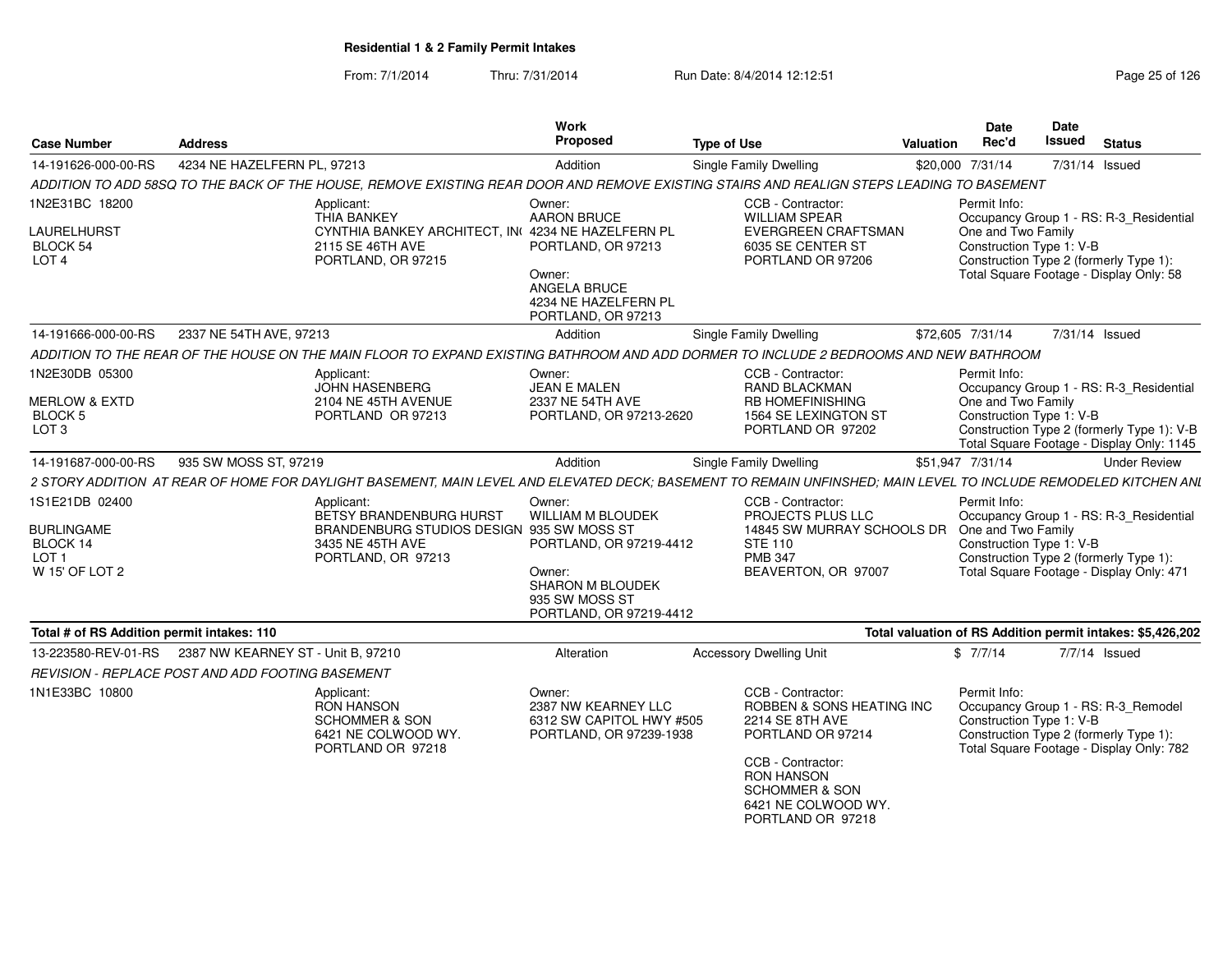| <b>Case Number</b>                         | <b>Address</b>                                   |                                                                       | Work<br>Proposed                                                                     | <b>Type of Use</b>                                                                                                                                               | Valuation        | <b>Date</b><br>Rec'd                           | <b>Date</b><br>Issued | <b>Status</b>                                                                                                             |
|--------------------------------------------|--------------------------------------------------|-----------------------------------------------------------------------|--------------------------------------------------------------------------------------|------------------------------------------------------------------------------------------------------------------------------------------------------------------|------------------|------------------------------------------------|-----------------------|---------------------------------------------------------------------------------------------------------------------------|
| 14-191626-000-00-RS                        | 4234 NE HAZELFERN PL, 97213                      |                                                                       | Addition                                                                             | Single Family Dwelling                                                                                                                                           | \$20,000 7/31/14 |                                                | 7/31/14 Issued        |                                                                                                                           |
|                                            |                                                  |                                                                       |                                                                                      | ADDITION TO ADD 58SQ TO THE BACK OF THE HOUSE, REMOVE EXISTING REAR DOOR AND REMOVE EXISTING STAIRS AND REALIGN STEPS LEADING TO BASEMENT                        |                  |                                                |                       |                                                                                                                           |
| 1N2E31BC 18200                             | Applicant:                                       |                                                                       | Owner:                                                                               | CCB - Contractor:                                                                                                                                                |                  | Permit Info:                                   |                       |                                                                                                                           |
| LAURELHURST                                | THIA BANKEY                                      | CYNTHIA BANKEY ARCHITECT, IN(4234 NE HAZELFERN PL                     | <b>AARON BRUCE</b>                                                                   | <b>WILLIAM SPEAR</b><br>EVERGREEN CRAFTSMAN                                                                                                                      |                  | One and Two Family<br>Construction Type 1: V-B |                       | Occupancy Group 1 - RS: R-3 Residential                                                                                   |
| BLOCK 54<br>LOT <sub>4</sub>               |                                                  | 2115 SE 46TH AVE<br>PORTLAND, OR 97215                                | PORTLAND, OR 97213<br>Owner:<br>ANGELA BRUCE<br>4234 NE HAZELFERN PL                 | 6035 SE CENTER ST<br>PORTLAND OR 97206                                                                                                                           |                  |                                                |                       | Construction Type 2 (formerly Type 1):<br>Total Square Footage - Display Only: 58                                         |
| 14-191666-000-00-RS                        | 2337 NE 54TH AVE, 97213                          |                                                                       | PORTLAND, OR 97213<br>Addition                                                       | Single Family Dwelling                                                                                                                                           | \$72,605 7/31/14 |                                                |                       |                                                                                                                           |
|                                            |                                                  |                                                                       |                                                                                      | ADDITION TO THE REAR OF THE HOUSE ON THE MAIN FLOOR TO EXPAND EXISTING BATHROOM AND ADD DORMER TO INCLUDE 2 BEDROOMS AND NEW BATHROOM                            |                  |                                                | 7/31/14 Issued        |                                                                                                                           |
| 1N2E30DB 05300                             |                                                  |                                                                       |                                                                                      | CCB - Contractor:                                                                                                                                                |                  | Permit Info:                                   |                       |                                                                                                                           |
| MERLOW & EXTD                              | Applicant:                                       | <b>JOHN HASENBERG</b><br>2104 NE 45TH AVENUE                          | Owner:<br><b>JEAN E MALEN</b><br>2337 NE 54TH AVE                                    | <b>RAND BLACKMAN</b><br><b>RB HOMEFINISHING</b>                                                                                                                  |                  | One and Two Family                             |                       | Occupancy Group 1 - RS: R-3_Residential                                                                                   |
| <b>BLOCK 5</b>                             |                                                  | PORTLAND OR 97213                                                     | PORTLAND, OR 97213-2620                                                              | 1564 SE LEXINGTON ST                                                                                                                                             |                  | Construction Type 1: V-B                       |                       |                                                                                                                           |
| LOT <sub>3</sub>                           |                                                  |                                                                       |                                                                                      | PORTLAND OR 97202                                                                                                                                                |                  |                                                |                       | Construction Type 2 (formerly Type 1): V-B<br>Total Square Footage - Display Only: 1145                                   |
| 14-191687-000-00-RS                        | 935 SW MOSS ST, 97219                            |                                                                       | <b>Addition</b>                                                                      | Single Family Dwelling                                                                                                                                           | \$51,947 7/31/14 |                                                |                       | <b>Under Review</b>                                                                                                       |
|                                            |                                                  |                                                                       |                                                                                      | 2 STORY ADDITION  AT REAR OF HOME FOR DAYLIGHT BASEMENT. MAIN LEVEL AND ELEVATED DECK: BASEMENT TO REMAIN UNFINSHED: MAIN LEVEL TO INCLUDE REMODELED KITCHEN ANI |                  |                                                |                       |                                                                                                                           |
| 1S1E21DB 02400                             | Applicant:                                       |                                                                       | Owner:                                                                               | CCB - Contractor:                                                                                                                                                |                  | Permit Info:                                   |                       |                                                                                                                           |
| <b>BURLINGAME</b>                          |                                                  | BETSY BRANDENBURG HURST                                               | <b>WILLIAM M BLOUDEK</b>                                                             | PROJECTS PLUS LLC<br>14845 SW MURRAY SCHOOLS DR                                                                                                                  |                  | One and Two Family                             |                       | Occupancy Group 1 - RS: R-3_Residential                                                                                   |
| BLOCK 14                                   |                                                  | BRANDENBURG STUDIOS DESIGN 935 SW MOSS ST<br>3435 NE 45TH AVE         | PORTLAND, OR 97219-4412                                                              | <b>STE 110</b>                                                                                                                                                   |                  | Construction Type 1: V-B                       |                       |                                                                                                                           |
| LOT <sub>1</sub>                           |                                                  | PORTLAND, OR 97213                                                    |                                                                                      | <b>PMB 347</b>                                                                                                                                                   |                  |                                                |                       | Construction Type 2 (formerly Type 1):                                                                                    |
| W 15' OF LOT 2                             |                                                  |                                                                       | Owner:<br><b>SHARON M BLOUDEK</b><br>935 SW MOSS ST<br>PORTLAND, OR 97219-4412       | BEAVERTON, OR 97007                                                                                                                                              |                  |                                                |                       | Total Square Footage - Display Only: 471                                                                                  |
| Total # of RS Addition permit intakes: 110 |                                                  |                                                                       |                                                                                      |                                                                                                                                                                  |                  |                                                |                       | Total valuation of RS Addition permit intakes: \$5,426,202                                                                |
|                                            |                                                  |                                                                       | Alteration                                                                           | <b>Accessory Dwelling Unit</b>                                                                                                                                   |                  | \$7/7/14                                       |                       | 7/7/14 Issued                                                                                                             |
|                                            | REVISION - REPLACE POST AND ADD FOOTING BASEMENT |                                                                       |                                                                                      |                                                                                                                                                                  |                  |                                                |                       |                                                                                                                           |
| 1N1E33BC 10800                             | Applicant:<br><b>RON HANSON</b>                  | <b>SCHOMMER &amp; SON</b><br>6421 NE COLWOOD WY.<br>PORTLAND OR 97218 | Owner:<br>2387 NW KEARNEY LLC<br>6312 SW CAPITOL HWY #505<br>PORTLAND, OR 97239-1938 | CCB - Contractor:<br>ROBBEN & SONS HEATING INC<br>2214 SE 8TH AVE<br>PORTLAND OR 97214                                                                           |                  | Permit Info:<br>Construction Type 1: V-B       |                       | Occupancy Group 1 - RS: R-3_Remodel<br>Construction Type 2 (formerly Type 1):<br>Total Square Footage - Display Only: 782 |
|                                            |                                                  |                                                                       |                                                                                      | CCB - Contractor:<br><b>RON HANSON</b><br><b>SCHOMMER &amp; SON</b><br>6421 NE COLWOOD WY.<br>PORTLAND OR 97218                                                  |                  |                                                |                       |                                                                                                                           |
|                                            |                                                  |                                                                       |                                                                                      |                                                                                                                                                                  |                  |                                                |                       |                                                                                                                           |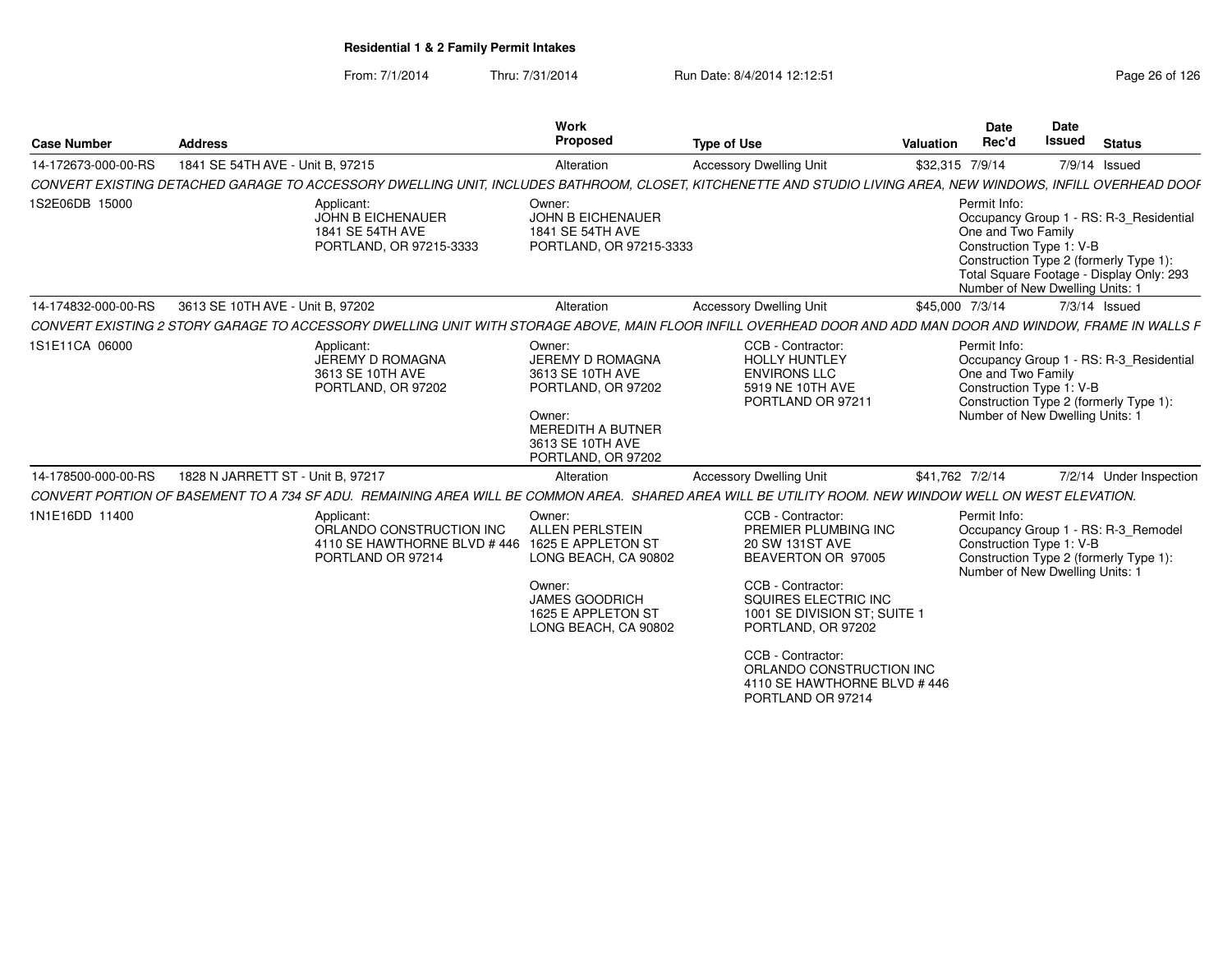| <b>Case Number</b>  | <b>Address</b>                    |                                                                                             | Work<br>Proposed                                                                                                                                                | <b>Type of Use</b>                                                                                                                                                                                                                                                                         | Valuation       | <b>Date</b><br>Rec'd                                                                              | <b>Date</b><br>Issued | <b>Status</b>                                                                                                                 |
|---------------------|-----------------------------------|---------------------------------------------------------------------------------------------|-----------------------------------------------------------------------------------------------------------------------------------------------------------------|--------------------------------------------------------------------------------------------------------------------------------------------------------------------------------------------------------------------------------------------------------------------------------------------|-----------------|---------------------------------------------------------------------------------------------------|-----------------------|-------------------------------------------------------------------------------------------------------------------------------|
| 14-172673-000-00-RS | 1841 SE 54TH AVE - Unit B, 97215  |                                                                                             | Alteration                                                                                                                                                      | <b>Accessory Dwelling Unit</b>                                                                                                                                                                                                                                                             | \$32,315 7/9/14 |                                                                                                   | 7/9/14 Issued         |                                                                                                                               |
|                     |                                   |                                                                                             |                                                                                                                                                                 | CONVERT EXISTING DETACHED GARAGE TO ACCESSORY DWELLING UNIT, INCLUDES BATHROOM, CLOSET, KITCHENETTE AND STUDIO LIVING AREA, NEW WINDOWS, INFILL OVERHEAD DOOF                                                                                                                              |                 |                                                                                                   |                       |                                                                                                                               |
| 1S2E06DB 15000      |                                   | Applicant:<br>JOHN B EICHENAUER<br>1841 SE 54TH AVE<br>PORTLAND, OR 97215-3333              | Owner:<br><b>JOHN B EICHENAUER</b><br>1841 SE 54TH AVE<br>PORTLAND, OR 97215-3333                                                                               |                                                                                                                                                                                                                                                                                            |                 | Permit Info:<br>One and Two Family<br>Construction Type 1: V-B<br>Number of New Dwelling Units: 1 |                       | Occupancy Group 1 - RS: R-3 Residential<br>Construction Type 2 (formerly Type 1):<br>Total Square Footage - Display Only: 293 |
| 14-174832-000-00-RS | 3613 SE 10TH AVE - Unit B, 97202  |                                                                                             | Alteration                                                                                                                                                      | <b>Accessory Dwelling Unit</b>                                                                                                                                                                                                                                                             | \$45,000 7/3/14 |                                                                                                   | 7/3/14 Issued         |                                                                                                                               |
|                     |                                   |                                                                                             |                                                                                                                                                                 | CONVERT EXISTING 2 STORY GARAGE TO ACCESSORY DWELLING UNIT WITH STORAGE ABOVE, MAIN FLOOR INFILL OVERHEAD DOOR AND ADD MAN DOOR AND WINDOW, FRAME IN WALLS F                                                                                                                               |                 |                                                                                                   |                       |                                                                                                                               |
| 1S1E11CA 06000      |                                   | Applicant:<br>JEREMY D ROMAGNA<br>3613 SE 10TH AVE<br>PORTLAND, OR 97202                    | Owner:<br>JEREMY D ROMAGNA<br>3613 SE 10TH AVE<br>PORTLAND, OR 97202<br>Owner:<br><b>MEREDITH A BUTNER</b><br>3613 SE 10TH AVE<br>PORTLAND, OR 97202            | CCB - Contractor:<br><b>HOLLY HUNTLEY</b><br><b>ENVIRONS LLC</b><br>5919 NE 10TH AVE<br>PORTLAND OR 97211                                                                                                                                                                                  |                 | Permit Info:<br>One and Two Family<br>Construction Type 1: V-B<br>Number of New Dwelling Units: 1 |                       | Occupancy Group 1 - RS: R-3 Residential<br>Construction Type 2 (formerly Type 1):                                             |
| 14-178500-000-00-RS | 1828 N JARRETT ST - Unit B, 97217 |                                                                                             | Alteration                                                                                                                                                      | <b>Accessory Dwelling Unit</b>                                                                                                                                                                                                                                                             | \$41,762 7/2/14 |                                                                                                   |                       | 7/2/14 Under Inspection                                                                                                       |
|                     |                                   |                                                                                             |                                                                                                                                                                 | CONVERT PORTION OF BASEMENT TO A 734 SF ADU. REMAINING AREA WILL BE COMMON AREA. SHARED AREA WILL BE UTILITY ROOM. NEW WINDOW WELL ON WEST ELEVATION.                                                                                                                                      |                 |                                                                                                   |                       |                                                                                                                               |
| 1N1E16DD 11400      |                                   | Applicant:<br>ORLANDO CONSTRUCTION INC<br>4110 SE HAWTHORNE BLVD # 446<br>PORTLAND OR 97214 | Owner:<br><b>ALLEN PERLSTEIN</b><br>1625 E APPLETON ST<br>LONG BEACH, CA 90802<br>Owner:<br><b>JAMES GOODRICH</b><br>1625 E APPLETON ST<br>LONG BEACH, CA 90802 | CCB - Contractor:<br>PREMIER PLUMBING INC<br>20 SW 131ST AVE<br>BEAVERTON OR 97005<br>CCB - Contractor:<br>SQUIRES ELECTRIC INC<br>1001 SE DIVISION ST; SUITE 1<br>PORTLAND, OR 97202<br>CCB - Contractor:<br>ORLANDO CONSTRUCTION INC<br>4110 SE HAWTHORNE BLVD #446<br>PORTLAND OR 97214 |                 | Permit Info:<br>Construction Type 1: V-B<br>Number of New Dwelling Units: 1                       |                       | Occupancy Group 1 - RS: R-3_Remodel<br>Construction Type 2 (formerly Type 1):                                                 |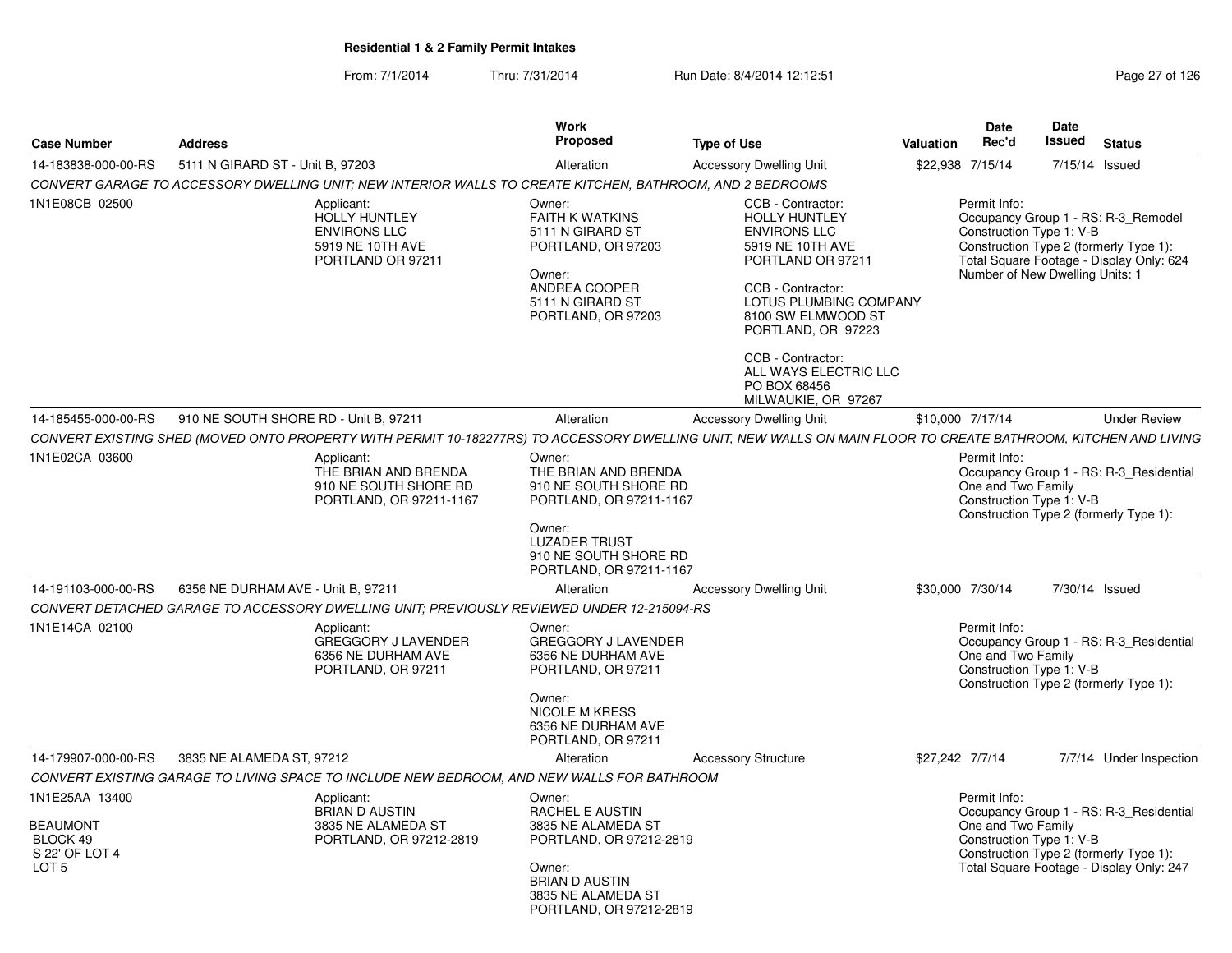| <b>Case Number</b>                                                                  | <b>Address</b>                        |                                                                                                           | Work<br>Proposed                                                                                                                                               | <b>Type of Use</b>                                                                                                                                                                                                                                                 | Valuation       | Date<br>Rec'd                                                               | <b>Date</b><br><b>Issued</b> | <b>Status</b>                                                                                                                                                       |
|-------------------------------------------------------------------------------------|---------------------------------------|-----------------------------------------------------------------------------------------------------------|----------------------------------------------------------------------------------------------------------------------------------------------------------------|--------------------------------------------------------------------------------------------------------------------------------------------------------------------------------------------------------------------------------------------------------------------|-----------------|-----------------------------------------------------------------------------|------------------------------|---------------------------------------------------------------------------------------------------------------------------------------------------------------------|
| 14-183838-000-00-RS                                                                 | 5111 N GIRARD ST - Unit B. 97203      |                                                                                                           | Alteration                                                                                                                                                     | <b>Accessory Dwelling Unit</b>                                                                                                                                                                                                                                     |                 | \$22,938 7/15/14                                                            | 7/15/14 Issued               |                                                                                                                                                                     |
|                                                                                     |                                       | CONVERT GARAGE TO ACCESSORY DWELLING UNIT; NEW INTERIOR WALLS TO CREATE KITCHEN, BATHROOM, AND 2 BEDROOMS |                                                                                                                                                                |                                                                                                                                                                                                                                                                    |                 |                                                                             |                              |                                                                                                                                                                     |
| 1N1E08CB 02500                                                                      |                                       | Applicant:<br><b>HOLLY HUNTLEY</b><br><b>ENVIRONS LLC</b><br>5919 NE 10TH AVE<br>PORTLAND OR 97211        | Owner:<br><b>FAITH K WATKINS</b><br>5111 N GIRARD ST<br>PORTLAND, OR 97203<br>Owner:<br>ANDREA COOPER<br>5111 N GIRARD ST<br>PORTLAND, OR 97203                | CCB - Contractor:<br><b>HOLLY HUNTLEY</b><br><b>ENVIRONS LLC</b><br>5919 NE 10TH AVE<br>PORTLAND OR 97211<br>CCB - Contractor:<br>LOTUS PLUMBING COMPANY<br>8100 SW ELMWOOD ST<br>PORTLAND, OR 97223<br>CCB - Contractor:<br>ALL WAYS ELECTRIC LLC<br>PO BOX 68456 |                 | Permit Info:<br>Construction Type 1: V-B<br>Number of New Dwelling Units: 1 |                              | Occupancy Group 1 - RS: R-3_Remodel<br>Construction Type 11 Termerly Type 1):<br>Construction Type 2 (formerly Type 1):<br>Total Square Footage - Display Only: 624 |
|                                                                                     |                                       |                                                                                                           |                                                                                                                                                                | MILWAUKIE, OR 97267                                                                                                                                                                                                                                                |                 |                                                                             |                              |                                                                                                                                                                     |
| 14-185455-000-00-RS                                                                 | 910 NE SOUTH SHORE RD - Unit B, 97211 |                                                                                                           | Alteration                                                                                                                                                     | <b>Accessory Dwelling Unit</b>                                                                                                                                                                                                                                     |                 | \$10,000 7/17/14                                                            |                              | <b>Under Review</b>                                                                                                                                                 |
|                                                                                     |                                       |                                                                                                           |                                                                                                                                                                | CONVERT EXISTING SHED (MOVED ONTO PROPERTY WITH PERMIT 10-182277RS) TO ACCESSORY DWELLING UNIT, NEW WALLS ON MAIN FLOOR TO CREATE BATHROOM, KITCHEN AND LIVING                                                                                                     |                 |                                                                             |                              |                                                                                                                                                                     |
| 1N1E02CA 03600                                                                      |                                       | Applicant:<br>THE BRIAN AND BRENDA<br>910 NE SOUTH SHORE RD<br>PORTLAND, OR 97211-1167                    | Owner:<br>THE BRIAN AND BRENDA<br>910 NE SOUTH SHORE RD<br>PORTLAND, OR 97211-1167                                                                             |                                                                                                                                                                                                                                                                    |                 | Permit Info:<br>One and Two Family<br>Construction Type 1: V-B              |                              | Occupancy Group 1 - RS: R-3_Residential<br>Construction Type 2 (formerly Type 1):                                                                                   |
|                                                                                     |                                       |                                                                                                           | Owner:<br><b>LUZADER TRUST</b><br>910 NE SOUTH SHORE RD<br>PORTLAND, OR 97211-1167                                                                             |                                                                                                                                                                                                                                                                    |                 |                                                                             |                              |                                                                                                                                                                     |
| 14-191103-000-00-RS                                                                 | 6356 NE DURHAM AVE - Unit B. 97211    |                                                                                                           | Alteration                                                                                                                                                     | <b>Accessory Dwelling Unit</b>                                                                                                                                                                                                                                     |                 | \$30,000 7/30/14                                                            | 7/30/14 Issued               |                                                                                                                                                                     |
|                                                                                     |                                       | CONVERT DETACHED GARAGE TO ACCESSORY DWELLING UNIT; PREVIOUSLY REVIEWED UNDER 12-215094-RS                |                                                                                                                                                                |                                                                                                                                                                                                                                                                    |                 |                                                                             |                              |                                                                                                                                                                     |
| 1N1E14CA 02100                                                                      |                                       | Applicant:<br>GREGGORY J LAVENDER<br>6356 NE DURHAM AVE<br>PORTLAND, OR 97211                             | Owner:<br><b>GREGGORY J LAVENDER</b><br>6356 NE DURHAM AVE<br>PORTLAND, OR 97211<br>Owner:                                                                     |                                                                                                                                                                                                                                                                    |                 | Permit Info:<br>One and Two Family<br>Construction Type 1: V-B              |                              | Occupancy Group 1 - RS: R-3 Residential<br>Construction Type 2 (formerly Type 1):                                                                                   |
|                                                                                     |                                       |                                                                                                           | <b>NICOLE M KRESS</b><br>6356 NE DURHAM AVE<br>PORTLAND, OR 97211                                                                                              |                                                                                                                                                                                                                                                                    |                 |                                                                             |                              |                                                                                                                                                                     |
| 14-179907-000-00-RS                                                                 | 3835 NE ALAMEDA ST. 97212             |                                                                                                           | Alteration                                                                                                                                                     | <b>Accessory Structure</b>                                                                                                                                                                                                                                         | \$27,242 7/7/14 |                                                                             |                              | 7/7/14 Under Inspection                                                                                                                                             |
|                                                                                     |                                       | CONVERT EXISTING GARAGE TO LIVING SPACE TO INCLUDE NEW BEDROOM, AND NEW WALLS FOR BATHROOM                |                                                                                                                                                                |                                                                                                                                                                                                                                                                    |                 |                                                                             |                              |                                                                                                                                                                     |
| 1N1E25AA 13400<br><b>BEAUMONT</b><br>BLOCK 49<br>S 22' OF LOT 4<br>LOT <sub>5</sub> |                                       | Applicant:<br><b>BRIAN D AUSTIN</b><br>3835 NE ALAMEDA ST<br>PORTLAND, OR 97212-2819                      | Owner:<br>RACHEL E AUSTIN<br>3835 NE ALAMEDA ST<br>PORTLAND, OR 97212-2819<br>Owner:<br><b>BRIAN D AUSTIN</b><br>3835 NE ALAMEDA ST<br>PORTLAND, OR 97212-2819 |                                                                                                                                                                                                                                                                    |                 | Permit Info:<br>One and Two Family<br>Construction Type 1: V-B              |                              | Occupancy Group 1 - RS: R-3_Residential<br>Construction Type 2 (formerly Type 1):<br>Total Square Footage - Display Only: 247                                       |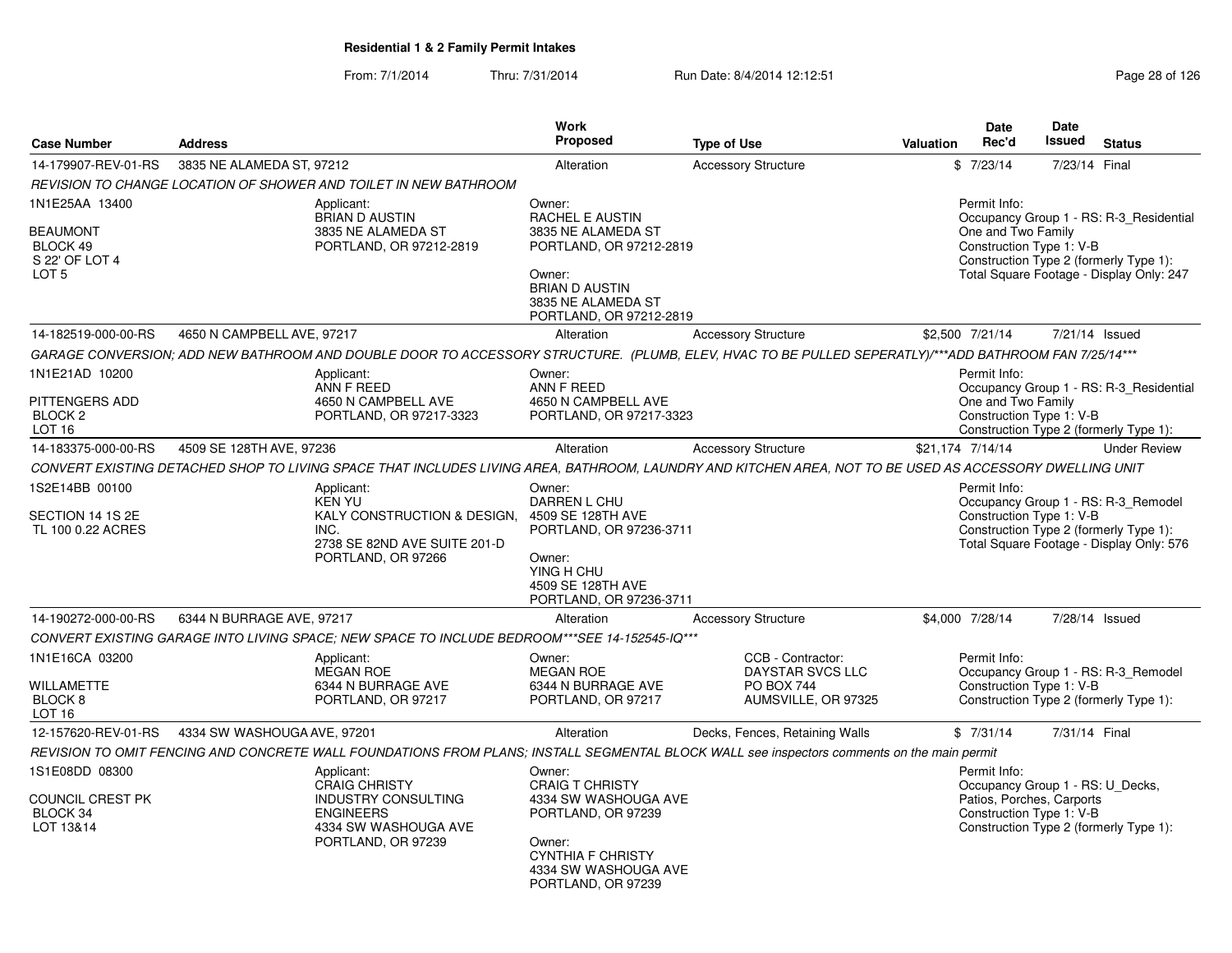| <b>Case Number</b>                                                                  | <b>Address</b>                                                                                                                                          | <b>Work</b><br>Proposed                                                                                                                                               | <b>Type of Use</b>                                                                | <b>Valuation</b> | Date<br>Rec'd                                                                                             | <b>Date</b><br><b>Issued</b> | <b>Status</b>                                                                                                                 |
|-------------------------------------------------------------------------------------|---------------------------------------------------------------------------------------------------------------------------------------------------------|-----------------------------------------------------------------------------------------------------------------------------------------------------------------------|-----------------------------------------------------------------------------------|------------------|-----------------------------------------------------------------------------------------------------------|------------------------------|-------------------------------------------------------------------------------------------------------------------------------|
| 14-179907-REV-01-RS                                                                 | 3835 NE ALAMEDA ST, 97212                                                                                                                               | Alteration                                                                                                                                                            | <b>Accessory Structure</b>                                                        |                  | \$7/23/14                                                                                                 | 7/23/14 Final                |                                                                                                                               |
|                                                                                     | REVISION TO CHANGE LOCATION OF SHOWER AND TOILET IN NEW BATHROOM                                                                                        |                                                                                                                                                                       |                                                                                   |                  |                                                                                                           |                              |                                                                                                                               |
| 1N1E25AA 13400<br><b>BEAUMONT</b><br>BLOCK 49<br>S 22' OF LOT 4<br>LOT <sub>5</sub> | Applicant:<br><b>BRIAN D AUSTIN</b><br>3835 NE ALAMEDA ST<br>PORTLAND, OR 97212-2819                                                                    | Owner:<br><b>RACHEL E AUSTIN</b><br>3835 NE ALAMEDA ST<br>PORTLAND, OR 97212-2819<br>Owner:<br><b>BRIAN D AUSTIN</b><br>3835 NE ALAMEDA ST<br>PORTLAND, OR 97212-2819 |                                                                                   |                  | Permit Info:<br>One and Two Family<br>Construction Type 1: V-B                                            |                              | Occupancy Group 1 - RS: R-3 Residential<br>Construction Type 2 (formerly Type 1):<br>Total Square Footage - Display Only: 247 |
| 14-182519-000-00-RS                                                                 | 4650 N CAMPBELL AVE, 97217                                                                                                                              | Alteration                                                                                                                                                            | <b>Accessory Structure</b>                                                        | \$2,500 7/21/14  |                                                                                                           |                              | 7/21/14 Issued                                                                                                                |
|                                                                                     | GARAGE CONVERSION; ADD NEW BATHROOM AND DOUBLE DOOR TO ACCESSORY STRUCTURE. (PLUMB, ELEV, HVAC TO BE PULLED SEPERATLY)/***ADD BATHROOM FAN 7/25/14***   |                                                                                                                                                                       |                                                                                   |                  |                                                                                                           |                              |                                                                                                                               |
| 1N1E21AD 10200<br><b>PITTENGERS ADD</b><br>BLOCK <sub>2</sub><br>LOT <sub>16</sub>  | Applicant:<br>ANN F REED<br>4650 N CAMPBELL AVE<br>PORTLAND, OR 97217-3323                                                                              | Owner:<br>ANN F REED<br>4650 N CAMPBELL AVE<br>PORTLAND, OR 97217-3323                                                                                                |                                                                                   |                  | Permit Info:<br>One and Two Family<br>Construction Type 1: V-B                                            |                              | Occupancy Group 1 - RS: R-3 Residential<br>Construction Type 2 (formerly Type 1):                                             |
| 14-183375-000-00-RS                                                                 | 4509 SE 128TH AVE, 97236                                                                                                                                | Alteration                                                                                                                                                            | <b>Accessory Structure</b>                                                        | \$21,174 7/14/14 |                                                                                                           |                              | <b>Under Review</b>                                                                                                           |
|                                                                                     | CONVERT EXISTING DETACHED SHOP TO LIVING SPACE THAT INCLUDES LIVING AREA. BATHROOM. LAUNDRY AND KITCHEN AREA. NOT TO BE USED AS ACCESSORY DWELLING UNIT |                                                                                                                                                                       |                                                                                   |                  |                                                                                                           |                              |                                                                                                                               |
| 1S2E14BB 00100<br>SECTION 14 1S 2E<br>TL 100 0.22 ACRES                             | Applicant:<br><b>KEN YU</b><br>KALY CONSTRUCTION & DESIGN, 4509 SE 128TH AVE<br>INC.<br>2738 SE 82ND AVE SUITE 201-D<br>PORTLAND, OR 97266              | Owner:<br>DARREN L CHU<br>PORTLAND, OR 97236-3711<br>Owner:<br>YING H CHU<br>4509 SE 128TH AVE<br>PORTLAND, OR 97236-3711                                             |                                                                                   |                  | Permit Info:<br>Construction Type 1: V-B                                                                  |                              | Occupancy Group 1 - RS: R-3_Remodel<br>Construction Type 2 (formerly Type 1):<br>Total Square Footage - Display Only: 576     |
| 14-190272-000-00-RS                                                                 | 6344 N BURRAGE AVE, 97217                                                                                                                               | Alteration                                                                                                                                                            | <b>Accessory Structure</b>                                                        | \$4,000 7/28/14  |                                                                                                           |                              | 7/28/14 Issued                                                                                                                |
|                                                                                     | CONVERT EXISTING GARAGE INTO LIVING SPACE; NEW SPACE TO INCLUDE BEDROOM***SEE 14-152545-IQ***                                                           |                                                                                                                                                                       |                                                                                   |                  |                                                                                                           |                              |                                                                                                                               |
| 1N1E16CA 03200<br><b>WILLAMETTE</b><br>BLOCK <sub>8</sub><br>LOT 16                 | Applicant:<br><b>MEGAN ROE</b><br>6344 N BURRAGE AVE<br>PORTLAND, OR 97217                                                                              | Owner:<br><b>MEGAN ROE</b><br>6344 N BURRAGE AVE<br>PORTLAND, OR 97217                                                                                                | CCB - Contractor:<br>DAYSTAR SVCS LLC<br><b>PO BOX 744</b><br>AUMSVILLE, OR 97325 |                  | Permit Info:<br>Construction Type 1: V-B                                                                  |                              | Occupancy Group 1 - RS: R-3 Remodel<br>Construction Type 2 (formerly Type 1):                                                 |
| 12-157620-REV-01-RS                                                                 | 4334 SW WASHOUGA AVE, 97201                                                                                                                             | Alteration                                                                                                                                                            | Decks, Fences, Retaining Walls                                                    |                  | \$7/31/14                                                                                                 | 7/31/14 Final                |                                                                                                                               |
|                                                                                     | REVISION TO OMIT FENCING AND CONCRETE WALL FOUNDATIONS FROM PLANS; INSTALL SEGMENTAL BLOCK WALL see inspectors comments on the main permit              |                                                                                                                                                                       |                                                                                   |                  |                                                                                                           |                              |                                                                                                                               |
| 1S1E08DD 08300<br>COUNCIL CREST PK<br>BLOCK 34<br>LOT 13&14                         | Applicant:<br><b>CRAIG CHRISTY</b><br><b>INDUSTRY CONSULTING</b><br><b>ENGINEERS</b><br>4334 SW WASHOUGA AVE<br>PORTLAND, OR 97239                      | Owner:<br><b>CRAIG T CHRISTY</b><br>4334 SW WASHOUGA AVE<br>PORTLAND, OR 97239<br>Owner:<br><b>CYNTHIA F CHRISTY</b><br>4334 SW WASHOUGA AVE<br>PORTLAND, OR 97239    |                                                                                   |                  | Permit Info:<br>Occupancy Group 1 - RS: U Decks,<br>Patios, Porches, Carports<br>Construction Type 1: V-B |                              | Construction Type 2 (formerly Type 1):                                                                                        |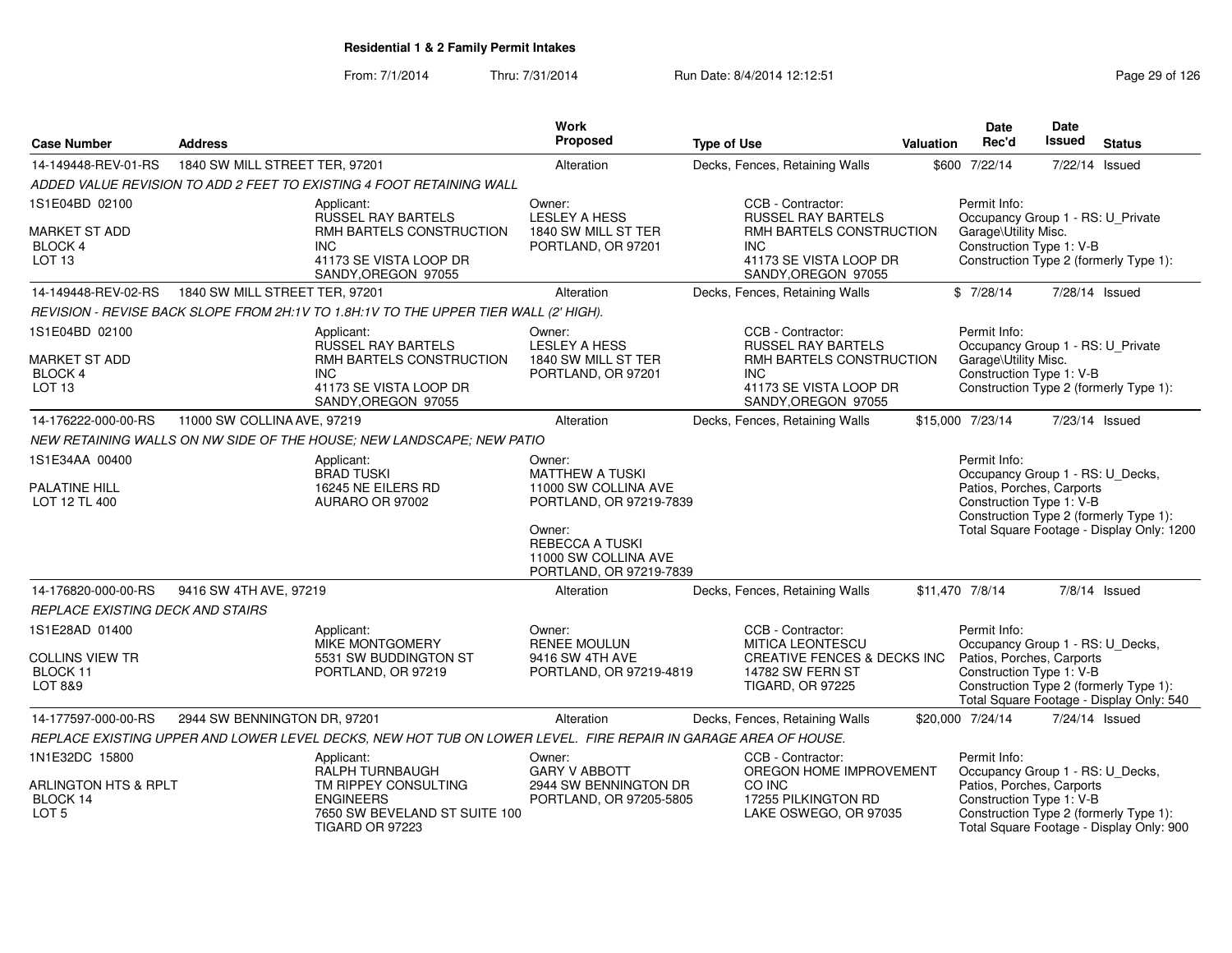| <b>Case Number</b>                                              | <b>Address</b>                                                                                                            |                                                                                                                | Work<br>Proposed                                                                    | <b>Type of Use</b>                                                                      | Valuation | <b>Date</b><br>Rec'd                                                                                                            | <b>Date</b><br><b>Issued</b> | <b>Status</b>                                                                      |
|-----------------------------------------------------------------|---------------------------------------------------------------------------------------------------------------------------|----------------------------------------------------------------------------------------------------------------|-------------------------------------------------------------------------------------|-----------------------------------------------------------------------------------------|-----------|---------------------------------------------------------------------------------------------------------------------------------|------------------------------|------------------------------------------------------------------------------------|
| 14-149448-REV-01-RS                                             | 1840 SW MILL STREET TER, 97201                                                                                            |                                                                                                                | Alteration                                                                          | Decks, Fences, Retaining Walls                                                          |           | \$600 7/22/14                                                                                                                   | 7/22/14                      | Issued                                                                             |
|                                                                 |                                                                                                                           | ADDED VALUE REVISION TO ADD 2 FEET TO EXISTING 4 FOOT RETAINING WALL                                           |                                                                                     |                                                                                         |           |                                                                                                                                 |                              |                                                                                    |
| 1S1E04BD 02100                                                  |                                                                                                                           | Applicant:<br><b>RUSSEL RAY BARTELS</b>                                                                        | Owner:<br><b>LESLEY A HESS</b>                                                      | CCB - Contractor:<br><b>RUSSEL RAY BARTELS</b>                                          |           | Permit Info:                                                                                                                    |                              |                                                                                    |
| MARKET ST ADD<br>BLOCK 4<br>LOT <sub>13</sub>                   | RMH BARTELS CONSTRUCTION<br><b>INC</b><br>41173 SE VISTA LOOP DR<br>SANDY, OREGON 97055<br>1840 SW MILL STREET TER, 97201 |                                                                                                                | 1840 SW MILL ST TER<br>PORTLAND, OR 97201                                           | RMH BARTELS CONSTRUCTION<br><b>INC</b><br>41173 SE VISTA LOOP DR<br>SANDY, OREGON 97055 |           | Occupancy Group 1 - RS: U_Private<br>Garage\Utility Misc.<br>Construction Type 1: V-B<br>Construction Type 2 (formerly Type 1): |                              |                                                                                    |
| 14-149448-REV-02-RS                                             |                                                                                                                           |                                                                                                                | Alteration                                                                          | Decks, Fences, Retaining Walls                                                          |           | \$7/28/14                                                                                                                       |                              | 7/28/14 Issued                                                                     |
|                                                                 |                                                                                                                           | REVISION - REVISE BACK SLOPE FROM 2H:1V TO 1.8H:1V TO THE UPPER TIER WALL (2' HIGH).                           |                                                                                     |                                                                                         |           |                                                                                                                                 |                              |                                                                                    |
| 1S1E04BD 02100                                                  |                                                                                                                           | Applicant:<br><b>RUSSEL RAY BARTELS</b>                                                                        | Owner:<br><b>LESLEY A HESS</b>                                                      | CCB - Contractor:<br><b>RUSSEL RAY BARTELS</b>                                          |           | Permit Info:                                                                                                                    |                              |                                                                                    |
| MARKET ST ADD<br>BLOCK 4<br><b>INC</b><br>LOT <sub>13</sub>     |                                                                                                                           | RMH BARTELS CONSTRUCTION<br>41173 SE VISTA LOOP DR<br>SANDY, OREGON 97055                                      | 1840 SW MILL ST TER<br>PORTLAND, OR 97201                                           | RMH BARTELS CONSTRUCTION<br><b>INC</b><br>41173 SE VISTA LOOP DR<br>SANDY, OREGON 97055 |           | Occupancy Group 1 - RS: U_Private<br>Garage\Utility Misc.<br>Construction Type 1: V-B<br>Construction Type 2 (formerly Type 1): |                              |                                                                                    |
| 14-176222-000-00-RS                                             | 11000 SW COLLINA AVE, 97219                                                                                               |                                                                                                                | Alteration                                                                          | Decks, Fences, Retaining Walls                                                          |           | \$15,000 7/23/14                                                                                                                |                              | 7/23/14 Issued                                                                     |
|                                                                 |                                                                                                                           | NEW RETAINING WALLS ON NW SIDE OF THE HOUSE; NEW LANDSCAPE; NEW PATIO                                          |                                                                                     |                                                                                         |           |                                                                                                                                 |                              |                                                                                    |
| 1S1E34AA 00400<br>PALATINE HILL<br>LOT 12 TL 400                | Applicant:<br><b>BRAD TUSKI</b><br>16245 NE EILERS RD<br>AURARO OR 97002                                                  |                                                                                                                | Owner:<br><b>MATTHEW A TUSKI</b><br>11000 SW COLLINA AVE<br>PORTLAND, OR 97219-7839 |                                                                                         |           | Permit Info:<br>Occupancy Group 1 - RS: U_Decks,<br>Patios, Porches, Carports<br>Construction Type 1: V-B                       |                              | Construction Type 2 (formerly Type 1):                                             |
|                                                                 |                                                                                                                           |                                                                                                                | Owner:<br><b>REBECCA A TUSKI</b><br>11000 SW COLLINA AVE<br>PORTLAND, OR 97219-7839 |                                                                                         |           |                                                                                                                                 |                              | Total Square Footage - Display Only: 1200                                          |
| 14-176820-000-00-RS                                             | 9416 SW 4TH AVE, 97219                                                                                                    |                                                                                                                | Alteration                                                                          | Decks, Fences, Retaining Walls                                                          |           | \$11.470 7/8/14                                                                                                                 |                              | 7/8/14 Issued                                                                      |
| <b>REPLACE EXISTING DECK AND STAIRS</b>                         |                                                                                                                           |                                                                                                                |                                                                                     |                                                                                         |           |                                                                                                                                 |                              |                                                                                    |
| 1S1E28AD 01400                                                  |                                                                                                                           | Applicant:<br><b>MIKE MONTGOMERY</b>                                                                           | Owner:<br>RENEE MOULUN                                                              | CCB - Contractor:<br><b>MITICA LEONTESCU</b>                                            |           | Permit Info:<br>Occupancy Group 1 - RS: U_Decks,                                                                                |                              |                                                                                    |
| COLLINS VIEW TR<br>BLOCK 11<br>LOT 8&9                          |                                                                                                                           | 5531 SW BUDDINGTON ST<br>PORTLAND, OR 97219                                                                    | 9416 SW 4TH AVE<br>PORTLAND, OR 97219-4819                                          | <b>CREATIVE FENCES &amp; DECKS INC</b><br>14782 SW FERN ST<br>TIGARD, OR 97225          |           | Patios, Porches, Carports<br>Construction Type 1: V-B                                                                           |                              | Construction Type 2 (formerly Type 1):<br>Total Square Footage - Display Only: 540 |
| 14-177597-000-00-RS                                             | 2944 SW BENNINGTON DR, 97201                                                                                              |                                                                                                                | Alteration                                                                          | Decks, Fences, Retaining Walls                                                          |           | \$20,000 7/24/14                                                                                                                |                              | 7/24/14 Issued                                                                     |
|                                                                 |                                                                                                                           | REPLACE EXISTING UPPER AND LOWER LEVEL DECKS, NEW HOT TUB ON LOWER LEVEL. FIRE REPAIR IN GARAGE AREA OF HOUSE. |                                                                                     |                                                                                         |           |                                                                                                                                 |                              |                                                                                    |
| 1N1E32DC 15800                                                  |                                                                                                                           | Applicant:<br>RALPH TURNBAUGH                                                                                  | Owner:<br><b>GARY V ABBOTT</b>                                                      | CCB - Contractor:<br>OREGON HOME IMPROVEMENT                                            |           | Permit Info:<br>Occupancy Group 1 - RS: U_Decks,                                                                                |                              |                                                                                    |
| <b>ARLINGTON HTS &amp; RPLT</b><br>BLOCK 14<br>LOT <sub>5</sub> |                                                                                                                           | TM RIPPEY CONSULTING<br><b>ENGINEERS</b><br>7650 SW BEVELAND ST SUITE 100<br><b>TIGARD OR 97223</b>            | 2944 SW BENNINGTON DR<br>PORTLAND, OR 97205-5805                                    | CO INC<br>17255 PILKINGTON RD<br>LAKE OSWEGO, OR 97035                                  |           | Patios, Porches, Carports<br>Construction Type 1: V-B                                                                           |                              | Construction Type 2 (formerly Type 1):<br>Total Square Footage - Display Only: 900 |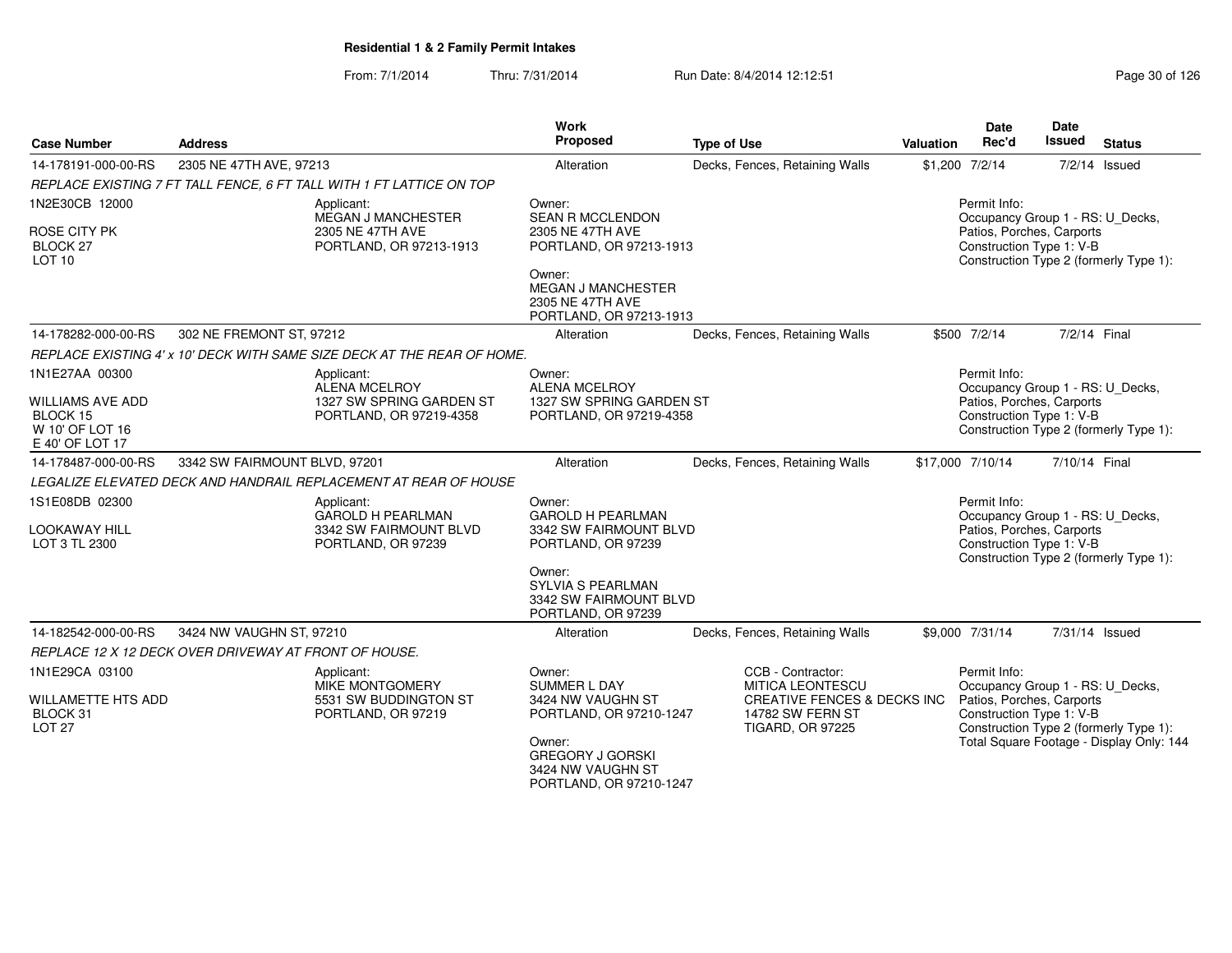| <b>Case Number</b>                    | <b>Address</b>                                        |                                                                         | Work<br>Proposed                                                                   | <b>Type of Use</b>                                                                                    | Valuation                                        | <b>Date</b><br>Rec'd                                                                                                                | Date<br><b>Issued</b> | <b>Status</b>                            |  |
|---------------------------------------|-------------------------------------------------------|-------------------------------------------------------------------------|------------------------------------------------------------------------------------|-------------------------------------------------------------------------------------------------------|--------------------------------------------------|-------------------------------------------------------------------------------------------------------------------------------------|-----------------------|------------------------------------------|--|
| 14-178191-000-00-RS                   | 2305 NE 47TH AVE, 97213                               |                                                                         | Alteration                                                                         | Decks, Fences, Retaining Walls                                                                        |                                                  | \$1,200 7/2/14                                                                                                                      |                       | $7/2/14$ Issued                          |  |
|                                       |                                                       | REPLACE EXISTING 7 FT TALL FENCE, 6 FT TALL WITH 1 FT LATTICE ON TOP    |                                                                                    |                                                                                                       |                                                  |                                                                                                                                     |                       |                                          |  |
| 1N2E30CB 12000<br>ROSE CITY PK        |                                                       | Applicant:<br>MEGAN J MANCHESTER<br>2305 NE 47TH AVE                    | Owner:<br>SEAN R MCCLENDON<br>2305 NE 47TH AVE                                     |                                                                                                       | Permit Info:<br>Occupancy Group 1 - RS: U_Decks, |                                                                                                                                     |                       |                                          |  |
| <b>BLOCK 27</b><br><b>LOT 10</b>      |                                                       | PORTLAND, OR 97213-1913                                                 | PORTLAND, OR 97213-1913                                                            |                                                                                                       |                                                  | Patios, Porches, Carports<br>Construction Type 1: V-B<br>Construction Type 2 (formerly Type 1):                                     |                       |                                          |  |
|                                       |                                                       |                                                                         | Owner:<br><b>MEGAN J MANCHESTER</b><br>2305 NE 47TH AVE<br>PORTLAND, OR 97213-1913 |                                                                                                       |                                                  |                                                                                                                                     |                       |                                          |  |
| 14-178282-000-00-RS                   | 302 NE FREMONT ST, 97212                              |                                                                         | Alteration                                                                         | Decks, Fences, Retaining Walls                                                                        |                                                  | \$500 7/2/14                                                                                                                        | 7/2/14 Final          |                                          |  |
|                                       |                                                       | REPLACE EXISTING 4' x 10' DECK WITH SAME SIZE DECK AT THE REAR OF HOME. |                                                                                    |                                                                                                       |                                                  |                                                                                                                                     |                       |                                          |  |
| 1N1E27AA 00300                        |                                                       | Applicant:<br><b>ALENA MCELROY</b>                                      | Owner:<br><b>ALENA MCELROY</b>                                                     |                                                                                                       |                                                  | Permit Info:<br>Occupancy Group 1 - RS: U_Decks,                                                                                    |                       |                                          |  |
| <b>WILLIAMS AVE ADD</b><br>BLOCK 15   |                                                       | 1327 SW SPRING GARDEN ST<br>PORTLAND, OR 97219-4358                     | 1327 SW SPRING GARDEN ST<br>PORTLAND, OR 97219-4358                                |                                                                                                       |                                                  | Patios, Porches, Carports<br>Construction Type 1: V-B                                                                               |                       |                                          |  |
| W 10' OF LOT 16<br>E 40' OF LOT 17    |                                                       |                                                                         |                                                                                    |                                                                                                       |                                                  |                                                                                                                                     |                       | Construction Type 2 (formerly Type 1):   |  |
| 14-178487-000-00-RS                   | 3342 SW FAIRMOUNT BLVD, 97201                         |                                                                         | Alteration                                                                         | Decks, Fences, Retaining Walls                                                                        |                                                  | \$17,000 7/10/14                                                                                                                    | 7/10/14 Final         |                                          |  |
|                                       |                                                       | LEGALIZE ELEVATED DECK AND HANDRAIL REPLACEMENT AT REAR OF HOUSE        |                                                                                    |                                                                                                       |                                                  |                                                                                                                                     |                       |                                          |  |
| 1S1E08DB 02300                        |                                                       | Applicant:<br><b>GAROLD H PEARLMAN</b>                                  | Owner:<br><b>GAROLD H PEARLMAN</b>                                                 |                                                                                                       |                                                  | Permit Info:<br>Occupancy Group 1 - RS: U_Decks,                                                                                    |                       |                                          |  |
| <b>LOOKAWAY HILL</b>                  |                                                       | 3342 SW FAIRMOUNT BLVD                                                  | 3342 SW FAIRMOUNT BLVD                                                             |                                                                                                       |                                                  | Patios, Porches, Carports                                                                                                           |                       |                                          |  |
| LOT 3 TL 2300                         |                                                       | PORTLAND, OR 97239                                                      | PORTLAND, OR 97239                                                                 |                                                                                                       |                                                  | Construction Type 1: V-B                                                                                                            |                       | Construction Type 2 (formerly Type 1):   |  |
|                                       |                                                       |                                                                         | Owner:<br><b>SYLVIA S PEARLMAN</b><br>3342 SW FAIRMOUNT BLVD<br>PORTLAND, OR 97239 |                                                                                                       |                                                  |                                                                                                                                     |                       |                                          |  |
| 14-182542-000-00-RS                   | 3424 NW VAUGHN ST, 97210                              |                                                                         | Alteration                                                                         | Decks, Fences, Retaining Walls                                                                        |                                                  | \$9,000 7/31/14                                                                                                                     |                       | 7/31/14 Issued                           |  |
|                                       | REPLACE 12 X 12 DECK OVER DRIVEWAY AT FRONT OF HOUSE. |                                                                         |                                                                                    |                                                                                                       |                                                  |                                                                                                                                     |                       |                                          |  |
| 1N1E29CA 03100                        |                                                       | Applicant:                                                              | Owner:                                                                             | CCB - Contractor:                                                                                     |                                                  | Permit Info:                                                                                                                        |                       |                                          |  |
| <b>WILLAMETTE HTS ADD</b><br>BLOCK 31 |                                                       | <b>MIKE MONTGOMERY</b><br>5531 SW BUDDINGTON ST<br>PORTLAND, OR 97219   | SUMMER L DAY<br>3424 NW VAUGHN ST<br>PORTLAND, OR 97210-1247                       | <b>MITICA LEONTESCU</b><br>CREATIVE FENCES & DECKS INC<br>14782 SW FERN ST<br><b>TIGARD, OR 97225</b> |                                                  | Occupancy Group 1 - RS: U_Decks,<br>Patios, Porches, Carports<br>Construction Type 1: V-B<br>Construction Type 2 (formerly Type 1): |                       |                                          |  |
| <b>LOT 27</b>                         |                                                       |                                                                         | Owner:<br><b>GREGORY J GORSKI</b><br>3424 NW VAUGHN ST<br>PORTLAND, OR 97210-1247  |                                                                                                       |                                                  |                                                                                                                                     |                       | Total Square Footage - Display Only: 144 |  |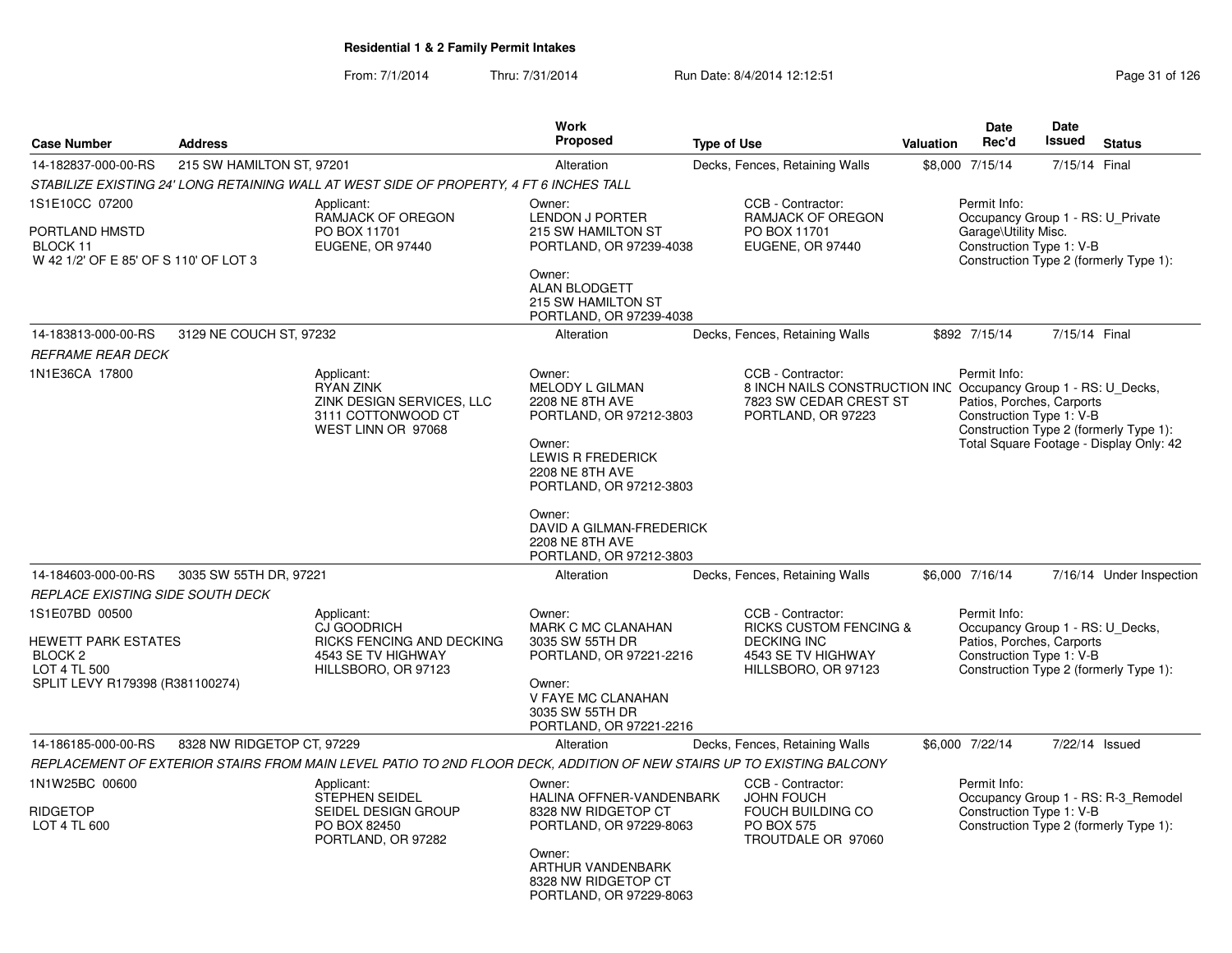|                                                                                                                                                           |                            |                                                                                                                       | Work                                                                                                                                                                                                                                      |                                                                                                                                     |           | <b>Date</b>                                                                                                                                         | Date           |                                                                                   |
|-----------------------------------------------------------------------------------------------------------------------------------------------------------|----------------------------|-----------------------------------------------------------------------------------------------------------------------|-------------------------------------------------------------------------------------------------------------------------------------------------------------------------------------------------------------------------------------------|-------------------------------------------------------------------------------------------------------------------------------------|-----------|-----------------------------------------------------------------------------------------------------------------------------------------------------|----------------|-----------------------------------------------------------------------------------|
| <b>Case Number</b>                                                                                                                                        | <b>Address</b>             |                                                                                                                       | <b>Proposed</b>                                                                                                                                                                                                                           | <b>Type of Use</b>                                                                                                                  | Valuation | Rec'd                                                                                                                                               | Issued         | <b>Status</b>                                                                     |
| 14-182837-000-00-RS                                                                                                                                       | 215 SW HAMILTON ST, 97201  |                                                                                                                       | Alteration                                                                                                                                                                                                                                | Decks, Fences, Retaining Walls                                                                                                      |           | \$8,000 7/15/14                                                                                                                                     | 7/15/14 Final  |                                                                                   |
|                                                                                                                                                           |                            | STABILIZE EXISTING 24' LONG RETAINING WALL AT WEST SIDE OF PROPERTY, 4 FT 6 INCHES TALL                               |                                                                                                                                                                                                                                           |                                                                                                                                     |           |                                                                                                                                                     |                |                                                                                   |
| 1S1E10CC 07200<br>PORTLAND HMSTD<br>BLOCK 11<br>W 42 1/2' OF E 85' OF S 110' OF LOT 3                                                                     |                            | Applicant:<br><b>RAMJACK OF OREGON</b><br>PO BOX 11701<br>EUGENE, OR 97440                                            | Owner:<br>LENDON J PORTER<br>215 SW HAMILTON ST<br>PORTLAND, OR 97239-4038<br>Owner:<br><b>ALAN BLODGETT</b><br>215 SW HAMILTON ST<br>PORTLAND, OR 97239-4038                                                                             | CCB - Contractor:<br>RAMJACK OF OREGON<br>PO BOX 11701<br>EUGENE, OR 97440                                                          |           | Permit Info:<br>Occupancy Group 1 - RS: U_Private<br>Garage\Utility Misc.<br>Construction Type 1: V-B<br>Construction Type 2 (formerly Type 1):     |                |                                                                                   |
| 14-183813-000-00-RS<br><b>REFRAME REAR DECK</b>                                                                                                           | 3129 NE COUCH ST, 97232    |                                                                                                                       | Alteration                                                                                                                                                                                                                                | Decks, Fences, Retaining Walls                                                                                                      |           | \$892 7/15/14                                                                                                                                       | 7/15/14 Final  |                                                                                   |
| 1N1E36CA 17800                                                                                                                                            |                            | Applicant:<br><b>RYAN ZINK</b><br>ZINK DESIGN SERVICES, LLC<br>3111 COTTONWOOD CT<br>WEST LINN OR 97068               | Owner:<br>MELODY L GILMAN<br><b>2208 NE 8TH AVE</b><br>PORTLAND, OR 97212-3803<br>Owner:<br><b>LEWIS R FREDERICK</b><br><b>2208 NE 8TH AVE</b><br>PORTLAND, OR 97212-3803<br>Owner:<br>DAVID A GILMAN-FREDERICK<br><b>2208 NE 8TH AVE</b> | CCB - Contractor:<br>8 INCH NAILS CONSTRUCTION INC Occupancy Group 1 - RS: U_Decks,<br>7823 SW CEDAR CREST ST<br>PORTLAND, OR 97223 |           | Permit Info:<br>Patios, Porches, Carports<br>Construction Type 1: V-B                                                                               |                | Construction Type 2 (formerly Type 1):<br>Total Square Footage - Display Only: 42 |
|                                                                                                                                                           |                            |                                                                                                                       | PORTLAND, OR 97212-3803                                                                                                                                                                                                                   |                                                                                                                                     |           |                                                                                                                                                     |                |                                                                                   |
| 14-184603-000-00-RS                                                                                                                                       | 3035 SW 55TH DR, 97221     |                                                                                                                       | Alteration                                                                                                                                                                                                                                | Decks, Fences, Retaining Walls                                                                                                      |           | \$6,000 7/16/14                                                                                                                                     |                | 7/16/14 Under Inspection                                                          |
| REPLACE EXISTING SIDE SOUTH DECK<br>1S1E07BD 00500<br><b>HEWETT PARK ESTATES</b><br>BLOCK <sub>2</sub><br>LOT 4 TL 500<br>SPLIT LEVY R179398 (R381100274) |                            | Applicant:<br>CJ GOODRICH<br><b>RICKS FENCING AND DECKING</b><br>4543 SE TV HIGHWAY<br>HILLSBORO, OR 97123            | Owner:<br>MARK C MC CLANAHAN<br>3035 SW 55TH DR<br>PORTLAND, OR 97221-2216<br>Owner:<br>V FAYE MC CLANAHAN<br>3035 SW 55TH DR<br>PORTLAND, OR 97221-2216                                                                                  | CCB - Contractor:<br><b>RICKS CUSTOM FENCING &amp;</b><br><b>DECKING INC</b><br>4543 SE TV HIGHWAY<br>HILLSBORO, OR 97123           |           | Permit Info:<br>Occupancy Group 1 - RS: U_Decks,<br>Patios, Porches, Carports<br>Construction Type 1: V-B<br>Construction Type 2 (formerly Type 1): |                |                                                                                   |
| 14-186185-000-00-RS                                                                                                                                       | 8328 NW RIDGETOP CT, 97229 |                                                                                                                       | Alteration                                                                                                                                                                                                                                | Decks, Fences, Retaining Walls                                                                                                      |           | \$6,000 7/22/14                                                                                                                                     | 7/22/14 Issued |                                                                                   |
|                                                                                                                                                           |                            | REPLACEMENT OF EXTERIOR STAIRS FROM MAIN LEVEL PATIO TO 2ND FLOOR DECK, ADDITION OF NEW STAIRS UP TO EXISTING BALCONY |                                                                                                                                                                                                                                           |                                                                                                                                     |           |                                                                                                                                                     |                |                                                                                   |
| 1N1W25BC 00600<br><b>RIDGETOP</b><br>LOT 4 TL 600                                                                                                         |                            | Applicant:<br>STEPHEN SEIDEL<br>SEIDEL DESIGN GROUP<br>PO BOX 82450<br>PORTLAND, OR 97282                             | Owner:<br>HALINA OFFNER-VANDENBARK<br>8328 NW RIDGETOP CT<br>PORTLAND, OR 97229-8063<br>Owner:<br>ARTHUR VANDENBARK<br>8328 NW RIDGETOP CT<br>PORTLAND, OR 97229-8063                                                                     | CCB - Contractor:<br><b>JOHN FOUCH</b><br>FOUCH BUILDING CO<br><b>PO BOX 575</b><br>TROUTDALE OR 97060                              |           | Permit Info:<br>Construction Type 1: V-B<br>Construction Type 2 (formerly Type 1):                                                                  |                | Occupancy Group 1 - RS: R-3_Remodel                                               |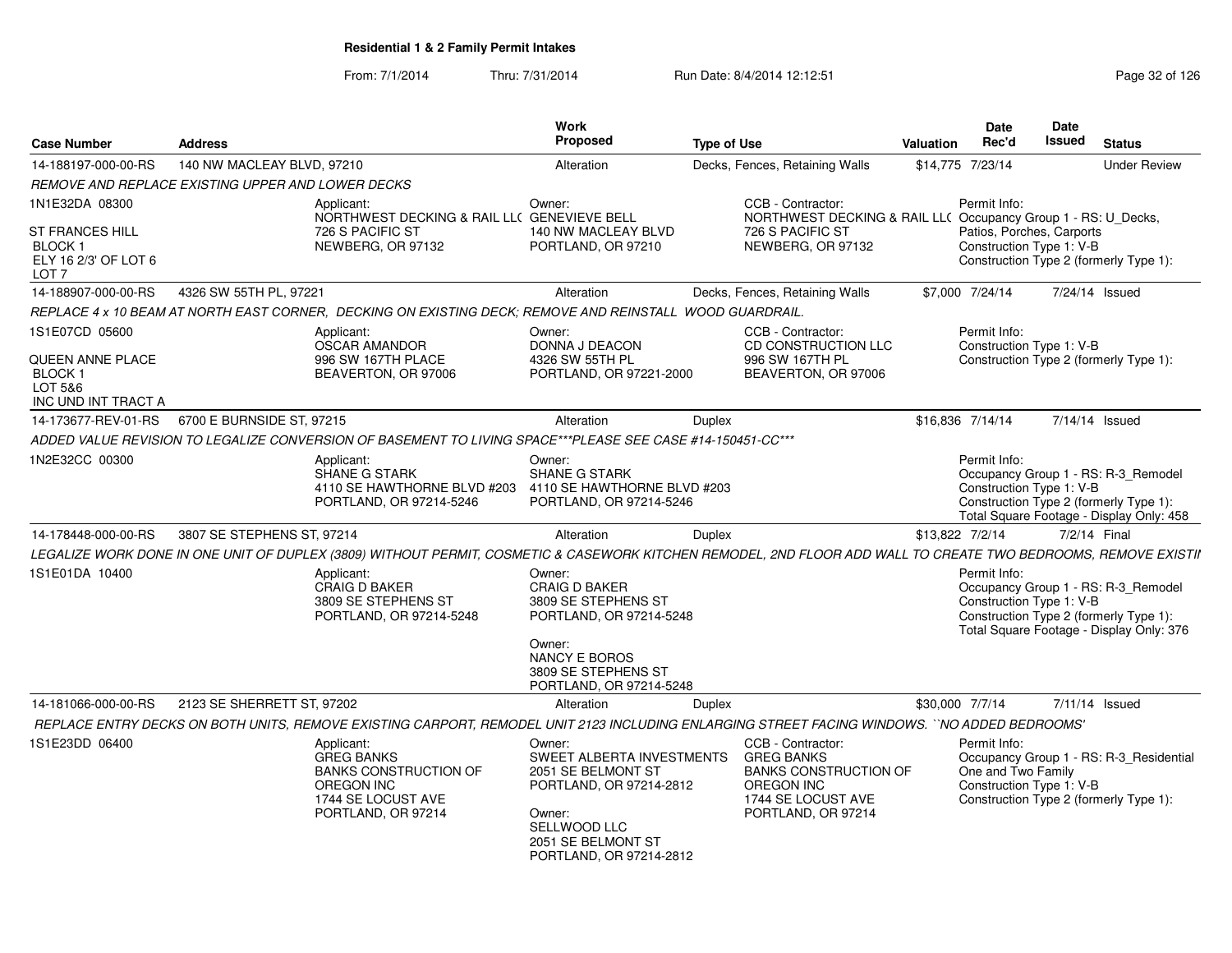| <b>Case Number</b>                                                                  | <b>Address</b>             |                                                                                                                                                                | Work<br><b>Proposed</b>                                                                                                                                       | <b>Type of Use</b> |                                                                                              | <b>Valuation</b> | <b>Date</b><br>Rec'd                                                                                                                                                  | Date<br>Issued | <b>Status</b>       |  |
|-------------------------------------------------------------------------------------|----------------------------|----------------------------------------------------------------------------------------------------------------------------------------------------------------|---------------------------------------------------------------------------------------------------------------------------------------------------------------|--------------------|----------------------------------------------------------------------------------------------|------------------|-----------------------------------------------------------------------------------------------------------------------------------------------------------------------|----------------|---------------------|--|
| 14-188197-000-00-RS                                                                 | 140 NW MACLEAY BLVD, 97210 |                                                                                                                                                                | Alteration                                                                                                                                                    |                    | Decks, Fences, Retaining Walls                                                               |                  | \$14,775 7/23/14                                                                                                                                                      |                | <b>Under Review</b> |  |
| REMOVE AND REPLACE EXISTING UPPER AND LOWER DECKS                                   |                            |                                                                                                                                                                |                                                                                                                                                               |                    |                                                                                              |                  |                                                                                                                                                                       |                |                     |  |
| 1N1E32DA 08300                                                                      |                            | Applicant:<br>NORTHWEST DECKING & RAIL LL( GENEVIEVE BELL                                                                                                      | Owner:                                                                                                                                                        |                    | CCB - Contractor:<br>NORTHWEST DECKING & RAIL LL( Occupancy Group 1 - RS: U_Decks,           |                  | Permit Info:                                                                                                                                                          |                |                     |  |
| <b>ST FRANCES HILL</b><br><b>BLOCK1</b><br>ELY 16 2/3' OF LOT 6<br>LOT <sub>7</sub> |                            | 726 S PACIFIC ST<br>NEWBERG, OR 97132                                                                                                                          | 140 NW MACLEAY BLVD<br>PORTLAND, OR 97210                                                                                                                     |                    | 726 S PACIFIC ST<br>NEWBERG, OR 97132                                                        |                  | Patios, Porches, Carports<br>Construction Type 1: V-B<br>Construction Type 2 (formerly Type 1):                                                                       |                |                     |  |
| 14-188907-000-00-RS                                                                 | 4326 SW 55TH PL, 97221     |                                                                                                                                                                | Alteration                                                                                                                                                    |                    | Decks, Fences, Retaining Walls                                                               |                  | \$7,000 7/24/14                                                                                                                                                       |                | 7/24/14 Issued      |  |
|                                                                                     |                            | REPLACE 4 x 10 BEAM AT NORTH EAST CORNER. DECKING ON EXISTING DECK: REMOVE AND REINSTALL WOOD GUARDRAIL.                                                       |                                                                                                                                                               |                    |                                                                                              |                  |                                                                                                                                                                       |                |                     |  |
| 1S1E07CD 05600<br><b>QUEEN ANNE PLACE</b><br>BLOCK <sub>1</sub><br>LOT 5&6          |                            | Applicant:<br><b>OSCAR AMANDOR</b><br>996 SW 167TH PLACE<br>BEAVERTON, OR 97006                                                                                | Owner:<br>DONNA J DEACON<br>4326 SW 55TH PL<br>PORTLAND, OR 97221-2000                                                                                        |                    | CCB - Contractor:<br>CD CONSTRUCTION LLC<br>996 SW 167TH PL<br>BEAVERTON, OR 97006           |                  | Permit Info:<br>Construction Type 1: V-B<br>Construction Type 2 (formerly Type 1):                                                                                    |                |                     |  |
| INC UND INT TRACT A                                                                 |                            |                                                                                                                                                                |                                                                                                                                                               |                    |                                                                                              |                  |                                                                                                                                                                       |                |                     |  |
| 14-173677-REV-01-RS                                                                 | 6700 E BURNSIDE ST, 97215  |                                                                                                                                                                | Alteration                                                                                                                                                    | Duplex             |                                                                                              |                  | \$16,836 7/14/14                                                                                                                                                      |                | 7/14/14 Issued      |  |
|                                                                                     |                            | ADDED VALUE REVISION TO LEGALIZE CONVERSION OF BASEMENT TO LIVING SPACE***PLEASE SEE CASE #14-150451-CC***                                                     |                                                                                                                                                               |                    |                                                                                              |                  |                                                                                                                                                                       |                |                     |  |
| 1N2E32CC 00300                                                                      |                            | Applicant:<br><b>SHANE G STARK</b><br>4110 SE HAWTHORNE BLVD #203<br>PORTLAND, OR 97214-5246                                                                   | Owner:<br><b>SHANE G STARK</b><br>4110 SE HAWTHORNE BLVD #203<br>PORTLAND, OR 97214-5246                                                                      |                    |                                                                                              |                  | Permit Info:<br>Occupancy Group 1 - RS: R-3_Remodel<br>Construction Type 1: V-B<br>Construction Type 2 (formerly Type 1):<br>Total Square Footage - Display Only: 458 |                |                     |  |
| 14-178448-000-00-RS                                                                 | 3807 SE STEPHENS ST, 97214 |                                                                                                                                                                | Alteration                                                                                                                                                    | Duplex             |                                                                                              | \$13,822 7/2/14  |                                                                                                                                                                       |                | 7/2/14 Final        |  |
|                                                                                     |                            | LEGALIZE WORK DONE IN ONE UNIT OF DUPLEX (3809) WITHOUT PERMIT, COSMETIC & CASEWORK KITCHEN REMODEL, 2ND FLOOR ADD WALL TO CREATE TWO BEDROOMS, REMOVE EXISTII |                                                                                                                                                               |                    |                                                                                              |                  |                                                                                                                                                                       |                |                     |  |
| 1S1E01DA 10400                                                                      |                            | Applicant:<br><b>CRAIG D BAKER</b><br>3809 SE STEPHENS ST<br>PORTLAND, OR 97214-5248                                                                           | Owner:<br><b>CRAIG D BAKER</b><br>3809 SE STEPHENS ST<br>PORTLAND, OR 97214-5248<br>Owner:<br>NANCY E BOROS<br>3809 SE STEPHENS ST<br>PORTLAND, OR 97214-5248 |                    |                                                                                              |                  | Permit Info:<br>Occupancy Group 1 - RS: R-3_Remodel<br>Construction Type 1: V-B<br>Construction Type 2 (formerly Type 1):<br>Total Square Footage - Display Only: 376 |                |                     |  |
| 14-181066-000-00-RS                                                                 | 2123 SE SHERRETT ST, 97202 |                                                                                                                                                                | Alteration                                                                                                                                                    | Duplex             |                                                                                              |                  | \$30,000 7/7/14                                                                                                                                                       |                | 7/11/14 Issued      |  |
|                                                                                     |                            | REPLACE ENTRY DECKS ON BOTH UNITS, REMOVE EXISTING CARPORT, REMODEL UNIT 2123 INCLUDING ENLARGING STREET FACING WINDOWS. ``NO ADDED BEDROOMS'                  |                                                                                                                                                               |                    |                                                                                              |                  |                                                                                                                                                                       |                |                     |  |
| 1S1E23DD 06400                                                                      |                            | Applicant:                                                                                                                                                     | Owner:                                                                                                                                                        |                    | CCB - Contractor:                                                                            |                  | Permit Info:                                                                                                                                                          |                |                     |  |
|                                                                                     |                            | <b>GREG BANKS</b><br><b>BANKS CONSTRUCTION OF</b><br><b>OREGON INC</b><br>1744 SE LOCUST AVE                                                                   | SWEET ALBERTA INVESTMENTS<br>2051 SE BELMONT ST<br>PORTLAND, OR 97214-2812                                                                                    |                    | <b>GREG BANKS</b><br><b>BANKS CONSTRUCTION OF</b><br><b>OREGON INC</b><br>1744 SE LOCUST AVE |                  | Occupancy Group 1 - RS: R-3_Residential<br>One and Two Family<br>Construction Type 1: V-B<br>Construction Type 2 (formerly Type 1):                                   |                |                     |  |
|                                                                                     |                            | PORTLAND, OR 97214                                                                                                                                             | Owner:<br>SELLWOOD LLC<br>2051 SE BELMONT ST<br>PORTLAND, OR 97214-2812                                                                                       |                    | PORTLAND, OR 97214                                                                           |                  |                                                                                                                                                                       |                |                     |  |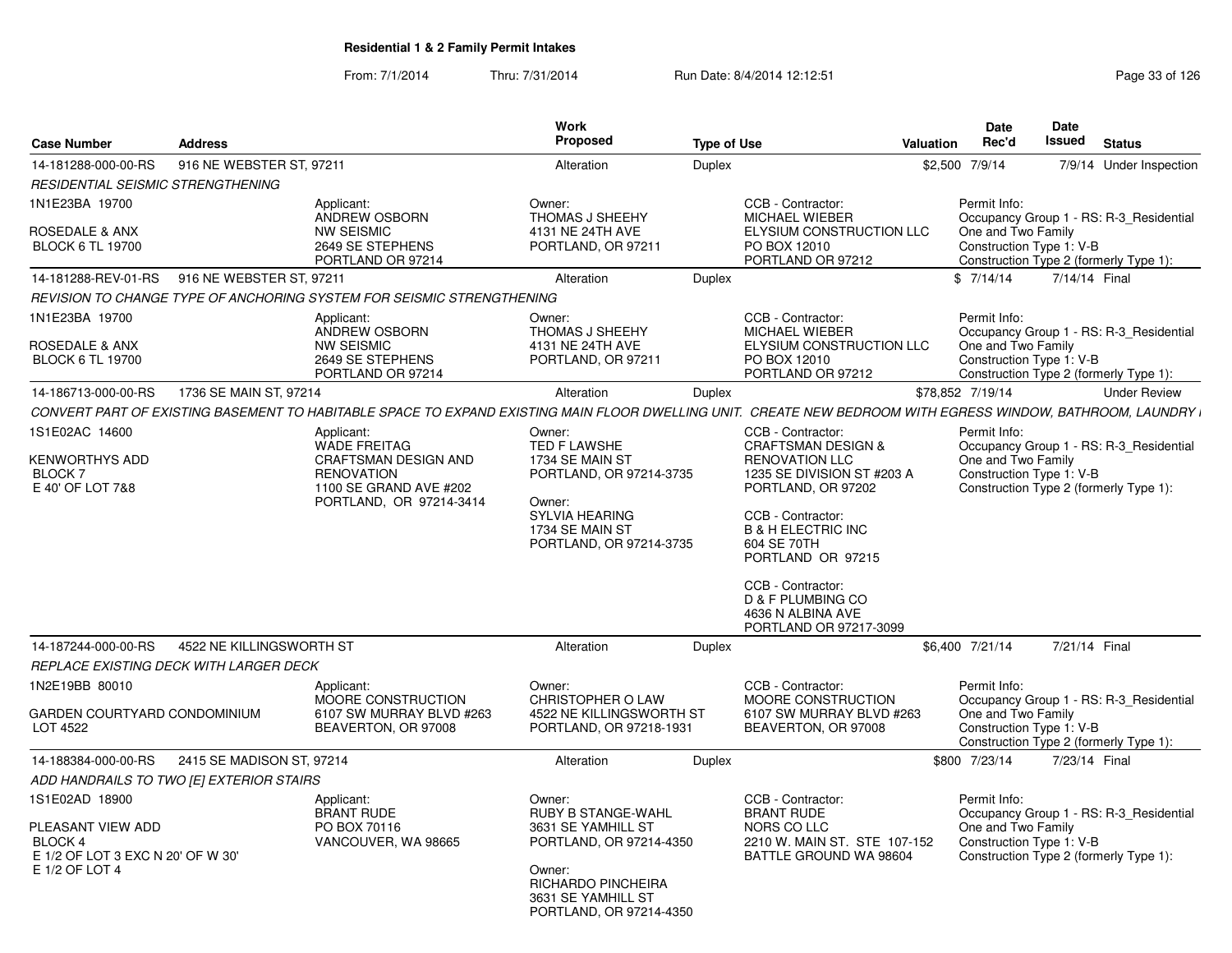| <b>Case Number</b>                                                                                    | <b>Address</b>            |                                                                                                                                                              | Work<br>Proposed                                                                                                            | <b>Type of Use</b> | <b>Valuation</b>                                                                                                                                                                                                                                             | <b>Date</b><br>Rec'd                                           | Date<br><b>Issued</b> | <b>Status</b>                                                                     |
|-------------------------------------------------------------------------------------------------------|---------------------------|--------------------------------------------------------------------------------------------------------------------------------------------------------------|-----------------------------------------------------------------------------------------------------------------------------|--------------------|--------------------------------------------------------------------------------------------------------------------------------------------------------------------------------------------------------------------------------------------------------------|----------------------------------------------------------------|-----------------------|-----------------------------------------------------------------------------------|
| 14-181288-000-00-RS                                                                                   | 916 NE WEBSTER ST. 97211  |                                                                                                                                                              | Alteration                                                                                                                  | Duplex             |                                                                                                                                                                                                                                                              | \$2,500 7/9/14                                                 |                       | 7/9/14 Under Inspection                                                           |
| RESIDENTIAL SEISMIC STRENGTHENING                                                                     |                           |                                                                                                                                                              |                                                                                                                             |                    |                                                                                                                                                                                                                                                              |                                                                |                       |                                                                                   |
| 1N1E23BA 19700<br>ROSEDALE & ANX<br><b>BLOCK 6 TL 19700</b>                                           |                           | Applicant:<br>ANDREW OSBORN<br><b>NW SEISMIC</b><br>2649 SE STEPHENS<br>PORTLAND OR 97214                                                                    | Owner:<br>THOMAS J SHEEHY<br>4131 NE 24TH AVE<br>PORTLAND, OR 97211                                                         |                    | CCB - Contractor:<br>MICHAEL WIEBER<br>ELYSIUM CONSTRUCTION LLC<br>PO BOX 12010<br>PORTLAND OR 97212                                                                                                                                                         | Permit Info:<br>One and Two Family<br>Construction Type 1: V-B |                       | Occupancy Group 1 - RS: R-3 Residential<br>Construction Type 2 (formerly Type 1): |
| 14-181288-REV-01-RS                                                                                   | 916 NE WEBSTER ST, 97211  |                                                                                                                                                              | Alteration                                                                                                                  | Duplex             |                                                                                                                                                                                                                                                              | \$7/14/14                                                      |                       | 7/14/14 Final                                                                     |
|                                                                                                       |                           | REVISION TO CHANGE TYPE OF ANCHORING SYSTEM FOR SEISMIC STRENGTHENING                                                                                        |                                                                                                                             |                    |                                                                                                                                                                                                                                                              |                                                                |                       |                                                                                   |
| 1N1E23BA 19700                                                                                        |                           | Applicant:<br>ANDREW OSBORN                                                                                                                                  | Owner:<br>THOMAS J SHEEHY                                                                                                   |                    | CCB - Contractor:<br><b>MICHAEL WIEBER</b>                                                                                                                                                                                                                   | Permit Info:                                                   |                       | Occupancy Group 1 - RS: R-3 Residential                                           |
| ROSEDALE & ANX<br><b>BLOCK 6 TL 19700</b>                                                             |                           | <b>NW SEISMIC</b><br>2649 SE STEPHENS<br>PORTLAND OR 97214                                                                                                   | 4131 NE 24TH AVE<br>PORTLAND, OR 97211                                                                                      |                    | ELYSIUM CONSTRUCTION LLC<br>PO BOX 12010<br>PORTLAND OR 97212                                                                                                                                                                                                | One and Two Family<br>Construction Type 1: V-B                 |                       | Construction Type 2 (formerly Type 1):                                            |
| 14-186713-000-00-RS                                                                                   | 1736 SE MAIN ST, 97214    |                                                                                                                                                              | Alteration                                                                                                                  | Duplex             |                                                                                                                                                                                                                                                              | \$78,852 7/19/14                                               |                       | <b>Under Review</b>                                                               |
|                                                                                                       |                           | CONVERT PART OF EXISTING BASEMENT TO HABITABLE SPACE TO EXPAND EXISTING MAIN FLOOR DWELLING UNIT. CREATE NEW BEDROOM WITH EGRESS WINDOW, BATHROOM, LAUNDRY I |                                                                                                                             |                    |                                                                                                                                                                                                                                                              |                                                                |                       |                                                                                   |
| 1S1E02AC 14600                                                                                        |                           | Applicant:<br><b>WADE FREITAG</b>                                                                                                                            | Owner:<br>TED F LAWSHE                                                                                                      |                    | CCB - Contractor:<br><b>CRAFTSMAN DESIGN &amp;</b>                                                                                                                                                                                                           | Permit Info:                                                   |                       | Occupancy Group 1 - RS: R-3 Residential                                           |
| <b>KENWORTHYS ADD</b><br>BLOCK 7<br>E 40' OF LOT 7&8                                                  |                           | <b>CRAFTSMAN DESIGN AND</b><br><b>RENOVATION</b><br>1100 SE GRAND AVE #202<br>PORTLAND, OR 97214-3414                                                        | 1734 SE MAIN ST<br>PORTLAND, OR 97214-3735<br>Owner:<br><b>SYLVIA HEARING</b><br>1734 SE MAIN ST<br>PORTLAND, OR 97214-3735 |                    | <b>RENOVATION LLC</b><br>1235 SE DIVISION ST #203 A<br>PORTLAND, OR 97202<br>CCB - Contractor:<br><b>B &amp; H ELECTRIC INC</b><br>604 SE 70TH<br>PORTLAND OR 97215<br>CCB - Contractor:<br>D & F PLUMBING CO<br>4636 N ALBINA AVE<br>PORTLAND OR 97217-3099 | One and Two Family<br>Construction Type 1: V-B                 |                       | Construction Type 2 (formerly Type 1):                                            |
| 14-187244-000-00-RS                                                                                   | 4522 NE KILLINGSWORTH ST  |                                                                                                                                                              | Alteration                                                                                                                  | Duplex             |                                                                                                                                                                                                                                                              | \$6.400 7/21/14                                                |                       | 7/21/14 Final                                                                     |
| REPLACE EXISTING DECK WITH LARGER DECK                                                                |                           |                                                                                                                                                              |                                                                                                                             |                    |                                                                                                                                                                                                                                                              |                                                                |                       |                                                                                   |
| 1N2E19BB 80010<br>GARDEN COURTYARD CONDOMINIUM<br>LOT 4522                                            |                           | Applicant:<br>MOORE CONSTRUCTION<br>6107 SW MURRAY BLVD #263<br>BEAVERTON, OR 97008                                                                          | Owner:<br><b>CHRISTOPHER O LAW</b><br>4522 NE KILLINGSWORTH ST<br>PORTLAND, OR 97218-1931                                   |                    | CCB - Contractor:<br><b>MOORE CONSTRUCTION</b><br>6107 SW MURRAY BLVD #263<br>BEAVERTON, OR 97008                                                                                                                                                            | Permit Info:<br>One and Two Family<br>Construction Type 1: V-B |                       | Occupancy Group 1 - RS: R-3 Residential<br>Construction Type 2 (formerly Type 1): |
| 14-188384-000-00-RS                                                                                   | 2415 SE MADISON ST, 97214 |                                                                                                                                                              | Alteration                                                                                                                  | Duplex             |                                                                                                                                                                                                                                                              | \$800 7/23/14                                                  |                       | 7/23/14 Final                                                                     |
| ADD HANDRAILS TO TWO [E] EXTERIOR STAIRS                                                              |                           |                                                                                                                                                              |                                                                                                                             |                    |                                                                                                                                                                                                                                                              |                                                                |                       |                                                                                   |
| 1S1E02AD 18900<br>PLEASANT VIEW ADD<br>BLOCK 4<br>E 1/2 OF LOT 3 EXC N 20' OF W 30'<br>E 1/2 OF LOT 4 |                           | Applicant:<br><b>BRANT RUDE</b><br>PO BOX 70116<br>VANCOUVER, WA 98665                                                                                       | Owner:<br>RUBY B STANGE-WAHL<br>3631 SE YAMHILL ST<br>PORTLAND, OR 97214-4350<br>Owner:                                     |                    | CCB - Contractor:<br><b>BRANT RUDE</b><br>NORS CO LLC<br>2210 W. MAIN ST. STE 107-152<br>BATTLE GROUND WA 98604                                                                                                                                              | Permit Info:<br>One and Two Family<br>Construction Type 1: V-B |                       | Occupancy Group 1 - RS: R-3 Residential<br>Construction Type 2 (formerly Type 1): |
|                                                                                                       |                           |                                                                                                                                                              | <b>RICHARDO PINCHEIRA</b><br>3631 SE YAMHILL ST<br>PORTLAND, OR 97214-4350                                                  |                    |                                                                                                                                                                                                                                                              |                                                                |                       |                                                                                   |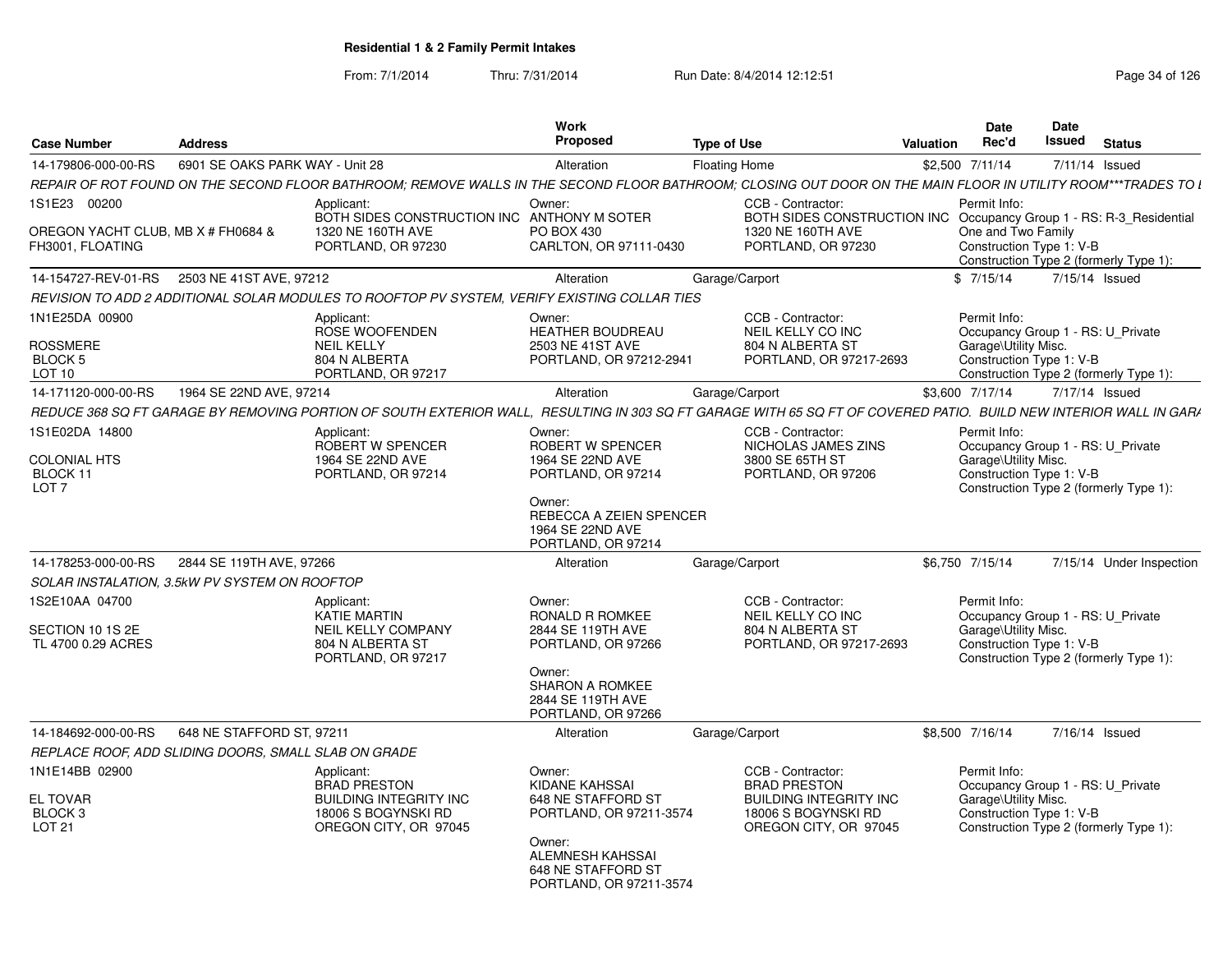| <b>Case Number</b>                                                    | <b>Address</b>                  |                                                                                                                                                                   | Work<br><b>Proposed</b>                                                          | <b>Type of Use</b>                                                                       | <b>Valuation</b> | Date<br>Rec'd                                                                                         | <b>Date</b><br>Issued | <b>Status</b>                          |
|-----------------------------------------------------------------------|---------------------------------|-------------------------------------------------------------------------------------------------------------------------------------------------------------------|----------------------------------------------------------------------------------|------------------------------------------------------------------------------------------|------------------|-------------------------------------------------------------------------------------------------------|-----------------------|----------------------------------------|
| 14-179806-000-00-RS                                                   | 6901 SE OAKS PARK WAY - Unit 28 |                                                                                                                                                                   | Alteration                                                                       | Floating Home                                                                            |                  | \$2,500 7/11/14                                                                                       | 7/11/14 Issued        |                                        |
|                                                                       |                                 | REPAIR OF ROT FOUND ON THE SECOND FLOOR BATHROOM: REMOVE WALLS IN THE SECOND FLOOR BATHROOM: CLOSING OUT DOOR ON THE MAIN FLOOR IN UTILITY ROOM***TRADES TO L     |                                                                                  |                                                                                          |                  |                                                                                                       |                       |                                        |
| 1S1E23 00200                                                          |                                 | Applicant:<br>BOTH SIDES CONSTRUCTION INC ANTHONY M SOTER                                                                                                         | Owner:                                                                           | CCB - Contractor:<br>BOTH SIDES CONSTRUCTION INC Occupancy Group 1 - RS: R-3_Residential |                  | Permit Info:                                                                                          |                       |                                        |
| OREGON YACHT CLUB, MB X # FH0684 &<br>FH3001. FLOATING                |                                 | 1320 NE 160TH AVE<br>PORTLAND, OR 97230                                                                                                                           | PO BOX 430<br>CARLTON, OR 97111-0430                                             | 1320 NE 160TH AVE<br>PORTLAND, OR 97230                                                  |                  | One and Two Family<br>Construction Type 1: V-B                                                        |                       | Construction Type 2 (formerly Type 1): |
| 14-154727-REV-01-RS                                                   | 2503 NE 41ST AVE, 97212         |                                                                                                                                                                   | Alteration                                                                       | Garage/Carport                                                                           |                  | \$7/15/14                                                                                             | 7/15/14 Issued        |                                        |
|                                                                       |                                 | REVISION TO ADD 2 ADDITIONAL SOLAR MODULES TO ROOFTOP PV SYSTEM, VERIFY EXISTING COLLAR TIES                                                                      |                                                                                  |                                                                                          |                  |                                                                                                       |                       |                                        |
| 1N1E25DA 00900<br><b>ROSSMERE</b><br><b>BLOCK 5</b>                   |                                 | Applicant:<br>ROSE WOOFENDEN<br><b>NEIL KELLY</b><br>804 N ALBERTA                                                                                                | Owner:<br><b>HEATHER BOUDREAU</b><br>2503 NE 41ST AVE<br>PORTLAND, OR 97212-2941 | CCB - Contractor:<br>NEIL KELLY CO INC<br>804 N ALBERTA ST<br>PORTLAND, OR 97217-2693    |                  | Permit Info:<br>Occupancy Group 1 - RS: U Private<br>Garage\Utility Misc.<br>Construction Type 1: V-B |                       |                                        |
| LOT 10                                                                |                                 | PORTLAND, OR 97217                                                                                                                                                |                                                                                  |                                                                                          |                  |                                                                                                       |                       | Construction Type 2 (formerly Type 1): |
| 14-171120-000-00-RS                                                   | 1964 SE 22ND AVE, 97214         |                                                                                                                                                                   | Alteration                                                                       | Garage/Carport                                                                           |                  | \$3.600 7/17/14                                                                                       | 7/17/14 Issued        |                                        |
|                                                                       |                                 | REDUCE 368 SQ FT GARAGE BY REMOVING PORTION OF SOUTH EXTERIOR WALL. RESULTING IN 303 SQ FT GARAGE WITH 65 SQ FT OF COVERED PATIO. BUILD NEW INTERIOR WALL IN GARA |                                                                                  |                                                                                          |                  |                                                                                                       |                       |                                        |
| 1S1E02DA 14800<br><b>COLONIAL HTS</b><br>BLOCK 11<br>LOT <sub>7</sub> |                                 | Applicant:<br>ROBERT W SPENCER<br>1964 SE 22ND AVE<br>PORTLAND, OR 97214                                                                                          | Owner:<br>ROBERT W SPENCER<br>1964 SE 22ND AVE<br>PORTLAND, OR 97214<br>Owner:   | CCB - Contractor:<br>NICHOLAS JAMES ZINS<br>3800 SE 65TH ST<br>PORTLAND, OR 97206        |                  | Permit Info:<br>Occupancy Group 1 - RS: U_Private<br>Garage\Utility Misc.<br>Construction Type 1: V-B |                       | Construction Type 2 (formerly Type 1): |
|                                                                       |                                 |                                                                                                                                                                   | REBECCA A ZEIEN SPENCER<br>1964 SE 22ND AVE<br>PORTLAND, OR 97214                |                                                                                          |                  |                                                                                                       |                       |                                        |
| 14-178253-000-00-RS                                                   | 2844 SE 119TH AVE, 97266        |                                                                                                                                                                   | Alteration                                                                       | Garage/Carport                                                                           |                  | \$6,750 7/15/14                                                                                       |                       | 7/15/14 Under Inspection               |
| SOLAR INSTALATION, 3.5kW PV SYSTEM ON ROOFTOP                         |                                 |                                                                                                                                                                   |                                                                                  |                                                                                          |                  |                                                                                                       |                       |                                        |
| 1S2E10AA 04700                                                        |                                 | Applicant:<br><b>KATIE MARTIN</b>                                                                                                                                 | Owner:<br>RONALD R ROMKEE                                                        | CCB - Contractor:<br>NEIL KELLY CO INC                                                   |                  | Permit Info:<br>Occupancy Group 1 - RS: U Private                                                     |                       |                                        |
| SECTION 10 1S 2E<br>TL 4700 0.29 ACRES                                |                                 | <b>NEIL KELLY COMPANY</b><br>804 N ALBERTA ST<br>PORTLAND, OR 97217                                                                                               | 2844 SE 119TH AVE<br>PORTLAND, OR 97266<br>Owner:                                | 804 N ALBERTA ST<br>PORTLAND, OR 97217-2693                                              |                  | Garage\Utility Misc.<br>Construction Type 1: V-B                                                      |                       | Construction Type 2 (formerly Type 1): |
|                                                                       |                                 |                                                                                                                                                                   | <b>SHARON A ROMKEE</b><br>2844 SE 119TH AVE<br>PORTLAND, OR 97266                |                                                                                          |                  |                                                                                                       |                       |                                        |
| 14-184692-000-00-RS                                                   | 648 NE STAFFORD ST, 97211       |                                                                                                                                                                   | Alteration                                                                       | Garage/Carport                                                                           |                  | \$8,500 7/16/14                                                                                       | 7/16/14 Issued        |                                        |
| REPLACE ROOF, ADD SLIDING DOORS, SMALL SLAB ON GRADE                  |                                 |                                                                                                                                                                   |                                                                                  |                                                                                          |                  |                                                                                                       |                       |                                        |
| 1N1E14BB 02900                                                        |                                 | Applicant:<br><b>BRAD PRESTON</b>                                                                                                                                 | Owner:<br>KIDANE KAHSSAI                                                         | CCB - Contractor:<br><b>BRAD PRESTON</b>                                                 |                  | Permit Info:<br>Occupancy Group 1 - RS: U Private                                                     |                       |                                        |
| <b>EL TOVAR</b><br>BLOCK <sub>3</sub><br><b>LOT 21</b>                |                                 | <b>BUILDING INTEGRITY INC</b><br>18006 S BOGYNSKI RD<br>OREGON CITY, OR 97045                                                                                     | 648 NE STAFFORD ST<br>PORTLAND, OR 97211-3574<br>Owner:                          | <b>BUILDING INTEGRITY INC</b><br>18006 S BOGYNSKI RD<br>OREGON CITY, OR 97045            |                  | Garage\Utility Misc.<br>Construction Type 1: V-B                                                      |                       | Construction Type 2 (formerly Type 1): |
|                                                                       |                                 |                                                                                                                                                                   | ALEMNESH KAHSSAI<br>648 NE STAFFORD ST<br>PORTLAND, OR 97211-3574                |                                                                                          |                  |                                                                                                       |                       |                                        |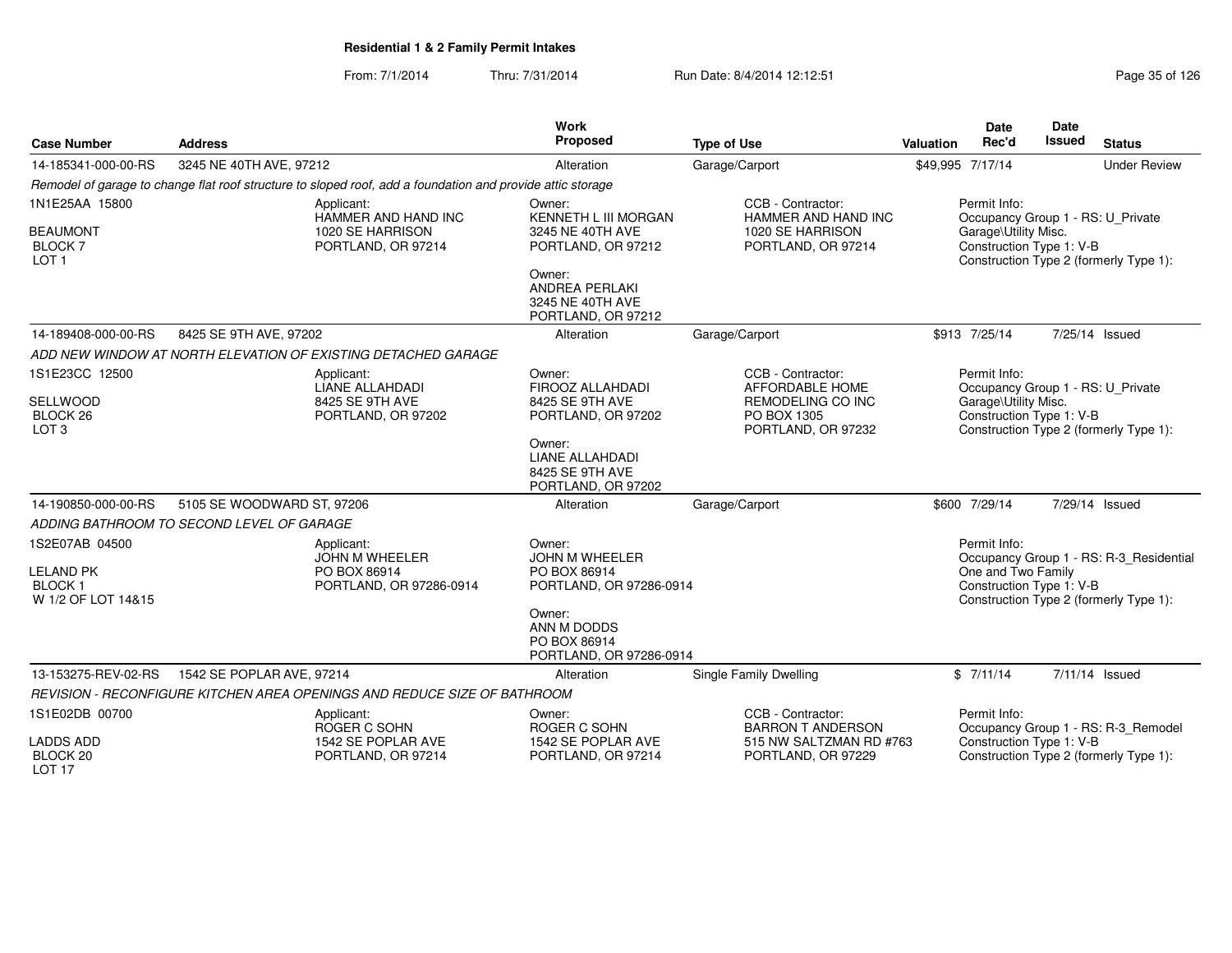| <b>Case Number</b>                                                        | <b>Address</b>                                                                                             | Work<br>Proposed                                                                                                   | <b>Type of Use</b>                                                                 | <b>Date</b><br><b>Date</b><br>Rec'd<br>Issued<br><b>Status</b><br>Valuation                                                                         |
|---------------------------------------------------------------------------|------------------------------------------------------------------------------------------------------------|--------------------------------------------------------------------------------------------------------------------|------------------------------------------------------------------------------------|-----------------------------------------------------------------------------------------------------------------------------------------------------|
| 14-185341-000-00-RS                                                       | 3245 NE 40TH AVE, 97212                                                                                    | Alteration                                                                                                         | Garage/Carport                                                                     | \$49,995 7/17/14<br><b>Under Review</b>                                                                                                             |
|                                                                           | Remodel of garage to change flat roof structure to sloped roof, add a foundation and provide attic storage |                                                                                                                    |                                                                                    |                                                                                                                                                     |
| 1N1E25AA 15800<br><b>BEAUMONT</b><br><b>BLOCK7</b><br>LOT <sub>1</sub>    | Applicant:<br>HAMMER AND HAND INC<br>1020 SE HARRISON<br>PORTLAND, OR 97214                                | Owner:<br><b>KENNETH L III MORGAN</b><br>3245 NE 40TH AVE<br>PORTLAND, OR 97212<br>Owner:<br><b>ANDREA PERLAKI</b> | CCB - Contractor:<br>HAMMER AND HAND INC<br>1020 SE HARRISON<br>PORTLAND, OR 97214 | Permit Info:<br>Occupancy Group 1 - RS: U Private<br>Garage\Utility Misc.<br>Construction Type 1: V-B<br>Construction Type 2 (formerly Type 1):     |
|                                                                           |                                                                                                            | 3245 NE 40TH AVE<br>PORTLAND, OR 97212                                                                             |                                                                                    |                                                                                                                                                     |
| 14-189408-000-00-RS                                                       | 8425 SE 9TH AVE, 97202                                                                                     | Alteration                                                                                                         | Garage/Carport                                                                     | \$913 7/25/14<br>7/25/14 Issued                                                                                                                     |
|                                                                           | ADD NEW WINDOW AT NORTH ELEVATION OF EXISTING DETACHED GARAGE                                              |                                                                                                                    |                                                                                    |                                                                                                                                                     |
| 1S1E23CC 12500                                                            | Applicant:<br><b>LIANE ALLAHDADI</b>                                                                       | Owner:<br>FIROOZ ALLAHDADI                                                                                         | CCB - Contractor:<br>AFFORDABLE HOME                                               | Permit Info:<br>Occupancy Group 1 - RS: U Private                                                                                                   |
| SELLWOOD<br>BLOCK <sub>26</sub><br>LOT <sub>3</sub>                       | 8425 SE 9TH AVE<br>PORTLAND, OR 97202                                                                      | 8425 SE 9TH AVE<br>PORTLAND, OR 97202                                                                              | REMODELING CO INC<br>PO BOX 1305<br>PORTLAND, OR 97232                             | Garage\Utility Misc.<br>Construction Type 1: V-B<br>Construction Type 2 (formerly Type 1):                                                          |
|                                                                           |                                                                                                            | Owner:<br><b>LIANE ALLAHDADI</b><br>8425 SE 9TH AVE<br>PORTLAND, OR 97202                                          |                                                                                    |                                                                                                                                                     |
| 14-190850-000-00-RS                                                       | 5105 SE WOODWARD ST, 97206                                                                                 | Alteration                                                                                                         | Garage/Carport                                                                     | \$600 7/29/14<br>7/29/14 Issued                                                                                                                     |
|                                                                           | ADDING BATHROOM TO SECOND LEVEL OF GARAGE                                                                  |                                                                                                                    |                                                                                    |                                                                                                                                                     |
| 1S2E07AB 04500<br><b>LELAND PK</b><br><b>BLOCK1</b><br>W 1/2 OF LOT 14&15 | Applicant:<br><b>JOHN M WHEELER</b><br>PO BOX 86914<br>PORTLAND, OR 97286-0914                             | Owner:<br><b>JOHN M WHEELER</b><br>PO BOX 86914<br>PORTLAND, OR 97286-0914<br>Owner:<br>ANN M DODDS                |                                                                                    | Permit Info:<br>Occupancy Group 1 - RS: R-3_Residential<br>One and Two Family<br>Construction Type 1: V-B<br>Construction Type 2 (formerly Type 1): |
|                                                                           |                                                                                                            | PO BOX 86914<br>PORTLAND, OR 97286-0914                                                                            |                                                                                    |                                                                                                                                                     |
| 13-153275-REV-02-RS                                                       | 1542 SE POPLAR AVE, 97214                                                                                  | Alteration                                                                                                         | <b>Single Family Dwelling</b>                                                      | 7/11/14 Issued<br>\$7/11/14                                                                                                                         |
|                                                                           | REVISION - RECONFIGURE KITCHEN AREA OPENINGS AND REDUCE SIZE OF BATHROOM                                   |                                                                                                                    |                                                                                    |                                                                                                                                                     |
| 1S1E02DB 00700                                                            | Applicant:<br>ROGER C SOHN                                                                                 | Owner:<br>ROGER C SOHN                                                                                             | CCB - Contractor:<br><b>BARRON T ANDERSON</b>                                      | Permit Info:<br>Occupancy Group 1 - RS: R-3_Remodel                                                                                                 |
| <b>LADDS ADD</b><br>BLOCK <sub>20</sub><br>LOT <sub>17</sub>              | 1542 SE POPLAR AVE<br>PORTLAND, OR 97214                                                                   | 1542 SE POPLAR AVE<br>PORTLAND, OR 97214                                                                           | 515 NW SALTZMAN RD #763<br>PORTLAND, OR 97229                                      | Construction Type 1: V-B<br>Construction Type 2 (formerly Type 1):                                                                                  |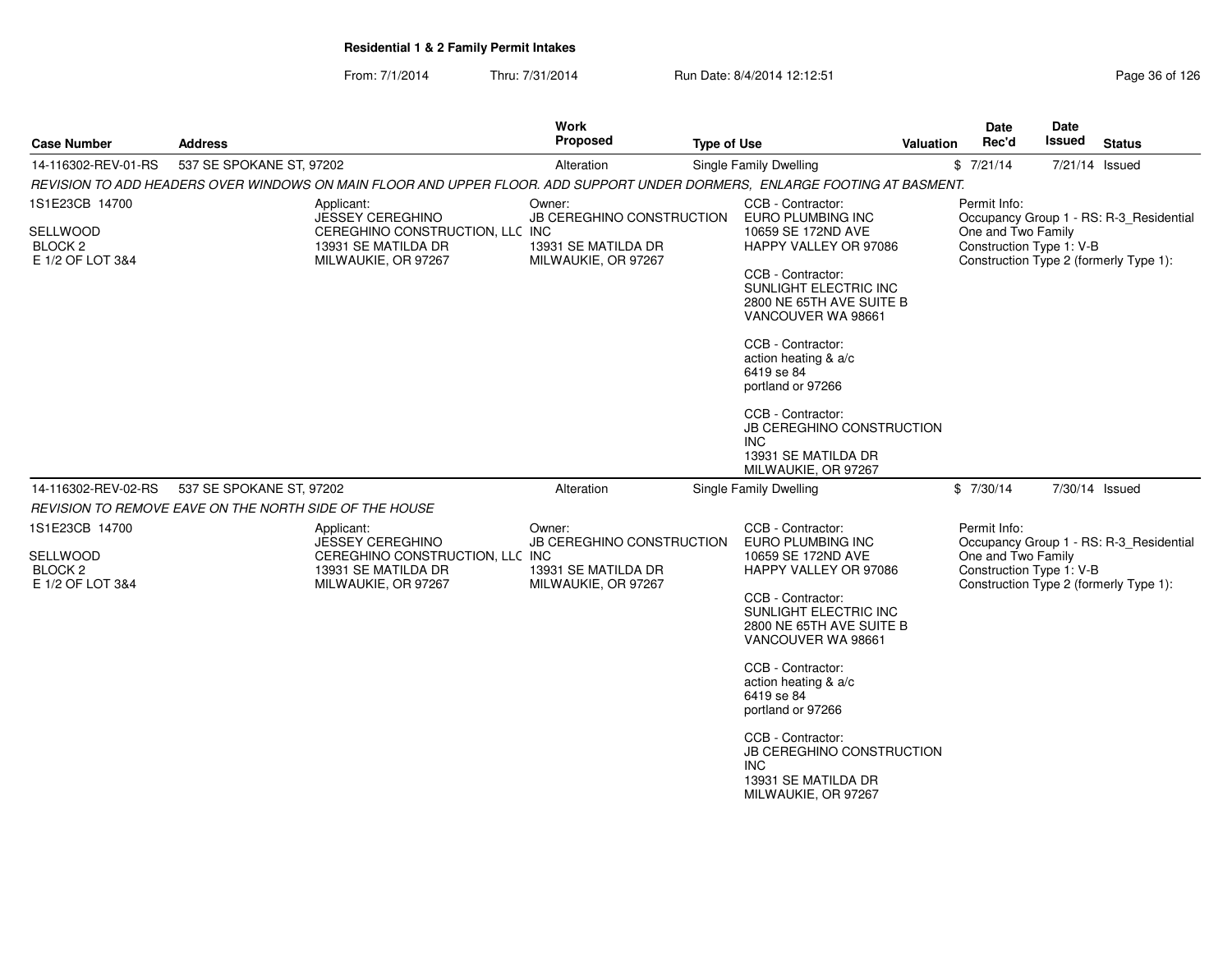| <b>Case Number</b>                                                                                                         | <b>Address</b>           |                                                                                                                        | <b>Work</b><br>Proposed                                                           | <b>Type of Use</b>                                    |                                                                                                                                                                                                                                                                                                                                                                                            | <b>Valuation</b>                                        | Date<br>Rec'd                                                  | <b>Date</b><br><b>Issued</b> | <b>Status</b>                                                                     |
|----------------------------------------------------------------------------------------------------------------------------|--------------------------|------------------------------------------------------------------------------------------------------------------------|-----------------------------------------------------------------------------------|-------------------------------------------------------|--------------------------------------------------------------------------------------------------------------------------------------------------------------------------------------------------------------------------------------------------------------------------------------------------------------------------------------------------------------------------------------------|---------------------------------------------------------|----------------------------------------------------------------|------------------------------|-----------------------------------------------------------------------------------|
| 14-116302-REV-01-RS                                                                                                        | 537 SE SPOKANE ST, 97202 |                                                                                                                        | Alteration                                                                        |                                                       | <b>Single Family Dwelling</b>                                                                                                                                                                                                                                                                                                                                                              |                                                         | \$7/21/14                                                      | 7/21/14 Issued               |                                                                                   |
| REVISION TO ADD HEADERS OVER WINDOWS ON MAIN FLOOR AND UPPER FLOOR. ADD SUPPORT UNDER DORMERS, ENLARGE FOOTING AT BASMENT. |                          |                                                                                                                        |                                                                                   |                                                       |                                                                                                                                                                                                                                                                                                                                                                                            |                                                         |                                                                |                              |                                                                                   |
| 1S1E23CB 14700<br>SELLWOOD<br>BLOCK <sub>2</sub><br>E 1/2 OF LOT 3&4                                                       |                          | Applicant:<br><b>JESSEY CEREGHINO</b><br>CEREGHINO CONSTRUCTION, LLC INC<br>13931 SE MATILDA DR<br>MILWAUKIE, OR 97267 | Owner:<br>JB CEREGHINO CONSTRUCTION<br>13931 SE MATILDA DR<br>MILWAUKIE, OR 97267 |                                                       | CCB - Contractor:<br>EURO PLUMBING INC<br>10659 SE 172ND AVE<br>HAPPY VALLEY OR 97086<br>CCB - Contractor:<br>SUNLIGHT ELECTRIC INC<br>2800 NE 65TH AVE SUITE B<br>VANCOUVER WA 98661<br>CCB - Contractor:<br>action heating & a/c<br>6419 se 84<br>portland or 97266<br>CCB - Contractor:<br><b>JB CEREGHINO CONSTRUCTION</b><br><b>INC</b><br>13931 SE MATILDA DR<br>MILWAUKIE, OR 97267 |                                                         | Permit Info:<br>One and Two Family<br>Construction Type 1: V-B |                              | Occupancy Group 1 - RS: R-3_Residential<br>Construction Type 2 (formerly Type 1): |
| 14-116302-REV-02-RS                                                                                                        | 537 SE SPOKANE ST, 97202 |                                                                                                                        | Alteration                                                                        |                                                       | Single Family Dwelling                                                                                                                                                                                                                                                                                                                                                                     |                                                         | \$7/30/14                                                      | 7/30/14 Issued               |                                                                                   |
| REVISION TO REMOVE EAVE ON THE NORTH SIDE OF THE HOUSE                                                                     |                          |                                                                                                                        |                                                                                   |                                                       |                                                                                                                                                                                                                                                                                                                                                                                            |                                                         |                                                                |                              |                                                                                   |
| 1S1E23CB 14700                                                                                                             |                          | Applicant:<br><b>JESSEY CEREGHINO</b>                                                                                  | Owner:                                                                            | CCB - Contractor:<br><b>JB CEREGHINO CONSTRUCTION</b> |                                                                                                                                                                                                                                                                                                                                                                                            | Permit Info:<br>Occupancy Group 1 - RS: R-3_Residential |                                                                |                              |                                                                                   |
| <b>SELLWOOD</b><br>BLOCK <sub>2</sub><br>E 1/2 OF LOT 3&4                                                                  |                          | CEREGHINO CONSTRUCTION, LLC INC<br>13931 SE MATILDA DR<br>MILWAUKIE, OR 97267                                          | 13931 SE MATILDA DR<br>MILWAUKIE, OR 97267                                        |                                                       | EURO PLUMBING INC<br>10659 SE 172ND AVE<br>HAPPY VALLEY OR 97086<br>CCB - Contractor:<br>SUNLIGHT ELECTRIC INC<br>2800 NE 65TH AVE SUITE B<br>VANCOUVER WA 98661<br>CCB - Contractor:<br>action heating & a/c<br>6419 se 84<br>portland or 97266<br>CCB - Contractor:<br><b>JB CEREGHINO CONSTRUCTION</b><br>INC<br>13931 SE MATILDA DR<br>MILWAUKIE, OR 97267                             |                                                         | One and Two Family<br>Construction Type 1: V-B                 |                              | Construction Type 2 (formerly Type 1):                                            |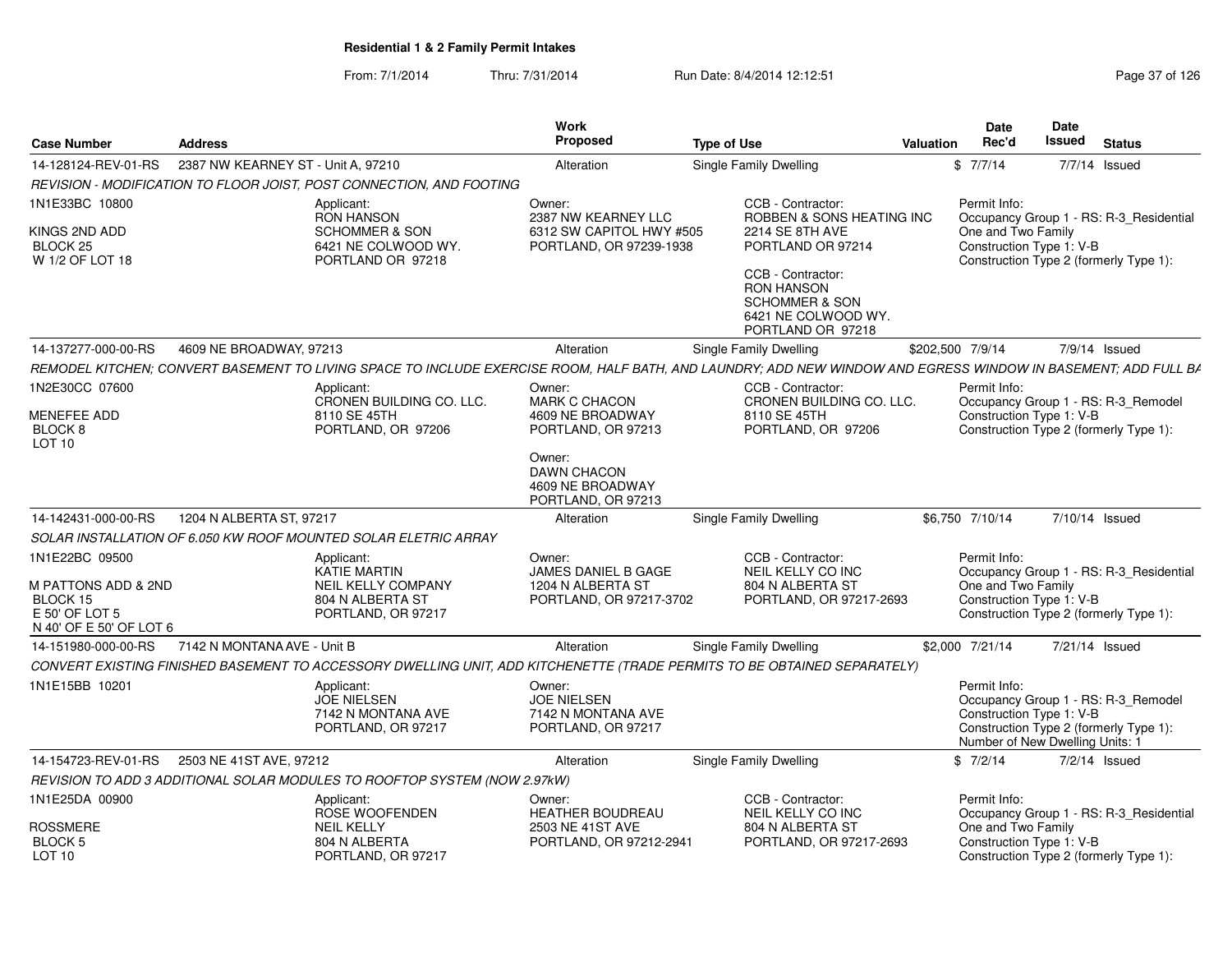#### From: 7/1/2014Thru: 7/31/2014 Run Date: 8/4/2014 12:12:51

| Page 37 of 126 |  |  |
|----------------|--|--|
|----------------|--|--|

|                                         |                                                      |                                                                              | Work<br>Proposed                                                         |                                                                                                                                                               |                  | <b>Date</b><br>Rec'd                                                        | Date<br>Issued |                                                                               |
|-----------------------------------------|------------------------------------------------------|------------------------------------------------------------------------------|--------------------------------------------------------------------------|---------------------------------------------------------------------------------------------------------------------------------------------------------------|------------------|-----------------------------------------------------------------------------|----------------|-------------------------------------------------------------------------------|
| <b>Case Number</b>                      | <b>Address</b><br>2387 NW KEARNEY ST - Unit A, 97210 |                                                                              |                                                                          | <b>Type of Use</b>                                                                                                                                            | <b>Valuation</b> |                                                                             |                | <b>Status</b>                                                                 |
| 14-128124-REV-01-RS                     |                                                      |                                                                              | Alteration                                                               | Single Family Dwelling                                                                                                                                        |                  | \$7/7/14                                                                    |                | 7/7/14 Issued                                                                 |
|                                         |                                                      | REVISION - MODIFICATION TO FLOOR JOIST, POST CONNECTION, AND FOOTING         |                                                                          |                                                                                                                                                               |                  |                                                                             |                |                                                                               |
| 1N1E33BC 10800                          |                                                      | Applicant:<br><b>RON HANSON</b>                                              | Owner:<br>2387 NW KEARNEY LLC                                            | CCB - Contractor:<br>ROBBEN & SONS HEATING INC                                                                                                                |                  | Permit Info:                                                                |                | Occupancy Group 1 - RS: R-3_Residential                                       |
| KINGS 2ND ADD                           |                                                      | SCHOMMER & SON                                                               | 6312 SW CAPITOL HWY #505                                                 | <b>2214 SE 8TH AVE</b>                                                                                                                                        |                  | One and Two Family                                                          |                |                                                                               |
| BLOCK <sub>25</sub><br>W 1/2 OF LOT 18  |                                                      | 6421 NE COLWOOD WY.<br>PORTLAND OR 97218                                     | PORTLAND, OR 97239-1938                                                  | PORTLAND OR 97214                                                                                                                                             |                  | Construction Type 1: V-B                                                    |                | Construction Type 2 (formerly Type 1):                                        |
|                                         |                                                      |                                                                              |                                                                          | CCB - Contractor:<br><b>RON HANSON</b><br><b>SCHOMMER &amp; SON</b><br>6421 NE COLWOOD WY.<br>PORTLAND OR 97218                                               |                  |                                                                             |                |                                                                               |
| 14-137277-000-00-RS                     | 4609 NE BROADWAY, 97213                              |                                                                              | Alteration                                                               | Single Family Dwelling                                                                                                                                        |                  | \$202,500 7/9/14                                                            |                | 7/9/14 Issued                                                                 |
|                                         |                                                      |                                                                              |                                                                          | REMODEL KITCHEN; CONVERT BASEMENT TO LIVING SPACE TO INCLUDE EXERCISE ROOM, HALF BATH, AND LAUNDRY; ADD NEW WINDOW AND EGRESS WINDOW IN BASEMENT; ADD FULL BA |                  |                                                                             |                |                                                                               |
| 1N2E30CC 07600                          |                                                      | Applicant:<br>CRONEN BUILDING CO. LLC.                                       | Owner:<br><b>MARK C CHACON</b>                                           | CCB - Contractor:<br>CRONEN BUILDING CO. LLC.                                                                                                                 |                  | Permit Info:                                                                |                | Occupancy Group 1 - RS: R-3 Remodel                                           |
| MENEFEE ADD                             |                                                      | 8110 SE 45TH                                                                 | 4609 NE BROADWAY                                                         | 8110 SE 45TH                                                                                                                                                  |                  | Construction Type 1: V-B                                                    |                |                                                                               |
| BLOCK <sub>8</sub><br>LOT <sub>10</sub> |                                                      | PORTLAND, OR 97206                                                           | PORTLAND, OR 97213                                                       | PORTLAND, OR 97206                                                                                                                                            |                  |                                                                             |                | Construction Type 2 (formerly Type 1):                                        |
|                                         |                                                      |                                                                              | Owner:<br><b>DAWN CHACON</b><br>4609 NE BROADWAY<br>PORTLAND, OR 97213   |                                                                                                                                                               |                  |                                                                             |                |                                                                               |
| 14-142431-000-00-RS                     | 1204 N ALBERTA ST, 97217                             |                                                                              | Alteration                                                               | Single Family Dwelling                                                                                                                                        |                  | \$6,750 7/10/14                                                             |                | 7/10/14 Issued                                                                |
|                                         |                                                      | SOLAR INSTALLATION OF 6.050 KW ROOF MOUNTED SOLAR ELETRIC ARRAY              |                                                                          |                                                                                                                                                               |                  |                                                                             |                |                                                                               |
| 1N1E22BC 09500                          |                                                      | Applicant:                                                                   | Owner:                                                                   | CCB - Contractor:                                                                                                                                             |                  | Permit Info:                                                                |                |                                                                               |
| M PATTONS ADD & 2ND                     |                                                      | <b>KATIE MARTIN</b><br>NEIL KELLY COMPANY                                    | JAMES DANIEL B GAGE<br>1204 N ALBERTA ST                                 | NEIL KELLY CO INC<br>804 N ALBERTA ST                                                                                                                         |                  | One and Two Family                                                          |                | Occupancy Group 1 - RS: R-3_Residential                                       |
| BLOCK 15                                |                                                      | 804 N ALBERTA ST                                                             | PORTLAND, OR 97217-3702                                                  | PORTLAND, OR 97217-2693                                                                                                                                       |                  | Construction Type 1: V-B                                                    |                |                                                                               |
| E 50' OF LOT 5                          |                                                      | PORTLAND, OR 97217                                                           |                                                                          |                                                                                                                                                               |                  |                                                                             |                | Construction Type 2 (formerly Type 1):                                        |
| N 40' OF E 50' OF LOT 6                 |                                                      |                                                                              |                                                                          |                                                                                                                                                               |                  |                                                                             |                |                                                                               |
| 14-151980-000-00-RS                     | 7142 N MONTANA AVE - Unit B                          |                                                                              | Alteration                                                               | <b>Single Family Dwelling</b>                                                                                                                                 |                  | \$2,000 7/21/14                                                             |                | 7/21/14 Issued                                                                |
|                                         |                                                      |                                                                              |                                                                          | CONVERT EXISTING FINISHED BASEMENT TO ACCESSORY DWELLING UNIT, ADD KITCHENETTE (TRADE PERMITS TO BE OBTAINED SEPARATELY)                                      |                  |                                                                             |                |                                                                               |
| 1N1E15BB 10201                          |                                                      | Applicant:<br><b>JOE NIELSEN</b><br>7142 N MONTANA AVE<br>PORTLAND, OR 97217 | Owner:<br><b>JOE NIELSEN</b><br>7142 N MONTANA AVE<br>PORTLAND, OR 97217 |                                                                                                                                                               |                  | Permit Info:<br>Construction Type 1: V-B<br>Number of New Dwelling Units: 1 |                | Occupancy Group 1 - RS: R-3_Remodel<br>Construction Type 2 (formerly Type 1): |
| 14-154723-REV-01-RS                     | 2503 NE 41ST AVE, 97212                              |                                                                              | Alteration                                                               | Single Family Dwelling                                                                                                                                        |                  | \$7/2/14                                                                    |                | 7/2/14 Issued                                                                 |
|                                         |                                                      | REVISION TO ADD 3 ADDITIONAL SOLAR MODULES TO ROOFTOP SYSTEM (NOW 2.97kW)    |                                                                          |                                                                                                                                                               |                  |                                                                             |                |                                                                               |
| 1N1E25DA 00900                          |                                                      | Applicant:<br>ROSE WOOFENDEN                                                 | Owner:<br><b>HEATHER BOUDREAU</b>                                        | CCB - Contractor:<br>NEIL KELLY CO INC                                                                                                                        |                  | Permit Info:                                                                |                | Occupancy Group 1 - RS: R-3_Residential                                       |
| <b>ROSSMERE</b>                         |                                                      | <b>NEIL KELLY</b>                                                            | 2503 NE 41ST AVE                                                         | 804 N ALBERTA ST                                                                                                                                              |                  | One and Two Family                                                          |                |                                                                               |
| <b>BLOCK 5</b><br>LOT 10                |                                                      | 804 N ALBERTA<br>PORTLAND, OR 97217                                          | PORTLAND, OR 97212-2941                                                  | PORTLAND, OR 97217-2693                                                                                                                                       |                  | Construction Type 1: V-B                                                    |                | Construction Type 2 (formerly Type 1):                                        |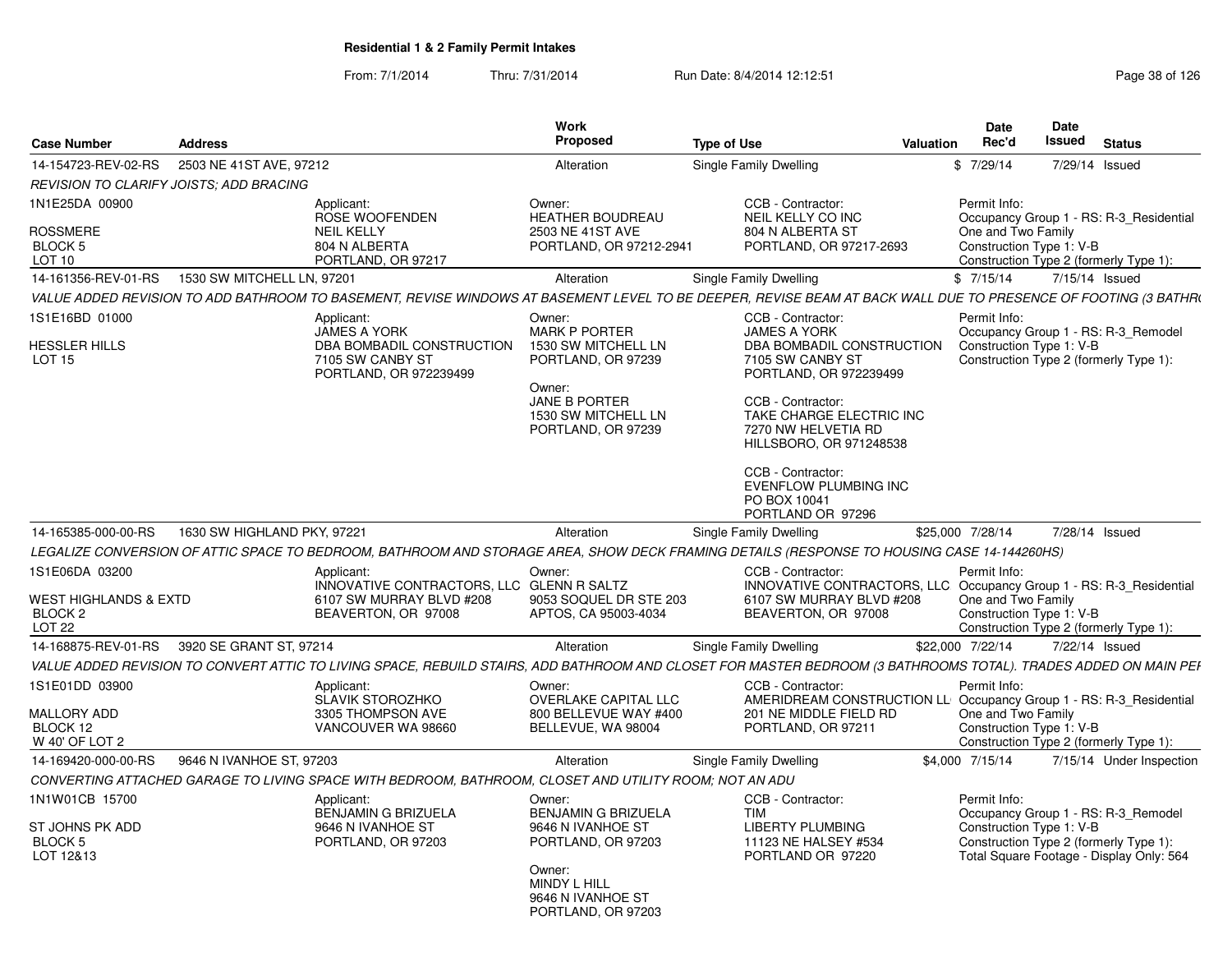| <b>Case Number</b>                                                             | <b>Address</b>              |                                                                                                              | <b>Work</b><br><b>Proposed</b>                                                                                                                             | <b>Type of Use</b>                                                                                                                                                                                                                                                                          | Valuation | Date<br>Rec'd                                                                      | Date<br><b>Issued</b> | <b>Status</b>                                                                                                             |
|--------------------------------------------------------------------------------|-----------------------------|--------------------------------------------------------------------------------------------------------------|------------------------------------------------------------------------------------------------------------------------------------------------------------|---------------------------------------------------------------------------------------------------------------------------------------------------------------------------------------------------------------------------------------------------------------------------------------------|-----------|------------------------------------------------------------------------------------|-----------------------|---------------------------------------------------------------------------------------------------------------------------|
| 14-154723-REV-02-RS                                                            | 2503 NE 41ST AVE, 97212     |                                                                                                              | Alteration                                                                                                                                                 | Single Family Dwelling                                                                                                                                                                                                                                                                      | \$        | 7/29/14                                                                            | 7/29/14               | Issued                                                                                                                    |
| REVISION TO CLARIFY JOISTS: ADD BRACING                                        |                             |                                                                                                              |                                                                                                                                                            |                                                                                                                                                                                                                                                                                             |           |                                                                                    |                       |                                                                                                                           |
| 1N1E25DA 00900<br><b>ROSSMERE</b><br>BLOCK <sub>5</sub><br>LOT 10              |                             | Applicant:<br>ROSE WOOFENDEN<br><b>NEIL KELLY</b><br>804 N ALBERTA<br>PORTLAND, OR 97217                     | Owner:<br><b>HEATHER BOUDREAU</b><br>2503 NE 41ST AVE<br>PORTLAND, OR 97212-2941                                                                           | CCB - Contractor:<br>NEIL KELLY CO INC<br>804 N ALBERTA ST<br>PORTLAND, OR 97217-2693                                                                                                                                                                                                       |           | Permit Info:<br>One and Two Family<br>Construction Type 1: V-B                     |                       | Occupancy Group 1 - RS: R-3 Residential<br>Construction Type 2 (formerly Type 1):                                         |
| 14-161356-REV-01-RS                                                            | 1530 SW MITCHELL LN, 97201  |                                                                                                              | Alteration                                                                                                                                                 | <b>Single Family Dwelling</b>                                                                                                                                                                                                                                                               |           | \$7/15/14                                                                          | 7/15/14 Issued        |                                                                                                                           |
|                                                                                |                             |                                                                                                              |                                                                                                                                                            | VALUE ADDED REVISION TO ADD BATHROOM TO BASEMENT, REVISE WINDOWS AT BASEMENT LEVEL TO BE DEEPER, REVISE BEAM AT BACK WALL DUE TO PRESENCE OF FOOTING (3 BATHRI                                                                                                                              |           |                                                                                    |                       |                                                                                                                           |
| 1S1E16BD 01000<br><b>HESSLER HILLS</b><br>LOT <sub>15</sub>                    |                             | Applicant:<br><b>JAMES A YORK</b><br>DBA BOMBADIL CONSTRUCTION<br>7105 SW CANBY ST<br>PORTLAND, OR 972239499 | Owner:<br><b>MARK P PORTER</b><br>1530 SW MITCHELL LN<br>PORTLAND, OR 97239<br>Owner:<br><b>JANE B PORTER</b><br>1530 SW MITCHELL LN<br>PORTLAND, OR 97239 | CCB - Contractor:<br><b>JAMES A YORK</b><br>DBA BOMBADIL CONSTRUCTION<br>7105 SW CANBY ST<br>PORTLAND, OR 972239499<br>CCB - Contractor:<br>TAKE CHARGE ELECTRIC INC<br>7270 NW HELVETIA RD<br>HILLSBORO, OR 971248538<br>CCB - Contractor:<br><b>EVENFLOW PLUMBING INC</b><br>PO BOX 10041 |           | Permit Info:<br>Construction Type 1: V-B<br>Construction Type 2 (formerly Type 1): |                       | Occupancy Group 1 - RS: R-3 Remodel                                                                                       |
|                                                                                |                             |                                                                                                              |                                                                                                                                                            | PORTLAND OR 97296                                                                                                                                                                                                                                                                           |           |                                                                                    |                       |                                                                                                                           |
| 14-165385-000-00-RS                                                            | 1630 SW HIGHLAND PKY, 97221 |                                                                                                              | Alteration                                                                                                                                                 | Single Family Dwelling                                                                                                                                                                                                                                                                      |           | \$25,000 7/28/14                                                                   | 7/28/14 Issued        |                                                                                                                           |
|                                                                                |                             |                                                                                                              |                                                                                                                                                            | LEGALIZE CONVERSION OF ATTIC SPACE TO BEDROOM, BATHROOM AND STORAGE AREA, SHOW DECK FRAMING DETAILS (RESPONSE TO HOUSING CASE 14-144260HS)                                                                                                                                                  |           |                                                                                    |                       |                                                                                                                           |
| 1S1E06DA 03200<br>WEST HIGHLANDS & EXTD<br><b>BLOCK 2</b><br>LOT <sub>22</sub> |                             | Applicant:<br>INNOVATIVE CONTRACTORS, LLC GLENN R SALTZ<br>6107 SW MURRAY BLVD #208<br>BEAVERTON, OR 97008   | Owner:<br>9053 SOQUEL DR STE 203<br>APTOS, CA 95003-4034                                                                                                   | CCB - Contractor:<br>INNOVATIVE CONTRACTORS, LLC.<br>6107 SW MURRAY BLVD #208<br>BEAVERTON, OR 97008                                                                                                                                                                                        |           | Permit Info:<br>One and Two Family<br>Construction Type 1: V-B                     |                       | Occupancy Group 1 - RS: R-3 Residential<br>Construction Type 2 (formerly Type 1):                                         |
| 14-168875-REV-01-RS                                                            | 3920 SE GRANT ST, 97214     |                                                                                                              | Alteration                                                                                                                                                 | <b>Single Family Dwelling</b>                                                                                                                                                                                                                                                               |           | \$22,000 7/22/14                                                                   | 7/22/14 Issued        |                                                                                                                           |
|                                                                                |                             |                                                                                                              |                                                                                                                                                            | VALUE ADDED REVISION TO CONVERT ATTIC TO LIVING SPACE, REBUILD STAIRS, ADD BATHROOM AND CLOSET FOR MASTER BEDROOM (3 BATHROOMS TOTAL). TRADES ADDED ON MAIN PEI                                                                                                                             |           |                                                                                    |                       |                                                                                                                           |
| 1S1E01DD 03900<br><b>MALLORY ADD</b><br>BLOCK 12<br>W 40' OF LOT 2             |                             | Applicant:<br><b>SLAVIK STOROZHKO</b><br>3305 THOMPSON AVE<br>VANCOUVER WA 98660                             | Owner:<br><b>OVERLAKE CAPITAL LLC</b><br>800 BELLEVUE WAY #400<br>BELLEVUE, WA 98004                                                                       | CCB - Contractor:<br>AMERIDREAM CONSTRUCTION LL Occupancy Group 1 - RS: R-3 Residential<br>201 NE MIDDLE FIELD RD<br>PORTLAND, OR 97211                                                                                                                                                     |           | Permit Info:<br>One and Two Family<br>Construction Type 1: V-B                     |                       | Construction Type 2 (formerly Type 1):                                                                                    |
| 14-169420-000-00-RS                                                            | 9646 N IVANHOE ST, 97203    |                                                                                                              | Alteration                                                                                                                                                 | <b>Single Family Dwelling</b>                                                                                                                                                                                                                                                               |           | \$4,000 7/15/14                                                                    |                       | 7/15/14 Under Inspection                                                                                                  |
|                                                                                |                             | CONVERTING ATTACHED GARAGE TO LIVING SPACE WITH BEDROOM, BATHROOM, CLOSET AND UTILITY ROOM; NOT AN ADU       |                                                                                                                                                            |                                                                                                                                                                                                                                                                                             |           |                                                                                    |                       |                                                                                                                           |
| 1N1W01CB 15700<br>ST JOHNS PK ADD<br>BLOCK <sub>5</sub><br>LOT 12&13           |                             | Applicant:<br><b>BENJAMIN G BRIZUELA</b><br>9646 N IVANHOE ST<br>PORTLAND, OR 97203                          | Owner:<br><b>BENJAMIN G BRIZUELA</b><br>9646 N IVANHOE ST<br>PORTLAND, OR 97203<br>Owner:<br>MINDY L HILL<br>9646 N IVANHOE ST<br>PORTLAND, OR 97203       | CCB - Contractor:<br><b>TIM</b><br><b>LIBERTY PLUMBING</b><br>11123 NE HALSEY #534<br>PORTLAND OR 97220                                                                                                                                                                                     |           | Permit Info:<br>Construction Type 1: V-B                                           |                       | Occupancy Group 1 - RS: R-3 Remodel<br>Construction Type 2 (formerly Type 1):<br>Total Square Footage - Display Only: 564 |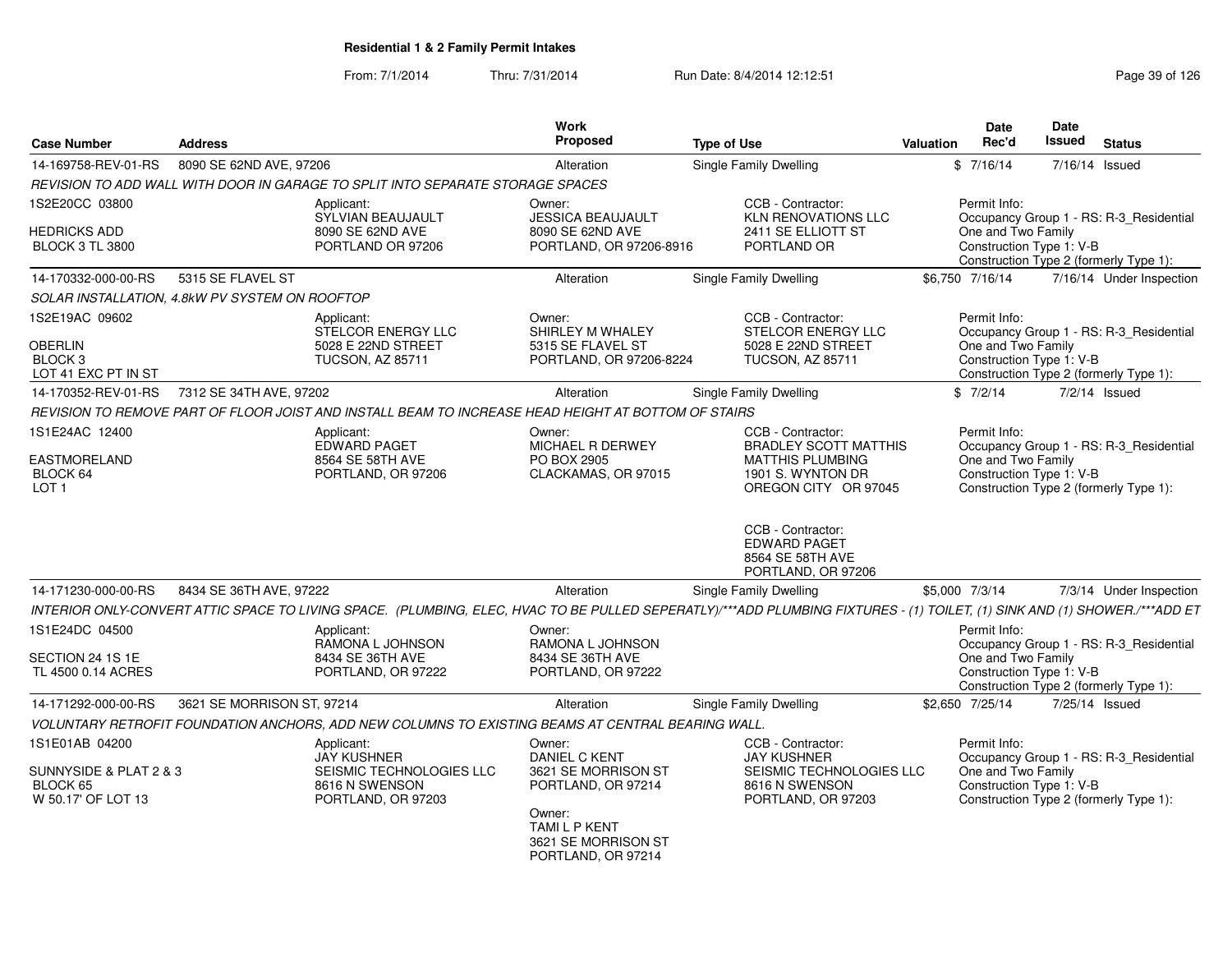| <b>Case Number</b>                                             | <b>Address</b>                                                                                                                                                             | Work<br>Proposed                                                                            | <b>Type of Use</b>                                                                                                        | <b>Date</b><br>Rec'd<br>Valuation                              | Date<br><b>Issued</b><br><b>Status</b>                                            |
|----------------------------------------------------------------|----------------------------------------------------------------------------------------------------------------------------------------------------------------------------|---------------------------------------------------------------------------------------------|---------------------------------------------------------------------------------------------------------------------------|----------------------------------------------------------------|-----------------------------------------------------------------------------------|
| 14-169758-REV-01-RS                                            | 8090 SE 62ND AVE, 97206                                                                                                                                                    | Alteration                                                                                  | Single Family Dwelling                                                                                                    | \$7/16/14                                                      | 7/16/14 Issued                                                                    |
|                                                                | REVISION TO ADD WALL WITH DOOR IN GARAGE TO SPLIT INTO SEPARATE STORAGE SPACES                                                                                             |                                                                                             |                                                                                                                           |                                                                |                                                                                   |
| 1S2E20CC 03800                                                 | Applicant:<br><b>SYLVIAN BEAUJAULT</b>                                                                                                                                     | Owner:<br><b>JESSICA BEAUJAULT</b>                                                          | CCB - Contractor:<br><b>KLN RENOVATIONS LLC</b>                                                                           | Permit Info:                                                   | Occupancy Group 1 - RS: R-3 Residential                                           |
| <b>HEDRICKS ADD</b><br><b>BLOCK 3 TL 3800</b>                  | 8090 SE 62ND AVE<br>PORTLAND OR 97206                                                                                                                                      | 8090 SE 62ND AVE<br>PORTLAND, OR 97206-8916                                                 | 2411 SE ELLIOTT ST<br>PORTLAND OR                                                                                         | One and Two Family<br>Construction Type 1: V-B                 | Construction Type 2 (formerly Type 1):                                            |
| 14-170332-000-00-RS                                            | 5315 SE FLAVEL ST                                                                                                                                                          | Alteration                                                                                  | <b>Single Family Dwelling</b>                                                                                             | \$6.750 7/16/14                                                | 7/16/14 Under Inspection                                                          |
|                                                                | SOLAR INSTALLATION, 4.8kW PV SYSTEM ON ROOFTOP                                                                                                                             |                                                                                             |                                                                                                                           |                                                                |                                                                                   |
| 1S2E19AC 09602<br><b>OBERLIN</b><br>BLOCK 3                    | Applicant:<br>STELCOR ENERGY LLC<br>5028 E 22ND STREET<br><b>TUCSON, AZ 85711</b>                                                                                          | Owner:<br>SHIRLEY M WHALEY<br>5315 SE FLAVEL ST<br>PORTLAND, OR 97206-8224                  | CCB - Contractor:<br><b>STELCOR ENERGY LLC</b><br>5028 E 22ND STREET<br><b>TUCSON, AZ 85711</b>                           | Permit Info:<br>One and Two Family<br>Construction Type 1: V-B | Occupancy Group 1 - RS: R-3_Residential                                           |
| LOT 41 EXC PT IN ST                                            |                                                                                                                                                                            |                                                                                             |                                                                                                                           |                                                                | Construction Type 2 (formerly Type 1):                                            |
| 14-170352-REV-01-RS                                            | 7312 SE 34TH AVE, 97202                                                                                                                                                    | Alteration                                                                                  | <b>Single Family Dwelling</b>                                                                                             | \$7/2/14                                                       | $7/2/14$ Issued                                                                   |
|                                                                | REVISION TO REMOVE PART OF FLOOR JOIST AND INSTALL BEAM TO INCREASE HEAD HEIGHT AT BOTTOM OF STAIRS                                                                        |                                                                                             |                                                                                                                           |                                                                |                                                                                   |
| 1S1E24AC 12400<br>EASTMORELAND<br>BLOCK 64<br>LOT <sub>1</sub> | Applicant:<br><b>EDWARD PAGET</b><br>8564 SE 58TH AVE<br>PORTLAND, OR 97206                                                                                                | Owner:<br>MICHAEL R DERWEY<br>PO BOX 2905<br>CLACKAMAS, OR 97015                            | CCB - Contractor:<br><b>BRADLEY SCOTT MATTHIS</b><br><b>MATTHIS PLUMBING</b><br>1901 S. WYNTON DR<br>OREGON CITY OR 97045 | Permit Info:<br>One and Two Family<br>Construction Type 1: V-B | Occupancy Group 1 - RS: R-3 Residential<br>Construction Type 2 (formerly Type 1): |
|                                                                |                                                                                                                                                                            |                                                                                             | CCB - Contractor:<br><b>EDWARD PAGET</b><br>8564 SE 58TH AVE<br>PORTLAND, OR 97206                                        |                                                                |                                                                                   |
| 14-171230-000-00-RS                                            | 8434 SE 36TH AVE, 97222                                                                                                                                                    | Alteration                                                                                  | Single Family Dwelling                                                                                                    | \$5,000 7/3/14                                                 | 7/3/14 Under Inspection                                                           |
|                                                                | INTERIOR ONLY-CONVERT ATTIC SPACE TO LIVING SPACE. (PLUMBING, ELEC, HVAC TO BE PULLED SEPERATLY)/***ADD PLUMBING FIXTURES - (1) TOILET, (1) SINK AND (1) SHOWER./***ADD ET |                                                                                             |                                                                                                                           |                                                                |                                                                                   |
| 1S1E24DC 04500                                                 | Applicant:<br>RAMONA L JOHNSON                                                                                                                                             | Owner:<br>RAMONA L JOHNSON                                                                  |                                                                                                                           | Permit Info:                                                   | Occupancy Group 1 - RS: R-3 Residential                                           |
| SECTION 24 1S 1E<br>TL 4500 0.14 ACRES                         | 8434 SE 36TH AVE<br>PORTLAND, OR 97222                                                                                                                                     | 8434 SE 36TH AVE<br>PORTLAND, OR 97222                                                      |                                                                                                                           | One and Two Family                                             | Construction Type 1: V-B<br>Construction Type 2 (formerly Type 1):                |
| 14-171292-000-00-RS                                            | 3621 SE MORRISON ST, 97214                                                                                                                                                 | Alteration                                                                                  | Single Family Dwelling                                                                                                    | \$2,650 7/25/14                                                | 7/25/14 Issued                                                                    |
|                                                                | VOLUNTARY RETROFIT FOUNDATION ANCHORS, ADD NEW COLUMNS TO EXISTING BEAMS AT CENTRAL BEARING WALL                                                                           |                                                                                             |                                                                                                                           |                                                                |                                                                                   |
| 1S1E01AB 04200                                                 | Applicant:<br><b>JAY KUSHNER</b>                                                                                                                                           | Owner:<br><b>DANIEL C KENT</b>                                                              | CCB - Contractor:<br><b>JAY KUSHNER</b>                                                                                   | Permit Info:                                                   | Occupancy Group 1 - RS: R-3 Residential                                           |
| SUNNYSIDE & PLAT 2 & 3<br>BLOCK 65<br>W 50.17' OF LOT 13       | SEISMIC TECHNOLOGIES LLC<br>8616 N SWENSON<br>PORTLAND, OR 97203                                                                                                           | 3621 SE MORRISON ST<br>PORTLAND, OR 97214<br>Owner:<br>TAMI L P KENT<br>3621 SE MORRISON ST | SEISMIC TECHNOLOGIES LLC<br>8616 N SWENSON<br>PORTLAND, OR 97203                                                          | One and Two Family<br>Construction Type 1: V-B                 | Construction Type 2 (formerly Type 1):                                            |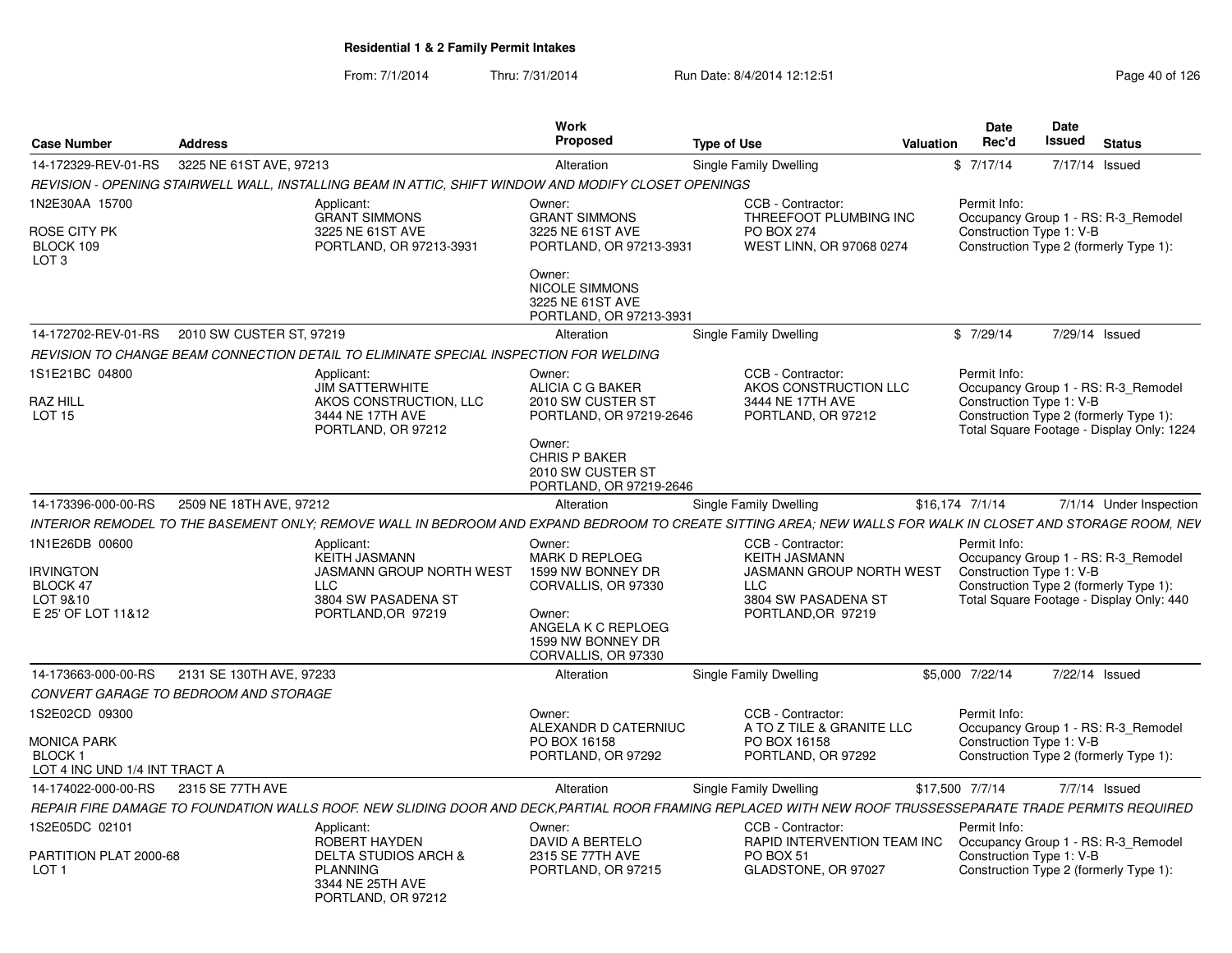| <b>Case Number</b>                                                               | <b>Address</b>                        |                                                                                                                                                             | Work<br>Proposed                                                                                                                                                | <b>Type of Use</b>                                                                                                        | <b>Valuation</b> | <b>Date</b><br>Rec'd                                                               | Date<br><b>Issued</b> | <b>Status</b>                                                                    |
|----------------------------------------------------------------------------------|---------------------------------------|-------------------------------------------------------------------------------------------------------------------------------------------------------------|-----------------------------------------------------------------------------------------------------------------------------------------------------------------|---------------------------------------------------------------------------------------------------------------------------|------------------|------------------------------------------------------------------------------------|-----------------------|----------------------------------------------------------------------------------|
| 14-172329-REV-01-RS                                                              | 3225 NE 61ST AVE, 97213               |                                                                                                                                                             | Alteration                                                                                                                                                      | Single Family Dwelling                                                                                                    |                  | \$7/17/14                                                                          | 7/17/14 Issued        |                                                                                  |
|                                                                                  |                                       | REVISION - OPENING STAIRWELL WALL, INSTALLING BEAM IN ATTIC, SHIFT WINDOW AND MODIFY CLOSET OPENINGS                                                        |                                                                                                                                                                 |                                                                                                                           |                  |                                                                                    |                       |                                                                                  |
| 1N2E30AA 15700<br>ROSE CITY PK<br>BLOCK 109<br>LOT <sub>3</sub>                  |                                       | Applicant:<br><b>GRANT SIMMONS</b><br>3225 NE 61ST AVE<br>PORTLAND, OR 97213-3931                                                                           | Owner:<br><b>GRANT SIMMONS</b><br>3225 NE 61ST AVE<br>PORTLAND, OR 97213-3931<br>Owner:<br><b>NICOLE SIMMONS</b><br>3225 NE 61ST AVE<br>PORTLAND, OR 97213-3931 | CCB - Contractor:<br>THREEFOOT PLUMBING INC<br>PO BOX 274<br>WEST LINN, OR 97068 0274                                     |                  | Permit Info:<br>Construction Type 1: V-B                                           |                       | Occupancy Group 1 - RS: R-3 Remodel<br>Construction Type 2 (formerly Type 1):    |
| 14-172702-REV-01-RS                                                              | 2010 SW CUSTER ST. 97219              |                                                                                                                                                             | Alteration                                                                                                                                                      | Single Family Dwelling                                                                                                    |                  | \$7/29/14                                                                          | 7/29/14 Issued        |                                                                                  |
|                                                                                  |                                       | REVISION TO CHANGE BEAM CONNECTION DETAIL TO ELIMINATE SPECIAL INSPECTION FOR WELDING                                                                       |                                                                                                                                                                 |                                                                                                                           |                  |                                                                                    |                       |                                                                                  |
| 1S1E21BC 04800<br>RAZ HILL<br>LOT <sub>15</sub>                                  |                                       | Applicant:<br><b>JIM SATTERWHITE</b><br>AKOS CONSTRUCTION, LLC<br>3444 NE 17TH AVE<br>PORTLAND, OR 97212                                                    | Owner:<br>ALICIA C G BAKER<br>2010 SW CUSTER ST<br>PORTLAND, OR 97219-2646<br>Owner:<br><b>CHRIS P BAKER</b><br>2010 SW CUSTER ST                               | CCB - Contractor:<br>AKOS CONSTRUCTION LLC<br>3444 NE 17TH AVE<br>PORTLAND, OR 97212                                      |                  | Permit Info:<br>Construction Type 1: V-B<br>Construction Type 2 (formerly Type 1): |                       | Occupancy Group 1 - RS: R-3_Remodel<br>Total Square Footage - Display Only: 1224 |
|                                                                                  |                                       |                                                                                                                                                             | PORTLAND, OR 97219-2646                                                                                                                                         |                                                                                                                           |                  |                                                                                    |                       |                                                                                  |
| 14-173396-000-00-RS                                                              | 2509 NE 18TH AVE, 97212               |                                                                                                                                                             | Alteration                                                                                                                                                      | Single Family Dwelling                                                                                                    |                  | \$16,174 7/1/14                                                                    |                       | 7/1/14 Under Inspection                                                          |
|                                                                                  |                                       | INTERIOR REMODEL TO THE BASEMENT ONLY: REMOVE WALL IN BEDROOM AND EXPAND BEDROOM TO CREATE SITTING AREA: NEW WALLS FOR WALK IN CLOSET AND STORAGE ROOM. NEV |                                                                                                                                                                 |                                                                                                                           |                  |                                                                                    |                       |                                                                                  |
| 1N1E26DB 00600<br><b>IRVINGTON</b><br>BLOCK 47<br>LOT 9&10<br>E 25' OF LOT 11&12 |                                       | Applicant:<br><b>KEITH JASMANN</b><br><b>JASMANN GROUP NORTH WEST</b><br><b>LLC</b><br>3804 SW PASADENA ST<br>PORTLAND, OR 97219                            | Owner:<br><b>MARK D REPLOEG</b><br>1599 NW BONNEY DR<br>CORVALLIS, OR 97330<br>Owner:<br>ANGELA K C REPLOEG<br>1599 NW BONNEY DR<br>CORVALLIS, OR 97330         | CCB - Contractor:<br><b>KEITH JASMANN</b><br>JASMANN GROUP NORTH WEST<br>LLC<br>3804 SW PASADENA ST<br>PORTLAND, OR 97219 |                  | Permit Info:<br>Construction Type 1: V-B<br>Construction Type 2 (formerly Type 1): |                       | Occupancy Group 1 - RS: R-3 Remodel<br>Total Square Footage - Display Only: 440  |
| 14-173663-000-00-RS                                                              | 2131 SE 130TH AVE, 97233              |                                                                                                                                                             | Alteration                                                                                                                                                      | Single Family Dwelling                                                                                                    |                  | \$5,000 7/22/14                                                                    |                       | 7/22/14 Issued                                                                   |
|                                                                                  | CONVERT GARAGE TO BEDROOM AND STORAGE |                                                                                                                                                             |                                                                                                                                                                 |                                                                                                                           |                  |                                                                                    |                       |                                                                                  |
| 1S2E02CD 09300                                                                   |                                       |                                                                                                                                                             | Owner:<br>ALEXANDR D CATERNIUC                                                                                                                                  | CCB - Contractor:<br>A TO Z TILE & GRANITE LLC                                                                            |                  | Permit Info:                                                                       |                       | Occupancy Group 1 - RS: R-3 Remodel                                              |
| MONICA PARK<br><b>BLOCK1</b><br>LOT 4 INC UND 1/4 INT TRACT A                    |                                       |                                                                                                                                                             | PO BOX 16158<br>PORTLAND, OR 97292                                                                                                                              | PO BOX 16158<br>PORTLAND, OR 97292                                                                                        |                  | Construction Type 1: V-B                                                           |                       | Construction Type 2 (formerly Type 1):                                           |
| 14-174022-000-00-RS                                                              | 2315 SE 77TH AVE                      |                                                                                                                                                             | Alteration                                                                                                                                                      | Single Family Dwelling                                                                                                    |                  | \$17,500 7/7/14                                                                    |                       | 7/7/14 Issued                                                                    |
|                                                                                  |                                       | REPAIR FIRE DAMAGE TO FOUNDATION WALLS ROOF. NEW SLIDING DOOR AND DECK,PARTIAL ROOR FRAMING REPLACED WITH NEW ROOF TRUSSESSEPARATE TRADE PERMITS REQUIRED   |                                                                                                                                                                 |                                                                                                                           |                  |                                                                                    |                       |                                                                                  |
| 1S2E05DC 02101                                                                   |                                       | Applicant:                                                                                                                                                  | Owner:                                                                                                                                                          | CCB - Contractor:                                                                                                         |                  | Permit Info:                                                                       |                       |                                                                                  |
| PARTITION PLAT 2000-68<br>LOT <sub>1</sub>                                       |                                       | <b>ROBERT HAYDEN</b><br><b>DELTA STUDIOS ARCH &amp;</b><br><b>PLANNING</b><br>3344 NE 25TH AVE<br>PORTLAND, OR 97212                                        | DAVID A BERTELO<br>2315 SE 77TH AVE<br>PORTLAND, OR 97215                                                                                                       | RAPID INTERVENTION TEAM INC<br>PO BOX 51<br>GLADSTONE, OR 97027                                                           |                  | Construction Type 1: V-B                                                           |                       | Occupancy Group 1 - RS: R-3_Remodel<br>Construction Type 2 (formerly Type 1):    |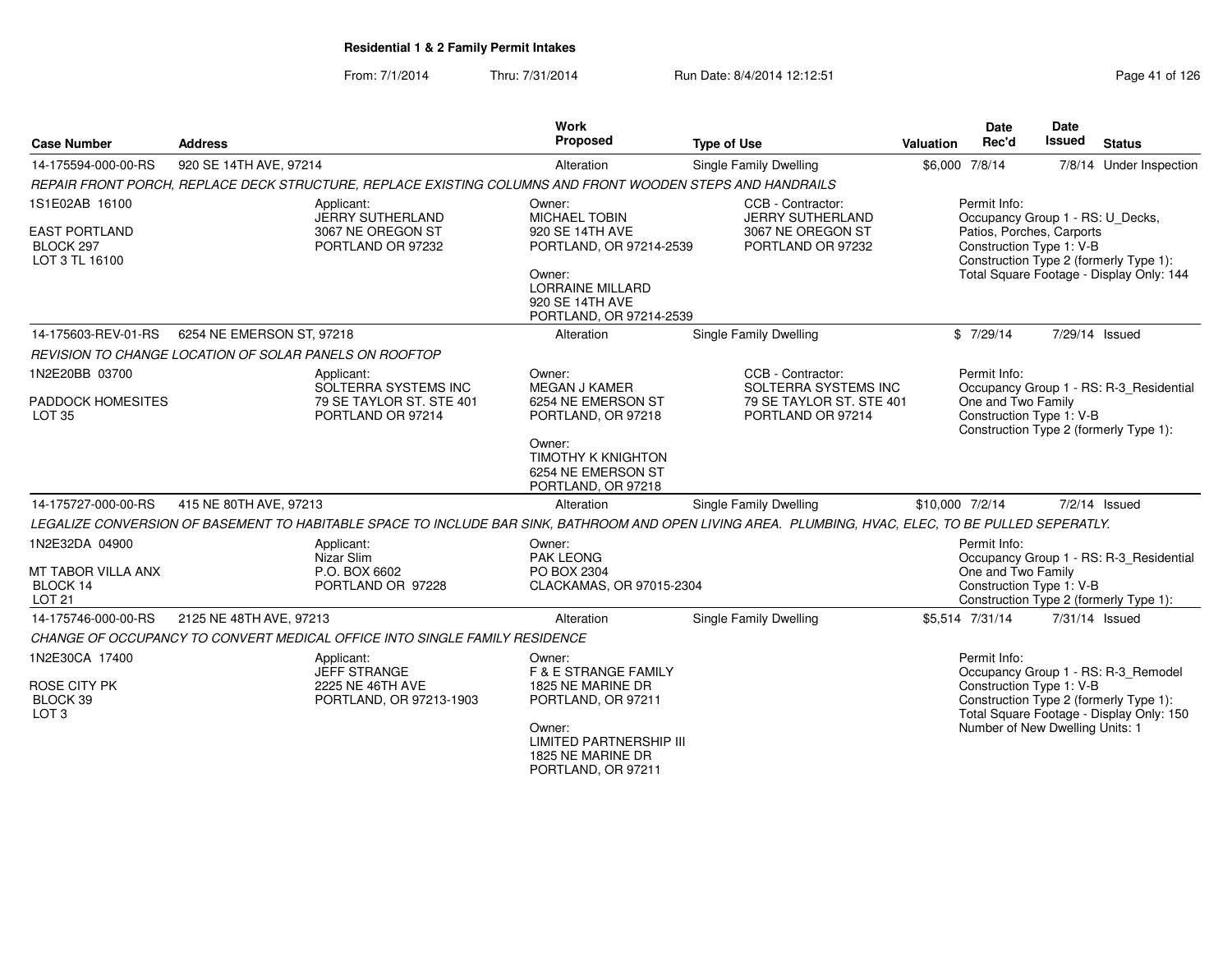| 920 SE 14TH AVE, 97214<br>REPAIR FRONT PORCH, REPLACE DECK STRUCTURE, REPLACE EXISTING COLUMNS AND FRONT WOODEN STEPS AND HANDRAILS<br>Applicant:<br><b>JERRY SUTHERLAND</b><br>3067 NE OREGON ST<br>PORTLAND OR 97232 | Alteration<br>Owner:<br>MICHAEL TOBIN<br>920 SE 14TH AVE                                                                                                             | <b>Single Family Dwelling</b><br>CCB - Contractor:<br><b>JERRY SUTHERLAND</b>                                                               |                                                                             | \$6,000 7/8/14                                                                                            |                                                                                                 | 7/8/14 Under Inspection                                                                                                                                                                                                                                                                                                                                                                                                                                                                                                                                                                                                                                                                                                                                  |
|------------------------------------------------------------------------------------------------------------------------------------------------------------------------------------------------------------------------|----------------------------------------------------------------------------------------------------------------------------------------------------------------------|---------------------------------------------------------------------------------------------------------------------------------------------|-----------------------------------------------------------------------------|-----------------------------------------------------------------------------------------------------------|-------------------------------------------------------------------------------------------------|----------------------------------------------------------------------------------------------------------------------------------------------------------------------------------------------------------------------------------------------------------------------------------------------------------------------------------------------------------------------------------------------------------------------------------------------------------------------------------------------------------------------------------------------------------------------------------------------------------------------------------------------------------------------------------------------------------------------------------------------------------|
|                                                                                                                                                                                                                        |                                                                                                                                                                      |                                                                                                                                             |                                                                             |                                                                                                           |                                                                                                 |                                                                                                                                                                                                                                                                                                                                                                                                                                                                                                                                                                                                                                                                                                                                                          |
|                                                                                                                                                                                                                        |                                                                                                                                                                      |                                                                                                                                             |                                                                             |                                                                                                           |                                                                                                 |                                                                                                                                                                                                                                                                                                                                                                                                                                                                                                                                                                                                                                                                                                                                                          |
|                                                                                                                                                                                                                        | PORTLAND, OR 97214-2539<br>Owner:<br><b>LORRAINE MILLARD</b><br>920 SE 14TH AVE                                                                                      | 3067 NE OREGON ST<br>PORTLAND OR 97232                                                                                                      |                                                                             | Permit Info:<br>Occupancy Group 1 - RS: U_Decks,<br>Patios, Porches, Carports<br>Construction Type 1: V-B |                                                                                                 |                                                                                                                                                                                                                                                                                                                                                                                                                                                                                                                                                                                                                                                                                                                                                          |
|                                                                                                                                                                                                                        | Alteration                                                                                                                                                           | Single Family Dwelling                                                                                                                      |                                                                             |                                                                                                           |                                                                                                 |                                                                                                                                                                                                                                                                                                                                                                                                                                                                                                                                                                                                                                                                                                                                                          |
|                                                                                                                                                                                                                        |                                                                                                                                                                      |                                                                                                                                             |                                                                             |                                                                                                           |                                                                                                 |                                                                                                                                                                                                                                                                                                                                                                                                                                                                                                                                                                                                                                                                                                                                                          |
| Applicant:<br>SOLTERRA SYSTEMS INC                                                                                                                                                                                     | Owner:<br><b>MEGAN J KAMER</b>                                                                                                                                       | CCB - Contractor:                                                                                                                           |                                                                             |                                                                                                           |                                                                                                 |                                                                                                                                                                                                                                                                                                                                                                                                                                                                                                                                                                                                                                                                                                                                                          |
| PORTLAND OR 97214                                                                                                                                                                                                      | PORTLAND, OR 97218<br>Owner:<br><b>TIMOTHY K KNIGHTON</b><br>6254 NE EMERSON ST<br>PORTLAND, OR 97218                                                                | PORTLAND OR 97214                                                                                                                           |                                                                             |                                                                                                           |                                                                                                 |                                                                                                                                                                                                                                                                                                                                                                                                                                                                                                                                                                                                                                                                                                                                                          |
|                                                                                                                                                                                                                        | Alteration                                                                                                                                                           | <b>Single Family Dwelling</b>                                                                                                               |                                                                             |                                                                                                           |                                                                                                 | $7/2/14$ Issued                                                                                                                                                                                                                                                                                                                                                                                                                                                                                                                                                                                                                                                                                                                                          |
|                                                                                                                                                                                                                        |                                                                                                                                                                      |                                                                                                                                             |                                                                             |                                                                                                           |                                                                                                 |                                                                                                                                                                                                                                                                                                                                                                                                                                                                                                                                                                                                                                                                                                                                                          |
| Applicant:<br>Nizar Slim<br>P.O. BOX 6602<br>PORTLAND OR 97228                                                                                                                                                         | Owner:<br><b>PAK LEONG</b><br>PO BOX 2304                                                                                                                            |                                                                                                                                             |                                                                             |                                                                                                           |                                                                                                 |                                                                                                                                                                                                                                                                                                                                                                                                                                                                                                                                                                                                                                                                                                                                                          |
|                                                                                                                                                                                                                        | Alteration                                                                                                                                                           | Single Family Dwelling                                                                                                                      |                                                                             |                                                                                                           |                                                                                                 |                                                                                                                                                                                                                                                                                                                                                                                                                                                                                                                                                                                                                                                                                                                                                          |
|                                                                                                                                                                                                                        |                                                                                                                                                                      |                                                                                                                                             |                                                                             |                                                                                                           |                                                                                                 |                                                                                                                                                                                                                                                                                                                                                                                                                                                                                                                                                                                                                                                                                                                                                          |
| Applicant:<br><b>JEFF STRANGE</b><br>2225 NE 46TH AVE<br>PORTLAND, OR 97213-1903                                                                                                                                       | Owner:<br><b>F &amp; E STRANGE FAMILY</b><br>1825 NE MARINE DR<br>PORTLAND, OR 97211<br>Owner:<br><b>LIMITED PARTNERSHIP III</b>                                     |                                                                                                                                             |                                                                             |                                                                                                           |                                                                                                 |                                                                                                                                                                                                                                                                                                                                                                                                                                                                                                                                                                                                                                                                                                                                                          |
|                                                                                                                                                                                                                        | 6254 NE EMERSON ST, 97218<br>REVISION TO CHANGE LOCATION OF SOLAR PANELS ON ROOFTOP<br>79 SE TAYLOR ST. STE 401<br>415 NE 80TH AVE, 97213<br>2125 NE 48TH AVE, 97213 | 6254 NE EMERSON ST<br>CHANGE OF OCCUPANCY TO CONVERT MEDICAL OFFICE INTO SINGLE FAMILY RESIDENCE<br>1825 NE MARINE DR<br>PORTLAND, OR 97211 | PORTLAND, OR 97214-2539<br>SOLTERRA SYSTEMS INC<br>CLACKAMAS, OR 97015-2304 | 79 SE TAYLOR ST. STE 401                                                                                  | \$7/29/14<br>Permit Info:<br>\$10,000 7/2/14<br>Permit Info:<br>\$5,514 7/31/14<br>Permit Info: | Construction Type 2 (formerly Type 1):<br>Total Square Footage - Display Only: 144<br>7/29/14 Issued<br>Occupancy Group 1 - RS: R-3 Residential<br>One and Two Family<br>Construction Type 1: V-B<br>Construction Type 2 (formerly Type 1):<br>LEGALIZE CONVERSION OF BASEMENT TO HABITABLE SPACE TO INCLUDE BAR SINK, BATHROOM AND OPEN LIVING AREA. PLUMBING, HVAC, ELEC, TO BE PULLED SEPERATLY.<br>Occupancy Group 1 - RS: R-3_Residential<br>One and Two Family<br>Construction Type 1: V-B<br>Construction Type 2 (formerly Type 1):<br>7/31/14 Issued<br>Occupancy Group 1 - RS: R-3_Remodel<br>Construction Type 1: V-B<br>Construction Type 2 (formerly Type 1):<br>Total Square Footage - Display Only: 150<br>Number of New Dwelling Units: 1 |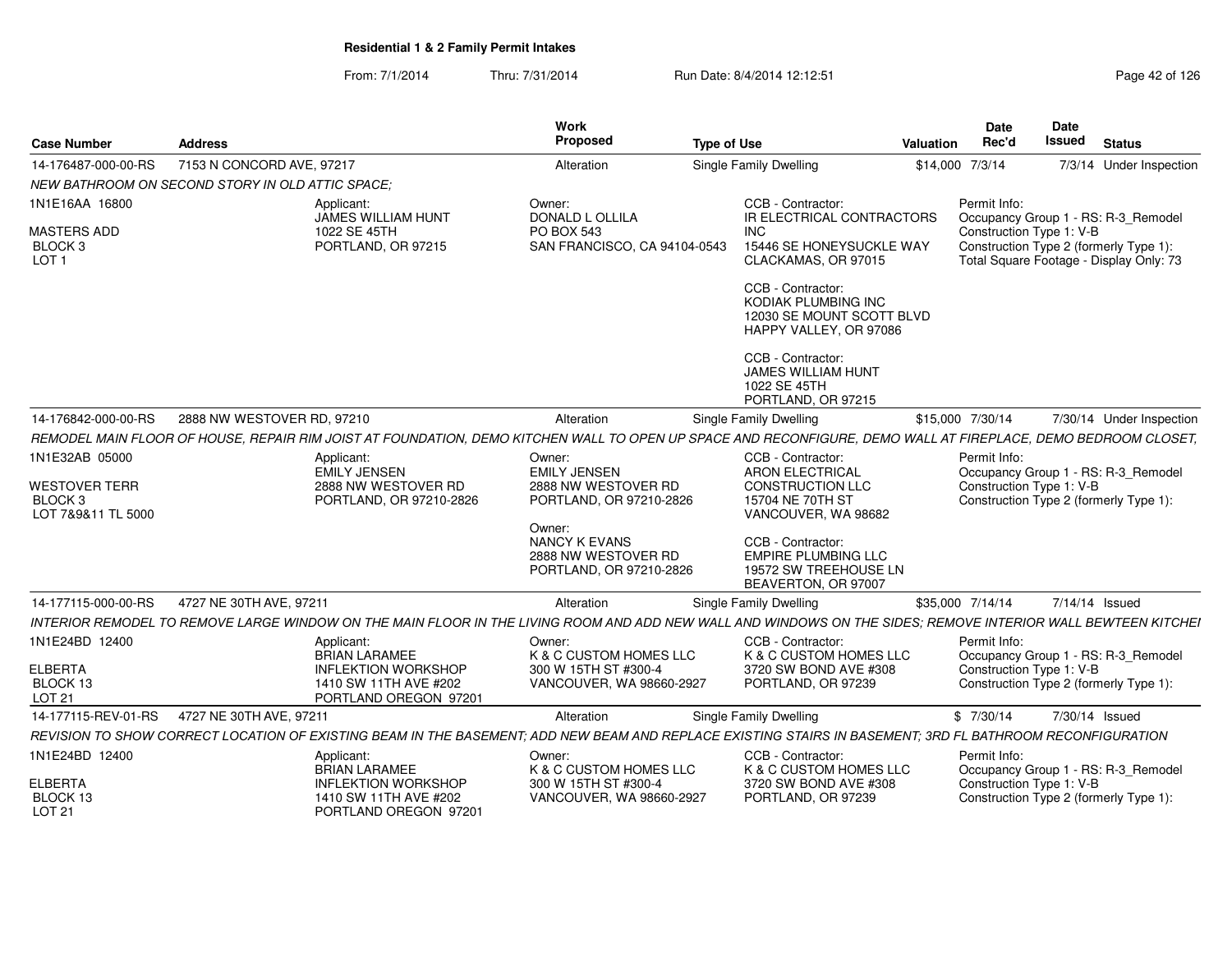| <b>Case Number</b>                                                      | <b>Address</b>                                                                                                                                                |                                                                              | Work<br>Proposed                                                                 | <b>Type of Use</b> |                                                                                                                   | Valuation       | Date<br>Rec'd                                                                      | <b>Date</b><br><b>Issued</b> | <b>Status</b>                           |
|-------------------------------------------------------------------------|---------------------------------------------------------------------------------------------------------------------------------------------------------------|------------------------------------------------------------------------------|----------------------------------------------------------------------------------|--------------------|-------------------------------------------------------------------------------------------------------------------|-----------------|------------------------------------------------------------------------------------|------------------------------|-----------------------------------------|
| 14-176487-000-00-RS                                                     | 7153 N CONCORD AVE, 97217                                                                                                                                     |                                                                              | Alteration                                                                       |                    | Single Family Dwelling                                                                                            | \$14,000 7/3/14 |                                                                                    |                              | 7/3/14 Under Inspection                 |
|                                                                         | NEW BATHROOM ON SECOND STORY IN OLD ATTIC SPACE:                                                                                                              |                                                                              |                                                                                  |                    |                                                                                                                   |                 |                                                                                    |                              |                                         |
| 1N1E16AA 16800                                                          | Applicant:                                                                                                                                                    | JAMES WILLIAM HUNT                                                           | Owner:<br><b>DONALD L OLLILA</b>                                                 |                    | CCB - Contractor:<br>IR ELECTRICAL CONTRACTORS                                                                    |                 | Permit Info:                                                                       |                              | Occupancy Group 1 - RS: R-3 Remodel     |
| MASTERS ADD<br>BLOCK 3<br>LOT <sub>1</sub>                              |                                                                                                                                                               | 1022 SE 45TH<br>PORTLAND, OR 97215                                           | PO BOX 543<br>SAN FRANCISCO, CA 94104-0543                                       |                    | INC<br>15446 SE HONEYSUCKLE WAY<br>CLACKAMAS, OR 97015                                                            |                 | Construction Type 1: V-B<br>Construction Type 2 (formerly Type 1):                 |                              | Total Square Footage - Display Only: 73 |
|                                                                         |                                                                                                                                                               |                                                                              |                                                                                  |                    | CCB - Contractor:<br>KODIAK PLUMBING INC<br>12030 SE MOUNT SCOTT BLVD<br>HAPPY VALLEY, OR 97086                   |                 |                                                                                    |                              |                                         |
|                                                                         |                                                                                                                                                               |                                                                              |                                                                                  |                    | CCB - Contractor:<br><b>JAMES WILLIAM HUNT</b><br>1022 SE 45TH<br>PORTLAND, OR 97215                              |                 |                                                                                    |                              |                                         |
| 14-176842-000-00-RS                                                     | 2888 NW WESTOVER RD, 97210                                                                                                                                    |                                                                              | Alteration                                                                       |                    | Single Family Dwelling                                                                                            |                 | \$15,000 7/30/14                                                                   |                              | 7/30/14 Under Inspection                |
|                                                                         | REMODEL MAIN FLOOR OF HOUSE. REPAIR RIM JOIST AT FOUNDATION. DEMO KITCHEN WALL TO OPEN UP SPACE AND RECONFIGURE. DEMO WALL AT FIREPLACE. DEMO BEDROOM CLOSET. |                                                                              |                                                                                  |                    |                                                                                                                   |                 |                                                                                    |                              |                                         |
| 1N1E32AB 05000<br><b>WESTOVER TERR</b><br>BLOCK 3<br>LOT 7&9&11 TL 5000 | Applicant:                                                                                                                                                    | <b>EMILY JENSEN</b><br>2888 NW WESTOVER RD<br>PORTLAND, OR 97210-2826        | Owner:<br><b>EMILY JENSEN</b><br>2888 NW WESTOVER RD<br>PORTLAND, OR 97210-2826  |                    | CCB - Contractor:<br><b>ARON ELECTRICAL</b><br><b>CONSTRUCTION LLC</b><br>15704 NE 70TH ST<br>VANCOUVER, WA 98682 |                 | Permit Info:<br>Construction Type 1: V-B<br>Construction Type 2 (formerly Type 1): |                              | Occupancy Group 1 - RS: R-3_Remodel     |
|                                                                         |                                                                                                                                                               |                                                                              | Owner:<br><b>NANCY K EVANS</b><br>2888 NW WESTOVER RD<br>PORTLAND, OR 97210-2826 |                    | CCB - Contractor:<br><b>EMPIRE PLUMBING LLC</b><br>19572 SW TREEHOUSE LN<br>BEAVERTON, OR 97007                   |                 |                                                                                    |                              |                                         |
| 14-177115-000-00-RS                                                     | 4727 NE 30TH AVE, 97211                                                                                                                                       |                                                                              | Alteration                                                                       |                    | Single Family Dwelling                                                                                            |                 | \$35,000 7/14/14                                                                   | 7/14/14 Issued               |                                         |
|                                                                         | INTERIOR REMODEL TO REMOVE LARGE WINDOW ON THE MAIN FLOOR IN THE LIVING ROOM AND ADD NEW WALL AND WINDOWS ON THE SIDES: REMOVE INTERIOR WALL BEWTEEN KITCHEI  |                                                                              |                                                                                  |                    |                                                                                                                   |                 |                                                                                    |                              |                                         |
| 1N1E24BD 12400                                                          | Applicant:                                                                                                                                                    | <b>BRIAN LARAMEE</b>                                                         | Owner:<br>K & C CUSTOM HOMES LLC                                                 |                    | CCB - Contractor:<br>K & C CUSTOM HOMES LLC                                                                       |                 | Permit Info:                                                                       |                              | Occupancy Group 1 - RS: R-3_Remodel     |
| <b>ELBERTA</b><br>BLOCK 13<br>LOT 21                                    |                                                                                                                                                               | <b>INFLEKTION WORKSHOP</b><br>1410 SW 11TH AVE #202<br>PORTLAND OREGON 97201 | 300 W 15TH ST #300-4<br>VANCOUVER, WA 98660-2927                                 |                    | 3720 SW BOND AVE #308<br>PORTLAND, OR 97239                                                                       |                 | Construction Type 1: V-B<br>Construction Type 2 (formerly Type 1):                 |                              |                                         |
|                                                                         | 14-177115-REV-01-RS  4727 NE 30TH AVE, 97211                                                                                                                  |                                                                              | Alteration                                                                       |                    | Single Family Dwelling                                                                                            |                 | \$7/30/14                                                                          | 7/30/14 Issued               |                                         |
|                                                                         | REVISION TO SHOW CORRECT LOCATION OF EXISTING BEAM IN THE BASEMENT; ADD NEW BEAM AND REPLACE EXISTING STAIRS IN BASEMENT; 3RD FL BATHROOM RECONFIGURATION     |                                                                              |                                                                                  |                    |                                                                                                                   |                 |                                                                                    |                              |                                         |
| 1N1E24BD 12400                                                          | Applicant:                                                                                                                                                    | <b>BRIAN LARAMEE</b>                                                         | Owner:<br>K & C CUSTOM HOMES LLC                                                 |                    | CCB - Contractor:<br>K & C CUSTOM HOMES LLC                                                                       |                 | Permit Info:                                                                       |                              | Occupancy Group 1 - RS: R-3_Remodel     |
| <b>ELBERTA</b><br>BLOCK 13<br><b>LOT 21</b>                             |                                                                                                                                                               | <b>INFLEKTION WORKSHOP</b><br>1410 SW 11TH AVE #202<br>PORTLAND OREGON 97201 | 300 W 15TH ST #300-4<br>VANCOUVER, WA 98660-2927                                 |                    | 3720 SW BOND AVE #308<br>PORTLAND, OR 97239                                                                       |                 | Construction Type 1: V-B<br>Construction Type 2 (formerly Type 1):                 |                              |                                         |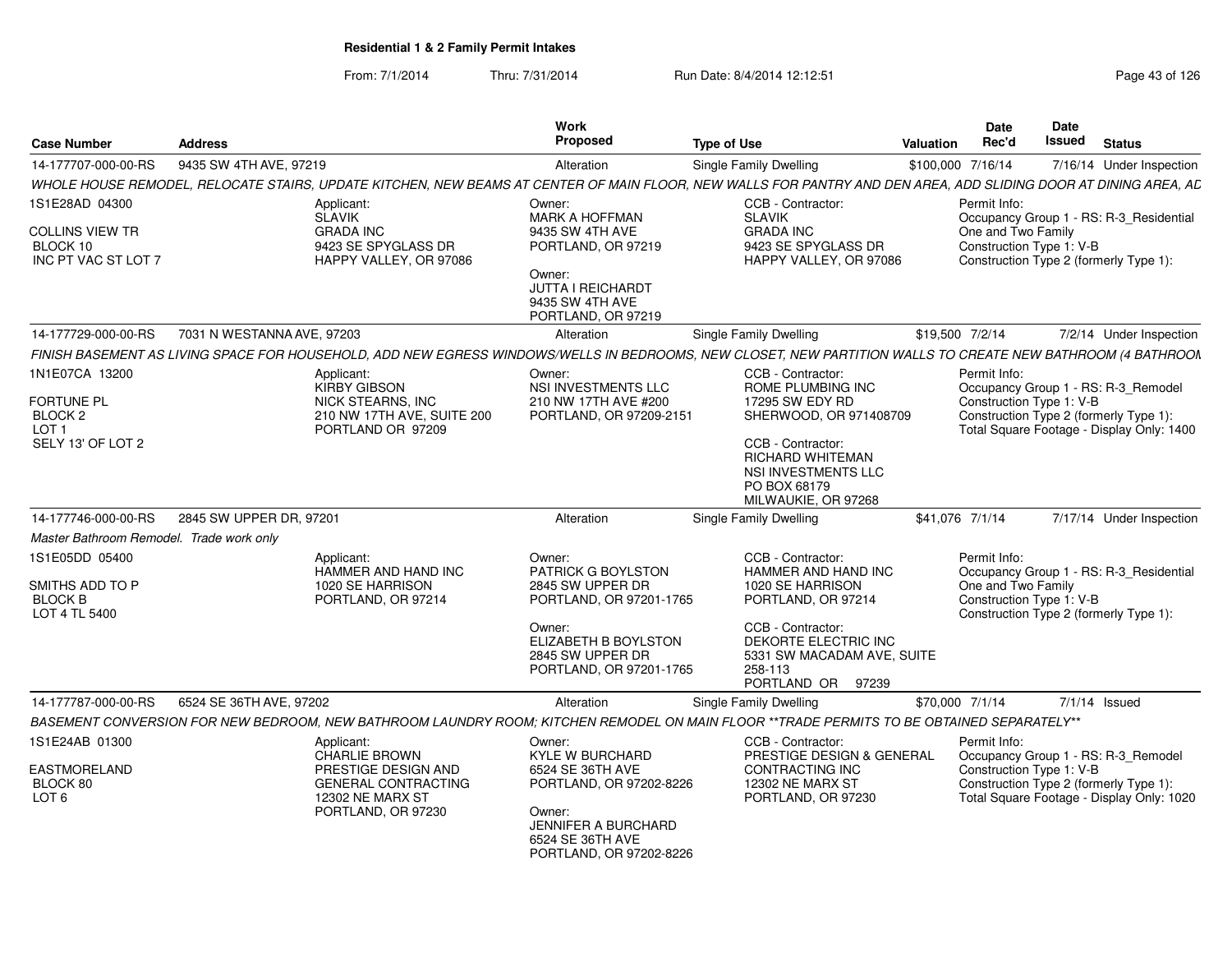| <b>Case Number</b>                                                                      | <b>Address</b>             |                                                                                                                                   | <b>Work</b><br><b>Proposed</b>                                                                                                                               | <b>Type of Use</b>                                                                                                                                                                                | <b>Valuation</b> | <b>Date</b><br>Rec'd                                           | Date<br>Issued | <b>Status</b>                                                                                                              |
|-----------------------------------------------------------------------------------------|----------------------------|-----------------------------------------------------------------------------------------------------------------------------------|--------------------------------------------------------------------------------------------------------------------------------------------------------------|---------------------------------------------------------------------------------------------------------------------------------------------------------------------------------------------------|------------------|----------------------------------------------------------------|----------------|----------------------------------------------------------------------------------------------------------------------------|
| 14-177707-000-00-RS                                                                     | 9435 SW 4TH AVE, 97219     |                                                                                                                                   | Alteration                                                                                                                                                   | <b>Single Family Dwelling</b>                                                                                                                                                                     |                  | \$100,000 7/16/14                                              |                | 7/16/14 Under Inspection                                                                                                   |
|                                                                                         |                            |                                                                                                                                   |                                                                                                                                                              | WHOLE HOUSE REMODEL, RELOCATE STAIRS, UPDATE KITCHEN, NEW BEAMS AT CENTER OF MAIN FLOOR, NEW WALLS FOR PANTRY AND DEN AREA, ADD SLIDING DOOR AT DINING AREA, AL                                   |                  |                                                                |                |                                                                                                                            |
| 1S1E28AD 04300<br>COLLINS VIEW TR<br>BLOCK 10<br>INC PT VAC ST LOT 7                    |                            | Applicant:<br><b>SLAVIK</b><br><b>GRADA INC</b><br>9423 SE SPYGLASS DR<br>HAPPY VALLEY, OR 97086                                  | Owner:<br>MARK A HOFFMAN<br>9435 SW 4TH AVE<br>PORTLAND, OR 97219<br>Owner:<br>JUTTA I REICHARDT<br>9435 SW 4TH AVE<br>PORTLAND, OR 97219                    | CCB - Contractor:<br><b>SLAVIK</b><br><b>GRADA INC</b><br>9423 SE SPYGLASS DR<br>HAPPY VALLEY, OR 97086                                                                                           |                  | Permit Info:<br>One and Two Family<br>Construction Type 1: V-B |                | Occupancy Group 1 - RS: R-3 Residential<br>Construction Type 2 (formerly Type 1):                                          |
| 14-177729-000-00-RS                                                                     | 7031 N WESTANNA AVE, 97203 |                                                                                                                                   | Alteration                                                                                                                                                   | <b>Single Family Dwelling</b>                                                                                                                                                                     |                  | \$19,500 7/2/14                                                |                | 7/2/14 Under Inspection                                                                                                    |
|                                                                                         |                            |                                                                                                                                   |                                                                                                                                                              | FINISH BASEMENT AS LIVING SPACE FOR HOUSEHOLD, ADD NEW EGRESS WINDOWS/WELLS IN BEDROOMS, NEW CLOSET, NEW PARTITION WALLS TO CREATE NEW BATHROOM (4 BATHROON                                       |                  |                                                                |                |                                                                                                                            |
| 1N1E07CA 13200<br><b>FORTUNE PL</b><br>BLOCK <sub>2</sub><br>LOT 1<br>SELY 13' OF LOT 2 |                            | Applicant:<br><b>KIRBY GIBSON</b><br>NICK STEARNS, INC<br>210 NW 17TH AVE, SUITE 200<br>PORTLAND OR 97209                         | Owner:<br><b>NSI INVESTMENTS LLC</b><br>210 NW 17TH AVE #200<br>PORTLAND, OR 97209-2151                                                                      | CCB - Contractor:<br>ROME PLUMBING INC<br>17295 SW EDY RD<br>SHERWOOD, OR 971408709<br>CCB - Contractor:<br><b>RICHARD WHITEMAN</b><br>NSI INVESTMENTS LLC<br>PO BOX 68179<br>MILWAUKIE, OR 97268 |                  | Permit Info:<br>Construction Type 1: V-B                       |                | Occupancy Group 1 - RS: R-3 Remodel<br>Construction Type 2 (formerly Type 1):<br>Total Square Footage - Display Only: 1400 |
| 14-177746-000-00-RS                                                                     | 2845 SW UPPER DR. 97201    |                                                                                                                                   | Alteration                                                                                                                                                   | Single Family Dwelling                                                                                                                                                                            |                  | \$41,076 7/1/14                                                |                | 7/17/14 Under Inspection                                                                                                   |
| Master Bathroom Remodel. Trade work only                                                |                            |                                                                                                                                   |                                                                                                                                                              |                                                                                                                                                                                                   |                  |                                                                |                |                                                                                                                            |
| 1S1E05DD 05400<br>SMITHS ADD TO P<br><b>BLOCK B</b><br>LOT 4 TL 5400                    |                            | Applicant:<br>HAMMER AND HAND INC<br>1020 SE HARRISON<br>PORTLAND, OR 97214                                                       | Owner:<br>PATRICK G BOYLSTON<br>2845 SW UPPER DR<br>PORTLAND, OR 97201-1765<br>Owner:<br>ELIZABETH B BOYLSTON<br>2845 SW UPPER DR<br>PORTLAND, OR 97201-1765 | CCB - Contractor:<br>HAMMER AND HAND INC<br>1020 SE HARRISON<br>PORTLAND, OR 97214<br>CCB - Contractor:<br>DEKORTE ELECTRIC INC<br>5331 SW MACADAM AVE, SUITE<br>258-113<br>PORTLAND OR 97239     |                  | Permit Info:<br>One and Two Family<br>Construction Type 1: V-B |                | Occupancy Group 1 - RS: R-3_Residential<br>Construction Type 2 (formerly Type 1):                                          |
| 14-177787-000-00-RS                                                                     | 6524 SE 36TH AVE, 97202    |                                                                                                                                   | Alteration                                                                                                                                                   | Single Family Dwelling                                                                                                                                                                            |                  | \$70,000 7/1/14                                                |                | $7/1/14$ Issued                                                                                                            |
|                                                                                         |                            |                                                                                                                                   |                                                                                                                                                              | BASEMENT CONVERSION FOR NEW BEDROOM, NEW BATHROOM LAUNDRY ROOM; KITCHEN REMODEL ON MAIN FLOOR **TRADE PERMITS TO BE OBTAINED SEPARATELY**                                                         |                  |                                                                |                |                                                                                                                            |
| 1S1E24AB 01300<br>EASTMORELAND<br>BLOCK 80<br>LOT <sub>6</sub>                          |                            | Applicant:<br><b>CHARLIE BROWN</b><br>PRESTIGE DESIGN AND<br><b>GENERAL CONTRACTING</b><br>12302 NE MARX ST<br>PORTLAND, OR 97230 | Owner:<br>KYLE W BURCHARD<br>6524 SE 36TH AVE<br>PORTLAND, OR 97202-8226<br>Owner:<br>JENNIFER A BURCHARD<br>6524 SE 36TH AVE<br>PORTLAND, OR 97202-8226     | CCB - Contractor:<br>PRESTIGE DESIGN & GENERAL<br>CONTRACTING INC<br><b>12302 NE MARX ST</b><br>PORTLAND, OR 97230                                                                                |                  | Permit Info:<br>Construction Type 1: V-B                       |                | Occupancy Group 1 - RS: R-3_Remodel<br>Construction Type 2 (formerly Type 1):<br>Total Square Footage - Display Only: 1020 |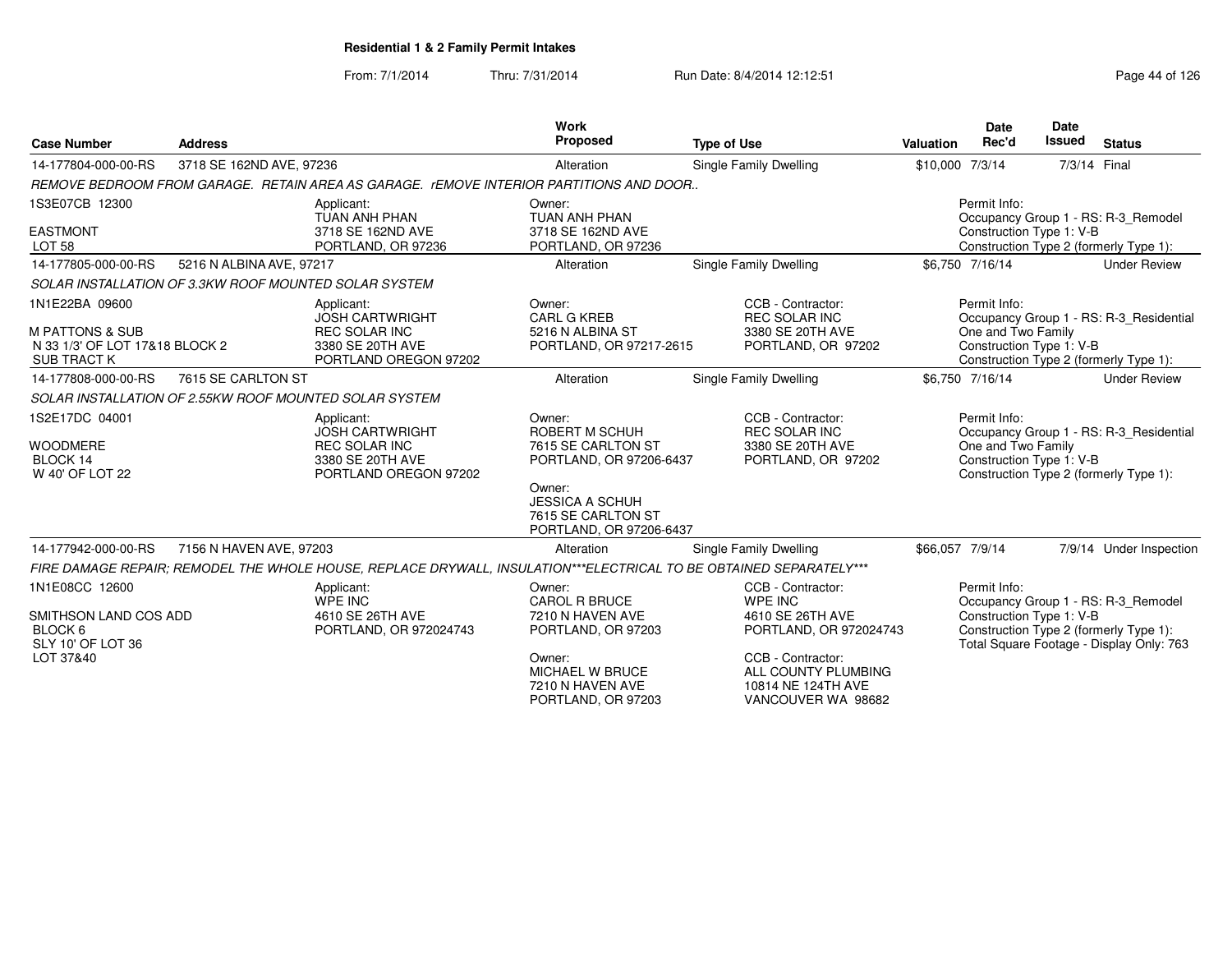| <b>Case Number</b>                                                                                   | <b>Address</b>           |                                                                                                                    | <b>Work</b><br><b>Proposed</b>                                                                                                                                 | <b>Type of Use</b>                                                                                                                                                 | <b>Valuation</b> | Date<br>Rec'd                                                  | Date<br><b>Issued</b> | <b>Status</b>                                                                                                             |
|------------------------------------------------------------------------------------------------------|--------------------------|--------------------------------------------------------------------------------------------------------------------|----------------------------------------------------------------------------------------------------------------------------------------------------------------|--------------------------------------------------------------------------------------------------------------------------------------------------------------------|------------------|----------------------------------------------------------------|-----------------------|---------------------------------------------------------------------------------------------------------------------------|
| 14-177804-000-00-RS                                                                                  | 3718 SE 162ND AVE, 97236 |                                                                                                                    | Alteration                                                                                                                                                     | <b>Single Family Dwelling</b>                                                                                                                                      | \$10,000 7/3/14  |                                                                |                       | 7/3/14 Final                                                                                                              |
|                                                                                                      |                          | REMOVE BEDROOM FROM GARAGE. RETAIN AREA AS GARAGE. rEMOVE INTERIOR PARTITIONS AND DOOR                             |                                                                                                                                                                |                                                                                                                                                                    |                  |                                                                |                       |                                                                                                                           |
| 1S3E07CB 12300                                                                                       |                          | Applicant:<br><b>TUAN ANH PHAN</b>                                                                                 | Owner:<br>TUAN ANH PHAN                                                                                                                                        |                                                                                                                                                                    |                  | Permit Info:                                                   |                       | Occupancy Group 1 - RS: R-3 Remodel                                                                                       |
| <b>EASTMONT</b><br><b>LOT 58</b>                                                                     |                          | 3718 SE 162ND AVE<br>PORTLAND, OR 97236                                                                            | 3718 SE 162ND AVE<br>PORTLAND, OR 97236                                                                                                                        |                                                                                                                                                                    |                  | Construction Type 1: V-B                                       |                       | Construction Type 2 (formerly Type 1):                                                                                    |
| 14-177805-000-00-RS                                                                                  | 5216 N ALBINA AVE, 97217 |                                                                                                                    | Alteration                                                                                                                                                     | Single Family Dwelling                                                                                                                                             |                  | \$6,750 7/16/14                                                |                       | <b>Under Review</b>                                                                                                       |
| SOLAR INSTALLATION OF 3.3KW ROOF MOUNTED SOLAR SYSTEM                                                |                          |                                                                                                                    |                                                                                                                                                                |                                                                                                                                                                    |                  |                                                                |                       |                                                                                                                           |
| 1N1E22BA 09600<br><b>M PATTONS &amp; SUB</b><br>N 33 1/3' OF LOT 17&18 BLOCK 2<br><b>SUB TRACT K</b> |                          | Applicant:<br><b>JOSH CARTWRIGHT</b><br><b>REC SOLAR INC</b><br>3380 SE 20TH AVE<br>PORTLAND OREGON 97202          | Owner:<br><b>CARL G KREB</b><br>5216 N ALBINA ST<br>PORTLAND, OR 97217-2615                                                                                    | CCB - Contractor:<br><b>REC SOLAR INC</b><br>3380 SE 20TH AVE<br>PORTLAND, OR 97202                                                                                |                  | Permit Info:<br>One and Two Family<br>Construction Type 1: V-B |                       | Occupancy Group 1 - RS: R-3_Residential<br>Construction Type 2 (formerly Type 1):                                         |
| 14-177808-000-00-RS                                                                                  | 7615 SE CARLTON ST       |                                                                                                                    | Alteration                                                                                                                                                     | Single Family Dwelling                                                                                                                                             |                  | \$6,750 7/16/14                                                |                       | <b>Under Review</b>                                                                                                       |
|                                                                                                      |                          | SOLAR INSTALLATION OF 2.55KW ROOF MOUNTED SOLAR SYSTEM                                                             |                                                                                                                                                                |                                                                                                                                                                    |                  |                                                                |                       |                                                                                                                           |
| 1S2E17DC 04001<br><b>WOODMERE</b><br>BLOCK 14<br>W 40' OF LOT 22                                     |                          | Applicant:<br><b>JOSH CARTWRIGHT</b><br><b>REC SOLAR INC</b><br>3380 SE 20TH AVE<br>PORTLAND OREGON 97202          | Owner:<br>ROBERT M SCHUH<br>7615 SE CARLTON ST<br>PORTLAND, OR 97206-6437<br>Owner:<br><b>JESSICA A SCHUH</b><br>7615 SE CARLTON ST<br>PORTLAND, OR 97206-6437 | CCB - Contractor:<br><b>REC SOLAR INC</b><br>3380 SE 20TH AVE<br>PORTLAND, OR 97202                                                                                |                  | Permit Info:<br>One and Two Family<br>Construction Type 1: V-B |                       | Occupancy Group 1 - RS: R-3 Residential<br>Construction Type 2 (formerly Type 1):                                         |
| 14-177942-000-00-RS                                                                                  | 7156 N HAVEN AVE, 97203  |                                                                                                                    | Alteration                                                                                                                                                     | Single Family Dwelling                                                                                                                                             | \$66,057 7/9/14  |                                                                |                       | 7/9/14 Under Inspection                                                                                                   |
|                                                                                                      |                          | FIRE DAMAGE REPAIR; REMODEL THE WHOLE HOUSE, REPLACE DRYWALL, INSULATION***ELECTRICAL TO BE OBTAINED SEPARATELY*** |                                                                                                                                                                |                                                                                                                                                                    |                  |                                                                |                       |                                                                                                                           |
| 1N1E08CC 12600<br>SMITHSON LAND COS ADD<br>BLOCK 6<br>SLY 10' OF LOT 36<br>LOT 37&40                 |                          | Applicant:<br>WPE INC<br>4610 SE 26TH AVE<br>PORTLAND, OR 972024743                                                | Owner:<br><b>CAROL R BRUCE</b><br>7210 N HAVEN AVE<br>PORTLAND, OR 97203<br>Owner:<br>MICHAEL W BRUCE<br>7210 N HAVEN AVE<br>PORTLAND, OR 97203                | CCB - Contractor:<br>WPE INC<br>4610 SE 26TH AVE<br>PORTLAND, OR 972024743<br>CCB - Contractor:<br>ALL COUNTY PLUMBING<br>10814 NE 124TH AVE<br>VANCOUVER WA 98682 |                  | Permit Info:<br>Construction Type 1: V-B                       |                       | Occupancy Group 1 - RS: R-3_Remodel<br>Construction Type 2 (formerly Type 1):<br>Total Square Footage - Display Only: 763 |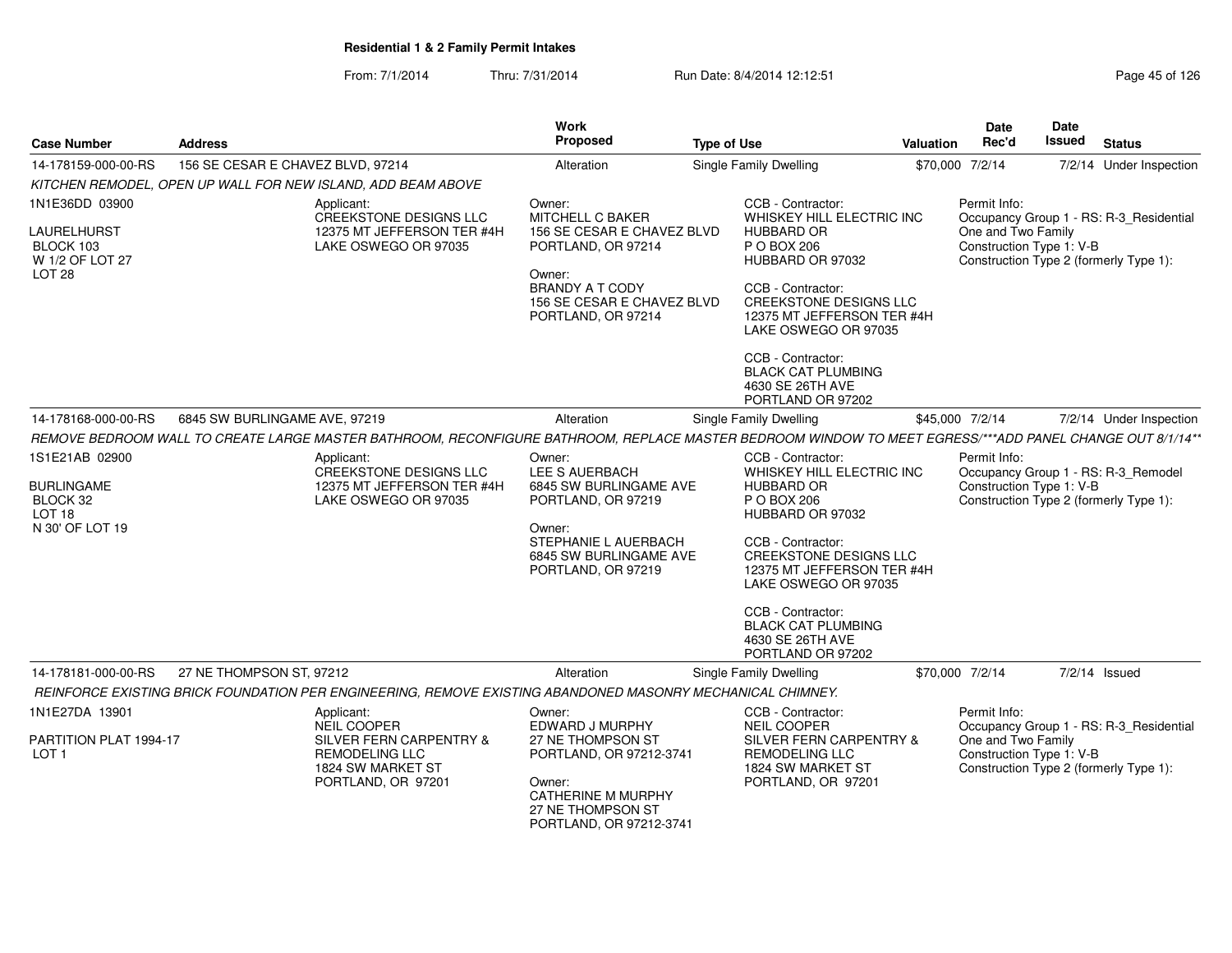| <b>Address</b>         |                                                                                                        | Work<br><b>Proposed</b>                                                                                                                                                                         | <b>Type of Use</b>                                    |                                                                                                                                                                                                                                                                                                          | <b>Date</b><br>Rec'd                                                                                                                                                                                                                                                                                                                                                                                                                            | <b>Date</b><br><b>Issued</b>                                              | <b>Status</b>                                                                                                                                                                                                                                                                                                                                                                                                                                                                                                                                       |
|------------------------|--------------------------------------------------------------------------------------------------------|-------------------------------------------------------------------------------------------------------------------------------------------------------------------------------------------------|-------------------------------------------------------|----------------------------------------------------------------------------------------------------------------------------------------------------------------------------------------------------------------------------------------------------------------------------------------------------------|-------------------------------------------------------------------------------------------------------------------------------------------------------------------------------------------------------------------------------------------------------------------------------------------------------------------------------------------------------------------------------------------------------------------------------------------------|---------------------------------------------------------------------------|-----------------------------------------------------------------------------------------------------------------------------------------------------------------------------------------------------------------------------------------------------------------------------------------------------------------------------------------------------------------------------------------------------------------------------------------------------------------------------------------------------------------------------------------------------|
|                        |                                                                                                        | Alteration                                                                                                                                                                                      | <b>Single Family Dwelling</b>                         |                                                                                                                                                                                                                                                                                                          |                                                                                                                                                                                                                                                                                                                                                                                                                                                 |                                                                           | 7/2/14 Under Inspection                                                                                                                                                                                                                                                                                                                                                                                                                                                                                                                             |
|                        |                                                                                                        |                                                                                                                                                                                                 |                                                       |                                                                                                                                                                                                                                                                                                          |                                                                                                                                                                                                                                                                                                                                                                                                                                                 |                                                                           |                                                                                                                                                                                                                                                                                                                                                                                                                                                                                                                                                     |
|                        | Applicant:                                                                                             | Owner:                                                                                                                                                                                          | CCB - Contractor:                                     |                                                                                                                                                                                                                                                                                                          | Permit Info:                                                                                                                                                                                                                                                                                                                                                                                                                                    |                                                                           |                                                                                                                                                                                                                                                                                                                                                                                                                                                                                                                                                     |
|                        | 12375 MT JEFFERSON TER #4H<br>LAKE OSWEGO OR 97035                                                     | PORTLAND, OR 97214                                                                                                                                                                              | <b>HUBBARD OR</b><br>P O BOX 206                      |                                                                                                                                                                                                                                                                                                          |                                                                                                                                                                                                                                                                                                                                                                                                                                                 |                                                                           |                                                                                                                                                                                                                                                                                                                                                                                                                                                                                                                                                     |
|                        |                                                                                                        | <b>BRANDY A T CODY</b><br>PORTLAND, OR 97214                                                                                                                                                    | CCB - Contractor:                                     |                                                                                                                                                                                                                                                                                                          |                                                                                                                                                                                                                                                                                                                                                                                                                                                 |                                                                           |                                                                                                                                                                                                                                                                                                                                                                                                                                                                                                                                                     |
|                        |                                                                                                        |                                                                                                                                                                                                 | CCB - Contractor:<br>4630 SE 26TH AVE                 |                                                                                                                                                                                                                                                                                                          |                                                                                                                                                                                                                                                                                                                                                                                                                                                 |                                                                           |                                                                                                                                                                                                                                                                                                                                                                                                                                                                                                                                                     |
|                        |                                                                                                        | Alteration                                                                                                                                                                                      | Single Family Dwelling                                |                                                                                                                                                                                                                                                                                                          |                                                                                                                                                                                                                                                                                                                                                                                                                                                 |                                                                           | 7/2/14 Under Inspection                                                                                                                                                                                                                                                                                                                                                                                                                                                                                                                             |
|                        |                                                                                                        |                                                                                                                                                                                                 |                                                       |                                                                                                                                                                                                                                                                                                          |                                                                                                                                                                                                                                                                                                                                                                                                                                                 |                                                                           |                                                                                                                                                                                                                                                                                                                                                                                                                                                                                                                                                     |
|                        | Applicant:<br>CREEKSTONE DESIGNS LLC<br>12375 MT JEFFERSON TER #4H<br>LAKE OSWEGO OR 97035             | Owner:<br>LEE S AUERBACH<br>PORTLAND, OR 97219                                                                                                                                                  | CCB - Contractor:<br><b>HUBBARD OR</b><br>P O BOX 206 |                                                                                                                                                                                                                                                                                                          | Permit Info:                                                                                                                                                                                                                                                                                                                                                                                                                                    |                                                                           |                                                                                                                                                                                                                                                                                                                                                                                                                                                                                                                                                     |
|                        |                                                                                                        | Owner:<br>PORTLAND, OR 97219                                                                                                                                                                    | CCB - Contractor:                                     |                                                                                                                                                                                                                                                                                                          |                                                                                                                                                                                                                                                                                                                                                                                                                                                 |                                                                           |                                                                                                                                                                                                                                                                                                                                                                                                                                                                                                                                                     |
|                        |                                                                                                        |                                                                                                                                                                                                 | CCB - Contractor:<br>4630 SE 26TH AVE                 |                                                                                                                                                                                                                                                                                                          |                                                                                                                                                                                                                                                                                                                                                                                                                                                 |                                                                           |                                                                                                                                                                                                                                                                                                                                                                                                                                                                                                                                                     |
|                        |                                                                                                        | Alteration                                                                                                                                                                                      | Single Family Dwelling                                |                                                                                                                                                                                                                                                                                                          |                                                                                                                                                                                                                                                                                                                                                                                                                                                 |                                                                           | 7/2/14 Issued                                                                                                                                                                                                                                                                                                                                                                                                                                                                                                                                       |
|                        |                                                                                                        |                                                                                                                                                                                                 |                                                       |                                                                                                                                                                                                                                                                                                          |                                                                                                                                                                                                                                                                                                                                                                                                                                                 |                                                                           |                                                                                                                                                                                                                                                                                                                                                                                                                                                                                                                                                     |
|                        | Applicant:<br><b>NEIL COOPER</b>                                                                       | Owner:<br>EDWARD J MURPHY                                                                                                                                                                       | CCB - Contractor:<br><b>NEIL COOPER</b>               |                                                                                                                                                                                                                                                                                                          | Permit Info:                                                                                                                                                                                                                                                                                                                                                                                                                                    |                                                                           |                                                                                                                                                                                                                                                                                                                                                                                                                                                                                                                                                     |
| PARTITION PLAT 1994-17 | <b>SILVER FERN CARPENTRY &amp;</b><br><b>REMODELING LLC</b><br>1824 SW MARKET ST<br>PORTLAND, OR 97201 | 27 NE THOMPSON ST<br>Owner:<br><b>CATHERINE M MURPHY</b><br>27 NE THOMPSON ST                                                                                                                   | <b>REMODELING LLC</b>                                 |                                                                                                                                                                                                                                                                                                          |                                                                                                                                                                                                                                                                                                                                                                                                                                                 |                                                                           |                                                                                                                                                                                                                                                                                                                                                                                                                                                                                                                                                     |
|                        |                                                                                                        | 156 SE CESAR E CHAVEZ BLVD, 97214<br>KITCHEN REMODEL, OPEN UP WALL FOR NEW ISLAND, ADD BEAM ABOVE<br><b>CREEKSTONE DESIGNS LLC</b><br>6845 SW BURLINGAME AVE, 97219<br>27 NE THOMPSON ST, 97212 | <b>MITCHELL C BAKER</b><br>Owner:                     | 156 SE CESAR E CHAVEZ BLVD<br>156 SE CESAR E CHAVEZ BLVD<br>6845 SW BURLINGAME AVE<br>STEPHANIE L AUERBACH<br>6845 SW BURLINGAME AVE<br>REINFORCE EXISTING BRICK FOUNDATION PER ENGINEERING, REMOVE EXISTING ABANDONED MASONRY MECHANICAL CHIMNEY.<br>PORTLAND, OR 97212-3741<br>PORTLAND, OR 97212-3741 | WHISKEY HILL ELECTRIC INC<br>HUBBARD OR 97032<br><b>CREEKSTONE DESIGNS LLC</b><br>12375 MT JEFFERSON TER #4H<br>LAKE OSWEGO OR 97035<br><b>BLACK CAT PLUMBING</b><br>PORTLAND OR 97202<br>WHISKEY HILL ELECTRIC INC<br>HUBBARD OR 97032<br>CREEKSTONE DESIGNS LLC<br>12375 MT JEFFERSON TER #4H<br>LAKE OSWEGO OR 97035<br><b>BLACK CAT PLUMBING</b><br>PORTLAND OR 97202<br>SILVER FERN CARPENTRY &<br>1824 SW MARKET ST<br>PORTLAND, OR 97201 | <b>Valuation</b><br>\$70,000 7/2/14<br>\$45,000 7/2/14<br>\$70,000 7/2/14 | Occupancy Group 1 - RS: R-3_Residential<br>One and Two Family<br>Construction Type 1: V-B<br>Construction Type 2 (formerly Type 1):<br>REMOVE BEDROOM WALL TO CREATE LARGE MASTER BATHROOM, RECONFIGURE BATHROOM, REPLACE MASTER BEDROOM WINDOW TO MEET EGRESS/***ADD PANEL CHANGE OUT 8/1/14**<br>Occupancy Group 1 - RS: R-3_Remodel<br>Construction Type 1: V-B<br>Construction Type 2 (formerly Type 1):<br>Occupancy Group 1 - RS: R-3_Residential<br>One and Two Family<br>Construction Type 1: V-B<br>Construction Type 2 (formerly Type 1): |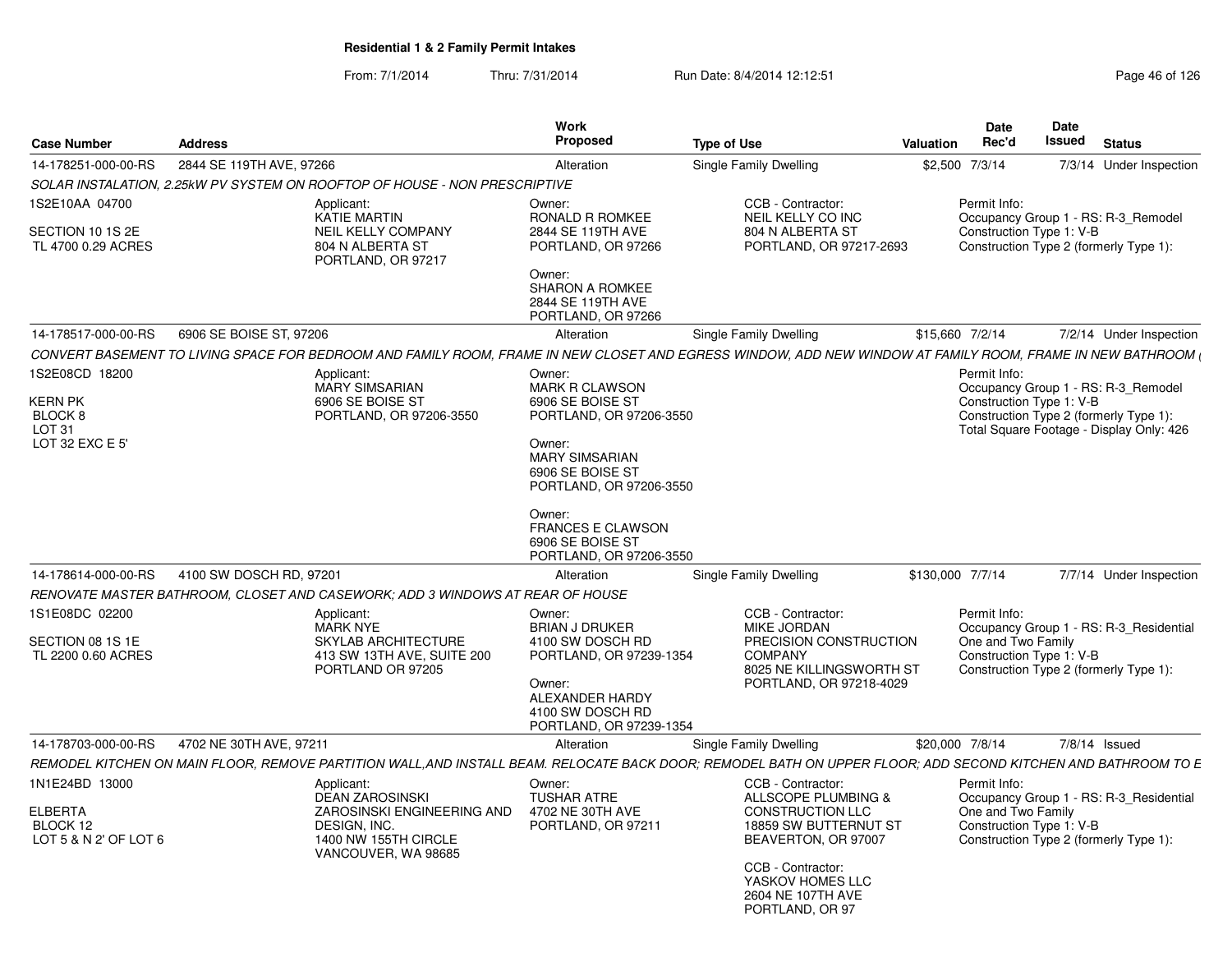| <b>Case Number</b>                                                              | <b>Address</b>                                                                                                                                               | Work<br>Proposed                                                                                                                                                                                                                                      | <b>Type of Use</b>                                                                                                                       | <b>Valuation</b> | Date<br>Rec'd                                                  | <b>Date</b><br>Issued | <b>Status</b>                                                                                                             |
|---------------------------------------------------------------------------------|--------------------------------------------------------------------------------------------------------------------------------------------------------------|-------------------------------------------------------------------------------------------------------------------------------------------------------------------------------------------------------------------------------------------------------|------------------------------------------------------------------------------------------------------------------------------------------|------------------|----------------------------------------------------------------|-----------------------|---------------------------------------------------------------------------------------------------------------------------|
| 14-178251-000-00-RS                                                             | 2844 SE 119TH AVE, 97266                                                                                                                                     | Alteration                                                                                                                                                                                                                                            | Single Family Dwelling                                                                                                                   |                  | \$2,500 7/3/14                                                 |                       | 7/3/14 Under Inspection                                                                                                   |
|                                                                                 | SOLAR INSTALATION, 2.25kW PV SYSTEM ON ROOFTOP OF HOUSE - NON PRESCRIPTIVE                                                                                   |                                                                                                                                                                                                                                                       |                                                                                                                                          |                  |                                                                |                       |                                                                                                                           |
| 1S2E10AA 04700<br>SECTION 10 1S 2E<br>TL 4700 0.29 ACRES                        | Applicant:<br>KATIE MARTIN<br><b>NEIL KELLY COMPANY</b><br>804 N ALBERTA ST<br>PORTLAND, OR 97217                                                            | Owner:<br><b>RONALD R ROMKEE</b><br>2844 SE 119TH AVE<br>PORTLAND, OR 97266<br>Owner:<br>SHARON A ROMKEE<br>2844 SE 119TH AVE<br>PORTLAND, OR 97266                                                                                                   | CCB - Contractor:<br>NEIL KELLY CO INC<br>804 N ALBERTA ST<br>PORTLAND, OR 97217-2693                                                    |                  | Permit Info:<br>Construction Type 1: V-B                       |                       | Occupancy Group 1 - RS: R-3 Remodel<br>Construction Type 2 (formerly Type 1):                                             |
| 14-178517-000-00-RS                                                             | 6906 SE BOISE ST, 97206                                                                                                                                      | Alteration                                                                                                                                                                                                                                            | Single Family Dwelling                                                                                                                   | \$15,660 7/2/14  |                                                                |                       | 7/2/14 Under Inspection                                                                                                   |
|                                                                                 | CONVERT BASEMENT TO LIVING SPACE FOR BEDROOM AND FAMILY ROOM. FRAME IN NEW CLOSET AND EGRESS WINDOW, ADD NEW WINDOW AT FAMILY ROOM, FRAME IN NEW BATHROOM (  |                                                                                                                                                                                                                                                       |                                                                                                                                          |                  |                                                                |                       |                                                                                                                           |
| 1S2E08CD 18200<br><b>KERN PK</b><br>BLOCK 8<br><b>LOT 31</b><br>LOT 32 EXC E 5' | Applicant:<br><b>MARY SIMSARIAN</b><br>6906 SE BOISE ST<br>PORTLAND, OR 97206-3550                                                                           | Owner:<br><b>MARK R CLAWSON</b><br>6906 SE BOISE ST<br>PORTLAND, OR 97206-3550<br>Owner:<br><b>MARY SIMSARIAN</b><br>6906 SE BOISE ST<br>PORTLAND, OR 97206-3550<br>Owner:<br><b>FRANCES E CLAWSON</b><br>6906 SE BOISE ST<br>PORTLAND, OR 97206-3550 |                                                                                                                                          |                  | Permit Info:<br>Construction Type 1: V-B                       |                       | Occupancy Group 1 - RS: R-3_Remodel<br>Construction Type 2 (formerly Type 1):<br>Total Square Footage - Display Only: 426 |
| 14-178614-000-00-RS                                                             | 4100 SW DOSCH RD, 97201                                                                                                                                      | Alteration                                                                                                                                                                                                                                            | Single Family Dwelling                                                                                                                   | \$130,000 7/7/14 |                                                                |                       | 7/7/14 Under Inspection                                                                                                   |
|                                                                                 | RENOVATE MASTER BATHROOM, CLOSET AND CASEWORK; ADD 3 WINDOWS AT REAR OF HOUSE                                                                                |                                                                                                                                                                                                                                                       |                                                                                                                                          |                  |                                                                |                       |                                                                                                                           |
| 1S1E08DC 02200<br>SECTION 08 1S 1E<br>TL 2200 0.60 ACRES                        | Applicant:<br><b>MARK NYE</b><br><b>SKYLAB ARCHITECTURE</b><br>413 SW 13TH AVE, SUITE 200                                                                    | Owner:<br><b>BRIAN J DRUKER</b><br>4100 SW DOSCH RD<br>PORTLAND, OR 97239-1354                                                                                                                                                                        | CCB - Contractor:<br><b>MIKE JORDAN</b><br>PRECISION CONSTRUCTION<br><b>COMPANY</b>                                                      |                  | Permit Info:<br>One and Two Family<br>Construction Type 1: V-B |                       | Occupancy Group 1 - RS: R-3_Residential                                                                                   |
|                                                                                 | PORTLAND OR 97205                                                                                                                                            | Owner:<br>ALEXANDER HARDY<br>4100 SW DOSCH RD<br>PORTLAND, OR 97239-1354                                                                                                                                                                              | 8025 NE KILLINGSWORTH ST<br>PORTLAND, OR 97218-4029                                                                                      |                  |                                                                |                       | Construction Type 2 (formerly Type 1):                                                                                    |
| 14-178703-000-00-RS                                                             | 4702 NE 30TH AVE, 97211                                                                                                                                      | Alteration                                                                                                                                                                                                                                            | <b>Single Family Dwelling</b>                                                                                                            | \$20,000 7/8/14  |                                                                |                       | $7/8/14$ Issued                                                                                                           |
|                                                                                 | REMODEL KITCHEN ON MAIN FLOOR, REMOVE PARTITION WALL,AND INSTALL BEAM. RELOCATE BACK DOOR; REMODEL BATH ON UPPER FLOOR; ADD SECOND KITCHEN AND BATHROOM TO E |                                                                                                                                                                                                                                                       |                                                                                                                                          |                  |                                                                |                       |                                                                                                                           |
| 1N1E24BD 13000<br><b>ELBERTA</b><br>BLOCK 12<br>LOT 5 & N 2' OF LOT 6           | Applicant:<br><b>DEAN ZAROSINSKI</b><br>ZAROSINSKI ENGINEERING AND<br>DESIGN, INC.<br>1400 NW 155TH CIRCLE<br>VANCOUVER, WA 98685                            | Owner:<br><b>TUSHAR ATRE</b><br>4702 NE 30TH AVE<br>PORTLAND, OR 97211                                                                                                                                                                                | CCB - Contractor:<br>ALLSCOPE PLUMBING &<br><b>CONSTRUCTION LLC</b><br>18859 SW BUTTERNUT ST<br>BEAVERTON, OR 97007<br>CCB - Contractor: |                  | Permit Info:<br>One and Two Family<br>Construction Type 1: V-B |                       | Occupancy Group 1 - RS: R-3 Residential<br>Construction Type 2 (formerly Type 1):                                         |
|                                                                                 |                                                                                                                                                              |                                                                                                                                                                                                                                                       | YASKOV HOMES LLC<br>2604 NE 107TH AVE<br>PORTLAND, OR 97                                                                                 |                  |                                                                |                       |                                                                                                                           |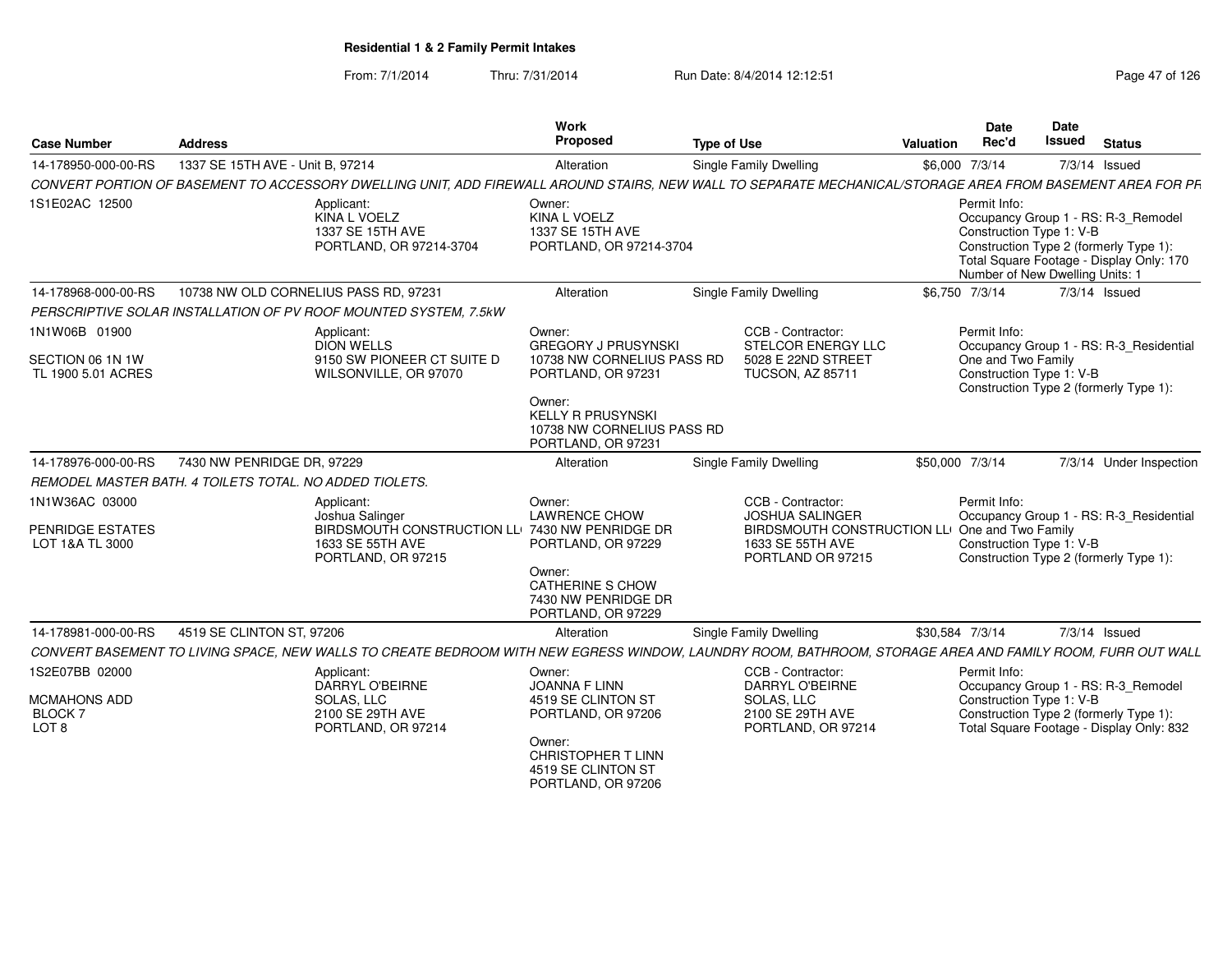| <b>Case Number</b>                | <b>Address</b>                                          |                                                                                                                                                            | Work<br>Proposed                                                               | <b>Type of Use</b> |                                                               | Valuation | Date<br>Rec'd                                                               | Date<br><b>Issued</b> | <b>Status</b>                                                                                                             |
|-----------------------------------|---------------------------------------------------------|------------------------------------------------------------------------------------------------------------------------------------------------------------|--------------------------------------------------------------------------------|--------------------|---------------------------------------------------------------|-----------|-----------------------------------------------------------------------------|-----------------------|---------------------------------------------------------------------------------------------------------------------------|
| 14-178950-000-00-RS               | 1337 SE 15TH AVE - Unit B, 97214                        |                                                                                                                                                            | Alteration                                                                     |                    | Single Family Dwelling                                        |           | \$6,000 7/3/14                                                              |                       | 7/3/14 Issued                                                                                                             |
|                                   |                                                         | CONVERT PORTION OF BASEMENT TO ACCESSORY DWELLING UNIT, ADD FIREWALL AROUND STAIRS, NEW WALL TO SEPARATE MECHANICAL/STORAGE AREA FROM BASEMENT AREA FOR PF |                                                                                |                    |                                                               |           |                                                                             |                       |                                                                                                                           |
| 1S1E02AC 12500                    |                                                         | Applicant:<br>KINA L VOELZ<br>1337 SE 15TH AVE<br>PORTLAND, OR 97214-3704                                                                                  | Owner:<br>KINA L VOELZ<br>1337 SE 15TH AVE<br>PORTLAND, OR 97214-3704          |                    |                                                               |           | Permit Info:<br>Construction Type 1: V-B<br>Number of New Dwelling Units: 1 |                       | Occupancy Group 1 - RS: R-3_Remodel<br>Construction Type 2 (formerly Type 1):<br>Total Square Footage - Display Only: 170 |
| 14-178968-000-00-RS               |                                                         | 10738 NW OLD CORNELIUS PASS RD. 97231                                                                                                                      | Alteration                                                                     |                    | <b>Single Family Dwelling</b>                                 |           | \$6.750 7/3/14                                                              |                       | $7/3/14$ Issued                                                                                                           |
|                                   |                                                         | PERSCRIPTIVE SOLAR INSTALLATION OF PV ROOF MOUNTED SYSTEM, 7.5kW                                                                                           |                                                                                |                    |                                                               |           |                                                                             |                       |                                                                                                                           |
| 1N1W06B 01900<br>SECTION 06 1N 1W |                                                         | Applicant:<br><b>DION WELLS</b><br>9150 SW PIONEER CT SUITE D                                                                                              | Owner:<br><b>GREGORY J PRUSYNSKI</b><br>10738 NW CORNELIUS PASS RD             |                    | CCB - Contractor:<br>STELCOR ENERGY LLC<br>5028 E 22ND STREET |           | Permit Info:<br>One and Two Family                                          |                       | Occupancy Group 1 - RS: R-3 Residential                                                                                   |
| TL 1900 5.01 ACRES                |                                                         | WILSONVILLE, OR 97070                                                                                                                                      | PORTLAND, OR 97231<br>Owner:                                                   |                    | <b>TUCSON, AZ 85711</b>                                       |           | Construction Type 1: V-B                                                    |                       | Construction Type 2 (formerly Type 1):                                                                                    |
|                                   |                                                         |                                                                                                                                                            | <b>KELLY R PRUSYNSKI</b><br>10738 NW CORNELIUS PASS RD<br>PORTLAND, OR 97231   |                    |                                                               |           |                                                                             |                       |                                                                                                                           |
| 14-178976-000-00-RS               | 7430 NW PENRIDGE DR, 97229                              |                                                                                                                                                            | Alteration                                                                     |                    | Single Family Dwelling                                        |           | \$50,000 7/3/14                                                             |                       | 7/3/14 Under Inspection                                                                                                   |
|                                   | REMODEL MASTER BATH. 4 TOILETS TOTAL. NO ADDED TIOLETS. |                                                                                                                                                            |                                                                                |                    |                                                               |           |                                                                             |                       |                                                                                                                           |
| 1N1W36AC 03000                    |                                                         | Applicant:                                                                                                                                                 | Owner:                                                                         |                    | CCB - Contractor:                                             |           | Permit Info:                                                                |                       |                                                                                                                           |
| PENRIDGE ESTATES                  |                                                         | Joshua Salinger<br>BIRDSMOUTH CONSTRUCTION LLI 7430 NW PENRIDGE DR                                                                                         | <b>LAWRENCE CHOW</b>                                                           |                    | <b>JOSHUA SALINGER</b><br><b>BIRDSMOUTH CONSTRUCTION LLI</b>  |           | One and Two Family                                                          |                       | Occupancy Group 1 - RS: R-3 Residential                                                                                   |
| LOT 1&A TL 3000                   |                                                         | 1633 SE 55TH AVE<br>PORTLAND, OR 97215                                                                                                                     | PORTLAND, OR 97229                                                             |                    | 1633 SE 55TH AVE<br>PORTLAND OR 97215                         |           | Construction Type 1: V-B                                                    |                       | Construction Type 2 (formerly Type 1):                                                                                    |
|                                   |                                                         |                                                                                                                                                            | Owner:<br><b>CATHERINE S CHOW</b><br>7430 NW PENRIDGE DR<br>PORTLAND, OR 97229 |                    |                                                               |           |                                                                             |                       |                                                                                                                           |
| 14-178981-000-00-RS               | 4519 SE CLINTON ST, 97206                               |                                                                                                                                                            | Alteration                                                                     |                    | Single Family Dwelling                                        |           | \$30,584 7/3/14                                                             |                       | 7/3/14 Issued                                                                                                             |
|                                   |                                                         | CONVERT BASEMENT TO LIVING SPACE, NEW WALLS TO CREATE BEDROOM WITH NEW EGRESS WINDOW, LAUNDRY ROOM, BATHROOM, STORAGE AREA AND FAMILY ROOM, FURR OUT WALL  |                                                                                |                    |                                                               |           |                                                                             |                       |                                                                                                                           |
| 1S2E07BB 02000                    |                                                         | Applicant:                                                                                                                                                 | Owner:                                                                         |                    | CCB - Contractor:                                             |           | Permit Info:                                                                |                       |                                                                                                                           |
| MCMAHONS ADD                      |                                                         | DARRYL O'BEIRNE<br>SOLAS, LLC                                                                                                                              | <b>JOANNA F LINN</b><br>4519 SE CLINTON ST                                     |                    | DARRYL O'BEIRNE<br>SOLAS, LLC                                 |           | Construction Type 1: V-B                                                    |                       | Occupancy Group 1 - RS: R-3_Remodel                                                                                       |
| BLOCK 7                           |                                                         | 2100 SE 29TH AVE                                                                                                                                           | PORTLAND, OR 97206                                                             |                    | 2100 SE 29TH AVE                                              |           |                                                                             |                       | Construction Type 2 (formerly Type 1):                                                                                    |
| LOT <sub>8</sub>                  |                                                         | PORTLAND, OR 97214                                                                                                                                         |                                                                                |                    | PORTLAND, OR 97214                                            |           |                                                                             |                       | Total Square Footage - Display Only: 832                                                                                  |
|                                   |                                                         |                                                                                                                                                            | Owner:<br>CHRISTOPHER T LINN<br>4519 SE CLINTON ST<br>PORTLAND, OR 97206       |                    |                                                               |           |                                                                             |                       |                                                                                                                           |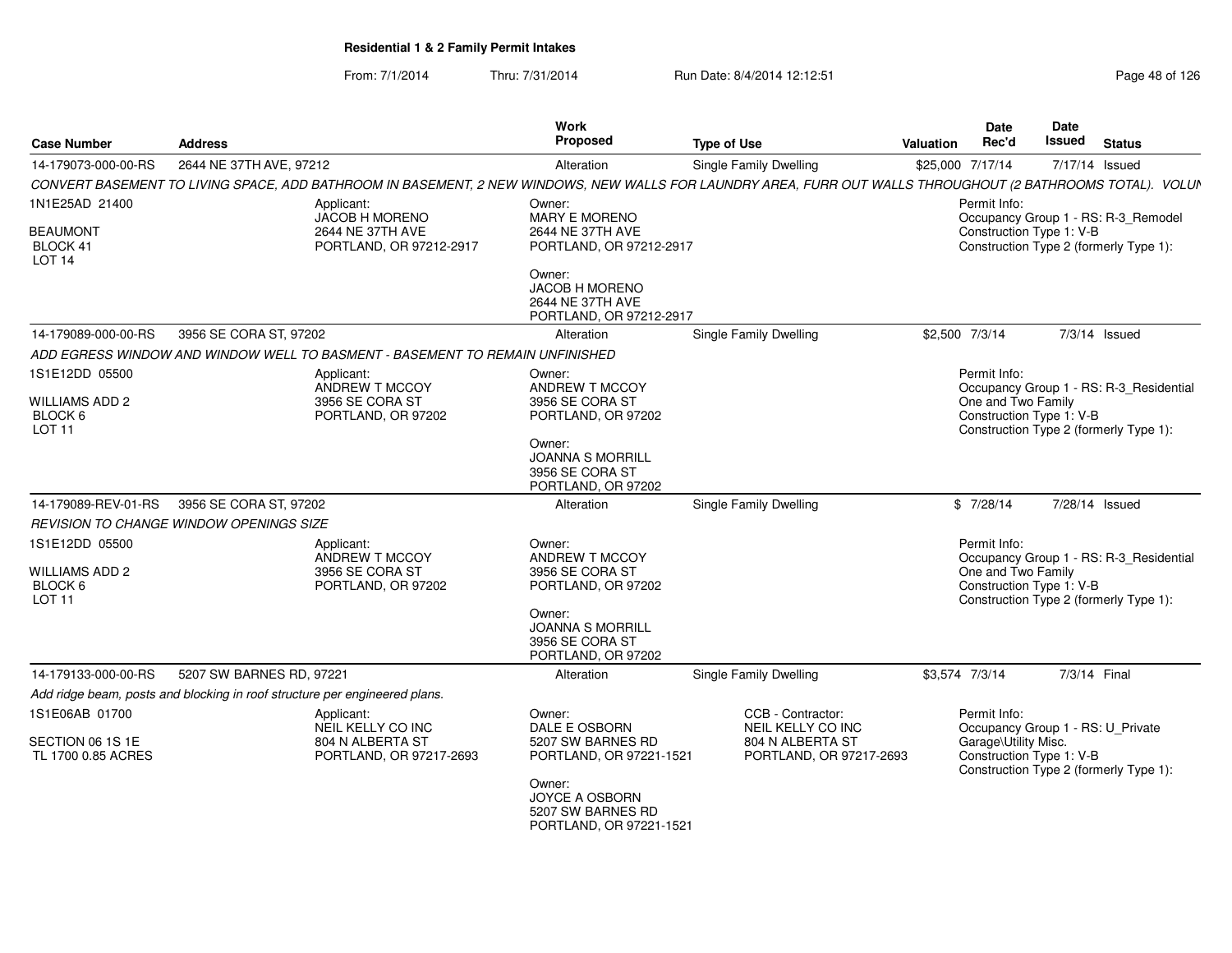| <b>Case Number</b>                                    | <b>Address</b>                                                             |                                                                                                                                                             | Work<br><b>Proposed</b>                                                         | <b>Type of Use</b> |                                             | <b>Valuation</b> | Date<br>Rec'd                                                                              | Date<br>Issued | <b>Status</b>   |  |
|-------------------------------------------------------|----------------------------------------------------------------------------|-------------------------------------------------------------------------------------------------------------------------------------------------------------|---------------------------------------------------------------------------------|--------------------|---------------------------------------------|------------------|--------------------------------------------------------------------------------------------|----------------|-----------------|--|
| 14-179073-000-00-RS                                   | 2644 NE 37TH AVE, 97212                                                    |                                                                                                                                                             | Alteration                                                                      |                    | <b>Single Family Dwelling</b>               |                  | \$25,000 7/17/14                                                                           |                | 7/17/14 Issued  |  |
|                                                       |                                                                            | CONVERT BASEMENT TO LIVING SPACE, ADD BATHROOM IN BASEMENT, 2 NEW WINDOWS, NEW WALLS FOR LAUNDRY AREA, FURR OUT WALLS THROUGHOUT (2 BATHROOMS TOTAL). VOLUN |                                                                                 |                    |                                             |                  |                                                                                            |                |                 |  |
| 1N1E25AD 21400                                        |                                                                            | Applicant:<br>JACOB H MORENO                                                                                                                                | Owner:<br>MARY E MORENO                                                         |                    |                                             |                  | Permit Info:<br>Occupancy Group 1 - RS: R-3_Remodel                                        |                |                 |  |
| <b>BEAUMONT</b><br>BLOCK 41<br>LOT <sub>14</sub>      |                                                                            | 2644 NE 37TH AVE<br>PORTLAND, OR 97212-2917                                                                                                                 | 2644 NE 37TH AVE<br>PORTLAND, OR 97212-2917                                     |                    |                                             |                  | Construction Type 1: V-B<br>Construction Type 2 (formerly Type 1):                         |                |                 |  |
|                                                       |                                                                            |                                                                                                                                                             | Owner:<br>JACOB H MORENO<br>2644 NE 37TH AVE<br>PORTLAND, OR 97212-2917         |                    |                                             |                  |                                                                                            |                |                 |  |
| 14-179089-000-00-RS                                   | 3956 SE CORA ST, 97202                                                     |                                                                                                                                                             | Alteration                                                                      |                    | Single Family Dwelling                      |                  | \$2,500 7/3/14                                                                             |                | $7/3/14$ Issued |  |
|                                                       |                                                                            | ADD EGRESS WINDOW AND WINDOW WELL TO BASMENT - BASEMENT TO REMAIN UNFINISHED                                                                                |                                                                                 |                    |                                             |                  |                                                                                            |                |                 |  |
| 1S1E12DD 05500                                        |                                                                            | Applicant:<br>ANDREW T MCCOY                                                                                                                                | Owner:<br>ANDREW T MCCOY                                                        |                    |                                             |                  | Permit Info:<br>Occupancy Group 1 - RS: R-3_Residential                                    |                |                 |  |
| <b>WILLIAMS ADD 2</b><br>BLOCK 6<br>LOT <sub>11</sub> |                                                                            | 3956 SE CORA ST<br>PORTLAND, OR 97202                                                                                                                       | 3956 SE CORA ST<br>PORTLAND, OR 97202                                           |                    |                                             |                  | One and Two Family<br>Construction Type 1: V-B<br>Construction Type 2 (formerly Type 1):   |                |                 |  |
|                                                       |                                                                            |                                                                                                                                                             | Owner:<br><b>JOANNA S MORRILL</b><br>3956 SE CORA ST<br>PORTLAND, OR 97202      |                    |                                             |                  |                                                                                            |                |                 |  |
| 14-179089-REV-01-RS                                   | 3956 SE CORA ST, 97202                                                     |                                                                                                                                                             | Alteration                                                                      |                    | Single Family Dwelling                      |                  | \$7/28/14                                                                                  |                | 7/28/14 Issued  |  |
|                                                       | REVISION TO CHANGE WINDOW OPENINGS SIZE                                    |                                                                                                                                                             |                                                                                 |                    |                                             |                  |                                                                                            |                |                 |  |
| 1S1E12DD 05500                                        |                                                                            | Applicant:<br>ANDREW T MCCOY                                                                                                                                | Owner:<br>ANDREW T MCCOY                                                        |                    |                                             |                  | Permit Info:<br>Occupancy Group 1 - RS: R-3_Residential                                    |                |                 |  |
| <b>WILLIAMS ADD 2</b><br>BLOCK 6                      |                                                                            | 3956 SE CORA ST<br>PORTLAND, OR 97202                                                                                                                       | 3956 SE CORA ST<br>PORTLAND, OR 97202                                           |                    |                                             |                  | One and Two Family<br>Construction Type 1: V-B                                             |                |                 |  |
| LOT <sub>11</sub>                                     |                                                                            |                                                                                                                                                             | Owner:<br><b>JOANNA S MORRILL</b><br>3956 SE CORA ST<br>PORTLAND, OR 97202      |                    |                                             |                  | Construction Type 2 (formerly Type 1):                                                     |                |                 |  |
| 14-179133-000-00-RS                                   | 5207 SW BARNES RD, 97221                                                   |                                                                                                                                                             | Alteration                                                                      |                    | Single Family Dwelling                      |                  | \$3,574 7/3/14                                                                             |                | 7/3/14 Final    |  |
|                                                       | Add ridge beam, posts and blocking in roof structure per engineered plans. |                                                                                                                                                             |                                                                                 |                    |                                             |                  |                                                                                            |                |                 |  |
| 1S1E06AB 01700                                        |                                                                            | Applicant:<br>NEIL KELLY CO INC                                                                                                                             | Owner:<br>DALE E OSBORN                                                         |                    | CCB - Contractor:<br>NEIL KELLY CO INC      |                  | Permit Info:<br>Occupancy Group 1 - RS: U_Private                                          |                |                 |  |
| SECTION 06 1S 1E<br>TL 1700 0.85 ACRES                |                                                                            | 804 N ALBERTA ST<br>PORTLAND, OR 97217-2693                                                                                                                 | 5207 SW BARNES RD<br>PORTLAND, OR 97221-1521                                    |                    | 804 N ALBERTA ST<br>PORTLAND, OR 97217-2693 |                  | Garage\Utility Misc.<br>Construction Type 1: V-B<br>Construction Type 2 (formerly Type 1): |                |                 |  |
|                                                       |                                                                            |                                                                                                                                                             | Owner:<br><b>JOYCE A OSBORN</b><br>5207 SW BARNES RD<br>PORTLAND, OR 97221-1521 |                    |                                             |                  |                                                                                            |                |                 |  |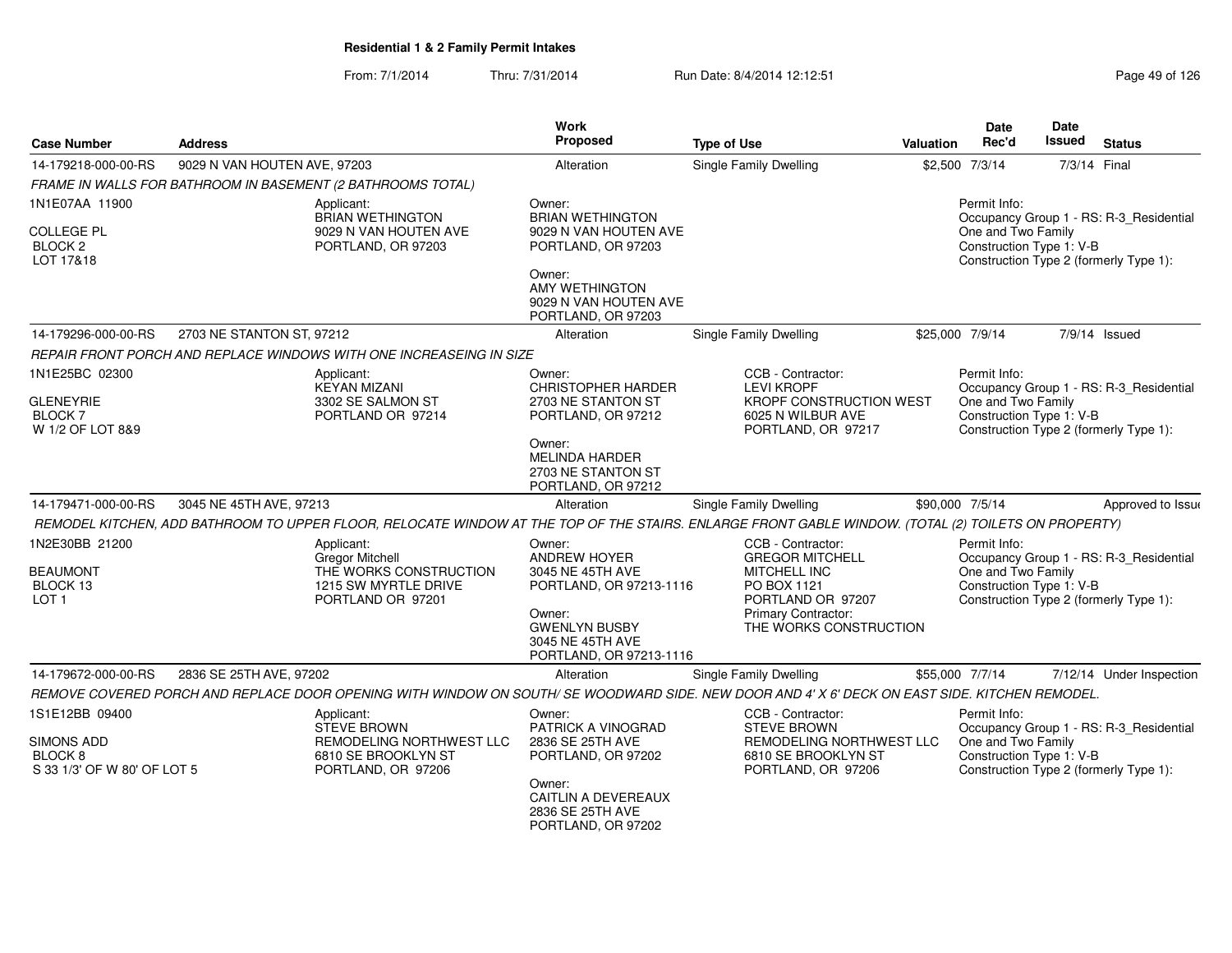| <b>Case Number</b>                                                                       | <b>Address</b>               |                                                                                                                                                     | Work<br><b>Proposed</b>                                                       | <b>Type of Use</b>                                                                                               | Valuation | Date<br>Rec'd                                                  | <b>Date</b><br><b>Issued</b> | <b>Status</b>                                                                     |
|------------------------------------------------------------------------------------------|------------------------------|-----------------------------------------------------------------------------------------------------------------------------------------------------|-------------------------------------------------------------------------------|------------------------------------------------------------------------------------------------------------------|-----------|----------------------------------------------------------------|------------------------------|-----------------------------------------------------------------------------------|
| 14-179218-000-00-RS                                                                      | 9029 N VAN HOUTEN AVE, 97203 |                                                                                                                                                     | Alteration                                                                    | <b>Single Family Dwelling</b>                                                                                    |           | \$2,500 7/3/14                                                 | 7/3/14 Final                 |                                                                                   |
|                                                                                          |                              | FRAME IN WALLS FOR BATHROOM IN BASEMENT (2 BATHROOMS TOTAL)                                                                                         |                                                                               |                                                                                                                  |           |                                                                |                              |                                                                                   |
| 1N1E07AA 11900                                                                           |                              | Applicant:<br><b>BRIAN WETHINGTON</b>                                                                                                               | Owner:<br><b>BRIAN WETHINGTON</b>                                             |                                                                                                                  |           | Permit Info:                                                   |                              | Occupancy Group 1 - RS: R-3_Residential                                           |
| <b>COLLEGE PL</b><br>BLOCK <sub>2</sub><br>LOT 17&18                                     |                              | 9029 N VAN HOUTEN AVE<br>PORTLAND, OR 97203                                                                                                         | 9029 N VAN HOUTEN AVE<br>PORTLAND, OR 97203<br>Owner:<br>AMY WETHINGTON       |                                                                                                                  |           | One and Two Family<br>Construction Type 1: V-B                 |                              | Construction Type 2 (formerly Type 1):                                            |
|                                                                                          |                              |                                                                                                                                                     | 9029 N VAN HOUTEN AVE<br>PORTLAND, OR 97203                                   |                                                                                                                  |           |                                                                |                              |                                                                                   |
| 14-179296-000-00-RS                                                                      | 2703 NE STANTON ST, 97212    |                                                                                                                                                     | Alteration                                                                    | <b>Single Family Dwelling</b>                                                                                    |           | \$25,000 7/9/14                                                |                              | $7/9/14$ Issued                                                                   |
|                                                                                          |                              | REPAIR FRONT PORCH AND REPLACE WINDOWS WITH ONE INCREASEING IN SIZE                                                                                 |                                                                               |                                                                                                                  |           |                                                                |                              |                                                                                   |
| 1N1E25BC 02300                                                                           |                              | Applicant:<br><b>KEYAN MIZANI</b>                                                                                                                   | Owner:<br><b>CHRISTOPHER HARDER</b>                                           | CCB - Contractor:<br><b>LEVI KROPF</b>                                                                           |           | Permit Info:                                                   |                              | Occupancy Group 1 - RS: R-3 Residential                                           |
| <b>GLENEYRIE</b><br><b>BLOCK7</b><br>W 1/2 OF LOT 8&9                                    |                              | 3302 SE SALMON ST<br>PORTLAND OR 97214                                                                                                              | 2703 NE STANTON ST<br>PORTLAND, OR 97212                                      | <b>KROPF CONSTRUCTION WEST</b><br>6025 N WILBUR AVE<br>PORTLAND, OR 97217                                        |           | One and Two Family<br>Construction Type 1: V-B                 |                              | Construction Type 2 (formerly Type 1):                                            |
|                                                                                          |                              |                                                                                                                                                     | Owner:<br><b>MELINDA HARDER</b><br>2703 NE STANTON ST<br>PORTLAND, OR 97212   |                                                                                                                  |           |                                                                |                              |                                                                                   |
| 14-179471-000-00-RS                                                                      | 3045 NE 45TH AVE, 97213      |                                                                                                                                                     | Alteration                                                                    | <b>Single Family Dwelling</b>                                                                                    |           | \$90,000 7/5/14                                                |                              | Approved to Issue                                                                 |
|                                                                                          |                              | REMODEL KITCHEN, ADD BATHROOM TO UPPER FLOOR, RELOCATE WINDOW AT THE TOP OF THE STAIRS. ENLARGE FRONT GABLE WINDOW. (TOTAL (2) TOILETS ON PROPERTY) |                                                                               |                                                                                                                  |           |                                                                |                              |                                                                                   |
| 1N2E30BB 21200<br><b>BEAUMONT</b><br>BLOCK 13<br>LOT <sub>1</sub>                        |                              | Applicant:<br><b>Gregor Mitchell</b><br>THE WORKS CONSTRUCTION<br>1215 SW MYRTLE DRIVE<br>PORTLAND OR 97201                                         | Owner:<br><b>ANDREW HOYER</b><br>3045 NE 45TH AVE<br>PORTLAND, OR 97213-1116  | CCB - Contractor:<br><b>GREGOR MITCHELL</b><br>MITCHELL INC<br>PO BOX 1121<br>PORTLAND OR 97207                  |           | Permit Info:<br>One and Two Family<br>Construction Type 1: V-B |                              | Occupancy Group 1 - RS: R-3_Residential<br>Construction Type 2 (formerly Type 1): |
|                                                                                          |                              |                                                                                                                                                     | Owner:<br><b>GWENLYN BUSBY</b><br>3045 NE 45TH AVE<br>PORTLAND, OR 97213-1116 | Primary Contractor:<br>THE WORKS CONSTRUCTION                                                                    |           |                                                                |                              |                                                                                   |
| 14-179672-000-00-RS                                                                      | 2836 SE 25TH AVE, 97202      |                                                                                                                                                     | Alteration                                                                    | Single Family Dwelling                                                                                           |           | \$55,000 7/7/14                                                |                              | 7/12/14 Under Inspection                                                          |
|                                                                                          |                              | REMOVE COVERED PORCH AND REPLACE DOOR OPENING WITH WINDOW ON SOUTH/ SE WOODWARD SIDE. NEW DOOR AND 4' X 6' DECK ON EAST SIDE. KITCHEN REMODEL.      |                                                                               |                                                                                                                  |           |                                                                |                              |                                                                                   |
| 1S1E12BB 09400<br><b>SIMONS ADD</b><br>BLOCK <sub>8</sub><br>S 33 1/3' OF W 80' OF LOT 5 |                              | Applicant:<br><b>STEVE BROWN</b><br>REMODELING NORTHWEST LLC<br>6810 SE BROOKLYN ST<br>PORTLAND, OR 97206                                           | Owner:<br>PATRICK A VINOGRAD<br>2836 SE 25TH AVE<br>PORTLAND, OR 97202        | CCB - Contractor:<br><b>STEVE BROWN</b><br>REMODELING NORTHWEST LLC<br>6810 SE BROOKLYN ST<br>PORTLAND, OR 97206 |           | Permit Info:<br>One and Two Family<br>Construction Type 1: V-B |                              | Occupancy Group 1 - RS: R-3_Residential<br>Construction Type 2 (formerly Type 1): |
|                                                                                          |                              |                                                                                                                                                     | Owner:<br>CAITLIN A DEVEREAUX<br>2836 SE 25TH AVE<br>PORTLAND, OR 97202       |                                                                                                                  |           |                                                                |                              |                                                                                   |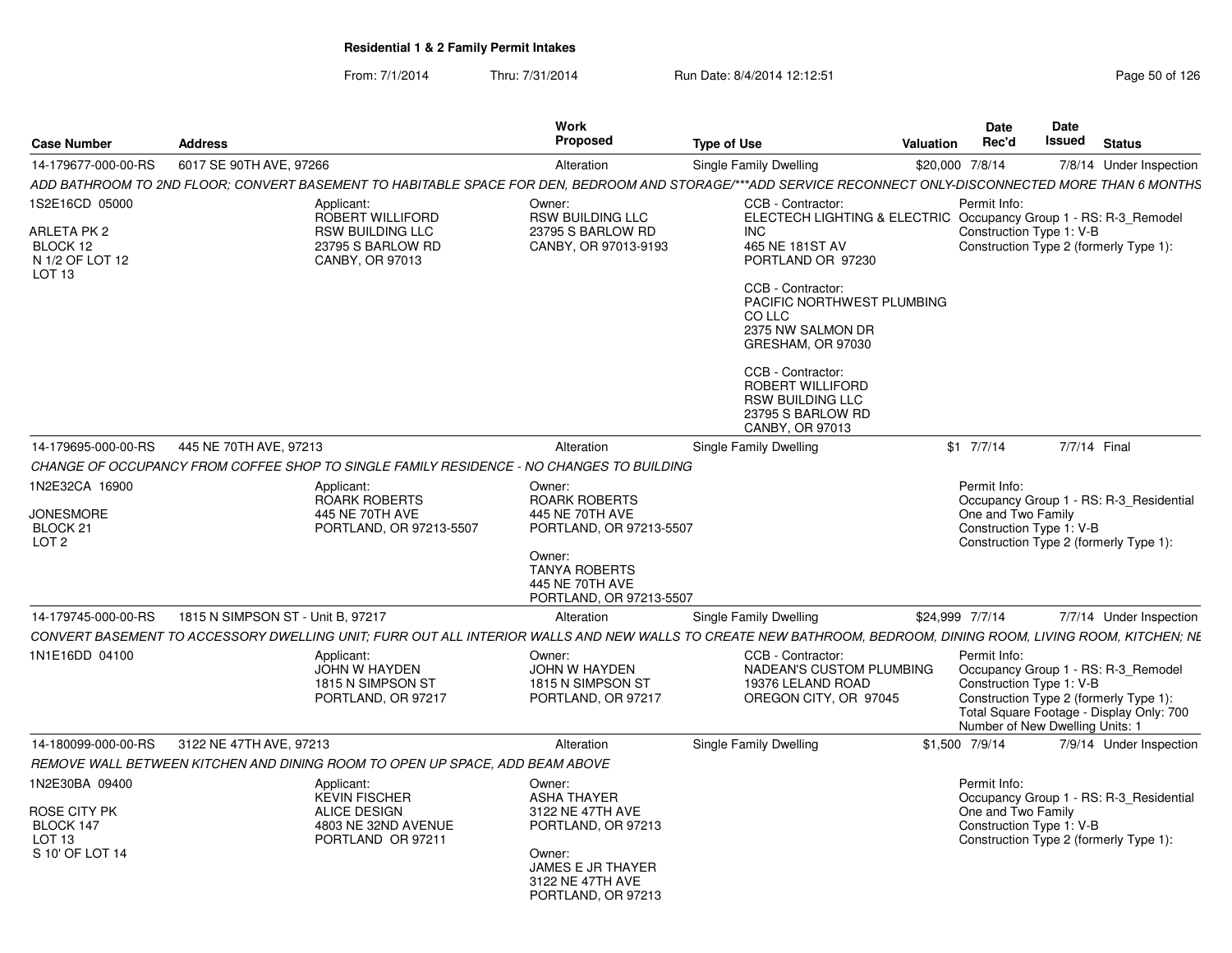| From: 7/1/2014 | Thru: 7/31/2014 | Run Date: 8/4/2014 12:12:51 | Page 50 of 126 |
|----------------|-----------------|-----------------------------|----------------|
|----------------|-----------------|-----------------------------|----------------|

| <b>Case Number</b>                                                                  | <b>Address</b>                    |                                                                                                       | Work<br><b>Proposed</b>                                                                                                                                | <b>Type of Use</b>                                                                                                                                                                                 | Valuation | Date<br>Rec'd                                                               | <b>Date</b><br>Issued | <b>Status</b>                                                                                                             |
|-------------------------------------------------------------------------------------|-----------------------------------|-------------------------------------------------------------------------------------------------------|--------------------------------------------------------------------------------------------------------------------------------------------------------|----------------------------------------------------------------------------------------------------------------------------------------------------------------------------------------------------|-----------|-----------------------------------------------------------------------------|-----------------------|---------------------------------------------------------------------------------------------------------------------------|
| 14-179677-000-00-RS                                                                 | 6017 SE 90TH AVE, 97266           |                                                                                                       | Alteration                                                                                                                                             | Single Family Dwelling                                                                                                                                                                             |           | \$20,000 7/8/14                                                             |                       | 7/8/14 Under Inspection                                                                                                   |
|                                                                                     |                                   |                                                                                                       |                                                                                                                                                        | ADD BATHROOM TO 2ND FLOOR: CONVERT BASEMENT TO HABITABLE SPACE FOR DEN. BEDROOM AND STORAGE/***ADD SERVICE RECONNECT ONLY-DISCONNECTED MORE THAN 6 MONTHS                                          |           |                                                                             |                       |                                                                                                                           |
| 1S2E16CD 05000<br>ARLETA PK 2<br>BLOCK 12<br>N 1/2 OF LOT 12<br>LOT <sub>13</sub>   |                                   | Applicant:<br>ROBERT WILLIFORD<br><b>RSW BUILDING LLC</b><br>23795 S BARLOW RD<br>CANBY, OR 97013     | Owner:<br><b>RSW BUILDING LLC</b><br>23795 S BARLOW RD<br>CANBY, OR 97013-9193                                                                         | CCB - Contractor:<br>ELECTECH LIGHTING & ELECTRIC Occupancy Group 1 - RS: R-3_Remodel<br>INC.<br>465 NE 181ST AV<br>PORTLAND OR 97230<br>CCB - Contractor:<br>PACIFIC NORTHWEST PLUMBING<br>CO LLC |           | Permit Info:<br>Construction Type 1: V-B                                    |                       | Construction Type 2 (formerly Type 1):                                                                                    |
|                                                                                     |                                   |                                                                                                       |                                                                                                                                                        | 2375 NW SALMON DR<br>GRESHAM, OR 97030<br>CCB - Contractor:<br>ROBERT WILLIFORD<br><b>RSW BUILDING LLC</b><br>23795 S BARLOW RD<br>CANBY, OR 97013                                                 |           |                                                                             |                       |                                                                                                                           |
| 14-179695-000-00-RS                                                                 | 445 NE 70TH AVE, 97213            |                                                                                                       | Alteration                                                                                                                                             | Single Family Dwelling                                                                                                                                                                             |           | $$1 \t7/7/14$                                                               | 7/7/14 Final          |                                                                                                                           |
|                                                                                     |                                   | CHANGE OF OCCUPANCY FROM COFFEE SHOP TO SINGLE FAMILY RESIDENCE - NO CHANGES TO BUILDING              |                                                                                                                                                        |                                                                                                                                                                                                    |           |                                                                             |                       |                                                                                                                           |
| 1N2E32CA 16900<br><b>JONESMORE</b><br>BLOCK <sub>21</sub><br>LOT <sub>2</sub>       |                                   | Applicant:<br><b>ROARK ROBERTS</b><br>445 NE 70TH AVE<br>PORTLAND, OR 97213-5507                      | Owner:<br>ROARK ROBERTS<br>445 NE 70TH AVE<br>PORTLAND, OR 97213-5507                                                                                  |                                                                                                                                                                                                    |           | Permit Info:<br>One and Two Family<br>Construction Type 1: V-B              |                       | Occupancy Group 1 - RS: R-3 Residential<br>Construction Type 2 (formerly Type 1):                                         |
|                                                                                     |                                   |                                                                                                       | Owner:<br><b>TANYA ROBERTS</b><br>445 NE 70TH AVE<br>PORTLAND, OR 97213-5507                                                                           |                                                                                                                                                                                                    |           |                                                                             |                       |                                                                                                                           |
| 14-179745-000-00-RS                                                                 | 1815 N SIMPSON ST - Unit B, 97217 |                                                                                                       | Alteration                                                                                                                                             | Single Family Dwelling                                                                                                                                                                             |           | \$24,999 7/7/14                                                             |                       | 7/7/14 Under Inspection                                                                                                   |
|                                                                                     |                                   |                                                                                                       |                                                                                                                                                        | CONVERT BASEMENT TO ACCESSORY DWELLING UNIT; FURR OUT ALL INTERIOR WALLS AND NEW WALLS TO CREATE NEW BATHROOM, BEDROOM, DINING ROOM, LIVING ROOM, KITCHEN; NE                                      |           |                                                                             |                       |                                                                                                                           |
| 1N1E16DD 04100                                                                      |                                   | Applicant:<br>JOHN W HAYDEN<br>1815 N SIMPSON ST<br>PORTLAND, OR 97217                                | Owner:<br><b>JOHN W HAYDEN</b><br>1815 N SIMPSON ST<br>PORTLAND, OR 97217                                                                              | CCB - Contractor:<br>NADEAN'S CUSTOM PLUMBING<br>19376 LELAND ROAD<br>OREGON CITY, OR 97045                                                                                                        |           | Permit Info:<br>Construction Type 1: V-B<br>Number of New Dwelling Units: 1 |                       | Occupancy Group 1 - RS: R-3_Remodel<br>Construction Type 2 (formerly Type 1):<br>Total Square Footage - Display Only: 700 |
| 14-180099-000-00-RS                                                                 | 3122 NE 47TH AVE, 97213           |                                                                                                       | Alteration                                                                                                                                             | Single Family Dwelling                                                                                                                                                                             |           | \$1,500 7/9/14                                                              |                       | 7/9/14 Under Inspection                                                                                                   |
|                                                                                     |                                   | REMOVE WALL BETWEEN KITCHEN AND DINING ROOM TO OPEN UP SPACE, ADD BEAM ABOVE                          |                                                                                                                                                        |                                                                                                                                                                                                    |           |                                                                             |                       |                                                                                                                           |
| 1N2E30BA 09400<br>ROSE CITY PK<br>BLOCK 147<br>LOT <sub>13</sub><br>S 10' OF LOT 14 |                                   | Applicant:<br><b>KEVIN FISCHER</b><br><b>ALICE DESIGN</b><br>4803 NE 32ND AVENUE<br>PORTLAND OR 97211 | Owner:<br><b>ASHA THAYER</b><br>3122 NE 47TH AVE<br>PORTLAND, OR 97213<br>Owner:<br><b>JAMES E JR THAYER</b><br>3122 NE 47TH AVE<br>PORTLAND, OR 97213 |                                                                                                                                                                                                    |           | Permit Info:<br>One and Two Family<br>Construction Type 1: V-B              |                       | Occupancy Group 1 - RS: R-3 Residential<br>Construction Type 2 (formerly Type 1):                                         |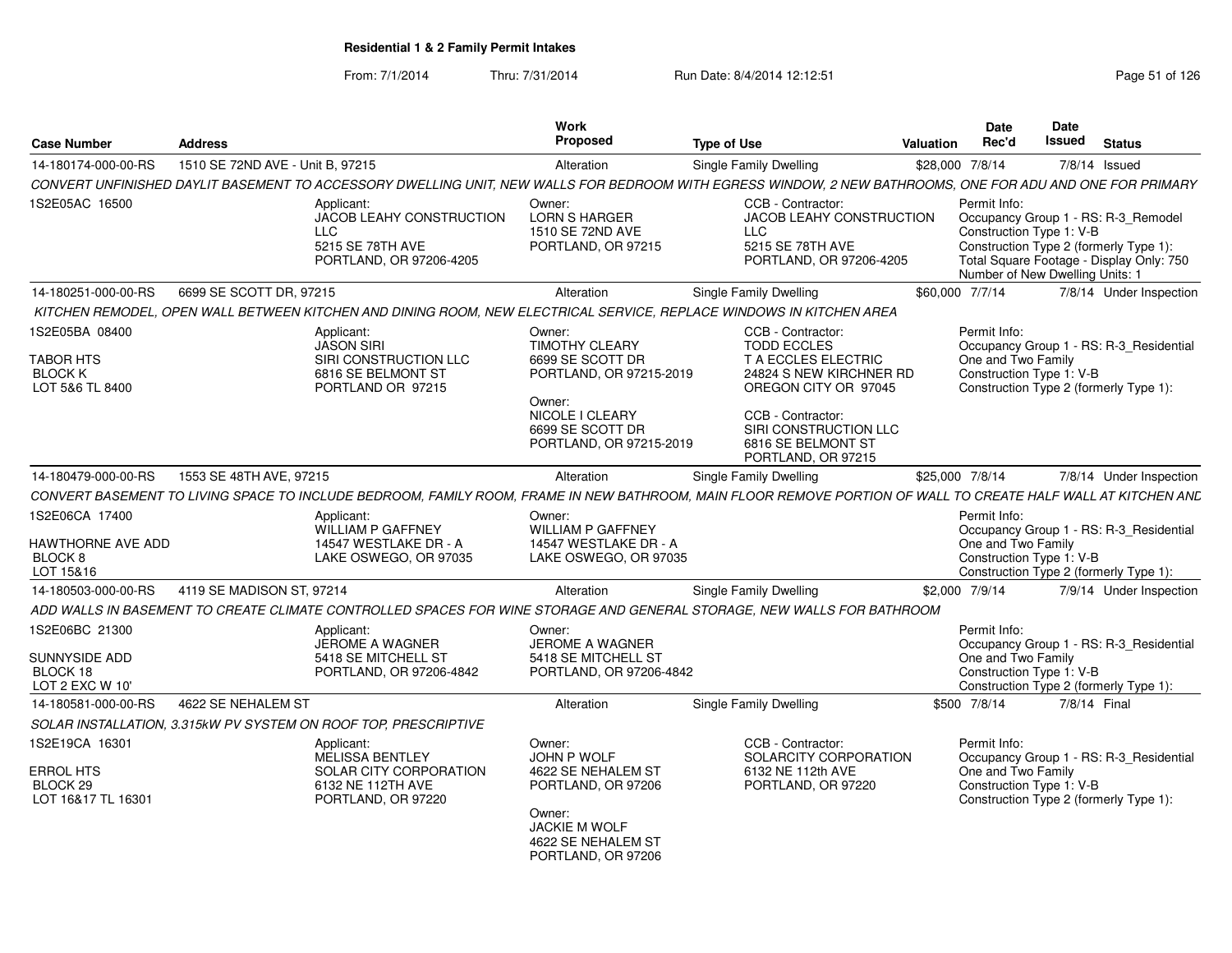| <b>Case Number</b>                                               | <b>Address</b>                   |                                                                                                                                                               | Work<br>Proposed                                                                                                                                           | <b>Type of Use</b>                                                                                                                                                                                          | Valuation       | <b>Date</b><br>Rec'd                                           | Date<br>Issued<br><b>Status</b>                                                                                                                              |
|------------------------------------------------------------------|----------------------------------|---------------------------------------------------------------------------------------------------------------------------------------------------------------|------------------------------------------------------------------------------------------------------------------------------------------------------------|-------------------------------------------------------------------------------------------------------------------------------------------------------------------------------------------------------------|-----------------|----------------------------------------------------------------|--------------------------------------------------------------------------------------------------------------------------------------------------------------|
| 14-180174-000-00-RS                                              | 1510 SE 72ND AVE - Unit B, 97215 |                                                                                                                                                               | Alteration                                                                                                                                                 | Single Family Dwelling                                                                                                                                                                                      | \$28,000 7/8/14 |                                                                | 7/8/14 Issued                                                                                                                                                |
|                                                                  |                                  | CONVERT UNFINISHED DAYLIT BASEMENT TO ACCESSORY DWELLING UNIT, NEW WALLS FOR BEDROOM WITH EGRESS WINDOW, 2 NEW BATHROOMS, ONE FOR ADU AND ONE FOR PRIMARY     |                                                                                                                                                            |                                                                                                                                                                                                             |                 |                                                                |                                                                                                                                                              |
| 1S2E05AC 16500                                                   |                                  | Applicant:<br>JACOB LEAHY CONSTRUCTION<br><b>LLC</b><br>5215 SE 78TH AVE<br>PORTLAND, OR 97206-4205                                                           | Owner:<br><b>LORN S HARGER</b><br>1510 SE 72ND AVE<br>PORTLAND, OR 97215                                                                                   | CCB - Contractor:<br><b>JACOB LEAHY CONSTRUCTION</b><br><b>LLC</b><br>5215 SE 78TH AVE<br>PORTLAND, OR 97206-4205                                                                                           |                 | Permit Info:<br>Construction Type 1: V-B                       | Occupancy Group 1 - RS: R-3_Remodel<br>Construction Type 2 (formerly Type 1):<br>Total Square Footage - Display Only: 750<br>Number of New Dwelling Units: 1 |
| 14-180251-000-00-RS                                              | 6699 SE SCOTT DR, 97215          |                                                                                                                                                               | Alteration                                                                                                                                                 | Single Family Dwelling                                                                                                                                                                                      |                 | \$60,000 7/7/14                                                | 7/8/14 Under Inspection                                                                                                                                      |
|                                                                  |                                  | KITCHEN REMODEL. OPEN WALL BETWEEN KITCHEN AND DINING ROOM. NEW ELECTRICAL SERVICE. REPLACE WINDOWS IN KITCHEN AREA                                           |                                                                                                                                                            |                                                                                                                                                                                                             |                 |                                                                |                                                                                                                                                              |
| 1S2E05BA 08400<br>TABOR HTS<br><b>BLOCK K</b><br>LOT 5&6 TL 8400 |                                  | Applicant:<br><b>JASON SIRI</b><br>SIRI CONSTRUCTION LLC<br>6816 SE BELMONT ST<br>PORTLAND OR 97215                                                           | Owner:<br><b>TIMOTHY CLEARY</b><br>6699 SE SCOTT DR<br>PORTLAND, OR 97215-2019<br>Owner:<br>NICOLE I CLEARY<br>6699 SE SCOTT DR<br>PORTLAND, OR 97215-2019 | CCB - Contractor:<br><b>TODD ECCLES</b><br>T A ECCLES ELECTRIC<br>24824 S NEW KIRCHNER RD<br>OREGON CITY OR 97045<br>CCB - Contractor:<br>SIRI CONSTRUCTION LLC<br>6816 SE BELMONT ST<br>PORTLAND, OR 97215 |                 | Permit Info:<br>One and Two Family<br>Construction Type 1: V-B | Occupancy Group 1 - RS: R-3_Residential<br>Construction Type 2 (formerly Type 1):                                                                            |
| 14-180479-000-00-RS                                              | 1553 SE 48TH AVE, 97215          |                                                                                                                                                               | Alteration                                                                                                                                                 | Single Family Dwelling                                                                                                                                                                                      | \$25,000 7/8/14 |                                                                | 7/8/14 Under Inspection                                                                                                                                      |
|                                                                  |                                  | CONVERT BASEMENT TO LIVING SPACE TO INCLUDE BEDROOM, FAMILY ROOM, FRAME IN NEW BATHROOM, MAIN FLOOR REMOVE PORTION OF WALL TO CREATE HALF WALL AT KITCHEN AND |                                                                                                                                                            |                                                                                                                                                                                                             |                 |                                                                |                                                                                                                                                              |
| 1S2E06CA 17400<br>HAWTHORNE AVE ADD<br>BLOCK 8<br>LOT 15&16      |                                  | Applicant:<br><b>WILLIAM P GAFFNEY</b><br>14547 WESTLAKE DR - A<br>LAKE OSWEGO, OR 97035                                                                      | Owner:<br><b>WILLIAM P GAFFNEY</b><br>14547 WESTLAKE DR - A<br>LAKE OSWEGO, OR 97035                                                                       |                                                                                                                                                                                                             |                 | Permit Info:<br>One and Two Family<br>Construction Type 1: V-B | Occupancy Group 1 - RS: R-3_Residential<br>Construction Type 2 (formerly Type 1):                                                                            |
| 14-180503-000-00-RS                                              | 4119 SE MADISON ST, 97214        |                                                                                                                                                               | Alteration                                                                                                                                                 | Single Family Dwelling                                                                                                                                                                                      |                 | \$2,000 7/9/14                                                 | 7/9/14 Under Inspection                                                                                                                                      |
|                                                                  |                                  | ADD WALLS IN BASEMENT TO CREATE CLIMATE CONTROLLED SPACES FOR WINE STORAGE AND GENERAL STORAGE, NEW WALLS FOR BATHROOM                                        |                                                                                                                                                            |                                                                                                                                                                                                             |                 |                                                                |                                                                                                                                                              |
| 1S2E06BC 21300<br>SUNNYSIDE ADD<br>BLOCK 18<br>LOT 2 EXC W 10'   |                                  | Applicant:<br>JEROME A WAGNER<br>5418 SE MITCHELL ST<br>PORTLAND, OR 97206-4842                                                                               | Owner:<br><b>JEROME A WAGNER</b><br>5418 SE MITCHELL ST<br>PORTLAND, OR 97206-4842                                                                         |                                                                                                                                                                                                             |                 | Permit Info:<br>One and Two Family<br>Construction Type 1: V-B | Occupancy Group 1 - RS: R-3_Residential<br>Construction Type 2 (formerly Type 1):                                                                            |
| 14-180581-000-00-RS                                              | 4622 SE NEHALEM ST               |                                                                                                                                                               | Alteration                                                                                                                                                 | <b>Single Family Dwelling</b>                                                                                                                                                                               |                 | \$500 7/8/14                                                   | 7/8/14 Final                                                                                                                                                 |
|                                                                  |                                  | SOLAR INSTALLATION, 3.315kW PV SYSTEM ON ROOF TOP, PRESCRIPTIVE                                                                                               |                                                                                                                                                            |                                                                                                                                                                                                             |                 |                                                                |                                                                                                                                                              |
| 1S2E19CA 16301<br>ERROL HTS<br>BLOCK 29<br>LOT 16&17 TL 16301    |                                  | Applicant:<br>MELISSA BENTLEY<br>SOLAR CITY CORPORATION<br>6132 NE 112TH AVE<br>PORTLAND, OR 97220                                                            | Owner:<br>JOHN P WOLF<br>4622 SE NEHALEM ST<br>PORTLAND, OR 97206<br>Owner:<br>JACKIE M WOLF<br>4622 SE NEHALEM ST<br>PORTLAND, OR 97206                   | CCB - Contractor:<br>SOLARCITY CORPORATION<br>6132 NE 112th AVE<br>PORTLAND, OR 97220                                                                                                                       |                 | Permit Info:<br>One and Two Family<br>Construction Type 1: V-B | Occupancy Group 1 - RS: R-3_Residential<br>Construction Type 2 (formerly Type 1):                                                                            |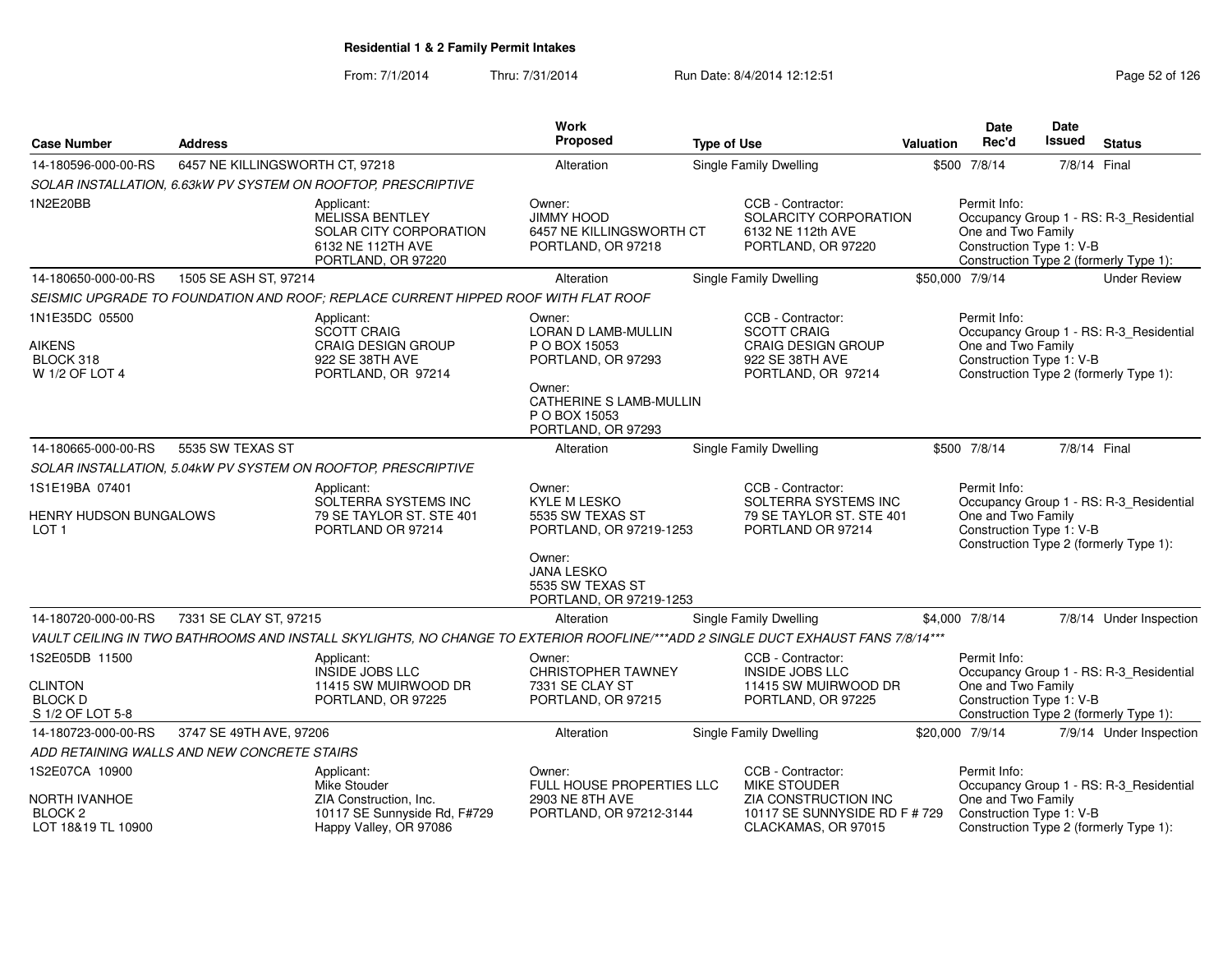| <b>Case Number</b>                                                     | <b>Address</b>                              |                                                                                                                                  | Work<br><b>Proposed</b>                                                                                                                          | <b>Type of Use</b>     |                                                                                                               | Valuation       | <b>Date</b><br>Rec'd                                           | <b>Date</b><br>Issued | <b>Status</b>                                                                     |
|------------------------------------------------------------------------|---------------------------------------------|----------------------------------------------------------------------------------------------------------------------------------|--------------------------------------------------------------------------------------------------------------------------------------------------|------------------------|---------------------------------------------------------------------------------------------------------------|-----------------|----------------------------------------------------------------|-----------------------|-----------------------------------------------------------------------------------|
| 14-180596-000-00-RS                                                    | 6457 NE KILLINGSWORTH CT, 97218             |                                                                                                                                  | Alteration                                                                                                                                       | Single Family Dwelling |                                                                                                               |                 | \$500 7/8/14                                                   | 7/8/14 Final          |                                                                                   |
|                                                                        |                                             | SOLAR INSTALLATION, 6.63kW PV SYSTEM ON ROOFTOP, PRESCRIPTIVE                                                                    |                                                                                                                                                  |                        |                                                                                                               |                 |                                                                |                       |                                                                                   |
| 1N2E20BB                                                               |                                             | Applicant:<br><b>MELISSA BENTLEY</b><br><b>SOLAR CITY CORPORATION</b><br>6132 NE 112TH AVE<br>PORTLAND, OR 97220                 | Owner:<br>JIMMY HOOD<br>6457 NE KILLINGSWORTH CT<br>PORTLAND, OR 97218                                                                           |                        | CCB - Contractor:<br>SOLARCITY CORPORATION<br>6132 NE 112th AVE<br>PORTLAND, OR 97220                         |                 | Permit Info:<br>One and Two Family<br>Construction Type 1: V-B |                       | Occupancy Group 1 - RS: R-3_Residential<br>Construction Type 2 (formerly Type 1): |
| 14-180650-000-00-RS                                                    | 1505 SE ASH ST, 97214                       |                                                                                                                                  | Alteration                                                                                                                                       | Single Family Dwelling |                                                                                                               | \$50,000 7/9/14 |                                                                |                       | <b>Under Review</b>                                                               |
|                                                                        |                                             | SEISMIC UPGRADE TO FOUNDATION AND ROOF; REPLACE CURRENT HIPPED ROOF WITH FLAT ROOF                                               |                                                                                                                                                  |                        |                                                                                                               |                 |                                                                |                       |                                                                                   |
| 1N1E35DC 05500<br><b>AIKENS</b><br>BLOCK 318<br>W 1/2 OF LOT 4         |                                             | Applicant:<br><b>SCOTT CRAIG</b><br><b>CRAIG DESIGN GROUP</b><br>922 SE 38TH AVE<br>PORTLAND, OR 97214                           | Owner:<br>LORAN D LAMB-MULLIN<br>P O BOX 15053<br>PORTLAND, OR 97293<br>Owner:<br>CATHERINE S LAMB-MULLIN<br>P O BOX 15053<br>PORTLAND, OR 97293 |                        | CCB - Contractor:<br><b>SCOTT CRAIG</b><br><b>CRAIG DESIGN GROUP</b><br>922 SE 38TH AVE<br>PORTLAND, OR 97214 |                 | Permit Info:<br>One and Two Family<br>Construction Type 1: V-B |                       | Occupancy Group 1 - RS: R-3_Residential<br>Construction Type 2 (formerly Type 1): |
| 14-180665-000-00-RS                                                    | 5535 SW TEXAS ST                            |                                                                                                                                  | Alteration                                                                                                                                       | Single Family Dwelling |                                                                                                               |                 | \$500 7/8/14                                                   | 7/8/14 Final          |                                                                                   |
|                                                                        |                                             | SOLAR INSTALLATION, 5.04kW PV SYSTEM ON ROOFTOP, PRESCRIPTIVE                                                                    |                                                                                                                                                  |                        |                                                                                                               |                 |                                                                |                       |                                                                                   |
| 1S1E19BA 07401                                                         |                                             | Applicant:                                                                                                                       | Owner:                                                                                                                                           |                        | CCB - Contractor:                                                                                             |                 | Permit Info:                                                   |                       |                                                                                   |
| HENRY HUDSON BUNGALOWS<br>LOT <sub>1</sub>                             |                                             | SOLTERRA SYSTEMS INC<br>79 SE TAYLOR ST. STE 401<br>PORTLAND OR 97214                                                            | <b>KYLE M LESKO</b><br>5535 SW TEXAS ST<br>PORTLAND, OR 97219-1253<br>Owner:<br><b>JANA LESKO</b><br>5535 SW TEXAS ST<br>PORTLAND, OR 97219-1253 |                        | SOLTERRA SYSTEMS INC<br>79 SE TAYLOR ST. STE 401<br>PORTLAND OR 97214                                         |                 | One and Two Family<br>Construction Type 1: V-B                 |                       | Occupancy Group 1 - RS: R-3_Residential<br>Construction Type 2 (formerly Type 1): |
| 14-180720-000-00-RS                                                    | 7331 SE CLAY ST, 97215                      |                                                                                                                                  | Alteration                                                                                                                                       | Single Family Dwelling |                                                                                                               |                 | \$4,000 7/8/14                                                 |                       | 7/8/14 Under Inspection                                                           |
|                                                                        |                                             | VAULT CEILING IN TWO BATHROOMS AND INSTALL SKYLIGHTS, NO CHANGE TO EXTERIOR ROOFLINE/***ADD 2 SINGLE DUCT EXHAUST FANS 7/8/14*** |                                                                                                                                                  |                        |                                                                                                               |                 |                                                                |                       |                                                                                   |
| 1S2E05DB 11500<br><b>CLINTON</b><br><b>BLOCK D</b><br>S 1/2 OF LOT 5-8 |                                             | Applicant:<br><b>INSIDE JOBS LLC</b><br>11415 SW MUIRWOOD DR<br>PORTLAND, OR 97225                                               | Owner:<br><b>CHRISTOPHER TAWNEY</b><br>7331 SE CLAY ST<br>PORTLAND, OR 97215                                                                     |                        | CCB - Contractor:<br><b>INSIDE JOBS LLC</b><br>11415 SW MUIRWOOD DR<br>PORTLAND, OR 97225                     |                 | Permit Info:<br>One and Two Family<br>Construction Type 1: V-B |                       | Occupancy Group 1 - RS: R-3_Residential<br>Construction Type 2 (formerly Type 1): |
| 14-180723-000-00-RS                                                    | 3747 SE 49TH AVE, 97206                     |                                                                                                                                  | Alteration                                                                                                                                       | Single Family Dwelling |                                                                                                               | \$20,000 7/9/14 |                                                                |                       | 7/9/14 Under Inspection                                                           |
|                                                                        | ADD RETAINING WALLS AND NEW CONCRETE STAIRS |                                                                                                                                  |                                                                                                                                                  |                        |                                                                                                               |                 |                                                                |                       |                                                                                   |
| 1S2E07CA 10900<br><b>NORTH IVANHOE</b><br>BLOCK <sub>2</sub>           |                                             | Applicant:<br>Mike Stouder<br>ZIA Construction, Inc.<br>10117 SE Sunnyside Rd, F#729                                             | Owner:<br>FULL HOUSE PROPERTIES LLC<br>2903 NE 8TH AVE<br>PORTLAND, OR 97212-3144                                                                |                        | CCB - Contractor:<br>MIKE STOUDER<br>ZIA CONSTRUCTION INC<br>10117 SE SUNNYSIDE RD F # 729                    |                 | Permit Info:<br>One and Two Family<br>Construction Type 1: V-B |                       | Occupancy Group 1 - RS: R-3_Residential                                           |
| LOT 18&19 TL 10900                                                     |                                             | Happy Valley, OR 97086                                                                                                           |                                                                                                                                                  |                        | CLACKAMAS, OR 97015                                                                                           |                 |                                                                |                       | Construction Type 2 (formerly Type 1):                                            |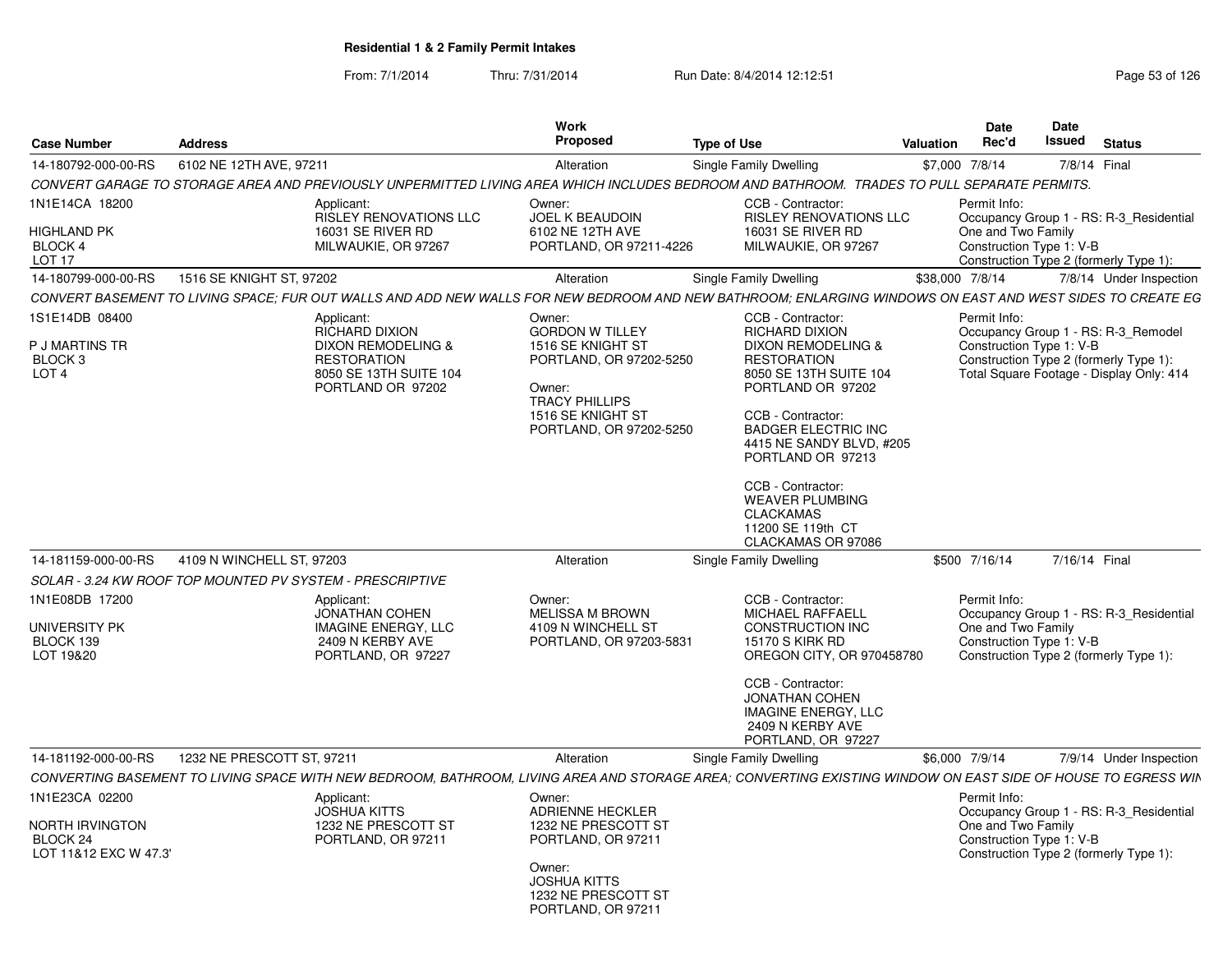From: 7/1/2014

Thru: 7/31/2014 Run Date: 8/4/2014 12:12:51 Research 2010 Rage 53 of 126

| <b>Case Number</b>                                                         | <b>Address</b>                                                                                                                 | <b>Work</b><br>Proposed                                                                                                                                             | <b>Type of Use</b>                                                                                                                                                                                                                                                                                                                                      | Date<br>Rec'd<br><b>Valuation</b>                              | <b>Date</b><br>Issued<br><b>Status</b>                                                                                    |
|----------------------------------------------------------------------------|--------------------------------------------------------------------------------------------------------------------------------|---------------------------------------------------------------------------------------------------------------------------------------------------------------------|---------------------------------------------------------------------------------------------------------------------------------------------------------------------------------------------------------------------------------------------------------------------------------------------------------------------------------------------------------|----------------------------------------------------------------|---------------------------------------------------------------------------------------------------------------------------|
| 14-180792-000-00-RS                                                        | 6102 NE 12TH AVE, 97211                                                                                                        | Alteration                                                                                                                                                          | Single Family Dwelling                                                                                                                                                                                                                                                                                                                                  | \$7,000 7/8/14                                                 | 7/8/14 Final                                                                                                              |
|                                                                            |                                                                                                                                | CONVERT GARAGE TO STORAGE AREA AND PREVIOUSLY UNPERMITTED LIVING AREA WHICH INCLUDES BEDROOM AND BATHROOM. TRADES TO PULL SEPARATE PERMITS.                         |                                                                                                                                                                                                                                                                                                                                                         |                                                                |                                                                                                                           |
| 1N1E14CA 18200<br><b>HIGHLAND PK</b><br>BLOCK 4<br>LOT <sub>17</sub>       | Applicant:<br>16031 SE RIVER RD<br>MILWAUKIE, OR 97267                                                                         | Owner:<br><b>RISLEY RENOVATIONS LLC</b><br><b>JOEL K BEAUDOIN</b><br>6102 NE 12TH AVE<br>PORTLAND, OR 97211-4226                                                    | CCB - Contractor:<br><b>RISLEY RENOVATIONS LLC</b><br>16031 SE RIVER RD<br>MILWAUKIE, OR 97267                                                                                                                                                                                                                                                          | Permit Info:<br>One and Two Family<br>Construction Type 1: V-B | Occupancy Group 1 - RS: R-3 Residential<br>Construction Type 2 (formerly Type 1):                                         |
| 14-180799-000-00-RS                                                        | 1516 SE KNIGHT ST, 97202                                                                                                       | Alteration                                                                                                                                                          | Single Family Dwelling                                                                                                                                                                                                                                                                                                                                  | \$38,000 7/8/14                                                | 7/8/14 Under Inspection                                                                                                   |
|                                                                            |                                                                                                                                | CONVERT BASEMENT TO LIVING SPACE; FUR OUT WALLS AND ADD NEW WALLS FOR NEW BEDROOM AND NEW BATHROOM; ENLARGING WINDOWS ON EAST AND WEST SIDES TO CREATE EG           |                                                                                                                                                                                                                                                                                                                                                         |                                                                |                                                                                                                           |
| 1S1E14DB 08400<br>P J MARTINS TR<br>BLOCK <sub>3</sub><br>LOT <sub>4</sub> | Applicant:<br><b>RICHARD DIXION</b><br>DIXON REMODELING &<br><b>RESTORATION</b><br>8050 SE 13TH SUITE 104<br>PORTLAND OR 97202 | Owner:<br><b>GORDON W TILLEY</b><br>1516 SE KNIGHT ST<br>PORTLAND, OR 97202-5250<br>Owner:<br><b>TRACY PHILLIPS</b><br>1516 SE KNIGHT ST<br>PORTLAND, OR 97202-5250 | CCB - Contractor:<br><b>RICHARD DIXION</b><br>DIXON REMODELING &<br><b>RESTORATION</b><br>8050 SE 13TH SUITE 104<br>PORTLAND OR 97202<br>CCB - Contractor:<br><b>BADGER ELECTRIC INC</b><br>4415 NE SANDY BLVD. #205<br>PORTLAND OR 97213<br>CCB - Contractor:<br><b>WEAVER PLUMBING</b><br><b>CLACKAMAS</b><br>11200 SE 119th CT<br>CLACKAMAS OR 97086 | Permit Info:<br>Construction Type 1: V-B                       | Occupancy Group 1 - RS: R-3_Remodel<br>Construction Type 2 (formerly Type 1):<br>Total Square Footage - Display Only: 414 |
| 14-181159-000-00-RS                                                        | 4109 N WINCHELL ST, 97203                                                                                                      | Alteration                                                                                                                                                          | Single Family Dwelling                                                                                                                                                                                                                                                                                                                                  | \$500 7/16/14                                                  | 7/16/14 Final                                                                                                             |
|                                                                            | SOLAR - 3.24 KW ROOF TOP MOUNTED PV SYSTEM - PRESCRIPTIVE                                                                      |                                                                                                                                                                     |                                                                                                                                                                                                                                                                                                                                                         |                                                                |                                                                                                                           |
| 1N1E08DB 17200                                                             | Applicant:<br>JONATHAN COHEN                                                                                                   | Owner:<br><b>MELISSA M BROWN</b>                                                                                                                                    | CCB - Contractor:<br><b>MICHAEL RAFFAELL</b>                                                                                                                                                                                                                                                                                                            | Permit Info:                                                   | Occupancy Group 1 - RS: R-3_Residential                                                                                   |
| UNIVERSITY PK<br>BLOCK 139<br>LOT 19&20                                    | <b>IMAGINE ENERGY, LLC</b><br>2409 N KERBY AVE<br>PORTLAND, OR 97227                                                           | 4109 N WINCHELL ST<br>PORTLAND, OR 97203-5831                                                                                                                       | <b>CONSTRUCTION INC</b><br>15170 S KIRK RD<br>OREGON CITY, OR 970458780                                                                                                                                                                                                                                                                                 | One and Two Family<br>Construction Type 1: V-B                 | Construction Type 2 (formerly Type 1):                                                                                    |
|                                                                            |                                                                                                                                |                                                                                                                                                                     | CCB - Contractor:<br><b>JONATHAN COHEN</b><br>IMAGINE ENERGY, LLC<br>2409 N KERBY AVE<br>PORTLAND, OR 97227                                                                                                                                                                                                                                             |                                                                |                                                                                                                           |
| 14-181192-000-00-RS                                                        | 1232 NE PRESCOTT ST, 97211                                                                                                     | Alteration                                                                                                                                                          | Single Family Dwelling                                                                                                                                                                                                                                                                                                                                  | \$6,000 7/9/14                                                 | 7/9/14 Under Inspection                                                                                                   |
|                                                                            |                                                                                                                                | CONVERTING BASEMENT TO LIVING SPACE WITH NEW BEDROOM, BATHROOM, LIVING AREA AND STORAGE AREA; CONVERTING EXISTING WINDOW ON EAST SIDE OF HOUSE TO EGRESS WIN        |                                                                                                                                                                                                                                                                                                                                                         |                                                                |                                                                                                                           |
| 1N1E23CA 02200<br>NORTH IRVINGTON<br>BLOCK 24<br>LOT 11&12 EXC W 47.3'     | Applicant:<br><b>JOSHUA KITTS</b><br>1232 NE PRESCOTT ST<br>PORTLAND, OR 97211                                                 | Owner:<br><b>ADRIENNE HECKLER</b><br>1232 NE PRESCOTT ST<br>PORTLAND, OR 97211<br>Owner:                                                                            |                                                                                                                                                                                                                                                                                                                                                         | Permit Info:<br>One and Two Family<br>Construction Type 1: V-B | Occupancy Group 1 - RS: R-3 Residential<br>Construction Type 2 (formerly Type 1):                                         |
|                                                                            |                                                                                                                                | <b>JOSHUA KITTS</b><br>1232 NE PRESCOTT ST<br>PORTLAND, OR 97211                                                                                                    |                                                                                                                                                                                                                                                                                                                                                         |                                                                |                                                                                                                           |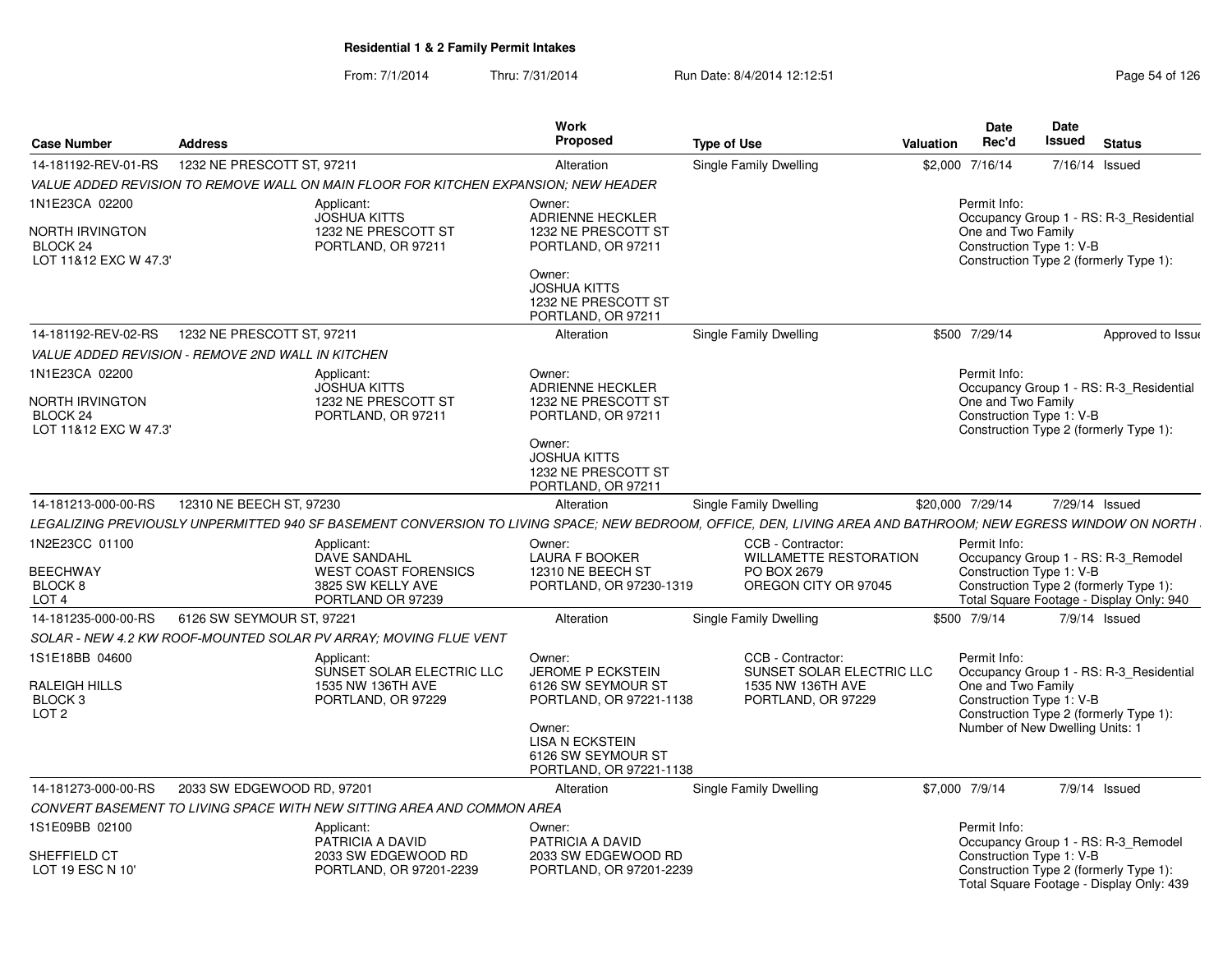| <b>Case Number</b>                                                                       | <b>Address</b>                                           |                                                                                                                                                              | <b>Work</b><br>Proposed                                                                                                                                                  | <b>Type of Use</b> |                                                                                           | <b>Valuation</b> | <b>Date</b><br>Rec'd                                                                              | <b>Date</b><br>Issued | <b>Status</b>                                                                                                             |
|------------------------------------------------------------------------------------------|----------------------------------------------------------|--------------------------------------------------------------------------------------------------------------------------------------------------------------|--------------------------------------------------------------------------------------------------------------------------------------------------------------------------|--------------------|-------------------------------------------------------------------------------------------|------------------|---------------------------------------------------------------------------------------------------|-----------------------|---------------------------------------------------------------------------------------------------------------------------|
| 14-181192-REV-01-RS                                                                      | 1232 NE PRESCOTT ST. 97211                               |                                                                                                                                                              | Alteration                                                                                                                                                               |                    | <b>Single Family Dwelling</b>                                                             | \$2,000          | 7/16/14                                                                                           |                       | 7/16/14 Issued                                                                                                            |
|                                                                                          |                                                          | VALUE ADDED REVISION TO REMOVE WALL ON MAIN FLOOR FOR KITCHEN EXPANSION: NEW HEADER                                                                          |                                                                                                                                                                          |                    |                                                                                           |                  |                                                                                                   |                       |                                                                                                                           |
| 1N1E23CA 02200<br>NORTH IRVINGTON<br>BLOCK 24<br>LOT 11&12 EXC W 47.3'                   |                                                          | Applicant:<br><b>JOSHUA KITTS</b><br>1232 NE PRESCOTT ST<br>PORTLAND, OR 97211                                                                               | Owner:<br><b>ADRIENNE HECKLER</b><br>1232 NE PRESCOTT ST<br>PORTLAND, OR 97211<br>Owner:<br><b>JOSHUA KITTS</b><br>1232 NE PRESCOTT ST<br>PORTLAND, OR 97211             |                    |                                                                                           |                  | Permit Info:<br>One and Two Family<br>Construction Type 1: V-B                                    |                       | Occupancy Group 1 - RS: R-3 Residential<br>Construction Type 2 (formerly Type 1):                                         |
| 14-181192-REV-02-RS                                                                      | 1232 NE PRESCOTT ST, 97211                               |                                                                                                                                                              | Alteration                                                                                                                                                               |                    | Single Family Dwelling                                                                    |                  | \$500 7/29/14                                                                                     |                       | Approved to Issue                                                                                                         |
|                                                                                          | <b>VALUE ADDED REVISION - REMOVE 2ND WALL IN KITCHEN</b> |                                                                                                                                                              |                                                                                                                                                                          |                    |                                                                                           |                  |                                                                                                   |                       |                                                                                                                           |
| 1N1E23CA 02200<br><b>NORTH IRVINGTON</b><br>BLOCK <sub>24</sub><br>LOT 11&12 EXC W 47.3' |                                                          | Applicant:<br><b>JOSHUA KITTS</b><br>1232 NE PRESCOTT ST<br>PORTLAND, OR 97211                                                                               | Owner:<br><b>ADRIENNE HECKLER</b><br>1232 NE PRESCOTT ST<br>PORTLAND, OR 97211<br>Owner:<br><b>JOSHUA KITTS</b><br>1232 NE PRESCOTT ST<br>PORTLAND, OR 97211             |                    |                                                                                           |                  | Permit Info:<br>One and Two Family<br>Construction Type 1: V-B                                    |                       | Occupancy Group 1 - RS: R-3 Residential<br>Construction Type 2 (formerly Type 1):                                         |
| 14-181213-000-00-RS                                                                      | 12310 NE BEECH ST, 97230                                 |                                                                                                                                                              | Alteration                                                                                                                                                               |                    | Single Family Dwelling                                                                    |                  | \$20,000 7/29/14                                                                                  |                       | 7/29/14 Issued                                                                                                            |
|                                                                                          |                                                          | LEGALIZING PREVIOUSLY UNPERMITTED 940 SF BASEMENT CONVERSION TO LIVING SPACE; NEW BEDROOM, OFFICE, DEN, LIVING AREA AND BATHROOM; NEW EGRESS WINDOW ON NORTH |                                                                                                                                                                          |                    |                                                                                           |                  |                                                                                                   |                       |                                                                                                                           |
| 1N2E23CC 01100<br><b>BEECHWAY</b><br>BLOCK 8<br>LOT <sub>4</sub>                         |                                                          | Applicant:<br>DAVE SANDAHL<br><b>WEST COAST FORENSICS</b><br>3825 SW KELLY AVE<br>PORTLAND OR 97239                                                          | Owner:<br><b>LAURA F BOOKER</b><br>12310 NE BEECH ST<br>PORTLAND, OR 97230-1319                                                                                          |                    | CCB - Contractor:<br><b>WILLAMETTE RESTORATION</b><br>PO BOX 2679<br>OREGON CITY OR 97045 |                  | Permit Info:<br>Construction Type 1: V-B                                                          |                       | Occupancy Group 1 - RS: R-3_Remodel<br>Construction Type 2 (formerly Type 1):<br>Total Square Footage - Display Only: 940 |
| 14-181235-000-00-RS                                                                      | 6126 SW SEYMOUR ST, 97221                                |                                                                                                                                                              | Alteration                                                                                                                                                               |                    | Single Family Dwelling                                                                    |                  | \$500 7/9/14                                                                                      |                       | $7/9/14$ Issued                                                                                                           |
|                                                                                          |                                                          | SOLAR - NEW 4.2 KW ROOF-MOUNTED SOLAR PV ARRAY; MOVING FLUE VENT                                                                                             |                                                                                                                                                                          |                    |                                                                                           |                  |                                                                                                   |                       |                                                                                                                           |
| 1S1E18BB 04600<br>RALEIGH HILLS<br>BLOCK <sub>3</sub><br>LOT <sub>2</sub>                |                                                          | Applicant:<br>SUNSET SOLAR ELECTRIC LLC<br>1535 NW 136TH AVE<br>PORTLAND, OR 97229                                                                           | Owner:<br><b>JEROME P ECKSTEIN</b><br>6126 SW SEYMOUR ST<br>PORTLAND, OR 97221-1138<br>Owner:<br><b>LISA N ECKSTEIN</b><br>6126 SW SEYMOUR ST<br>PORTLAND, OR 97221-1138 |                    | CCB - Contractor:<br>SUNSET SOLAR ELECTRIC LLC<br>1535 NW 136TH AVE<br>PORTLAND, OR 97229 |                  | Permit Info:<br>One and Two Family<br>Construction Type 1: V-B<br>Number of New Dwelling Units: 1 |                       | Occupancy Group 1 - RS: R-3_Residential<br>Construction Type 2 (formerly Type 1):                                         |
| 14-181273-000-00-RS                                                                      | 2033 SW EDGEWOOD RD, 97201                               |                                                                                                                                                              | Alteration                                                                                                                                                               |                    | Single Family Dwelling                                                                    |                  | \$7,000 7/9/14                                                                                    |                       | $7/9/14$ Issued                                                                                                           |
|                                                                                          |                                                          | CONVERT BASEMENT TO LIVING SPACE WITH NEW SITTING AREA AND COMMON AREA                                                                                       |                                                                                                                                                                          |                    |                                                                                           |                  |                                                                                                   |                       |                                                                                                                           |
| 1S1E09BB 02100                                                                           |                                                          | Applicant:<br>PATRICIA A DAVID                                                                                                                               | Owner:<br>PATRICIA A DAVID                                                                                                                                               |                    |                                                                                           |                  | Permit Info:                                                                                      |                       | Occupancy Group 1 - RS: R-3_Remodel                                                                                       |
| SHEFFIELD CT<br>LOT 19 ESC N 10'                                                         |                                                          | 2033 SW EDGEWOOD RD<br>PORTLAND, OR 97201-2239                                                                                                               | 2033 SW EDGEWOOD RD<br>PORTLAND, OR 97201-2239                                                                                                                           |                    |                                                                                           |                  | Construction Type 1: V-B                                                                          |                       | Construction Type 2 (formerly Type 1):<br>Total Square Footage - Display Only: 439                                        |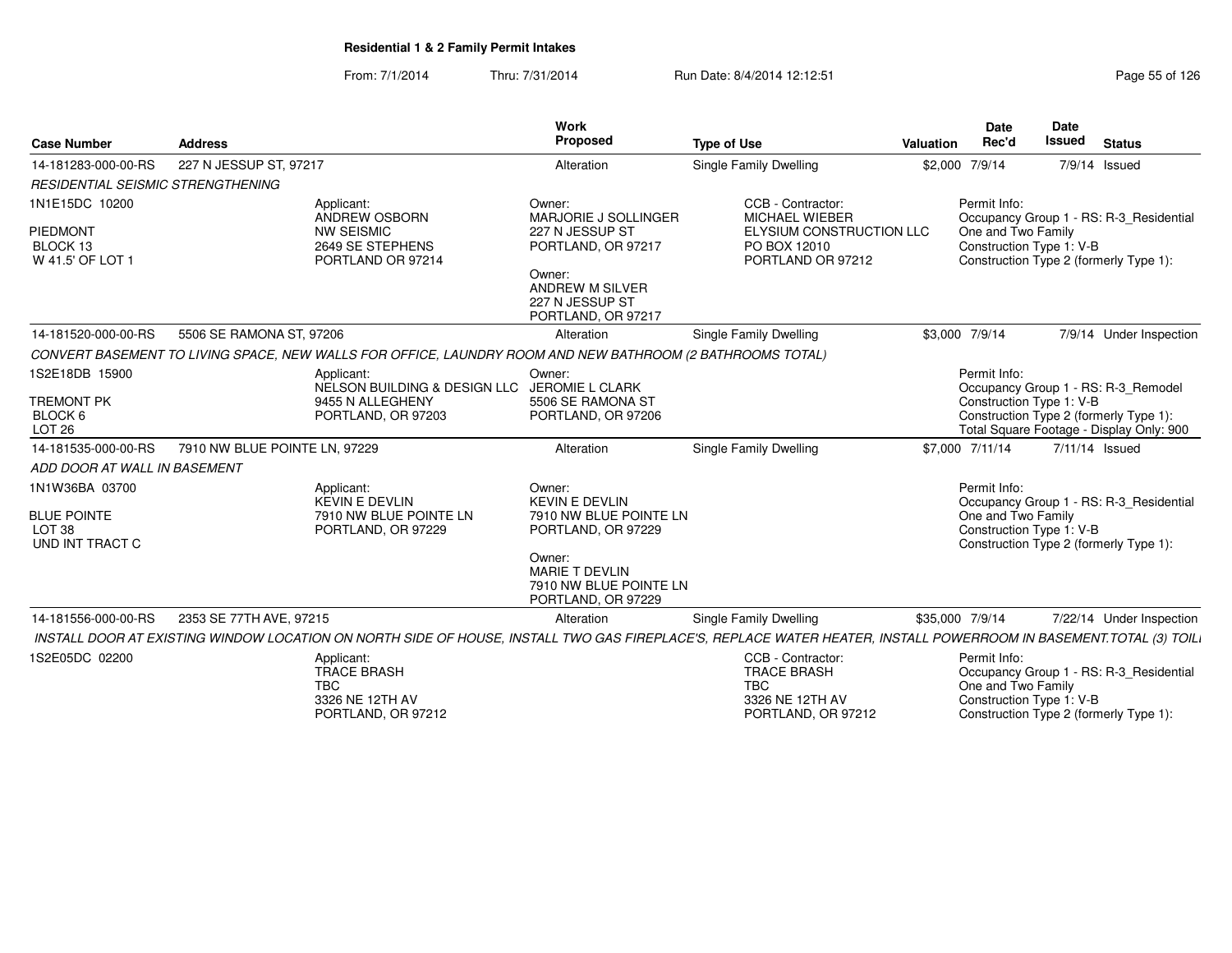#### From: 7/1/2014Thru: 7/31/2014 **Run Date: 8/4/2014 12:12:51 Run Date: 8/4/2014 12:12:51 Page 55 of 126**

| <b>Case Number</b>                                                           | <b>Address</b>                |                                                                                                                                                                   | Work<br>Proposed                                                                                                                                            | <b>Type of Use</b>                                                                                   | Valuation | <b>Date</b><br>Rec'd               | Date<br><b>Issued</b>    | <b>Status</b>                                                                                                             |
|------------------------------------------------------------------------------|-------------------------------|-------------------------------------------------------------------------------------------------------------------------------------------------------------------|-------------------------------------------------------------------------------------------------------------------------------------------------------------|------------------------------------------------------------------------------------------------------|-----------|------------------------------------|--------------------------|---------------------------------------------------------------------------------------------------------------------------|
| 14-181283-000-00-RS                                                          | 227 N JESSUP ST, 97217        |                                                                                                                                                                   | Alteration                                                                                                                                                  | Single Family Dwelling                                                                               |           | \$2,000 7/9/14                     |                          | 7/9/14 Issued                                                                                                             |
| <b>RESIDENTIAL SEISMIC STRENGTHENING</b>                                     |                               |                                                                                                                                                                   |                                                                                                                                                             |                                                                                                      |           |                                    |                          |                                                                                                                           |
| 1N1E15DC 10200<br>PIEDMONT<br>BLOCK <sub>13</sub><br>W 41.5' OF LOT 1        |                               | Applicant:<br><b>ANDREW OSBORN</b><br><b>NW SEISMIC</b><br>2649 SE STEPHENS<br>PORTLAND OR 97214                                                                  | Owner:<br>MARJORIE J SOLLINGER<br>227 N JESSUP ST<br>PORTLAND, OR 97217<br>Owner:<br><b>ANDREW M SILVER</b><br>227 N JESSUP ST<br>PORTLAND, OR 97217        | CCB - Contractor:<br>MICHAEL WIEBER<br>ELYSIUM CONSTRUCTION LLC<br>PO BOX 12010<br>PORTLAND OR 97212 |           | Permit Info:<br>One and Two Family | Construction Type 1: V-B | Occupancy Group 1 - RS: R-3_Residential<br>Construction Type 2 (formerly Type 1):                                         |
| 14-181520-000-00-RS                                                          | 5506 SE RAMONA ST, 97206      |                                                                                                                                                                   | Alteration                                                                                                                                                  | <b>Single Family Dwelling</b>                                                                        |           | \$3,000 7/9/14                     |                          | 7/9/14 Under Inspection                                                                                                   |
|                                                                              |                               | CONVERT BASEMENT TO LIVING SPACE, NEW WALLS FOR OFFICE, LAUNDRY ROOM AND NEW BATHROOM (2 BATHROOMS TOTAL)                                                         |                                                                                                                                                             |                                                                                                      |           |                                    |                          |                                                                                                                           |
| 1S2E18DB 15900<br><b>TREMONT PK</b><br>BLOCK 6<br><b>LOT 26</b>              |                               | Applicant:<br>NELSON BUILDING & DESIGN LLC JEROMIE L CLARK<br>9455 N ALLEGHENY<br>PORTLAND, OR 97203                                                              | Owner:<br>5506 SE RAMONA ST<br>PORTLAND, OR 97206                                                                                                           |                                                                                                      |           | Permit Info:                       | Construction Type 1: V-B | Occupancy Group 1 - RS: R-3_Remodel<br>Construction Type 2 (formerly Type 1):<br>Total Square Footage - Display Only: 900 |
| 14-181535-000-00-RS                                                          | 7910 NW BLUE POINTE LN, 97229 |                                                                                                                                                                   | Alteration                                                                                                                                                  | Single Family Dwelling                                                                               |           | \$7,000 7/11/14                    |                          | 7/11/14 Issued                                                                                                            |
| ADD DOOR AT WALL IN BASEMENT                                                 |                               |                                                                                                                                                                   |                                                                                                                                                             |                                                                                                      |           |                                    |                          |                                                                                                                           |
| 1N1W36BA 03700<br><b>BLUE POINTE</b><br>LOT <sub>38</sub><br>UND INT TRACT C |                               | Applicant:<br><b>KEVIN E DEVLIN</b><br>7910 NW BLUE POINTE LN<br>PORTLAND, OR 97229                                                                               | Owner:<br><b>KEVIN E DEVLIN</b><br>7910 NW BLUE POINTE LN<br>PORTLAND, OR 97229<br>Owner:<br>MARIE T DEVLIN<br>7910 NW BLUE POINTE LN<br>PORTLAND, OR 97229 |                                                                                                      |           | Permit Info:<br>One and Two Family | Construction Type 1: V-B | Occupancy Group 1 - RS: R-3_Residential<br>Construction Type 2 (formerly Type 1):                                         |
| 14-181556-000-00-RS                                                          | 2353 SE 77TH AVE, 97215       |                                                                                                                                                                   | Alteration                                                                                                                                                  | Single Family Dwelling                                                                               |           | \$35,000 7/9/14                    |                          | 7/22/14 Under Inspection                                                                                                  |
|                                                                              |                               | INSTALL DOOR AT EXISTING WINDOW LOCATION ON NORTH SIDE OF HOUSE, INSTALL TWO GAS FIREPLACE'S, REPLACE WATER HEATER, INSTALL POWERROOM IN BASEMENT.TOTAL (3) TOILI |                                                                                                                                                             |                                                                                                      |           |                                    |                          |                                                                                                                           |
| 1S2E05DC 02200                                                               |                               | Applicant:<br><b>TRACE BRASH</b><br><b>TBC</b><br>3326 NE 12TH AV<br>PORTLAND, OR 97212                                                                           |                                                                                                                                                             | CCB - Contractor:<br><b>TRACE BRASH</b><br><b>TBC</b><br>3326 NE 12TH AV<br>PORTLAND, OR 97212       |           | Permit Info:<br>One and Two Family | Construction Type 1: V-B | Occupancy Group 1 - RS: R-3_Residential<br>Construction Type 2 (formerly Type 1):                                         |

**Date**Issued

**Date**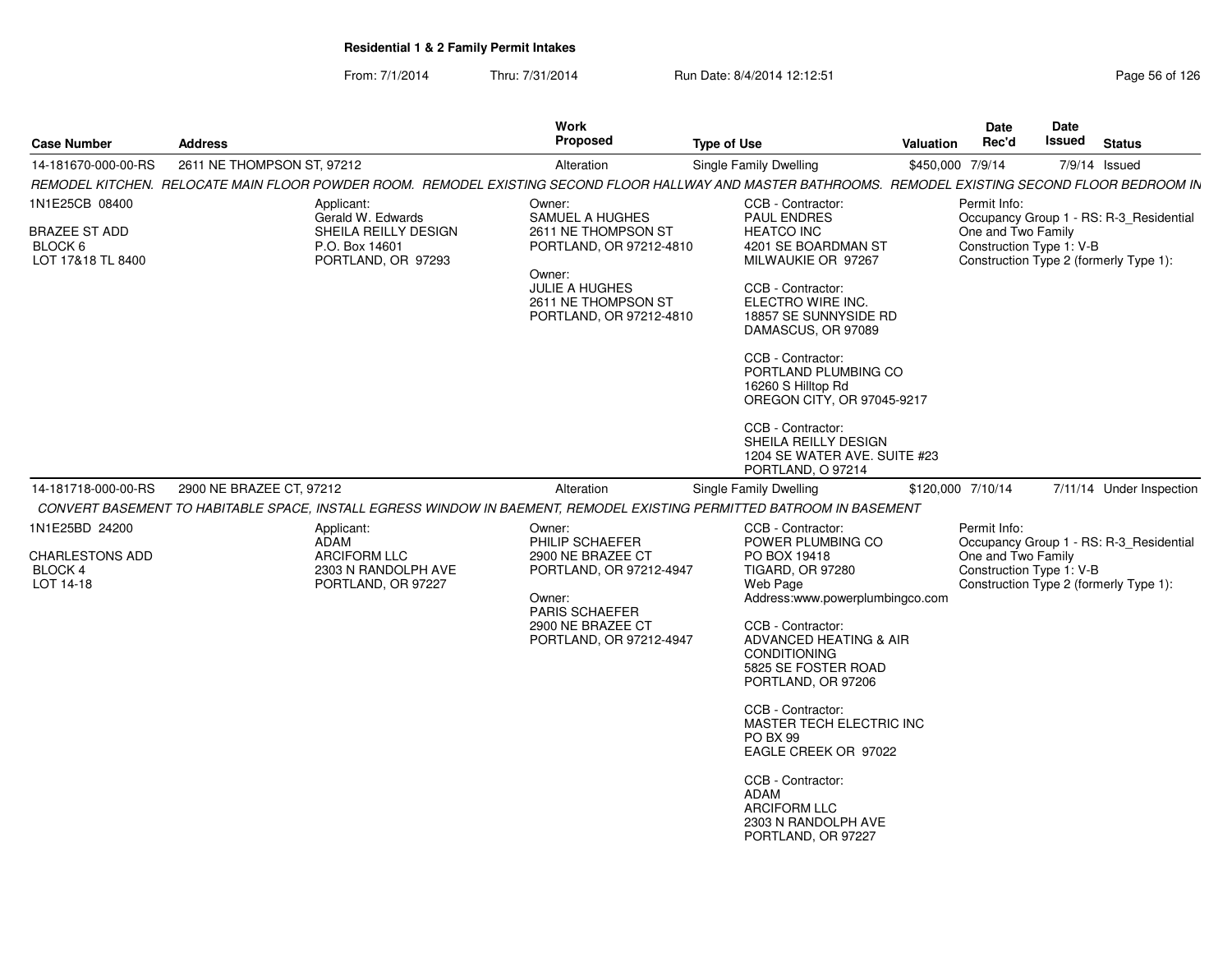| <b>Case Number</b>                                               | <b>Address</b>             |                                                                                               | <b>Work</b><br>Proposed                                                                                                                                             | <b>Type of Use</b>                                                                                                                                                                                                                                                                                                                       | <b>Valuation</b> | Date<br>Rec'd                                                  | Date<br>Issued | <b>Status</b>                                                                     |
|------------------------------------------------------------------|----------------------------|-----------------------------------------------------------------------------------------------|---------------------------------------------------------------------------------------------------------------------------------------------------------------------|------------------------------------------------------------------------------------------------------------------------------------------------------------------------------------------------------------------------------------------------------------------------------------------------------------------------------------------|------------------|----------------------------------------------------------------|----------------|-----------------------------------------------------------------------------------|
| 14-181670-000-00-RS                                              | 2611 NE THOMPSON ST, 97212 |                                                                                               | Alteration                                                                                                                                                          | Single Family Dwelling                                                                                                                                                                                                                                                                                                                   | \$450,000 7/9/14 |                                                                |                | 7/9/14 Issued                                                                     |
|                                                                  |                            |                                                                                               |                                                                                                                                                                     | REMODEL KITCHEN. RELOCATE MAIN FLOOR POWDER ROOM. REMODEL EXISTING SECOND FLOOR HALLWAY AND MASTER BATHROOMS. REMODEL EXISTING SECOND FLOOR BEDROOM IN                                                                                                                                                                                   |                  |                                                                |                |                                                                                   |
| 1N1E25CB 08400                                                   |                            | Applicant:<br>Gerald W. Edwards                                                               | Owner:<br>SAMUEL A HUGHES                                                                                                                                           | CCB - Contractor:<br><b>PAUL ENDRES</b>                                                                                                                                                                                                                                                                                                  |                  | Permit Info:                                                   |                | Occupancy Group 1 - RS: R-3_Residential                                           |
| <b>BRAZEE ST ADD</b><br>BLOCK 6<br>LOT 17&18 TL 8400             |                            | SHEILA REILLY DESIGN<br>P.O. Box 14601<br>PORTLAND, OR 97293                                  | 2611 NE THOMPSON ST<br>PORTLAND, OR 97212-4810<br>Owner:                                                                                                            | <b>HEATCO INC</b><br>4201 SE BOARDMAN ST<br>MILWAUKIE OR 97267                                                                                                                                                                                                                                                                           |                  | One and Two Family<br>Construction Type 1: V-B                 |                | Construction Type 2 (formerly Type 1):                                            |
|                                                                  |                            |                                                                                               | <b>JULIE A HUGHES</b><br>2611 NE THOMPSON ST<br>PORTLAND, OR 97212-4810                                                                                             | CCB - Contractor:<br>ELECTRO WIRE INC.<br>18857 SE SUNNYSIDE RD<br>DAMASCUS, OR 97089                                                                                                                                                                                                                                                    |                  |                                                                |                |                                                                                   |
|                                                                  |                            |                                                                                               |                                                                                                                                                                     | CCB - Contractor:<br>PORTLAND PLUMBING CO<br>16260 S Hilltop Rd<br>OREGON CITY, OR 97045-9217                                                                                                                                                                                                                                            |                  |                                                                |                |                                                                                   |
|                                                                  |                            |                                                                                               |                                                                                                                                                                     | CCB - Contractor:<br>SHEILA REILLY DESIGN<br>1204 SE WATER AVE. SUITE #23<br>PORTLAND, O 97214                                                                                                                                                                                                                                           |                  |                                                                |                |                                                                                   |
| 14-181718-000-00-RS                                              | 2900 NE BRAZEE CT, 97212   |                                                                                               | Alteration                                                                                                                                                          | Single Family Dwelling                                                                                                                                                                                                                                                                                                                   |                  | \$120,000 7/10/14                                              |                | 7/11/14 Under Inspection                                                          |
|                                                                  |                            |                                                                                               |                                                                                                                                                                     | CONVERT BASEMENT TO HABITABLE SPACE, INSTALL EGRESS WINDOW IN BAEMENT, REMODEL EXISTING PERMITTED BATROOM IN BASEMENT                                                                                                                                                                                                                    |                  |                                                                |                |                                                                                   |
| 1N1E25BD 24200<br><b>CHARLESTONS ADD</b><br>BLOCK 4<br>LOT 14-18 |                            | Applicant:<br><b>ADAM</b><br><b>ARCIFORM LLC</b><br>2303 N RANDOLPH AVE<br>PORTLAND, OR 97227 | Owner:<br><b>PHILIP SCHAEFER</b><br>2900 NE BRAZEE CT<br>PORTLAND, OR 97212-4947<br>Owner:<br><b>PARIS SCHAEFER</b><br>2900 NE BRAZEE CT<br>PORTLAND, OR 97212-4947 | CCB - Contractor:<br>POWER PLUMBING CO<br>PO BOX 19418<br><b>TIGARD, OR 97280</b><br>Web Page<br>Address:www.powerplumbingco.com<br>CCB - Contractor:<br>ADVANCED HEATING & AIR<br><b>CONDITIONING</b><br>5825 SE FOSTER ROAD<br>PORTLAND, OR 97206<br>CCB - Contractor:<br>MASTER TECH ELECTRIC INC<br>PO BX 99<br>EAGLE CREEK OR 97022 |                  | Permit Info:<br>One and Two Family<br>Construction Type 1: V-B |                | Occupancy Group 1 - RS: R-3 Residential<br>Construction Type 2 (formerly Type 1): |
|                                                                  |                            |                                                                                               |                                                                                                                                                                     | CCB - Contractor:<br>ADAM<br><b>ARCIFORM LLC</b><br>2303 N RANDOLPH AVE<br>PORTLAND, OR 97227                                                                                                                                                                                                                                            |                  |                                                                |                |                                                                                   |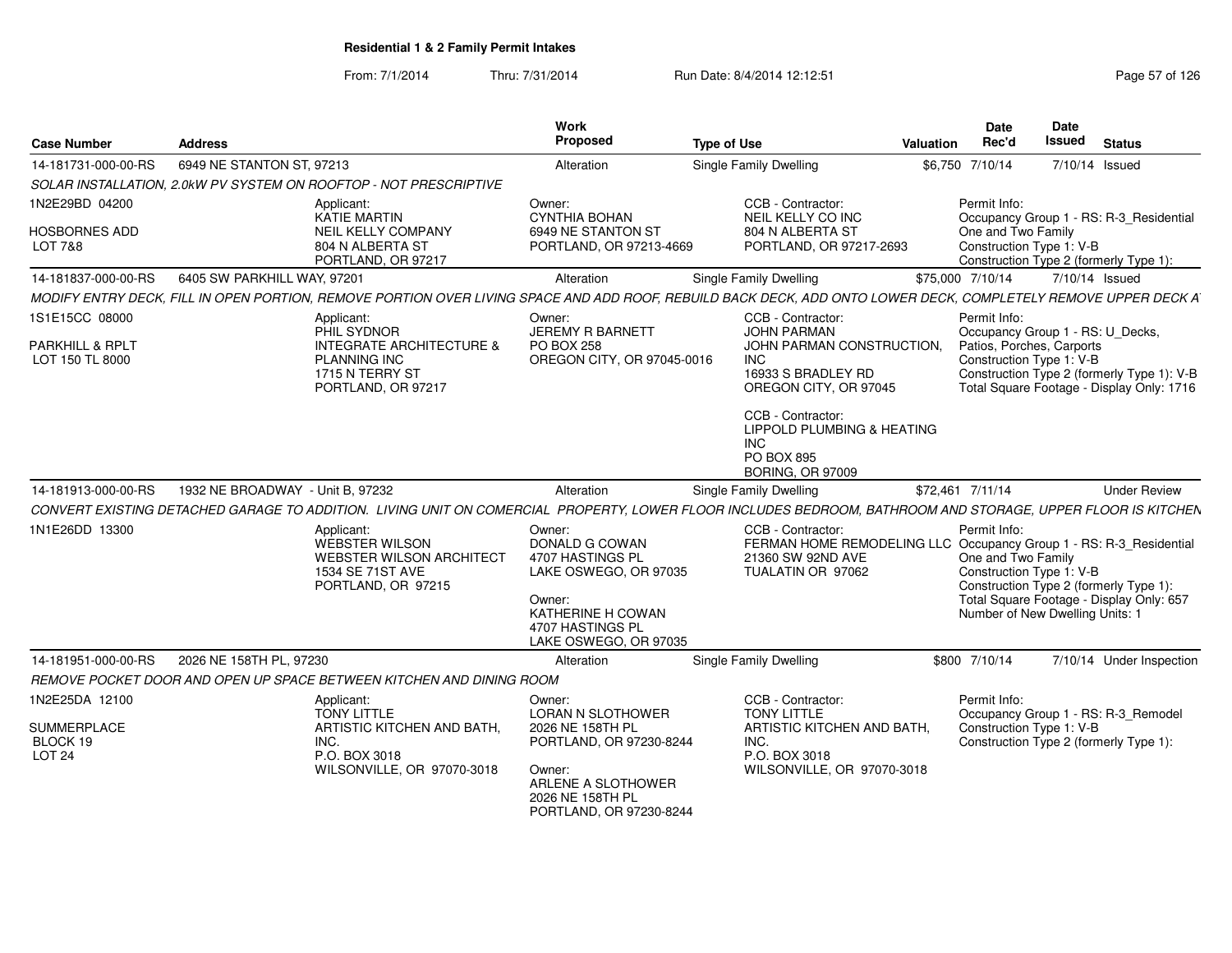| <b>Case Number</b>                           | <b>Address</b>                   |                                                                                                                                                                | <b>Work</b><br>Proposed                                                                                                                                  | <b>Type of Use</b>                                                 |                                                                          | Valuation | <b>Date</b><br>Rec'd                                                                              | Date<br>Issued | <b>Status</b>                                                                                                                                            |
|----------------------------------------------|----------------------------------|----------------------------------------------------------------------------------------------------------------------------------------------------------------|----------------------------------------------------------------------------------------------------------------------------------------------------------|--------------------------------------------------------------------|--------------------------------------------------------------------------|-----------|---------------------------------------------------------------------------------------------------|----------------|----------------------------------------------------------------------------------------------------------------------------------------------------------|
| 14-181731-000-00-RS                          | 6949 NE STANTON ST, 97213        |                                                                                                                                                                | Alteration                                                                                                                                               | Single Family Dwelling                                             |                                                                          |           | \$6,750 7/10/14                                                                                   | 7/10/14 Issued |                                                                                                                                                          |
|                                              |                                  | SOLAR INSTALLATION, 2.0kW PV SYSTEM ON ROOFTOP - NOT PRESCRIPTIVE                                                                                              |                                                                                                                                                          |                                                                    |                                                                          |           |                                                                                                   |                |                                                                                                                                                          |
| 1N2E29BD 04200                               |                                  | Applicant:<br>KATIE MARTIN                                                                                                                                     | Owner:<br><b>CYNTHIA BOHAN</b>                                                                                                                           | CCB - Contractor:<br>NEIL KELLY CO INC                             |                                                                          |           | Permit Info:                                                                                      |                | Occupancy Group 1 - RS: R-3 Residential                                                                                                                  |
| HOSBORNES ADD<br>LOT 7&8                     |                                  | NEIL KELLY COMPANY<br>804 N ALBERTA ST<br>PORTLAND, OR 97217                                                                                                   | 6949 NE STANTON ST<br>PORTLAND, OR 97213-4669                                                                                                            | 804 N ALBERTA ST                                                   | PORTLAND, OR 97217-2693                                                  |           | One and Two Family<br>Construction Type 1: V-B                                                    |                | Construction Type 2 (formerly Type 1):                                                                                                                   |
| 14-181837-000-00-RS                          | 6405 SW PARKHILL WAY, 97201      |                                                                                                                                                                | Alteration                                                                                                                                               | <b>Single Family Dwelling</b>                                      |                                                                          |           | \$75,000 7/10/14                                                                                  | 7/10/14 Issued |                                                                                                                                                          |
|                                              |                                  | MODIFY ENTRY DECK, FILL IN OPEN PORTION, REMOVE PORTION OVER LIVING SPACE AND ADD ROOF, REBUILD BACK DECK, ADD ONTO LOWER DECK, COMPLETELY REMOVE UPPER DECK A |                                                                                                                                                          |                                                                    |                                                                          |           |                                                                                                   |                |                                                                                                                                                          |
| 1S1E15CC 08000                               |                                  | Applicant:<br>PHIL SYDNOR                                                                                                                                      | Owner:<br><b>JEREMY R BARNETT</b>                                                                                                                        | CCB - Contractor:<br><b>JOHN PARMAN</b>                            |                                                                          |           | Permit Info:<br>Occupancy Group 1 - RS: U_Decks,                                                  |                |                                                                                                                                                          |
| PARKHILL & RPLT<br>LOT 150 TL 8000           |                                  | <b>INTEGRATE ARCHITECTURE &amp;</b><br><b>PLANNING INC</b><br>1715 N TERRY ST<br>PORTLAND, OR 97217                                                            | <b>PO BOX 258</b><br>OREGON CITY, OR 97045-0016                                                                                                          | INC.                                                               | JOHN PARMAN CONSTRUCTION.<br>16933 S BRADLEY RD<br>OREGON CITY, OR 97045 |           | Patios, Porches, Carports<br>Construction Type 1: V-B                                             |                | Construction Type 2 (formerly Type 1): V-B<br>Total Square Footage - Display Only: 1716                                                                  |
|                                              |                                  |                                                                                                                                                                |                                                                                                                                                          | CCB - Contractor:<br>INC.<br>PO BOX 895<br><b>BORING, OR 97009</b> | LIPPOLD PLUMBING & HEATING                                               |           |                                                                                                   |                |                                                                                                                                                          |
| 14-181913-000-00-RS                          | 1932 NE BROADWAY - Unit B, 97232 |                                                                                                                                                                | Alteration                                                                                                                                               | <b>Single Family Dwelling</b>                                      |                                                                          |           | \$72,461 7/11/14                                                                                  |                | <b>Under Review</b>                                                                                                                                      |
|                                              |                                  | CONVERT EXISTING DETACHED GARAGE TO ADDITION. LIVING UNIT ON COMERCIAL PROPERTY, LOWER FLOOR INCLUDES BEDROOM, BATHROOM AND STORAGE, UPPER FLOOR IS KITCHEN    |                                                                                                                                                          |                                                                    |                                                                          |           |                                                                                                   |                |                                                                                                                                                          |
| 1N1E26DD 13300                               |                                  | Applicant:<br>WEBSTER WILSON<br>WEBSTER WILSON ARCHITECT<br>1534 SE 71ST AVE<br>PORTLAND, OR 97215                                                             | Owner:<br><b>DONALD G COWAN</b><br>4707 HASTINGS PL<br>LAKE OSWEGO, OR 97035<br>Owner:<br>KATHERINE H COWAN<br>4707 HASTINGS PL<br>LAKE OSWEGO, OR 97035 | CCB - Contractor:<br>21360 SW 92ND AVE<br>TUALATIN OR 97062        |                                                                          |           | Permit Info:<br>One and Two Family<br>Construction Type 1: V-B<br>Number of New Dwelling Units: 1 |                | FERMAN HOME REMODELING LLC Occupancy Group 1 - RS: R-3_Residential<br>Construction Type 2 (formerly Type 1):<br>Total Square Footage - Display Only: 657 |
| 14-181951-000-00-RS                          | 2026 NE 158TH PL, 97230          |                                                                                                                                                                | Alteration                                                                                                                                               | <b>Single Family Dwelling</b>                                      |                                                                          |           | \$800 7/10/14                                                                                     |                | 7/10/14 Under Inspection                                                                                                                                 |
|                                              |                                  | REMOVE POCKET DOOR AND OPEN UP SPACE BETWEEN KITCHEN AND DINING ROOM                                                                                           |                                                                                                                                                          |                                                                    |                                                                          |           |                                                                                                   |                |                                                                                                                                                          |
| 1N2E25DA 12100                               |                                  | Applicant:<br><b>TONY LITTLE</b>                                                                                                                               | Owner:<br><b>LORAN N SLOTHOWER</b>                                                                                                                       | CCB - Contractor:<br><b>TONY LITTLE</b>                            |                                                                          |           | Permit Info:                                                                                      |                | Occupancy Group 1 - RS: R-3_Remodel                                                                                                                      |
| SUMMERPLACE<br>BLOCK 19<br>LOT <sub>24</sub> |                                  | ARTISTIC KITCHEN AND BATH,<br>INC.<br>P.O. BOX 3018<br>WILSONVILLE, OR 97070-3018                                                                              | 2026 NE 158TH PL<br>PORTLAND, OR 97230-8244<br>Owner:<br>ARLENE A SLOTHOWER<br>2026 NE 158TH PL<br>PORTLAND, OR 97230-8244                               | INC.<br>P.O. BOX 3018                                              | ARTISTIC KITCHEN AND BATH.<br>WILSONVILLE, OR 97070-3018                 |           | Construction Type 1: V-B                                                                          |                | Construction Type 2 (formerly Type 1):                                                                                                                   |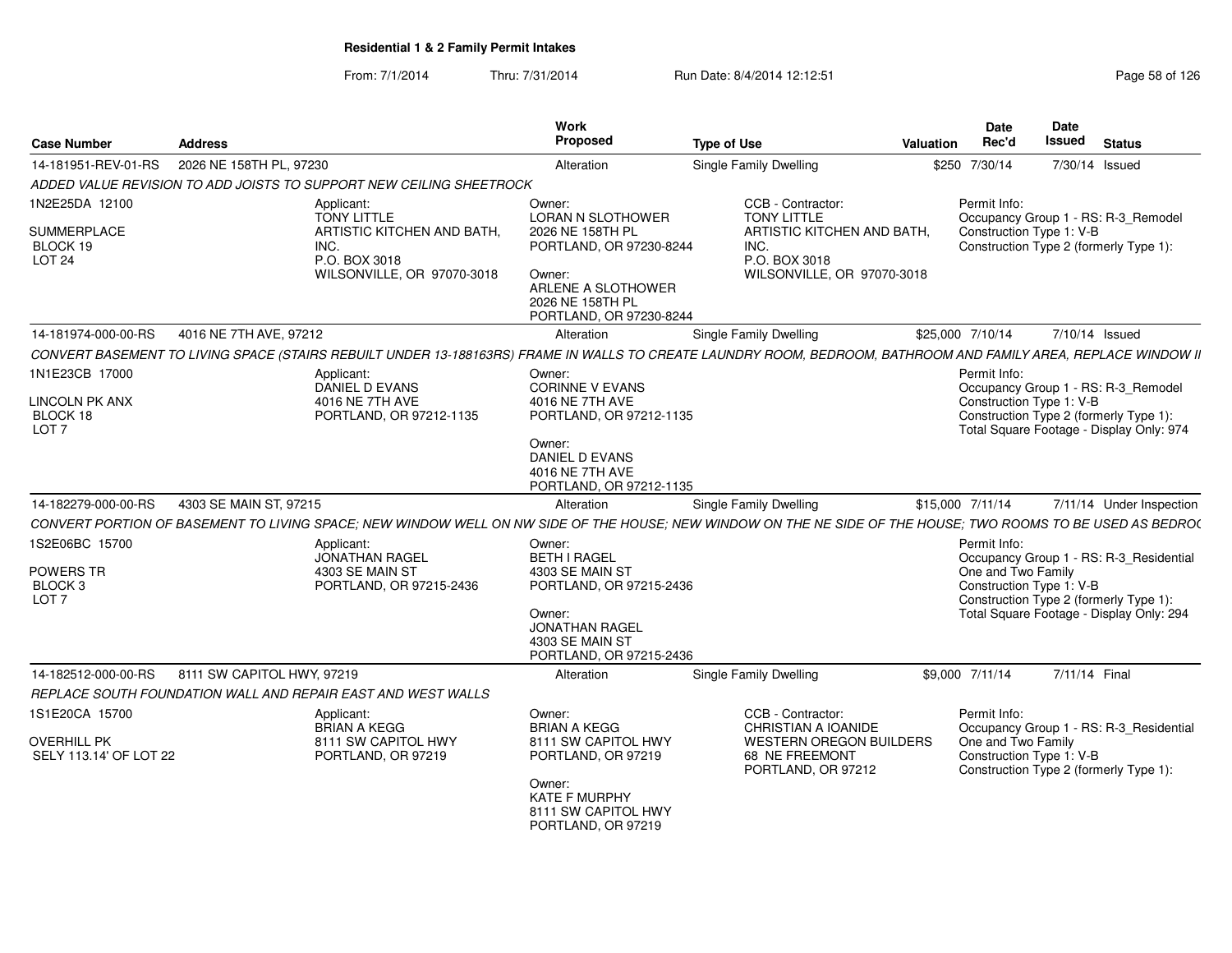| <b>Case Number</b>                                                    | Address                                                                                                                                                         | Work<br><b>Proposed</b>                                                                                                                                | <b>Type of Use</b>                                                                                      | <b>Valuation</b> | Date<br>Rec'd                                                  | Date<br>Issued | <b>Status</b>                                                                                                                 |
|-----------------------------------------------------------------------|-----------------------------------------------------------------------------------------------------------------------------------------------------------------|--------------------------------------------------------------------------------------------------------------------------------------------------------|---------------------------------------------------------------------------------------------------------|------------------|----------------------------------------------------------------|----------------|-------------------------------------------------------------------------------------------------------------------------------|
| 14-181951-REV-01-RS                                                   | 2026 NE 158TH PL, 97230                                                                                                                                         | Alteration                                                                                                                                             | <b>Single Family Dwelling</b>                                                                           |                  | \$250 7/30/14                                                  |                | 7/30/14 Issued                                                                                                                |
|                                                                       | ADDED VALUE REVISION TO ADD JOISTS TO SUPPORT NEW CEILING SHEETROCK                                                                                             |                                                                                                                                                        |                                                                                                         |                  |                                                                |                |                                                                                                                               |
| 1N2E25DA 12100                                                        | Applicant:                                                                                                                                                      | Owner:                                                                                                                                                 | CCB - Contractor:                                                                                       |                  | Permit Info:                                                   |                |                                                                                                                               |
| SUMMERPLACE<br>BLOCK 19<br><b>LOT 24</b>                              | <b>TONY LITTLE</b><br>ARTISTIC KITCHEN AND BATH.<br>INC.<br>P.O. BOX 3018<br>WILSONVILLE, OR 97070-3018                                                         | <b>LORAN N SLOTHOWER</b><br>2026 NE 158TH PL<br>PORTLAND, OR 97230-8244<br>Owner:<br>ARLENE A SLOTHOWER<br>2026 NE 158TH PL<br>PORTLAND, OR 97230-8244 | <b>TONY LITTLE</b><br>ARTISTIC KITCHEN AND BATH,<br>INC.<br>P.O. BOX 3018<br>WILSONVILLE, OR 97070-3018 |                  | Construction Type 1: V-B                                       |                | Occupancy Group 1 - RS: R-3 Remodel<br>Construction Type 2 (formerly Type 1):                                                 |
| 14-181974-000-00-RS                                                   | 4016 NE 7TH AVE, 97212                                                                                                                                          | Alteration                                                                                                                                             | Single Family Dwelling                                                                                  |                  | \$25,000 7/10/14                                               |                | 7/10/14 Issued                                                                                                                |
|                                                                       | CONVERT BASEMENT TO LIVING SPACE (STAIRS REBUILT UNDER 13-188163RS) FRAME IN WALLS TO CREATE LAUNDRY ROOM, BEDROOM, BATHROOM AND FAMILY AREA, REPLACE WINDOW II |                                                                                                                                                        |                                                                                                         |                  |                                                                |                |                                                                                                                               |
| 1N1E23CB 17000<br>LINCOLN PK ANX<br>BLOCK 18<br>LOT <sub>7</sub>      | Applicant:<br>DANIEL D EVANS<br>4016 NE 7TH AVE<br>PORTLAND, OR 97212-1135                                                                                      | Owner:<br>CORINNE V EVANS<br>4016 NE 7TH AVE<br>PORTLAND, OR 97212-1135<br>Owner:<br>DANIEL D EVANS<br>4016 NE 7TH AVE<br>PORTLAND, OR 97212-1135      |                                                                                                         |                  | Permit Info:<br>Construction Type 1: V-B                       |                | Occupancy Group 1 - RS: R-3_Remodel<br>Construction Type 2 (formerly Type 1):<br>Total Square Footage - Display Only: 974     |
| 14-182279-000-00-RS                                                   | 4303 SE MAIN ST, 97215                                                                                                                                          | Alteration                                                                                                                                             | Single Family Dwelling                                                                                  |                  | \$15,000 7/11/14                                               |                | 7/11/14 Under Inspection                                                                                                      |
|                                                                       | CONVERT PORTION OF BASEMENT TO LIVING SPACE; NEW WINDOW WELL ON NW SIDE OF THE HOUSE; NEW WINDOW ON THE NE SIDE OF THE HOUSE; TWO ROOMS TO BE USED AS BEDRO(    |                                                                                                                                                        |                                                                                                         |                  |                                                                |                |                                                                                                                               |
| 1S2E06BC 15700<br>POWERS TR<br>BLOCK <sub>3</sub><br>LOT <sub>7</sub> | Applicant:<br><b>JONATHAN RAGEL</b><br>4303 SE MAIN ST<br>PORTLAND, OR 97215-2436                                                                               | Owner:<br><b>BETH I RAGEL</b><br>4303 SE MAIN ST<br>PORTLAND, OR 97215-2436<br>Owner:                                                                  |                                                                                                         |                  | Permit Info:<br>One and Two Family<br>Construction Type 1: V-B |                | Occupancy Group 1 - RS: R-3_Residential<br>Construction Type 2 (formerly Type 1):<br>Total Square Footage - Display Only: 294 |
|                                                                       |                                                                                                                                                                 | <b>JONATHAN RAGEL</b><br>4303 SE MAIN ST<br>PORTLAND, OR 97215-2436                                                                                    |                                                                                                         |                  |                                                                |                |                                                                                                                               |
| 14-182512-000-00-RS                                                   | 8111 SW CAPITOL HWY, 97219                                                                                                                                      | Alteration                                                                                                                                             | <b>Single Family Dwelling</b>                                                                           |                  | \$9,000 7/11/14                                                | 7/11/14 Final  |                                                                                                                               |
|                                                                       | REPLACE SOUTH FOUNDATION WALL AND REPAIR EAST AND WEST WALLS                                                                                                    |                                                                                                                                                        |                                                                                                         |                  |                                                                |                |                                                                                                                               |
| 1S1E20CA 15700                                                        | Applicant:<br><b>BRIAN A KEGG</b>                                                                                                                               | Owner:<br><b>BRIAN A KEGG</b>                                                                                                                          | CCB - Contractor:<br>CHRISTIAN A IOANIDE                                                                |                  | Permit Info:                                                   |                | Occupancy Group 1 - RS: R-3_Residential                                                                                       |
| <b>OVERHILL PK</b><br>SELY 113.14' OF LOT 22                          | 8111 SW CAPITOL HWY<br>PORTLAND, OR 97219                                                                                                                       | 8111 SW CAPITOL HWY<br>PORTLAND, OR 97219<br>Owner:                                                                                                    | WESTERN OREGON BUILDERS<br>68 NE FREEMONT<br>PORTLAND, OR 97212                                         |                  | One and Two Family<br>Construction Type 1: V-B                 |                | Construction Type 2 (formerly Type 1):                                                                                        |
|                                                                       |                                                                                                                                                                 | <b>KATE F MURPHY</b><br>8111 SW CAPITOL HWY<br>PORTLAND, OR 97219                                                                                      |                                                                                                         |                  |                                                                |                |                                                                                                                               |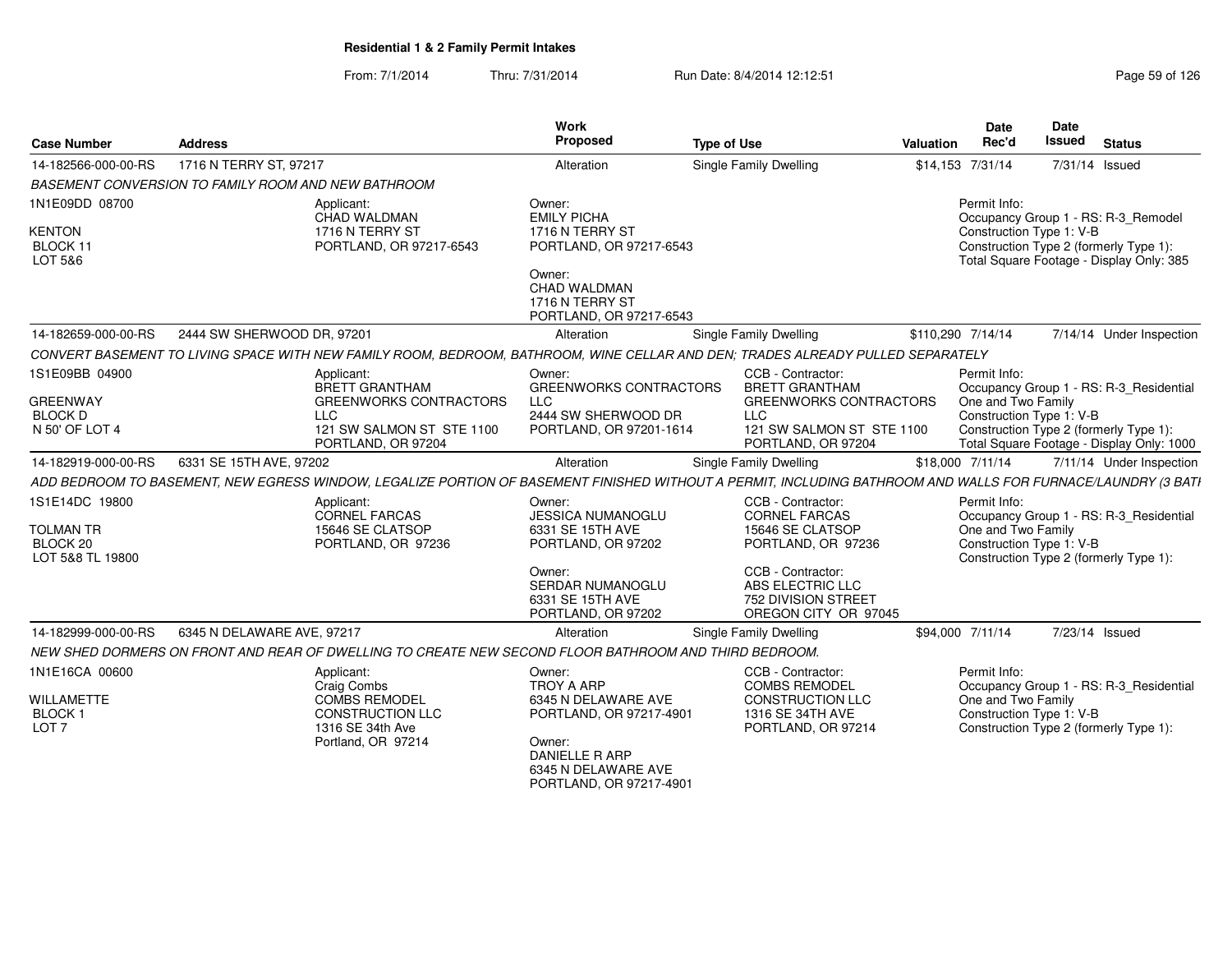| <b>Case Number</b>                                                 | <b>Address</b>                                                                                                                                               |                                                                                  | Work<br>Proposed                                                                                                                              | <b>Type of Use</b> |                                                                                                                                                                             | Valuation         | <b>Date</b><br>Rec'd                                           | <b>Date</b><br><b>Issued</b> | <b>Status</b>                                                                                                             |
|--------------------------------------------------------------------|--------------------------------------------------------------------------------------------------------------------------------------------------------------|----------------------------------------------------------------------------------|-----------------------------------------------------------------------------------------------------------------------------------------------|--------------------|-----------------------------------------------------------------------------------------------------------------------------------------------------------------------------|-------------------|----------------------------------------------------------------|------------------------------|---------------------------------------------------------------------------------------------------------------------------|
| 14-182566-000-00-RS                                                | 1716 N TERRY ST, 97217                                                                                                                                       |                                                                                  | Alteration                                                                                                                                    |                    | Single Family Dwelling                                                                                                                                                      |                   | \$14,153 7/31/14                                               | 7/31/14 Issued               |                                                                                                                           |
|                                                                    | BASEMENT CONVERSION TO FAMILY ROOM AND NEW BATHROOM                                                                                                          |                                                                                  |                                                                                                                                               |                    |                                                                                                                                                                             |                   |                                                                |                              |                                                                                                                           |
| 1N1E09DD 08700<br><b>KENTON</b><br>BLOCK 11<br>LOT 5&6             | Applicant:<br>CHAD WALDMAN<br>1716 N TERRY ST                                                                                                                | PORTLAND, OR 97217-6543                                                          | Owner:<br><b>EMILY PICHA</b><br>1716 N TERRY ST<br>PORTLAND, OR 97217-6543<br>Owner:<br>CHAD WALDMAN                                          |                    |                                                                                                                                                                             |                   | Permit Info:<br>Construction Type 1: V-B                       |                              | Occupancy Group 1 - RS: R-3_Remodel<br>Construction Type 2 (formerly Type 1):<br>Total Square Footage - Display Only: 385 |
|                                                                    |                                                                                                                                                              |                                                                                  | 1716 N TERRY ST<br>PORTLAND, OR 97217-6543                                                                                                    |                    |                                                                                                                                                                             |                   |                                                                |                              |                                                                                                                           |
| 14-182659-000-00-RS                                                | 2444 SW SHERWOOD DR, 97201                                                                                                                                   |                                                                                  | Alteration                                                                                                                                    |                    | Single Family Dwelling                                                                                                                                                      | \$110,290 7/14/14 |                                                                |                              | 7/14/14 Under Inspection                                                                                                  |
|                                                                    | CONVERT BASEMENT TO LIVING SPACE WITH NEW FAMILY ROOM, BEDROOM, BATHROOM, WINE CELLAR AND DEN; TRADES ALREADY PULLED SEPARATELY                              |                                                                                  |                                                                                                                                               |                    |                                                                                                                                                                             |                   |                                                                |                              |                                                                                                                           |
| 1S1E09BB 04900                                                     | Applicant:<br><b>BRETT GRANTHAM</b>                                                                                                                          |                                                                                  | Owner:<br><b>GREENWORKS CONTRACTORS</b>                                                                                                       |                    | CCB - Contractor:<br><b>BRETT GRANTHAM</b>                                                                                                                                  |                   | Permit Info:                                                   |                              | Occupancy Group 1 - RS: R-3_Residential                                                                                   |
| <b>GREENWAY</b><br><b>BLOCK D</b><br>N 50' OF LOT 4                | <b>LLC</b>                                                                                                                                                   | <b>GREENWORKS CONTRACTORS</b><br>121 SW SALMON ST STE 1100<br>PORTLAND, OR 97204 | LLC<br>2444 SW SHERWOOD DR<br>PORTLAND, OR 97201-1614                                                                                         |                    | <b>GREENWORKS CONTRACTORS</b><br><b>LLC</b><br>121 SW SALMON ST STE 1100<br>PORTLAND, OR 97204                                                                              |                   | One and Two Family<br>Construction Type 1: V-B                 |                              | Construction Type 2 (formerly Type 1):<br>Total Square Footage - Display Only: 1000                                       |
| 14-182919-000-00-RS                                                | 6331 SE 15TH AVE, 97202                                                                                                                                      |                                                                                  | Alteration                                                                                                                                    |                    | Single Family Dwelling                                                                                                                                                      |                   | \$18,000 7/11/14                                               |                              | 7/11/14 Under Inspection                                                                                                  |
|                                                                    | ADD BEDROOM TO BASEMENT, NEW EGRESS WINDOW, LEGALIZE PORTION OF BASEMENT FINISHED WITHOUT A PERMIT, INCLUDING BATHROOM AND WALLS FOR FURNACE/LAUNDRY (3 BATI |                                                                                  |                                                                                                                                               |                    |                                                                                                                                                                             |                   |                                                                |                              |                                                                                                                           |
| 1S1E14DC 19800<br><b>TOLMAN TR</b><br>BLOCK 20<br>LOT 5&8 TL 19800 | Applicant:<br><b>CORNEL FARCAS</b><br>15646 SE CLATSOP                                                                                                       | PORTLAND, OR 97236                                                               | Owner:<br>JESSICA NUMANOGLU<br>6331 SE 15TH AVE<br>PORTLAND, OR 97202<br>Owner:<br>SERDAR NUMANOGLU<br>6331 SE 15TH AVE<br>PORTLAND, OR 97202 |                    | CCB - Contractor:<br><b>CORNEL FARCAS</b><br>15646 SE CLATSOP<br>PORTLAND, OR 97236<br>CCB - Contractor:<br>ABS ELECTRIC LLC<br>752 DIVISION STREET<br>OREGON CITY OR 97045 |                   | Permit Info:<br>One and Two Family<br>Construction Type 1: V-B |                              | Occupancy Group 1 - RS: R-3_Residential<br>Construction Type 2 (formerly Type 1):                                         |
| 14-182999-000-00-RS                                                | 6345 N DELAWARE AVE, 97217                                                                                                                                   |                                                                                  | Alteration                                                                                                                                    |                    | Single Family Dwelling                                                                                                                                                      |                   | \$94,000 7/11/14                                               | 7/23/14 Issued               |                                                                                                                           |
|                                                                    | NEW SHED DORMERS ON FRONT AND REAR OF DWELLING TO CREATE NEW SECOND FLOOR BATHROOM AND THIRD BEDROOM.                                                        |                                                                                  |                                                                                                                                               |                    |                                                                                                                                                                             |                   |                                                                |                              |                                                                                                                           |
| 1N1E16CA 00600                                                     | Applicant:<br>Craig Combs                                                                                                                                    |                                                                                  | Owner:<br><b>TROY A ARP</b>                                                                                                                   |                    | CCB - Contractor:<br><b>COMBS REMODEL</b>                                                                                                                                   |                   | Permit Info:                                                   |                              | Occupancy Group 1 - RS: R-3_Residential                                                                                   |
| <b>WILLAMETTE</b><br>BLOCK <sub>1</sub><br>LOT <sub>7</sub>        | <b>COMBS REMODEL</b><br>1316 SE 34th Ave<br>Portland, OR 97214                                                                                               | <b>CONSTRUCTION LLC</b>                                                          | 6345 N DELAWARE AVE<br>PORTLAND, OR 97217-4901<br>Owner:<br>DANIELLE R ARP<br>6345 N DELAWARE AVE<br>PORTLAND, OR 97217-4901                  |                    | <b>CONSTRUCTION LLC</b><br>1316 SE 34TH AVE<br>PORTLAND, OR 97214                                                                                                           |                   | One and Two Family<br>Construction Type 1: V-B                 |                              | Construction Type 2 (formerly Type 1):                                                                                    |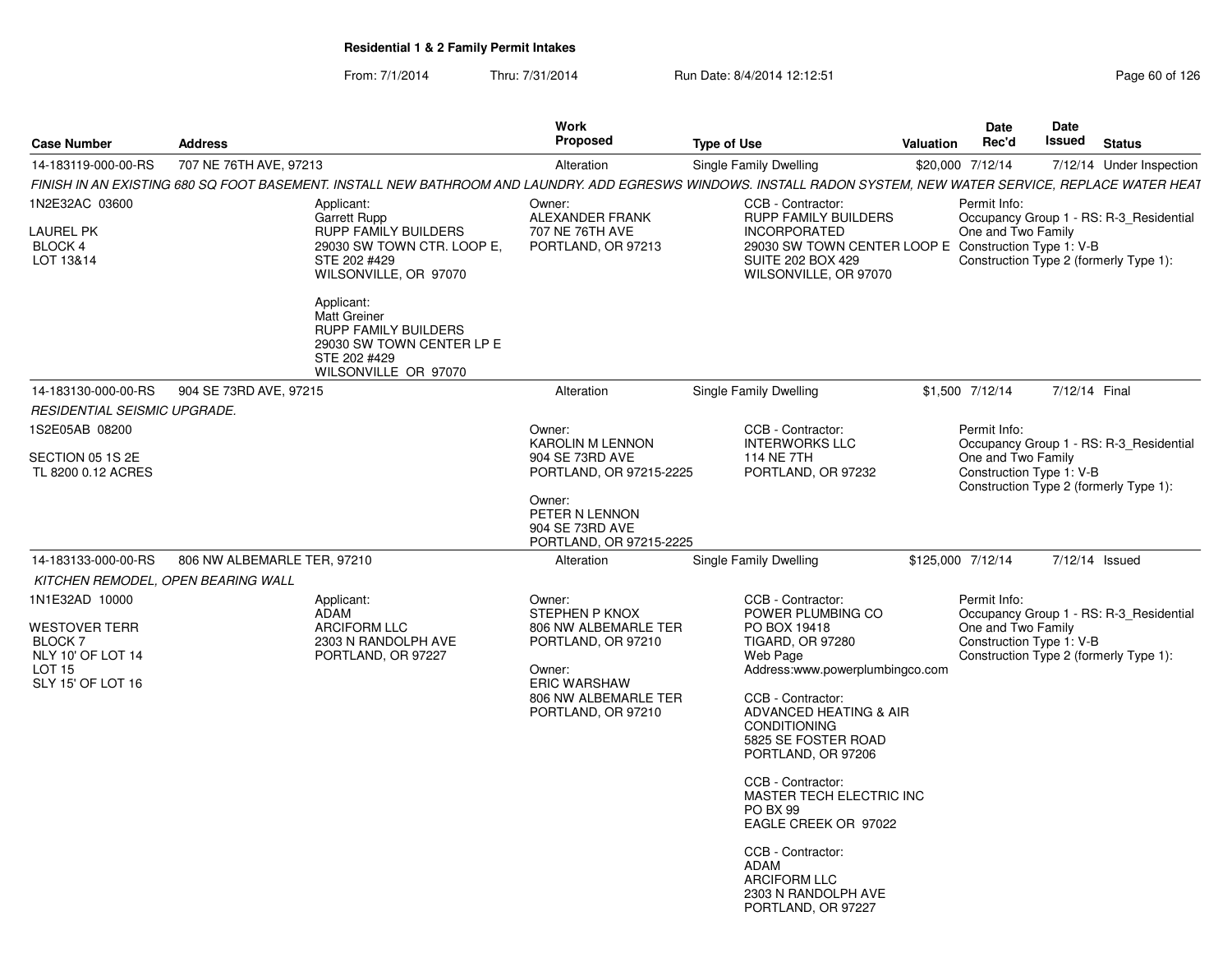| From: 7/1/2014 | Thru: 7/31/2014 | Run Date: 8/4/2014 12:12:51 | Page 60 of 126 |
|----------------|-----------------|-----------------------------|----------------|
|----------------|-----------------|-----------------------------|----------------|

| <b>Case Number</b>                                                                                                      | <b>Address</b>                                                                                                                                                                                                                                                                   | Work<br>Proposed                                                                                                                                      | <b>Type of Use</b>                                                                                                                                                                                                                                                                                                                                                                                                                | <b>Valuation</b> | <b>Date</b><br>Rec'd                                           | <b>Date</b><br>Issued | <b>Status</b>                                                                     |
|-------------------------------------------------------------------------------------------------------------------------|----------------------------------------------------------------------------------------------------------------------------------------------------------------------------------------------------------------------------------------------------------------------------------|-------------------------------------------------------------------------------------------------------------------------------------------------------|-----------------------------------------------------------------------------------------------------------------------------------------------------------------------------------------------------------------------------------------------------------------------------------------------------------------------------------------------------------------------------------------------------------------------------------|------------------|----------------------------------------------------------------|-----------------------|-----------------------------------------------------------------------------------|
| 14-183119-000-00-RS                                                                                                     | 707 NE 76TH AVE, 97213                                                                                                                                                                                                                                                           | Alteration                                                                                                                                            | Single Family Dwelling                                                                                                                                                                                                                                                                                                                                                                                                            |                  | \$20,000 7/12/14                                               |                       | 7/12/14 Under Inspection                                                          |
|                                                                                                                         | FINISH IN AN EXISTING 680 SQ FOOT BASEMENT. INSTALL NEW BATHROOM AND LAUNDRY. ADD EGRESWS WINDOWS. INSTALL RADON SYSTEM, NEW WATER SERVICE, REPLACE WATER HEAT                                                                                                                   |                                                                                                                                                       |                                                                                                                                                                                                                                                                                                                                                                                                                                   |                  |                                                                |                       |                                                                                   |
| 1N2E32AC 03600<br><b>LAUREL PK</b><br>BLOCK 4<br>LOT 13&14                                                              | Applicant:<br><b>Garrett Rupp</b><br><b>RUPP FAMILY BUILDERS</b><br>29030 SW TOWN CTR. LOOP E,<br>STE 202 #429<br>WILSONVILLE, OR 97070<br>Applicant:<br><b>Matt Greiner</b><br><b>RUPP FAMILY BUILDERS</b><br>29030 SW TOWN CENTER LP E<br>STE 202 #429<br>WILSONVILLE OR 97070 | Owner:<br>ALEXANDER FRANK<br>707 NE 76TH AVE<br>PORTLAND, OR 97213                                                                                    | CCB - Contractor:<br><b>RUPP FAMILY BUILDERS</b><br><b>INCORPORATED</b><br>29030 SW TOWN CENTER LOOP E Construction Type 1: V-B<br><b>SUITE 202 BOX 429</b><br>WILSONVILLE, OR 97070                                                                                                                                                                                                                                              |                  | Permit Info:<br>One and Two Family                             |                       | Occupancy Group 1 - RS: R-3 Residential<br>Construction Type 2 (formerly Type 1): |
| 14-183130-000-00-RS                                                                                                     | 904 SE 73RD AVE, 97215                                                                                                                                                                                                                                                           | Alteration                                                                                                                                            | Single Family Dwelling                                                                                                                                                                                                                                                                                                                                                                                                            |                  | \$1,500 7/12/14                                                | 7/12/14 Final         |                                                                                   |
| <b>RESIDENTIAL SEISMIC UPGRADE.</b>                                                                                     |                                                                                                                                                                                                                                                                                  |                                                                                                                                                       |                                                                                                                                                                                                                                                                                                                                                                                                                                   |                  |                                                                |                       |                                                                                   |
| 1S2E05AB 08200                                                                                                          |                                                                                                                                                                                                                                                                                  | Owner:<br><b>KAROLIN M LENNON</b>                                                                                                                     | CCB - Contractor:<br><b>INTERWORKS LLC</b>                                                                                                                                                                                                                                                                                                                                                                                        |                  | Permit Info:                                                   |                       | Occupancy Group 1 - RS: R-3 Residential                                           |
| SECTION 05 1S 2E<br>TL 8200 0.12 ACRES                                                                                  |                                                                                                                                                                                                                                                                                  | 904 SE 73RD AVE<br>PORTLAND, OR 97215-2225                                                                                                            | <b>114 NE 7TH</b><br>PORTLAND, OR 97232                                                                                                                                                                                                                                                                                                                                                                                           |                  | One and Two Family<br>Construction Type 1: V-B                 |                       | Construction Type 2 (formerly Type 1):                                            |
|                                                                                                                         |                                                                                                                                                                                                                                                                                  | Owner:<br>PETER N LENNON<br>904 SE 73RD AVE<br>PORTLAND, OR 97215-2225                                                                                |                                                                                                                                                                                                                                                                                                                                                                                                                                   |                  |                                                                |                       |                                                                                   |
| 14-183133-000-00-RS<br>KITCHEN REMODEL, OPEN BEARING WALL                                                               | 806 NW ALBEMARLE TER, 97210                                                                                                                                                                                                                                                      | Alteration                                                                                                                                            | Single Family Dwelling                                                                                                                                                                                                                                                                                                                                                                                                            |                  | \$125,000 7/12/14                                              |                       | 7/12/14 Issued                                                                    |
| 1N1E32AD 10000<br><b>WESTOVER TERR</b><br><b>BLOCK 7</b><br>NLY 10' OF LOT 14<br>LOT <sub>15</sub><br>SLY 15' OF LOT 16 | Applicant:<br><b>ADAM</b><br><b>ARCIFORM LLC</b><br>2303 N RANDOLPH AVE<br>PORTLAND, OR 97227                                                                                                                                                                                    | Owner:<br>STEPHEN P KNOX<br>806 NW ALBEMARLE TER<br>PORTLAND, OR 97210<br>Owner:<br><b>ERIC WARSHAW</b><br>806 NW ALBEMARLE TER<br>PORTLAND, OR 97210 | CCB - Contractor:<br>POWER PLUMBING CO<br>PO BOX 19418<br><b>TIGARD, OR 97280</b><br>Web Page<br>Address:www.powerplumbingco.com<br>CCB - Contractor:<br>ADVANCED HEATING & AIR<br><b>CONDITIONING</b><br>5825 SE FOSTER ROAD<br>PORTLAND, OR 97206<br>CCB - Contractor:<br>MASTER TECH ELECTRIC INC<br><b>PO BX 99</b><br>EAGLE CREEK OR 97022<br>CCB - Contractor:<br><b>ADAM</b><br><b>ARCIFORM LLC</b><br>2303 N RANDOLPH AVE |                  | Permit Info:<br>One and Two Family<br>Construction Type 1: V-B |                       | Occupancy Group 1 - RS: R-3 Residential<br>Construction Type 2 (formerly Type 1): |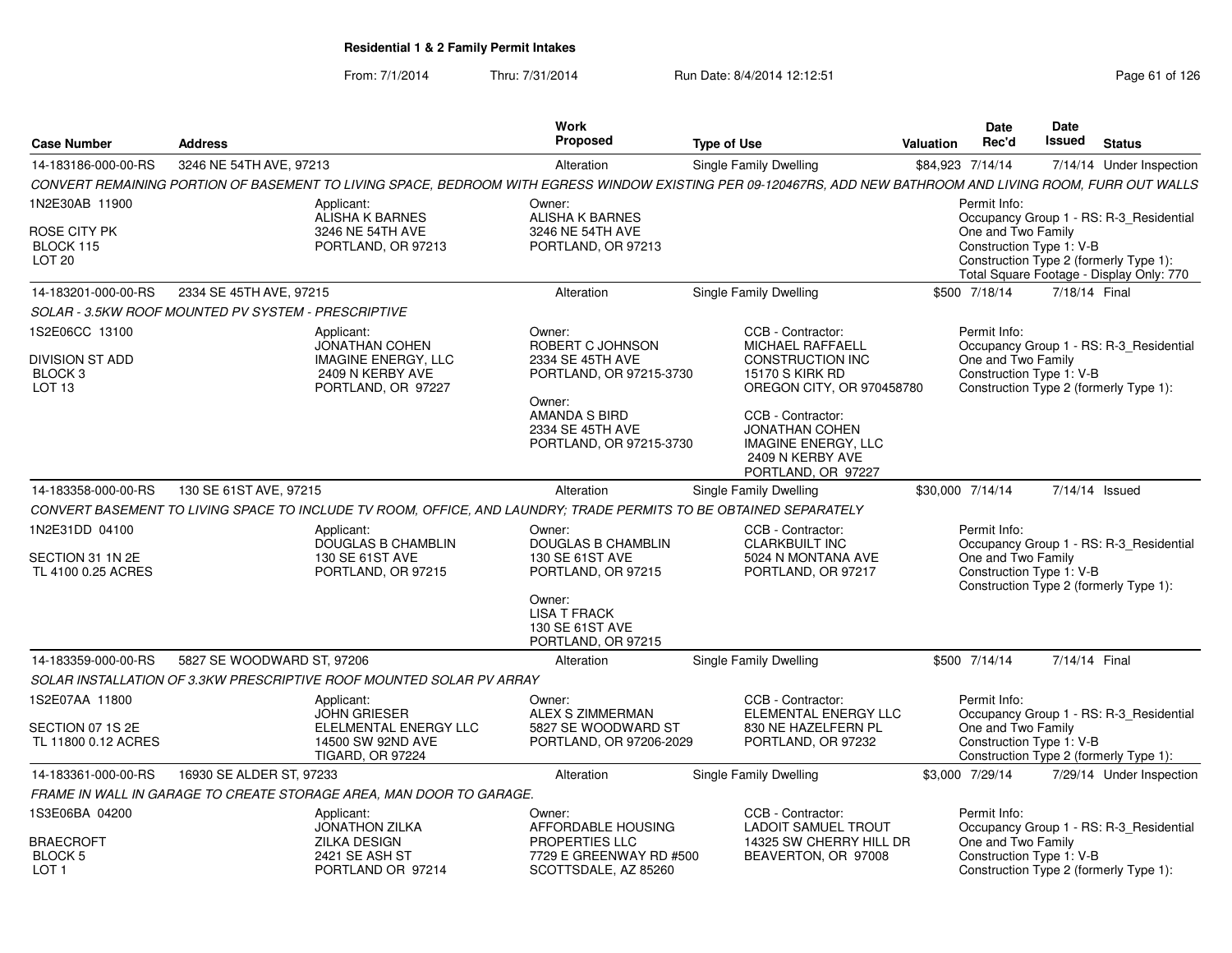| <b>Case Number</b>                                                       | <b>Address</b>                                      |                                                                                                                   | Work<br>Proposed                                                                    | <b>Type of Use</b>                                                                                                                                           | Valuation        | Date<br>Rec'd                                                  | <b>Date</b><br>Issued | <b>Status</b>                                                                                                                 |
|--------------------------------------------------------------------------|-----------------------------------------------------|-------------------------------------------------------------------------------------------------------------------|-------------------------------------------------------------------------------------|--------------------------------------------------------------------------------------------------------------------------------------------------------------|------------------|----------------------------------------------------------------|-----------------------|-------------------------------------------------------------------------------------------------------------------------------|
| 14-183186-000-00-RS                                                      | 3246 NE 54TH AVE, 97213                             |                                                                                                                   | Alteration                                                                          | Single Family Dwelling                                                                                                                                       | \$84,923 7/14/14 |                                                                |                       | 7/14/14 Under Inspection                                                                                                      |
|                                                                          |                                                     |                                                                                                                   |                                                                                     | CONVERT REMAINING PORTION OF BASEMENT TO LIVING SPACE, BEDROOM WITH EGRESS WINDOW EXISTING PER 09-120467RS, ADD NEW BATHROOM AND LIVING ROOM, FURR OUT WALLS |                  |                                                                |                       |                                                                                                                               |
| 1N2E30AB 11900<br>ROSE CITY PK<br>BLOCK 115<br>LOT <sub>20</sub>         |                                                     | Applicant:<br><b>ALISHA K BARNES</b><br>3246 NE 54TH AVE<br>PORTLAND, OR 97213                                    | Owner:<br><b>ALISHA K BARNES</b><br>3246 NE 54TH AVE<br>PORTLAND, OR 97213          |                                                                                                                                                              |                  | Permit Info:<br>One and Two Family<br>Construction Type 1: V-B |                       | Occupancy Group 1 - RS: R-3 Residential<br>Construction Type 2 (formerly Type 1):<br>Total Square Footage - Display Only: 770 |
| 14-183201-000-00-RS                                                      | 2334 SE 45TH AVE, 97215                             |                                                                                                                   | Alteration                                                                          | Single Family Dwelling                                                                                                                                       |                  | \$500 7/18/14                                                  | 7/18/14 Final         |                                                                                                                               |
|                                                                          | SOLAR - 3.5KW ROOF MOUNTED PV SYSTEM - PRESCRIPTIVE |                                                                                                                   |                                                                                     |                                                                                                                                                              |                  |                                                                |                       |                                                                                                                               |
| 1S2E06CC 13100<br><b>DIVISION ST ADD</b><br>BLOCK 3<br>LOT <sub>13</sub> |                                                     | Applicant:<br>JONATHAN COHEN<br>IMAGINE ENERGY, LLC<br>2409 N KERBY AVE<br>PORTLAND, OR 97227                     | Owner:<br>ROBERT C JOHNSON<br>2334 SE 45TH AVE<br>PORTLAND, OR 97215-3730<br>Owner: | CCB - Contractor:<br><b>MICHAEL RAFFAELL</b><br><b>CONSTRUCTION INC</b><br>15170 S KIRK RD<br>OREGON CITY, OR 970458780                                      |                  | Permit Info:<br>One and Two Family<br>Construction Type 1: V-B |                       | Occupancy Group 1 - RS: R-3 Residential<br>Construction Type 2 (formerly Type 1):                                             |
|                                                                          |                                                     |                                                                                                                   | AMANDA S BIRD<br>2334 SE 45TH AVE<br>PORTLAND, OR 97215-3730                        | CCB - Contractor:<br><b>JONATHAN COHEN</b><br><b>IMAGINE ENERGY, LLC</b><br>2409 N KERBY AVE<br>PORTLAND, OR 97227                                           |                  |                                                                |                       |                                                                                                                               |
| 14-183358-000-00-RS                                                      | 130 SE 61ST AVE, 97215                              |                                                                                                                   | Alteration                                                                          | Single Family Dwelling                                                                                                                                       | \$30,000 7/14/14 |                                                                |                       | 7/14/14 Issued                                                                                                                |
|                                                                          |                                                     | CONVERT BASEMENT TO LIVING SPACE TO INCLUDE TV ROOM, OFFICE, AND LAUNDRY; TRADE PERMITS TO BE OBTAINED SEPARATELY |                                                                                     |                                                                                                                                                              |                  |                                                                |                       |                                                                                                                               |
| 1N2E31DD 04100<br>SECTION 31 1N 2E<br>TL 4100 0.25 ACRES                 |                                                     | Applicant:<br><b>DOUGLAS B CHAMBLIN</b><br>130 SE 61ST AVE<br>PORTLAND, OR 97215                                  | Owner:<br><b>DOUGLAS B CHAMBLIN</b><br>130 SE 61ST AVE<br>PORTLAND, OR 97215        | CCB - Contractor:<br><b>CLARKBUILT INC</b><br>5024 N MONTANA AVE<br>PORTLAND, OR 97217                                                                       |                  | Permit Info:<br>One and Two Family<br>Construction Type 1: V-B |                       | Occupancy Group 1 - RS: R-3_Residential<br>Construction Type 2 (formerly Type 1):                                             |
|                                                                          |                                                     |                                                                                                                   | Owner:<br><b>LISA T FRACK</b><br>130 SE 61ST AVE<br>PORTLAND, OR 97215              |                                                                                                                                                              |                  |                                                                |                       |                                                                                                                               |
| 14-183359-000-00-RS                                                      | 5827 SE WOODWARD ST, 97206                          |                                                                                                                   | Alteration                                                                          | <b>Single Family Dwelling</b>                                                                                                                                |                  | \$500 7/14/14                                                  | 7/14/14 Final         |                                                                                                                               |
|                                                                          |                                                     | SOLAR INSTALLATION OF 3.3KW PRESCRIPTIVE ROOF MOUNTED SOLAR PV ARRAY                                              |                                                                                     |                                                                                                                                                              |                  |                                                                |                       |                                                                                                                               |
| 1S2E07AA 11800<br>SECTION 07 1S 2E<br>TL 11800 0.12 ACRES                |                                                     | Applicant:<br><b>JOHN GRIESER</b><br>ELELMENTAL ENERGY LLC<br>14500 SW 92ND AVE<br><b>TIGARD, OR 97224</b>        | Owner:<br><b>ALEX S ZIMMERMAN</b><br>5827 SE WOODWARD ST<br>PORTLAND, OR 97206-2029 | CCB - Contractor:<br>ELEMENTAL ENERGY LLC<br>830 NE HAZELFERN PL<br>PORTLAND, OR 97232                                                                       |                  | Permit Info:<br>One and Two Family<br>Construction Type 1: V-B |                       | Occupancy Group 1 - RS: R-3 Residential<br>Construction Type 2 (formerly Type 1):                                             |
| 14-183361-000-00-RS                                                      | 16930 SE ALDER ST, 97233                            |                                                                                                                   | Alteration                                                                          | Single Family Dwelling                                                                                                                                       |                  | \$3,000 7/29/14                                                |                       | 7/29/14 Under Inspection                                                                                                      |
|                                                                          |                                                     | FRAME IN WALL IN GARAGE TO CREATE STORAGE AREA, MAN DOOR TO GARAGE.                                               |                                                                                     |                                                                                                                                                              |                  |                                                                |                       |                                                                                                                               |
| 1S3E06BA 04200                                                           |                                                     | Applicant:<br><b>JONATHON ZILKA</b>                                                                               | Owner:<br>AFFORDABLE HOUSING                                                        | CCB - Contractor:<br><b>LADOIT SAMUEL TROUT</b>                                                                                                              |                  | Permit Info:                                                   |                       | Occupancy Group 1 - RS: R-3 Residential                                                                                       |
| <b>BRAECROFT</b><br>BLOCK 5<br>LOT <sub>1</sub>                          |                                                     | ZILKA DESIGN<br>2421 SE ASH ST<br>PORTLAND OR 97214                                                               | <b>PROPERTIES LLC</b><br>7729 E GREENWAY RD #500<br>SCOTTSDALE, AZ 85260            | 14325 SW CHERRY HILL DR<br>BEAVERTON, OR 97008                                                                                                               |                  | One and Two Family<br>Construction Type 1: V-B                 |                       | Construction Type 2 (formerly Type 1):                                                                                        |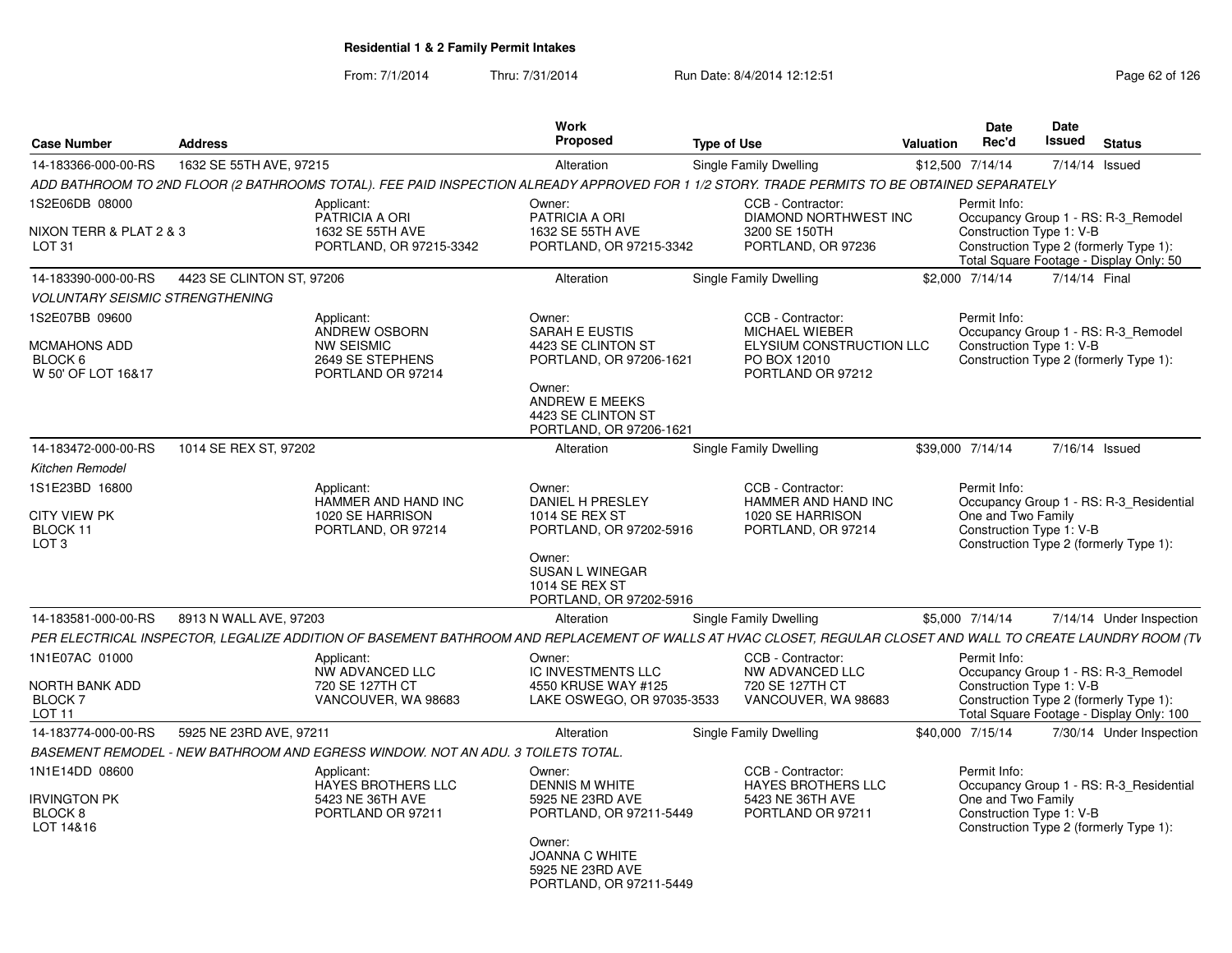| <b>Case Number</b>                                     | <b>Address</b>            |                                                                                                                                                              | Work<br>Proposed                                                               | <b>Type of Use</b>                                                     | <b>Valuation</b> | Date<br>Rec'd                                  | <b>Date</b><br><b>Issued</b> | <b>Status</b>                                                                      |
|--------------------------------------------------------|---------------------------|--------------------------------------------------------------------------------------------------------------------------------------------------------------|--------------------------------------------------------------------------------|------------------------------------------------------------------------|------------------|------------------------------------------------|------------------------------|------------------------------------------------------------------------------------|
| 14-183366-000-00-RS                                    | 1632 SE 55TH AVE, 97215   |                                                                                                                                                              | Alteration                                                                     | Single Family Dwelling                                                 |                  | \$12,500 7/14/14                               |                              | 7/14/14 Issued                                                                     |
|                                                        |                           | ADD BATHROOM TO 2ND FLOOR (2 BATHROOMS TOTAL). FEE PAID INSPECTION ALREADY APPROVED FOR 1 1/2 STORY. TRADE PERMITS TO BE OBTAINED SEPARATELY                 |                                                                                |                                                                        |                  |                                                |                              |                                                                                    |
| 1S2E06DB 08000<br>NIXON TERR & PLAT 2 & 3              |                           | Applicant:<br>PATRICIA A ORI<br>1632 SE 55TH AVE                                                                                                             | Owner:<br>PATRICIA A ORI<br>1632 SE 55TH AVE                                   | CCB - Contractor:<br><b>DIAMOND NORTHWEST INC</b><br>3200 SE 150TH     |                  | Permit Info:<br>Construction Type 1: V-B       |                              | Occupancy Group 1 - RS: R-3 Remodel                                                |
| LOT <sub>31</sub>                                      |                           | PORTLAND, OR 97215-3342                                                                                                                                      | PORTLAND, OR 97215-3342                                                        | PORTLAND, OR 97236                                                     |                  |                                                |                              | Construction Type 2 (formerly Type 1):<br>Total Square Footage - Display Only: 50  |
| 14-183390-000-00-RS                                    | 4423 SE CLINTON ST, 97206 |                                                                                                                                                              | Alteration                                                                     | Single Family Dwelling                                                 |                  | \$2,000 7/14/14                                | 7/14/14 Final                |                                                                                    |
| <b>VOLUNTARY SEISMIC STRENGTHENING</b>                 |                           |                                                                                                                                                              |                                                                                |                                                                        |                  |                                                |                              |                                                                                    |
| 1S2E07BB 09600<br><b>MCMAHONS ADD</b>                  |                           | Applicant:<br>ANDREW OSBORN                                                                                                                                  | Owner:<br><b>SARAH E EUSTIS</b><br>4423 SE CLINTON ST                          | CCB - Contractor:<br><b>MICHAEL WIEBER</b><br>ELYSIUM CONSTRUCTION LLC |                  | Permit Info:<br>Construction Type 1: V-B       |                              | Occupancy Group 1 - RS: R-3_Remodel                                                |
| BLOCK 6<br>W 50' OF LOT 16&17                          |                           | <b>NW SEISMIC</b><br>2649 SE STEPHENS<br>PORTLAND OR 97214                                                                                                   | PORTLAND, OR 97206-1621                                                        | PO BOX 12010<br>PORTLAND OR 97212                                      |                  |                                                |                              | Construction Type 2 (formerly Type 1):                                             |
|                                                        |                           |                                                                                                                                                              | Owner:<br>ANDREW E MEEKS<br>4423 SE CLINTON ST<br>PORTLAND, OR 97206-1621      |                                                                        |                  |                                                |                              |                                                                                    |
| 14-183472-000-00-RS                                    | 1014 SE REX ST, 97202     |                                                                                                                                                              | Alteration                                                                     | <b>Single Family Dwelling</b>                                          |                  | \$39,000 7/14/14                               |                              | 7/16/14 Issued                                                                     |
| Kitchen Remodel                                        |                           |                                                                                                                                                              |                                                                                |                                                                        |                  |                                                |                              |                                                                                    |
| 1S1E23BD 16800                                         |                           | Applicant:<br>HAMMER AND HAND INC                                                                                                                            | Owner:<br>DANIEL H PRESLEY                                                     | CCB - Contractor:<br>HAMMER AND HAND INC                               |                  | Permit Info:                                   |                              | Occupancy Group 1 - RS: R-3_Residential                                            |
| <b>CITY VIEW PK</b><br>BLOCK 11<br>LOT <sub>3</sub>    |                           | 1020 SE HARRISON<br>PORTLAND, OR 97214                                                                                                                       | <b>1014 SE REX ST</b><br>PORTLAND, OR 97202-5916<br>Owner:                     | 1020 SE HARRISON<br>PORTLAND, OR 97214                                 |                  | One and Two Family<br>Construction Type 1: V-B |                              | Construction Type 2 (formerly Type 1):                                             |
|                                                        |                           |                                                                                                                                                              | <b>SUSAN L WINEGAR</b><br><b>1014 SE REX ST</b><br>PORTLAND, OR 97202-5916     |                                                                        |                  |                                                |                              |                                                                                    |
| 14-183581-000-00-RS                                    | 8913 N WALL AVE, 97203    |                                                                                                                                                              | Alteration                                                                     | <b>Single Family Dwelling</b>                                          |                  | \$5,000 7/14/14                                |                              | 7/14/14 Under Inspection                                                           |
|                                                        |                           | PER ELECTRICAL INSPECTOR. LEGALIZE ADDITION OF BASEMENT BATHROOM AND REPLACEMENT OF WALLS AT HVAC CLOSET. REGULAR CLOSET AND WALL TO CREATE LAUNDRY ROOM (TV |                                                                                |                                                                        |                  |                                                |                              |                                                                                    |
| 1N1E07AC 01000                                         |                           | Applicant:<br>NW ADVANCED LLC                                                                                                                                | Owner:<br>IC INVESTMENTS LLC                                                   | CCB - Contractor:<br>NW ADVANCED LLC                                   |                  | Permit Info:                                   |                              | Occupancy Group 1 - RS: R-3_Remodel                                                |
| NORTH BANK ADD<br><b>BLOCK7</b><br>LOT <sub>11</sub>   |                           | 720 SE 127TH CT<br>VANCOUVER, WA 98683                                                                                                                       | 4550 KRUSE WAY #125<br>LAKE OSWEGO, OR 97035-3533                              | 720 SE 127TH CT<br>VANCOUVER, WA 98683                                 |                  | Construction Type 1: V-B                       |                              | Construction Type 2 (formerly Type 1):<br>Total Square Footage - Display Only: 100 |
| 14-183774-000-00-RS                                    | 5925 NE 23RD AVE, 97211   |                                                                                                                                                              | Alteration                                                                     | <b>Single Family Dwelling</b>                                          |                  | \$40,000 7/15/14                               |                              | 7/30/14 Under Inspection                                                           |
|                                                        |                           | BASEMENT REMODEL - NEW BATHROOM AND EGRESS WINDOW. NOT AN ADU. 3 TOILETS TOTAL.                                                                              |                                                                                |                                                                        |                  |                                                |                              |                                                                                    |
| 1N1E14DD 08600                                         |                           | Applicant:<br><b>HAYES BROTHERS LLC</b>                                                                                                                      | Owner:<br><b>DENNIS M WHITE</b>                                                | CCB - Contractor:<br><b>HAYES BROTHERS LLC</b>                         |                  | Permit Info:                                   |                              | Occupancy Group 1 - RS: R-3 Residential                                            |
| <b>IRVINGTON PK</b><br>BLOCK <sub>8</sub><br>LOT 14&16 |                           | 5423 NE 36TH AVE<br>PORTLAND OR 97211                                                                                                                        | 5925 NE 23RD AVE<br>PORTLAND, OR 97211-5449                                    | 5423 NE 36TH AVE<br>PORTLAND OR 97211                                  |                  | One and Two Family<br>Construction Type 1: V-B |                              | Construction Type 2 (formerly Type 1):                                             |
|                                                        |                           |                                                                                                                                                              | Owner:<br><b>JOANNA C WHITE</b><br>5925 NE 23RD AVE<br>PORTLAND, OR 97211-5449 |                                                                        |                  |                                                |                              |                                                                                    |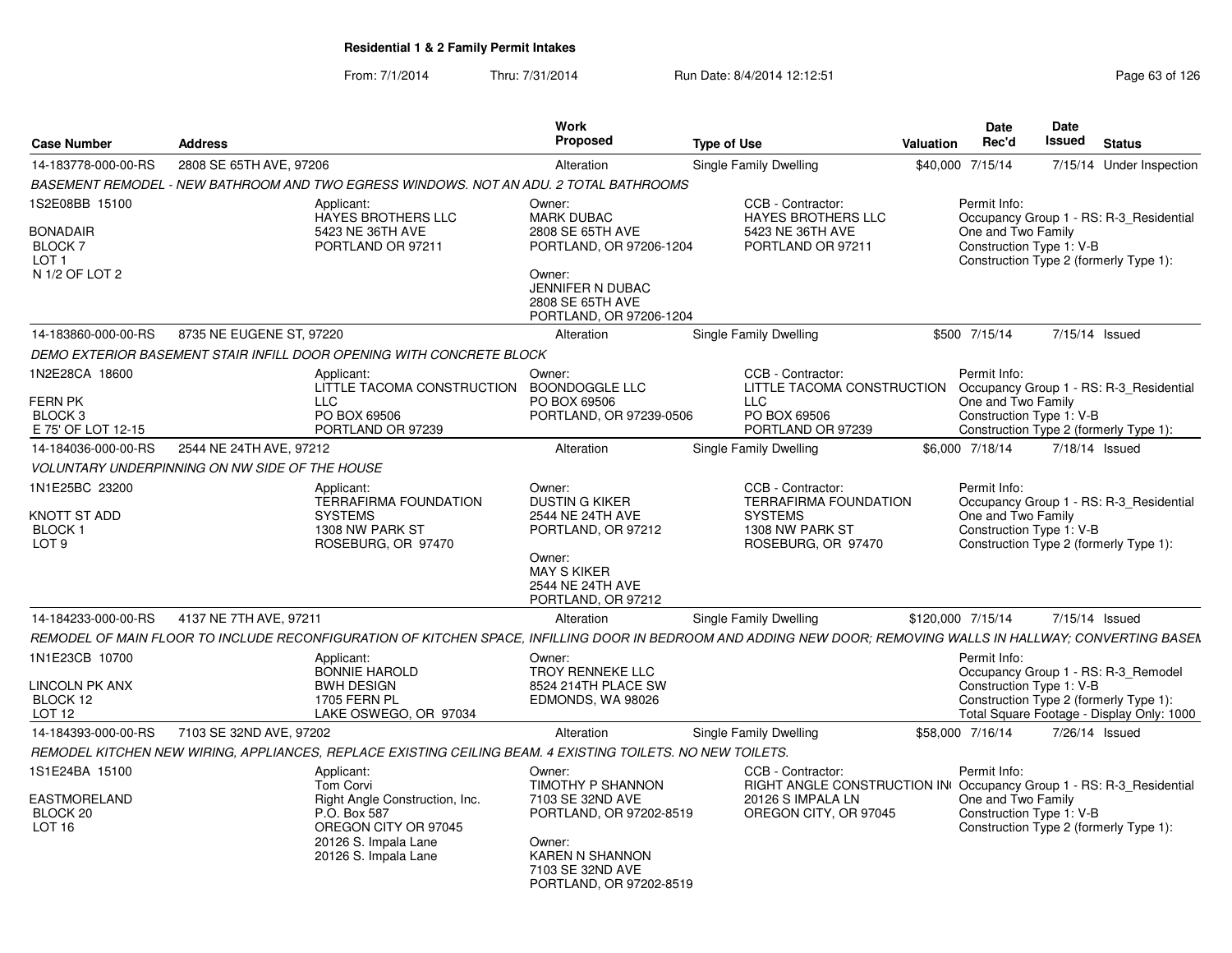| <b>Case Number</b>                                                   | <b>Address</b>                                                                                                                                                | Work<br><b>Proposed</b>                                                                                                                                        | <b>Type of Use</b>                                                                                                                     | Valuation         | <b>Date</b><br>Rec'd               | <b>Date</b><br>Issued    | <b>Status</b>                                                                                                              |  |
|----------------------------------------------------------------------|---------------------------------------------------------------------------------------------------------------------------------------------------------------|----------------------------------------------------------------------------------------------------------------------------------------------------------------|----------------------------------------------------------------------------------------------------------------------------------------|-------------------|------------------------------------|--------------------------|----------------------------------------------------------------------------------------------------------------------------|--|
| 14-183778-000-00-RS                                                  | 2808 SE 65TH AVE, 97206                                                                                                                                       | Alteration                                                                                                                                                     | Single Family Dwelling                                                                                                                 | \$40,000 7/15/14  |                                    |                          | 7/15/14 Under Inspection                                                                                                   |  |
| <b>BASEMENT REMODEL</b>                                              | - NEW BATHROOM AND TWO EGRESS WINDOWS. NOT AN ADU. 2 TOTAL BATHROOMS                                                                                          |                                                                                                                                                                |                                                                                                                                        |                   |                                    |                          |                                                                                                                            |  |
| S2E08BB 15100<br>BONADAIR<br>BLOCK 7<br>LOT 1<br>N 1/2 OF LOT 2      | Applicant:<br><b>HAYES BROTHERS LLC</b><br>5423 NE 36TH AVE<br>PORTLAND OR 97211                                                                              | Owner:<br><b>MARK DUBAC</b><br>2808 SE 65TH AVE<br>PORTLAND, OR 97206-1204<br>Owner:<br><b>JENNIFER N DUBAC</b><br>2808 SE 65TH AVE<br>PORTLAND, OR 97206-1204 | CCB - Contractor:<br><b>HAYES BROTHERS LLC</b><br>5423 NE 36TH AVE<br>PORTLAND OR 97211                                                |                   | Permit Info:<br>One and Two Family | Construction Type 1: V-B | Occupancy Group 1 - RS: R-3 Residential<br>Construction Type 2 (formerly Type 1):                                          |  |
| 14-183860-000-00-RS                                                  | 8735 NE EUGENE ST, 97220                                                                                                                                      | Alteration                                                                                                                                                     | Single Family Dwelling                                                                                                                 |                   | \$500 7/15/14                      | 7/15/14 Issued           |                                                                                                                            |  |
|                                                                      | DEMO EXTERIOR BASEMENT STAIR INFILL DOOR OPENING WITH CONCRETE BLOCK                                                                                          |                                                                                                                                                                |                                                                                                                                        |                   |                                    |                          |                                                                                                                            |  |
| 1N2E28CA 18600<br>FERN PK<br>BLOCK 3<br>E 75' OF LOT 12-15           | Applicant:<br>LITTLE TACOMA CONSTRUCTION BOONDOGGLE LLC<br>LLC<br>PO BOX 69506<br>PORTLAND OR 97239                                                           | Owner:<br>PO BOX 69506<br>PORTLAND, OR 97239-0506                                                                                                              | CCB - Contractor:<br>LITTLE TACOMA CONSTRUCTION<br><b>LLC</b><br>PO BOX 69506<br>PORTLAND OR 97239                                     |                   | Permit Info:<br>One and Two Family | Construction Type 1: V-B | Occupancy Group 1 - RS: R-3 Residential<br>Construction Type 2 (formerly Type 1):                                          |  |
| 14-184036-000-00-RS                                                  | 2544 NE 24TH AVE, 97212                                                                                                                                       | Alteration                                                                                                                                                     | Single Family Dwelling                                                                                                                 | \$6,000 7/18/14   |                                    | 7/18/14 Issued           |                                                                                                                            |  |
|                                                                      | <b>VOLUNTARY UNDERPINNING ON NW SIDE OF THE HOUSE</b>                                                                                                         |                                                                                                                                                                |                                                                                                                                        |                   |                                    |                          |                                                                                                                            |  |
| 1N1E25BC 23200<br>KNOTT ST ADD<br><b>BLOCK1</b><br>LOT <sub>9</sub>  | Applicant:<br><b>TERRAFIRMA FOUNDATION</b><br><b>SYSTEMS</b><br>1308 NW PARK ST<br>ROSEBURG, OR 97470                                                         | Owner:<br><b>DUSTIN G KIKER</b><br>2544 NE 24TH AVE<br>PORTLAND, OR 97212<br>Owner:<br><b>MAY S KIKER</b><br>2544 NE 24TH AVE<br>PORTLAND, OR 97212            | CCB - Contractor:<br><b>TERRAFIRMA FOUNDATION</b><br><b>SYSTEMS</b><br>1308 NW PARK ST<br>ROSEBURG, OR 97470                           |                   | Permit Info:<br>One and Two Family | Construction Type 1: V-B | Occupancy Group 1 - RS: R-3 Residential<br>Construction Type 2 (formerly Type 1):                                          |  |
| 14-184233-000-00-RS                                                  | 4137 NE 7TH AVE, 97211                                                                                                                                        | Alteration                                                                                                                                                     | Single Family Dwelling                                                                                                                 | \$120,000 7/15/14 |                                    | 7/15/14 Issued           |                                                                                                                            |  |
|                                                                      | REMODEL OF MAIN FLOOR TO INCLUDE RECONFIGURATION OF KITCHEN SPACE, INFILLING DOOR IN BEDROOM AND ADDING NEW DOOR; REMOVING WALLS IN HALLWAY; CONVERTING BASEN |                                                                                                                                                                |                                                                                                                                        |                   |                                    |                          |                                                                                                                            |  |
| 1N1E23CB 10700<br><b>LINCOLN PK ANX</b><br>BLOCK 12<br><b>LOT 12</b> | Applicant:<br><b>BONNIE HAROLD</b><br><b>BWH DESIGN</b><br><b>1705 FERN PL</b><br>LAKE OSWEGO, OR 97034                                                       | Owner:<br>TROY RENNEKE LLC<br>8524 214TH PLACE SW<br>EDMONDS, WA 98026                                                                                         |                                                                                                                                        |                   | Permit Info:                       | Construction Type 1: V-B | Occupancy Group 1 - RS: R-3_Remodel<br>Construction Type 2 (formerly Type 1):<br>Total Square Footage - Display Only: 1000 |  |
| 14-184393-000-00-RS                                                  | 7103 SE 32ND AVE, 97202                                                                                                                                       | Alteration                                                                                                                                                     | Single Family Dwelling                                                                                                                 | \$58,000 7/16/14  |                                    | 7/26/14 Issued           |                                                                                                                            |  |
|                                                                      | REMODEL KITCHEN NEW WIRING, APPLIANCES, REPLACE EXISTING CEILING BEAM. 4 EXISTING TOILETS. NO NEW TOILETS.                                                    |                                                                                                                                                                |                                                                                                                                        |                   |                                    |                          |                                                                                                                            |  |
| 1S1E24BA 15100<br>EASTMORELAND<br>BLOCK 20<br><b>LOT 16</b>          | Applicant:<br>Tom Corvi<br>Right Angle Construction, Inc.<br>P.O. Box 587<br>OREGON CITY OR 97045<br>20126 S. Impala Lane<br>20126 S. Impala Lane             | Owner:<br>TIMOTHY P SHANNON<br>7103 SE 32ND AVE<br>PORTLAND, OR 97202-8519<br>Owner:<br>KAREN N SHANNON<br>7103 SE 32ND AVE<br>PORTLAND, OR 97202-8519         | CCB - Contractor:<br>RIGHT ANGLE CONSTRUCTION IN Occupancy Group 1 - RS: R-3_Residential<br>20126 S IMPALA LN<br>OREGON CITY, OR 97045 |                   | Permit Info:<br>One and Two Family | Construction Type 1: V-B | Construction Type 2 (formerly Type 1):                                                                                     |  |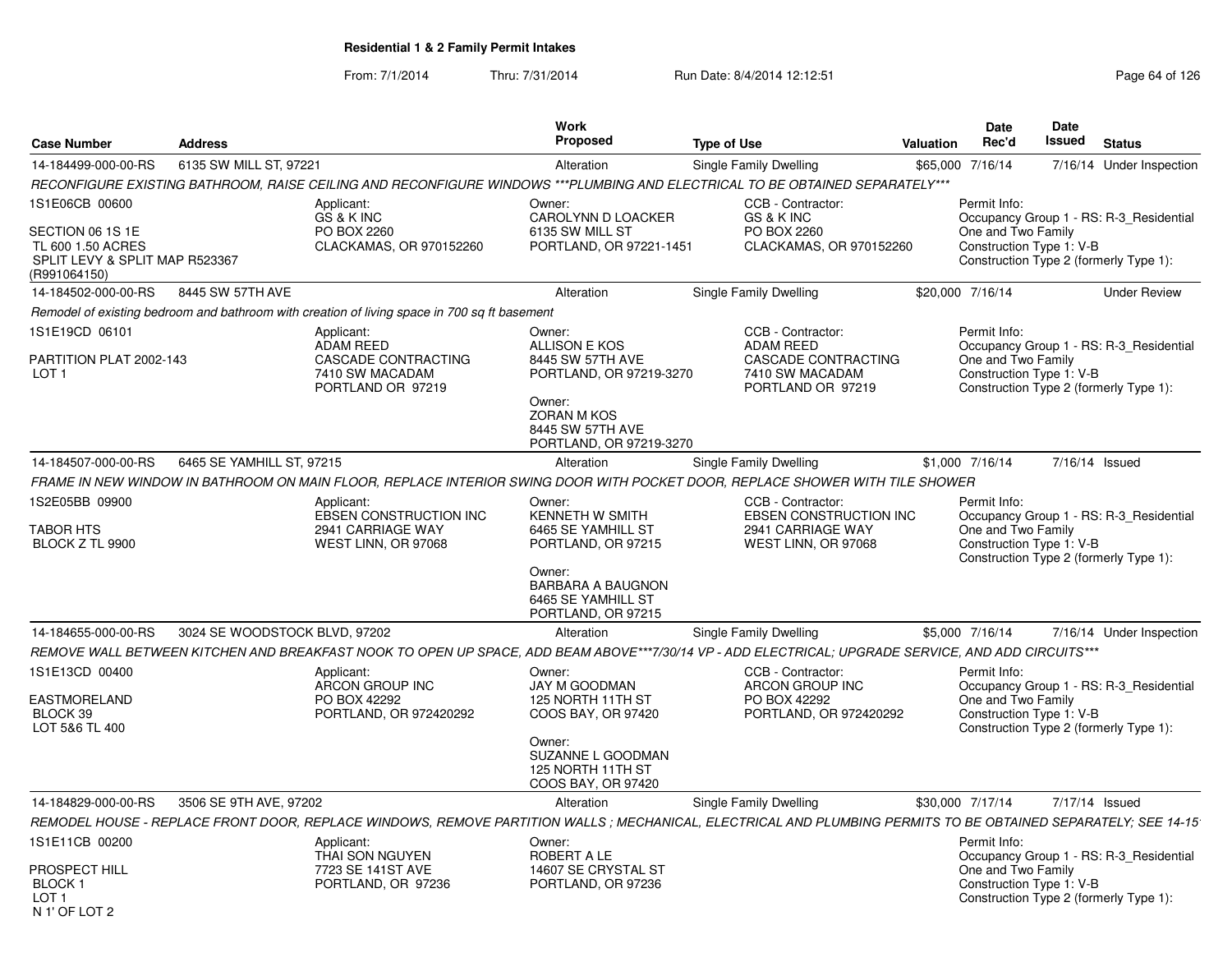| <b>Case Number</b>                                                                                        | <b>Address</b>                |                                                                                              | <b>Work</b><br>Proposed                                                                                                                                      | <b>Type of Use</b>                                                                                                                                             | <b>Valuation</b> | <b>Date</b><br>Rec'd                                           | <b>Date</b><br><b>Issued</b> | <b>Status</b>                                                                     |
|-----------------------------------------------------------------------------------------------------------|-------------------------------|----------------------------------------------------------------------------------------------|--------------------------------------------------------------------------------------------------------------------------------------------------------------|----------------------------------------------------------------------------------------------------------------------------------------------------------------|------------------|----------------------------------------------------------------|------------------------------|-----------------------------------------------------------------------------------|
| 14-184499-000-00-RS                                                                                       | 6135 SW MILL ST, 97221        |                                                                                              | Alteration                                                                                                                                                   | Single Family Dwelling                                                                                                                                         |                  | \$65,000 7/16/14                                               |                              | 7/16/14 Under Inspection                                                          |
|                                                                                                           |                               |                                                                                              |                                                                                                                                                              | RECONFIGURE EXISTING BATHROOM, RAISE CEILING AND RECONFIGURE WINDOWS ***PLUMBING AND ELECTRICAL TO BE OBTAINED SEPARATELY***                                   |                  |                                                                |                              |                                                                                   |
| 1S1E06CB 00600<br>SECTION 06 1S 1E<br>TL 600 1.50 ACRES<br>SPLIT LEVY & SPLIT MAP R523367<br>(R991064150) |                               | Applicant:<br>GS & K INC<br>PO BOX 2260<br>CLACKAMAS, OR 970152260                           | Owner:<br>CAROLYNN D LOACKER<br>6135 SW MILL ST<br>PORTLAND, OR 97221-1451                                                                                   | CCB - Contractor:<br>GS & K INC<br>PO BOX 2260<br>CLACKAMAS, OR 970152260                                                                                      |                  | Permit Info:<br>One and Two Family<br>Construction Type 1: V-B |                              | Occupancy Group 1 - RS: R-3_Residential<br>Construction Type 2 (formerly Type 1): |
| 14-184502-000-00-RS                                                                                       | 8445 SW 57TH AVE              |                                                                                              | Alteration                                                                                                                                                   | Single Family Dwelling                                                                                                                                         |                  | \$20,000 7/16/14                                               |                              | <b>Under Review</b>                                                               |
|                                                                                                           |                               | Remodel of existing bedroom and bathroom with creation of living space in 700 sq ft basement |                                                                                                                                                              |                                                                                                                                                                |                  |                                                                |                              |                                                                                   |
| 1S1E19CD 06101<br>PARTITION PLAT 2002-143<br>LOT <sub>1</sub>                                             |                               | Applicant:<br>ADAM REED<br>CASCADE CONTRACTING<br>7410 SW MACADAM<br>PORTLAND OR 97219       | Owner:<br><b>ALLISON E KOS</b><br>8445 SW 57TH AVE<br>PORTLAND, OR 97219-3270<br>Owner:<br><b>ZORAN M KOS</b><br>8445 SW 57TH AVE<br>PORTLAND, OR 97219-3270 | CCB - Contractor:<br><b>ADAM REED</b><br>CASCADE CONTRACTING<br>7410 SW MACADAM<br>PORTLAND OR 97219                                                           |                  | Permit Info:<br>One and Two Family<br>Construction Type 1: V-B |                              | Occupancy Group 1 - RS: R-3_Residential<br>Construction Type 2 (formerly Type 1): |
| 14-184507-000-00-RS                                                                                       | 6465 SE YAMHILL ST, 97215     |                                                                                              | Alteration                                                                                                                                                   | Single Family Dwelling                                                                                                                                         |                  | \$1,000 7/16/14                                                | 7/16/14 Issued               |                                                                                   |
|                                                                                                           |                               |                                                                                              |                                                                                                                                                              | FRAME IN NEW WINDOW IN BATHROOM ON MAIN FLOOR, REPLACE INTERIOR SWING DOOR WITH POCKET DOOR, REPLACE SHOWER WITH TILE SHOWER                                   |                  |                                                                |                              |                                                                                   |
| 1S2E05BB 09900<br>TABOR HTS<br>BLOCK Z TL 9900                                                            |                               | Applicant:<br><b>EBSEN CONSTRUCTION INC</b><br>2941 CARRIAGE WAY<br>WEST LINN, OR 97068      | Owner:<br>KENNETH W SMITH<br>6465 SE YAMHILL ST<br>PORTLAND, OR 97215<br>Owner:<br><b>BARBARA A BAUGNON</b><br>6465 SE YAMHILL ST<br>PORTLAND, OR 97215      | CCB - Contractor:<br>EBSEN CONSTRUCTION INC<br>2941 CARRIAGE WAY<br>WEST LINN, OR 97068                                                                        |                  | Permit Info:<br>One and Two Family<br>Construction Type 1: V-B |                              | Occupancy Group 1 - RS: R-3_Residential<br>Construction Type 2 (formerly Type 1): |
| 14-184655-000-00-RS                                                                                       | 3024 SE WOODSTOCK BLVD, 97202 |                                                                                              | Alteration                                                                                                                                                   | Single Family Dwelling                                                                                                                                         |                  | \$5,000 7/16/14                                                |                              | 7/16/14 Under Inspection                                                          |
|                                                                                                           |                               |                                                                                              |                                                                                                                                                              | REMOVE WALL BETWEEN KITCHEN AND BREAKFAST NOOK TO OPEN UP SPACE, ADD BEAM ABOVE***7/30/14 VP - ADD ELECTRICAL; UPGRADE SERVICE, AND ADD CIRCUITS***            |                  |                                                                |                              |                                                                                   |
| 1S1E13CD 00400<br>EASTMORELAND<br>BLOCK 39<br>LOT 5&6 TL 400                                              |                               | Applicant:<br>ARCON GROUP INC<br>PO BOX 42292<br>PORTLAND, OR 972420292                      | Owner:<br>JAY M GOODMAN<br>125 NORTH 11TH ST<br>COOS BAY, OR 97420<br>Owner:<br>SUZANNE L GOODMAN<br>125 NORTH 11TH ST<br>COOS BAY, OR 97420                 | CCB - Contractor:<br>ARCON GROUP INC<br>PO BOX 42292<br>PORTLAND, OR 972420292                                                                                 |                  | Permit Info:<br>One and Two Family<br>Construction Type 1: V-B |                              | Occupancy Group 1 - RS: R-3_Residential<br>Construction Type 2 (formerly Type 1): |
| 14-184829-000-00-RS                                                                                       | 3506 SE 9TH AVE, 97202        |                                                                                              | Alteration                                                                                                                                                   | Single Family Dwelling                                                                                                                                         |                  | \$30,000 7/17/14                                               | 7/17/14 Issued               |                                                                                   |
|                                                                                                           |                               |                                                                                              |                                                                                                                                                              | REMODEL HOUSE - REPLACE FRONT DOOR, REPLACE WINDOWS, REMOVE PARTITION WALLS ; MECHANICAL, ELECTRICAL AND PLUMBING PERMITS TO BE OBTAINED SEPARATELY; SEE 14-15 |                  |                                                                |                              |                                                                                   |
| 1S1E11CB 00200<br>PROSPECT HILL<br><b>BLOCK1</b><br>LOT 1<br>N 1' OF LOT 2                                |                               | Applicant:<br>THAI SON NGUYEN<br>7723 SE 141ST AVE<br>PORTLAND, OR 97236                     | Owner:<br>ROBERT A LE<br>14607 SE CRYSTAL ST<br>PORTLAND, OR 97236                                                                                           |                                                                                                                                                                |                  | Permit Info:<br>One and Two Family<br>Construction Type 1: V-B |                              | Occupancy Group 1 - RS: R-3_Residential<br>Construction Type 2 (formerly Type 1): |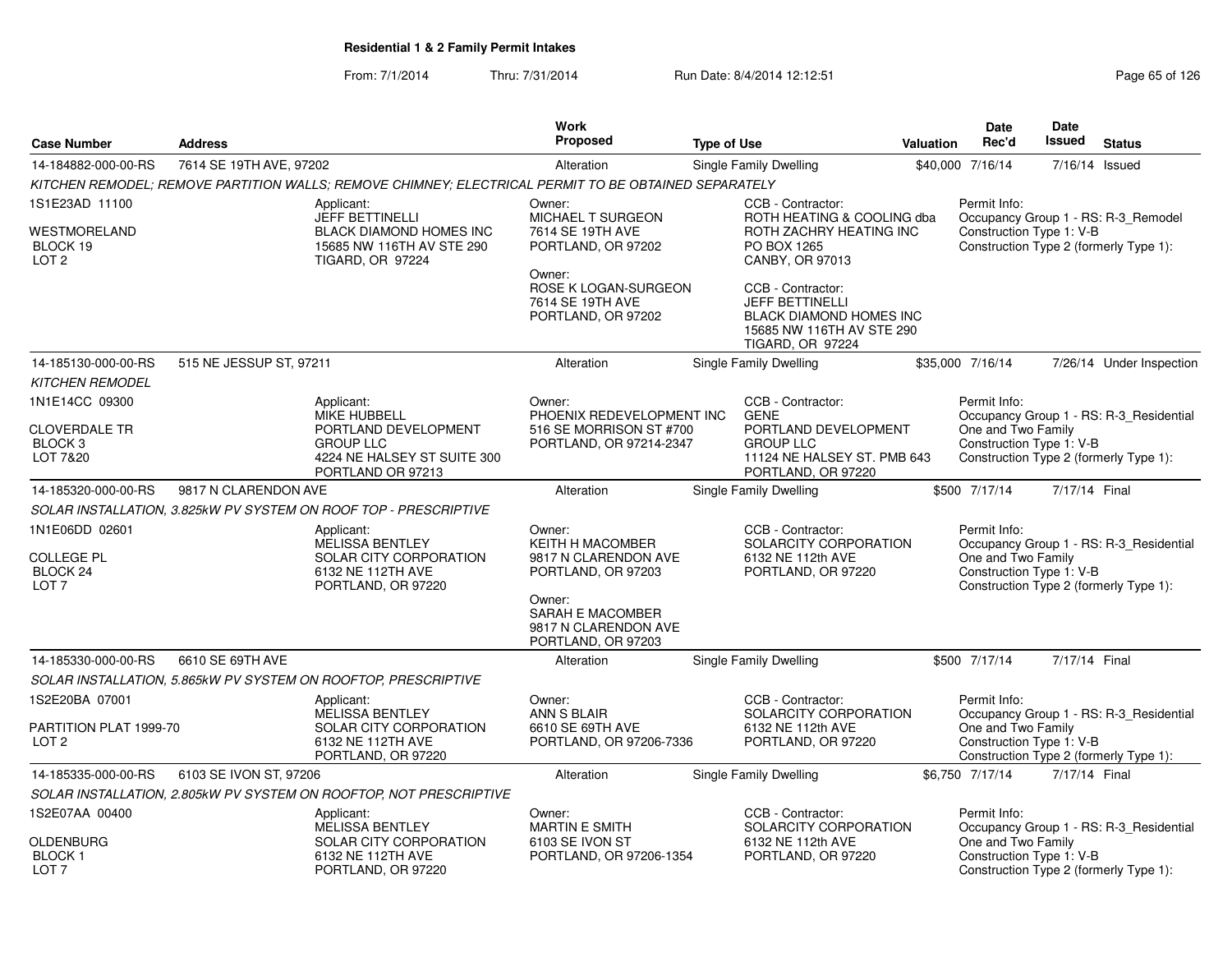|                                                                                |                         |                                                                                                                  | <b>Work</b>                                                                     |                    |                                                                                                                                       |                  | <b>Date</b>                                                    | <b>Date</b>   |                                                                                   |
|--------------------------------------------------------------------------------|-------------------------|------------------------------------------------------------------------------------------------------------------|---------------------------------------------------------------------------------|--------------------|---------------------------------------------------------------------------------------------------------------------------------------|------------------|----------------------------------------------------------------|---------------|-----------------------------------------------------------------------------------|
| <b>Case Number</b>                                                             | <b>Address</b>          |                                                                                                                  | Proposed                                                                        | <b>Type of Use</b> |                                                                                                                                       | <b>Valuation</b> | Rec'd                                                          | Issued        | <b>Status</b>                                                                     |
| 14-184882-000-00-RS                                                            | 7614 SE 19TH AVE, 97202 |                                                                                                                  | Alteration                                                                      |                    | Single Family Dwelling                                                                                                                |                  | \$40,000 7/16/14                                               | 7/16/14       | Issued                                                                            |
|                                                                                |                         | KITCHEN REMODEL; REMOVE PARTITION WALLS; REMOVE CHIMNEY; ELECTRICAL PERMIT TO BE OBTAINED SEPARATELY             |                                                                                 |                    |                                                                                                                                       |                  |                                                                |               |                                                                                   |
| 1S1E23AD 11100                                                                 |                         | Applicant:<br><b>JEFF BETTINELLI</b>                                                                             | Owner:<br>MICHAEL T SURGEON                                                     |                    | CCB - Contractor:<br>ROTH HEATING & COOLING dba                                                                                       |                  | Permit Info:                                                   |               | Occupancy Group 1 - RS: R-3_Remodel                                               |
| WESTMORELAND<br>BLOCK 19<br>LOT <sub>2</sub>                                   |                         | <b>BLACK DIAMOND HOMES INC</b><br>15685 NW 116TH AV STE 290<br><b>TIGARD, OR 97224</b>                           | 7614 SE 19TH AVE<br>PORTLAND, OR 97202                                          |                    | ROTH ZACHRY HEATING INC<br>PO BOX 1265<br>CANBY, OR 97013                                                                             |                  | Construction Type 1: V-B                                       |               | Construction Type 2 (formerly Type 1):                                            |
|                                                                                |                         |                                                                                                                  | Owner:<br>ROSE K LOGAN-SURGEON<br>7614 SE 19TH AVE<br>PORTLAND, OR 97202        |                    | CCB - Contractor:<br><b>JEFF BETTINELLI</b><br><b>BLACK DIAMOND HOMES INC</b><br>15685 NW 116TH AV STE 290<br><b>TIGARD, OR 97224</b> |                  |                                                                |               |                                                                                   |
| 14-185130-000-00-RS                                                            | 515 NE JESSUP ST, 97211 |                                                                                                                  | Alteration                                                                      |                    | Single Family Dwelling                                                                                                                |                  | \$35,000 7/16/14                                               |               | 7/26/14 Under Inspection                                                          |
| <b>KITCHEN REMODEL</b>                                                         |                         |                                                                                                                  |                                                                                 |                    |                                                                                                                                       |                  |                                                                |               |                                                                                   |
| 1N1E14CC 09300                                                                 |                         | Applicant:<br><b>MIKE HUBBELL</b>                                                                                | Owner:<br>PHOENIX REDEVELOPMENT INC                                             |                    | CCB - Contractor:<br><b>GENE</b>                                                                                                      |                  | Permit Info:                                                   |               | Occupancy Group 1 - RS: R-3_Residential                                           |
| <b>CLOVERDALE TR</b><br>BLOCK 3<br>LOT 7&20                                    |                         | PORTLAND DEVELOPMENT<br><b>GROUP LLC</b><br>4224 NE HALSEY ST SUITE 300<br>PORTLAND OR 97213                     | 516 SE MORRISON ST #700<br>PORTLAND, OR 97214-2347                              |                    | PORTLAND DEVELOPMENT<br><b>GROUP LLC</b><br>11124 NE HALSEY ST. PMB 643<br>PORTLAND, OR 97220                                         |                  | One and Two Family<br>Construction Type 1: V-B                 |               | Construction Type 2 (formerly Type 1):                                            |
| 14-185320-000-00-RS                                                            | 9817 N CLARENDON AVE    |                                                                                                                  | Alteration                                                                      |                    | <b>Single Family Dwelling</b>                                                                                                         |                  | \$500 7/17/14                                                  | 7/17/14 Final |                                                                                   |
|                                                                                |                         | SOLAR INSTALLATION, 3.825kW PV SYSTEM ON ROOF TOP - PRESCRIPTIVE                                                 |                                                                                 |                    |                                                                                                                                       |                  |                                                                |               |                                                                                   |
| 1N1E06DD 02601<br><b>COLLEGE PL</b><br>BLOCK <sub>24</sub><br>LOT <sub>7</sub> |                         | Applicant:<br><b>MELISSA BENTLEY</b><br><b>SOLAR CITY CORPORATION</b><br>6132 NE 112TH AVE<br>PORTLAND, OR 97220 | Owner:<br><b>KEITH H MACOMBER</b><br>9817 N CLARENDON AVE<br>PORTLAND, OR 97203 |                    | CCB - Contractor:<br>SOLARCITY CORPORATION<br>6132 NE 112th AVE<br>PORTLAND, OR 97220                                                 |                  | Permit Info:<br>One and Two Family<br>Construction Type 1: V-B |               | Occupancy Group 1 - RS: R-3_Residential<br>Construction Type 2 (formerly Type 1): |
|                                                                                |                         |                                                                                                                  | Owner:<br>SARAH E MACOMBER<br>9817 N CLARENDON AVE<br>PORTLAND, OR 97203        |                    |                                                                                                                                       |                  |                                                                |               |                                                                                   |
| 14-185330-000-00-RS                                                            | 6610 SE 69TH AVE        |                                                                                                                  | Alteration                                                                      |                    | <b>Single Family Dwelling</b>                                                                                                         |                  | \$500 7/17/14                                                  | 7/17/14 Final |                                                                                   |
|                                                                                |                         | SOLAR INSTALLATION, 5.865kW PV SYSTEM ON ROOFTOP, PRESCRIPTIVE                                                   |                                                                                 |                    |                                                                                                                                       |                  |                                                                |               |                                                                                   |
| 1S2E20BA 07001                                                                 |                         | Applicant:                                                                                                       | Owner:                                                                          |                    | CCB - Contractor:                                                                                                                     |                  | Permit Info:                                                   |               |                                                                                   |
| PARTITION PLAT 1999-70<br>LOT <sub>2</sub>                                     |                         | <b>MELISSA BENTLEY</b><br>SOLAR CITY CORPORATION<br>6132 NE 112TH AVE<br>PORTLAND, OR 97220                      | ANN S BLAIR<br>6610 SE 69TH AVE<br>PORTLAND, OR 97206-7336                      |                    | SOLARCITY CORPORATION<br>6132 NE 112th AVE<br>PORTLAND, OR 97220                                                                      |                  | One and Two Family<br>Construction Type 1: V-B                 |               | Occupancy Group 1 - RS: R-3_Residential<br>Construction Type 2 (formerly Type 1): |
| 14-185335-000-00-RS                                                            | 6103 SE IVON ST, 97206  |                                                                                                                  | Alteration                                                                      |                    | Single Family Dwelling                                                                                                                |                  | \$6.750 7/17/14                                                | 7/17/14 Final |                                                                                   |
|                                                                                |                         | SOLAR INSTALLATION, 2.805kW PV SYSTEM ON ROOFTOP, NOT PRESCRIPTIVE                                               |                                                                                 |                    |                                                                                                                                       |                  |                                                                |               |                                                                                   |
| 1S2E07AA 00400                                                                 |                         | Applicant:<br><b>MELISSA BENTLEY</b>                                                                             | Owner:<br><b>MARTIN E SMITH</b>                                                 |                    | CCB - Contractor:<br>SOLARCITY CORPORATION                                                                                            |                  | Permit Info:                                                   |               | Occupancy Group 1 - RS: R-3_Residential                                           |
| <b>OLDENBURG</b><br><b>BLOCK1</b><br>LOT <sub>7</sub>                          |                         | SOLAR CITY CORPORATION<br>6132 NE 112TH AVE<br>PORTLAND, OR 97220                                                | 6103 SE IVON ST<br>PORTLAND, OR 97206-1354                                      |                    | 6132 NE 112th AVE<br>PORTLAND, OR 97220                                                                                               |                  | One and Two Family<br>Construction Type 1: V-B                 |               | Construction Type 2 (formerly Type 1):                                            |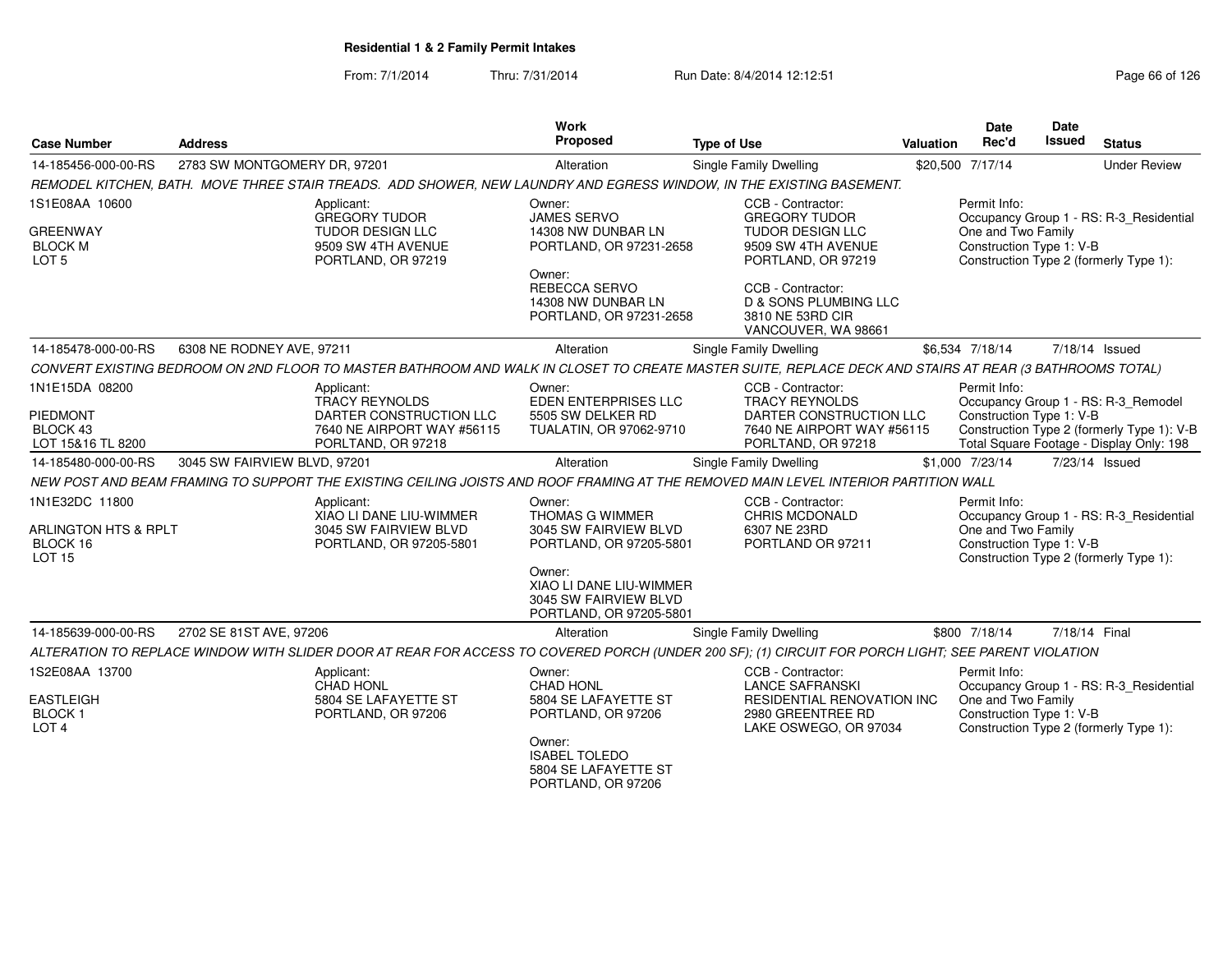| <b>Case Number</b>                                    | <b>Address</b>                                                                                                                                          | Work<br>Proposed                                                                      | <b>Type of Use</b>                                                                               | <b>Valuation</b> | <b>Date</b><br>Rec'd                                           | Date<br><b>Issued</b> | <b>Status</b>                                                                          |
|-------------------------------------------------------|---------------------------------------------------------------------------------------------------------------------------------------------------------|---------------------------------------------------------------------------------------|--------------------------------------------------------------------------------------------------|------------------|----------------------------------------------------------------|-----------------------|----------------------------------------------------------------------------------------|
| 14-185456-000-00-RS                                   | 2783 SW MONTGOMERY DR, 97201                                                                                                                            | Alteration                                                                            | Single Family Dwelling                                                                           |                  | \$20,500 7/17/14                                               |                       | <b>Under Review</b>                                                                    |
|                                                       | REMODEL KITCHEN, BATH. MOVE THREE STAIR TREADS. ADD SHOWER, NEW LAUNDRY AND EGRESS WINDOW, IN THE EXISTING BASEMENT.                                    |                                                                                       |                                                                                                  |                  |                                                                |                       |                                                                                        |
| 1S1E08AA 10600                                        | Applicant:<br><b>GREGORY TUDOR</b>                                                                                                                      | Owner:<br><b>JAMES SERVO</b>                                                          | CCB - Contractor:<br><b>GREGORY TUDOR</b>                                                        |                  | Permit Info:                                                   |                       | Occupancy Group 1 - RS: R-3_Residential                                                |
| <b>GREENWAY</b><br><b>BLOCK M</b><br>LOT <sub>5</sub> | <b>TUDOR DESIGN LLC</b><br>9509 SW 4TH AVENUE<br>PORTLAND, OR 97219                                                                                     | 14308 NW DUNBAR LN<br>PORTLAND, OR 97231-2658                                         | TUDOR DESIGN LLC<br>9509 SW 4TH AVENUE<br>PORTLAND, OR 97219                                     |                  | One and Two Family<br>Construction Type 1: V-B                 |                       | Construction Type 2 (formerly Type 1):                                                 |
|                                                       |                                                                                                                                                         | Owner:<br><b>REBECCA SERVO</b><br>14308 NW DUNBAR LN<br>PORTLAND, OR 97231-2658       | CCB - Contractor:<br><b>D &amp; SONS PLUMBING LLC</b><br>3810 NE 53RD CIR<br>VANCOUVER, WA 98661 |                  |                                                                |                       |                                                                                        |
| 14-185478-000-00-RS                                   | 6308 NE RODNEY AVE, 97211                                                                                                                               | Alteration                                                                            | Single Family Dwelling                                                                           |                  | \$6,534 7/18/14                                                |                       | 7/18/14 Issued                                                                         |
|                                                       | CONVERT EXISTING BEDROOM ON 2ND FLOOR TO MASTER BATHROOM AND WALK IN CLOSET TO CREATE MASTER SUITE, REPLACE DECK AND STAIRS AT REAR (3 BATHROOMS TOTAL) |                                                                                       |                                                                                                  |                  |                                                                |                       |                                                                                        |
| 1N1E15DA 08200<br>PIEDMONT                            | Applicant:<br><b>TRACY REYNOLDS</b><br>DARTER CONSTRUCTION LLC                                                                                          | Owner:<br>EDEN ENTERPRISES LLC<br>5505 SW DELKER RD                                   | CCB - Contractor:<br><b>TRACY REYNOLDS</b><br>DARTER CONSTRUCTION LLC                            |                  | Permit Info:<br>Construction Type 1: V-B                       |                       | Occupancy Group 1 - RS: R-3_Remodel                                                    |
| BLOCK 43<br>LOT 15&16 TL 8200                         | 7640 NE AIRPORT WAY #56115<br>PORLTAND, OR 97218                                                                                                        | TUALATIN, OR 97062-9710                                                               | 7640 NE AIRPORT WAY #56115<br>PORLTAND, OR 97218                                                 |                  |                                                                |                       | Construction Type 2 (formerly Type 1): V-B<br>Total Square Footage - Display Only: 198 |
| 14-185480-000-00-RS                                   | 3045 SW FAIRVIEW BLVD, 97201                                                                                                                            | Alteration                                                                            | Single Family Dwelling                                                                           |                  | \$1,000 7/23/14                                                |                       | 7/23/14 Issued                                                                         |
|                                                       | NEW POST AND BEAM FRAMING TO SUPPORT THE EXISTING CEILING JOISTS AND ROOF FRAMING AT THE REMOVED MAIN LEVEL INTERIOR PARTITION WALL                     |                                                                                       |                                                                                                  |                  |                                                                |                       |                                                                                        |
| 1N1E32DC 11800<br>ARLINGTON HTS & RPLT<br>BLOCK 16    | Applicant:<br>XIAO LI DANE LIU-WIMMER<br>3045 SW FAIRVIEW BLVD<br>PORTLAND, OR 97205-5801                                                               | Owner:<br><b>THOMAS G WIMMER</b><br>3045 SW FAIRVIEW BLVD<br>PORTLAND, OR 97205-5801  | CCB - Contractor:<br><b>CHRIS MCDONALD</b><br>6307 NE 23RD<br>PORTLAND OR 97211                  |                  | Permit Info:<br>One and Two Family<br>Construction Type 1: V-B |                       | Occupancy Group 1 - RS: R-3_Residential                                                |
| LOT <sub>15</sub>                                     |                                                                                                                                                         | Owner:<br>XIAO LI DANE LIU-WIMMER<br>3045 SW FAIRVIEW BLVD<br>PORTLAND, OR 97205-5801 |                                                                                                  |                  |                                                                |                       | Construction Type 2 (formerly Type 1):                                                 |
| 14-185639-000-00-RS                                   | 2702 SE 81ST AVE, 97206                                                                                                                                 | Alteration                                                                            | Single Family Dwelling                                                                           |                  | \$800 7/18/14                                                  | 7/18/14 Final         |                                                                                        |
|                                                       | ALTERATION TO REPLACE WINDOW WITH SLIDER DOOR AT REAR FOR ACCESS TO COVERED PORCH (UNDER 200 SF); (1) CIRCUIT FOR PORCH LIGHT; SEE PARENT VIOLATION     |                                                                                       |                                                                                                  |                  |                                                                |                       |                                                                                        |
| 1S2E08AA 13700                                        | Applicant:<br><b>CHAD HONL</b>                                                                                                                          | Owner:<br><b>CHAD HONL</b>                                                            | CCB - Contractor:<br><b>LANCE SAFRANSKI</b>                                                      |                  | Permit Info:                                                   |                       | Occupancy Group 1 - RS: R-3_Residential                                                |
| EASTLEIGH<br><b>BLOCK1</b><br>LOT <sub>4</sub>        | 5804 SE LAFAYETTE ST<br>PORTLAND, OR 97206                                                                                                              | 5804 SE LAFAYETTE ST<br>PORTLAND, OR 97206                                            | <b>RESIDENTIAL RENOVATION INC</b><br>2980 GREENTREE RD<br>LAKE OSWEGO, OR 97034                  |                  | One and Two Family<br>Construction Type 1: V-B                 |                       | Construction Type 2 (formerly Type 1):                                                 |
|                                                       |                                                                                                                                                         | Owner:<br><b>ISABEL TOLEDO</b><br>5804 SE LAFAYETTE ST<br>PORTLAND, OR 97206          |                                                                                                  |                  |                                                                |                       |                                                                                        |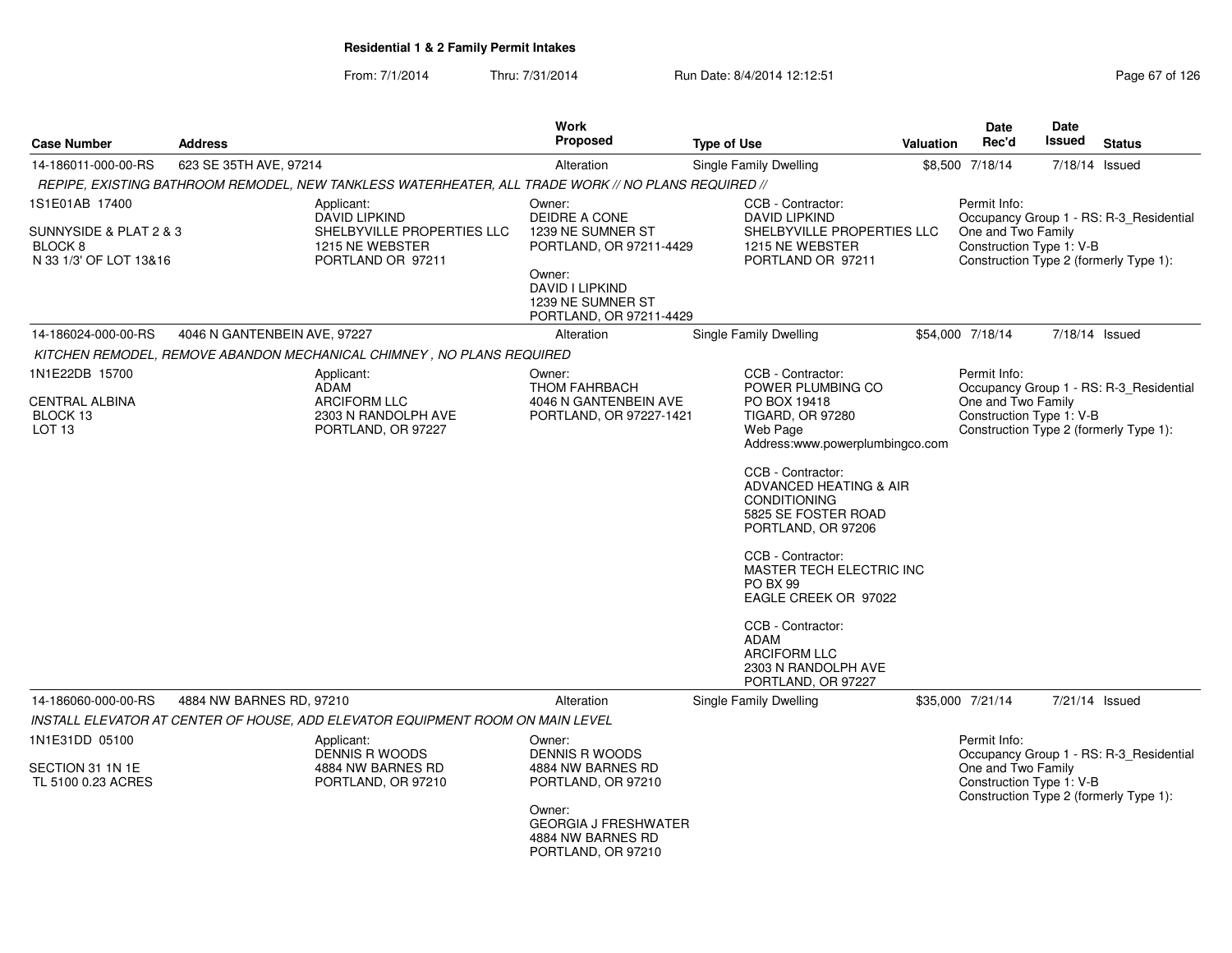| <b>Case Number</b>                                                       | <b>Address</b>               |                                                                                                     | Work<br>Proposed                                                                   | <b>Type of Use</b>                                                                                                                                                                                                                                                                                                                                                                                                                | <b>Valuation</b> | <b>Date</b><br>Rec'd                                           | <b>Date</b><br><b>Issued</b> | <b>Status</b>                                                                     |
|--------------------------------------------------------------------------|------------------------------|-----------------------------------------------------------------------------------------------------|------------------------------------------------------------------------------------|-----------------------------------------------------------------------------------------------------------------------------------------------------------------------------------------------------------------------------------------------------------------------------------------------------------------------------------------------------------------------------------------------------------------------------------|------------------|----------------------------------------------------------------|------------------------------|-----------------------------------------------------------------------------------|
| 14-186011-000-00-RS                                                      | 623 SE 35TH AVE, 97214       |                                                                                                     | Alteration                                                                         | Single Family Dwelling                                                                                                                                                                                                                                                                                                                                                                                                            |                  | \$8,500 7/18/14                                                | 7/18/14 Issued               |                                                                                   |
|                                                                          |                              | REPIPE, EXISTING BATHROOM REMODEL, NEW TANKLESS WATERHEATER, ALL TRADE WORK // NO PLANS REQUIRED // |                                                                                    |                                                                                                                                                                                                                                                                                                                                                                                                                                   |                  |                                                                |                              |                                                                                   |
| 1S1E01AB 17400                                                           |                              | Applicant:<br><b>DAVID LIPKIND</b>                                                                  | Owner:<br><b>DEIDRE A CONE</b>                                                     | CCB - Contractor:<br><b>DAVID LIPKIND</b>                                                                                                                                                                                                                                                                                                                                                                                         |                  | Permit Info:                                                   |                              | Occupancy Group 1 - RS: R-3_Residential                                           |
| SUNNYSIDE & PLAT 2 & 3<br>BLOCK <sub>8</sub><br>N 33 1/3' OF LOT 13&16   |                              | SHELBYVILLE PROPERTIES LLC<br>1215 NE WEBSTER<br>PORTLAND OR 97211                                  | 1239 NE SUMNER ST<br>PORTLAND, OR 97211-4429<br>Owner:                             | SHELBYVILLE PROPERTIES LLC<br>1215 NE WEBSTER<br>PORTLAND OR 97211                                                                                                                                                                                                                                                                                                                                                                |                  | One and Two Family<br>Construction Type 1: V-B                 |                              | Construction Type 2 (formerly Type 1):                                            |
|                                                                          |                              |                                                                                                     | <b>DAVID I LIPKIND</b><br>1239 NE SUMNER ST<br>PORTLAND, OR 97211-4429             |                                                                                                                                                                                                                                                                                                                                                                                                                                   |                  |                                                                |                              |                                                                                   |
| 14-186024-000-00-RS                                                      | 4046 N GANTENBEIN AVE, 97227 |                                                                                                     | Alteration                                                                         | Single Family Dwelling                                                                                                                                                                                                                                                                                                                                                                                                            |                  | \$54,000 7/18/14                                               | 7/18/14 Issued               |                                                                                   |
|                                                                          |                              | KITCHEN REMODEL, REMOVE ABANDON MECHANICAL CHIMNEY, NO PLANS REQUIRED                               |                                                                                    |                                                                                                                                                                                                                                                                                                                                                                                                                                   |                  |                                                                |                              |                                                                                   |
| 1N1E22DB 15700<br><b>CENTRAL ALBINA</b><br>BLOCK 13<br>LOT <sub>13</sub> |                              | Applicant:<br>ADAM<br><b>ARCIFORM LLC</b><br>2303 N RANDOLPH AVE<br>PORTLAND, OR 97227              | Owner:<br><b>THOM FAHRBACH</b><br>4046 N GANTENBEIN AVE<br>PORTLAND, OR 97227-1421 | CCB - Contractor:<br>POWER PLUMBING CO<br>PO BOX 19418<br><b>TIGARD, OR 97280</b><br>Web Page<br>Address:www.powerplumbingco.com<br>CCB - Contractor:<br>ADVANCED HEATING & AIR<br><b>CONDITIONING</b><br>5825 SE FOSTER ROAD<br>PORTLAND, OR 97206<br>CCB - Contractor:<br>MASTER TECH ELECTRIC INC<br><b>PO BX 99</b><br>EAGLE CREEK OR 97022<br>CCB - Contractor:<br><b>ADAM</b><br><b>ARCIFORM LLC</b><br>2303 N RANDOLPH AVE |                  | Permit Info:<br>One and Two Family<br>Construction Type 1: V-B |                              | Occupancy Group 1 - RS: R-3 Residential<br>Construction Type 2 (formerly Type 1): |
| 14-186060-000-00-RS                                                      | 4884 NW BARNES RD, 97210     |                                                                                                     | Alteration                                                                         | PORTLAND, OR 97227<br><b>Single Family Dwelling</b>                                                                                                                                                                                                                                                                                                                                                                               |                  | \$35,000 7/21/14                                               | 7/21/14 Issued               |                                                                                   |
|                                                                          |                              | INSTALL ELEVATOR AT CENTER OF HOUSE, ADD ELEVATOR EQUIPMENT ROOM ON MAIN LEVEL                      |                                                                                    |                                                                                                                                                                                                                                                                                                                                                                                                                                   |                  |                                                                |                              |                                                                                   |
| 1N1E31DD 05100                                                           |                              | Applicant:                                                                                          | Owner:                                                                             |                                                                                                                                                                                                                                                                                                                                                                                                                                   |                  | Permit Info:                                                   |                              |                                                                                   |
| SECTION 31 1N 1E<br>TL 5100 0.23 ACRES                                   |                              | DENNIS R WOODS<br>4884 NW BARNES RD<br>PORTLAND, OR 97210                                           | DENNIS R WOODS<br>4884 NW BARNES RD<br>PORTLAND, OR 97210                          |                                                                                                                                                                                                                                                                                                                                                                                                                                   |                  | One and Two Family<br>Construction Type 1: V-B                 |                              | Occupancy Group 1 - RS: R-3 Residential<br>Construction Type 2 (formerly Type 1): |
|                                                                          |                              |                                                                                                     | Owner:<br><b>GEORGIA J FRESHWATER</b><br>4884 NW BARNES RD<br>PORTLAND, OR 97210   |                                                                                                                                                                                                                                                                                                                                                                                                                                   |                  |                                                                |                              |                                                                                   |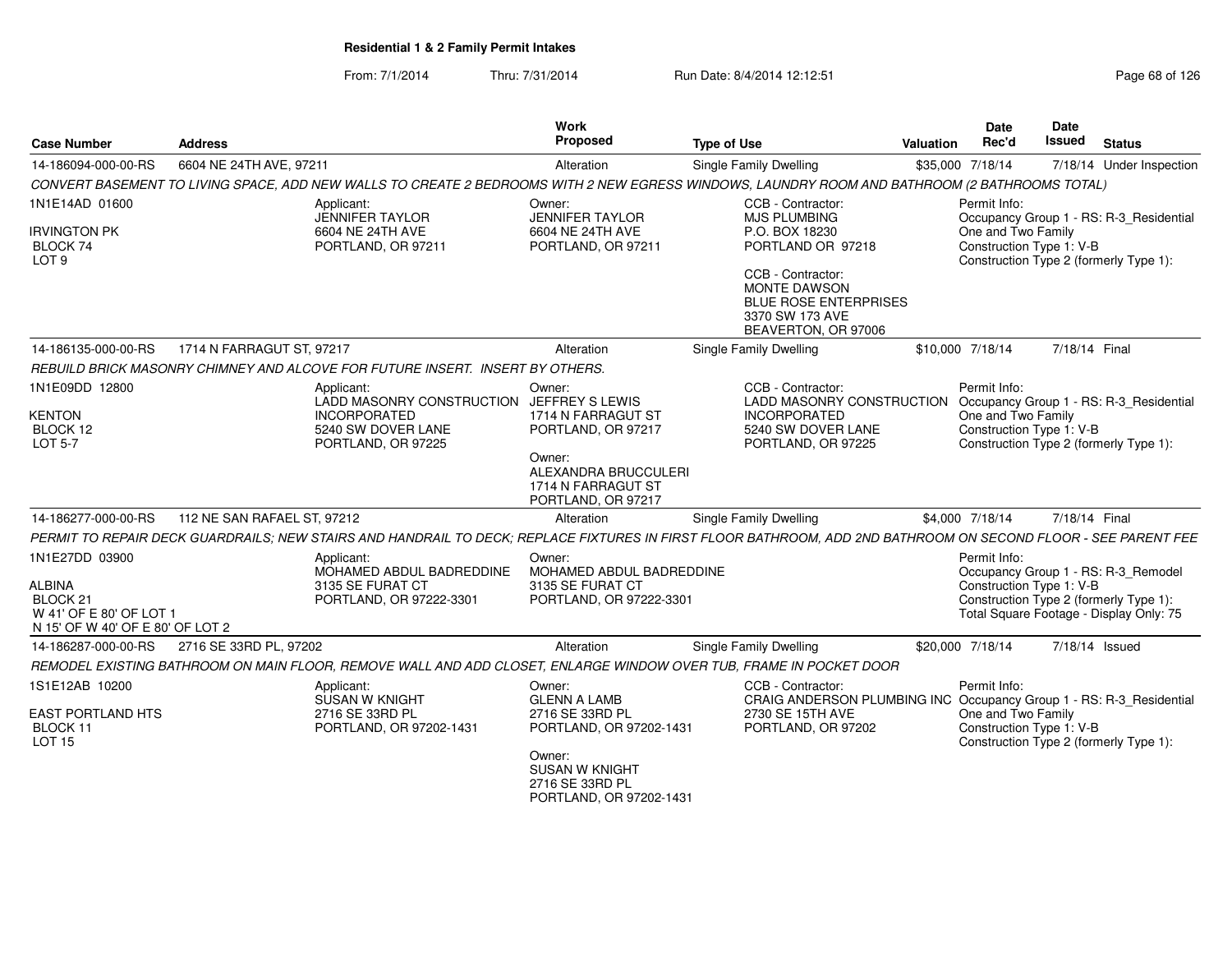#### From: 7/1/2014Thru: 7/31/2014 Run Date: 8/4/2014 12:12:51

| <b>Case Number</b>                                                                | <b>Address</b>                                                                                                                                                 | <b>Work</b><br>Proposed                                                       | <b>Type of Use</b>                                                                                                 | Valuation                                                                                | <b>Date</b><br>Rec'd               | Date<br>Issued           | <b>Status</b>                                                                     |
|-----------------------------------------------------------------------------------|----------------------------------------------------------------------------------------------------------------------------------------------------------------|-------------------------------------------------------------------------------|--------------------------------------------------------------------------------------------------------------------|------------------------------------------------------------------------------------------|------------------------------------|--------------------------|-----------------------------------------------------------------------------------|
| 14-186094-000-00-RS                                                               | 6604 NE 24TH AVE, 97211                                                                                                                                        | Alteration                                                                    | Single Family Dwelling                                                                                             |                                                                                          | \$35,000 7/18/14                   |                          | 7/18/14 Under Inspection                                                          |
|                                                                                   | CONVERT BASEMENT TO LIVING SPACE, ADD NEW WALLS TO CREATE 2 BEDROOMS WITH 2 NEW EGRESS WINDOWS, LAUNDRY ROOM AND BATHROOM (2 BATHROOMS TOTAL)                  |                                                                               |                                                                                                                    |                                                                                          |                                    |                          |                                                                                   |
| 1N1E14AD 01600                                                                    | Applicant:<br><b>JENNIFER TAYLOR</b>                                                                                                                           | Owner:<br><b>JENNIFER TAYLOR</b>                                              | CCB - Contractor:<br><b>MJS PLUMBING</b>                                                                           |                                                                                          | Permit Info:                       |                          | Occupancy Group 1 - RS: R-3_Residential                                           |
| <b>IRVINGTON PK</b><br>BLOCK 74<br>LOT <sub>9</sub>                               | 6604 NE 24TH AVE<br>PORTLAND, OR 97211                                                                                                                         | 6604 NE 24TH AVE<br>PORTLAND, OR 97211                                        | P.O. BOX 18230<br>PORTLAND OR 97218                                                                                | One and Two Family<br>Construction Type 1: V-B<br>Construction Type 2 (formerly Type 1): |                                    |                          |                                                                                   |
|                                                                                   |                                                                                                                                                                |                                                                               | CCB - Contractor:<br><b>MONTE DAWSON</b><br><b>BLUE ROSE ENTERPRISES</b><br>3370 SW 173 AVE<br>BEAVERTON, OR 97006 |                                                                                          |                                    |                          |                                                                                   |
| 14-186135-000-00-RS                                                               | 1714 N FARRAGUT ST, 97217                                                                                                                                      | Alteration                                                                    | Single Family Dwelling                                                                                             |                                                                                          | \$10,000 7/18/14                   | 7/18/14 Final            |                                                                                   |
|                                                                                   | REBUILD BRICK MASONRY CHIMNEY AND ALCOVE FOR FUTURE INSERT. INSERT BY OTHERS.                                                                                  |                                                                               |                                                                                                                    |                                                                                          |                                    |                          |                                                                                   |
| 1N1E09DD 12800<br><b>KENTON</b>                                                   | Applicant:<br>LADD MASONRY CONSTRUCTION JEFFREY S LEWIS<br><b>INCORPORATED</b>                                                                                 | Owner:<br>1714 N FARRAGUT ST                                                  | CCB - Contractor:<br>LADD MASONRY CONSTRUCTION<br><b>INCORPORATED</b>                                              |                                                                                          | Permit Info:<br>One and Two Family |                          | Occupancy Group 1 - RS: R-3_Residential                                           |
| BLOCK 12<br><b>LOT 5-7</b>                                                        | 5240 SW DOVER LANE<br>PORTLAND, OR 97225                                                                                                                       | PORTLAND, OR 97217                                                            | 5240 SW DOVER LANE<br>PORTLAND, OR 97225                                                                           |                                                                                          |                                    | Construction Type 1: V-B | Construction Type 2 (formerly Type 1):                                            |
|                                                                                   |                                                                                                                                                                | Owner:<br>ALEXANDRA BRUCCULERI<br>1714 N FARRAGUT ST<br>PORTLAND, OR 97217    |                                                                                                                    |                                                                                          |                                    |                          |                                                                                   |
| 14-186277-000-00-RS                                                               | 112 NE SAN RAFAEL ST, 97212                                                                                                                                    | Alteration                                                                    | Single Family Dwelling                                                                                             |                                                                                          | \$4,000 7/18/14                    | 7/18/14 Final            |                                                                                   |
|                                                                                   | PERMIT TO REPAIR DECK GUARDRAILS; NEW STAIRS AND HANDRAIL TO DECK; REPLACE FIXTURES IN FIRST FLOOR BATHROOM, ADD 2ND BATHROOM ON SECOND FLOOR - SEE PARENT FEE |                                                                               |                                                                                                                    |                                                                                          |                                    |                          |                                                                                   |
| 1N1E27DD 03900                                                                    | Applicant:<br>MOHAMED ABDUL BADREDDINE                                                                                                                         | Owner:<br>MOHAMED ABDUL BADREDDINE                                            |                                                                                                                    |                                                                                          | Permit Info:                       |                          | Occupancy Group 1 - RS: R-3_Remodel                                               |
| ALBINA<br>BLOCK 21<br>W 41' OF E 80' OF LOT 1<br>N 15' OF W 40' OF E 80' OF LOT 2 | 3135 SE FURAT CT<br>PORTLAND, OR 97222-3301                                                                                                                    | 3135 SE FURAT CT<br>PORTLAND, OR 97222-3301                                   |                                                                                                                    |                                                                                          |                                    | Construction Type 1: V-B | Construction Type 2 (formerly Type 1):<br>Total Square Footage - Display Only: 75 |
| 14-186287-000-00-RS                                                               | 2716 SE 33RD PL, 97202                                                                                                                                         | Alteration                                                                    | Single Family Dwelling                                                                                             |                                                                                          | \$20,000 7/18/14                   | 7/18/14 Issued           |                                                                                   |
|                                                                                   | REMODEL EXISTING BATHROOM ON MAIN FLOOR, REMOVE WALL AND ADD CLOSET, ENLARGE WINDOW OVER TUB, FRAME IN POCKET DOOR                                             |                                                                               |                                                                                                                    |                                                                                          |                                    |                          |                                                                                   |
| 1S1E12AB 10200                                                                    | Applicant:<br>SUSAN W KNIGHT                                                                                                                                   | Owner:<br><b>GLENN A LAMB</b>                                                 | CCB - Contractor:<br>CRAIG ANDERSON PLUMBING INC                                                                   |                                                                                          | Permit Info:                       |                          | Occupancy Group 1 - RS: R-3_Residential                                           |
| <b>EAST PORTLAND HTS</b><br>BLOCK 11<br><b>LOT 15</b>                             | 2716 SE 33RD PL<br>PORTLAND, OR 97202-1431                                                                                                                     | 2716 SE 33RD PL<br>PORTLAND, OR 97202-1431                                    | 2730 SE 15TH AVE<br>PORTLAND, OR 97202                                                                             |                                                                                          | One and Two Family                 | Construction Type 1: V-B | Construction Type 2 (formerly Type 1):                                            |
|                                                                                   |                                                                                                                                                                | Owner:<br><b>SUSAN W KNIGHT</b><br>2716 SE 33RD PL<br>PORTLAND, OR 97202-1431 |                                                                                                                    |                                                                                          |                                    |                          |                                                                                   |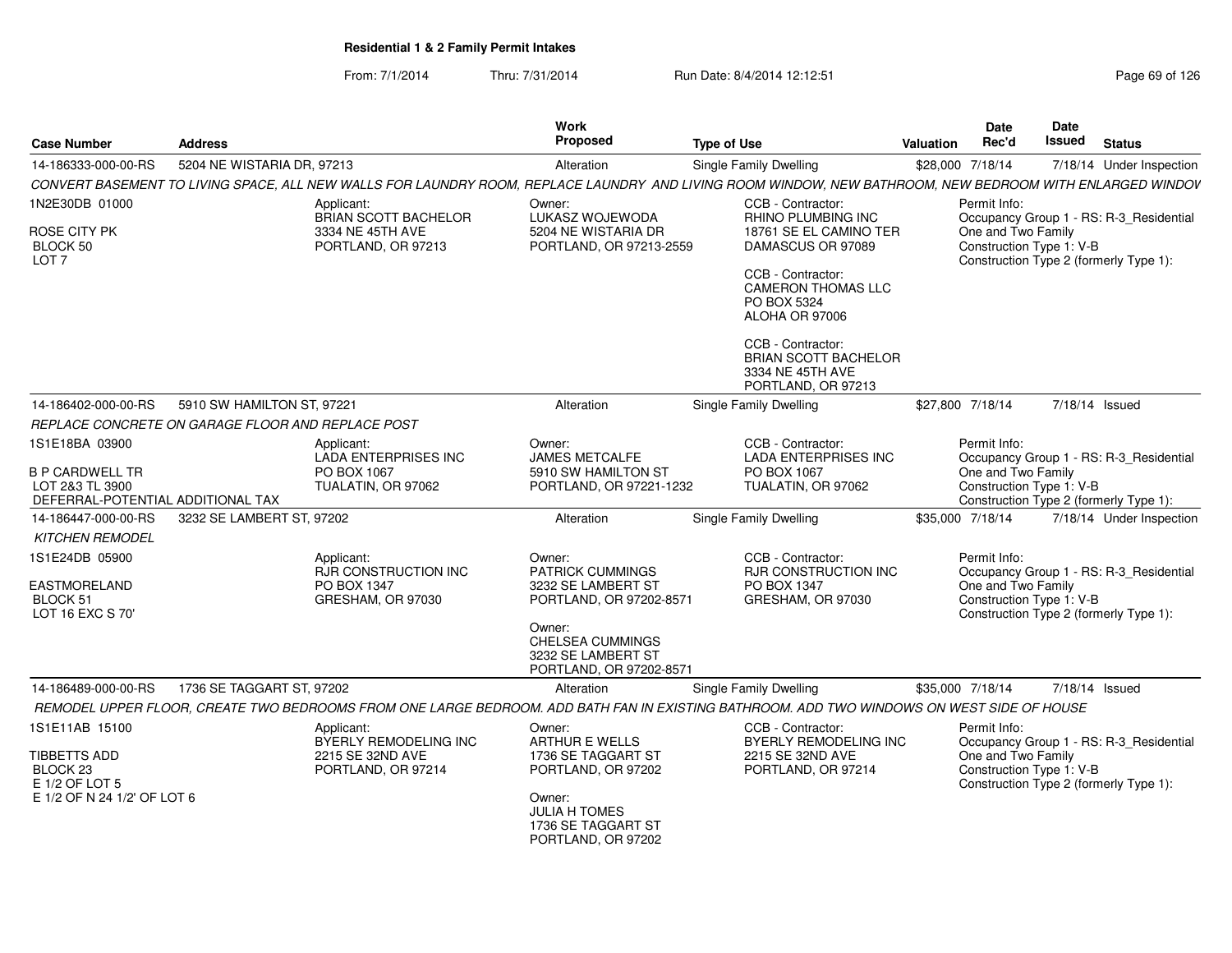| <b>Case Number</b>                                                             | <b>Address</b>             |                                                         | Work<br>Proposed                                                            | <b>Type of Use</b>                                                                                                                                       | <b>Valuation</b>                                                                         | Date<br>Rec'd                                                                 | Date<br>Issued                                                                           | <b>Status</b>                           |  |
|--------------------------------------------------------------------------------|----------------------------|---------------------------------------------------------|-----------------------------------------------------------------------------|----------------------------------------------------------------------------------------------------------------------------------------------------------|------------------------------------------------------------------------------------------|-------------------------------------------------------------------------------|------------------------------------------------------------------------------------------|-----------------------------------------|--|
| 14-186333-000-00-RS                                                            | 5204 NE WISTARIA DR, 97213 |                                                         | Alteration                                                                  | Single Family Dwelling                                                                                                                                   | \$28,000 7/18/14                                                                         |                                                                               |                                                                                          | 7/18/14 Under Inspection                |  |
|                                                                                |                            |                                                         |                                                                             | CONVERT BASEMENT TO LIVING SPACE, ALL NEW WALLS FOR LAUNDRY ROOM, REPLACE LAUNDRY AND LIVING ROOM WINDOW, NEW BATHROOM, NEW BEDROOM WITH ENLARGED WINDOV |                                                                                          |                                                                               |                                                                                          |                                         |  |
| 1N2E30DB 01000                                                                 |                            | Applicant:<br>BRIAN SCOTT BACHELOR                      | Owner:<br>LUKASZ WOJEWODA                                                   | CCB - Contractor:<br>RHINO PLUMBING INC                                                                                                                  |                                                                                          | Permit Info:                                                                  |                                                                                          | Occupancy Group 1 - RS: R-3_Residential |  |
| ROSE CITY PK<br>BLOCK 50<br>LOT <sub>7</sub>                                   |                            | 3334 NE 45TH AVE<br>PORTLAND, OR 97213                  | 5204 NE WISTARIA DR<br>PORTLAND, OR 97213-2559                              | 18761 SE EL CAMINO TER<br>DAMASCUS OR 97089<br>CCB - Contractor:<br><b>CAMERON THOMAS LLC</b><br>PO BOX 5324<br>ALOHA OR 97006                           |                                                                                          | One and Two Family<br>Construction Type 1: V-B                                | Construction Type 2 (formerly Type 1):                                                   |                                         |  |
|                                                                                |                            |                                                         |                                                                             | CCB - Contractor:<br><b>BRIAN SCOTT BACHELOR</b><br>3334 NE 45TH AVE<br>PORTLAND, OR 97213                                                               |                                                                                          |                                                                               |                                                                                          |                                         |  |
| 14-186402-000-00-RS                                                            | 5910 SW HAMILTON ST, 97221 |                                                         | Alteration                                                                  | Single Family Dwelling                                                                                                                                   |                                                                                          | \$27,800 7/18/14                                                              |                                                                                          | 7/18/14 Issued                          |  |
| REPLACE CONCRETE ON GARAGE FLOOR AND REPLACE POST                              |                            |                                                         |                                                                             |                                                                                                                                                          |                                                                                          |                                                                               |                                                                                          |                                         |  |
| 1S1E18BA 03900                                                                 |                            | Applicant:<br><b>LADA ENTERPRISES INC</b>               | Owner:<br><b>JAMES METCALFE</b>                                             | CCB - Contractor:<br><b>LADA ENTERPRISES INC</b>                                                                                                         |                                                                                          | Permit Info:                                                                  |                                                                                          | Occupancy Group 1 - RS: R-3 Residential |  |
| <b>B P CARDWELL TR</b><br>LOT 2&3 TL 3900<br>DEFERRAL-POTENTIAL ADDITIONAL TAX |                            | PO BOX 1067<br>TUALATIN, OR 97062                       | 5910 SW HAMILTON ST<br>PORTLAND, OR 97221-1232                              | PO BOX 1067<br>TUALATIN, OR 97062                                                                                                                        | One and Two Family<br>Construction Type 1: V-B<br>Construction Type 2 (formerly Type 1): |                                                                               |                                                                                          |                                         |  |
| 14-186447-000-00-RS                                                            | 3232 SE LAMBERT ST, 97202  |                                                         | Alteration                                                                  | Single Family Dwelling                                                                                                                                   |                                                                                          | \$35,000 7/18/14                                                              |                                                                                          | 7/18/14 Under Inspection                |  |
| <b>KITCHEN REMODEL</b>                                                         |                            |                                                         |                                                                             |                                                                                                                                                          |                                                                                          |                                                                               |                                                                                          |                                         |  |
| 1S1E24DB 05900                                                                 |                            | Applicant:<br>RJR CONSTRUCTION INC                      | Owner:<br><b>PATRICK CUMMINGS</b>                                           | CCB - Contractor:<br>RJR CONSTRUCTION INC                                                                                                                |                                                                                          | Permit Info:                                                                  |                                                                                          | Occupancy Group 1 - RS: R-3 Residential |  |
| EASTMORELAND<br><b>BLOCK 51</b><br>LOT 16 EXC S 70'                            |                            | PO BOX 1347<br>GRESHAM, OR 97030                        | 3232 SE LAMBERT ST<br>PORTLAND, OR 97202-8571                               | PO BOX 1347<br>GRESHAM, OR 97030                                                                                                                         |                                                                                          |                                                                               | One and Two Family<br>Construction Type 1: V-B<br>Construction Type 2 (formerly Type 1): |                                         |  |
|                                                                                |                            |                                                         | Owner:<br>CHELSEA CUMMINGS<br>3232 SE LAMBERT ST<br>PORTLAND, OR 97202-8571 |                                                                                                                                                          |                                                                                          |                                                                               |                                                                                          |                                         |  |
| 14-186489-000-00-RS                                                            | 1736 SE TAGGART ST, 97202  |                                                         | Alteration                                                                  | Single Family Dwelling                                                                                                                                   |                                                                                          | \$35,000 7/18/14                                                              |                                                                                          | 7/18/14 Issued                          |  |
|                                                                                |                            |                                                         |                                                                             | REMODEL UPPER FLOOR, CREATE TWO BEDROOMS FROM ONE LARGE BEDROOM. ADD BATH FAN IN EXISTING BATHROOM. ADD TWO WINDOWS ON WEST SIDE OF HOUSE                |                                                                                          |                                                                               |                                                                                          |                                         |  |
| 1S1E11AB 15100<br>TIBBETTS ADD                                                 |                            | Applicant:<br>BYERLY REMODELING INC<br>2215 SE 32ND AVE | Owner:<br>ARTHUR E WELLS<br>1736 SE TAGGART ST                              | CCB - Contractor:<br>BYERLY REMODELING INC<br>2215 SE 32ND AVE                                                                                           |                                                                                          | Permit Info:<br>Occupancy Group 1 - RS: R-3_Residential<br>One and Two Family |                                                                                          |                                         |  |
| BLOCK <sub>23</sub><br>E 1/2 OF LOT 5<br>E 1/2 OF N 24 1/2' OF LOT 6           |                            | PORTLAND, OR 97214                                      | PORTLAND, OR 97202<br>Owner:                                                | PORTLAND, OR 97214                                                                                                                                       |                                                                                          | Construction Type 1: V-B<br>Construction Type 2 (formerly Type 1):            |                                                                                          |                                         |  |
|                                                                                |                            |                                                         | JULIA H TOMES<br>1736 SE TAGGART ST<br>PORTLAND, OR 97202                   |                                                                                                                                                          |                                                                                          |                                                                               |                                                                                          |                                         |  |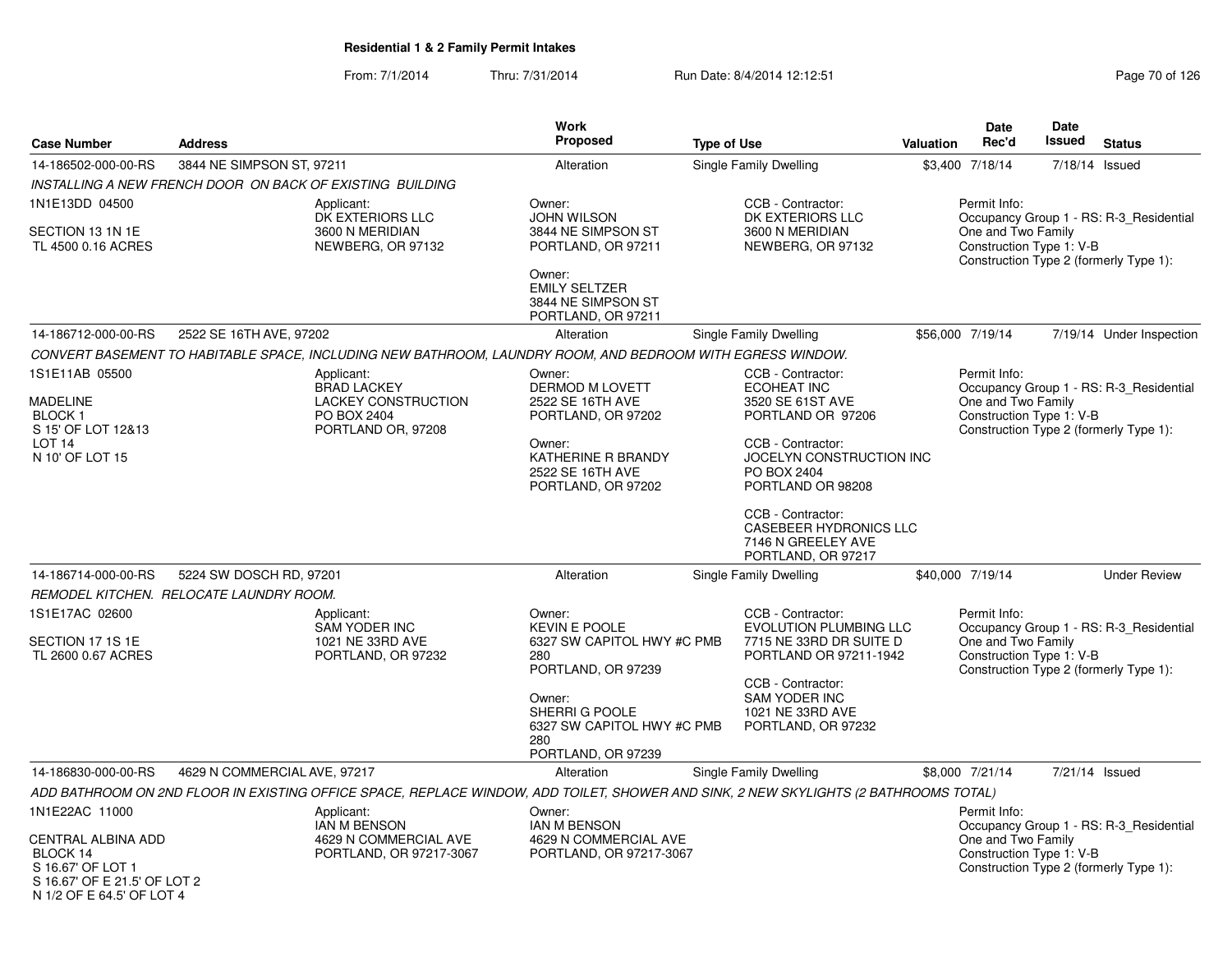|                                                                                                                                    |                                         |                                                                                                            | <b>Work</b>                                                                                                                                                                      |                                                                                                                                                                                                                                                                         |                  | Date                                                                                                                                                | Date   |                                                                                   |
|------------------------------------------------------------------------------------------------------------------------------------|-----------------------------------------|------------------------------------------------------------------------------------------------------------|----------------------------------------------------------------------------------------------------------------------------------------------------------------------------------|-------------------------------------------------------------------------------------------------------------------------------------------------------------------------------------------------------------------------------------------------------------------------|------------------|-----------------------------------------------------------------------------------------------------------------------------------------------------|--------|-----------------------------------------------------------------------------------|
| <b>Case Number</b>                                                                                                                 | <b>Address</b>                          |                                                                                                            | <b>Proposed</b>                                                                                                                                                                  | <b>Type of Use</b>                                                                                                                                                                                                                                                      | <b>Valuation</b> | Rec'd                                                                                                                                               | Issued | <b>Status</b>                                                                     |
| 14-186502-000-00-RS                                                                                                                | 3844 NE SIMPSON ST, 97211               |                                                                                                            | Alteration                                                                                                                                                                       | <b>Single Family Dwelling</b>                                                                                                                                                                                                                                           |                  | \$3,400 7/18/14                                                                                                                                     |        | 7/18/14 Issued                                                                    |
|                                                                                                                                    |                                         | INSTALLING A NEW FRENCH DOOR ON BACK OF EXISTING BUILDING                                                  |                                                                                                                                                                                  |                                                                                                                                                                                                                                                                         |                  |                                                                                                                                                     |        |                                                                                   |
| 1N1E13DD 04500<br>SECTION 13 1N 1E<br>TL 4500 0.16 ACRES                                                                           |                                         | Applicant:<br>DK EXTERIORS LLC<br>3600 N MERIDIAN<br>NEWBERG, OR 97132                                     | Owner:<br><b>JOHN WILSON</b><br>3844 NE SIMPSON ST<br>PORTLAND, OR 97211<br>Owner:<br><b>EMILY SELTZER</b><br>3844 NE SIMPSON ST                                                 | CCB - Contractor:<br>DK EXTERIORS LLC<br>3600 N MERIDIAN<br>NEWBERG, OR 97132<br>PORTLAND, OR 97211                                                                                                                                                                     |                  | Permit Info:<br>Occupancy Group 1 - RS: R-3_Residential<br>One and Two Family<br>Construction Type 1: V-B<br>Construction Type 2 (formerly Type 1): |        |                                                                                   |
| 14-186712-000-00-RS                                                                                                                | 2522 SE 16TH AVE, 97202                 |                                                                                                            | Alteration                                                                                                                                                                       | <b>Single Family Dwelling</b>                                                                                                                                                                                                                                           |                  | \$56,000 7/19/14                                                                                                                                    |        | 7/19/14 Under Inspection                                                          |
|                                                                                                                                    |                                         | CONVERT BASEMENT TO HABITABLE SPACE, INCLUDING NEW BATHROOM, LAUNDRY ROOM, AND BEDROOM WITH EGRESS WINDOW. |                                                                                                                                                                                  |                                                                                                                                                                                                                                                                         |                  |                                                                                                                                                     |        |                                                                                   |
| 1S1E11AB 05500<br><b>MADELINE</b><br><b>BLOCK1</b><br>S 15' OF LOT 12&13<br>LOT <sub>14</sub><br>N 10' OF LOT 15                   |                                         | Applicant:<br><b>BRAD LACKEY</b><br><b>LACKEY CONSTRUCTION</b><br>PO BOX 2404<br>PORTLAND OR, 97208        | Owner:<br><b>DERMOD M LOVETT</b><br>2522 SE 16TH AVE<br>PORTLAND, OR 97202<br>Owner:<br>KATHERINE R BRANDY<br>2522 SE 16TH AVE<br>PORTLAND, OR 97202                             | CCB - Contractor:<br><b>ECOHEAT INC</b><br>3520 SE 61ST AVE<br>PORTLAND OR 97206<br>CCB - Contractor:<br>JOCELYN CONSTRUCTION INC<br>PO BOX 2404<br>PORTLAND OR 98208<br>CCB - Contractor:<br><b>CASEBEER HYDRONICS LLC</b><br>7146 N GREELEY AVE<br>PORTLAND, OR 97217 |                  | Permit Info:<br>One and Two Family<br>Construction Type 1: V-B                                                                                      |        | Occupancy Group 1 - RS: R-3_Residential<br>Construction Type 2 (formerly Type 1): |
| 14-186714-000-00-RS                                                                                                                | 5224 SW DOSCH RD, 97201                 |                                                                                                            | Alteration                                                                                                                                                                       | Single Family Dwelling                                                                                                                                                                                                                                                  |                  | \$40,000 7/19/14                                                                                                                                    |        | <b>Under Review</b>                                                               |
|                                                                                                                                    | REMODEL KITCHEN. RELOCATE LAUNDRY ROOM. |                                                                                                            |                                                                                                                                                                                  |                                                                                                                                                                                                                                                                         |                  |                                                                                                                                                     |        |                                                                                   |
| 1S1E17AC 02600<br>SECTION 17 1S 1E<br>TL 2600 0.67 ACRES                                                                           |                                         | Applicant:<br>SAM YODER INC<br>1021 NE 33RD AVE<br>PORTLAND, OR 97232                                      | Owner:<br><b>KEVIN E POOLE</b><br>6327 SW CAPITOL HWY #C PMB<br>280<br>PORTLAND, OR 97239<br>Owner:<br>SHERRI G POOLE<br>6327 SW CAPITOL HWY #C PMB<br>280<br>PORTLAND, OR 97239 | CCB - Contractor:<br><b>EVOLUTION PLUMBING LLC</b><br>7715 NE 33RD DR SUITE D<br>PORTLAND OR 97211-1942<br>CCB - Contractor:<br>SAM YODER INC<br>1021 NE 33RD AVE<br>PORTLAND, OR 97232                                                                                 |                  | Permit Info:<br>One and Two Family<br>Construction Type 1: V-B                                                                                      |        | Occupancy Group 1 - RS: R-3 Residential<br>Construction Type 2 (formerly Type 1): |
| 14-186830-000-00-RS                                                                                                                | 4629 N COMMERCIAL AVE, 97217            |                                                                                                            | Alteration                                                                                                                                                                       | <b>Single Family Dwelling</b>                                                                                                                                                                                                                                           |                  | \$8,000 7/21/14                                                                                                                                     |        | 7/21/14 Issued                                                                    |
|                                                                                                                                    |                                         |                                                                                                            |                                                                                                                                                                                  | ADD BATHROOM ON 2ND FLOOR IN EXISTING OFFICE SPACE, REPLACE WINDOW, ADD TOILET, SHOWER AND SINK, 2 NEW SKYLIGHTS (2 BATHROOMS TOTAL)                                                                                                                                    |                  |                                                                                                                                                     |        |                                                                                   |
| 1N1E22AC 11000<br>CENTRAL ALBINA ADD<br>BLOCK 14<br>S 16.67' OF LOT 1<br>S 16.67' OF E 21.5' OF LOT 2<br>N 1/2 OF E 64.5' OF LOT 4 |                                         | Applicant:<br><b>IAN M BENSON</b><br>4629 N COMMERCIAL AVE<br>PORTLAND, OR 97217-3067                      | Owner:<br><b>IAN M BENSON</b><br>4629 N COMMERCIAL AVE<br>PORTLAND, OR 97217-3067                                                                                                |                                                                                                                                                                                                                                                                         |                  | Permit Info:<br>One and Two Family<br>Construction Type 1: V-B                                                                                      |        | Occupancy Group 1 - RS: R-3 Residential<br>Construction Type 2 (formerly Type 1): |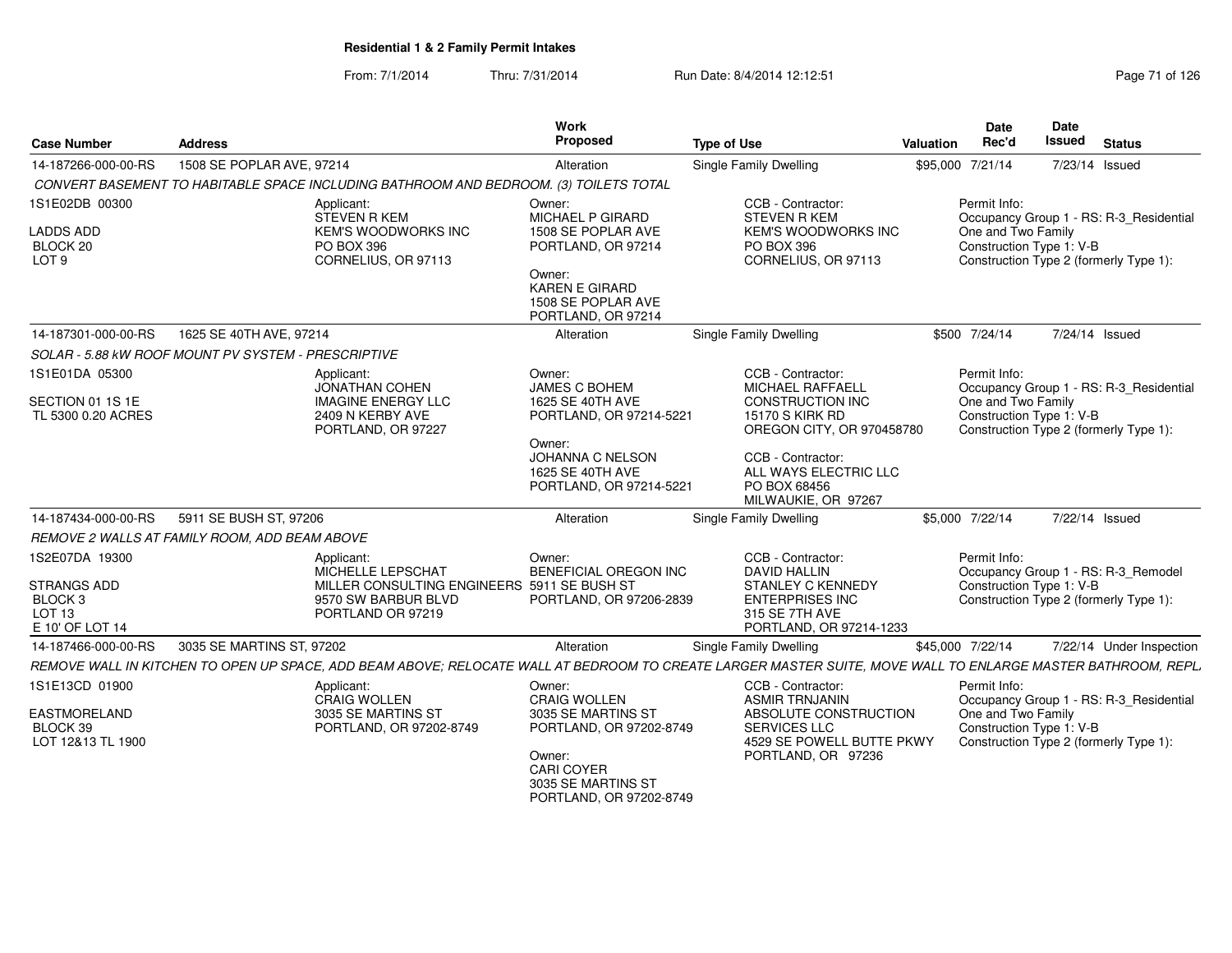| <b>Case Number</b>                                                                                 | <b>Address</b>                                                                                                                                               | Work<br>Proposed                                                                                                                               | <b>Type of Use</b>                                                                                                                   | <b>Valuation</b> | <b>Date</b><br>Rec'd                                                                                      | Date<br><b>Issued</b> | <b>Status</b>                                                                     |
|----------------------------------------------------------------------------------------------------|--------------------------------------------------------------------------------------------------------------------------------------------------------------|------------------------------------------------------------------------------------------------------------------------------------------------|--------------------------------------------------------------------------------------------------------------------------------------|------------------|-----------------------------------------------------------------------------------------------------------|-----------------------|-----------------------------------------------------------------------------------|
| 14-187266-000-00-RS                                                                                | 1508 SE POPLAR AVE, 97214                                                                                                                                    | Alteration                                                                                                                                     | <b>Single Family Dwelling</b>                                                                                                        |                  | \$95,000 7/21/14                                                                                          |                       | 7/23/14 Issued                                                                    |
|                                                                                                    | CONVERT BASEMENT TO HABITABLE SPACE INCLUDING BATHROOM AND BEDROOM. (3) TOILETS TOTAL                                                                        |                                                                                                                                                |                                                                                                                                      |                  |                                                                                                           |                       |                                                                                   |
| 1S1E02DB 00300<br><b>LADDS ADD</b><br>BLOCK 20<br>LOT <sub>9</sub>                                 | Applicant:<br><b>STEVEN R KEM</b><br>KEM'S WOODWORKS INC<br>PO BOX 396<br>CORNELIUS, OR 97113                                                                | Owner:<br>MICHAEL P GIRARD<br>1508 SE POPLAR AVE<br>PORTLAND, OR 97214<br>Owner:<br>KAREN E GIRARD<br>1508 SE POPLAR AVE<br>PORTLAND, OR 97214 | CCB - Contractor:<br><b>STEVEN R KEM</b><br><b>KEM'S WOODWORKS INC</b><br>PO BOX 396<br>CORNELIUS, OR 97113                          |                  | Permit Info:<br>One and Two Family<br>Construction Type 1: V-B                                            |                       | Occupancy Group 1 - RS: R-3_Residential<br>Construction Type 2 (formerly Type 1): |
| 14-187301-000-00-RS                                                                                | 1625 SE 40TH AVE, 97214                                                                                                                                      | Alteration                                                                                                                                     | <b>Single Family Dwelling</b>                                                                                                        |                  | \$500 7/24/14                                                                                             |                       | 7/24/14 Issued                                                                    |
|                                                                                                    | SOLAR - 5.88 KW ROOF MOUNT PV SYSTEM - PRESCRIPTIVE                                                                                                          |                                                                                                                                                |                                                                                                                                      |                  |                                                                                                           |                       |                                                                                   |
| 1S1E01DA 05300<br>SECTION 01 1S 1E<br>TL 5300 0.20 ACRES                                           | Applicant:<br><b>JONATHAN COHEN</b><br><b>IMAGINE ENERGY LLC</b><br>2409 N KERBY AVE                                                                         | Owner:<br><b>JAMES C BOHEM</b><br>1625 SE 40TH AVE<br>PORTLAND, OR 97214-5221                                                                  | CCB - Contractor:<br><b>MICHAEL RAFFAELL</b><br><b>CONSTRUCTION INC</b><br><b>15170 S KIRK RD</b>                                    |                  | Permit Info:<br>Occupancy Group 1 - RS: R-3_Residential<br>One and Two Family<br>Construction Type 1: V-B |                       |                                                                                   |
|                                                                                                    | PORTLAND, OR 97227                                                                                                                                           | Owner:<br>JOHANNA C NELSON<br>1625 SE 40TH AVE<br>PORTLAND, OR 97214-5221                                                                      | OREGON CITY, OR 970458780<br>CCB - Contractor:<br>ALL WAYS ELECTRIC LLC<br>PO BOX 68456<br>MILWAUKIE, OR 97267                       |                  |                                                                                                           |                       | Construction Type 2 (formerly Type 1):                                            |
| 14-187434-000-00-RS                                                                                | 5911 SE BUSH ST, 97206                                                                                                                                       | Alteration                                                                                                                                     | Single Family Dwelling                                                                                                               |                  | \$5,000 7/22/14                                                                                           |                       | 7/22/14 Issued                                                                    |
|                                                                                                    | REMOVE 2 WALLS AT FAMILY ROOM, ADD BEAM ABOVE                                                                                                                |                                                                                                                                                |                                                                                                                                      |                  |                                                                                                           |                       |                                                                                   |
| 1S2E07DA 19300<br><b>STRANGS ADD</b><br>BLOCK <sub>3</sub><br>LOT <sub>13</sub><br>E 10' OF LOT 14 | Applicant:<br>MICHELLE LEPSCHAT<br>MILLER CONSULTING ENGINEERS 5911 SE BUSH ST<br>9570 SW BARBUR BLVD<br>PORTLAND OR 97219                                   | Owner:<br>BENEFICIAL OREGON INC<br>PORTLAND, OR 97206-2839                                                                                     | CCB - Contractor:<br><b>DAVID HALLIN</b><br>STANLEY C KENNEDY<br><b>ENTERPRISES INC</b><br>315 SE 7TH AVE<br>PORTLAND, OR 97214-1233 |                  | Permit Info:<br>Construction Type 1: V-B                                                                  |                       | Occupancy Group 1 - RS: R-3_Remodel<br>Construction Type 2 (formerly Type 1):     |
| 14-187466-000-00-RS                                                                                | 3035 SE MARTINS ST, 97202                                                                                                                                    | Alteration                                                                                                                                     | Single Family Dwelling                                                                                                               |                  | \$45,000 7/22/14                                                                                          |                       | 7/22/14 Under Inspection                                                          |
|                                                                                                    | REMOVE WALL IN KITCHEN TO OPEN UP SPACE, ADD BEAM ABOVE; RELOCATE WALL AT BEDROOM TO CREATE LARGER MASTER SUITE, MOVE WALL TO ENLARGE MASTER BATHROOM, REPL. |                                                                                                                                                |                                                                                                                                      |                  |                                                                                                           |                       |                                                                                   |
| 1S1E13CD 01900<br>EASTMORELAND<br>BLOCK 39                                                         | Applicant:<br><b>CRAIG WOLLEN</b><br>3035 SE MARTINS ST<br>PORTLAND, OR 97202-8749                                                                           | Owner:<br><b>CRAIG WOLLEN</b><br>3035 SE MARTINS ST<br>PORTLAND, OR 97202-8749                                                                 | CCB - Contractor:<br><b>ASMIR TRNJANIN</b><br>ABSOLUTE CONSTRUCTION<br><b>SERVICES LLC</b>                                           |                  | Permit Info:<br>Occupancy Group 1 - RS: R-3_Residential<br>One and Two Family<br>Construction Type 1: V-B |                       |                                                                                   |
| LOT 12&13 TL 1900                                                                                  |                                                                                                                                                              | Owner:<br>CARI COYER<br>3035 SE MARTINS ST<br>PORTLAND, OR 97202-8749                                                                          | 4529 SE POWELL BUTTE PKWY<br>PORTLAND, OR 97236                                                                                      |                  |                                                                                                           |                       | Construction Type 2 (formerly Type 1):                                            |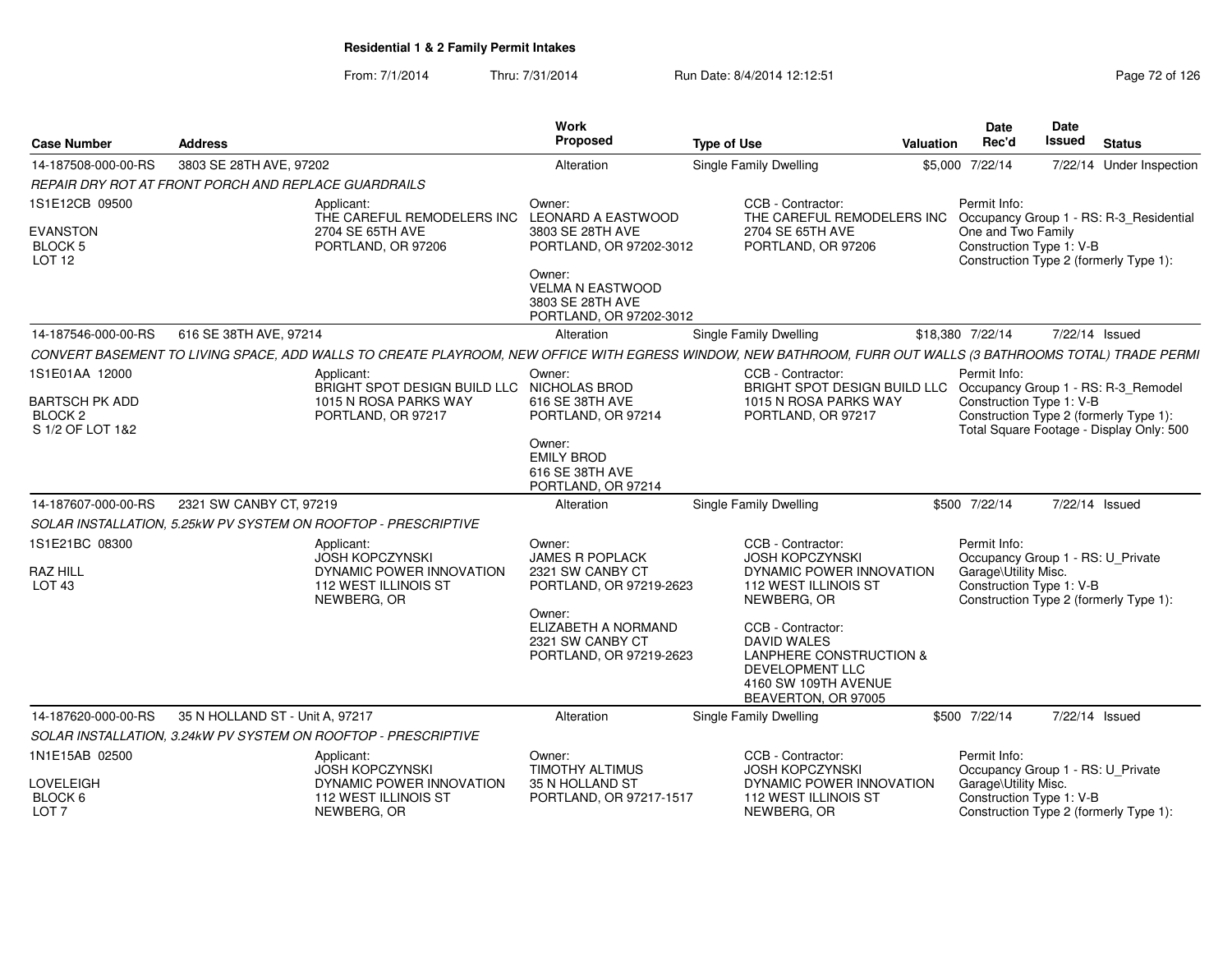| <b>Case Number</b>                                              | <b>Address</b>                                                                                                                                              | <b>Work</b><br>Proposed                                                          | <b>Type of Use</b>                                                                                                                          | <b>Valuation</b> | <b>Date</b><br>Rec'd                              | Date<br>Issued | <b>Status</b>                                                                      |
|-----------------------------------------------------------------|-------------------------------------------------------------------------------------------------------------------------------------------------------------|----------------------------------------------------------------------------------|---------------------------------------------------------------------------------------------------------------------------------------------|------------------|---------------------------------------------------|----------------|------------------------------------------------------------------------------------|
| 14-187508-000-00-RS                                             | 3803 SE 28TH AVE, 97202                                                                                                                                     | Alteration                                                                       | Single Family Dwelling                                                                                                                      |                  | \$5,000 7/22/14                                   |                | 7/22/14 Under Inspection                                                           |
|                                                                 | REPAIR DRY ROT AT FRONT PORCH AND REPLACE GUARDRAILS                                                                                                        |                                                                                  |                                                                                                                                             |                  |                                                   |                |                                                                                    |
| 1S1E12CB 09500                                                  | Applicant:<br>THE CAREFUL REMODELERS INC LEONARD A EASTWOOD                                                                                                 | Owner:                                                                           | CCB - Contractor:<br>THE CAREFUL REMODELERS INC                                                                                             |                  | Permit Info:                                      |                | Occupancy Group 1 - RS: R-3_Residential                                            |
| <b>EVANSTON</b><br><b>BLOCK 5</b><br>LOT <sub>12</sub>          | 2704 SE 65TH AVE<br>PORTLAND, OR 97206                                                                                                                      | 3803 SE 28TH AVE<br>PORTLAND, OR 97202-3012                                      | 2704 SE 65TH AVE<br>PORTLAND, OR 97206                                                                                                      |                  | One and Two Family<br>Construction Type 1: V-B    |                | Construction Type 2 (formerly Type 1):                                             |
|                                                                 |                                                                                                                                                             | Owner:<br><b>VELMA N EASTWOOD</b><br>3803 SE 28TH AVE<br>PORTLAND, OR 97202-3012 |                                                                                                                                             |                  |                                                   |                |                                                                                    |
| 14-187546-000-00-RS                                             | 616 SE 38TH AVE, 97214                                                                                                                                      | Alteration                                                                       | Single Family Dwelling                                                                                                                      |                  | \$18,380 7/22/14                                  | 7/22/14 Issued |                                                                                    |
|                                                                 | CONVERT BASEMENT TO LIVING SPACE, ADD WALLS TO CREATE PLAYROOM, NEW OFFICE WITH EGRESS WINDOW, NEW BATHROOM, FURR OUT WALLS (3 BATHROOMS TOTAL) TRADE PERMI |                                                                                  |                                                                                                                                             |                  |                                                   |                |                                                                                    |
| 1S1E01AA 12000                                                  | Applicant:<br>BRIGHT SPOT DESIGN BUILD LLC NICHOLAS BROD                                                                                                    | Owner:                                                                           | CCB - Contractor:<br>BRIGHT SPOT DESIGN BUILD LLC Occupancy Group 1 - RS: R-3_Remodel                                                       |                  | Permit Info:                                      |                |                                                                                    |
| <b>BARTSCH PK ADD</b><br>BLOCK <sub>2</sub><br>S 1/2 OF LOT 1&2 | 1015 N ROSA PARKS WAY<br>PORTLAND, OR 97217                                                                                                                 | 616 SE 38TH AVE<br>PORTLAND, OR 97214                                            | 1015 N ROSA PARKS WAY<br>PORTLAND, OR 97217                                                                                                 |                  | Construction Type 1: V-B                          |                | Construction Type 2 (formerly Type 1):<br>Total Square Footage - Display Only: 500 |
|                                                                 |                                                                                                                                                             | Owner:<br><b>EMILY BROD</b><br>616 SE 38TH AVE<br>PORTLAND, OR 97214             |                                                                                                                                             |                  |                                                   |                |                                                                                    |
| 14-187607-000-00-RS                                             | 2321 SW CANBY CT, 97219                                                                                                                                     | Alteration                                                                       | Single Family Dwelling                                                                                                                      |                  | \$500 7/22/14                                     | 7/22/14 Issued |                                                                                    |
|                                                                 | SOLAR INSTALLATION, 5.25kW PV SYSTEM ON ROOFTOP - PRESCRIPTIVE                                                                                              |                                                                                  |                                                                                                                                             |                  |                                                   |                |                                                                                    |
| 1S1E21BC 08300                                                  | Applicant:<br><b>JOSH KOPCZYNSKI</b>                                                                                                                        | Owner:<br><b>JAMES R POPLACK</b>                                                 | CCB - Contractor:<br><b>JOSH KOPCZYNSKI</b>                                                                                                 |                  | Permit Info:<br>Occupancy Group 1 - RS: U_Private |                |                                                                                    |
| <b>RAZ HILL</b><br>LOT <sub>43</sub>                            | DYNAMIC POWER INNOVATION<br>112 WEST ILLINOIS ST<br>NEWBERG, OR                                                                                             | 2321 SW CANBY CT<br>PORTLAND, OR 97219-2623                                      | DYNAMIC POWER INNOVATION<br><b>112 WEST ILLINOIS ST</b><br>NEWBERG, OR                                                                      |                  | Garage\Utility Misc.<br>Construction Type 1: V-B  |                | Construction Type 2 (formerly Type 1):                                             |
|                                                                 |                                                                                                                                                             | Owner:<br>ELIZABETH A NORMAND<br>2321 SW CANBY CT<br>PORTLAND, OR 97219-2623     | CCB - Contractor:<br><b>DAVID WALES</b><br>LANPHERE CONSTRUCTION &<br><b>DEVELOPMENT LLC</b><br>4160 SW 109TH AVENUE<br>BEAVERTON, OR 97005 |                  |                                                   |                |                                                                                    |
| 14-187620-000-00-RS                                             | 35 N HOLLAND ST - Unit A, 97217                                                                                                                             | Alteration                                                                       | Single Family Dwelling                                                                                                                      |                  | \$500 7/22/14                                     | 7/22/14 Issued |                                                                                    |
|                                                                 | SOLAR INSTALLATION, 3.24kW PV SYSTEM ON ROOFTOP - PRESCRIPTIVE                                                                                              |                                                                                  |                                                                                                                                             |                  |                                                   |                |                                                                                    |
| 1N1E15AB 02500                                                  | Applicant:<br><b>JOSH KOPCZYNSKI</b>                                                                                                                        | Owner:<br><b>TIMOTHY ALTIMUS</b>                                                 | CCB - Contractor:<br><b>JOSH KOPCZYNSKI</b>                                                                                                 |                  | Permit Info:<br>Occupancy Group 1 - RS: U_Private |                |                                                                                    |
| LOVELEIGH<br>BLOCK 6<br>LOT <sub>7</sub>                        | DYNAMIC POWER INNOVATION<br>112 WEST ILLINOIS ST<br>NEWBERG, OR                                                                                             | 35 N HOLLAND ST<br>PORTLAND, OR 97217-1517                                       | DYNAMIC POWER INNOVATION<br>112 WEST ILLINOIS ST<br>NEWBERG, OR                                                                             |                  | Garage\Utility Misc.<br>Construction Type 1: V-B  |                | Construction Type 2 (formerly Type 1):                                             |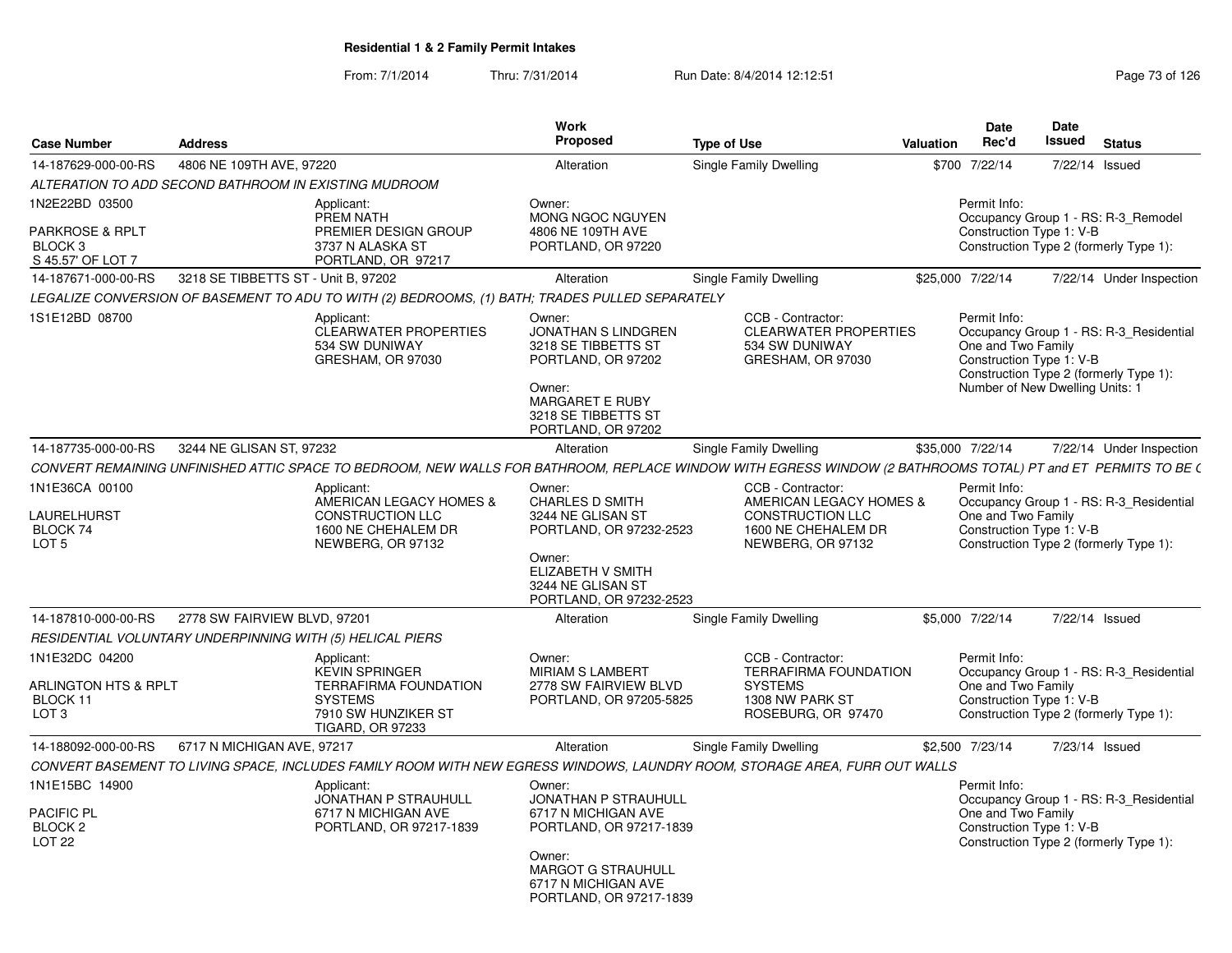| <b>Case Number</b>                                                                      | <b>Address</b>                                            |                                                                                                                                                              | <b>Work</b><br><b>Proposed</b>                                                                                                                              | <b>Type of Use</b>                                                                                                  | Valuation | <b>Date</b><br>Rec'd                                                                              | Date<br>Issued | <b>Status</b>                                                                     |
|-----------------------------------------------------------------------------------------|-----------------------------------------------------------|--------------------------------------------------------------------------------------------------------------------------------------------------------------|-------------------------------------------------------------------------------------------------------------------------------------------------------------|---------------------------------------------------------------------------------------------------------------------|-----------|---------------------------------------------------------------------------------------------------|----------------|-----------------------------------------------------------------------------------|
| 14-187629-000-00-RS                                                                     | 4806 NE 109TH AVE, 97220                                  |                                                                                                                                                              | Alteration                                                                                                                                                  | Single Family Dwelling                                                                                              |           | \$700 7/22/14                                                                                     | 7/22/14 Issued |                                                                                   |
|                                                                                         | ALTERATION TO ADD SECOND BATHROOM IN EXISTING MUDROOM     |                                                                                                                                                              |                                                                                                                                                             |                                                                                                                     |           |                                                                                                   |                |                                                                                   |
| 1N2E22BD 03500<br><b>PARKROSE &amp; RPLT</b><br>BLOCK <sub>3</sub><br>S 45.57' OF LOT 7 |                                                           | Applicant:<br>PREM NATH<br>PREMIER DESIGN GROUP<br>3737 N ALASKA ST<br>PORTLAND, OR 97217                                                                    | Owner:<br><b>MONG NGOC NGUYEN</b><br>4806 NE 109TH AVE<br>PORTLAND, OR 97220                                                                                |                                                                                                                     |           | Permit Info:<br>Construction Type 1: V-B                                                          |                | Occupancy Group 1 - RS: R-3 Remodel<br>Construction Type 2 (formerly Type 1):     |
| 14-187671-000-00-RS                                                                     | 3218 SE TIBBETTS ST - Unit B, 97202                       |                                                                                                                                                              | Alteration                                                                                                                                                  | <b>Single Family Dwelling</b>                                                                                       |           | \$25,000 7/22/14                                                                                  |                | 7/22/14 Under Inspection                                                          |
|                                                                                         |                                                           | LEGALIZE CONVERSION OF BASEMENT TO ADU TO WITH (2) BEDROOMS, (1) BATH; TRADES PULLED SEPARATELY                                                              |                                                                                                                                                             |                                                                                                                     |           |                                                                                                   |                |                                                                                   |
| 1S1E12BD 08700                                                                          |                                                           | Applicant:<br><b>CLEARWATER PROPERTIES</b><br>534 SW DUNIWAY<br>GRESHAM, OR 97030                                                                            | Owner:<br>JONATHAN S LINDGREN<br>3218 SE TIBBETTS ST<br>PORTLAND, OR 97202<br>Owner:<br><b>MARGARET E RUBY</b><br>3218 SE TIBBETTS ST<br>PORTLAND, OR 97202 | CCB - Contractor:<br><b>CLEARWATER PROPERTIES</b><br>534 SW DUNIWAY<br>GRESHAM, OR 97030                            |           | Permit Info:<br>One and Two Family<br>Construction Type 1: V-B<br>Number of New Dwelling Units: 1 |                | Occupancy Group 1 - RS: R-3 Residential<br>Construction Type 2 (formerly Type 1): |
| 14-187735-000-00-RS                                                                     | 3244 NE GLISAN ST, 97232                                  |                                                                                                                                                              | Alteration                                                                                                                                                  | Single Family Dwelling                                                                                              |           | \$35,000 7/22/14                                                                                  |                | 7/22/14 Under Inspection                                                          |
|                                                                                         |                                                           | CONVERT REMAINING UNFINISHED ATTIC SPACE TO BEDROOM, NEW WALLS FOR BATHROOM, REPLACE WINDOW WITH EGRESS WINDOW (2 BATHROOMS TOTAL) PT and ET PERMITS TO BE ( |                                                                                                                                                             |                                                                                                                     |           |                                                                                                   |                |                                                                                   |
| 1N1E36CA 00100<br>LAURELHURST<br>BLOCK 74<br>LOT <sub>5</sub>                           |                                                           | Applicant:<br>AMERICAN LEGACY HOMES &<br><b>CONSTRUCTION LLC</b><br>1600 NE CHEHALEM DR<br>NEWBERG, OR 97132                                                 | Owner:<br>CHARLES D SMITH<br>3244 NE GLISAN ST<br>PORTLAND, OR 97232-2523                                                                                   | CCB - Contractor:<br>AMERICAN LEGACY HOMES &<br><b>CONSTRUCTION LLC</b><br>1600 NE CHEHALEM DR<br>NEWBERG, OR 97132 |           | Permit Info:<br>One and Two Family<br>Construction Type 1: V-B                                    |                | Occupancy Group 1 - RS: R-3_Residential<br>Construction Type 2 (formerly Type 1): |
|                                                                                         |                                                           |                                                                                                                                                              | Owner:<br>ELIZABETH V SMITH<br>3244 NE GLISAN ST<br>PORTLAND, OR 97232-2523                                                                                 |                                                                                                                     |           |                                                                                                   |                |                                                                                   |
| 14-187810-000-00-RS                                                                     | 2778 SW FAIRVIEW BLVD, 97201                              |                                                                                                                                                              | Alteration                                                                                                                                                  | Single Family Dwelling                                                                                              |           | \$5.000 7/22/14                                                                                   |                | 7/22/14 Issued                                                                    |
|                                                                                         | RESIDENTIAL VOLUNTARY UNDERPINNING WITH (5) HELICAL PIERS |                                                                                                                                                              |                                                                                                                                                             |                                                                                                                     |           |                                                                                                   |                |                                                                                   |
| 1N1E32DC 04200<br>ARLINGTON HTS & RPLT<br>BLOCK 11<br>LOT <sub>3</sub>                  |                                                           | Applicant:<br><b>KEVIN SPRINGER</b><br><b>TERRAFIRMA FOUNDATION</b><br><b>SYSTEMS</b><br>7910 SW HUNZIKER ST<br>TIGARD, OR 97233                             | Owner:<br><b>MIRIAM S LAMBERT</b><br>2778 SW FAIRVIEW BLVD<br>PORTLAND, OR 97205-5825                                                                       | CCB - Contractor:<br>TERRAFIRMA FOUNDATION<br><b>SYSTEMS</b><br>1308 NW PARK ST<br>ROSEBURG, OR 97470               |           | Permit Info:<br>One and Two Family<br>Construction Type 1: V-B                                    |                | Occupancy Group 1 - RS: R-3 Residential<br>Construction Type 2 (formerly Type 1): |
| 14-188092-000-00-RS                                                                     | 6717 N MICHIGAN AVE, 97217                                |                                                                                                                                                              | Alteration                                                                                                                                                  | <b>Single Family Dwelling</b>                                                                                       |           | \$2,500 7/23/14                                                                                   | 7/23/14 Issued |                                                                                   |
|                                                                                         |                                                           | CONVERT BASEMENT TO LIVING SPACE, INCLUDES FAMILY ROOM WITH NEW EGRESS WINDOWS, LAUNDRY ROOM, STORAGE AREA, FURR OUT WALLS                                   |                                                                                                                                                             |                                                                                                                     |           |                                                                                                   |                |                                                                                   |
| 1N1E15BC 14900<br>PACIFIC PL<br>BLOCK <sub>2</sub><br>LOT <sub>22</sub>                 |                                                           | Applicant:<br>JONATHAN P STRAUHULL<br>6717 N MICHIGAN AVE<br>PORTLAND, OR 97217-1839                                                                         | Owner:<br>JONATHAN P STRAUHULL<br>6717 N MICHIGAN AVE<br>PORTLAND, OR 97217-1839<br>Owner:<br><b>MARGOT G STRAUHULL</b><br>6717 N MICHIGAN AVE              |                                                                                                                     |           | Permit Info:<br>One and Two Family<br>Construction Type 1: V-B                                    |                | Occupancy Group 1 - RS: R-3 Residential<br>Construction Type 2 (formerly Type 1): |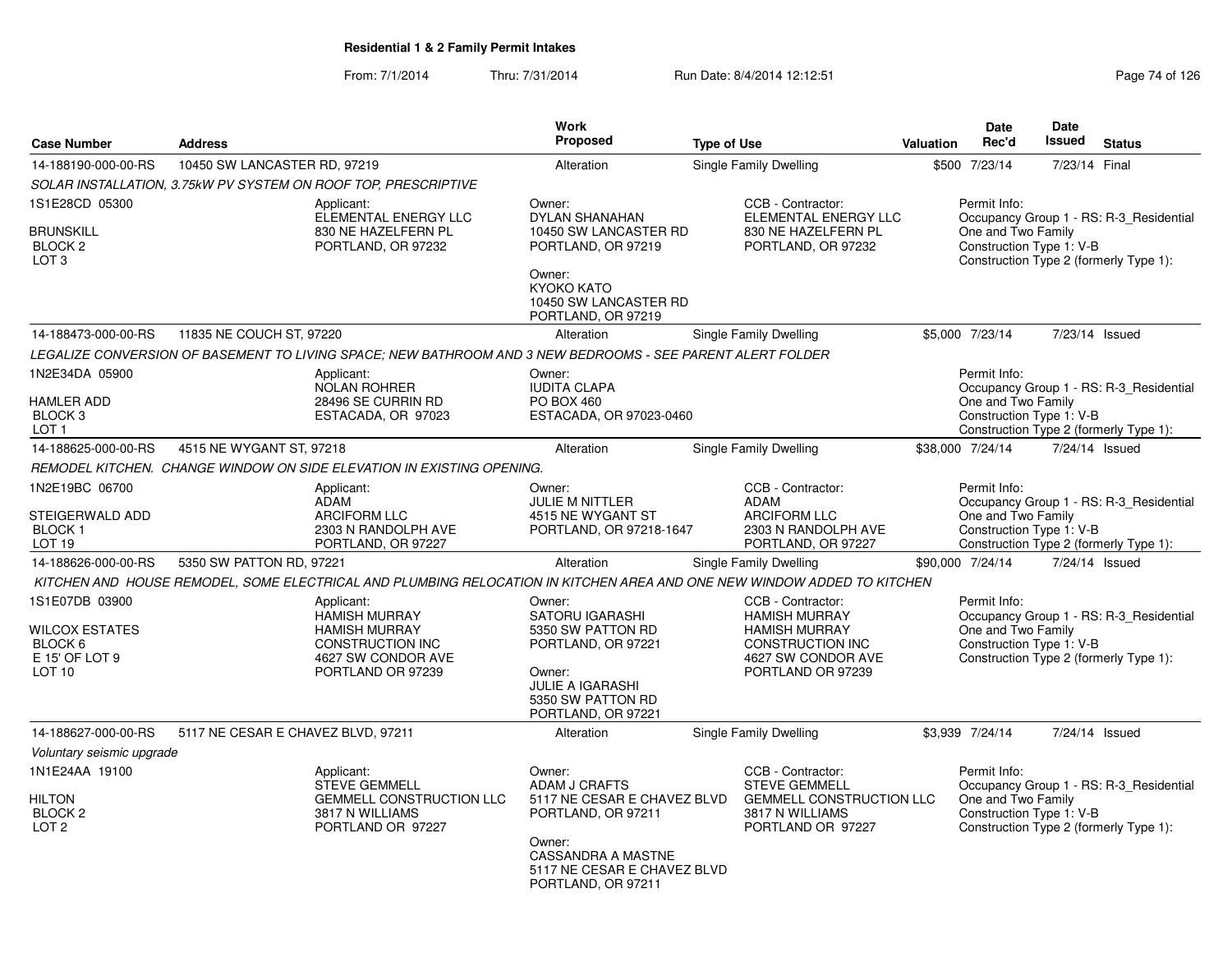|                                                                                           |                                    |                                                                                                                                  | Work                                                                                                                                                                            |                    |                                                                                                                                         |           | Date                                                           | Date          |                                                                                   |
|-------------------------------------------------------------------------------------------|------------------------------------|----------------------------------------------------------------------------------------------------------------------------------|---------------------------------------------------------------------------------------------------------------------------------------------------------------------------------|--------------------|-----------------------------------------------------------------------------------------------------------------------------------------|-----------|----------------------------------------------------------------|---------------|-----------------------------------------------------------------------------------|
| <b>Case Number</b>                                                                        | <b>Address</b>                     |                                                                                                                                  | Proposed                                                                                                                                                                        | <b>Type of Use</b> |                                                                                                                                         | Valuation | Rec'd                                                          | <b>Issued</b> | <b>Status</b>                                                                     |
| 14-188190-000-00-RS                                                                       | 10450 SW LANCASTER RD, 97219       |                                                                                                                                  | Alteration                                                                                                                                                                      |                    | <b>Single Family Dwelling</b>                                                                                                           |           | \$500 7/23/14                                                  | 7/23/14 Final |                                                                                   |
|                                                                                           |                                    | SOLAR INSTALLATION, 3.75kW PV SYSTEM ON ROOF TOP, PRESCRIPTIVE                                                                   |                                                                                                                                                                                 |                    |                                                                                                                                         |           |                                                                |               |                                                                                   |
| 1S1E28CD 05300<br><b>BRUNSKILL</b><br>BLOCK <sub>2</sub><br>LOT <sub>3</sub>              |                                    | Applicant:<br>ELEMENTAL ENERGY LLC<br>830 NE HAZELFERN PL<br>PORTLAND, OR 97232                                                  | Owner:<br><b>DYLAN SHANAHAN</b><br>10450 SW LANCASTER RD<br>PORTLAND, OR 97219<br>Owner:<br>KYOKO KATO<br>10450 SW LANCASTER RD<br>PORTLAND, OR 97219                           |                    | CCB - Contractor:<br>ELEMENTAL ENERGY LLC<br>830 NE HAZELFERN PL<br>PORTLAND, OR 97232                                                  |           | Permit Info:<br>One and Two Family<br>Construction Type 1: V-B |               | Occupancy Group 1 - RS: R-3 Residential<br>Construction Type 2 (formerly Type 1): |
| 14-188473-000-00-RS                                                                       | 11835 NE COUCH ST, 97220           |                                                                                                                                  | Alteration                                                                                                                                                                      |                    | Single Family Dwelling                                                                                                                  |           | \$5,000 7/23/14                                                |               | 7/23/14 Issued                                                                    |
|                                                                                           |                                    | LEGALIZE CONVERSION OF BASEMENT TO LIVING SPACE; NEW BATHROOM AND 3 NEW BEDROOMS - SEE PARENT ALERT FOLDER                       |                                                                                                                                                                                 |                    |                                                                                                                                         |           |                                                                |               |                                                                                   |
| 1N2E34DA 05900<br><b>HAMLER ADD</b><br>BLOCK 3<br>LOT <sub>1</sub>                        |                                    | Applicant:<br><b>NOLAN ROHRER</b><br>28496 SE CURRIN RD<br>ESTACADA, OR 97023                                                    | Owner:<br><b>IUDITA CLAPA</b><br>PO BOX 460<br>ESTACADA, OR 97023-0460                                                                                                          |                    |                                                                                                                                         |           | Permit Info:<br>One and Two Family<br>Construction Type 1: V-B |               | Occupancy Group 1 - RS: R-3_Residential<br>Construction Type 2 (formerly Type 1): |
| 14-188625-000-00-RS                                                                       | 4515 NE WYGANT ST, 97218           |                                                                                                                                  | Alteration                                                                                                                                                                      |                    | Single Family Dwelling                                                                                                                  |           | \$38,000 7/24/14                                               |               | 7/24/14 Issued                                                                    |
|                                                                                           |                                    | REMODEL KITCHEN. CHANGE WINDOW ON SIDE ELEVATION IN EXISTING OPENING.                                                            |                                                                                                                                                                                 |                    |                                                                                                                                         |           |                                                                |               |                                                                                   |
| 1N2E19BC 06700<br>STEIGERWALD ADD<br><b>BLOCK1</b><br>LOT 19                              |                                    | Applicant:<br><b>ADAM</b><br><b>ARCIFORM LLC</b><br>2303 N RANDOLPH AVE<br>PORTLAND, OR 97227                                    | Owner:<br><b>JULIE M NITTLER</b><br>4515 NE WYGANT ST<br>PORTLAND, OR 97218-1647                                                                                                |                    | CCB - Contractor:<br>ADAM<br><b>ARCIFORM LLC</b><br>2303 N RANDOLPH AVE<br>PORTLAND, OR 97227                                           |           | Permit Info:<br>One and Two Family<br>Construction Type 1: V-B |               | Occupancy Group 1 - RS: R-3_Residential<br>Construction Type 2 (formerly Type 1): |
| 14-188626-000-00-RS                                                                       | 5350 SW PATTON RD, 97221           |                                                                                                                                  | Alteration                                                                                                                                                                      |                    | Single Family Dwelling                                                                                                                  |           | \$90,000 7/24/14                                               |               | 7/24/14 Issued                                                                    |
|                                                                                           |                                    | KITCHEN AND HOUSE REMODEL, SOME ELECTRICAL AND PLUMBING RELOCATION IN KITCHEN AREA AND ONE NEW WINDOW ADDED TO KITCHEN           |                                                                                                                                                                                 |                    |                                                                                                                                         |           |                                                                |               |                                                                                   |
| 1S1E07DB 03900<br><b>WILCOX ESTATES</b><br>BLOCK 6<br>E 15' OF LOT 9<br>LOT <sub>10</sub> |                                    | Applicant:<br><b>HAMISH MURRAY</b><br><b>HAMISH MURRAY</b><br><b>CONSTRUCTION INC</b><br>4627 SW CONDOR AVE<br>PORTLAND OR 97239 | Owner:<br><b>SATORU IGARASHI</b><br>5350 SW PATTON RD<br>PORTLAND, OR 97221<br>Owner:<br><b>JULIE A IGARASHI</b><br>5350 SW PATTON RD<br>PORTLAND, OR 97221                     |                    | CCB - Contractor:<br><b>HAMISH MURRAY</b><br><b>HAMISH MURRAY</b><br><b>CONSTRUCTION INC</b><br>4627 SW CONDOR AVE<br>PORTLAND OR 97239 |           | Permit Info:<br>One and Two Family<br>Construction Type 1: V-B |               | Occupancy Group 1 - RS: R-3_Residential<br>Construction Type 2 (formerly Type 1): |
| 14-188627-000-00-RS                                                                       | 5117 NE CESAR E CHAVEZ BLVD, 97211 |                                                                                                                                  | Alteration                                                                                                                                                                      |                    | <b>Single Family Dwelling</b>                                                                                                           |           | \$3,939 7/24/14                                                |               | 7/24/14 Issued                                                                    |
| Voluntary seismic upgrade                                                                 |                                    |                                                                                                                                  |                                                                                                                                                                                 |                    |                                                                                                                                         |           |                                                                |               |                                                                                   |
| 1N1E24AA 19100<br><b>HILTON</b><br>BLOCK <sub>2</sub><br>LOT <sub>2</sub>                 |                                    | Applicant:<br><b>STEVE GEMMELL</b><br><b>GEMMELL CONSTRUCTION LLC</b><br>3817 N WILLIAMS<br>PORTLAND OR 97227                    | Owner:<br><b>ADAM J CRAFTS</b><br>5117 NE CESAR E CHAVEZ BLVD<br>PORTLAND, OR 97211<br>Owner:<br><b>CASSANDRA A MASTNE</b><br>5117 NE CESAR E CHAVEZ BLVD<br>PORTLAND, OR 97211 |                    | CCB - Contractor:<br><b>STEVE GEMMELL</b><br><b>GEMMELL CONSTRUCTION LLC</b><br>3817 N WILLIAMS<br>PORTLAND OR 97227                    |           | Permit Info:<br>One and Two Family<br>Construction Type 1: V-B |               | Occupancy Group 1 - RS: R-3_Residential<br>Construction Type 2 (formerly Type 1): |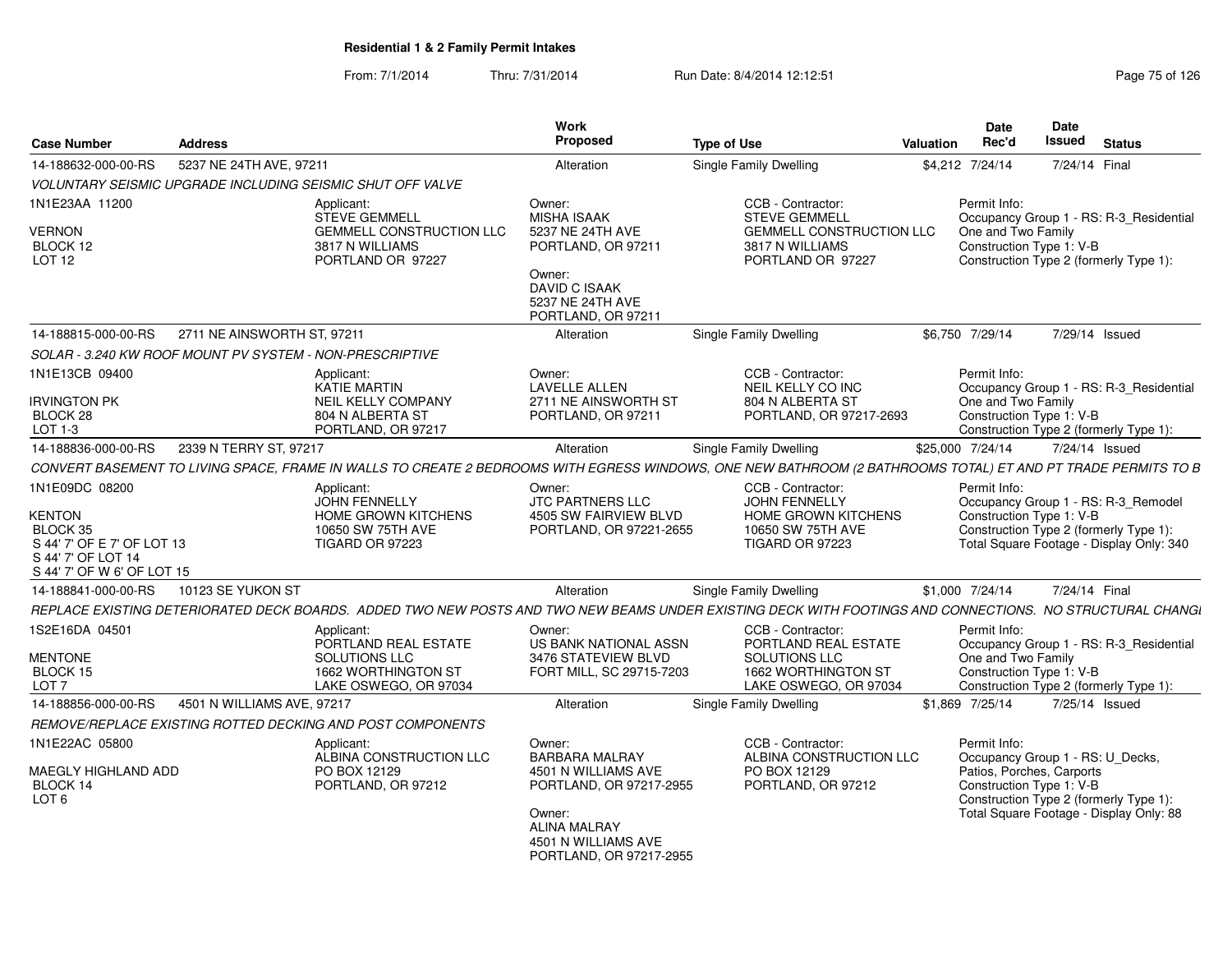| <b>Case Number</b>                                                                                                     | <b>Address</b>                                           |                                                                                                                                                              | Work<br>Proposed                                                                                                                                                     | <b>Type of Use</b>                                                                                                   | <b>Valuation</b> | <b>Date</b><br>Rec'd               | Date<br><b>Issued</b>                                 | <b>Status</b>                                                                                                             |
|------------------------------------------------------------------------------------------------------------------------|----------------------------------------------------------|--------------------------------------------------------------------------------------------------------------------------------------------------------------|----------------------------------------------------------------------------------------------------------------------------------------------------------------------|----------------------------------------------------------------------------------------------------------------------|------------------|------------------------------------|-------------------------------------------------------|---------------------------------------------------------------------------------------------------------------------------|
| 14-188632-000-00-RS                                                                                                    | 5237 NE 24TH AVE, 97211                                  |                                                                                                                                                              | Alteration                                                                                                                                                           | Single Family Dwelling                                                                                               |                  | \$4,212 7/24/14                    | 7/24/14 Final                                         |                                                                                                                           |
|                                                                                                                        |                                                          | VOLUNTARY SEISMIC UPGRADE INCLUDING SEISMIC SHUT OFF VALVE                                                                                                   |                                                                                                                                                                      |                                                                                                                      |                  |                                    |                                                       |                                                                                                                           |
| 1N1E23AA 11200<br><b>VERNON</b><br>BLOCK 12<br><b>LOT 12</b>                                                           |                                                          | Applicant:<br><b>STEVE GEMMELL</b><br><b>GEMMELL CONSTRUCTION LLC</b><br>3817 N WILLIAMS<br>PORTLAND OR 97227                                                | Owner:<br><b>MISHA ISAAK</b><br>5237 NE 24TH AVE<br>PORTLAND, OR 97211<br>Owner:<br><b>DAVID C ISAAK</b>                                                             | CCB - Contractor:<br><b>STEVE GEMMELL</b><br><b>GEMMELL CONSTRUCTION LLC</b><br>3817 N WILLIAMS<br>PORTLAND OR 97227 |                  | Permit Info:<br>One and Two Family | Construction Type 1: V-B                              | Occupancy Group 1 - RS: R-3 Residential<br>Construction Type 2 (formerly Type 1):                                         |
|                                                                                                                        |                                                          |                                                                                                                                                              | 5237 NE 24TH AVE<br>PORTLAND, OR 97211                                                                                                                               |                                                                                                                      |                  |                                    |                                                       |                                                                                                                           |
| 14-188815-000-00-RS                                                                                                    | 2711 NE AINSWORTH ST, 97211                              |                                                                                                                                                              | Alteration                                                                                                                                                           | <b>Single Family Dwelling</b>                                                                                        |                  | \$6,750 7/29/14                    |                                                       | 7/29/14 Issued                                                                                                            |
|                                                                                                                        | SOLAR - 3.240 KW ROOF MOUNT PV SYSTEM - NON-PRESCRIPTIVE |                                                                                                                                                              |                                                                                                                                                                      |                                                                                                                      |                  |                                    |                                                       |                                                                                                                           |
| 1N1E13CB 09400<br><b>RVINGTON PK</b><br>BLOCK 28<br>LOT 1-3                                                            |                                                          | Applicant:<br><b>KATIE MARTIN</b><br>NEIL KELLY COMPANY<br>804 N ALBERTA ST<br>PORTLAND, OR 97217                                                            | Owner:<br><b>LAVELLE ALLEN</b><br>2711 NE AINSWORTH ST<br>PORTLAND, OR 97211                                                                                         | CCB - Contractor:<br>NEIL KELLY CO INC<br>804 N ALBERTA ST<br>PORTLAND, OR 97217-2693                                |                  | Permit Info:<br>One and Two Family | Construction Type 1: V-B                              | Occupancy Group 1 - RS: R-3 Residential<br>Construction Type 2 (formerly Type 1):                                         |
| 14-188836-000-00-RS                                                                                                    | 2339 N TERRY ST, 97217                                   |                                                                                                                                                              | Alteration                                                                                                                                                           | Single Family Dwelling                                                                                               |                  | \$25,000 7/24/14                   |                                                       | 7/24/14 Issued                                                                                                            |
|                                                                                                                        |                                                          | CONVERT BASEMENT TO LIVING SPACE, FRAME IN WALLS TO CREATE 2 BEDROOMS WITH EGRESS WINDOWS, ONE NEW BATHROOM (2 BATHROOMS TOTAL) ET AND PT TRADE PERMITS TO B |                                                                                                                                                                      |                                                                                                                      |                  |                                    |                                                       |                                                                                                                           |
| 1N1E09DC 08200<br>KENTON<br>BLOCK 35<br>S 44' 7' OF E 7' OF LOT 13<br>S 44' 7' OF LOT 14<br>S 44' 7' OF W 6' OF LOT 15 |                                                          | Applicant:<br><b>JOHN FENNELLY</b><br><b>HOME GROWN KITCHENS</b><br>10650 SW 75TH AVE<br><b>TIGARD OR 97223</b>                                              | Owner:<br>JTC PARTNERS LLC<br>4505 SW FAIRVIEW BLVD<br>PORTLAND, OR 97221-2655                                                                                       | CCB - Contractor:<br><b>JOHN FENNELLY</b><br><b>HOME GROWN KITCHENS</b><br>10650 SW 75TH AVE<br>TIGARD OR 97223      |                  | Permit Info:                       | Construction Type 1: V-B                              | Occupancy Group 1 - RS: R-3_Remodel<br>Construction Type 2 (formerly Type 1):<br>Total Square Footage - Display Only: 340 |
| 14-188841-000-00-RS                                                                                                    | 10123 SE YUKON ST                                        |                                                                                                                                                              | Alteration                                                                                                                                                           | <b>Single Family Dwelling</b>                                                                                        |                  | \$1,000 7/24/14                    | 7/24/14 Final                                         |                                                                                                                           |
|                                                                                                                        |                                                          | REPLACE EXISTING DETERIORATED DECK BOARDS. ADDED TWO NEW POSTS AND TWO NEW BEAMS UNDER EXISTING DECK WITH FOOTINGS AND CONNECTIONS. NO STRUCTURAL CHANGI     |                                                                                                                                                                      |                                                                                                                      |                  |                                    |                                                       |                                                                                                                           |
| 1S2E16DA 04501<br><b>MENTONE</b><br>BLOCK 15<br>LOT <sub>7</sub>                                                       |                                                          | Applicant:<br>PORTLAND REAL ESTATE<br>SOLUTIONS LLC<br>1662 WORTHINGTON ST<br>LAKE OSWEGO, OR 97034                                                          | Owner:<br>US BANK NATIONAL ASSN<br>3476 STATEVIEW BLVD<br>FORT MILL, SC 29715-7203                                                                                   | CCB - Contractor:<br>PORTLAND REAL ESTATE<br><b>SOLUTIONS LLC</b><br>1662 WORTHINGTON ST<br>LAKE OSWEGO, OR 97034    |                  | Permit Info:<br>One and Two Family | Construction Type 1: V-B                              | Occupancy Group 1 - RS: R-3_Residential<br>Construction Type 2 (formerly Type 1):                                         |
| 14-188856-000-00-RS                                                                                                    | 4501 N WILLIAMS AVE, 97217                               |                                                                                                                                                              | Alteration                                                                                                                                                           | Single Family Dwelling                                                                                               |                  | \$1,869 7/25/14                    |                                                       | 7/25/14 Issued                                                                                                            |
|                                                                                                                        |                                                          | REMOVE/REPLACE EXISTING ROTTED DECKING AND POST COMPONENTS                                                                                                   |                                                                                                                                                                      |                                                                                                                      |                  |                                    |                                                       |                                                                                                                           |
| 1N1E22AC 05800<br>MAEGLY HIGHLAND ADD<br>BLOCK 14<br>LOT <sub>6</sub>                                                  |                                                          | Applicant:<br>ALBINA CONSTRUCTION LLC<br>PO BOX 12129<br>PORTLAND, OR 97212                                                                                  | Owner:<br><b>BARBARA MALRAY</b><br>4501 N WILLIAMS AVE<br>PORTLAND, OR 97217-2955<br>Owner:<br><b>ALINA MALRAY</b><br>4501 N WILLIAMS AVE<br>PORTLAND, OR 97217-2955 | CCB - Contractor:<br>ALBINA CONSTRUCTION LLC<br>PO BOX 12129<br>PORTLAND, OR 97212                                   |                  | Permit Info:                       | Patios, Porches, Carports<br>Construction Type 1: V-B | Occupancy Group 1 - RS: U_Decks,<br>Construction Type 2 (formerly Type 1):<br>Total Square Footage - Display Only: 88     |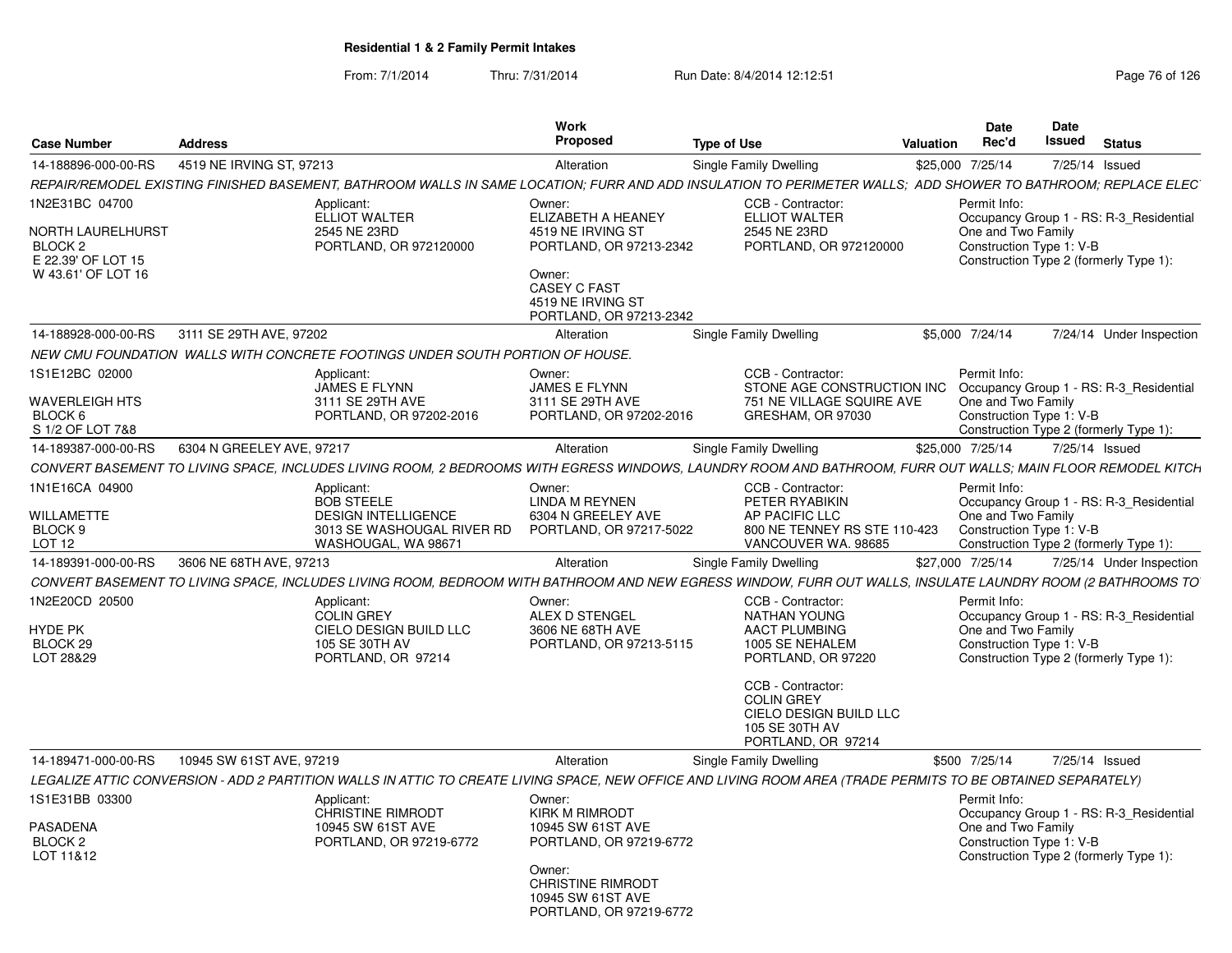| <b>Case Number</b>                                                                         | <b>Address</b>                                                                                                                                                | <b>Work</b><br>Proposed                                                                                                                                               | <b>Type of Use</b>                                                                                                                                                                                                    | <b>Valuation</b> | Date<br>Rec'd                                                  | Date<br><b>Issued</b> | <b>Status</b>                                                                     |
|--------------------------------------------------------------------------------------------|---------------------------------------------------------------------------------------------------------------------------------------------------------------|-----------------------------------------------------------------------------------------------------------------------------------------------------------------------|-----------------------------------------------------------------------------------------------------------------------------------------------------------------------------------------------------------------------|------------------|----------------------------------------------------------------|-----------------------|-----------------------------------------------------------------------------------|
| 14-188896-000-00-RS                                                                        | 4519 NE IRVING ST, 97213                                                                                                                                      | Alteration                                                                                                                                                            | Single Family Dwelling                                                                                                                                                                                                |                  | \$25,000 7/25/14                                               |                       | 7/25/14 Issued                                                                    |
|                                                                                            | REPAIR/REMODEL EXISTING FINISHED BASEMENT, BATHROOM WALLS IN SAME LOCATION; FURR AND ADD INSULATION TO PERIMETER WALLS; ADD SHOWER TO BATHROOM; REPLACE ELEC` |                                                                                                                                                                       |                                                                                                                                                                                                                       |                  |                                                                |                       |                                                                                   |
| 1N2E31BC 04700<br>NORTH LAURELHURST<br>BLOCK 2<br>E 22.39' OF LOT 15<br>W 43.61' OF LOT 16 | Applicant:<br><b>ELLIOT WALTER</b><br>2545 NE 23RD<br>PORTLAND, OR 972120000                                                                                  | Owner:<br>ELIZABETH A HEANEY<br>4519 NE IRVING ST<br>PORTLAND, OR 97213-2342<br>Owner:<br><b>CASEY C FAST</b><br>4519 NE IRVING ST<br>PORTLAND, OR 97213-2342         | CCB - Contractor:<br><b>ELLIOT WALTER</b><br>2545 NE 23RD<br>PORTLAND, OR 972120000                                                                                                                                   |                  | Permit Info:<br>One and Two Family<br>Construction Type 1: V-B |                       | Occupancy Group 1 - RS: R-3 Residential<br>Construction Type 2 (formerly Type 1): |
| 14-188928-000-00-RS                                                                        | 3111 SE 29TH AVE, 97202                                                                                                                                       | Alteration                                                                                                                                                            | Single Family Dwelling                                                                                                                                                                                                |                  | \$5,000 7/24/14                                                |                       | 7/24/14 Under Inspection                                                          |
|                                                                                            | NEW CMU FOUNDATION WALLS WITH CONCRETE FOOTINGS UNDER SOUTH PORTION OF HOUSE.                                                                                 |                                                                                                                                                                       |                                                                                                                                                                                                                       |                  |                                                                |                       |                                                                                   |
| 1S1E12BC 02000<br><b>WAVERLEIGH HTS</b><br>BLOCK 6<br>S 1/2 OF LOT 7&8                     | Applicant:<br>JAMES E FLYNN<br>3111 SE 29TH AVE<br>PORTLAND, OR 97202-2016                                                                                    | Owner:<br>JAMES E FLYNN<br>3111 SE 29TH AVE<br>PORTLAND, OR 97202-2016                                                                                                | CCB - Contractor:<br>STONE AGE CONSTRUCTION INC<br>751 NE VILLAGE SQUIRE AVE<br>GRESHAM, OR 97030                                                                                                                     |                  | Permit Info:<br>One and Two Family<br>Construction Type 1: V-B |                       | Occupancy Group 1 - RS: R-3_Residential<br>Construction Type 2 (formerly Type 1): |
| 14-189387-000-00-RS                                                                        | 6304 N GREELEY AVE, 97217                                                                                                                                     | Alteration                                                                                                                                                            | Single Family Dwelling                                                                                                                                                                                                |                  | \$25,000 7/25/14                                               |                       | 7/25/14 Issued                                                                    |
|                                                                                            | CONVERT BASEMENT TO LIVING SPACE. INCLUDES LIVING ROOM. 2 BEDROOMS WITH EGRESS WINDOWS. LAUNDRY ROOM AND BATHROOM. FURR OUT WALLS: MAIN FLOOR REMODEL KITCH   |                                                                                                                                                                       |                                                                                                                                                                                                                       |                  |                                                                |                       |                                                                                   |
| 1N1E16CA 04900<br><b>WILLAMETTE</b><br>BLOCK <sub>9</sub><br>LOT <sub>12</sub>             | Applicant:<br><b>BOB STEELE</b><br><b>DESIGN INTELLIGENCE</b><br>3013 SE WASHOUGAL RIVER RD<br>WASHOUGAL, WA 98671                                            | Owner:<br>LINDA M REYNEN<br>6304 N GREELEY AVE<br>PORTLAND, OR 97217-5022                                                                                             | CCB - Contractor:<br>PETER RYABIKIN<br>AP PACIFIC LLC<br>800 NE TENNEY RS STE 110-423<br>VANCOUVER WA. 98685                                                                                                          |                  | Permit Info:<br>One and Two Family<br>Construction Type 1: V-B |                       | Occupancy Group 1 - RS: R-3_Residential<br>Construction Type 2 (formerly Type 1): |
| 14-189391-000-00-RS                                                                        | 3606 NE 68TH AVE, 97213                                                                                                                                       | Alteration                                                                                                                                                            | Single Family Dwelling                                                                                                                                                                                                |                  | \$27,000 7/25/14                                               |                       | 7/25/14 Under Inspection                                                          |
|                                                                                            | CONVERT BASEMENT TO LIVING SPACE, INCLUDES LIVING ROOM, BEDROOM WITH BATHROOM AND NEW EGRESS WINDOW, FURR OUT WALLS, INSULATE LAUNDRY ROOM (2 BATHROOMS TO    |                                                                                                                                                                       |                                                                                                                                                                                                                       |                  |                                                                |                       |                                                                                   |
| 1N2E20CD 20500<br>HYDE PK<br>BLOCK <sub>29</sub><br>LOT 28&29                              | Applicant:<br><b>COLIN GREY</b><br>CIELO DESIGN BUILD LLC<br>105 SE 30TH AV<br>PORTLAND, OR 97214                                                             | Owner:<br>ALEX D STENGEL<br>3606 NE 68TH AVE<br>PORTLAND, OR 97213-5115                                                                                               | CCB - Contractor:<br><b>NATHAN YOUNG</b><br><b>AACT PLUMBING</b><br>1005 SE NEHALEM<br>PORTLAND, OR 97220<br>CCB - Contractor:<br><b>COLIN GREY</b><br>CIELO DESIGN BUILD LLC<br>105 SE 30TH AV<br>PORTLAND, OR 97214 |                  | Permit Info:<br>One and Two Family<br>Construction Type 1: V-B |                       | Occupancy Group 1 - RS: R-3_Residential<br>Construction Type 2 (formerly Type 1): |
| 14-189471-000-00-RS                                                                        | 10945 SW 61ST AVE, 97219                                                                                                                                      | Alteration                                                                                                                                                            | Single Family Dwelling                                                                                                                                                                                                |                  | \$500 7/25/14                                                  |                       | 7/25/14 Issued                                                                    |
|                                                                                            | LEGALIZE ATTIC CONVERSION - ADD 2 PARTITION WALLS IN ATTIC TO CREATE LIVING SPACE, NEW OFFICE AND LIVING ROOM AREA (TRADE PERMITS TO BE OBTAINED SEPARATELY)  |                                                                                                                                                                       |                                                                                                                                                                                                                       |                  |                                                                |                       |                                                                                   |
| 1S1E31BB 03300<br>PASADENA<br>BLOCK 2<br>LOT 11&12                                         | Applicant:<br><b>CHRISTINE RIMRODT</b><br>10945 SW 61ST AVE<br>PORTLAND, OR 97219-6772                                                                        | Owner:<br><b>KIRK M RIMRODT</b><br>10945 SW 61ST AVE<br>PORTLAND, OR 97219-6772<br>Owner:<br><b>CHRISTINE RIMRODT</b><br>10945 SW 61ST AVE<br>PORTLAND, OR 97219-6772 |                                                                                                                                                                                                                       |                  | Permit Info:<br>One and Two Family<br>Construction Type 1: V-B |                       | Occupancy Group 1 - RS: R-3_Residential<br>Construction Type 2 (formerly Type 1): |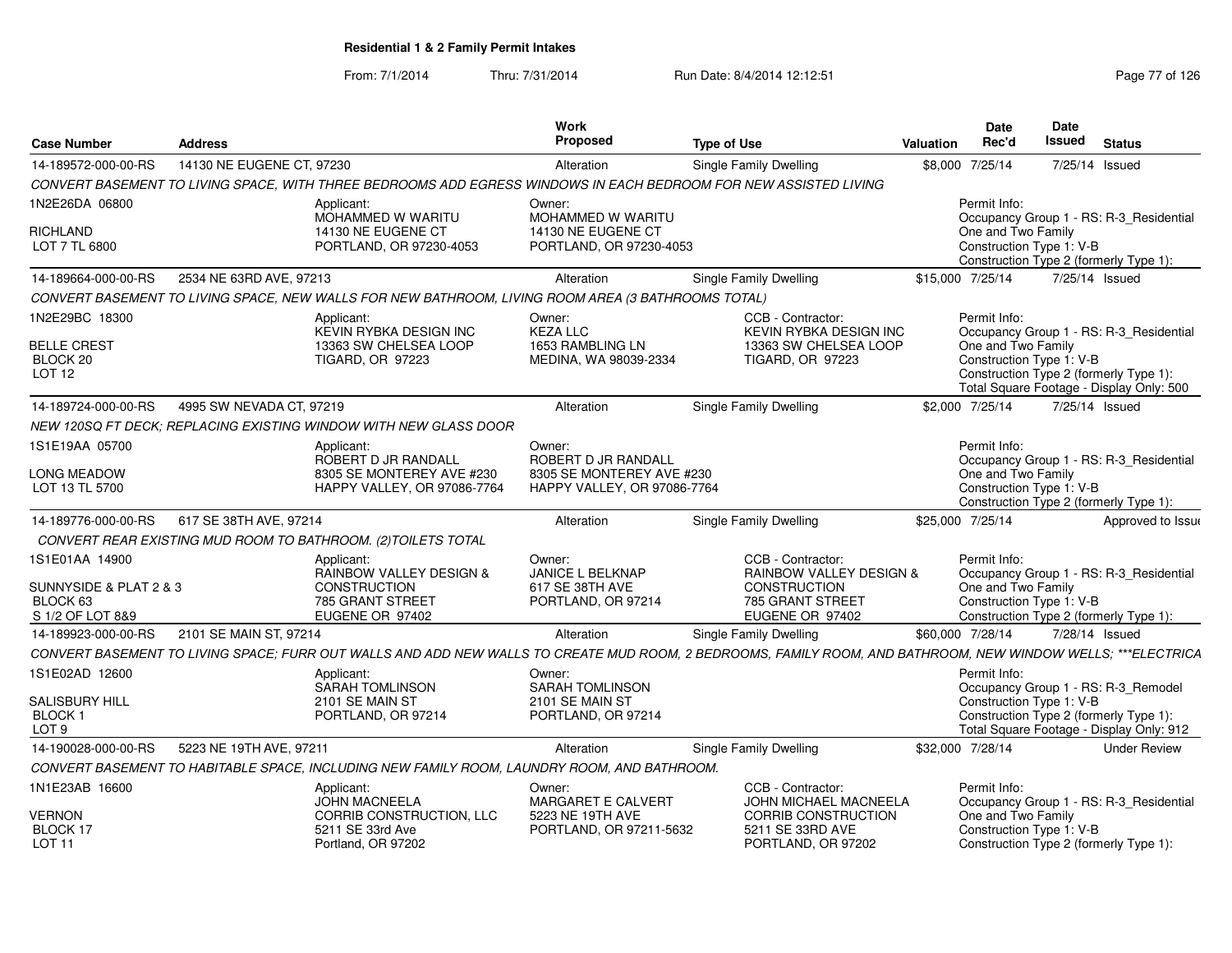| <b>Case Number</b>                                     | <b>Address</b>            |                                                                                                                                                              | Work<br><b>Proposed</b>                                                                   | <b>Type of Use</b>                                                                              | <b>Valuation</b> | <b>Date</b><br>Rec'd                                           | Date<br>Issued | <b>Status</b>                                                                      |
|--------------------------------------------------------|---------------------------|--------------------------------------------------------------------------------------------------------------------------------------------------------------|-------------------------------------------------------------------------------------------|-------------------------------------------------------------------------------------------------|------------------|----------------------------------------------------------------|----------------|------------------------------------------------------------------------------------|
| 14-189572-000-00-RS                                    | 14130 NE EUGENE CT, 97230 |                                                                                                                                                              | Alteration                                                                                | Single Family Dwelling                                                                          |                  | \$8,000 7/25/14                                                | 7/25/14 Issued |                                                                                    |
|                                                        |                           | CONVERT BASEMENT TO LIVING SPACE, WITH THREE BEDROOMS ADD EGRESS WINDOWS IN EACH BEDROOM FOR NEW ASSISTED LIVING                                             |                                                                                           |                                                                                                 |                  |                                                                |                |                                                                                    |
| 1N2E26DA 06800                                         |                           | Applicant:<br>MOHAMMED W WARITU                                                                                                                              | Owner:<br>MOHAMMED W WARITU                                                               |                                                                                                 |                  | Permit Info:                                                   |                | Occupancy Group 1 - RS: R-3 Residential                                            |
| RICHLAND<br>LOT 7 TL 6800                              |                           | 14130 NE EUGENE CT<br>PORTLAND, OR 97230-4053                                                                                                                | 14130 NE EUGENE CT<br>PORTLAND, OR 97230-4053                                             |                                                                                                 |                  | One and Two Family<br>Construction Type 1: V-B                 |                | Construction Type 2 (formerly Type 1):                                             |
| 14-189664-000-00-RS                                    | 2534 NE 63RD AVE, 97213   |                                                                                                                                                              | Alteration                                                                                | Single Family Dwelling                                                                          |                  | \$15,000 7/25/14                                               | 7/25/14 Issued |                                                                                    |
|                                                        |                           | CONVERT BASEMENT TO LIVING SPACE, NEW WALLS FOR NEW BATHROOM, LIVING ROOM AREA (3 BATHROOMS TOTAL)                                                           |                                                                                           |                                                                                                 |                  |                                                                |                |                                                                                    |
| 1N2E29BC 18300<br><b>BELLE CREST</b><br>BLOCK 20       |                           | Applicant:<br>KEVIN RYBKA DESIGN INC<br>13363 SW CHELSEA LOOP<br><b>TIGARD, OR 97223</b>                                                                     | Owner:<br><b>KEZA LLC</b><br>1653 RAMBLING LN<br>MEDINA, WA 98039-2334                    | CCB - Contractor:<br>KEVIN RYBKA DESIGN INC<br>13363 SW CHELSEA LOOP<br><b>TIGARD, OR 97223</b> |                  | Permit Info:<br>One and Two Family<br>Construction Type 1: V-B |                | Occupancy Group 1 - RS: R-3_Residential                                            |
| LOT <sub>12</sub>                                      |                           |                                                                                                                                                              |                                                                                           |                                                                                                 |                  |                                                                |                | Construction Type 2 (formerly Type 1):<br>Total Square Footage - Display Only: 500 |
| 14-189724-000-00-RS                                    | 4995 SW NEVADA CT, 97219  |                                                                                                                                                              | Alteration                                                                                | Single Family Dwelling                                                                          |                  | \$2,000 7/25/14                                                | 7/25/14 Issued |                                                                                    |
|                                                        |                           | NEW 120SQ FT DECK: REPLACING EXISTING WINDOW WITH NEW GLASS DOOR                                                                                             |                                                                                           |                                                                                                 |                  |                                                                |                |                                                                                    |
| 1S1E19AA 05700<br><b>LONG MEADOW</b><br>LOT 13 TL 5700 |                           | Applicant:<br>ROBERT D JR RANDALL<br>8305 SE MONTEREY AVE #230<br>HAPPY VALLEY, OR 97086-7764                                                                | Owner:<br>ROBERT D JR RANDALL<br>8305 SE MONTEREY AVE #230<br>HAPPY VALLEY, OR 97086-7764 |                                                                                                 |                  | Permit Info:<br>One and Two Family<br>Construction Type 1: V-B |                | Occupancy Group 1 - RS: R-3 Residential<br>Construction Type 2 (formerly Type 1):  |
| 14-189776-000-00-RS                                    | 617 SE 38TH AVE, 97214    |                                                                                                                                                              | Alteration                                                                                | <b>Single Family Dwelling</b>                                                                   |                  | \$25,000 7/25/14                                               |                | Approved to Issue                                                                  |
|                                                        |                           | CONVERT REAR EXISTING MUD ROOM TO BATHROOM. (2) TOILETS TOTAL                                                                                                |                                                                                           |                                                                                                 |                  |                                                                |                |                                                                                    |
| 1S1E01AA 14900                                         |                           | Applicant:<br>RAINBOW VALLEY DESIGN &                                                                                                                        | Owner:<br>JANICE L BELKNAP                                                                | CCB - Contractor:<br>RAINBOW VALLEY DESIGN &                                                    |                  | Permit Info:                                                   |                | Occupancy Group 1 - RS: R-3_Residential                                            |
| SUNNYSIDE & PLAT 2 & 3<br>BLOCK 63<br>S 1/2 OF LOT 8&9 |                           | CONSTRUCTION<br>785 GRANT STREET<br>EUGENE OR 97402                                                                                                          | 617 SE 38TH AVE<br>PORTLAND, OR 97214                                                     | CONSTRUCTION<br>785 GRANT STREET<br>EUGENE OR 97402                                             |                  | One and Two Family<br>Construction Type 1: V-B                 |                | Construction Type 2 (formerly Type 1):                                             |
| 14-189923-000-00-RS                                    | 2101 SE MAIN ST, 97214    |                                                                                                                                                              | Alteration                                                                                | Single Family Dwelling                                                                          |                  | \$60,000 7/28/14                                               | 7/28/14 Issued |                                                                                    |
|                                                        |                           | CONVERT BASEMENT TO LIVING SPACE; FURR OUT WALLS AND ADD NEW WALLS TO CREATE MUD ROOM, 2 BEDROOMS, FAMILY ROOM, AND BATHROOM, NEW WINDOW WELLS; ***ELECTRICA |                                                                                           |                                                                                                 |                  |                                                                |                |                                                                                    |
| 1S1E02AD 12600                                         |                           | Applicant:<br><b>SARAH TOMLINSON</b>                                                                                                                         | Owner:<br><b>SARAH TOMLINSON</b>                                                          |                                                                                                 |                  | Permit Info:                                                   |                | Occupancy Group 1 - RS: R-3_Remodel                                                |
| <b>SALISBURY HILL</b><br><b>BLOCK1</b><br>LOT 9        |                           | 2101 SE MAIN ST<br>PORTLAND, OR 97214                                                                                                                        | 2101 SE MAIN ST<br>PORTLAND, OR 97214                                                     |                                                                                                 |                  | Construction Type 1: V-B                                       |                | Construction Type 2 (formerly Type 1):<br>Total Square Footage - Display Only: 912 |
| 14-190028-000-00-RS                                    | 5223 NE 19TH AVE, 97211   |                                                                                                                                                              | Alteration                                                                                | <b>Single Family Dwelling</b>                                                                   |                  | \$32,000 7/28/14                                               |                | <b>Under Review</b>                                                                |
|                                                        |                           | CONVERT BASEMENT TO HABITABLE SPACE, INCLUDING NEW FAMILY ROOM, LAUNDRY ROOM, AND BATHROOM.                                                                  |                                                                                           |                                                                                                 |                  |                                                                |                |                                                                                    |
| 1N1E23AB 16600                                         |                           | Applicant:<br><b>JOHN MACNEELA</b>                                                                                                                           | Owner:<br><b>MARGARET E CALVERT</b>                                                       | CCB - Contractor:<br><b>JOHN MICHAEL MACNEELA</b>                                               |                  | Permit Info:                                                   |                | Occupancy Group 1 - RS: R-3_Residential                                            |
| <b>VERNON</b><br>BLOCK 17<br>LOT 11                    |                           | CORRIB CONSTRUCTION, LLC<br>5211 SE 33rd Ave<br>Portland, OR 97202                                                                                           | 5223 NE 19TH AVE<br>PORTLAND, OR 97211-5632                                               | <b>CORRIB CONSTRUCTION</b><br>5211 SE 33RD AVE<br>PORTLAND, OR 97202                            |                  | One and Two Family<br>Construction Type 1: V-B                 |                | Construction Type 2 (formerly Type 1):                                             |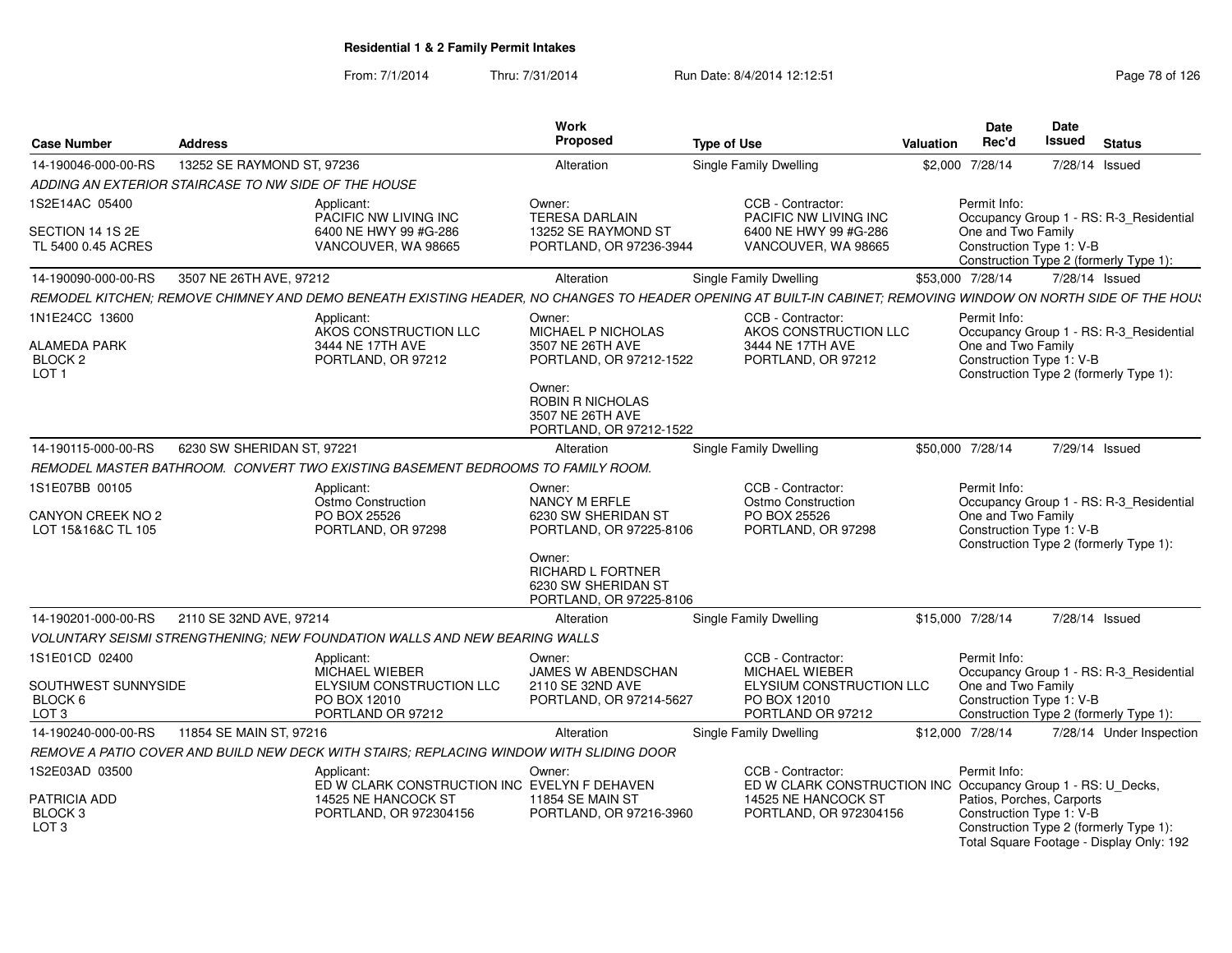| <b>Case Number</b>                                                   | <b>Address</b>                                       |                                                                                                                                                               | <b>Work</b><br><b>Proposed</b>                                                                                                                                  | <b>Type of Use</b> |                                                                                                             | <b>Valuation</b> | <b>Date</b><br>Rec'd                                                                                      | Date<br>Issued | <b>Status</b>                                                                      |
|----------------------------------------------------------------------|------------------------------------------------------|---------------------------------------------------------------------------------------------------------------------------------------------------------------|-----------------------------------------------------------------------------------------------------------------------------------------------------------------|--------------------|-------------------------------------------------------------------------------------------------------------|------------------|-----------------------------------------------------------------------------------------------------------|----------------|------------------------------------------------------------------------------------|
| 14-190046-000-00-RS                                                  | 13252 SE RAYMOND ST, 97236                           |                                                                                                                                                               | Alteration                                                                                                                                                      |                    | <b>Single Family Dwelling</b>                                                                               | \$2,000          | 7/28/14                                                                                                   | 7/28/14 Issued |                                                                                    |
|                                                                      | ADDING AN EXTERIOR STAIRCASE TO NW SIDE OF THE HOUSE |                                                                                                                                                               |                                                                                                                                                                 |                    |                                                                                                             |                  |                                                                                                           |                |                                                                                    |
| 1S2E14AC 05400                                                       |                                                      | Applicant:<br>PACIFIC NW LIVING INC                                                                                                                           | Owner:<br><b>TERESA DARLAIN</b>                                                                                                                                 |                    | CCB - Contractor:<br>PACIFIC NW LIVING INC                                                                  |                  | Permit Info:                                                                                              |                | Occupancy Group 1 - RS: R-3_Residential                                            |
| SECTION 14 1S 2E<br>TL 5400 0.45 ACRES                               |                                                      | 6400 NE HWY 99 #G-286<br>VANCOUVER, WA 98665                                                                                                                  | 13252 SE RAYMOND ST<br>PORTLAND, OR 97236-3944                                                                                                                  |                    | 6400 NE HWY 99 #G-286<br>VANCOUVER, WA 98665                                                                |                  | One and Two Family<br>Construction Type 1: V-B                                                            |                | Construction Type 2 (formerly Type 1):                                             |
| 14-190090-000-00-RS                                                  | 3507 NE 26TH AVE, 97212                              |                                                                                                                                                               | Alteration                                                                                                                                                      |                    | Single Family Dwelling                                                                                      |                  | \$53,000 7/28/14                                                                                          | 7/28/14 Issued |                                                                                    |
|                                                                      |                                                      | REMODEL KITCHEN; REMOVE CHIMNEY AND DEMO BENEATH EXISTING HEADER, NO CHANGES TO HEADER OPENING AT BUILT-IN CABINET; REMOVING WINDOW ON NORTH SIDE OF THE HOU: |                                                                                                                                                                 |                    |                                                                                                             |                  |                                                                                                           |                |                                                                                    |
| 1N1E24CC 13600<br><b>ALAMEDA PARK</b><br>BLOCK 2<br>LOT <sub>1</sub> |                                                      | Applicant:<br>AKOS CONSTRUCTION LLC<br>3444 NE 17TH AVE<br>PORTLAND, OR 97212                                                                                 | Owner:<br>MICHAEL P NICHOLAS<br>3507 NE 26TH AVE<br>PORTLAND, OR 97212-1522<br>Owner:<br><b>ROBIN R NICHOLAS</b><br>3507 NE 26TH AVE<br>PORTLAND, OR 97212-1522 |                    | CCB - Contractor:<br>AKOS CONSTRUCTION LLC<br>3444 NE 17TH AVE<br>PORTLAND, OR 97212                        |                  | Permit Info:<br>One and Two Family<br>Construction Type 1: V-B                                            |                | Occupancy Group 1 - RS: R-3_Residential<br>Construction Type 2 (formerly Type 1):  |
| 14-190115-000-00-RS                                                  | 6230 SW SHERIDAN ST, 97221                           |                                                                                                                                                               | Alteration                                                                                                                                                      |                    | Single Family Dwelling                                                                                      |                  | \$50,000 7/28/14                                                                                          | 7/29/14 Issued |                                                                                    |
|                                                                      |                                                      | REMODEL MASTER BATHROOM. CONVERT TWO EXISTING BASEMENT BEDROOMS TO FAMILY ROOM.                                                                               |                                                                                                                                                                 |                    |                                                                                                             |                  |                                                                                                           |                |                                                                                    |
| 1S1E07BB 00105<br>CANYON CREEK NO 2<br>LOT 15&16&C TL 105            |                                                      | Applicant:<br>Ostmo Construction<br>PO BOX 25526<br>PORTLAND, OR 97298                                                                                        | Owner:<br>NANCY M ERFLE<br>6230 SW SHERIDAN ST<br>PORTLAND, OR 97225-8106                                                                                       |                    | CCB - Contractor:<br>Ostmo Construction<br>PO BOX 25526<br>PORTLAND, OR 97298                               |                  | Permit Info:<br>One and Two Family<br>Construction Type 1: V-B                                            |                | Occupancy Group 1 - RS: R-3_Residential<br>Construction Type 2 (formerly Type 1):  |
|                                                                      |                                                      |                                                                                                                                                               | Owner:<br>RICHARD L FORTNER<br>6230 SW SHERIDAN ST<br>PORTLAND, OR 97225-8106                                                                                   |                    |                                                                                                             |                  |                                                                                                           |                |                                                                                    |
| 14-190201-000-00-RS                                                  | 2110 SE 32ND AVE, 97214                              |                                                                                                                                                               | Alteration                                                                                                                                                      |                    | <b>Single Family Dwelling</b>                                                                               |                  | \$15,000 7/28/14                                                                                          | 7/28/14 Issued |                                                                                    |
|                                                                      |                                                      | <b>VOLUNTARY SEISMI STRENGTHENING: NEW FOUNDATION WALLS AND NEW BEARING WALLS</b>                                                                             |                                                                                                                                                                 |                    |                                                                                                             |                  |                                                                                                           |                |                                                                                    |
| 1S1E01CD 02400<br>SOUTHWEST SUNNYSIDE<br>BLOCK 6<br>LOT <sub>3</sub> |                                                      | Applicant:<br>MICHAEL WIEBER<br>ELYSIUM CONSTRUCTION LLC<br>PO BOX 12010<br>PORTLAND OR 97212                                                                 | Owner:<br>JAMES W ABENDSCHAN<br>2110 SE 32ND AVE<br>PORTLAND, OR 97214-5627                                                                                     |                    | CCB - Contractor:<br><b>MICHAEL WIEBER</b><br>ELYSIUM CONSTRUCTION LLC<br>PO BOX 12010<br>PORTLAND OR 97212 |                  | Permit Info:<br>One and Two Family<br>Construction Type 1: V-B                                            |                | Occupancy Group 1 - RS: R-3 Residential<br>Construction Type 2 (formerly Type 1):  |
| 14-190240-000-00-RS                                                  | 11854 SE MAIN ST, 97216                              |                                                                                                                                                               | Alteration                                                                                                                                                      |                    | Single Family Dwelling                                                                                      |                  | \$12,000 7/28/14                                                                                          |                | 7/28/14 Under Inspection                                                           |
|                                                                      |                                                      | REMOVE A PATIO COVER AND BUILD NEW DECK WITH STAIRS: REPLACING WINDOW WITH SLIDING DOOR                                                                       |                                                                                                                                                                 |                    |                                                                                                             |                  |                                                                                                           |                |                                                                                    |
| 1S2E03AD 03500<br><b>PATRICIA ADD</b><br>BLOCK <sub>3</sub><br>LOT 3 |                                                      | Applicant:<br>ED W CLARK CONSTRUCTION INC EVELYN F DEHAVEN<br>14525 NE HANCOCK ST<br>PORTLAND, OR 972304156                                                   | Owner:<br><b>11854 SE MAIN ST</b><br>PORTLAND, OR 97216-3960                                                                                                    |                    | CCB - Contractor:<br>ED W CLARK CONSTRUCTION INC<br>14525 NE HANCOCK ST<br>PORTLAND, OR 972304156           |                  | Permit Info:<br>Occupancy Group 1 - RS: U_Decks,<br>Patios, Porches, Carports<br>Construction Type 1: V-B |                | Construction Type 2 (formerly Type 1):<br>Total Square Footage - Display Only: 192 |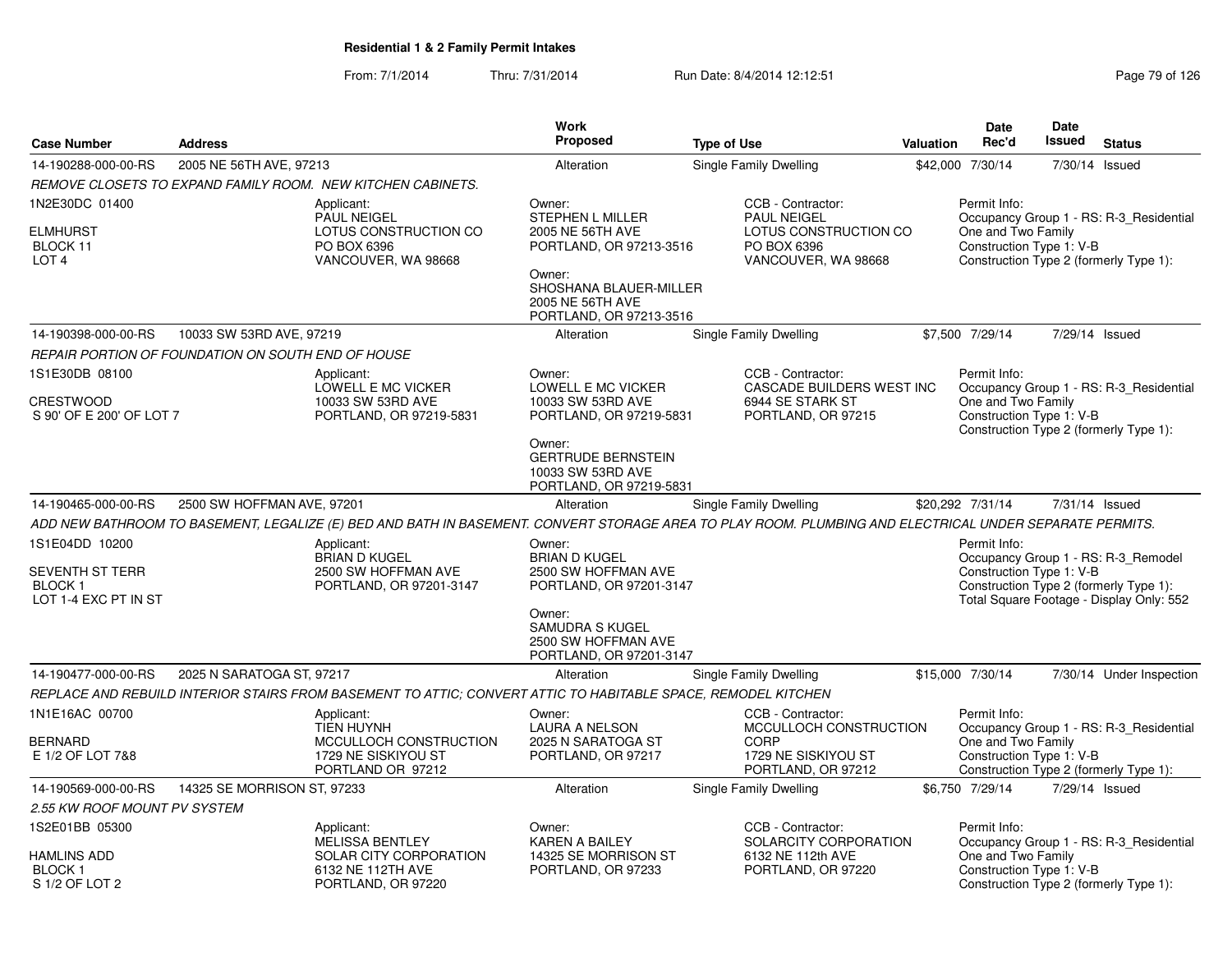|                                                                   |                                                    |                                                                                                                                                         | <b>Work</b>                                                                                                                              |                                                                                                        |                  | <b>Date</b>                                                    | <b>Date</b> |                                                                                    |
|-------------------------------------------------------------------|----------------------------------------------------|---------------------------------------------------------------------------------------------------------------------------------------------------------|------------------------------------------------------------------------------------------------------------------------------------------|--------------------------------------------------------------------------------------------------------|------------------|----------------------------------------------------------------|-------------|------------------------------------------------------------------------------------|
| <b>Case Number</b>                                                | <b>Address</b>                                     |                                                                                                                                                         | <b>Proposed</b>                                                                                                                          | <b>Type of Use</b>                                                                                     | <b>Valuation</b> | Rec'd                                                          | Issued      | <b>Status</b>                                                                      |
| 14-190288-000-00-RS                                               | 2005 NE 56TH AVE, 97213                            |                                                                                                                                                         | Alteration                                                                                                                               | <b>Single Family Dwelling</b>                                                                          |                  | \$42,000 7/30/14                                               | 7/30/14     | Issued                                                                             |
|                                                                   |                                                    | REMOVE CLOSETS TO EXPAND FAMILY ROOM. NEW KITCHEN CABINETS.                                                                                             |                                                                                                                                          |                                                                                                        |                  |                                                                |             |                                                                                    |
| 1N2E30DC 01400<br><b>ELMHURST</b><br>BLOCK 11<br>LOT <sub>4</sub> |                                                    | Applicant:<br><b>PAUL NEIGEL</b><br>LOTUS CONSTRUCTION CO<br>PO BOX 6396<br>VANCOUVER, WA 98668                                                         | Owner:<br><b>STEPHEN L MILLER</b><br>2005 NE 56TH AVE<br>PORTLAND, OR 97213-3516<br>Owner:<br>SHOSHANA BLAUER-MILLER<br>2005 NE 56TH AVE | CCB - Contractor:<br><b>PAUL NEIGEL</b><br>LOTUS CONSTRUCTION CO<br>PO BOX 6396<br>VANCOUVER, WA 98668 |                  | Permit Info:<br>One and Two Family<br>Construction Type 1: V-B |             | Occupancy Group 1 - RS: R-3 Residential<br>Construction Type 2 (formerly Type 1):  |
|                                                                   |                                                    |                                                                                                                                                         | PORTLAND, OR 97213-3516                                                                                                                  |                                                                                                        |                  |                                                                |             |                                                                                    |
| 14-190398-000-00-RS                                               | 10033 SW 53RD AVE, 97219                           |                                                                                                                                                         | Alteration                                                                                                                               | <b>Single Family Dwelling</b>                                                                          |                  | \$7,500 7/29/14                                                |             | 7/29/14 Issued                                                                     |
|                                                                   | REPAIR PORTION OF FOUNDATION ON SOUTH END OF HOUSE |                                                                                                                                                         |                                                                                                                                          |                                                                                                        |                  |                                                                |             |                                                                                    |
| 1S1E30DB 08100<br><b>CRESTWOOD</b>                                |                                                    | Applicant:<br>LOWELL E MC VICKER<br>10033 SW 53RD AVE                                                                                                   | Owner:<br>LOWELL E MC VICKER<br>10033 SW 53RD AVE                                                                                        | CCB - Contractor:<br>CASCADE BUILDERS WEST INC<br>6944 SE STARK ST                                     |                  | Permit Info:<br>One and Two Family                             |             | Occupancy Group 1 - RS: R-3 Residential                                            |
| S 90' OF E 200' OF LOT 7                                          |                                                    | PORTLAND, OR 97219-5831                                                                                                                                 | PORTLAND, OR 97219-5831                                                                                                                  | PORTLAND, OR 97215                                                                                     |                  | Construction Type 1: V-B                                       |             | Construction Type 2 (formerly Type 1):                                             |
|                                                                   |                                                    |                                                                                                                                                         | Owner:<br><b>GERTRUDE BERNSTEIN</b><br>10033 SW 53RD AVE<br>PORTLAND, OR 97219-5831                                                      |                                                                                                        |                  |                                                                |             |                                                                                    |
| 14-190465-000-00-RS                                               | 2500 SW HOFFMAN AVE, 97201                         |                                                                                                                                                         | Alteration                                                                                                                               | Single Family Dwelling                                                                                 |                  | \$20,292 7/31/14                                               |             | 7/31/14 Issued                                                                     |
|                                                                   |                                                    | ADD NEW BATHROOM TO BASEMENT, LEGALIZE (E) BED AND BATH IN BASEMENT. CONVERT STORAGE AREA TO PLAY ROOM. PLUMBING AND ELECTRICAL UNDER SEPARATE PERMITS. |                                                                                                                                          |                                                                                                        |                  |                                                                |             |                                                                                    |
| 1S1E04DD 10200<br><b>SEVENTH ST TERR</b>                          |                                                    | Applicant:<br><b>BRIAN D KUGEL</b><br>2500 SW HOFFMAN AVE                                                                                               | Owner:<br><b>BRIAN D KUGEL</b><br>2500 SW HOFFMAN AVE                                                                                    |                                                                                                        |                  | Permit Info:<br>Construction Type 1: V-B                       |             | Occupancy Group 1 - RS: R-3_Remodel                                                |
| <b>BLOCK1</b><br>LOT 1-4 EXC PT IN ST                             |                                                    | PORTLAND, OR 97201-3147                                                                                                                                 | PORTLAND, OR 97201-3147                                                                                                                  |                                                                                                        |                  |                                                                |             | Construction Type 2 (formerly Type 1):<br>Total Square Footage - Display Only: 552 |
|                                                                   |                                                    |                                                                                                                                                         | Owner:<br><b>SAMUDRA S KUGEL</b><br>2500 SW HOFFMAN AVE<br>PORTLAND, OR 97201-3147                                                       |                                                                                                        |                  |                                                                |             |                                                                                    |
| 14-190477-000-00-RS                                               | 2025 N SARATOGA ST, 97217                          |                                                                                                                                                         | Alteration                                                                                                                               | <b>Single Family Dwelling</b>                                                                          |                  | \$15,000 7/30/14                                               |             | 7/30/14 Under Inspection                                                           |
|                                                                   |                                                    | REPLACE AND REBUILD INTERIOR STAIRS FROM BASEMENT TO ATTIC: CONVERT ATTIC TO HABITABLE SPACE. REMODEL KITCHEN                                           |                                                                                                                                          |                                                                                                        |                  |                                                                |             |                                                                                    |
| 1N1E16AC 00700                                                    |                                                    | Applicant:<br><b>TIEN HUYNH</b>                                                                                                                         | Owner:<br><b>LAURA A NELSON</b>                                                                                                          | CCB - Contractor:<br>MCCULLOCH CONSTRUCTION                                                            |                  | Permit Info:                                                   |             | Occupancy Group 1 - RS: R-3 Residential                                            |
| BERNARD<br>E 1/2 OF LOT 7&8                                       |                                                    | MCCULLOCH CONSTRUCTION<br>1729 NE SISKIYOU ST<br>PORTLAND OR 97212                                                                                      | 2025 N SARATOGA ST<br>PORTLAND, OR 97217                                                                                                 | <b>CORP</b><br>1729 NE SISKIYOU ST<br>PORTLAND, OR 97212                                               |                  | One and Two Family<br>Construction Type 1: V-B                 |             | Construction Type 2 (formerly Type 1):                                             |
| 14-190569-000-00-RS                                               | 14325 SE MORRISON ST, 97233                        |                                                                                                                                                         | Alteration                                                                                                                               | <b>Single Family Dwelling</b>                                                                          |                  | \$6,750 7/29/14                                                |             | 7/29/14 Issued                                                                     |
| 2.55 KW ROOF MOUNT PV SYSTEM                                      |                                                    |                                                                                                                                                         |                                                                                                                                          |                                                                                                        |                  |                                                                |             |                                                                                    |
| 1S2E01BB 05300                                                    |                                                    | Applicant:<br>MELISSA BENTLEY                                                                                                                           | Owner:<br><b>KAREN A BAILEY</b>                                                                                                          | CCB - Contractor:<br>SOLARCITY CORPORATION                                                             |                  | Permit Info:                                                   |             | Occupancy Group 1 - RS: R-3 Residential                                            |
| <b>HAMLINS ADD</b><br><b>BLOCK1</b><br>S 1/2 OF LOT 2             |                                                    | SOLAR CITY CORPORATION<br>6132 NE 112TH AVE<br>PORTLAND, OR 97220                                                                                       | 14325 SE MORRISON ST<br>PORTLAND, OR 97233                                                                                               | 6132 NE 112th AVE<br>PORTLAND, OR 97220                                                                |                  | One and Two Family<br>Construction Type 1: V-B                 |             | Construction Type 2 (formerly Type 1):                                             |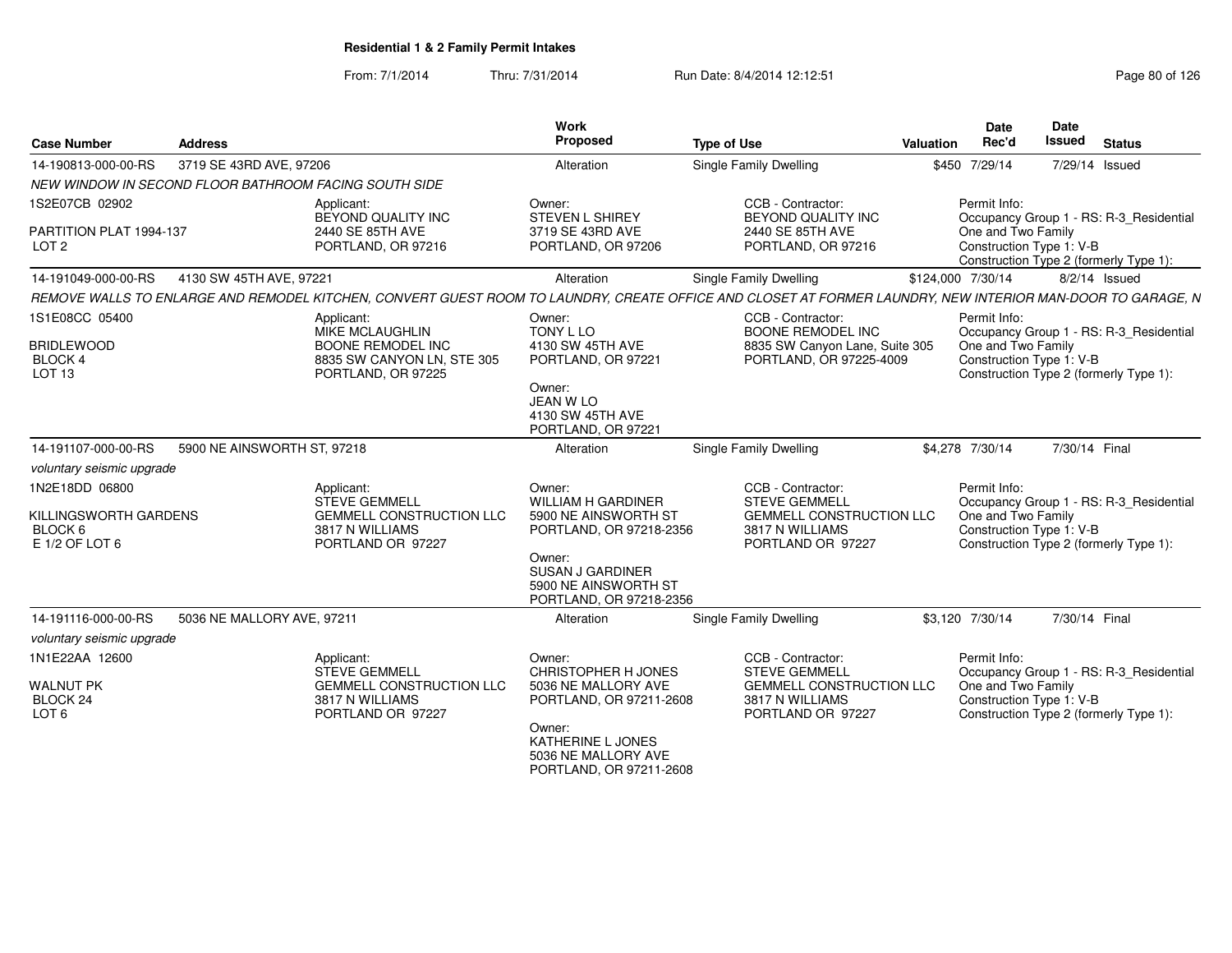| <b>Case Number</b>                                                        | <b>Address</b>                                        |                                                                                                               | Work<br>Proposed                                                                                                                                                        | <b>Type of Use</b>                                                                                                                                         | Valuation | Date<br>Rec'd                                                  | Date<br><b>Issued</b> | <b>Status</b>                                                                     |
|---------------------------------------------------------------------------|-------------------------------------------------------|---------------------------------------------------------------------------------------------------------------|-------------------------------------------------------------------------------------------------------------------------------------------------------------------------|------------------------------------------------------------------------------------------------------------------------------------------------------------|-----------|----------------------------------------------------------------|-----------------------|-----------------------------------------------------------------------------------|
| 14-190813-000-00-RS                                                       | 3719 SE 43RD AVE, 97206                               |                                                                                                               | Alteration                                                                                                                                                              | <b>Single Family Dwelling</b>                                                                                                                              |           | \$450 7/29/14                                                  |                       | 7/29/14 Issued                                                                    |
|                                                                           | NEW WINDOW IN SECOND FLOOR BATHROOM FACING SOUTH SIDE |                                                                                                               |                                                                                                                                                                         |                                                                                                                                                            |           |                                                                |                       |                                                                                   |
| 1S2E07CB 02902                                                            |                                                       | Applicant:<br>BEYOND QUALITY INC                                                                              | Owner:<br>STEVEN L SHIREY                                                                                                                                               | CCB - Contractor:<br>BEYOND QUALITY INC                                                                                                                    |           | Permit Info:                                                   |                       | Occupancy Group 1 - RS: R-3_Residential                                           |
| PARTITION PLAT 1994-137<br>LOT <sub>2</sub>                               |                                                       | 2440 SE 85TH AVE<br>PORTLAND, OR 97216                                                                        | 3719 SE 43RD AVE<br>PORTLAND, OR 97206                                                                                                                                  | 2440 SE 85TH AVE<br>PORTLAND, OR 97216                                                                                                                     |           | One and Two Family<br>Construction Type 1: V-B                 |                       | Construction Type 2 (formerly Type 1):                                            |
| 14-191049-000-00-RS                                                       | 4130 SW 45TH AVE, 97221                               |                                                                                                               | Alteration                                                                                                                                                              | Single Family Dwelling                                                                                                                                     |           | \$124,000 7/30/14                                              |                       | $8/2/14$ Issued                                                                   |
|                                                                           |                                                       |                                                                                                               |                                                                                                                                                                         | REMOVE WALLS TO ENLARGE AND REMODEL KITCHEN, CONVERT GUEST ROOM TO LAUNDRY, CREATE OFFICE AND CLOSET AT FORMER LAUNDRY, NEW INTERIOR MAN-DOOR TO GARAGE, N |           |                                                                |                       |                                                                                   |
| 1S1E08CC 05400<br><b>BRIDLEWOOD</b><br><b>BLOCK4</b><br>LOT <sub>13</sub> |                                                       | Applicant:<br><b>MIKE MCLAUGHLIN</b><br>BOONE REMODEL INC<br>8835 SW CANYON LN, STE 305<br>PORTLAND, OR 97225 | Owner:<br>TONY L LO<br>4130 SW 45TH AVE<br>PORTLAND, OR 97221<br>Owner:<br><b>JEAN W LO</b>                                                                             | CCB - Contractor:<br>BOONE REMODEL INC<br>8835 SW Canyon Lane, Suite 305<br>PORTLAND, OR 97225-4009                                                        |           | Permit Info:<br>One and Two Family<br>Construction Type 1: V-B |                       | Occupancy Group 1 - RS: R-3_Residential<br>Construction Type 2 (formerly Type 1): |
| 14-191107-000-00-RS                                                       | 5900 NE AINSWORTH ST, 97218                           |                                                                                                               | 4130 SW 45TH AVE<br>PORTLAND, OR 97221<br>Alteration                                                                                                                    | <b>Single Family Dwelling</b>                                                                                                                              |           | \$4,278 7/30/14                                                | 7/30/14 Final         |                                                                                   |
| voluntary seismic upgrade                                                 |                                                       |                                                                                                               |                                                                                                                                                                         |                                                                                                                                                            |           |                                                                |                       |                                                                                   |
| 1N2E18DD 06800<br>KILLINGSWORTH GARDENS<br>BLOCK 6<br>E 1/2 OF LOT 6      |                                                       | Applicant:<br><b>STEVE GEMMELL</b><br><b>GEMMELL CONSTRUCTION LLC</b><br>3817 N WILLIAMS<br>PORTLAND OR 97227 | Owner:<br>WILLIAM H GARDINER<br>5900 NE AINSWORTH ST<br>PORTLAND, OR 97218-2356<br>Owner:<br><b>SUSAN J GARDINER</b><br>5900 NE AINSWORTH ST<br>PORTLAND, OR 97218-2356 | CCB - Contractor:<br><b>STEVE GEMMELL</b><br>GEMMELL CONSTRUCTION LLC<br>3817 N WILLIAMS<br>PORTLAND OR 97227                                              |           | Permit Info:<br>One and Two Family<br>Construction Type 1: V-B |                       | Occupancy Group 1 - RS: R-3_Residential<br>Construction Type 2 (formerly Type 1): |
| 14-191116-000-00-RS                                                       | 5036 NE MALLORY AVE, 97211                            |                                                                                                               | Alteration                                                                                                                                                              | <b>Single Family Dwelling</b>                                                                                                                              |           | \$3,120 7/30/14                                                | 7/30/14 Final         |                                                                                   |
| voluntary seismic upgrade                                                 |                                                       |                                                                                                               |                                                                                                                                                                         |                                                                                                                                                            |           |                                                                |                       |                                                                                   |
| 1N1E22AA 12600<br><b>WALNUT PK</b><br>BLOCK 24<br>LOT 6                   |                                                       | Applicant:<br><b>STEVE GEMMELL</b><br><b>GEMMELL CONSTRUCTION LLC</b><br>3817 N WILLIAMS<br>PORTLAND OR 97227 | Owner:<br><b>CHRISTOPHER H JONES</b><br>5036 NE MALLORY AVE<br>PORTLAND, OR 97211-2608<br>Owner:<br>KATHERINE L JONES                                                   | CCB - Contractor:<br><b>STEVE GEMMELL</b><br><b>GEMMELL CONSTRUCTION LLC</b><br>3817 N WILLIAMS<br>PORTLAND OR 97227                                       |           | Permit Info:<br>One and Two Family<br>Construction Type 1: V-B |                       | Occupancy Group 1 - RS: R-3_Residential<br>Construction Type 2 (formerly Type 1): |
|                                                                           |                                                       |                                                                                                               | 5036 NE MALLORY AVE<br>PORTLAND, OR 97211-2608                                                                                                                          |                                                                                                                                                            |           |                                                                |                       |                                                                                   |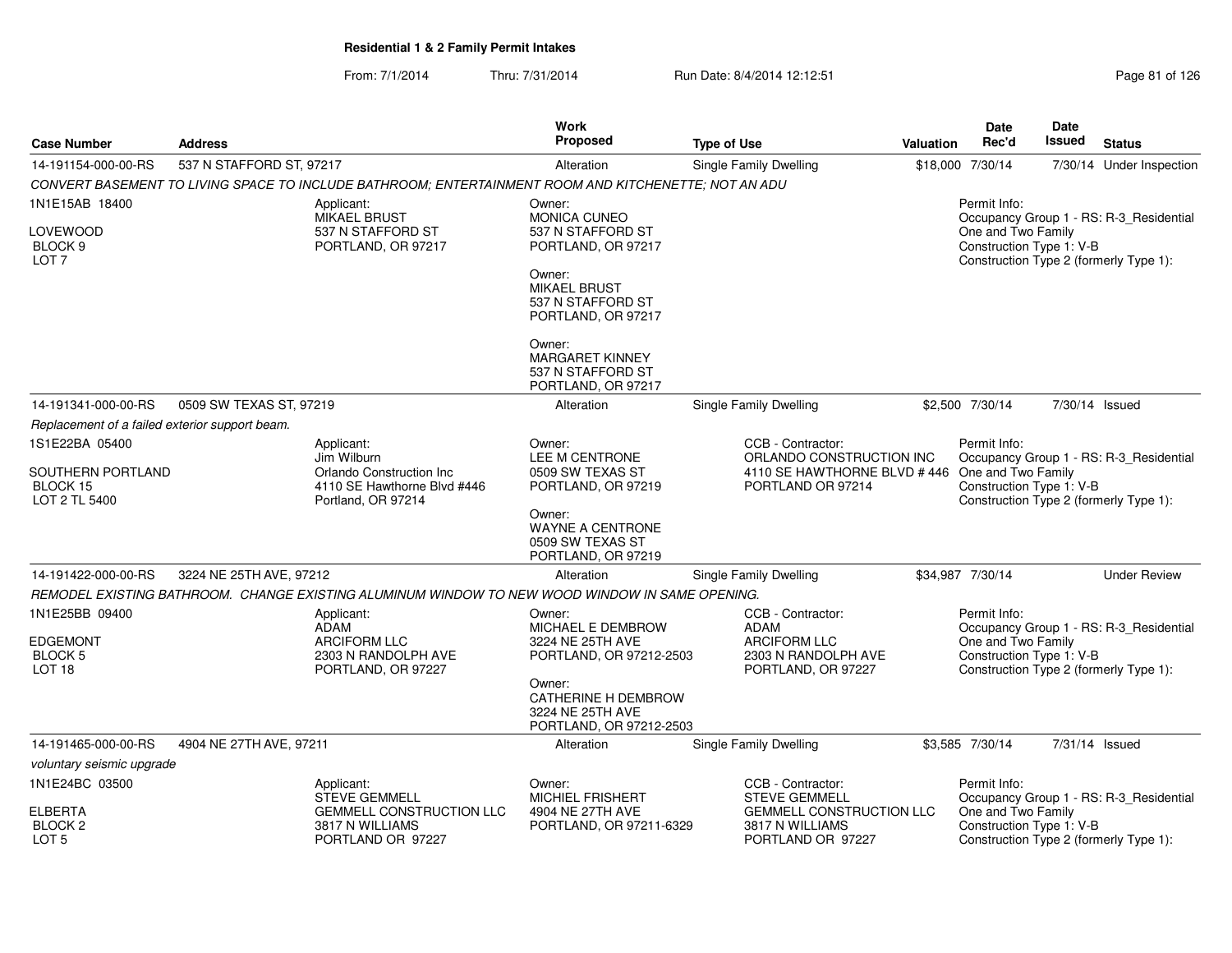| <b>Case Number</b>                                                       | <b>Address</b>           |                                                                                                      | <b>Work</b><br><b>Proposed</b>                                                       | <b>Type of Use</b>                                                                                   | Valuation | Date<br>Rec'd                                                  | Date<br><b>Issued</b> | <b>Status</b>                                                                     |
|--------------------------------------------------------------------------|--------------------------|------------------------------------------------------------------------------------------------------|--------------------------------------------------------------------------------------|------------------------------------------------------------------------------------------------------|-----------|----------------------------------------------------------------|-----------------------|-----------------------------------------------------------------------------------|
| 14-191154-000-00-RS                                                      | 537 N STAFFORD ST, 97217 |                                                                                                      | Alteration                                                                           | Single Family Dwelling                                                                               |           | \$18,000 7/30/14                                               |                       | 7/30/14 Under Inspection                                                          |
|                                                                          |                          | CONVERT BASEMENT TO LIVING SPACE TO INCLUDE BATHROOM; ENTERTAINMENT ROOM AND KITCHENETTE; NOT AN ADU |                                                                                      |                                                                                                      |           |                                                                |                       |                                                                                   |
| 1N1E15AB 18400                                                           |                          | Applicant:<br><b>MIKAEL BRUST</b>                                                                    | Owner:<br><b>MONICA CUNEO</b>                                                        |                                                                                                      |           | Permit Info:                                                   |                       | Occupancy Group 1 - RS: R-3 Residential                                           |
| LOVEWOOD<br>BLOCK <sub>9</sub><br>LOT <sub>7</sub>                       |                          | 537 N STAFFORD ST<br>PORTLAND, OR 97217                                                              | 537 N STAFFORD ST<br>PORTLAND, OR 97217                                              |                                                                                                      |           | One and Two Family<br>Construction Type 1: V-B                 |                       | Construction Type 2 (formerly Type 1):                                            |
|                                                                          |                          |                                                                                                      | Owner:<br><b>MIKAEL BRUST</b><br>537 N STAFFORD ST<br>PORTLAND, OR 97217             |                                                                                                      |           |                                                                |                       |                                                                                   |
|                                                                          |                          |                                                                                                      | Owner:<br><b>MARGARET KINNEY</b><br>537 N STAFFORD ST<br>PORTLAND, OR 97217          |                                                                                                      |           |                                                                |                       |                                                                                   |
| 14-191341-000-00-RS                                                      | 0509 SW TEXAS ST, 97219  |                                                                                                      | Alteration                                                                           | <b>Single Family Dwelling</b>                                                                        |           | \$2,500 7/30/14                                                | 7/30/14 Issued        |                                                                                   |
| Replacement of a failed exterior support beam.                           |                          |                                                                                                      |                                                                                      |                                                                                                      |           |                                                                |                       |                                                                                   |
| 1S1E22BA 05400                                                           |                          | Applicant:                                                                                           | Owner:                                                                               | CCB - Contractor:                                                                                    |           | Permit Info:                                                   |                       |                                                                                   |
| SOUTHERN PORTLAND<br>BLOCK 15<br>LOT 2 TL 5400                           |                          | Jim Wilburn<br>Orlando Construction Inc<br>4110 SE Hawthorne Blvd #446<br>Portland, OR 97214         | LEE M CENTRONE<br>0509 SW TEXAS ST<br>PORTLAND, OR 97219                             | ORLANDO CONSTRUCTION INC<br>4110 SE HAWTHORNE BLVD #446 One and Two Family<br>PORTLAND OR 97214      |           | Construction Type 1: V-B                                       |                       | Occupancy Group 1 - RS: R-3_Residential<br>Construction Type 2 (formerly Type 1): |
|                                                                          |                          |                                                                                                      | Owner:<br><b>WAYNE A CENTRONE</b><br>0509 SW TEXAS ST<br>PORTLAND, OR 97219          |                                                                                                      |           |                                                                |                       |                                                                                   |
| 14-191422-000-00-RS                                                      | 3224 NE 25TH AVE, 97212  |                                                                                                      | Alteration                                                                           | Single Family Dwelling                                                                               |           | \$34,987 7/30/14                                               |                       | <b>Under Review</b>                                                               |
|                                                                          |                          | REMODEL EXISTING BATHROOM. CHANGE EXISTING ALUMINUM WINDOW TO NEW WOOD WINDOW IN SAME OPENING.       |                                                                                      |                                                                                                      |           |                                                                |                       |                                                                                   |
| 1N1E25BB 09400<br><b>EDGEMONT</b><br><b>BLOCK 5</b><br>LOT <sub>18</sub> |                          | Applicant:<br>ADAM<br><b>ARCIFORM LLC</b><br>2303 N RANDOLPH AVE<br>PORTLAND, OR 97227               | Owner:<br>MICHAEL E DEMBROW<br>3224 NE 25TH AVE<br>PORTLAND, OR 97212-2503<br>Owner: | CCB - Contractor:<br><b>ADAM</b><br><b>ARCIFORM LLC</b><br>2303 N RANDOLPH AVE<br>PORTLAND, OR 97227 |           | Permit Info:<br>One and Two Family<br>Construction Type 1: V-B |                       | Occupancy Group 1 - RS: R-3_Residential<br>Construction Type 2 (formerly Type 1): |
|                                                                          |                          |                                                                                                      | CATHERINE H DEMBROW<br>3224 NE 25TH AVE<br>PORTLAND, OR 97212-2503                   |                                                                                                      |           |                                                                |                       |                                                                                   |
| 14-191465-000-00-RS                                                      | 4904 NE 27TH AVE, 97211  |                                                                                                      | Alteration                                                                           | Single Family Dwelling                                                                               |           | \$3,585 7/30/14                                                | 7/31/14 Issued        |                                                                                   |
| voluntary seismic upgrade                                                |                          |                                                                                                      |                                                                                      |                                                                                                      |           |                                                                |                       |                                                                                   |
| 1N1E24BC 03500                                                           |                          | Applicant:<br><b>STEVE GEMMELL</b>                                                                   | Owner:<br><b>MICHIEL FRISHERT</b>                                                    | CCB - Contractor:<br><b>STEVE GEMMELL</b>                                                            |           | Permit Info:                                                   |                       | Occupancy Group 1 - RS: R-3_Residential                                           |
| <b>ELBERTA</b><br>BLOCK <sub>2</sub><br>LOT <sub>5</sub>                 |                          | <b>GEMMELL CONSTRUCTION LLC</b><br>3817 N WILLIAMS<br>PORTLAND OR 97227                              | 4904 NE 27TH AVE<br>PORTLAND, OR 97211-6329                                          | <b>GEMMELL CONSTRUCTION LLC</b><br>3817 N WILLIAMS<br>PORTLAND OR 97227                              |           | One and Two Family<br>Construction Type 1: V-B                 |                       | Construction Type 2 (formerly Type 1):                                            |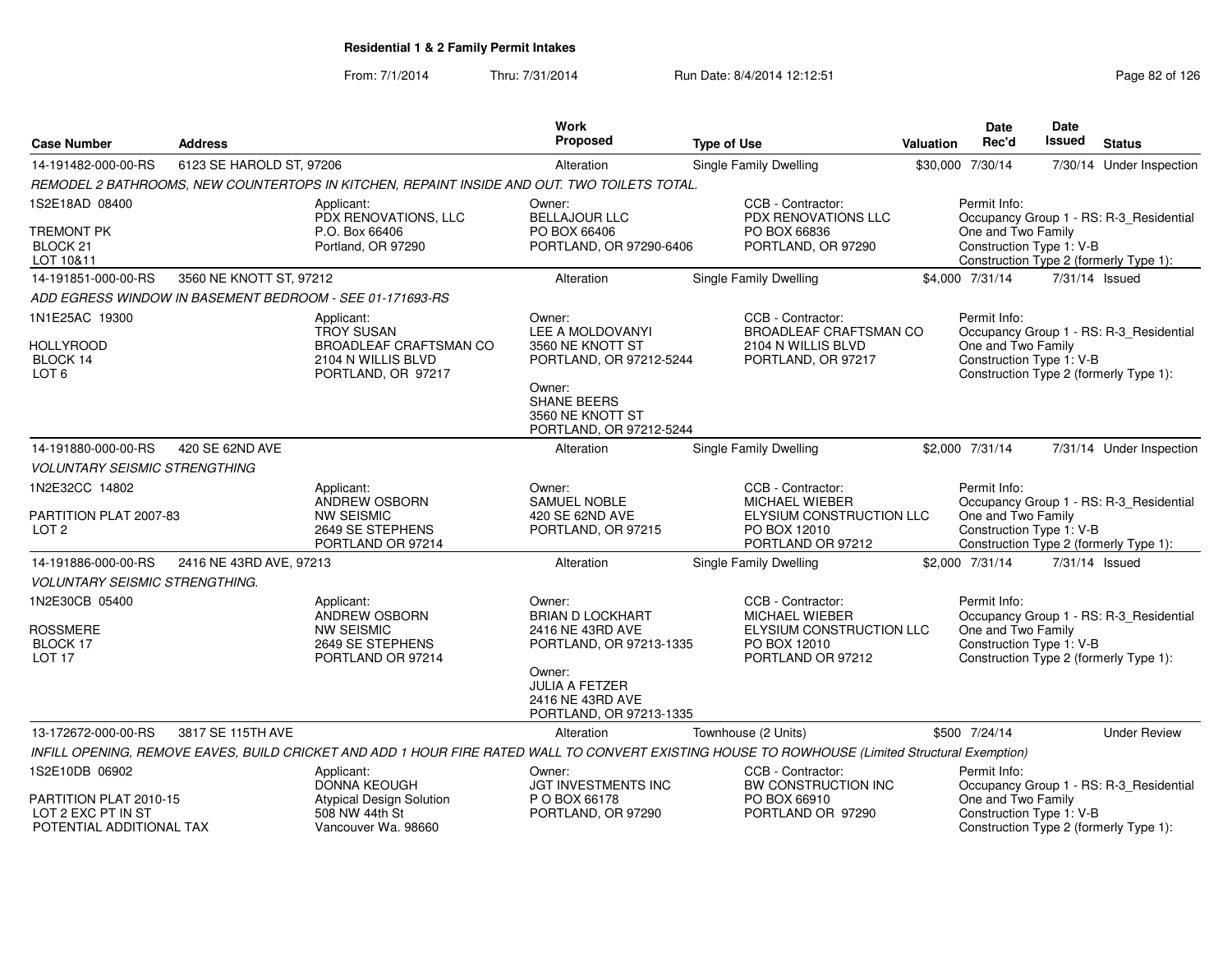| <b>Case Number</b>                                                       | <b>Address</b>           |                                                                                                       | <b>Work</b><br><b>Proposed</b>                                                      | <b>Type of Use</b>                                                                                                                              | Valuation | <b>Date</b><br>Rec'd                                           | Date<br>Issued | <b>Status</b>                                                                     |
|--------------------------------------------------------------------------|--------------------------|-------------------------------------------------------------------------------------------------------|-------------------------------------------------------------------------------------|-------------------------------------------------------------------------------------------------------------------------------------------------|-----------|----------------------------------------------------------------|----------------|-----------------------------------------------------------------------------------|
| 14-191482-000-00-RS                                                      | 6123 SE HAROLD ST, 97206 |                                                                                                       | Alteration                                                                          | Single Family Dwelling                                                                                                                          |           | \$30,000 7/30/14                                               |                | 7/30/14 Under Inspection                                                          |
|                                                                          |                          | REMODEL 2 BATHROOMS, NEW COUNTERTOPS IN KITCHEN, REPAINT INSIDE AND OUT. TWO TOILETS TOTAL.           |                                                                                     |                                                                                                                                                 |           |                                                                |                |                                                                                   |
| 1S2E18AD 08400                                                           |                          | Applicant:<br>PDX RENOVATIONS, LLC                                                                    | Owner:<br><b>BELLAJOUR LLC</b>                                                      | CCB - Contractor:<br>PDX RENOVATIONS LLC                                                                                                        |           | Permit Info:                                                   |                | Occupancy Group 1 - RS: R-3_Residential                                           |
| TREMONT PK<br>BLOCK <sub>21</sub><br>LOT 10&11                           |                          | P.O. Box 66406<br>Portland, OR 97290                                                                  | PO BOX 66406<br>PORTLAND, OR 97290-6406                                             | PO BOX 66836<br>PORTLAND, OR 97290                                                                                                              |           | One and Two Family<br>Construction Type 1: V-B                 |                | Construction Type 2 (formerly Type 1):                                            |
| 14-191851-000-00-RS                                                      | 3560 NE KNOTT ST, 97212  |                                                                                                       | Alteration                                                                          | Single Family Dwelling                                                                                                                          |           | \$4,000 7/31/14                                                | 7/31/14 Issued |                                                                                   |
|                                                                          |                          | ADD EGRESS WINDOW IN BASEMENT BEDROOM - SEE 01-171693-RS                                              |                                                                                     |                                                                                                                                                 |           |                                                                |                |                                                                                   |
| 1N1E25AC 19300<br><b>HOLLYROOD</b><br>BLOCK 14<br>LOT 6                  |                          | Applicant:<br><b>TROY SUSAN</b><br>BROADLEAF CRAFTSMAN CO<br>2104 N WILLIS BLVD<br>PORTLAND, OR 97217 | Owner:<br>LEE A MOLDOVANYI<br>3560 NE KNOTT ST<br>PORTLAND, OR 97212-5244<br>Owner: | CCB - Contractor:<br><b>BROADLEAF CRAFTSMAN CO</b><br>2104 N WILLIS BLVD<br>PORTLAND, OR 97217                                                  |           | Permit Info:<br>One and Two Family<br>Construction Type 1: V-B |                | Occupancy Group 1 - RS: R-3_Residential<br>Construction Type 2 (formerly Type 1): |
|                                                                          |                          |                                                                                                       | <b>SHANE BEERS</b><br>3560 NE KNOTT ST<br>PORTLAND, OR 97212-5244                   |                                                                                                                                                 |           |                                                                |                |                                                                                   |
| 14-191880-000-00-RS                                                      | 420 SE 62ND AVE          |                                                                                                       | Alteration                                                                          | Single Family Dwelling                                                                                                                          |           | \$2,000 7/31/14                                                |                | 7/31/14 Under Inspection                                                          |
| <b>VOLUNTARY SEISMIC STRENGTHING</b>                                     |                          |                                                                                                       |                                                                                     |                                                                                                                                                 |           |                                                                |                |                                                                                   |
| 1N2E32CC 14802                                                           |                          | Applicant:<br><b>ANDREW OSBORN</b>                                                                    | Owner:<br><b>SAMUEL NOBLE</b>                                                       | CCB - Contractor:<br><b>MICHAEL WIEBER</b>                                                                                                      |           | Permit Info:                                                   |                | Occupancy Group 1 - RS: R-3_Residential                                           |
| PARTITION PLAT 2007-83<br>LOT <sub>2</sub>                               |                          | <b>NW SEISMIC</b><br>2649 SE STEPHENS<br>PORTLAND OR 97214                                            | 420 SE 62ND AVE<br>PORTLAND, OR 97215                                               | ELYSIUM CONSTRUCTION LLC<br>PO BOX 12010<br>PORTLAND OR 97212                                                                                   |           | One and Two Family<br>Construction Type 1: V-B                 |                | Construction Type 2 (formerly Type 1):                                            |
| 14-191886-000-00-RS                                                      | 2416 NE 43RD AVE, 97213  |                                                                                                       | Alteration                                                                          | Single Family Dwelling                                                                                                                          |           | \$2,000 7/31/14                                                | 7/31/14 Issued |                                                                                   |
| <b>VOLUNTARY SEISMIC STRENGTHING.</b>                                    |                          |                                                                                                       |                                                                                     |                                                                                                                                                 |           |                                                                |                |                                                                                   |
| 1N2E30CB 05400<br>ROSSMERE<br>BLOCK 17<br>LOT <sub>17</sub>              |                          | Applicant:<br>ANDREW OSBORN<br><b>NW SEISMIC</b><br>2649 SE STEPHENS<br>PORTLAND OR 97214             | Owner:<br><b>BRIAN D LOCKHART</b><br>2416 NE 43RD AVE<br>PORTLAND, OR 97213-1335    | CCB - Contractor:<br>MICHAEL WIEBER<br>ELYSIUM CONSTRUCTION LLC<br>PO BOX 12010<br>PORTLAND OR 97212                                            |           | Permit Info:<br>One and Two Family<br>Construction Type 1: V-B |                | Occupancy Group 1 - RS: R-3_Residential<br>Construction Type 2 (formerly Type 1): |
|                                                                          |                          |                                                                                                       | Owner:<br><b>JULIA A FETZER</b><br>2416 NE 43RD AVE<br>PORTLAND, OR 97213-1335      |                                                                                                                                                 |           |                                                                |                |                                                                                   |
| 13-172672-000-00-RS                                                      | 3817 SE 115TH AVE        |                                                                                                       | Alteration                                                                          | Townhouse (2 Units)                                                                                                                             |           | \$500 7/24/14                                                  |                | <b>Under Review</b>                                                               |
|                                                                          |                          |                                                                                                       |                                                                                     | INFILL OPENING, REMOVE EAVES, BUILD CRICKET AND ADD 1 HOUR FIRE RATED WALL TO CONVERT EXISTING HOUSE TO ROWHOUSE (Limited Structural Exemption) |           |                                                                |                |                                                                                   |
| 1S2E10DB 06902                                                           |                          | Applicant:<br><b>DONNA KEOUGH</b>                                                                     | Owner:<br>JGT INVESTMENTS INC                                                       | CCB - Contractor:<br>BW CONSTRUCTION INC                                                                                                        |           | Permit Info:                                                   |                | Occupancy Group 1 - RS: R-3_Residential                                           |
| PARTITION PLAT 2010-15<br>LOT 2 EXC PT IN ST<br>POTENTIAL ADDITIONAL TAX |                          | <b>Atypical Design Solution</b><br>508 NW 44th St<br>Vancouver Wa. 98660                              | P O BOX 66178<br>PORTLAND, OR 97290                                                 | PO BOX 66910<br>PORTLAND OR 97290                                                                                                               |           | One and Two Family<br>Construction Type 1: V-B                 |                | Construction Type 2 (formerly Type 1):                                            |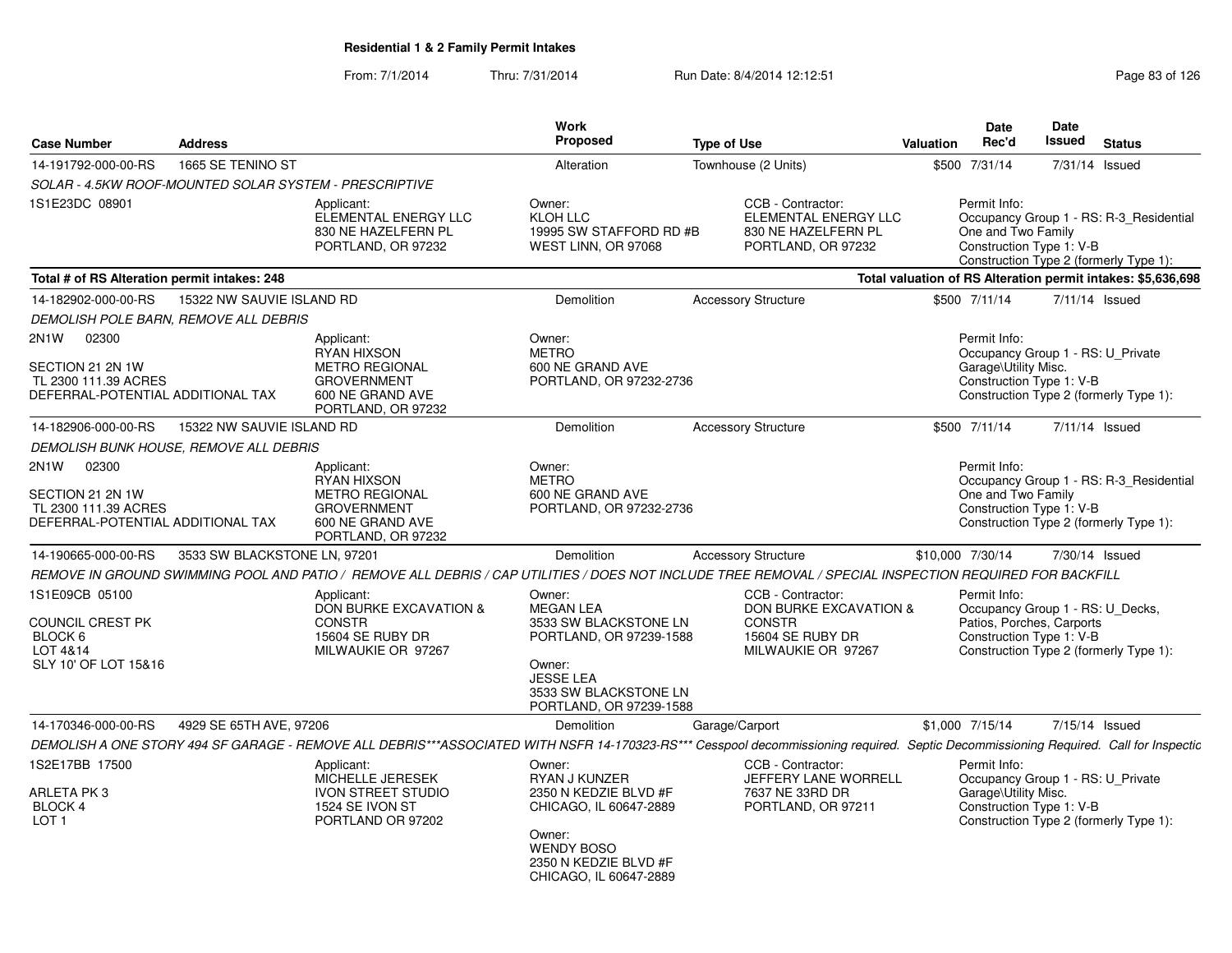| <b>Case Number</b>                                                                                          | <b>Address</b>               |                                                                                                                                                                                      | <b>Work</b><br>Proposed                                                                                                                                          | <b>Type of Use</b>                                                                                     | Valuation        | <b>Date</b><br>Rec'd                                                                                      | <b>Date</b><br>Issued | <b>Status</b>                                                                     |
|-------------------------------------------------------------------------------------------------------------|------------------------------|--------------------------------------------------------------------------------------------------------------------------------------------------------------------------------------|------------------------------------------------------------------------------------------------------------------------------------------------------------------|--------------------------------------------------------------------------------------------------------|------------------|-----------------------------------------------------------------------------------------------------------|-----------------------|-----------------------------------------------------------------------------------|
| 14-191792-000-00-RS                                                                                         | 1665 SE TENINO ST            |                                                                                                                                                                                      | Alteration                                                                                                                                                       | Townhouse (2 Units)                                                                                    | \$500 7/31/14    |                                                                                                           | 7/31/14 Issued        |                                                                                   |
| SOLAR - 4.5KW ROOF-MOUNTED SOLAR SYSTEM - PRESCRIPTIVE                                                      |                              |                                                                                                                                                                                      |                                                                                                                                                                  |                                                                                                        |                  |                                                                                                           |                       |                                                                                   |
| 1S1E23DC 08901                                                                                              |                              | Applicant:<br>ELEMENTAL ENERGY LLC<br>830 NE HAZELFERN PL<br>PORTLAND, OR 97232                                                                                                      | Owner:<br><b>KLOH LLC</b><br>19995 SW STAFFORD RD #B<br>WEST LINN, OR 97068                                                                                      | CCB - Contractor:<br>ELEMENTAL ENERGY LLC<br>830 NE HAZELFERN PL<br>PORTLAND, OR 97232                 |                  | Permit Info:<br>One and Two Family<br>Construction Type 1: V-B                                            |                       | Occupancy Group 1 - RS: R-3_Residential<br>Construction Type 2 (formerly Type 1): |
| Total # of RS Alteration permit intakes: 248                                                                |                              |                                                                                                                                                                                      |                                                                                                                                                                  |                                                                                                        |                  |                                                                                                           |                       | Total valuation of RS Alteration permit intakes: \$5,636,698                      |
| 14-182902-000-00-RS                                                                                         | 15322 NW SAUVIE ISLAND RD    |                                                                                                                                                                                      | Demolition                                                                                                                                                       | <b>Accessory Structure</b>                                                                             | \$500 7/11/14    |                                                                                                           | 7/11/14 Issued        |                                                                                   |
| DEMOLISH POLE BARN, REMOVE ALL DEBRIS                                                                       |                              |                                                                                                                                                                                      |                                                                                                                                                                  |                                                                                                        |                  |                                                                                                           |                       |                                                                                   |
| 2N <sub>1</sub> W<br>02300<br>SECTION 21 2N 1W<br>TL 2300 111.39 ACRES<br>DEFERRAL-POTENTIAL ADDITIONAL TAX |                              | Applicant:<br><b>RYAN HIXSON</b><br><b>METRO REGIONAL</b><br><b>GROVERNMENT</b><br>600 NE GRAND AVE<br>PORTLAND, OR 97232                                                            | Owner:<br><b>METRO</b><br>600 NE GRAND AVE<br>PORTLAND, OR 97232-2736                                                                                            |                                                                                                        |                  | Permit Info:<br>Occupancy Group 1 - RS: U Private<br>Garage\Utility Misc.<br>Construction Type 1: V-B     |                       | Construction Type 2 (formerly Type 1):                                            |
| 14-182906-000-00-RS                                                                                         | 15322 NW SAUVIE ISLAND RD    |                                                                                                                                                                                      | Demolition                                                                                                                                                       | <b>Accessory Structure</b>                                                                             | \$500 7/11/14    |                                                                                                           | 7/11/14 Issued        |                                                                                   |
| DEMOLISH BUNK HOUSE, REMOVE ALL DEBRIS                                                                      |                              |                                                                                                                                                                                      |                                                                                                                                                                  |                                                                                                        |                  |                                                                                                           |                       |                                                                                   |
| 2N <sub>1</sub> W<br>02300<br>SECTION 21 2N 1W<br>TL 2300 111.39 ACRES<br>DEFERRAL-POTENTIAL ADDITIONAL TAX |                              | Applicant:<br><b>RYAN HIXSON</b><br><b>METRO REGIONAL</b><br><b>GROVERNMENT</b><br>600 NE GRAND AVE<br>PORTLAND, OR 97232                                                            | Owner:<br><b>METRO</b><br>600 NE GRAND AVE<br>PORTLAND, OR 97232-2736                                                                                            |                                                                                                        |                  | Permit Info:<br>One and Two Family<br>Construction Type 1: V-B                                            |                       | Occupancy Group 1 - RS: R-3_Residential<br>Construction Type 2 (formerly Type 1): |
| 14-190665-000-00-RS                                                                                         | 3533 SW BLACKSTONE LN, 97201 |                                                                                                                                                                                      | Demolition                                                                                                                                                       | <b>Accessory Structure</b>                                                                             | \$10,000 7/30/14 |                                                                                                           | 7/30/14 Issued        |                                                                                   |
|                                                                                                             |                              | REMOVE IN GROUND SWIMMING POOL AND PATIO / REMOVE ALL DEBRIS / CAP UTILITIES / DOES NOT INCLUDE TREE REMOVAL / SPECIAL INSPECTION REQUIRED FOR BACKFILL                              |                                                                                                                                                                  |                                                                                                        |                  |                                                                                                           |                       |                                                                                   |
| 1S1E09CB 05100<br><b>COUNCIL CREST PK</b><br>BLOCK 6<br>LOT 4&14<br>SLY 10' OF LOT 15&16                    |                              | Applicant:<br><b>DON BURKE EXCAVATION &amp;</b><br><b>CONSTR</b><br>15604 SE RUBY DR<br>MILWAUKIE OR 97267                                                                           | Owner:<br><b>MEGAN LEA</b><br>3533 SW BLACKSTONE LN<br>PORTLAND, OR 97239-1588<br>Owner:<br><b>JESSE LEA</b><br>3533 SW BLACKSTONE LN<br>PORTLAND, OR 97239-1588 | CCB - Contractor:<br>DON BURKE EXCAVATION &<br><b>CONSTR</b><br>15604 SE RUBY DR<br>MILWAUKIE OR 97267 |                  | Permit Info:<br>Occupancy Group 1 - RS: U Decks,<br>Patios, Porches, Carports<br>Construction Type 1: V-B |                       | Construction Type 2 (formerly Type 1):                                            |
| 14-170346-000-00-RS                                                                                         | 4929 SE 65TH AVE, 97206      |                                                                                                                                                                                      | Demolition                                                                                                                                                       | Garage/Carport                                                                                         | \$1,000 7/15/14  |                                                                                                           | 7/15/14 Issued        |                                                                                   |
|                                                                                                             |                              | DEMOLISH A ONE STORY 494 SF GARAGE - REMOVE ALL DEBRIS***ASSOCIATED WITH NSFR 14-170323-RS*** Cesspool decommissioning required. Septic Decommissioning Required. Call for Inspectic |                                                                                                                                                                  |                                                                                                        |                  |                                                                                                           |                       |                                                                                   |
| 1S2E17BB 17500<br>ARLETA PK3<br><b>BLOCK 4</b><br>LOT <sub>1</sub>                                          |                              | Applicant:<br>MICHELLE JERESEK<br><b>IVON STREET STUDIO</b><br>1524 SE IVON ST<br>PORTLAND OR 97202                                                                                  | Owner:<br>RYAN J KUNZER<br>2350 N KEDZIE BLVD #F<br>CHICAGO, IL 60647-2889<br>Owner:<br><b>WENDY BOSO</b><br>2350 N KEDZIE BLVD #F<br>CHICAGO, IL 60647-2889     | CCB - Contractor:<br>JEFFERY LANE WORRELL<br>7637 NE 33RD DR<br>PORTLAND, OR 97211                     |                  | Permit Info:<br>Occupancy Group 1 - RS: U_Private<br>Garage\Utility Misc.<br>Construction Type 1: V-B     |                       | Construction Type 2 (formerly Type 1):                                            |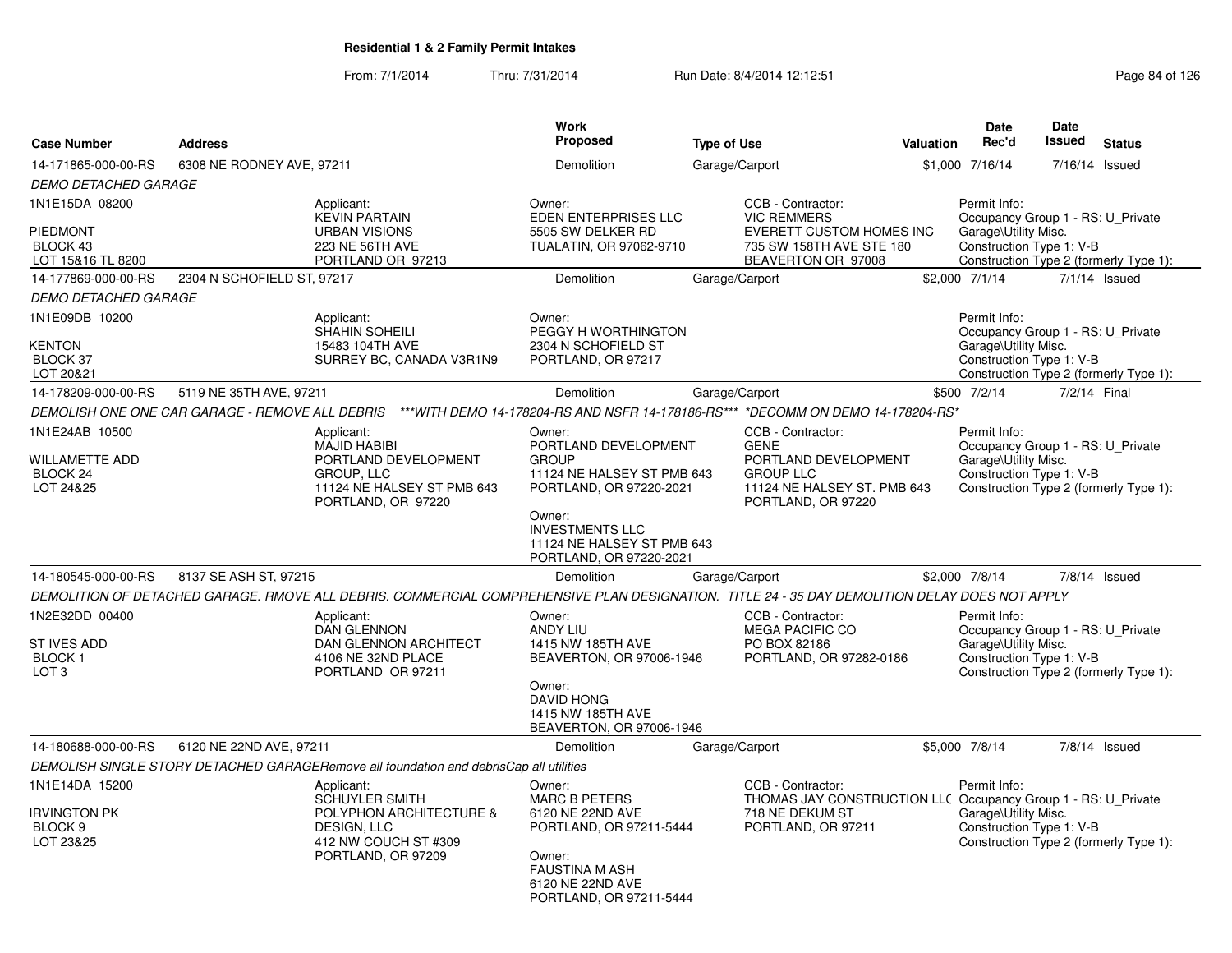|                                                             |                            |                                                                                                                                               | Work<br>Proposed                                                                          |                    |                                                                                                                       |           | Date<br>Rec'd                                                                                         | <b>Date</b><br>Issued |                                        |
|-------------------------------------------------------------|----------------------------|-----------------------------------------------------------------------------------------------------------------------------------------------|-------------------------------------------------------------------------------------------|--------------------|-----------------------------------------------------------------------------------------------------------------------|-----------|-------------------------------------------------------------------------------------------------------|-----------------------|----------------------------------------|
| <b>Case Number</b>                                          | <b>Address</b>             |                                                                                                                                               |                                                                                           | <b>Type of Use</b> |                                                                                                                       | Valuation |                                                                                                       |                       | <b>Status</b>                          |
| 14-171865-000-00-RS                                         | 6308 NE RODNEY AVE, 97211  |                                                                                                                                               | <b>Demolition</b>                                                                         | Garage/Carport     |                                                                                                                       |           | \$1,000 7/16/14                                                                                       |                       | 7/16/14 Issued                         |
| <b>DEMO DETACHED GARAGE</b>                                 |                            |                                                                                                                                               |                                                                                           |                    |                                                                                                                       |           |                                                                                                       |                       |                                        |
| 1N1E15DA 08200<br>PIEDMONT<br>BLOCK 43<br>LOT 15&16 TL 8200 |                            | Applicant:<br><b>KEVIN PARTAIN</b><br><b>URBAN VISIONS</b><br>223 NE 56TH AVE<br>PORTLAND OR 97213                                            | Owner:<br>EDEN ENTERPRISES LLC<br>5505 SW DELKER RD<br>TUALATIN, OR 97062-9710            |                    | CCB - Contractor:<br><b>VIC REMMERS</b><br>EVERETT CUSTOM HOMES INC<br>735 SW 158TH AVE STE 180<br>BEAVERTON OR 97008 |           | Permit Info:<br>Occupancy Group 1 - RS: U_Private<br>Garage\Utility Misc.<br>Construction Type 1: V-B |                       | Construction Type 2 (formerly Type 1): |
| 14-177869-000-00-RS                                         | 2304 N SCHOFIELD ST, 97217 |                                                                                                                                               | Demolition                                                                                | Garage/Carport     |                                                                                                                       |           | \$2,000 7/1/14                                                                                        |                       | $7/1/14$ Issued                        |
| <b>DEMO DETACHED GARAGE</b>                                 |                            |                                                                                                                                               |                                                                                           |                    |                                                                                                                       |           |                                                                                                       |                       |                                        |
| 1N1E09DB 10200                                              |                            | Applicant:<br><b>SHAHIN SOHEILI</b>                                                                                                           | Owner:<br>PEGGY H WORTHINGTON                                                             |                    |                                                                                                                       |           | Permit Info:<br>Occupancy Group 1 - RS: U Private                                                     |                       |                                        |
| <b>KENTON</b><br>BLOCK 37<br>LOT 20&21                      |                            | 15483 104TH AVE<br>SURREY BC, CANADA V3R1N9                                                                                                   | 2304 N SCHOFIELD ST<br>PORTLAND, OR 97217                                                 |                    |                                                                                                                       |           | Garage\Utility Misc.<br>Construction Type 1: V-B                                                      |                       | Construction Type 2 (formerly Type 1): |
| 14-178209-000-00-RS                                         | 5119 NE 35TH AVE, 97211    |                                                                                                                                               | <b>Demolition</b>                                                                         | Garage/Carport     |                                                                                                                       |           | \$500 7/2/14                                                                                          |                       | 7/2/14 Final                           |
|                                                             |                            | DEMOLISH ONE ONE CAR GARAGE - REMOVE ALL DEBRIS ***WITH DEMO 14-178204-RS AND NSFR 14-178186-RS*** *DECOMM ON DEMO 14-178204-RS*              |                                                                                           |                    |                                                                                                                       |           |                                                                                                       |                       |                                        |
| 1N1E24AB 10500                                              |                            | Applicant:<br><b>MAJID HABIBI</b>                                                                                                             | Owner:<br>PORTLAND DEVELOPMENT                                                            |                    | CCB - Contractor:<br><b>GENE</b>                                                                                      |           | Permit Info:<br>Occupancy Group 1 - RS: U Private                                                     |                       |                                        |
| <b>WILLAMETTE ADD</b><br>BLOCK <sub>24</sub>                |                            | PORTLAND DEVELOPMENT<br><b>GROUP, LLC</b>                                                                                                     | <b>GROUP</b><br>11124 NE HALSEY ST PMB 643                                                |                    | PORTLAND DEVELOPMENT<br><b>GROUP LLC</b>                                                                              |           | Garage\Utility Misc.<br>Construction Type 1: V-B                                                      |                       |                                        |
| LOT 24&25                                                   |                            | 11124 NE HALSEY ST PMB 643<br>PORTLAND, OR 97220                                                                                              | PORTLAND, OR 97220-2021                                                                   |                    | 11124 NE HALSEY ST. PMB 643<br>PORTLAND, OR 97220                                                                     |           |                                                                                                       |                       | Construction Type 2 (formerly Type 1): |
|                                                             |                            |                                                                                                                                               | Owner:<br><b>INVESTMENTS LLC</b><br>11124 NE HALSEY ST PMB 643<br>PORTLAND, OR 97220-2021 |                    |                                                                                                                       |           |                                                                                                       |                       |                                        |
| 14-180545-000-00-RS                                         | 8137 SE ASH ST, 97215      |                                                                                                                                               | <b>Demolition</b>                                                                         | Garage/Carport     |                                                                                                                       |           | \$2,000 7/8/14                                                                                        |                       | $7/8/14$ Issued                        |
|                                                             |                            | DEMOLITION OF DETACHED GARAGE. RMOVE ALL DEBRIS. COMMERCIAL COMPREHENSIVE PLAN DESIGNATION. TITLE 24 - 35 DAY DEMOLITION DELAY DOES NOT APPLY |                                                                                           |                    |                                                                                                                       |           |                                                                                                       |                       |                                        |
| 1N2E32DD 00400                                              |                            | Applicant:<br><b>DAN GLENNON</b>                                                                                                              | Owner:<br><b>ANDY LIU</b>                                                                 |                    | CCB - Contractor:<br><b>MEGA PACIFIC CO</b>                                                                           |           | Permit Info:<br>Occupancy Group 1 - RS: U_Private                                                     |                       |                                        |
| ST IVES ADD<br><b>BLOCK1</b><br>LOT <sub>3</sub>            |                            | DAN GLENNON ARCHITECT<br>4106 NE 32ND PLACE<br>PORTLAND OR 97211                                                                              | 1415 NW 185TH AVE<br>BEAVERTON, OR 97006-1946                                             |                    | PO BOX 82186<br>PORTLAND, OR 97282-0186                                                                               |           | Garage\Utility Misc.<br>Construction Type 1: V-B                                                      |                       | Construction Type 2 (formerly Type 1): |
|                                                             |                            |                                                                                                                                               | Owner:<br><b>DAVID HONG</b><br>1415 NW 185TH AVE<br>BEAVERTON, OR 97006-1946              |                    |                                                                                                                       |           |                                                                                                       |                       |                                        |
| 14-180688-000-00-RS                                         | 6120 NE 22ND AVE, 97211    |                                                                                                                                               | <b>Demolition</b>                                                                         | Garage/Carport     |                                                                                                                       |           | \$5,000 7/8/14                                                                                        |                       | $7/8/14$ Issued                        |
|                                                             |                            | DEMOLISH SINGLE STORY DETACHED GARAGERemove all foundation and debrisCap all utilities                                                        |                                                                                           |                    |                                                                                                                       |           |                                                                                                       |                       |                                        |
| 1N1E14DA 15200                                              |                            | Applicant:<br><b>SCHUYLER SMITH</b>                                                                                                           | Owner:<br><b>MARC B PETERS</b>                                                            |                    | CCB - Contractor:<br>THOMAS JAY CONSTRUCTION LLC Occupancy Group 1 - RS: U Private                                    |           | Permit Info:                                                                                          |                       |                                        |
| <b>IRVINGTON PK</b><br>BLOCK <sub>9</sub><br>LOT 23&25      |                            | POLYPHON ARCHITECTURE &<br>DESIGN, LLC<br>412 NW COUCH ST #309                                                                                | 6120 NE 22ND AVE<br>PORTLAND, OR 97211-5444                                               |                    | 718 NE DEKUM ST<br>PORTLAND, OR 97211                                                                                 |           | Garage\Utility Misc.<br>Construction Type 1: V-B                                                      |                       | Construction Type 2 (formerly Type 1): |
|                                                             |                            | PORTLAND, OR 97209                                                                                                                            | Owner:<br><b>FAUSTINA M ASH</b><br>6120 NE 22ND AVE<br>PORTLAND, OR 97211-5444            |                    |                                                                                                                       |           |                                                                                                       |                       |                                        |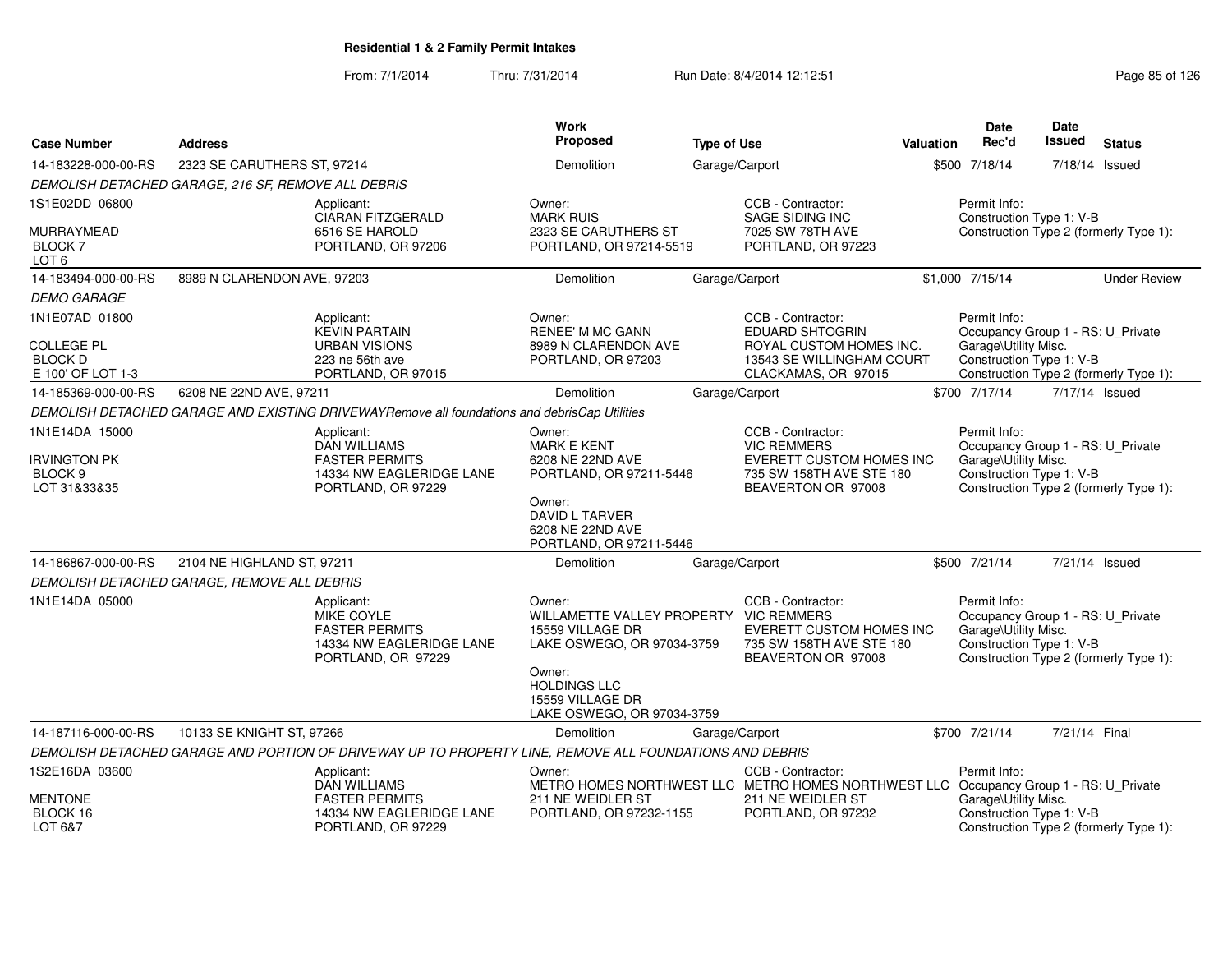| <b>Case Number</b>                                        | <b>Address</b>                                      |                                                                                                         | Work<br>Proposed                                                                                             | <b>Type of Use</b> |                                                                                                 | <b>Valuation</b> | <b>Date</b><br>Rec'd                                                                                  | <b>Date</b><br>Issued | <b>Status</b>                          |
|-----------------------------------------------------------|-----------------------------------------------------|---------------------------------------------------------------------------------------------------------|--------------------------------------------------------------------------------------------------------------|--------------------|-------------------------------------------------------------------------------------------------|------------------|-------------------------------------------------------------------------------------------------------|-----------------------|----------------------------------------|
| 14-183228-000-00-RS                                       | 2323 SE CARUTHERS ST, 97214                         |                                                                                                         | <b>Demolition</b>                                                                                            |                    | Garage/Carport                                                                                  |                  | \$500 7/18/14                                                                                         |                       | $7/18/14$ Issued                       |
|                                                           | DEMOLISH DETACHED GARAGE, 216 SF, REMOVE ALL DEBRIS |                                                                                                         |                                                                                                              |                    |                                                                                                 |                  |                                                                                                       |                       |                                        |
| 1S1E02DD 06800                                            |                                                     | Applicant:<br><b>CIARAN FITZGERALD</b>                                                                  | Owner:<br><b>MARK RUIS</b>                                                                                   |                    | CCB - Contractor:<br>SAGE SIDING INC                                                            |                  | Permit Info:<br>Construction Type 1: V-B                                                              |                       |                                        |
| MURRAYMEAD<br><b>BLOCK 7</b><br>LOT <sub>6</sub>          |                                                     | 6516 SE HAROLD<br>PORTLAND, OR 97206                                                                    | 2323 SE CARUTHERS ST<br>PORTLAND, OR 97214-5519                                                              |                    | 7025 SW 78TH AVE<br>PORTLAND, OR 97223                                                          |                  |                                                                                                       |                       | Construction Type 2 (formerly Type 1): |
| 14-183494-000-00-RS                                       | 8989 N CLARENDON AVE, 97203                         |                                                                                                         | Demolition                                                                                                   |                    | Garage/Carport                                                                                  |                  | \$1,000 7/15/14                                                                                       |                       | <b>Under Review</b>                    |
| <b>DEMO GARAGE</b>                                        |                                                     |                                                                                                         |                                                                                                              |                    |                                                                                                 |                  |                                                                                                       |                       |                                        |
| 1N1E07AD 01800                                            |                                                     | Applicant:<br><b>KEVIN PARTAIN</b>                                                                      | Owner:<br><b>RENEE' M MC GANN</b>                                                                            |                    | CCB - Contractor:<br><b>EDUARD SHTOGRIN</b>                                                     |                  | Permit Info:<br>Occupancy Group 1 - RS: U_Private                                                     |                       |                                        |
| <b>COLLEGE PL</b><br><b>BLOCK D</b><br>E 100' OF LOT 1-3  |                                                     | <b>URBAN VISIONS</b><br>223 ne 56th ave<br>PORTLAND, OR 97015                                           | 8989 N CLARENDON AVE<br>PORTLAND, OR 97203                                                                   |                    | ROYAL CUSTOM HOMES INC.<br>13543 SE WILLINGHAM COURT<br>CLACKAMAS, OR 97015                     |                  | Garage\Utility Misc.<br>Construction Type 1: V-B                                                      |                       | Construction Type 2 (formerly Type 1): |
| 14-185369-000-00-RS                                       | 6208 NE 22ND AVE, 97211                             |                                                                                                         | <b>Demolition</b>                                                                                            |                    | Garage/Carport                                                                                  |                  | \$700 7/17/14                                                                                         |                       | 7/17/14 Issued                         |
|                                                           |                                                     | DEMOLISH DETACHED GARAGE AND EXISTING DRIVEWAYRemove all foundations and debrisCap Utilities            |                                                                                                              |                    |                                                                                                 |                  |                                                                                                       |                       |                                        |
| 1N1E14DA 15000                                            |                                                     | Applicant:<br><b>DAN WILLIAMS</b>                                                                       | Owner:<br><b>MARK E KENT</b>                                                                                 |                    | CCB - Contractor:<br><b>VIC REMMERS</b>                                                         |                  | Permit Info:<br>Occupancy Group 1 - RS: U_Private                                                     |                       |                                        |
| <b>IRVINGTON PK</b><br>BLOCK <sub>9</sub><br>LOT 31&33&35 |                                                     | <b>FASTER PERMITS</b><br>14334 NW EAGLERIDGE LANE<br>PORTLAND, OR 97229                                 | 6208 NE 22ND AVE<br>PORTLAND, OR 97211-5446                                                                  |                    | EVERETT CUSTOM HOMES INC<br>735 SW 158TH AVE STE 180<br>BEAVERTON OR 97008                      |                  | Garage\Utility Misc.<br>Construction Type 1: V-B                                                      |                       | Construction Type 2 (formerly Type 1): |
|                                                           |                                                     |                                                                                                         | Owner:<br><b>DAVID L TARVER</b><br>6208 NE 22ND AVE<br>PORTLAND, OR 97211-5446                               |                    |                                                                                                 |                  |                                                                                                       |                       |                                        |
| 14-186867-000-00-RS                                       | 2104 NE HIGHLAND ST, 97211                          |                                                                                                         | Demolition                                                                                                   |                    | Garage/Carport                                                                                  |                  | \$500 7/21/14                                                                                         |                       | 7/21/14 Issued                         |
|                                                           | DEMOLISH DETACHED GARAGE, REMOVE ALL DEBRIS         |                                                                                                         |                                                                                                              |                    |                                                                                                 |                  |                                                                                                       |                       |                                        |
| 1N1E14DA 05000                                            |                                                     | Applicant:<br>MIKE COYLE<br><b>FASTER PERMITS</b><br>14334 NW EAGLERIDGE LANE<br>PORTLAND, OR 97229     | Owner:<br>WILLAMETTE VALLEY PROPERTY VIC REMMERS<br>15559 VILLAGE DR<br>LAKE OSWEGO, OR 97034-3759<br>Owner: |                    | CCB - Contractor:<br>EVERETT CUSTOM HOMES INC<br>735 SW 158TH AVE STE 180<br>BEAVERTON OR 97008 |                  | Permit Info:<br>Occupancy Group 1 - RS: U_Private<br>Garage\Utility Misc.<br>Construction Type 1: V-B |                       | Construction Type 2 (formerly Type 1): |
|                                                           |                                                     |                                                                                                         | <b>HOLDINGS LLC</b><br>15559 VILLAGE DR<br>LAKE OSWEGO, OR 97034-3759                                        |                    |                                                                                                 |                  |                                                                                                       |                       |                                        |
| 14-187116-000-00-RS                                       | 10133 SE KNIGHT ST, 97266                           |                                                                                                         | Demolition                                                                                                   |                    | Garage/Carport                                                                                  |                  | \$700 7/21/14                                                                                         | 7/21/14 Final         |                                        |
|                                                           |                                                     | DEMOLISH DETACHED GARAGE AND PORTION OF DRIVEWAY UP TO PROPERTY LINE, REMOVE ALL FOUNDATIONS AND DEBRIS |                                                                                                              |                    |                                                                                                 |                  |                                                                                                       |                       |                                        |
| 1S2E16DA 03600                                            |                                                     | Applicant:<br><b>DAN WILLIAMS</b>                                                                       | Owner:<br>METRO HOMES NORTHWEST LLC METRO HOMES NORTHWEST LLC Occupancy Group 1 - RS: U_Private              |                    | CCB - Contractor:                                                                               |                  | Permit Info:                                                                                          |                       |                                        |
| <b>MENTONE</b><br>BLOCK 16<br>LOT 6&7                     |                                                     | <b>FASTER PERMITS</b><br>14334 NW EAGLERIDGE LANE<br>PORTLAND, OR 97229                                 | 211 NE WEIDLER ST<br>PORTLAND, OR 97232-1155                                                                 |                    | 211 NE WEIDLER ST<br>PORTLAND, OR 97232                                                         |                  | Garage\Utility Misc.<br>Construction Type 1: V-B                                                      |                       | Construction Type 2 (formerly Type 1): |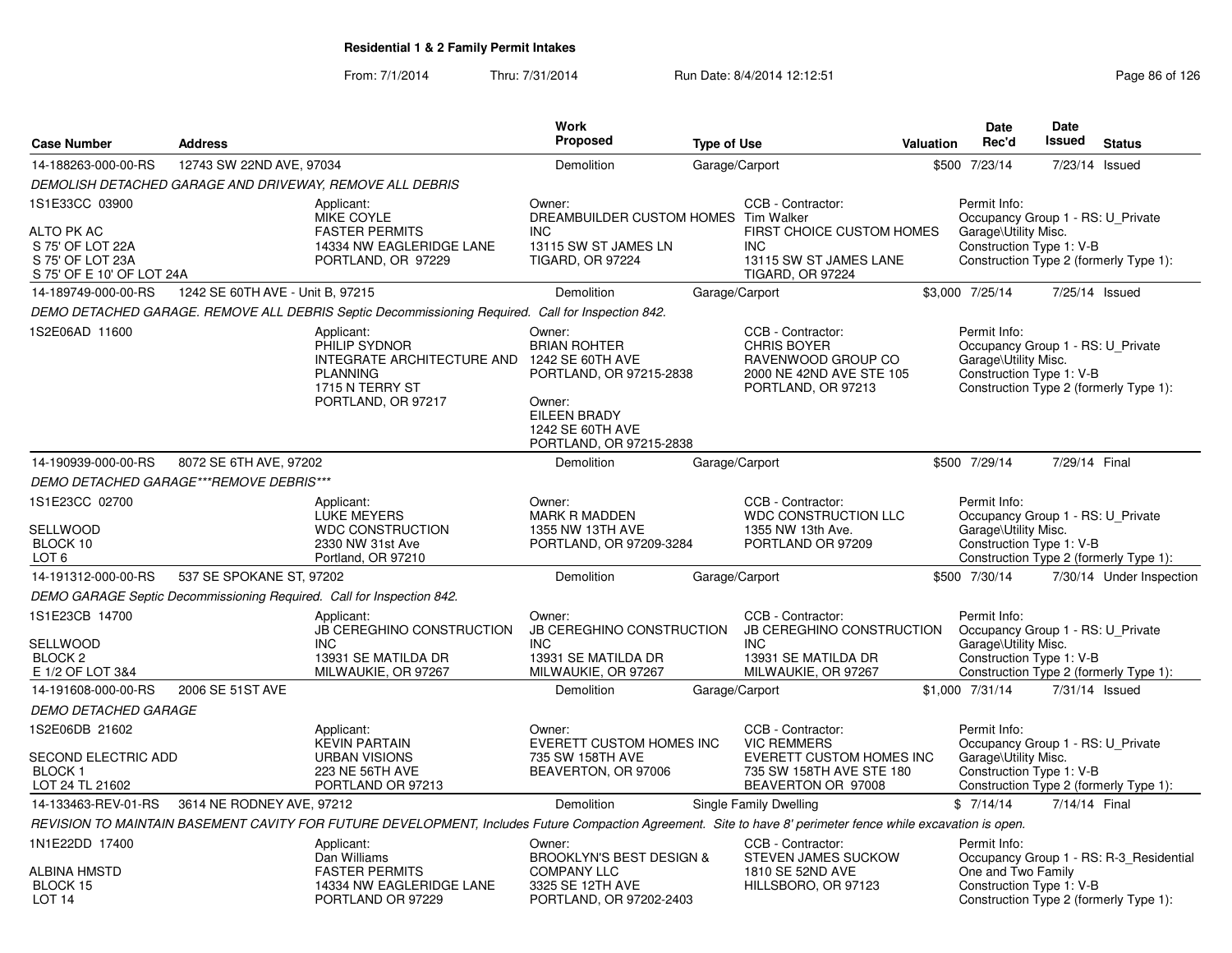|                                                                                                   |                                  |                                                                                                                                                              | <b>Work</b>                                                                                                                                           |                    |                                                                                                                       |                  | <b>Date</b>                                                                                           | <b>Date</b>    |                                                                                   |
|---------------------------------------------------------------------------------------------------|----------------------------------|--------------------------------------------------------------------------------------------------------------------------------------------------------------|-------------------------------------------------------------------------------------------------------------------------------------------------------|--------------------|-----------------------------------------------------------------------------------------------------------------------|------------------|-------------------------------------------------------------------------------------------------------|----------------|-----------------------------------------------------------------------------------|
| <b>Case Number</b>                                                                                | <b>Address</b>                   |                                                                                                                                                              | Proposed                                                                                                                                              | <b>Type of Use</b> |                                                                                                                       | <b>Valuation</b> | Rec'd                                                                                                 | Issued         | <b>Status</b>                                                                     |
| 14-188263-000-00-RS                                                                               | 12743 SW 22ND AVE, 97034         |                                                                                                                                                              | Demolition                                                                                                                                            | Garage/Carport     |                                                                                                                       |                  | \$500 7/23/14                                                                                         | 7/23/14 Issued |                                                                                   |
|                                                                                                   |                                  | DEMOLISH DETACHED GARAGE AND DRIVEWAY, REMOVE ALL DEBRIS                                                                                                     |                                                                                                                                                       |                    |                                                                                                                       |                  |                                                                                                       |                |                                                                                   |
| 1S1E33CC 03900<br>ALTO PK AC<br>S 75' OF LOT 22A<br>S 75' OF LOT 23A<br>S 75' OF E 10' OF LOT 24A |                                  | Applicant:<br>MIKE COYLE<br><b>FASTER PERMITS</b><br>14334 NW EAGLERIDGE LANE<br>PORTLAND, OR 97229                                                          | Owner:<br>DREAMBUILDER CUSTOM HOMES Tim Walker<br><b>INC</b><br>13115 SW ST JAMES LN<br><b>TIGARD, OR 97224</b>                                       |                    | CCB - Contractor:<br>FIRST CHOICE CUSTOM HOMES<br>INC.<br>13115 SW ST JAMES LANE<br><b>TIGARD, OR 97224</b>           |                  | Permit Info:<br>Occupancy Group 1 - RS: U Private<br>Garage\Utility Misc.<br>Construction Type 1: V-B |                | Construction Type 2 (formerly Type 1):                                            |
| 14-189749-000-00-RS                                                                               | 1242 SE 60TH AVE - Unit B, 97215 |                                                                                                                                                              | Demolition                                                                                                                                            | Garage/Carport     |                                                                                                                       |                  | \$3,000 7/25/14                                                                                       | 7/25/14 Issued |                                                                                   |
|                                                                                                   |                                  | DEMO DETACHED GARAGE. REMOVE ALL DEBRIS Septic Decommissioning Required. Call for Inspection 842.                                                            |                                                                                                                                                       |                    |                                                                                                                       |                  |                                                                                                       |                |                                                                                   |
| 1S2E06AD 11600                                                                                    |                                  | Applicant:<br>PHILIP SYDNOR<br>INTEGRATE ARCHITECTURE AND<br><b>PLANNING</b><br>1715 N TERRY ST<br>PORTLAND, OR 97217                                        | Owner:<br><b>BRIAN ROHTER</b><br>1242 SE 60TH AVE<br>PORTLAND, OR 97215-2838<br>Owner:<br>EILEEN BRADY<br>1242 SE 60TH AVE<br>PORTLAND, OR 97215-2838 |                    | CCB - Contractor:<br><b>CHRIS BOYER</b><br>RAVENWOOD GROUP CO<br>2000 NE 42ND AVE STE 105<br>PORTLAND, OR 97213       |                  | Permit Info:<br>Occupancy Group 1 - RS: U_Private<br>Garage\Utility Misc.<br>Construction Type 1: V-B |                | Construction Type 2 (formerly Type 1):                                            |
| 14-190939-000-00-RS                                                                               | 8072 SE 6TH AVE, 97202           |                                                                                                                                                              | Demolition                                                                                                                                            | Garage/Carport     |                                                                                                                       |                  | \$500 7/29/14                                                                                         | 7/29/14 Final  |                                                                                   |
| DEMO DETACHED GARAGE***REMOVE DEBRIS***                                                           |                                  |                                                                                                                                                              |                                                                                                                                                       |                    |                                                                                                                       |                  |                                                                                                       |                |                                                                                   |
| 1S1E23CC 02700<br>SELLWOOD<br>BLOCK 10<br>LOT <sub>6</sub>                                        |                                  | Applicant:<br><b>LUKE MEYERS</b><br><b>WDC CONSTRUCTION</b><br>2330 NW 31st Ave<br>Portland, OR 97210                                                        | Owner:<br>MARK R MADDEN<br>1355 NW 13TH AVE<br>PORTLAND, OR 97209-3284                                                                                |                    | CCB - Contractor:<br><b>WDC CONSTRUCTION LLC</b><br>1355 NW 13th Ave.<br>PORTLAND OR 97209                            |                  | Permit Info:<br>Occupancy Group 1 - RS: U Private<br>Garage\Utility Misc.<br>Construction Type 1: V-B |                | Construction Type 2 (formerly Type 1):                                            |
| 14-191312-000-00-RS                                                                               | 537 SE SPOKANE ST, 97202         |                                                                                                                                                              | Demolition                                                                                                                                            | Garage/Carport     |                                                                                                                       |                  | \$500 7/30/14                                                                                         |                | 7/30/14 Under Inspection                                                          |
|                                                                                                   |                                  | DEMO GARAGE Septic Decommissioning Required. Call for Inspection 842.                                                                                        |                                                                                                                                                       |                    |                                                                                                                       |                  |                                                                                                       |                |                                                                                   |
| 1S1E23CB 14700<br>SELLWOOD<br>BLOCK <sub>2</sub><br>E 1/2 OF LOT 3&4                              |                                  | Applicant:<br><b>JB CEREGHINO CONSTRUCTION</b><br><b>INC</b><br>13931 SE MATILDA DR<br>MILWAUKIE, OR 97267                                                   | Owner:<br><b>JB CEREGHINO CONSTRUCTION</b><br><b>INC</b><br>13931 SE MATILDA DR<br>MILWAUKIE, OR 97267                                                |                    | CCB - Contractor:<br><b>JB CEREGHINO CONSTRUCTION</b><br><b>INC</b><br>13931 SE MATILDA DR<br>MILWAUKIE, OR 97267     |                  | Permit Info:<br>Occupancy Group 1 - RS: U Private<br>Garage\Utility Misc.<br>Construction Type 1: V-B |                | Construction Type 2 (formerly Type 1):                                            |
| 14-191608-000-00-RS                                                                               | 2006 SE 51ST AVE                 |                                                                                                                                                              | Demolition                                                                                                                                            | Garage/Carport     |                                                                                                                       |                  | \$1,000 7/31/14                                                                                       | 7/31/14 Issued |                                                                                   |
| <b>DEMO DETACHED GARAGE</b>                                                                       |                                  |                                                                                                                                                              |                                                                                                                                                       |                    |                                                                                                                       |                  |                                                                                                       |                |                                                                                   |
| 1S2E06DB 21602<br><b>SECOND ELECTRIC ADD</b><br><b>BLOCK1</b><br>LOT 24 TL 21602                  |                                  | Applicant:<br>KEVIN PARTAIN<br><b>URBAN VISIONS</b><br>223 NE 56TH AVE<br>PORTLAND OR 97213                                                                  | Owner:<br><b>EVERETT CUSTOM HOMES INC</b><br>735 SW 158TH AVE<br>BEAVERTON, OR 97006                                                                  |                    | CCB - Contractor:<br><b>VIC REMMERS</b><br>EVERETT CUSTOM HOMES INC<br>735 SW 158TH AVE STE 180<br>BEAVERTON OR 97008 |                  | Permit Info:<br>Occupancy Group 1 - RS: U_Private<br>Garage\Utility Misc.<br>Construction Type 1: V-B |                | Construction Type 2 (formerly Type 1):                                            |
| 14-133463-REV-01-RS                                                                               | 3614 NE RODNEY AVE, 97212        |                                                                                                                                                              | <b>Demolition</b>                                                                                                                                     |                    | Single Family Dwelling                                                                                                |                  | \$7/14/14                                                                                             | 7/14/14 Final  |                                                                                   |
|                                                                                                   |                                  | REVISION TO MAINTAIN BASEMENT CAVITY FOR FUTURE DEVELOPMENT, Includes Future Compaction Agreement. Site to have 8' perimeter fence while excavation is open. |                                                                                                                                                       |                    |                                                                                                                       |                  |                                                                                                       |                |                                                                                   |
| 1N1E22DD 17400<br>ALBINA HMSTD<br>BLOCK 15<br>LOT <sub>14</sub>                                   |                                  | Applicant:<br>Dan Williams<br><b>FASTER PERMITS</b><br>14334 NW EAGLERIDGE LANE<br>PORTLAND OR 97229                                                         | Owner:<br><b>BROOKLYN'S BEST DESIGN &amp;</b><br><b>COMPANY LLC</b><br>3325 SE 12TH AVE<br>PORTLAND, OR 97202-2403                                    |                    | CCB - Contractor:<br><b>STEVEN JAMES SUCKOW</b><br>1810 SE 52ND AVE<br>HILLSBORO, OR 97123                            |                  | Permit Info:<br>One and Two Family<br>Construction Type 1: V-B                                        |                | Occupancy Group 1 - RS: R-3_Residential<br>Construction Type 2 (formerly Type 1): |
|                                                                                                   |                                  |                                                                                                                                                              |                                                                                                                                                       |                    |                                                                                                                       |                  |                                                                                                       |                |                                                                                   |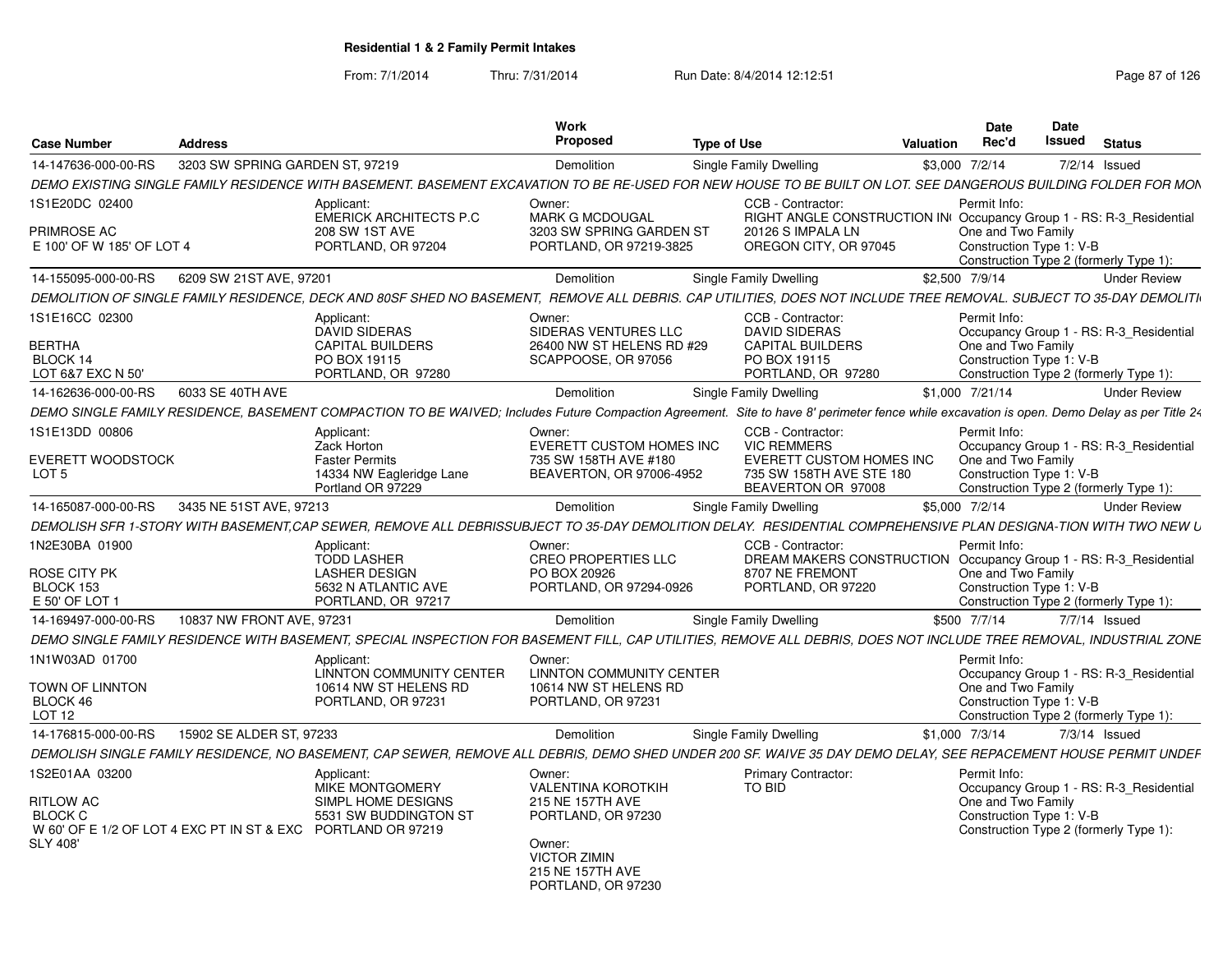|                           |                                                              |                                                                                                                                                                                            | Work                                               |                                                                                          |                 | <b>Date</b>              | <b>Date</b>     |                                         |
|---------------------------|--------------------------------------------------------------|--------------------------------------------------------------------------------------------------------------------------------------------------------------------------------------------|----------------------------------------------------|------------------------------------------------------------------------------------------|-----------------|--------------------------|-----------------|-----------------------------------------|
| <b>Case Number</b>        | <b>Address</b>                                               |                                                                                                                                                                                            | Proposed                                           | <b>Type of Use</b>                                                                       | Valuation       | Rec'd                    | Issued          | <b>Status</b>                           |
| 14-147636-000-00-RS       | 3203 SW SPRING GARDEN ST, 97219                              |                                                                                                                                                                                            | Demolition                                         | Single Family Dwelling                                                                   | \$3,000 7/2/14  |                          | 7/2/14 Issued   |                                         |
|                           |                                                              | DEMO EXISTING SINGLE FAMILY RESIDENCE WITH BASEMENT. BASEMENT EXCAVATION TO BE RE-USED FOR NEW HOUSE TO BE BUILT ON LOT. SEE DANGEROUS BUILDING FOLDER FOR MON                             |                                                    |                                                                                          |                 |                          |                 |                                         |
| 1S1E20DC 02400            |                                                              | Applicant:                                                                                                                                                                                 | Owner:                                             | CCB - Contractor:                                                                        |                 | Permit Info:             |                 |                                         |
| PRIMROSE AC               |                                                              | <b>EMERICK ARCHITECTS P.C.</b><br><b>208 SW 1ST AVE</b>                                                                                                                                    | <b>MARK G MCDOUGAL</b><br>3203 SW SPRING GARDEN ST | RIGHT ANGLE CONSTRUCTION IN Occupancy Group 1 - RS: R-3 Residential<br>20126 S IMPALA LN |                 | One and Two Family       |                 |                                         |
| E 100' OF W 185' OF LOT 4 |                                                              | PORTLAND, OR 97204                                                                                                                                                                         | PORTLAND, OR 97219-3825                            | OREGON CITY, OR 97045                                                                    |                 | Construction Type 1: V-B |                 |                                         |
|                           |                                                              |                                                                                                                                                                                            |                                                    |                                                                                          |                 |                          |                 | Construction Type 2 (formerly Type 1):  |
| 14-155095-000-00-RS       | 6209 SW 21ST AVE, 97201                                      |                                                                                                                                                                                            | Demolition                                         | Single Family Dwelling                                                                   | \$2,500 7/9/14  |                          |                 | <b>Under Review</b>                     |
|                           |                                                              | DEMOLITION OF SINGLE FAMILY RESIDENCE, DECK AND 80SF SHED NO BASEMENT, REMOVE ALL DEBRIS. CAP UTILITIES, DOES NOT INCLUDE TREE REMOVAL. SUBJECT TO 35-DAY DEMOLITI                         |                                                    |                                                                                          |                 |                          |                 |                                         |
| 1S1E16CC 02300            |                                                              | Applicant:                                                                                                                                                                                 | Owner:                                             | CCB - Contractor:                                                                        |                 | Permit Info:             |                 |                                         |
|                           |                                                              | <b>DAVID SIDERAS</b>                                                                                                                                                                       | SIDERAS VENTURES LLC                               | <b>DAVID SIDERAS</b>                                                                     |                 |                          |                 | Occupancy Group 1 - RS: R-3 Residential |
| <b>BERTHA</b>             |                                                              | <b>CAPITAL BUILDERS</b>                                                                                                                                                                    | 26400 NW ST HELENS RD #29                          | <b>CAPITAL BUILDERS</b>                                                                  |                 | One and Two Family       |                 |                                         |
| BLOCK 14                  |                                                              | PO BOX 19115                                                                                                                                                                               | SCAPPOOSE, OR 97056                                | PO BOX 19115                                                                             |                 | Construction Type 1: V-B |                 |                                         |
| LOT 6&7 EXC N 50'         |                                                              | PORTLAND, OR 97280                                                                                                                                                                         |                                                    | PORTLAND, OR 97280                                                                       |                 |                          |                 | Construction Type 2 (formerly Type 1):  |
| 14-162636-000-00-RS       | 6033 SE 40TH AVE                                             |                                                                                                                                                                                            | Demolition                                         | Single Family Dwelling                                                                   | \$1,000 7/21/14 |                          |                 | <b>Under Review</b>                     |
|                           |                                                              | DEMO SINGLE FAMILY RESIDENCE, BASEMENT COMPACTION TO BE WAIVED; Includes Future Compaction Agreement. Site to have 8' perimeter fence while excavation is open. Demo Delay as per Title 24 |                                                    |                                                                                          |                 |                          |                 |                                         |
| 1S1E13DD 00806            |                                                              | Applicant:                                                                                                                                                                                 | Owner:                                             | CCB - Contractor:                                                                        |                 | Permit Info:             |                 |                                         |
| <b>EVERETT WOODSTOCK</b>  |                                                              | Zack Horton<br><b>Faster Permits</b>                                                                                                                                                       | EVERETT CUSTOM HOMES INC<br>735 SW 158TH AVE #180  | <b>VIC REMMERS</b><br><b>EVERETT CUSTOM HOMES INC</b>                                    |                 | One and Two Family       |                 | Occupancy Group 1 - RS: R-3 Residential |
| LOT <sub>5</sub>          |                                                              | 14334 NW Eagleridge Lane                                                                                                                                                                   | BEAVERTON, OR 97006-4952                           | 735 SW 158TH AVE STE 180                                                                 |                 | Construction Type 1: V-B |                 |                                         |
|                           |                                                              | Portland OR 97229                                                                                                                                                                          |                                                    | BEAVERTON OR 97008                                                                       |                 |                          |                 | Construction Type 2 (formerly Type 1):  |
| 14-165087-000-00-RS       | 3435 NE 51ST AVE, 97213                                      |                                                                                                                                                                                            | Demolition                                         | Single Family Dwelling                                                                   | \$5,000 7/2/14  |                          |                 | <b>Under Review</b>                     |
|                           |                                                              | DEMOLISH SFR 1-STORY WITH BASEMENT.CAP SEWER, REMOVE ALL DEBRISSUBJECT TO 35-DAY DEMOLITION DELAY. RESIDENTIAL COMPREHENSIVE PLAN DESIGNA-TION WITH TWO NEW L                              |                                                    |                                                                                          |                 |                          |                 |                                         |
| 1N2E30BA 01900            |                                                              | Applicant:                                                                                                                                                                                 | Owner:                                             | CCB - Contractor:                                                                        |                 | Permit Info:             |                 |                                         |
|                           |                                                              | <b>TODD LASHER</b>                                                                                                                                                                         | <b>CREO PROPERTIES LLC</b>                         | DREAM MAKERS CONSTRUCTION Occupancy Group 1 - RS: R-3_Residential                        |                 |                          |                 |                                         |
| <b>ROSE CITY PK</b>       |                                                              | <b>LASHER DESIGN</b>                                                                                                                                                                       | PO BOX 20926                                       | 8707 NE FREMONT                                                                          |                 | One and Two Family       |                 |                                         |
| BLOCK 153                 |                                                              | 5632 N ATLANTIC AVE                                                                                                                                                                        | PORTLAND, OR 97294-0926                            | PORTLAND, OR 97220                                                                       |                 | Construction Type 1: V-B |                 |                                         |
| E 50' OF LOT 1            |                                                              | PORTLAND, OR 97217                                                                                                                                                                         |                                                    |                                                                                          |                 |                          |                 | Construction Type 2 (formerly Type 1):  |
| 14-169497-000-00-RS       | 10837 NW FRONT AVE, 97231                                    |                                                                                                                                                                                            | Demolition                                         | Single Family Dwelling                                                                   | \$500 7/7/14    |                          | 7/7/14 Issued   |                                         |
|                           |                                                              | DEMO SINGLE FAMILY RESIDENCE WITH BASEMENT. SPECIAL INSPECTION FOR BASEMENT FILL. CAP UTILITIES. REMOVE ALL DEBRIS. DOES NOT INCLUDE TREE REMOVAL. INDUSTRIAL ZONE                         |                                                    |                                                                                          |                 |                          |                 |                                         |
| 1N1W03AD 01700            |                                                              | Applicant:                                                                                                                                                                                 | Owner:                                             |                                                                                          |                 | Permit Info:             |                 |                                         |
|                           |                                                              | LINNTON COMMUNITY CENTER                                                                                                                                                                   | <b>LINNTON COMMUNITY CENTER</b>                    |                                                                                          |                 |                          |                 | Occupancy Group 1 - RS: R-3 Residential |
| TOWN OF LINNTON           |                                                              | 10614 NW ST HELENS RD                                                                                                                                                                      | 10614 NW ST HELENS RD                              |                                                                                          |                 | One and Two Family       |                 |                                         |
| BLOCK 46                  |                                                              | PORTLAND, OR 97231                                                                                                                                                                         | PORTLAND, OR 97231                                 |                                                                                          |                 | Construction Type 1: V-B |                 |                                         |
| LOT <sub>12</sub>         |                                                              |                                                                                                                                                                                            |                                                    |                                                                                          |                 |                          |                 | Construction Type 2 (formerly Type 1):  |
| 14-176815-000-00-RS       | 15902 SE ALDER ST, 97233                                     |                                                                                                                                                                                            | Demolition                                         | Single Family Dwelling                                                                   | \$1,000 7/3/14  |                          | $7/3/14$ Issued |                                         |
|                           |                                                              | DEMOLISH SINGLE FAMILY RESIDENCE, NO BASEMENT, CAP SEWER, REMOVE ALL DEBRIS, DEMO SHED UNDER 200 SF. WAIVE 35 DAY DEMO DELAY, SEE REPACEMENT HOUSE PERMIT UNDEF                            |                                                    |                                                                                          |                 |                          |                 |                                         |
| 1S2E01AA 03200            |                                                              | Applicant:                                                                                                                                                                                 | Owner:                                             | <b>Primary Contractor:</b>                                                               |                 | Permit Info:             |                 |                                         |
|                           |                                                              | MIKE MONTGOMERY                                                                                                                                                                            | <b>VALENTINA KOROTKIH</b>                          | TO BID                                                                                   |                 |                          |                 | Occupancy Group 1 - RS: R-3_Residential |
| <b>RITLOW AC</b>          |                                                              | SIMPL HOME DESIGNS                                                                                                                                                                         | 215 NE 157TH AVE                                   |                                                                                          |                 | One and Two Family       |                 |                                         |
| <b>BLOCK C</b>            |                                                              | 5531 SW BUDDINGTON ST                                                                                                                                                                      | PORTLAND, OR 97230                                 |                                                                                          |                 | Construction Type 1: V-B |                 |                                         |
|                           | W 60' OF E 1/2 OF LOT 4 EXC PT IN ST & EXC PORTLAND OR 97219 |                                                                                                                                                                                            |                                                    |                                                                                          |                 |                          |                 | Construction Type 2 (formerly Type 1):  |
| <b>SLY 408'</b>           |                                                              |                                                                                                                                                                                            | Owner:<br><b>VICTOR ZIMIN</b>                      |                                                                                          |                 |                          |                 |                                         |
|                           |                                                              |                                                                                                                                                                                            | 215 NE 157TH AVE                                   |                                                                                          |                 |                          |                 |                                         |
|                           |                                                              |                                                                                                                                                                                            | PORTLAND, OR 97230                                 |                                                                                          |                 |                          |                 |                                         |
|                           |                                                              |                                                                                                                                                                                            |                                                    |                                                                                          |                 |                          |                 |                                         |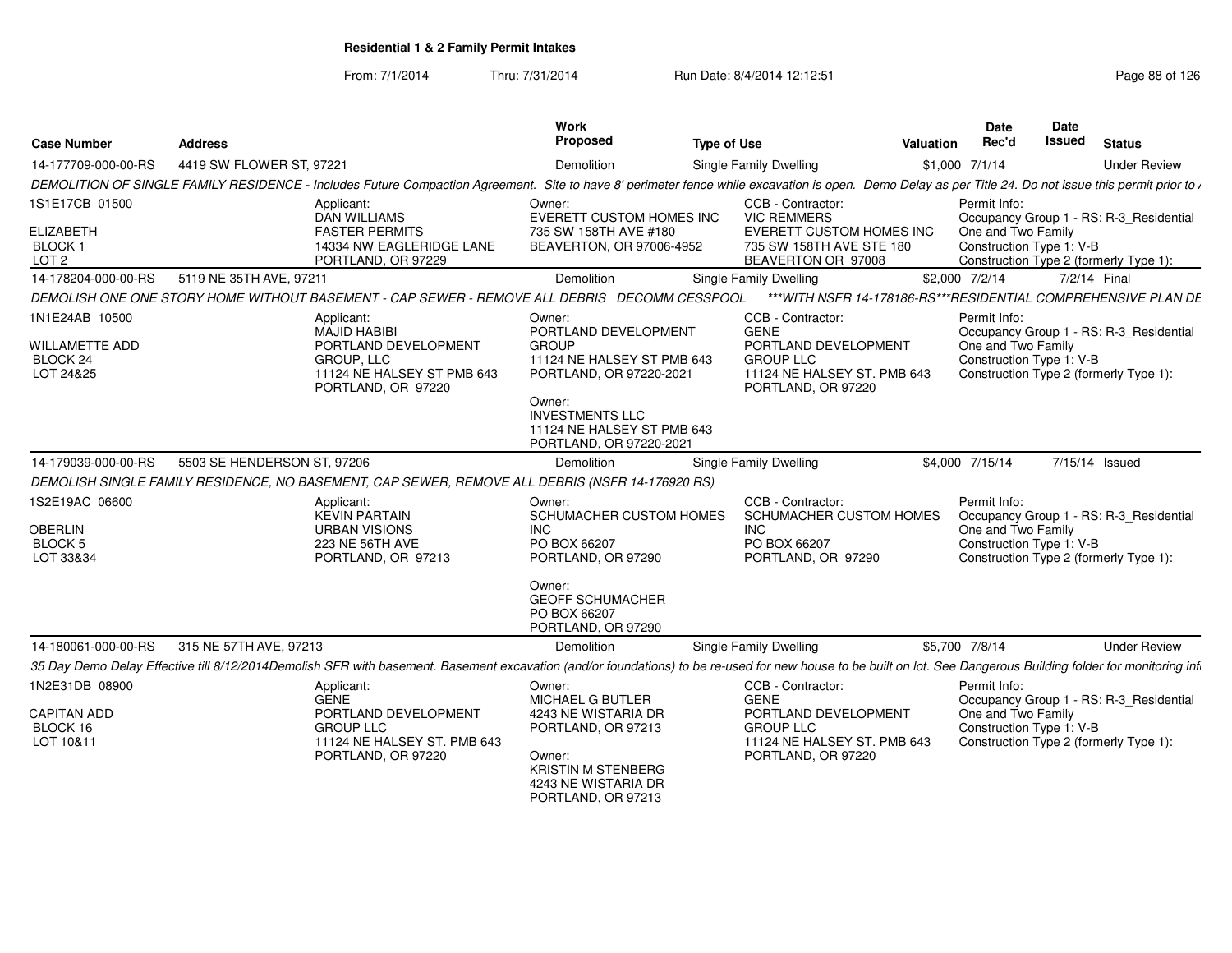| <b>Case Number</b>                                                      | <b>Address</b>              |                                                                                                                                                                                                                  | Work<br>Proposed                                                                                                                                                                                     | <b>Type of Use</b>                                                                                                                | Valuation       | Date<br>Rec'd                      | Date<br><b>Issued</b>    | <b>Status</b>                                                                     |
|-------------------------------------------------------------------------|-----------------------------|------------------------------------------------------------------------------------------------------------------------------------------------------------------------------------------------------------------|------------------------------------------------------------------------------------------------------------------------------------------------------------------------------------------------------|-----------------------------------------------------------------------------------------------------------------------------------|-----------------|------------------------------------|--------------------------|-----------------------------------------------------------------------------------|
| 14-177709-000-00-RS                                                     | 4419 SW FLOWER ST, 97221    |                                                                                                                                                                                                                  | Demolition                                                                                                                                                                                           | Single Family Dwelling                                                                                                            | \$1,000 7/1/14  |                                    |                          | <b>Under Review</b>                                                               |
|                                                                         |                             | DEMOLITION OF SINGLE FAMILY RESIDENCE - Includes Future Compaction Agreement. Site to have 8' perimeter fence while excavation is open. Demo Delay as per Title 24. Do not issue this permit prior to ,          |                                                                                                                                                                                                      |                                                                                                                                   |                 |                                    |                          |                                                                                   |
| 1S1E17CB 01500<br><b>ELIZABETH</b><br><b>BLOCK1</b><br>LOT <sub>2</sub> |                             | Applicant:<br>DAN WILLIAMS<br><b>FASTER PERMITS</b><br>14334 NW EAGLERIDGE LANE<br>PORTLAND, OR 97229                                                                                                            | Owner:<br>EVERETT CUSTOM HOMES INC<br>735 SW 158TH AVE #180<br>BEAVERTON, OR 97006-4952                                                                                                              | CCB - Contractor:<br><b>VIC REMMERS</b><br><b>EVERETT CUSTOM HOMES INC</b><br>735 SW 158TH AVE STE 180<br>BEAVERTON OR 97008      |                 | Permit Info:<br>One and Two Family | Construction Type 1: V-B | Occupancy Group 1 - RS: R-3_Residential                                           |
| 14-178204-000-00-RS                                                     | 5119 NE 35TH AVE, 9721      |                                                                                                                                                                                                                  |                                                                                                                                                                                                      |                                                                                                                                   | \$2,000 7/2/14  |                                    | 7/2/14 Final             | Construction Type 2 (formerly Type 1):                                            |
|                                                                         |                             |                                                                                                                                                                                                                  | Demolition                                                                                                                                                                                           | <b>Single Family Dwelling</b>                                                                                                     |                 |                                    |                          |                                                                                   |
|                                                                         |                             | DEMOLISH ONE ONE STORY HOME WITHOUT BASEMENT - CAP SEWER - REMOVE ALL DEBRIS DECOMM CESSPOOL                                                                                                                     |                                                                                                                                                                                                      | ***WITH NSFR 14-178186-RS***RESIDENTIAL COMPREHENSIVE PLAN DE                                                                     |                 |                                    |                          |                                                                                   |
| 1N1E24AB 10500<br><b>WILLAMETTE ADD</b><br>BLOCK 24<br>LOT 24&25        |                             | Applicant:<br>MAJID HABIBI<br>PORTLAND DEVELOPMENT<br>GROUP, LLC<br>11124 NE HALSEY ST PMB 643<br>PORTLAND, OR 97220                                                                                             | Owner:<br>PORTLAND DEVELOPMENT<br><b>GROUP</b><br>11124 NE HALSEY ST PMB 643<br>PORTLAND, OR 97220-2021<br>Owner:<br><b>INVESTMENTS LLC</b><br>11124 NE HALSEY ST PMB 643<br>PORTLAND, OR 97220-2021 | CCB - Contractor:<br><b>GENE</b><br>PORTLAND DEVELOPMENT<br><b>GROUP LLC</b><br>11124 NE HALSEY ST. PMB 643<br>PORTLAND, OR 97220 |                 | Permit Info:<br>One and Two Family | Construction Type 1: V-B | Occupancy Group 1 - RS: R-3_Residential<br>Construction Type 2 (formerly Type 1): |
| 14-179039-000-00-RS                                                     | 5503 SE HENDERSON ST, 97206 |                                                                                                                                                                                                                  | Demolition                                                                                                                                                                                           | Single Family Dwelling                                                                                                            | \$4,000 7/15/14 |                                    | 7/15/14 Issued           |                                                                                   |
|                                                                         |                             | DEMOLISH SINGLE FAMILY RESIDENCE, NO BASEMENT, CAP SEWER, REMOVE ALL DEBRIS (NSFR 14-176920 RS)                                                                                                                  |                                                                                                                                                                                                      |                                                                                                                                   |                 |                                    |                          |                                                                                   |
| 1S2E19AC 06600<br><b>OBERLIN</b><br><b>BLOCK 5</b><br>LOT 33&34         |                             | Applicant:<br><b>KEVIN PARTAIN</b><br><b>URBAN VISIONS</b><br>223 NE 56TH AVE<br>PORTLAND, OR 97213                                                                                                              | Owner:<br>SCHUMACHER CUSTOM HOMES<br>INC<br>PO BOX 66207<br>PORTLAND, OR 97290<br>Owner:<br><b>GEOFF SCHUMACHER</b>                                                                                  | CCB - Contractor:<br>SCHUMACHER CUSTOM HOMES<br>INC<br>PO BOX 66207<br>PORTLAND, OR 97290                                         |                 | Permit Info:<br>One and Two Family | Construction Type 1: V-B | Occupancy Group 1 - RS: R-3_Residential<br>Construction Type 2 (formerly Type 1): |
|                                                                         |                             |                                                                                                                                                                                                                  | PO BOX 66207<br>PORTLAND, OR 97290                                                                                                                                                                   |                                                                                                                                   |                 |                                    |                          |                                                                                   |
| 14-180061-000-00-RS                                                     | 315 NE 57TH AVE, 97213      |                                                                                                                                                                                                                  | Demolition                                                                                                                                                                                           | Single Family Dwelling                                                                                                            | \$5,700 7/8/14  |                                    |                          | <b>Under Review</b>                                                               |
|                                                                         |                             | 35 Day Demo Delay Effective till 8/12/2014Demolish SFR with basement. Basement excavation (and/or foundations) to be re-used for new house to be built on lot. See Dangerous Building folder for monitoring infi |                                                                                                                                                                                                      |                                                                                                                                   |                 |                                    |                          |                                                                                   |
| 1N2E31DB 08900                                                          |                             | Applicant:                                                                                                                                                                                                       | Owner:                                                                                                                                                                                               | CCB - Contractor:                                                                                                                 |                 | Permit Info:                       |                          |                                                                                   |
|                                                                         |                             | GENE                                                                                                                                                                                                             | MICHAEL G BUTLER                                                                                                                                                                                     | <b>GENE</b>                                                                                                                       |                 |                                    |                          | Occupancy Group 1 - RS: R-3_Residential                                           |
| <b>CAPITAN ADD</b><br>BLOCK 16<br>LOT 10&11                             |                             | PORTLAND DEVELOPMENT<br><b>GROUP LLC</b><br>11124 NE HALSEY ST. PMB 643<br>PORTLAND, OR 97220                                                                                                                    | 4243 NE WISTARIA DR<br>PORTLAND, OR 97213<br>Owner:<br><b>KRISTIN M STENBERG</b><br>4243 NE WISTARIA DR<br>PORTLAND, OR 97213                                                                        | PORTLAND DEVELOPMENT<br><b>GROUP LLC</b><br>11124 NE HALSEY ST. PMB 643<br>PORTLAND, OR 97220                                     |                 | One and Two Family                 | Construction Type 1: V-B | Construction Type 2 (formerly Type 1):                                            |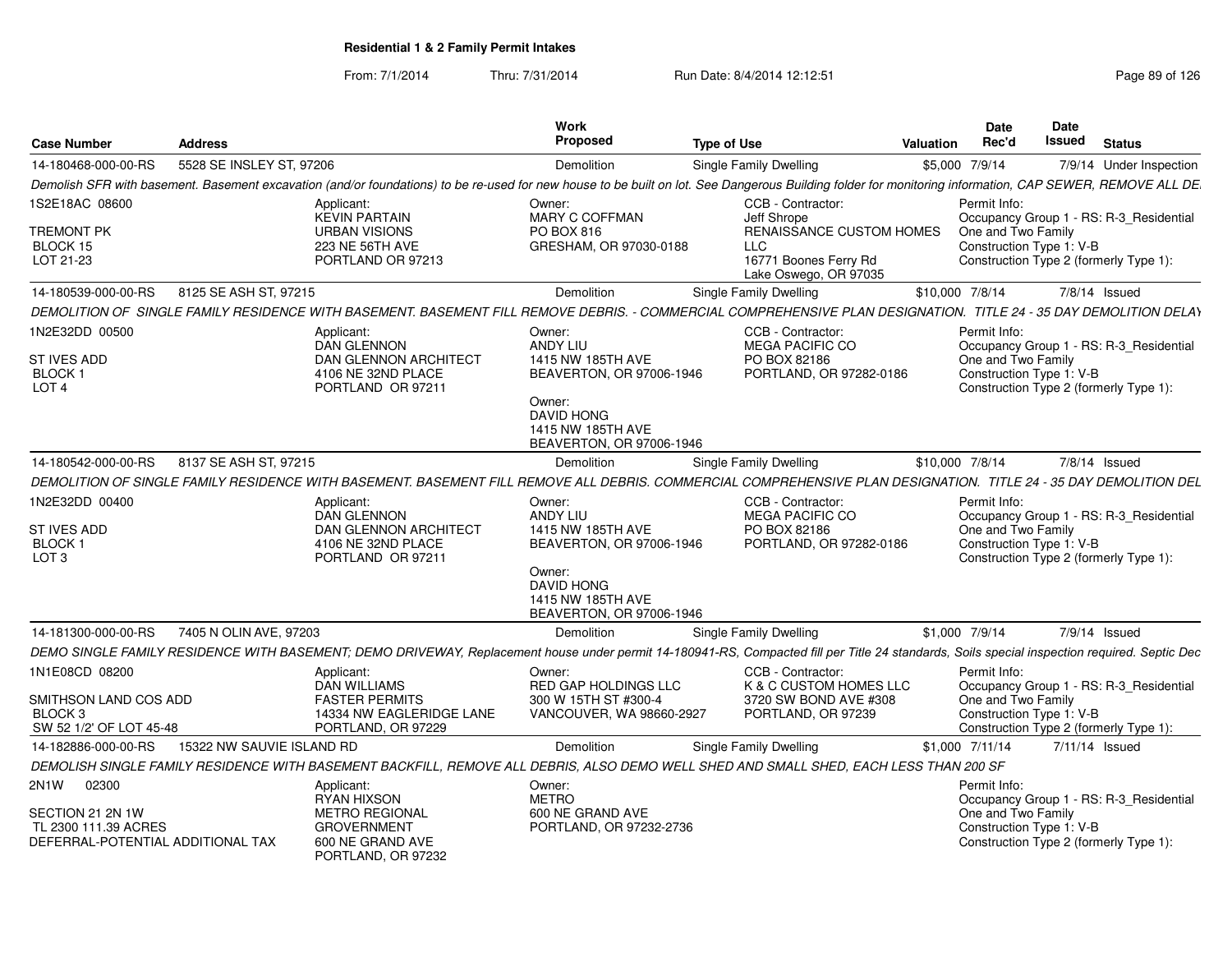From: 7/1/2014Thru: 7/31/2014 Run Date: 8/4/2014 12:12:51 Run Date: 8/4/2014 12:12:51

| <b>Case Number</b>                                                            | <b>Address</b>            |                                                                                                                                                                                                          | <b>Work</b><br>Proposed                                                                                                | <b>Type of Use</b> |                                                                                          | <b>Valuation</b> | <b>Date</b><br>Rec'd                                           | Date<br>Issued | <b>Status</b>                                                                     |
|-------------------------------------------------------------------------------|---------------------------|----------------------------------------------------------------------------------------------------------------------------------------------------------------------------------------------------------|------------------------------------------------------------------------------------------------------------------------|--------------------|------------------------------------------------------------------------------------------|------------------|----------------------------------------------------------------|----------------|-----------------------------------------------------------------------------------|
| 14-180468-000-00-RS                                                           | 5528 SE INSLEY ST, 97206  |                                                                                                                                                                                                          | <b>Demolition</b>                                                                                                      |                    | <b>Single Family Dwelling</b>                                                            |                  | \$5,000 7/9/14                                                 |                | 7/9/14 Under Inspection                                                           |
|                                                                               |                           | Demolish SFR with basement. Basement excavation (and/or foundations) to be re-used for new house to be built on lot. See Dangerous Building folder for monitoring information, CAP SEWER, REMOVE ALL DE. |                                                                                                                        |                    |                                                                                          |                  |                                                                |                |                                                                                   |
| 1S2E18AC 08600                                                                |                           | Applicant:<br><b>KEVIN PARTAIN</b>                                                                                                                                                                       | Owner:<br>MARY C COFFMAN                                                                                               |                    | CCB - Contractor:<br>Jeff Shrope                                                         |                  | Permit Info:                                                   |                | Occupancy Group 1 - RS: R-3_Residential                                           |
| TREMONT PK<br>BLOCK 15<br>LOT 21-23                                           |                           | <b>URBAN VISIONS</b><br>223 NE 56TH AVE<br>PORTLAND OR 97213                                                                                                                                             | <b>PO BOX 816</b><br>GRESHAM, OR 97030-0188                                                                            |                    | RENAISSANCE CUSTOM HOMES<br><b>LLC</b><br>16771 Boones Ferry Rd<br>Lake Oswego, OR 97035 |                  | One and Two Family<br>Construction Type 1: V-B                 |                | Construction Type 2 (formerly Type 1):                                            |
| 14-180539-000-00-RS                                                           | 8125 SE ASH ST, 97215     |                                                                                                                                                                                                          | Demolition                                                                                                             |                    | <b>Single Family Dwelling</b>                                                            |                  | \$10,000 7/8/14                                                |                | 7/8/14 Issued                                                                     |
|                                                                               |                           | DEMOLITION OF SINGLE FAMILY RESIDENCE WITH BASEMENT. BASEMENT FILL REMOVE DEBRIS. - COMMERCIAL COMPREHENSIVE PLAN DESIGNATION. TITLE 24 - 35 DAY DEMOLITION DELAY                                        |                                                                                                                        |                    |                                                                                          |                  |                                                                |                |                                                                                   |
| 1N2E32DD 00500                                                                |                           | Applicant:<br><b>DAN GLENNON</b>                                                                                                                                                                         | Owner:<br>ANDY LIU                                                                                                     |                    | CCB - Contractor:<br><b>MEGA PACIFIC CO</b>                                              |                  | Permit Info:                                                   |                | Occupancy Group 1 - RS: R-3 Residential                                           |
| ST IVES ADD<br>BLOCK <sub>1</sub><br>LOT <sub>4</sub>                         |                           | <b>DAN GLENNON ARCHITECT</b><br>4106 NE 32ND PLACE<br>PORTLAND OR 97211                                                                                                                                  | 1415 NW 185TH AVE<br>BEAVERTON, OR 97006-1946<br>Owner:<br>DAVID HONG<br>1415 NW 185TH AVE<br>BEAVERTON, OR 97006-1946 |                    | PO BOX 82186<br>PORTLAND, OR 97282-0186                                                  |                  | One and Two Family<br>Construction Type 1: V-B                 |                | Construction Type 2 (formerly Type 1):                                            |
| 14-180542-000-00-RS                                                           | 8137 SE ASH ST, 97215     |                                                                                                                                                                                                          | Demolition                                                                                                             |                    | Single Family Dwelling                                                                   |                  | \$10,000 7/8/14                                                |                | 7/8/14 Issued                                                                     |
|                                                                               |                           | DEMOLITION OF SINGLE FAMILY RESIDENCE WITH BASEMENT. BASEMENT FILL REMOVE ALL DEBRIS. COMMERCIAL COMPREHENSIVE PLAN DESIGNATION. TITLE 24 - 35 DAY DEMOLITION DEL                                        |                                                                                                                        |                    |                                                                                          |                  |                                                                |                |                                                                                   |
| 1N2E32DD 00400<br>ST IVES ADD<br>BLOCK <sub>1</sub><br>LOT <sub>3</sub>       |                           | Applicant:<br><b>DAN GLENNON</b><br>DAN GLENNON ARCHITECT<br>4106 NE 32ND PLACE<br>PORTLAND OR 97211                                                                                                     | Owner:<br><b>ANDY LIU</b><br>1415 NW 185TH AVE<br>BEAVERTON, OR 97006-1946                                             |                    | CCB - Contractor:<br><b>MEGA PACIFIC CO</b><br>PO BOX 82186<br>PORTLAND, OR 97282-0186   |                  | Permit Info:<br>One and Two Family<br>Construction Type 1: V-B |                | Occupancy Group 1 - RS: R-3_Residential<br>Construction Type 2 (formerly Type 1): |
|                                                                               |                           |                                                                                                                                                                                                          | Owner:<br><b>DAVID HONG</b><br>1415 NW 185TH AVE<br>BEAVERTON, OR 97006-1946                                           |                    |                                                                                          |                  |                                                                |                |                                                                                   |
| 14-181300-000-00-RS                                                           | 7405 N OLIN AVE, 97203    |                                                                                                                                                                                                          | Demolition                                                                                                             |                    | <b>Single Family Dwelling</b>                                                            |                  | \$1,000 7/9/14                                                 |                | 7/9/14 Issued                                                                     |
|                                                                               |                           | DEMO SINGLE FAMILY RESIDENCE WITH BASEMENT; DEMO DRIVEWAY, Replacement house under permit 14-180941-RS, Compacted fill per Title 24 standards, Soils special inspection required. Septic Dec             |                                                                                                                        |                    |                                                                                          |                  |                                                                |                |                                                                                   |
| 1N1E08CD 08200                                                                |                           | Applicant:                                                                                                                                                                                               | Owner:                                                                                                                 |                    | CCB - Contractor:                                                                        |                  | Permit Info:                                                   |                |                                                                                   |
| SMITHSON LAND COS ADD<br>BLOCK <sub>3</sub><br>SW 52 1/2' OF LOT 45-48        |                           | <b>DAN WILLIAMS</b><br><b>FASTER PERMITS</b><br>14334 NW EAGLERIDGE LANE<br>PORTLAND, OR 97229                                                                                                           | <b>RED GAP HOLDINGS LLC</b><br>300 W 15TH ST #300-4<br>VANCOUVER, WA 98660-2927                                        |                    | K & C CUSTOM HOMES LLC<br>3720 SW BOND AVE #308<br>PORTLAND, OR 97239                    |                  | One and Two Family<br>Construction Type 1: V-B                 |                | Occupancy Group 1 - RS: R-3 Residential<br>Construction Type 2 (formerly Type 1): |
| 14-182886-000-00-RS                                                           | 15322 NW SAUVIE ISLAND RD |                                                                                                                                                                                                          | Demolition                                                                                                             |                    | Single Family Dwelling                                                                   |                  | \$1,000 7/11/14                                                | 7/11/14 Issued |                                                                                   |
|                                                                               |                           | DEMOLISH SINGLE FAMILY RESIDENCE WITH BASEMENT BACKFILL, REMOVE ALL DEBRIS, ALSO DEMO WELL SHED AND SMALL SHED, EACH LESS THAN 200 SF                                                                    |                                                                                                                        |                    |                                                                                          |                  |                                                                |                |                                                                                   |
| 2N1W<br>02300                                                                 |                           | Applicant:<br><b>RYAN HIXSON</b>                                                                                                                                                                         | Owner:<br><b>METRO</b>                                                                                                 |                    |                                                                                          |                  | Permit Info:                                                   |                | Occupancy Group 1 - RS: R-3 Residential                                           |
| SECTION 21 2N 1W<br>TL 2300 111.39 ACRES<br>DEFERRAL-POTENTIAL ADDITIONAL TAX |                           | <b>METRO REGIONAL</b><br><b>GROVERNMENT</b><br>600 NE GRAND AVE<br>PORTLAND, OR 97232                                                                                                                    | 600 NE GRAND AVE<br>PORTLAND, OR 97232-2736                                                                            |                    |                                                                                          |                  | One and Two Family<br>Construction Type 1: V-B                 |                | Construction Type 2 (formerly Type 1):                                            |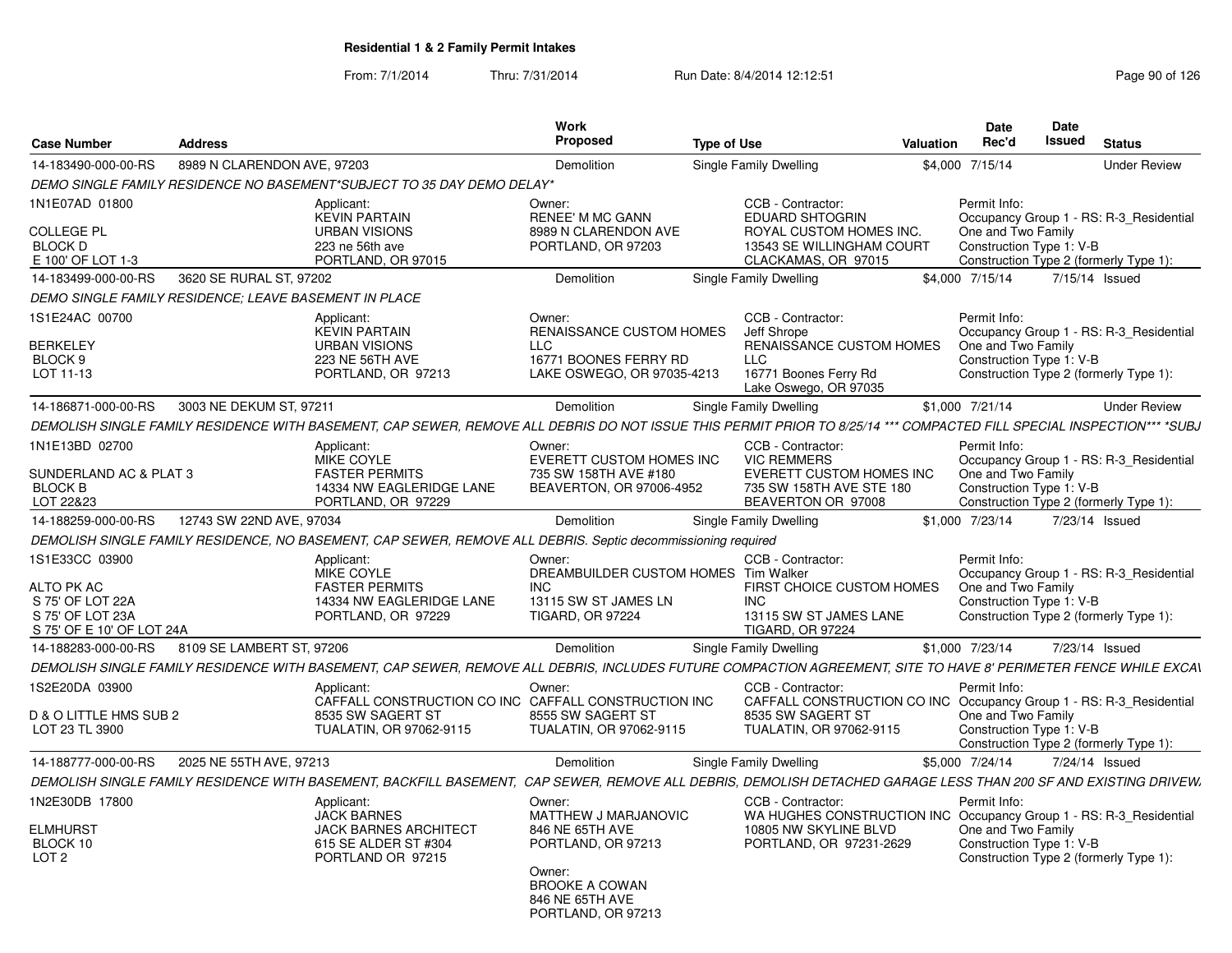| <b>Case Number</b>                                       | <b>Address</b>              |                                                                                                                                                                       | <b>Work</b><br><b>Proposed</b>                                           | <b>Type of Use</b> |                                                                                          | Valuation | <b>Date</b><br>Rec'd                           | <b>Date</b><br><b>Issued</b> | <b>Status</b>                           |
|----------------------------------------------------------|-----------------------------|-----------------------------------------------------------------------------------------------------------------------------------------------------------------------|--------------------------------------------------------------------------|--------------------|------------------------------------------------------------------------------------------|-----------|------------------------------------------------|------------------------------|-----------------------------------------|
| 14-183490-000-00-RS                                      | 8989 N CLARENDON AVE, 97203 |                                                                                                                                                                       | Demolition                                                               |                    | Single Family Dwelling                                                                   |           | \$4,000 7/15/14                                |                              | <b>Under Review</b>                     |
|                                                          |                             | DEMO SINGLE FAMILY RESIDENCE NO BASEMENT*SUBJECT TO 35 DAY DEMO DELAY*                                                                                                |                                                                          |                    |                                                                                          |           |                                                |                              |                                         |
| 1N1E07AD 01800                                           |                             | Applicant:<br><b>KEVIN PARTAIN</b>                                                                                                                                    | Owner:<br><b>RENEE' M MC GANN</b>                                        |                    | CCB - Contractor:<br><b>EDUARD SHTOGRIN</b>                                              |           | Permit Info:                                   |                              | Occupancy Group 1 - RS: R-3 Residential |
| <b>COLLEGE PL</b><br><b>BLOCK D</b><br>E 100' OF LOT 1-3 |                             | <b>URBAN VISIONS</b><br>223 ne 56th ave<br>PORTLAND, OR 97015                                                                                                         | 8989 N CLARENDON AVE<br>PORTLAND, OR 97203                               |                    | ROYAL CUSTOM HOMES INC.<br>13543 SE WILLINGHAM COURT<br>CLACKAMAS, OR 97015              |           | One and Two Family<br>Construction Type 1: V-B |                              | Construction Type 2 (formerly Type 1):  |
| 14-183499-000-00-RS                                      | 3620 SE RURAL ST, 97202     |                                                                                                                                                                       | Demolition                                                               |                    | Single Family Dwelling                                                                   |           | \$4,000 7/15/14                                |                              | 7/15/14 Issued                          |
| DEMO SINGLE FAMILY RESIDENCE: LEAVE BASEMENT IN PLACE    |                             |                                                                                                                                                                       |                                                                          |                    |                                                                                          |           |                                                |                              |                                         |
| 1S1E24AC 00700                                           |                             | Applicant:<br><b>KEVIN PARTAIN</b>                                                                                                                                    | Owner:<br><b>RENAISSANCE CUSTOM HOMES</b>                                |                    | CCB - Contractor:<br>Jeff Shrope                                                         |           | Permit Info:                                   |                              | Occupancy Group 1 - RS: R-3 Residential |
| <b>BERKELEY</b>                                          |                             | <b>URBAN VISIONS</b>                                                                                                                                                  | <b>LLC</b>                                                               |                    | RENAISSANCE CUSTOM HOMES                                                                 |           | One and Two Family                             |                              |                                         |
| BLOCK 9<br>LOT 11-13                                     |                             | 223 NE 56TH AVE<br>PORTLAND, OR 97213                                                                                                                                 | 16771 BOONES FERRY RD<br>LAKE OSWEGO, OR 97035-4213                      |                    | <b>LLC</b><br>16771 Boones Ferry Rd<br>Lake Oswego, OR 97035                             |           | Construction Type 1: V-B                       |                              | Construction Type 2 (formerly Type 1):  |
| 14-186871-000-00-RS                                      | 3003 NE DEKUM ST, 97211     |                                                                                                                                                                       | Demolition                                                               |                    | Single Family Dwelling                                                                   |           | \$1,000 7/21/14                                |                              | <b>Under Review</b>                     |
|                                                          |                             | DEMOLISH SINGLE FAMILY RESIDENCE WITH BASEMENT, CAP SEWER, REMOVE ALL DEBRIS DO NOT ISSUE THIS PERMIT PRIOR TO 8/25/14 *** COMPACTED FILL SPECIAL INSPECTION*** *SUBJ |                                                                          |                    |                                                                                          |           |                                                |                              |                                         |
| 1N1E13BD 02700                                           |                             | Applicant:<br>MIKE COYLE                                                                                                                                              | Owner:<br>EVERETT CUSTOM HOMES INC                                       |                    | CCB - Contractor:<br><b>VIC REMMERS</b>                                                  |           | Permit Info:                                   |                              | Occupancy Group 1 - RS: R-3_Residential |
| SUNDERLAND AC & PLAT 3<br><b>BLOCK B</b><br>LOT 22&23    |                             | <b>FASTER PERMITS</b><br>14334 NW EAGLERIDGE LANE<br>PORTLAND, OR 97229                                                                                               | 735 SW 158TH AVE #180<br>BEAVERTON, OR 97006-4952                        |                    | EVERETT CUSTOM HOMES INC<br>735 SW 158TH AVE STE 180<br>BEAVERTON OR 97008               |           | One and Two Family<br>Construction Type 1: V-B |                              | Construction Type 2 (formerly Type 1):  |
| 14-188259-000-00-RS                                      | 12743 SW 22ND AVE, 97034    |                                                                                                                                                                       | Demolition                                                               |                    | Single Family Dwelling                                                                   |           | \$1,000 7/23/14                                |                              | 7/23/14 Issued                          |
|                                                          |                             | DEMOLISH SINGLE FAMILY RESIDENCE, NO BASEMENT, CAP SEWER, REMOVE ALL DEBRIS. Septic decommissioning required                                                          |                                                                          |                    |                                                                                          |           |                                                |                              |                                         |
| 1S1E33CC 03900                                           |                             | Applicant:<br>MIKE COYLE                                                                                                                                              | Owner:<br>DREAMBUILDER CUSTOM HOMES Tim Walker                           |                    | CCB - Contractor:                                                                        |           | Permit Info:                                   |                              | Occupancy Group 1 - RS: R-3_Residential |
| ALTO PK AC<br>S 75' OF LOT 22A                           |                             | <b>FASTER PERMITS</b><br>14334 NW EAGLERIDGE LANE                                                                                                                     | <b>INC</b><br>13115 SW ST JAMES LN                                       |                    | FIRST CHOICE CUSTOM HOMES<br><b>INC</b>                                                  |           | One and Two Family<br>Construction Type 1: V-B |                              |                                         |
| S 75' OF LOT 23A<br>S 75' OF E 10' OF LOT 24A            |                             | PORTLAND, OR 97229                                                                                                                                                    | <b>TIGARD, OR 97224</b>                                                  |                    | 13115 SW ST JAMES LANE<br><b>TIGARD, OR 97224</b>                                        |           |                                                |                              | Construction Type 2 (formerly Type 1):  |
| 14-188283-000-00-RS                                      | 8109 SE LAMBERT ST. 97206   |                                                                                                                                                                       | Demolition                                                               |                    | Single Family Dwelling                                                                   |           | \$1,000 7/23/14                                |                              | 7/23/14 Issued                          |
|                                                          |                             | DEMOLISH SINGLE FAMILY RESIDENCE WITH BASEMENT, CAP SEWER, REMOVE ALL DEBRIS, INCLUDES FUTURE COMPACTION AGREEMENT, SITE TO HAVE 8' PERIMETER FENCE WHILE EXCAV       |                                                                          |                    |                                                                                          |           |                                                |                              |                                         |
| 1S2E20DA 03900                                           |                             | Applicant:<br>CAFFALL CONSTRUCTION CO INC CAFFALL CONSTRUCTION INC                                                                                                    | Owner:                                                                   |                    | CCB - Contractor:<br>CAFFALL CONSTRUCTION CO INC Occupancy Group 1 - RS: R-3 Residential |           | Permit Info:                                   |                              |                                         |
| D & O LITTLE HMS SUB 2<br>LOT 23 TL 3900                 |                             | 8535 SW SAGERT ST<br>TUALATIN, OR 97062-9115                                                                                                                          | 8555 SW SAGERT ST<br>TUALATIN, OR 97062-9115                             |                    | 8535 SW SAGERT ST<br>TUALATIN, OR 97062-9115                                             |           | One and Two Family<br>Construction Type 1: V-B |                              | Construction Type 2 (formerly Type 1):  |
| 14-188777-000-00-RS                                      | 2025 NE 55TH AVE, 97213     |                                                                                                                                                                       | <b>Demolition</b>                                                        |                    | Single Family Dwelling                                                                   |           | \$5,000 7/24/14                                |                              | 7/24/14 Issued                          |
|                                                          |                             | DEMOLISH SINGLE FAMILY RESIDENCE WITH BASEMENT, BACKFILL BASEMENT, CAP SEWER, REMOVE ALL DEBRIS, DEMOLISH DETACHED GARAGE LESS THAN 200 SF AND EXISTING DRIVEW.       |                                                                          |                    |                                                                                          |           |                                                |                              |                                         |
| 1N2E30DB 17800                                           |                             | Applicant:<br><b>JACK BARNES</b>                                                                                                                                      | Owner:<br>MATTHEW J MARJANOVIC                                           |                    | CCB - Contractor:<br>WA HUGHES CONSTRUCTION INC Occupancy Group 1 - RS: R-3 Residential  |           | Permit Info:                                   |                              |                                         |
| <b>ELMHURST</b><br>BLOCK 10<br>LOT <sub>2</sub>          |                             | <b>JACK BARNES ARCHITECT</b><br>615 SE ALDER ST #304<br>PORTLAND OR 97215                                                                                             | 846 NE 65TH AVE<br>PORTLAND, OR 97213                                    |                    | 10805 NW SKYLINE BLVD<br>PORTLAND, OR 97231-2629                                         |           | One and Two Family<br>Construction Type 1: V-B |                              |                                         |
|                                                          |                             |                                                                                                                                                                       | Owner:<br><b>BROOKE A COWAN</b><br>846 NE 65TH AVE<br>PORTLAND, OR 97213 |                    |                                                                                          |           |                                                |                              | Construction Type 2 (formerly Type 1):  |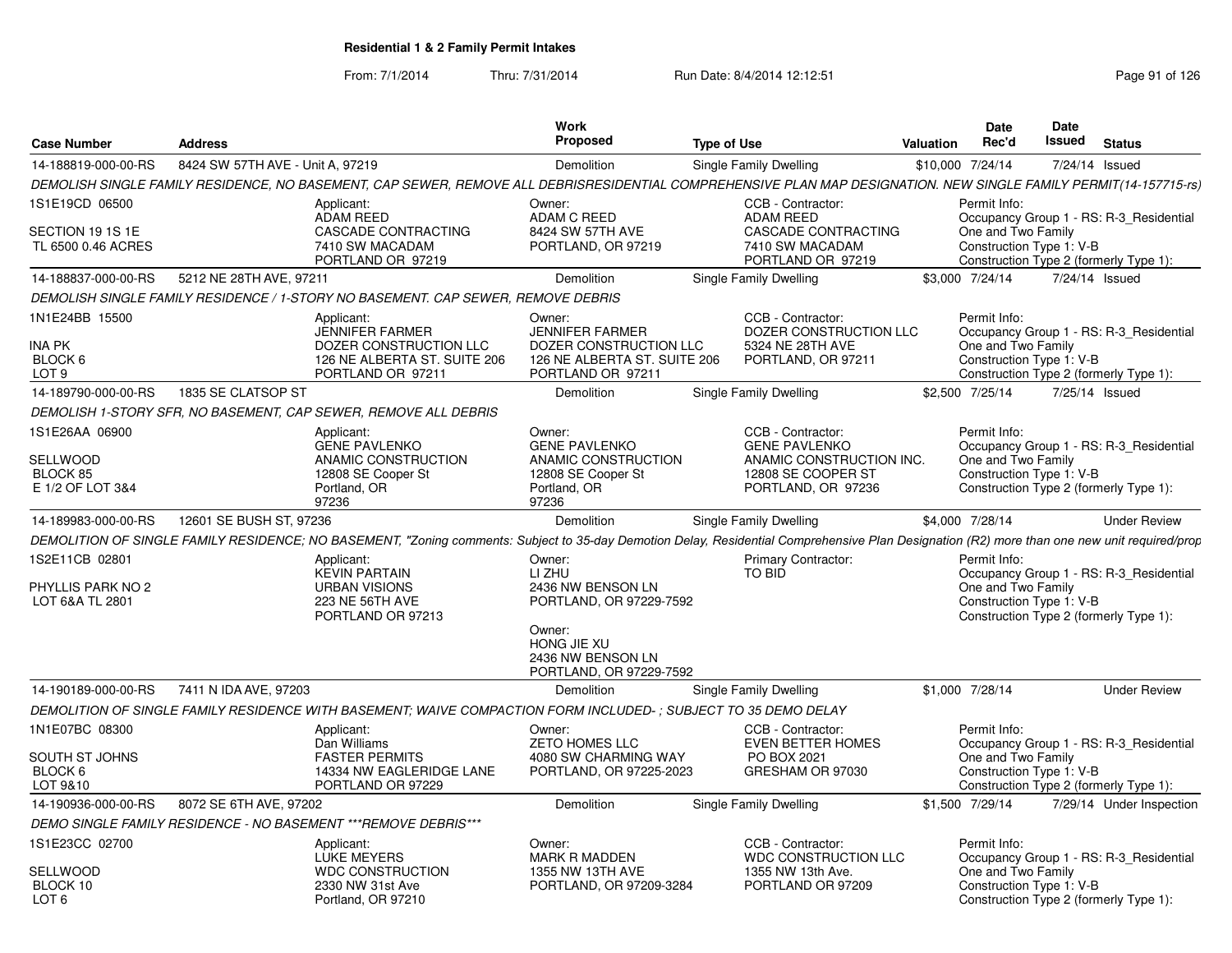| <b>Case Number</b>                                             | <b>Address</b>                   |                                                                                                                                                                                              | Work<br>Proposed                                                                                                                          | <b>Type of Use</b>                                                                                                | Valuation        | <b>Date</b><br>Rec'd               | <b>Date</b><br>Issued<br><b>Status</b>                                                                        |
|----------------------------------------------------------------|----------------------------------|----------------------------------------------------------------------------------------------------------------------------------------------------------------------------------------------|-------------------------------------------------------------------------------------------------------------------------------------------|-------------------------------------------------------------------------------------------------------------------|------------------|------------------------------------|---------------------------------------------------------------------------------------------------------------|
| 14-188819-000-00-RS                                            | 8424 SW 57TH AVE - Unit A, 97219 |                                                                                                                                                                                              | Demolition                                                                                                                                | Single Family Dwelling                                                                                            | \$10,000 7/24/14 |                                    | 7/24/14 Issued                                                                                                |
|                                                                |                                  | DEMOLISH SINGLE FAMILY RESIDENCE, NO BASEMENT, CAP SEWER, REMOVE ALL DEBRISRESIDENTIAL COMPREHENSIVE PLAN MAP DESIGNATION. NEW SINGLE FAMILY PERMIT(14-157715-rs)                            |                                                                                                                                           |                                                                                                                   |                  |                                    |                                                                                                               |
| 1S1E19CD 06500<br>SECTION 19 1S 1E<br>TL 6500 0.46 ACRES       |                                  | Applicant:<br>ADAM REED<br><b>CASCADE CONTRACTING</b><br>7410 SW MACADAM                                                                                                                     | Owner:<br>ADAM C REED<br>8424 SW 57TH AVE<br>PORTLAND, OR 97219                                                                           | CCB - Contractor:<br><b>ADAM REED</b><br><b>CASCADE CONTRACTING</b><br>7410 SW MACADAM                            |                  | Permit Info:<br>One and Two Family | Occupancy Group 1 - RS: R-3_Residential<br>Construction Type 1: V-B                                           |
| 14-188837-000-00-RS                                            | 5212 NE 28TH AVE, 97211          | PORTLAND OR 97219                                                                                                                                                                            | Demolition                                                                                                                                | PORTLAND OR 97219<br>Single Family Dwelling                                                                       |                  | \$3,000 7/24/14                    | Construction Type 2 (formerly Type 1):<br>7/24/14 Issued                                                      |
|                                                                |                                  | DEMOLISH SINGLE FAMILY RESIDENCE / 1-STORY NO BASEMENT. CAP SEWER, REMOVE DEBRIS                                                                                                             |                                                                                                                                           |                                                                                                                   |                  |                                    |                                                                                                               |
|                                                                |                                  |                                                                                                                                                                                              |                                                                                                                                           |                                                                                                                   |                  |                                    |                                                                                                               |
| 1N1E24BB 15500<br><b>INA PK</b><br>BLOCK 6<br>LOT <sub>9</sub> |                                  | Applicant:<br>JENNIFER FARMER<br>DOZER CONSTRUCTION LLC<br>126 NE ALBERTA ST. SUITE 206<br>PORTLAND OR 97211                                                                                 | Owner:<br><b>JENNIFER FARMER</b><br>DOZER CONSTRUCTION LLC<br>126 NE ALBERTA ST. SUITE 206<br>PORTLAND OR 97211                           | CCB - Contractor:<br>DOZER CONSTRUCTION LLC<br>5324 NE 28TH AVE<br>PORTLAND, OR 97211                             |                  | Permit Info:<br>One and Two Family | Occupancy Group 1 - RS: R-3 Residential<br>Construction Type 1: V-B<br>Construction Type 2 (formerly Type 1): |
| 14-189790-000-00-RS                                            | 1835 SE CLATSOP ST               |                                                                                                                                                                                              | Demolition                                                                                                                                | Single Family Dwelling                                                                                            |                  | \$2,500 7/25/14                    | 7/25/14 Issued                                                                                                |
|                                                                |                                  | DEMOLISH 1-STORY SFR. NO BASEMENT, CAP SEWER, REMOVE ALL DEBRIS                                                                                                                              |                                                                                                                                           |                                                                                                                   |                  |                                    |                                                                                                               |
| 1S1E26AA 06900<br>SELLWOOD<br>BLOCK 85<br>E 1/2 OF LOT 3&4     |                                  | Applicant:<br><b>GENE PAVLENKO</b><br>ANAMIC CONSTRUCTION<br>12808 SE Cooper St<br>Portland, OR<br>97236                                                                                     | Owner:<br><b>GENE PAVLENKO</b><br>ANAMIC CONSTRUCTION<br>12808 SE Cooper St<br>Portland, OR<br>97236                                      | CCB - Contractor:<br><b>GENE PAVLENKO</b><br>ANAMIC CONSTRUCTION INC.<br>12808 SE COOPER ST<br>PORTLAND, OR 97236 |                  | Permit Info:<br>One and Two Family | Occupancy Group 1 - RS: R-3 Residential<br>Construction Type 1: V-B<br>Construction Type 2 (formerly Type 1): |
| 14-189983-000-00-RS                                            | 12601 SE BUSH ST, 97236          |                                                                                                                                                                                              | Demolition                                                                                                                                | Single Family Dwelling                                                                                            |                  | \$4,000 7/28/14                    | <b>Under Review</b>                                                                                           |
|                                                                |                                  | DEMOLITION OF SINGLE FAMILY RESIDENCE; NO BASEMENT, "Zoning comments: Subject to 35-day Demotion Delay, Residential Comprehensive Plan Designation (R2) more than one new unit required/prop |                                                                                                                                           |                                                                                                                   |                  |                                    |                                                                                                               |
| 1S2E11CB 02801<br>PHYLLIS PARK NO 2<br>LOT 6&A TL 2801         |                                  | Applicant:<br><b>KEVIN PARTAIN</b><br><b>URBAN VISIONS</b><br>223 NE 56TH AVE<br>PORTLAND OR 97213                                                                                           | Owner:<br>LI ZHU<br>2436 NW BENSON LN<br>PORTLAND, OR 97229-7592<br>Owner:<br>HONG JIE XU<br>2436 NW BENSON LN<br>PORTLAND, OR 97229-7592 | <b>Primary Contractor:</b><br>TO BID                                                                              |                  | Permit Info:<br>One and Two Family | Occupancy Group 1 - RS: R-3 Residential<br>Construction Type 1: V-B<br>Construction Type 2 (formerly Type 1): |
| 14-190189-000-00-RS 7411 N IDA AVE, 97203                      |                                  |                                                                                                                                                                                              | Demolition                                                                                                                                | <b>Single Family Dwelling</b>                                                                                     | \$1,000 7/28/14  |                                    | <b>Under Review</b>                                                                                           |
|                                                                |                                  | DEMOLITION OF SINGLE FAMILY RESIDENCE WITH BASEMENT: WAIVE COMPACTION FORM INCLUDED-: SUBJECT TO 35 DEMO DELAY                                                                               |                                                                                                                                           |                                                                                                                   |                  |                                    |                                                                                                               |
| 1N1E07BC 08300<br>SOUTH ST JOHNS<br>BLOCK 6<br>LOT 9&10        |                                  | Applicant:<br>Dan Williams<br><b>FASTER PERMITS</b><br>14334 NW EAGLERIDGE LANE<br>PORTLAND OR 97229                                                                                         | Owner:<br><b>ZETO HOMES LLC</b><br>4080 SW CHARMING WAY<br>PORTLAND, OR 97225-2023                                                        | CCB - Contractor:<br><b>EVEN BETTER HOMES</b><br>PO BOX 2021<br>GRESHAM OR 97030                                  |                  | Permit Info:<br>One and Two Family | Occupancy Group 1 - RS: R-3 Residential<br>Construction Type 1: V-B<br>Construction Type 2 (formerly Type 1): |
| 14-190936-000-00-RS                                            | 8072 SE 6TH AVE, 97202           |                                                                                                                                                                                              | Demolition                                                                                                                                | Single Family Dwelling                                                                                            |                  | \$1,500 7/29/14                    | 7/29/14 Under Inspection                                                                                      |
|                                                                |                                  | DEMO SINGLE FAMILY RESIDENCE - NO BASEMENT *** REMOVE DEBRIS***                                                                                                                              |                                                                                                                                           |                                                                                                                   |                  |                                    |                                                                                                               |
| 1S1E23CC 02700<br>SELLWOOD<br>BLOCK 10<br>LOT <sub>6</sub>     |                                  | Applicant:<br>LUKE MEYERS<br><b>WDC CONSTRUCTION</b><br>2330 NW 31st Ave<br>Portland, OR 97210                                                                                               | Owner:<br>MARK R MADDEN<br>1355 NW 13TH AVE<br>PORTLAND, OR 97209-3284                                                                    | CCB - Contractor:<br><b>WDC CONSTRUCTION LLC</b><br>1355 NW 13th Ave.<br>PORTLAND OR 97209                        |                  | Permit Info:<br>One and Two Family | Occupancy Group 1 - RS: R-3 Residential<br>Construction Type 1: V-B<br>Construction Type 2 (formerly Type 1): |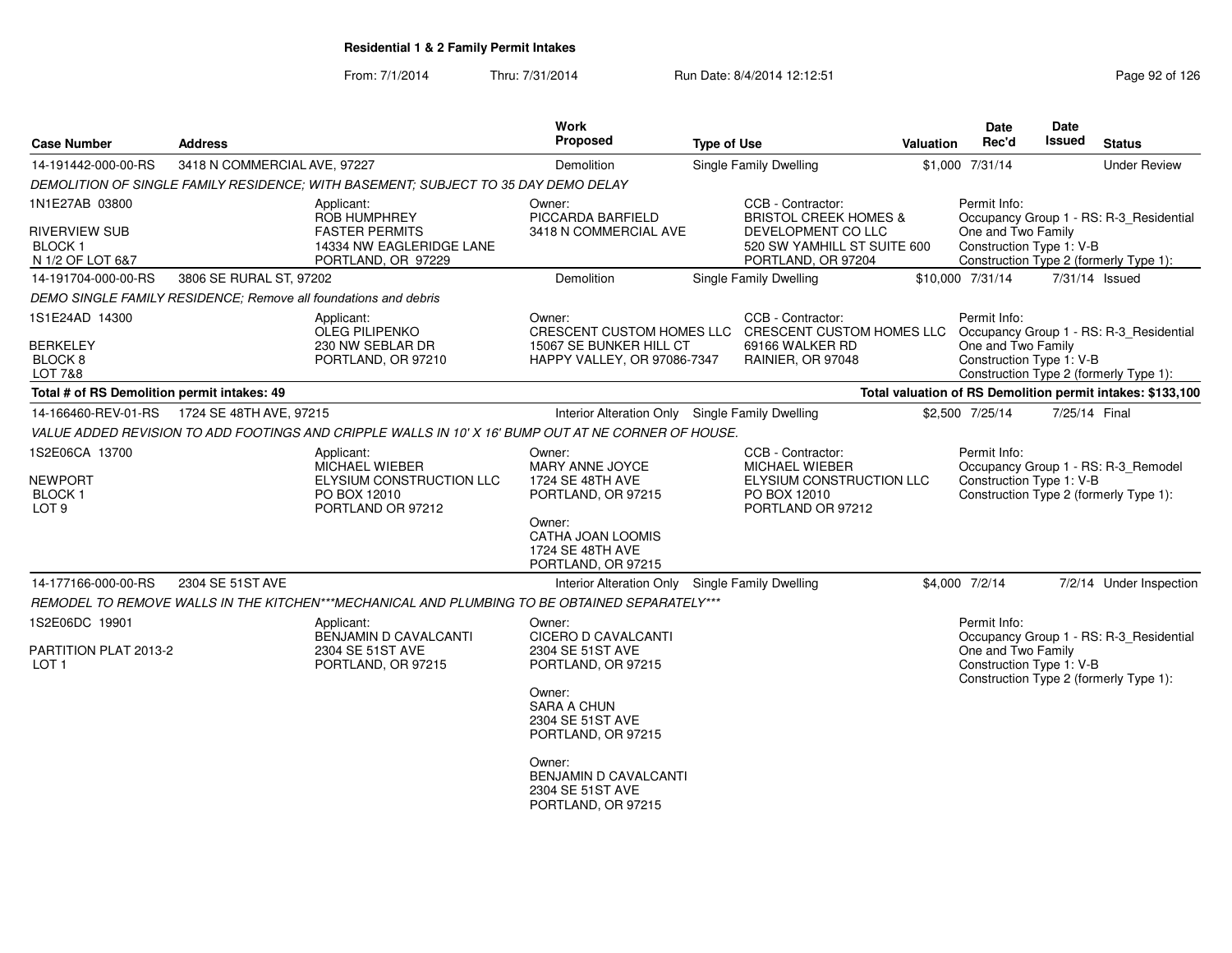| <b>Case Number</b>                                                         | <b>Address</b>                                                  |                                                                                                     | <b>Work</b><br><b>Proposed</b>                                                   | <b>Type of Use</b> |                                                                                                      | Valuation | Date<br>Rec'd                                  | Date<br>Issued | <b>Status</b>                                                                     |
|----------------------------------------------------------------------------|-----------------------------------------------------------------|-----------------------------------------------------------------------------------------------------|----------------------------------------------------------------------------------|--------------------|------------------------------------------------------------------------------------------------------|-----------|------------------------------------------------|----------------|-----------------------------------------------------------------------------------|
| 14-191442-000-00-RS                                                        | 3418 N COMMERCIAL AVE, 97227                                    |                                                                                                     | <b>Demolition</b>                                                                |                    | <b>Single Family Dwelling</b>                                                                        |           | \$1,000 7/31/14                                |                | <b>Under Review</b>                                                               |
|                                                                            |                                                                 | DEMOLITION OF SINGLE FAMILY RESIDENCE; WITH BASEMENT; SUBJECT TO 35 DAY DEMO DELAY                  |                                                                                  |                    |                                                                                                      |           |                                                |                |                                                                                   |
| 1N1E27AB 03800                                                             |                                                                 | Applicant:<br><b>ROB HUMPHREY</b>                                                                   | Owner:<br>PICCARDA BARFIELD                                                      |                    | CCB - Contractor:<br><b>BRISTOL CREEK HOMES &amp;</b>                                                |           | Permit Info:                                   |                | Occupancy Group 1 - RS: R-3_Residential                                           |
| <b>RIVERVIEW SUB</b><br><b>BLOCK1</b><br>N 1/2 OF LOT 6&7                  |                                                                 | <b>FASTER PERMITS</b><br>14334 NW EAGLERIDGE LANE<br>PORTLAND, OR 97229                             | 3418 N COMMERCIAL AVE                                                            |                    | DEVELOPMENT CO LLC<br>520 SW YAMHILL ST SUITE 600<br>PORTLAND, OR 97204                              |           | One and Two Family<br>Construction Type 1: V-B |                | Construction Type 2 (formerly Type 1):                                            |
| 14-191704-000-00-RS                                                        | 3806 SE RURAL ST, 97202                                         |                                                                                                     | <b>Demolition</b>                                                                |                    | Single Family Dwelling                                                                               |           | \$10,000 7/31/14                               |                | 7/31/14 Issued                                                                    |
|                                                                            | DEMO SINGLE FAMILY RESIDENCE; Remove all foundations and debris |                                                                                                     |                                                                                  |                    |                                                                                                      |           |                                                |                |                                                                                   |
| 1S1E24AD 14300                                                             |                                                                 | Applicant:<br><b>OLEG PILIPENKO</b>                                                                 | Owner:<br>CRESCENT CUSTOM HOMES LLC                                              |                    | CCB - Contractor:<br>CRESCENT CUSTOM HOMES LLC Occupancy Group 1 - RS: R-3_Residential               |           | Permit Info:                                   |                |                                                                                   |
| <b>BERKELEY</b><br>BLOCK <sub>8</sub><br><b>LOT 7&amp;8</b>                |                                                                 | 230 NW SEBLAR DR<br>PORTLAND, OR 97210                                                              | 15067 SE BUNKER HILL CT<br>HAPPY VALLEY, OR 97086-7347                           |                    | 69166 WALKER RD<br>RAINIER, OR 97048                                                                 |           | One and Two Family<br>Construction Type 1: V-B |                | Construction Type 2 (formerly Type 1):                                            |
| Total # of RS Demolition permit intakes: 49                                |                                                                 |                                                                                                     |                                                                                  |                    |                                                                                                      |           |                                                |                | Total valuation of RS Demolition permit intakes: \$133,100                        |
|                                                                            | 14-166460-REV-01-RS 1724 SE 48TH AVE, 97215                     |                                                                                                     | Interior Alteration Only Single Family Dwelling                                  |                    |                                                                                                      |           | \$2,500 7/25/14                                | 7/25/14 Final  |                                                                                   |
|                                                                            |                                                                 | VALUE ADDED REVISION TO ADD FOOTINGS AND CRIPPLE WALLS IN 10' X 16' BUMP OUT AT NE CORNER OF HOUSE. |                                                                                  |                    |                                                                                                      |           |                                                |                |                                                                                   |
| 1S2E06CA 13700<br><b>NEWPORT</b><br>BLOCK <sub>1</sub><br>LOT <sub>9</sub> |                                                                 | Applicant:<br>MICHAEL WIEBER<br>ELYSIUM CONSTRUCTION LLC<br>PO BOX 12010<br>PORTLAND OR 97212       | Owner:<br>MARY ANNE JOYCE<br>1724 SE 48TH AVE<br>PORTLAND, OR 97215              |                    | CCB - Contractor:<br>MICHAEL WIEBER<br>ELYSIUM CONSTRUCTION LLC<br>PO BOX 12010<br>PORTLAND OR 97212 |           | Permit Info:<br>Construction Type 1: V-B       |                | Occupancy Group 1 - RS: R-3_Remodel<br>Construction Type 2 (formerly Type 1):     |
|                                                                            |                                                                 |                                                                                                     | Owner:<br>CATHA JOAN LOOMIS<br>1724 SE 48TH AVE<br>PORTLAND, OR 97215            |                    |                                                                                                      |           |                                                |                |                                                                                   |
| 14-177166-000-00-RS                                                        | 2304 SE 51ST AVE                                                |                                                                                                     | Interior Alteration Only Single Family Dwelling                                  |                    |                                                                                                      |           | \$4,000 7/2/14                                 |                | 7/2/14 Under Inspection                                                           |
|                                                                            |                                                                 | REMODEL TO REMOVE WALLS IN THE KITCHEN***MECHANICAL AND PLUMBING TO BE OBTAINED SEPARATELY***       |                                                                                  |                    |                                                                                                      |           |                                                |                |                                                                                   |
| 1S2E06DC 19901                                                             |                                                                 | Applicant:                                                                                          | Owner:                                                                           |                    |                                                                                                      |           | Permit Info:                                   |                |                                                                                   |
| PARTITION PLAT 2013-2<br>LOT <sub>1</sub>                                  |                                                                 | BENJAMIN D CAVALCANTI<br>2304 SE 51ST AVE<br>PORTLAND, OR 97215                                     | <b>CICERO D CAVALCANTI</b><br>2304 SE 51ST AVE<br>PORTLAND, OR 97215             |                    |                                                                                                      |           | One and Two Family<br>Construction Type 1: V-B |                | Occupancy Group 1 - RS: R-3_Residential<br>Construction Type 2 (formerly Type 1): |
|                                                                            |                                                                 |                                                                                                     | Owner:<br><b>SARA A CHUN</b><br>2304 SE 51ST AVE<br>PORTLAND, OR 97215           |                    |                                                                                                      |           |                                                |                |                                                                                   |
|                                                                            |                                                                 |                                                                                                     | Owner:<br><b>BENJAMIN D CAVALCANTI</b><br>2304 SE 51ST AVE<br>PORTLAND, OR 97215 |                    |                                                                                                      |           |                                                |                |                                                                                   |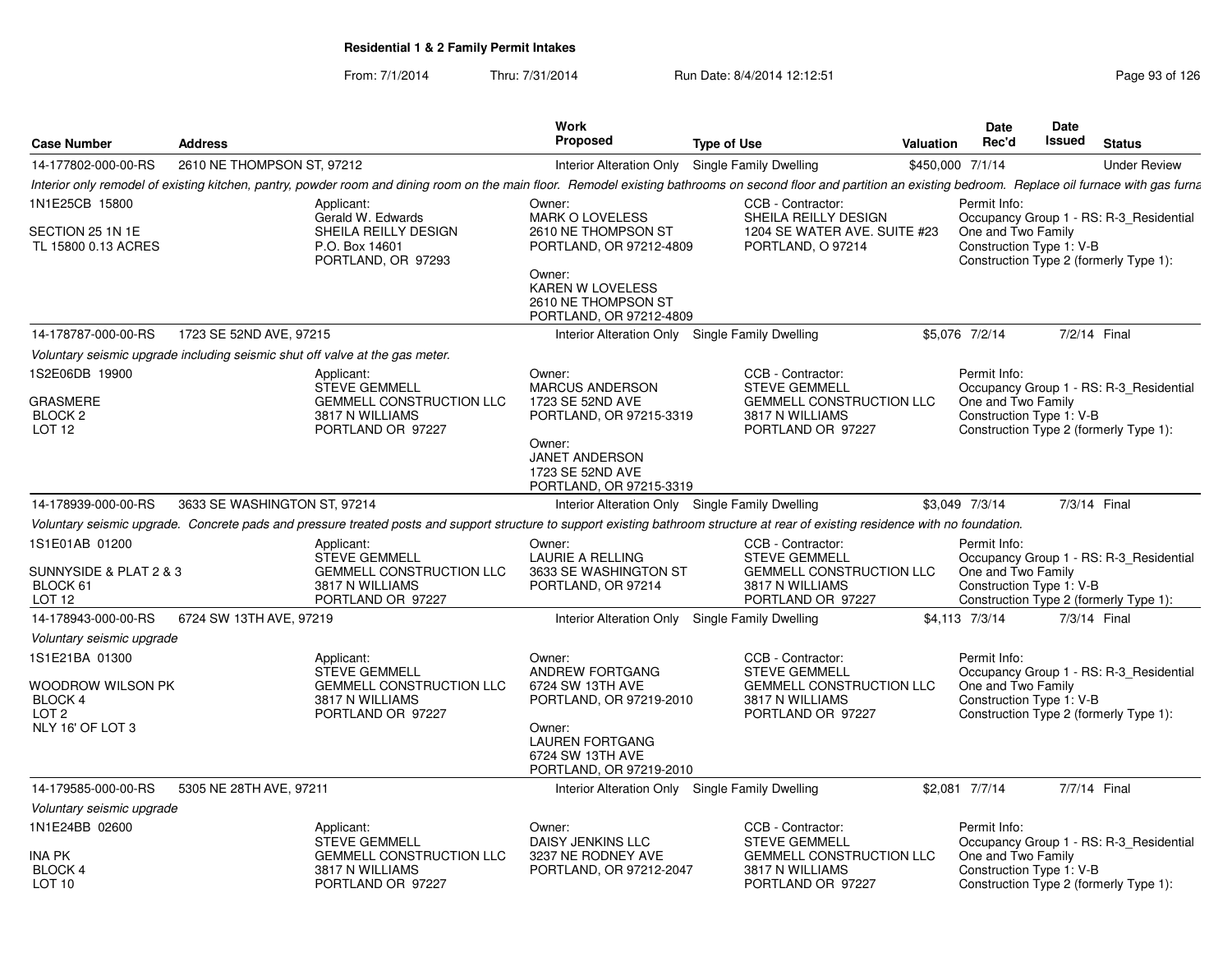| <b>Case Number</b>                                                           | <b>Address</b>               |                                                                                                                                                                                                                    | Work<br><b>Proposed</b>                                                                                 | <b>Type of Use</b> |                                                                           | <b>Valuation</b> | <b>Date</b><br>Rec'd                           | Date<br>Issued | <b>Status</b>                           |
|------------------------------------------------------------------------------|------------------------------|--------------------------------------------------------------------------------------------------------------------------------------------------------------------------------------------------------------------|---------------------------------------------------------------------------------------------------------|--------------------|---------------------------------------------------------------------------|------------------|------------------------------------------------|----------------|-----------------------------------------|
| 14-177802-000-00-RS                                                          | 2610 NE THOMPSON ST, 97212   |                                                                                                                                                                                                                    | Interior Alteration Only Single Family Dwelling                                                         |                    |                                                                           | \$450,000 7/1/14 |                                                |                | <b>Under Review</b>                     |
|                                                                              |                              | Interior only remodel of existing kitchen, pantry, powder room and dining room on the main floor. Remodel existing bathrooms on second floor and partition an existing bedroom. Replace oil furnace with gas furna |                                                                                                         |                    |                                                                           |                  |                                                |                |                                         |
| 1N1E25CB 15800<br>SECTION 25 1N 1E                                           |                              | Applicant:<br>Gerald W. Edwards<br>SHEILA REILLY DESIGN                                                                                                                                                            | Owner:<br><b>MARK O LOVELESS</b><br>2610 NE THOMPSON ST                                                 |                    | CCB - Contractor:<br>SHEILA REILLY DESIGN<br>1204 SE WATER AVE. SUITE #23 |                  | Permit Info:<br>One and Two Family             |                | Occupancy Group 1 - RS: R-3_Residential |
| TL 15800 0.13 ACRES                                                          |                              | P.O. Box 14601<br>PORTLAND, OR 97293                                                                                                                                                                               | PORTLAND, OR 97212-4809<br>Owner:<br>KAREN W LOVELESS<br>2610 NE THOMPSON ST<br>PORTLAND, OR 97212-4809 |                    | PORTLAND, O 97214                                                         |                  | Construction Type 1: V-B                       |                | Construction Type 2 (formerly Type 1):  |
| 14-178787-000-00-RS                                                          | 1723 SE 52ND AVE, 97215      |                                                                                                                                                                                                                    | Interior Alteration Only Single Family Dwelling                                                         |                    |                                                                           |                  | \$5,076 7/2/14                                 |                | 7/2/14 Final                            |
| Voluntary seismic upgrade including seismic shut off valve at the gas meter. |                              |                                                                                                                                                                                                                    |                                                                                                         |                    |                                                                           |                  |                                                |                |                                         |
| 1S2E06DB 19900                                                               |                              | Applicant:<br><b>STEVE GEMMELL</b>                                                                                                                                                                                 | Owner:<br><b>MARCUS ANDERSON</b>                                                                        |                    | CCB - Contractor:<br><b>STEVE GEMMELL</b>                                 |                  | Permit Info:                                   |                | Occupancy Group 1 - RS: R-3 Residential |
| GRASMERE                                                                     |                              | <b>GEMMELL CONSTRUCTION LLC</b>                                                                                                                                                                                    | 1723 SE 52ND AVE                                                                                        |                    | <b>GEMMELL CONSTRUCTION LLC</b>                                           |                  | One and Two Family                             |                |                                         |
| BLOCK <sub>2</sub><br>LOT <sub>12</sub>                                      |                              | 3817 N WILLIAMS<br>PORTLAND OR 97227                                                                                                                                                                               | PORTLAND, OR 97215-3319                                                                                 |                    | 3817 N WILLIAMS<br>PORTLAND OR 97227                                      |                  | Construction Type 1: V-B                       |                | Construction Type 2 (formerly Type 1):  |
|                                                                              |                              |                                                                                                                                                                                                                    | Owner:<br><b>JANET ANDERSON</b><br>1723 SE 52ND AVE<br>PORTLAND, OR 97215-3319                          |                    |                                                                           |                  |                                                |                |                                         |
| 14-178939-000-00-RS                                                          | 3633 SE WASHINGTON ST, 97214 |                                                                                                                                                                                                                    | Interior Alteration Only Single Family Dwelling                                                         |                    |                                                                           |                  | \$3,049 7/3/14                                 |                | 7/3/14 Final                            |
|                                                                              |                              | Voluntary seismic upgrade. Concrete pads and pressure treated posts and support structure to support existing bathroom structure at rear of existing residence with no foundation.                                 |                                                                                                         |                    |                                                                           |                  |                                                |                |                                         |
| 1S1E01AB 01200                                                               |                              | Applicant:<br><b>STEVE GEMMELL</b>                                                                                                                                                                                 | Owner:<br><b>LAURIE A RELLING</b>                                                                       |                    | CCB - Contractor:<br><b>STEVE GEMMELL</b>                                 |                  | Permit Info:                                   |                | Occupancy Group 1 - RS: R-3 Residential |
| SUNNYSIDE & PLAT 2 & 3<br>BLOCK 61<br>LOT <sub>12</sub>                      |                              | <b>GEMMELL CONSTRUCTION LLC</b><br>3817 N WILLIAMS<br>PORTLAND OR 97227                                                                                                                                            | 3633 SE WASHINGTON ST<br>PORTLAND, OR 97214                                                             |                    | <b>GEMMELL CONSTRUCTION LLC</b><br>3817 N WILLIAMS<br>PORTLAND OR 97227   |                  | One and Two Family<br>Construction Type 1: V-B |                | Construction Type 2 (formerly Type 1):  |
| 14-178943-000-00-RS                                                          | 6724 SW 13TH AVE, 97219      |                                                                                                                                                                                                                    | Interior Alteration Only Single Family Dwelling                                                         |                    |                                                                           |                  | \$4,113 7/3/14                                 |                | 7/3/14 Final                            |
| Voluntary seismic upgrade                                                    |                              |                                                                                                                                                                                                                    |                                                                                                         |                    |                                                                           |                  |                                                |                |                                         |
| 1S1E21BA 01300                                                               |                              | Applicant:<br><b>STEVE GEMMELL</b>                                                                                                                                                                                 | Owner:<br>ANDREW FORTGANG                                                                               |                    | CCB - Contractor:<br><b>STEVE GEMMELL</b>                                 |                  | Permit Info:                                   |                | Occupancy Group 1 - RS: R-3 Residential |
| WOODROW WILSON PK<br>BLOCK 4<br>LOT <sub>2</sub>                             |                              | <b>GEMMELL CONSTRUCTION LLC</b><br>3817 N WILLIAMS                                                                                                                                                                 | 6724 SW 13TH AVE<br>PORTLAND, OR 97219-2010                                                             |                    | <b>GEMMELL CONSTRUCTION LLC</b><br>3817 N WILLIAMS                        |                  | One and Two Family<br>Construction Type 1: V-B |                | Construction Type 2 (formerly Type 1):  |
| NLY 16' OF LOT 3                                                             |                              | PORTLAND OR 97227                                                                                                                                                                                                  | Owner:<br><b>LAUREN FORTGANG</b><br>6724 SW 13TH AVE<br>PORTLAND, OR 97219-2010                         |                    | PORTLAND OR 97227                                                         |                  |                                                |                |                                         |
| 14-179585-000-00-RS                                                          | 5305 NE 28TH AVE, 97211      |                                                                                                                                                                                                                    | Interior Alteration Only Single Family Dwelling                                                         |                    |                                                                           |                  | \$2,081 7/7/14                                 |                | 7/7/14 Final                            |
| Voluntary seismic upgrade                                                    |                              |                                                                                                                                                                                                                    |                                                                                                         |                    |                                                                           |                  |                                                |                |                                         |
| 1N1E24BB 02600                                                               |                              | Applicant:<br><b>STEVE GEMMELL</b>                                                                                                                                                                                 | Owner:<br>DAISY JENKINS LLC                                                                             |                    | CCB - Contractor:<br><b>STEVE GEMMELL</b>                                 |                  | Permit Info:                                   |                | Occupancy Group 1 - RS: R-3 Residential |
| INA PK                                                                       |                              | <b>GEMMELL CONSTRUCTION LLC</b>                                                                                                                                                                                    | 3237 NE RODNEY AVE                                                                                      |                    | <b>GEMMELL CONSTRUCTION LLC</b>                                           |                  | One and Two Family                             |                |                                         |
| BLOCK 4<br>LOT 10                                                            |                              | 3817 N WILLIAMS<br>PORTLAND OR 97227                                                                                                                                                                               | PORTLAND, OR 97212-2047                                                                                 |                    | 3817 N WILLIAMS<br>PORTLAND OR 97227                                      |                  | Construction Type 1: V-B                       |                | Construction Type 2 (formerly Type 1):  |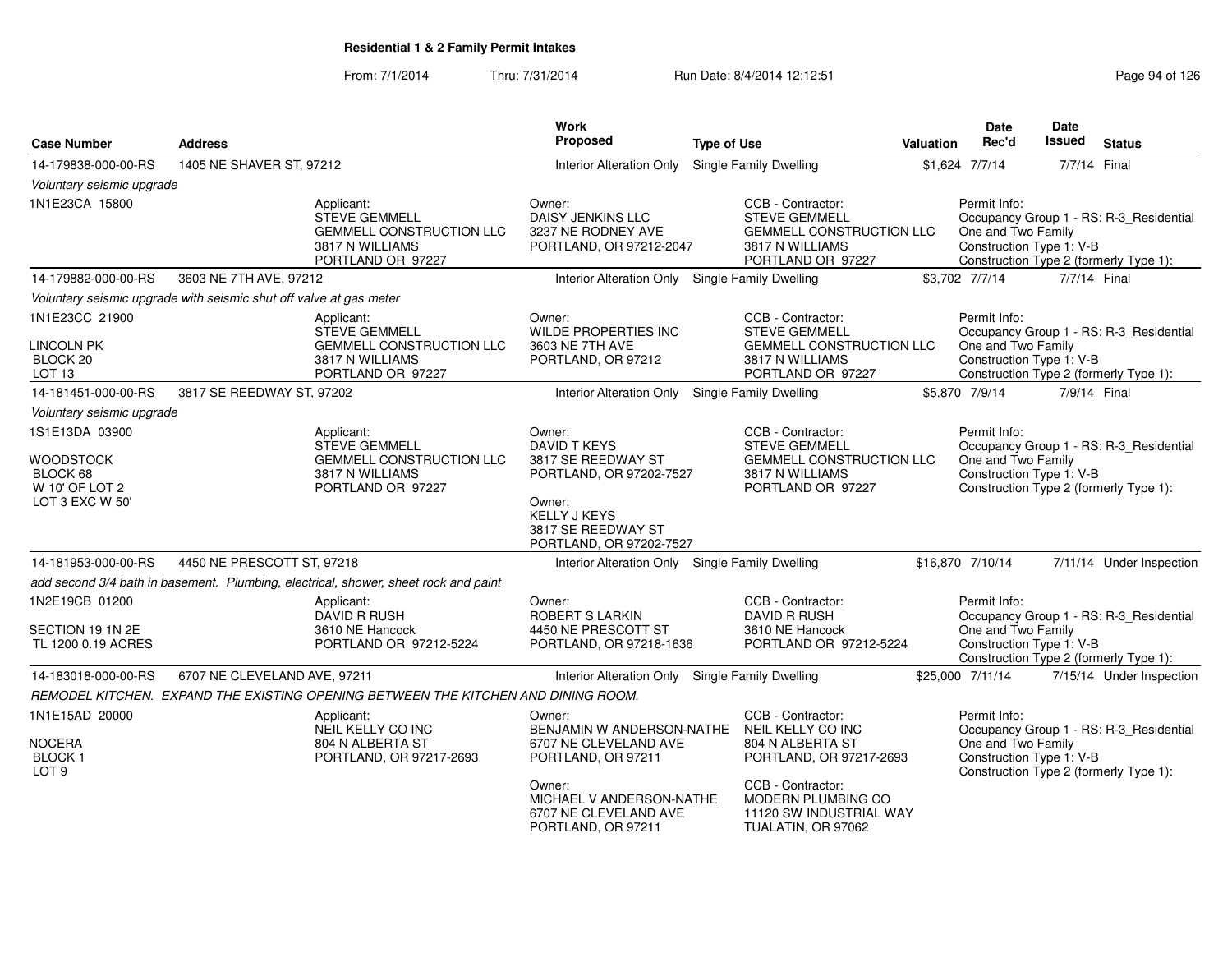| <b>Case Number</b>                                                   | <b>Address</b>                                                     |                                                                                                               | <b>Work</b><br>Proposed                                                                                                                                                 | <b>Type of Use</b>                                                                                                                                                                | <b>Valuation</b> | <b>Date</b><br>Rec'd                                           | Date<br><b>Issued</b> | <b>Status</b>                                                                     |
|----------------------------------------------------------------------|--------------------------------------------------------------------|---------------------------------------------------------------------------------------------------------------|-------------------------------------------------------------------------------------------------------------------------------------------------------------------------|-----------------------------------------------------------------------------------------------------------------------------------------------------------------------------------|------------------|----------------------------------------------------------------|-----------------------|-----------------------------------------------------------------------------------|
| 14-179838-000-00-RS                                                  | 1405 NE SHAVER ST, 97212                                           |                                                                                                               | <b>Interior Alteration Only</b>                                                                                                                                         | <b>Single Family Dwelling</b>                                                                                                                                                     |                  | \$1,624 7/7/14                                                 | 7/7/14 Final          |                                                                                   |
| Voluntary seismic upgrade                                            |                                                                    |                                                                                                               |                                                                                                                                                                         |                                                                                                                                                                                   |                  |                                                                |                       |                                                                                   |
| 1N1E23CA 15800                                                       |                                                                    | Applicant:<br><b>STEVE GEMMELL</b><br><b>GEMMELL CONSTRUCTION LLC</b><br>3817 N WILLIAMS<br>PORTLAND OR 97227 | Owner:<br>DAISY JENKINS LLC<br>3237 NE RODNEY AVE<br>PORTLAND, OR 97212-2047                                                                                            | CCB - Contractor:<br><b>STEVE GEMMELL</b><br><b>GEMMELL CONSTRUCTION LLC</b><br>3817 N WILLIAMS<br>PORTLAND OR 97227                                                              |                  | Permit Info:<br>One and Two Family<br>Construction Type 1: V-B |                       | Occupancy Group 1 - RS: R-3_Residential<br>Construction Type 2 (formerly Type 1): |
| 14-179882-000-00-RS                                                  | 3603 NE 7TH AVE, 97212                                             |                                                                                                               | Interior Alteration Only Single Family Dwelling                                                                                                                         |                                                                                                                                                                                   |                  | \$3,702 7/7/14                                                 | 7/7/14 Final          |                                                                                   |
|                                                                      | Voluntary seismic upgrade with seismic shut off valve at gas meter |                                                                                                               |                                                                                                                                                                         |                                                                                                                                                                                   |                  |                                                                |                       |                                                                                   |
| 1N1E23CC 21900<br>LINCOLN PK<br>BLOCK 20<br>LOT <sub>13</sub>        |                                                                    | Applicant:<br><b>STEVE GEMMELL</b><br><b>GEMMELL CONSTRUCTION LLC</b><br>3817 N WILLIAMS<br>PORTLAND OR 97227 | Owner:<br><b>WILDE PROPERTIES INC</b><br>3603 NE 7TH AVE<br>PORTLAND, OR 97212                                                                                          | CCB - Contractor:<br><b>STEVE GEMMELL</b><br><b>GEMMELL CONSTRUCTION LLC</b><br>3817 N WILLIAMS<br>PORTLAND OR 97227                                                              |                  | Permit Info:<br>One and Two Family<br>Construction Type 1: V-B |                       | Occupancy Group 1 - RS: R-3_Residential<br>Construction Type 2 (formerly Type 1): |
| 14-181451-000-00-RS                                                  | 3817 SE REEDWAY ST, 97202                                          |                                                                                                               | Interior Alteration Only Single Family Dwelling                                                                                                                         |                                                                                                                                                                                   |                  | \$5,870 7/9/14                                                 | 7/9/14 Final          |                                                                                   |
| Voluntary seismic upgrade                                            |                                                                    |                                                                                                               |                                                                                                                                                                         |                                                                                                                                                                                   |                  |                                                                |                       |                                                                                   |
| 1S1E13DA 03900                                                       |                                                                    | Applicant:                                                                                                    | Owner:                                                                                                                                                                  | CCB - Contractor:                                                                                                                                                                 |                  | Permit Info:                                                   |                       |                                                                                   |
| <b>WOODSTOCK</b><br>BLOCK 68<br>W 10' OF LOT 2<br>LOT 3 EXC W 50'    |                                                                    | <b>STEVE GEMMELL</b><br><b>GEMMELL CONSTRUCTION LLC</b><br>3817 N WILLIAMS<br>PORTLAND OR 97227               | DAVID T KEYS<br>3817 SE REEDWAY ST<br>PORTLAND, OR 97202-7527<br>Owner:<br><b>KELLY J KEYS</b><br>3817 SE REEDWAY ST<br>PORTLAND, OR 97202-7527                         | <b>STEVE GEMMELL</b><br><b>GEMMELL CONSTRUCTION LLC</b><br>3817 N WILLIAMS<br>PORTLAND OR 97227                                                                                   |                  | One and Two Family<br>Construction Type 1: V-B                 |                       | Occupancy Group 1 - RS: R-3_Residential<br>Construction Type 2 (formerly Type 1): |
| 14-181953-000-00-RS                                                  | 4450 NE PRESCOTT ST, 97218                                         |                                                                                                               | Interior Alteration Only Single Family Dwelling                                                                                                                         |                                                                                                                                                                                   |                  | \$16,870 7/10/14                                               |                       | 7/11/14 Under Inspection                                                          |
|                                                                      |                                                                    | add second 3/4 bath in basement. Plumbing, electrical, shower, sheet rock and paint                           |                                                                                                                                                                         |                                                                                                                                                                                   |                  |                                                                |                       |                                                                                   |
| 1N2E19CB 01200<br>SECTION 19 1N 2E<br>TL 1200 0.19 ACRES             |                                                                    | Applicant:<br><b>DAVID R RUSH</b><br>3610 NE Hancock<br>PORTLAND OR 97212-5224                                | Owner:<br>ROBERT S LARKIN<br>4450 NE PRESCOTT ST<br>PORTLAND, OR 97218-1636                                                                                             | CCB - Contractor:<br>DAVID R RUSH<br>3610 NE Hancock<br>PORTLAND OR 97212-5224                                                                                                    |                  | Permit Info:<br>One and Two Family<br>Construction Type 1: V-B |                       | Occupancy Group 1 - RS: R-3_Residential<br>Construction Type 2 (formerly Type 1): |
| 14-183018-000-00-RS                                                  | 6707 NE CLEVELAND AVE, 97211                                       |                                                                                                               | Interior Alteration Only                                                                                                                                                | <b>Single Family Dwelling</b>                                                                                                                                                     |                  | \$25,000 7/11/14                                               |                       | 7/15/14 Under Inspection                                                          |
|                                                                      |                                                                    | REMODEL KITCHEN. EXPAND THE EXISTING OPENING BETWEEN THE KITCHEN AND DINING ROOM.                             |                                                                                                                                                                         |                                                                                                                                                                                   |                  |                                                                |                       |                                                                                   |
| 1N1E15AD 20000<br><b>NOCERA</b><br><b>BLOCK1</b><br>LOT <sub>9</sub> |                                                                    | Applicant:<br>NEIL KELLY CO INC<br>804 N ALBERTA ST<br>PORTLAND, OR 97217-2693                                | Owner:<br>BENJAMIN W ANDERSON-NATHE<br>6707 NE CLEVELAND AVE<br>PORTLAND, OR 97211<br>Owner:<br>MICHAEL V ANDERSON-NATHE<br>6707 NE CLEVELAND AVE<br>PORTLAND, OR 97211 | CCB - Contractor:<br>NEIL KELLY CO INC<br>804 N ALBERTA ST<br>PORTLAND, OR 97217-2693<br>CCB - Contractor:<br>MODERN PLUMBING CO<br>11120 SW INDUSTRIAL WAY<br>TUALATIN, OR 97062 |                  | Permit Info:<br>One and Two Family<br>Construction Type 1: V-B |                       | Occupancy Group 1 - RS: R-3_Residential<br>Construction Type 2 (formerly Type 1): |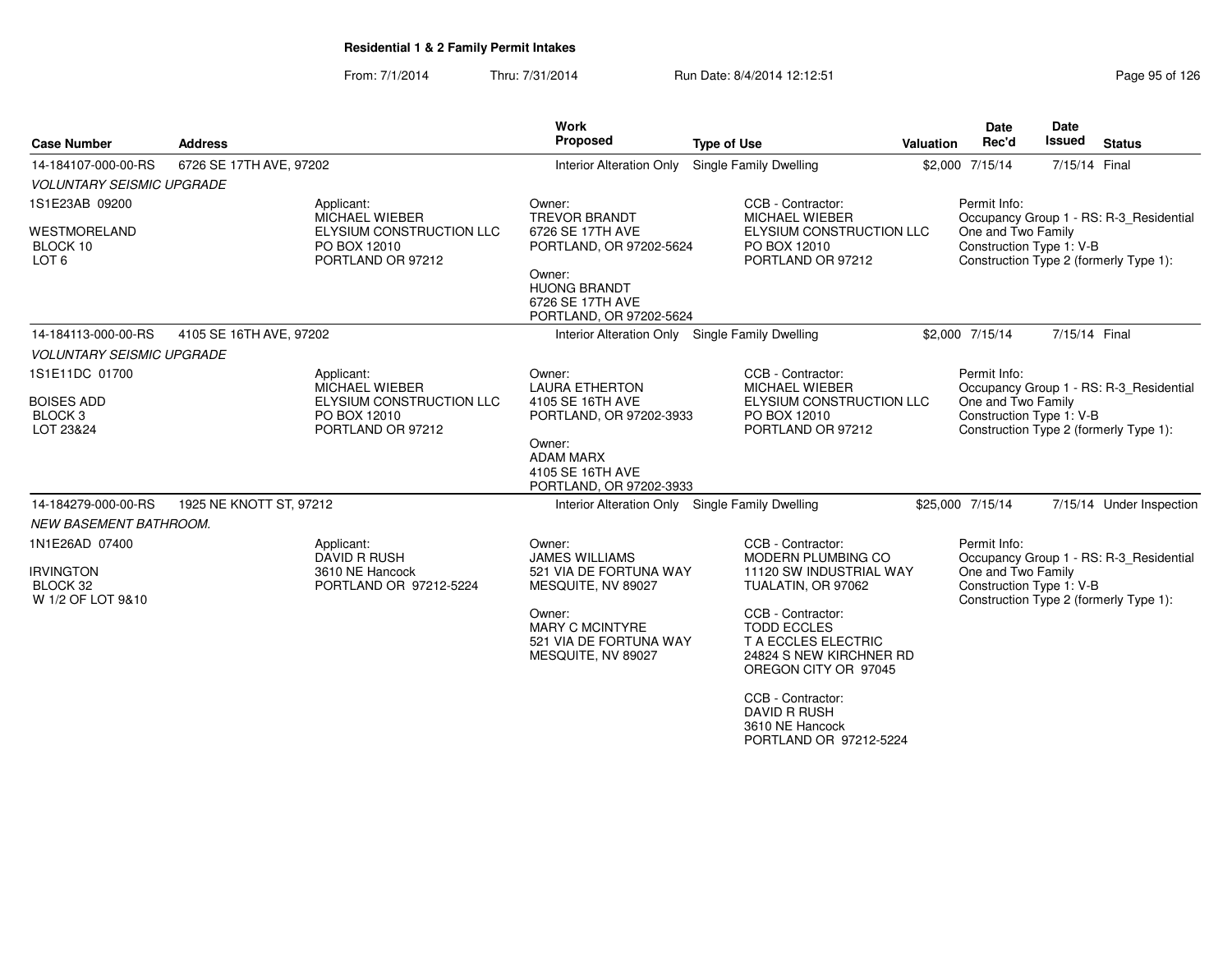From: 7/1/2014Thru: 7/31/2014 Run Date: 8/4/2014 12:12:51

| Page 95 of 126 |  |  |  |
|----------------|--|--|--|
|----------------|--|--|--|

| <b>Case Number</b>                                   | <b>Address</b>                                      |                          | Work<br>Proposed                                                                 | <b>Type of Use</b>                                                                                                       | Valuation | Date<br>Rec'd                                  | Date<br><b>Issued</b> | <b>Status</b>                                                                     |
|------------------------------------------------------|-----------------------------------------------------|--------------------------|----------------------------------------------------------------------------------|--------------------------------------------------------------------------------------------------------------------------|-----------|------------------------------------------------|-----------------------|-----------------------------------------------------------------------------------|
| 14-184107-000-00-RS                                  | 6726 SE 17TH AVE, 97202                             |                          | <b>Interior Alteration Only</b>                                                  | Single Family Dwelling                                                                                                   |           | \$2,000 7/15/14                                | 7/15/14 Final         |                                                                                   |
| <b>VOLUNTARY SEISMIC UPGRADE</b>                     |                                                     |                          |                                                                                  |                                                                                                                          |           |                                                |                       |                                                                                   |
| 1S1E23AB 09200                                       | Applicant:<br>MICHAEL WIEBER                        |                          | Owner:<br><b>TREVOR BRANDT</b>                                                   | CCB - Contractor:<br>MICHAEL WIEBER                                                                                      |           | Permit Info:                                   |                       | Occupancy Group 1 - RS: R-3_Residential                                           |
| <b>WESTMORELAND</b><br>BLOCK 10<br>LOT <sub>6</sub>  | PO BOX 12010<br>PORTLAND OR 97212                   | ELYSIUM CONSTRUCTION LLC | 6726 SE 17TH AVE<br>PORTLAND, OR 97202-5624                                      | ELYSIUM CONSTRUCTION LLC<br>PO BOX 12010<br>PORTLAND OR 97212                                                            |           | One and Two Family<br>Construction Type 1: V-B |                       | Construction Type 2 (formerly Type 1):                                            |
|                                                      |                                                     |                          | Owner:<br><b>HUONG BRANDT</b><br>6726 SE 17TH AVE<br>PORTLAND, OR 97202-5624     |                                                                                                                          |           |                                                |                       |                                                                                   |
| 14-184113-000-00-RS                                  | 4105 SE 16TH AVE, 97202                             |                          |                                                                                  | Interior Alteration Only Single Family Dwelling                                                                          |           | \$2,000 7/15/14                                | 7/15/14 Final         |                                                                                   |
| <b>VOLUNTARY SEISMIC UPGRADE</b>                     |                                                     |                          |                                                                                  |                                                                                                                          |           |                                                |                       |                                                                                   |
| 1S1E11DC 01700                                       | Applicant:                                          |                          | Owner:                                                                           | CCB - Contractor:                                                                                                        |           | Permit Info:                                   |                       |                                                                                   |
| <b>BOISES ADD</b><br>BLOCK <sub>3</sub><br>LOT 23&24 | MICHAEL WIEBER<br>PO BOX 12010<br>PORTLAND OR 97212 | ELYSIUM CONSTRUCTION LLC | <b>LAURA ETHERTON</b><br>4105 SE 16TH AVE<br>PORTLAND, OR 97202-3933             | <b>MICHAEL WIEBER</b><br>ELYSIUM CONSTRUCTION LLC<br>PO BOX 12010<br>PORTLAND OR 97212                                   |           | One and Two Family<br>Construction Type 1: V-B |                       | Occupancy Group 1 - RS: R-3_Residential<br>Construction Type 2 (formerly Type 1): |
|                                                      |                                                     |                          | Owner:<br><b>ADAM MARX</b><br>4105 SE 16TH AVE<br>PORTLAND, OR 97202-3933        |                                                                                                                          |           |                                                |                       |                                                                                   |
| 14-184279-000-00-RS                                  | 1925 NE KNOTT ST, 97212                             |                          |                                                                                  | Interior Alteration Only Single Family Dwelling                                                                          |           | \$25,000 7/15/14                               |                       | 7/15/14 Under Inspection                                                          |
| NEW BASEMENT BATHROOM.                               |                                                     |                          |                                                                                  |                                                                                                                          |           |                                                |                       |                                                                                   |
| 1N1E26AD 07400                                       | Applicant:<br><b>DAVID R RUSH</b>                   |                          | Owner:<br><b>JAMES WILLIAMS</b>                                                  | CCB - Contractor:<br><b>MODERN PLUMBING CO</b>                                                                           |           | Permit Info:                                   |                       | Occupancy Group 1 - RS: R-3 Residential                                           |
| <b>IRVINGTON</b><br>BLOCK 32<br>W 1/2 OF LOT 9&10    | 3610 NE Hancock                                     | PORTLAND OR 97212-5224   | 521 VIA DE FORTUNA WAY<br>MESQUITE, NV 89027                                     | 11120 SW INDUSTRIAL WAY<br>TUALATIN, OR 97062                                                                            |           | One and Two Family<br>Construction Type 1: V-B |                       | Construction Type 2 (formerly Type 1):                                            |
|                                                      |                                                     |                          | Owner:<br><b>MARY C MCINTYRE</b><br>521 VIA DE FORTUNA WAY<br>MESQUITE, NV 89027 | CCB - Contractor:<br><b>TODD ECCLES</b><br><b>T A ECCLES ELECTRIC</b><br>24824 S NEW KIRCHNER RD<br>OREGON CITY OR 97045 |           |                                                |                       |                                                                                   |
|                                                      |                                                     |                          |                                                                                  | CCB - Contractor:<br><b>DAVID R RUSH</b><br>3610 NE Hancock<br>PORTLAND OR 97212-5224                                    |           |                                                |                       |                                                                                   |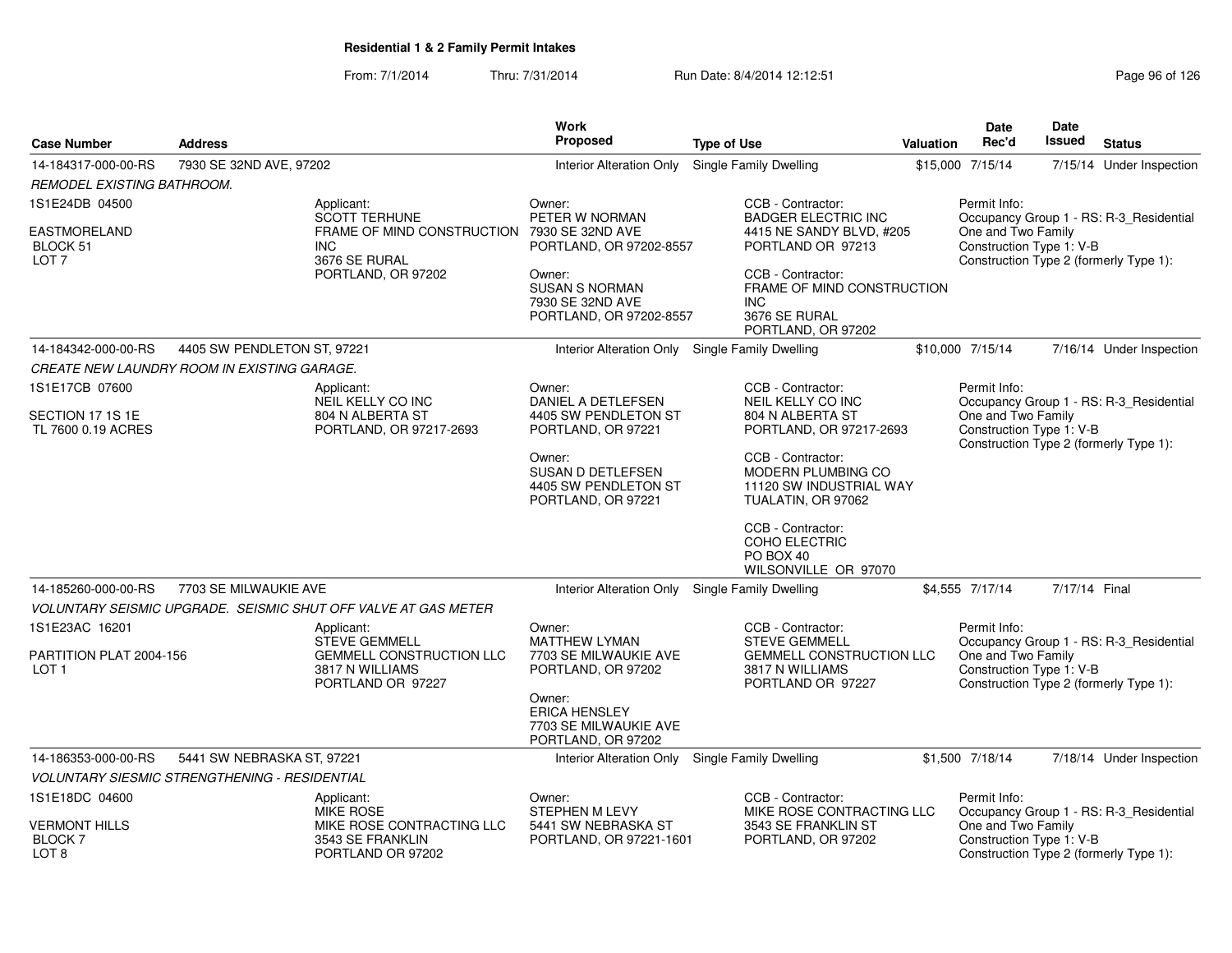|                            |                                                      |                                                                | <b>Work</b>                                     |                                                        |                  | Date                                           | <b>Date</b>   |                                         |
|----------------------------|------------------------------------------------------|----------------------------------------------------------------|-------------------------------------------------|--------------------------------------------------------|------------------|------------------------------------------------|---------------|-----------------------------------------|
| <b>Case Number</b>         | <b>Address</b>                                       |                                                                | Proposed                                        | <b>Type of Use</b>                                     | <b>Valuation</b> | Rec'd                                          | Issued        | <b>Status</b>                           |
| 14-184317-000-00-RS        | 7930 SE 32ND AVE, 97202                              |                                                                | Interior Alteration Only                        | Single Family Dwelling                                 |                  | \$15,000 7/15/14                               |               | 7/15/14 Under Inspection                |
| REMODEL EXISTING BATHROOM. |                                                      |                                                                |                                                 |                                                        |                  |                                                |               |                                         |
| 1S1E24DB 04500             |                                                      | Applicant:                                                     | Owner:                                          | CCB - Contractor:                                      |                  | Permit Info:                                   |               |                                         |
| EASTMORELAND               |                                                      | <b>SCOTT TERHUNE</b><br>FRAME OF MIND CONSTRUCTION             | PETER W NORMAN<br>7930 SE 32ND AVE              | <b>BADGER ELECTRIC INC</b><br>4415 NE SANDY BLVD, #205 |                  | One and Two Family                             |               | Occupancy Group 1 - RS: R-3_Residential |
| BLOCK 51                   |                                                      | <b>INC</b>                                                     | PORTLAND, OR 97202-8557                         | PORTLAND OR 97213                                      |                  | Construction Type 1: V-B                       |               |                                         |
| LOT <sub>7</sub>           |                                                      | 3676 SE RURAL<br>PORTLAND, OR 97202                            | Owner:                                          | CCB - Contractor:                                      |                  |                                                |               | Construction Type 2 (formerly Type 1):  |
|                            |                                                      |                                                                | <b>SUSAN S NORMAN</b>                           | FRAME OF MIND CONSTRUCTION                             |                  |                                                |               |                                         |
|                            |                                                      |                                                                | 7930 SE 32ND AVE                                | INC.                                                   |                  |                                                |               |                                         |
|                            |                                                      |                                                                | PORTLAND, OR 97202-8557                         | 3676 SE RURAL<br>PORTLAND, OR 97202                    |                  |                                                |               |                                         |
| 14-184342-000-00-RS        | 4405 SW PENDLETON ST, 97221                          |                                                                | Interior Alteration Only Single Family Dwelling |                                                        |                  | \$10,000 7/15/14                               |               | 7/16/14 Under Inspection                |
|                            | CREATE NEW LAUNDRY ROOM IN EXISTING GARAGE.          |                                                                |                                                 |                                                        |                  |                                                |               |                                         |
| 1S1E17CB 07600             |                                                      | Applicant:                                                     | Owner:                                          | CCB - Contractor:                                      |                  | Permit Info:                                   |               |                                         |
| SECTION 17 1S 1E           |                                                      | NEIL KELLY CO INC<br>804 N ALBERTA ST                          | DANIEL A DETLEFSEN<br>4405 SW PENDLETON ST      | NEIL KELLY CO INC<br>804 N ALBERTA ST                  |                  | One and Two Family                             |               | Occupancy Group 1 - RS: R-3_Residential |
| TL 7600 0.19 ACRES         |                                                      | PORTLAND, OR 97217-2693                                        | PORTLAND, OR 97221                              | PORTLAND, OR 97217-2693                                |                  | Construction Type 1: V-B                       |               |                                         |
|                            |                                                      |                                                                | Owner:                                          | CCB - Contractor:                                      |                  |                                                |               | Construction Type 2 (formerly Type 1):  |
|                            |                                                      |                                                                | SUSAN D DETLEFSEN                               | MODERN PLUMBING CO                                     |                  |                                                |               |                                         |
|                            |                                                      |                                                                | 4405 SW PENDLETON ST                            | 11120 SW INDUSTRIAL WAY                                |                  |                                                |               |                                         |
|                            |                                                      |                                                                | PORTLAND, OR 97221                              | TUALATIN, OR 97062                                     |                  |                                                |               |                                         |
|                            |                                                      |                                                                |                                                 | CCB - Contractor:                                      |                  |                                                |               |                                         |
|                            |                                                      |                                                                |                                                 | COHO ELECTRIC<br>PO BOX 40                             |                  |                                                |               |                                         |
|                            |                                                      |                                                                |                                                 | WILSONVILLE OR 97070                                   |                  |                                                |               |                                         |
| 14-185260-000-00-RS        | 7703 SE MILWAUKIE AVE                                |                                                                | Interior Alteration Only Single Family Dwelling |                                                        |                  | \$4,555 7/17/14                                | 7/17/14 Final |                                         |
|                            |                                                      | VOLUNTARY SEISMIC UPGRADE. SEISMIC SHUT OFF VALVE AT GAS METER |                                                 |                                                        |                  |                                                |               |                                         |
| 1S1E23AC 16201             |                                                      | Applicant:                                                     | Owner:                                          | CCB - Contractor:                                      |                  | Permit Info:                                   |               |                                         |
| PARTITION PLAT 2004-156    |                                                      | <b>STEVE GEMMELL</b><br>GEMMELL CONSTRUCTION LLC               | <b>MATTHEW LYMAN</b><br>7703 SE MILWAUKIE AVE   | <b>STEVE GEMMELL</b><br>GEMMELL CONSTRUCTION LLC       |                  | One and Two Family                             |               | Occupancy Group 1 - RS: R-3 Residential |
| LOT <sub>1</sub>           |                                                      | 3817 N WILLIAMS                                                | PORTLAND, OR 97202                              | 3817 N WILLIAMS                                        |                  | Construction Type 1: V-B                       |               |                                         |
|                            |                                                      | PORTLAND OR 97227                                              | Owner:                                          | PORTLAND OR 97227                                      |                  |                                                |               | Construction Type 2 (formerly Type 1):  |
|                            |                                                      |                                                                | <b>ERICA HENSLEY</b>                            |                                                        |                  |                                                |               |                                         |
|                            |                                                      |                                                                | 7703 SE MILWAUKIE AVE<br>PORTLAND, OR 97202     |                                                        |                  |                                                |               |                                         |
| 14-186353-000-00-RS        | 5441 SW NEBRASKA ST, 97221                           |                                                                | Interior Alteration Only Single Family Dwelling |                                                        |                  | \$1,500 7/18/14                                |               | 7/18/14 Under Inspection                |
|                            | <b>VOLUNTARY SIESMIC STRENGTHENING - RESIDENTIAL</b> |                                                                |                                                 |                                                        |                  |                                                |               |                                         |
| 1S1E18DC 04600             |                                                      | Applicant:                                                     | Owner:                                          | CCB - Contractor:                                      |                  | Permit Info:                                   |               |                                         |
|                            |                                                      | <b>MIKE ROSE</b>                                               | <b>STEPHEN M LEVY</b>                           | MIKE ROSE CONTRACTING LLC                              |                  |                                                |               | Occupancy Group 1 - RS: R-3_Residential |
| VERMONT HILLS<br>BLOCK 7   |                                                      | MIKE ROSE CONTRACTING LLC<br>3543 SE FRANKLIN                  | 5441 SW NEBRASKA ST<br>PORTLAND, OR 97221-1601  | 3543 SE FRANKLIN ST<br>PORTLAND, OR 97202              |                  | One and Two Family<br>Construction Type 1: V-B |               |                                         |
| LOT <sub>8</sub>           |                                                      | PORTLAND OR 97202                                              |                                                 |                                                        |                  |                                                |               | Construction Type 2 (formerly Type 1):  |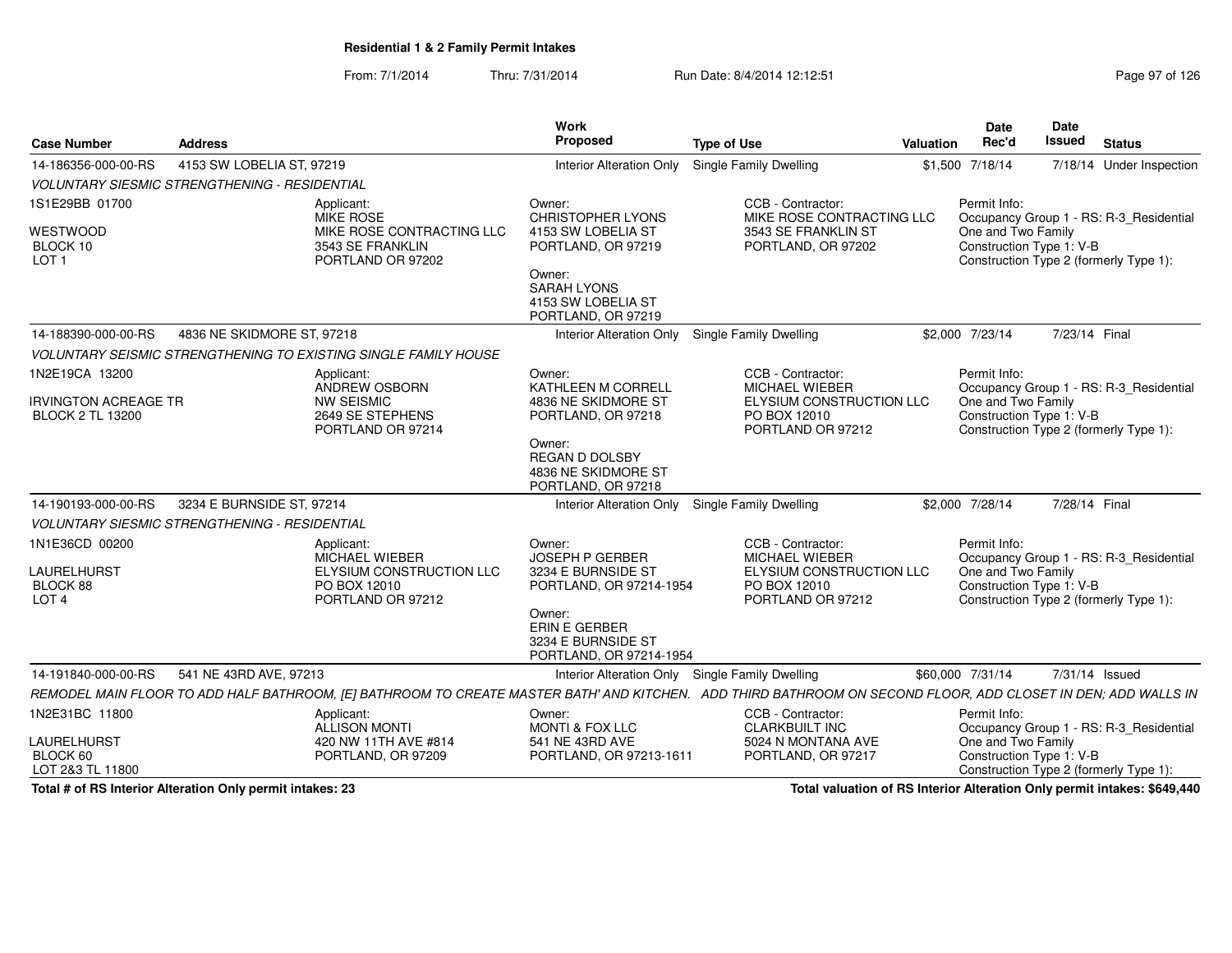From: 7/1/2014Thru: 7/31/2014 Run Date: 8/4/2014 12:12:51 Research 2010 Rage 97 of 126

| <b>Case Number</b>                                                       | <b>Address</b>                                       |                                                                                               | Work<br>Proposed                                                                                                                                           | <b>Type of Use</b>                                                                                                                                            | Date<br>Rec'd<br>Valuation                                     | <b>Date</b><br><b>Issued</b> | <b>Status</b>                                                                     |
|--------------------------------------------------------------------------|------------------------------------------------------|-----------------------------------------------------------------------------------------------|------------------------------------------------------------------------------------------------------------------------------------------------------------|---------------------------------------------------------------------------------------------------------------------------------------------------------------|----------------------------------------------------------------|------------------------------|-----------------------------------------------------------------------------------|
| 14-186356-000-00-RS                                                      | 4153 SW LOBELIA ST, 97219                            |                                                                                               | Interior Alteration Only Single Family Dwelling                                                                                                            |                                                                                                                                                               | \$1,500 7/18/14                                                |                              | 7/18/14 Under Inspection                                                          |
|                                                                          | <b>VOLUNTARY SIESMIC STRENGTHENING - RESIDENTIAL</b> |                                                                                               |                                                                                                                                                            |                                                                                                                                                               |                                                                |                              |                                                                                   |
| 1S1E29BB 01700<br>WESTWOOD<br>BLOCK 10<br>LOT <sub>1</sub>               |                                                      | Applicant:<br>MIKE ROSE<br>MIKE ROSE CONTRACTING LLC<br>3543 SE FRANKLIN<br>PORTLAND OR 97202 | Owner:<br><b>CHRISTOPHER LYONS</b><br>4153 SW LOBELIA ST<br>PORTLAND, OR 97219<br>Owner:<br><b>SARAH LYONS</b><br>4153 SW LOBELIA ST<br>PORTLAND, OR 97219 | CCB - Contractor:<br>MIKE ROSE CONTRACTING LLC<br>3543 SE FRANKLIN ST<br>PORTLAND, OR 97202                                                                   | Permit Info:<br>One and Two Family<br>Construction Type 1: V-B |                              | Occupancy Group 1 - RS: R-3_Residential<br>Construction Type 2 (formerly Type 1): |
| 14-188390-000-00-RS                                                      | 4836 NE SKIDMORE ST, 97218                           |                                                                                               | Interior Alteration Only Single Family Dwelling                                                                                                            |                                                                                                                                                               | \$2,000 7/23/14                                                | 7/23/14 Final                |                                                                                   |
|                                                                          |                                                      | <b>VOLUNTARY SEISMIC STRENGTHENING TO EXISTING SINGLE FAMILY HOUSE</b>                        |                                                                                                                                                            |                                                                                                                                                               |                                                                |                              |                                                                                   |
| 1N2E19CA 13200<br><b>IRVINGTON ACREAGE TR</b><br><b>BLOCK 2 TL 13200</b> |                                                      | Applicant:<br>ANDREW OSBORN<br><b>NW SEISMIC</b><br>2649 SE STEPHENS<br>PORTLAND OR 97214     | Owner:<br>KATHLEEN M CORRELL<br>4836 NE SKIDMORE ST<br>PORTLAND, OR 97218<br>Owner:<br>REGAN D DOLSBY<br>4836 NE SKIDMORE ST<br>PORTLAND, OR 97218         | CCB - Contractor:<br>MICHAEL WIEBER<br>ELYSIUM CONSTRUCTION LLC<br>PO BOX 12010<br>PORTLAND OR 97212                                                          | Permit Info:<br>One and Two Family<br>Construction Type 1: V-B |                              | Occupancy Group 1 - RS: R-3_Residential<br>Construction Type 2 (formerly Type 1): |
| 14-190193-000-00-RS                                                      | 3234 E BURNSIDE ST, 97214                            |                                                                                               | Interior Alteration Only Single Family Dwelling                                                                                                            |                                                                                                                                                               | \$2,000 7/28/14                                                | 7/28/14 Final                |                                                                                   |
|                                                                          | <b>VOLUNTARY SIESMIC STRENGTHENING - RESIDENTIAL</b> |                                                                                               |                                                                                                                                                            |                                                                                                                                                               |                                                                |                              |                                                                                   |
| 1N1E36CD 00200<br>LAURELHURST<br>BLOCK 88<br>LOT <sub>4</sub>            |                                                      | Applicant:<br>MICHAEL WIEBER<br>ELYSIUM CONSTRUCTION LLC<br>PO BOX 12010<br>PORTLAND OR 97212 | Owner:<br><b>JOSEPH P GERBER</b><br>3234 E BURNSIDE ST<br>PORTLAND, OR 97214-1954<br>Owner:<br>ERIN E GERBER                                               | CCB - Contractor:<br>MICHAEL WIEBER<br>ELYSIUM CONSTRUCTION LLC<br>PO BOX 12010<br>PORTLAND OR 97212                                                          | Permit Info:<br>One and Two Family                             | Construction Type 1: V-B     | Occupancy Group 1 - RS: R-3_Residential<br>Construction Type 2 (formerly Type 1): |
|                                                                          |                                                      |                                                                                               | 3234 E BURNSIDE ST<br>PORTLAND, OR 97214-1954                                                                                                              |                                                                                                                                                               |                                                                |                              |                                                                                   |
| 14-191840-000-00-RS                                                      | 541 NE 43RD AVE, 97213                               |                                                                                               | Interior Alteration Only Single Family Dwelling                                                                                                            |                                                                                                                                                               | \$60,000 7/31/14                                               | 7/31/14 Issued               |                                                                                   |
|                                                                          |                                                      |                                                                                               |                                                                                                                                                            | REMODEL MAIN FLOOR TO ADD HALF BATHROOM, [E] BATHROOM TO CREATE MASTER BATH' AND KITCHEN. ADD THIRD BATHROOM ON SECOND FLOOR, ADD CLOSET IN DEN; ADD WALLS IN |                                                                |                              |                                                                                   |
| 1N2E31BC 11800<br>LAURELHURST                                            |                                                      | Applicant:<br>ALLISON MONTI<br>420 NW 11TH AVE #814                                           | Owner:<br><b>MONTI &amp; FOX LLC</b><br>541 NE 43RD AVE                                                                                                    | CCB - Contractor:<br><b>CLARKBUILT INC</b><br>5024 N MONTANA AVE                                                                                              | Permit Info:<br>One and Two Family                             |                              | Occupancy Group 1 - RS: R-3_Residential                                           |
| BLOCK 60<br>LOT 2&3 TL 11800                                             |                                                      | PORTLAND, OR 97209                                                                            | PORTLAND, OR 97213-1611                                                                                                                                    | PORTLAND, OR 97217                                                                                                                                            | Construction Type 1: V-B                                       |                              | Construction Type 2 (formerly Type 1):                                            |

**Total # of RS Interior Alteration Only permit intakes: 23**

**Total valuation of RS Interior Alteration Only permit intakes: \$649,440**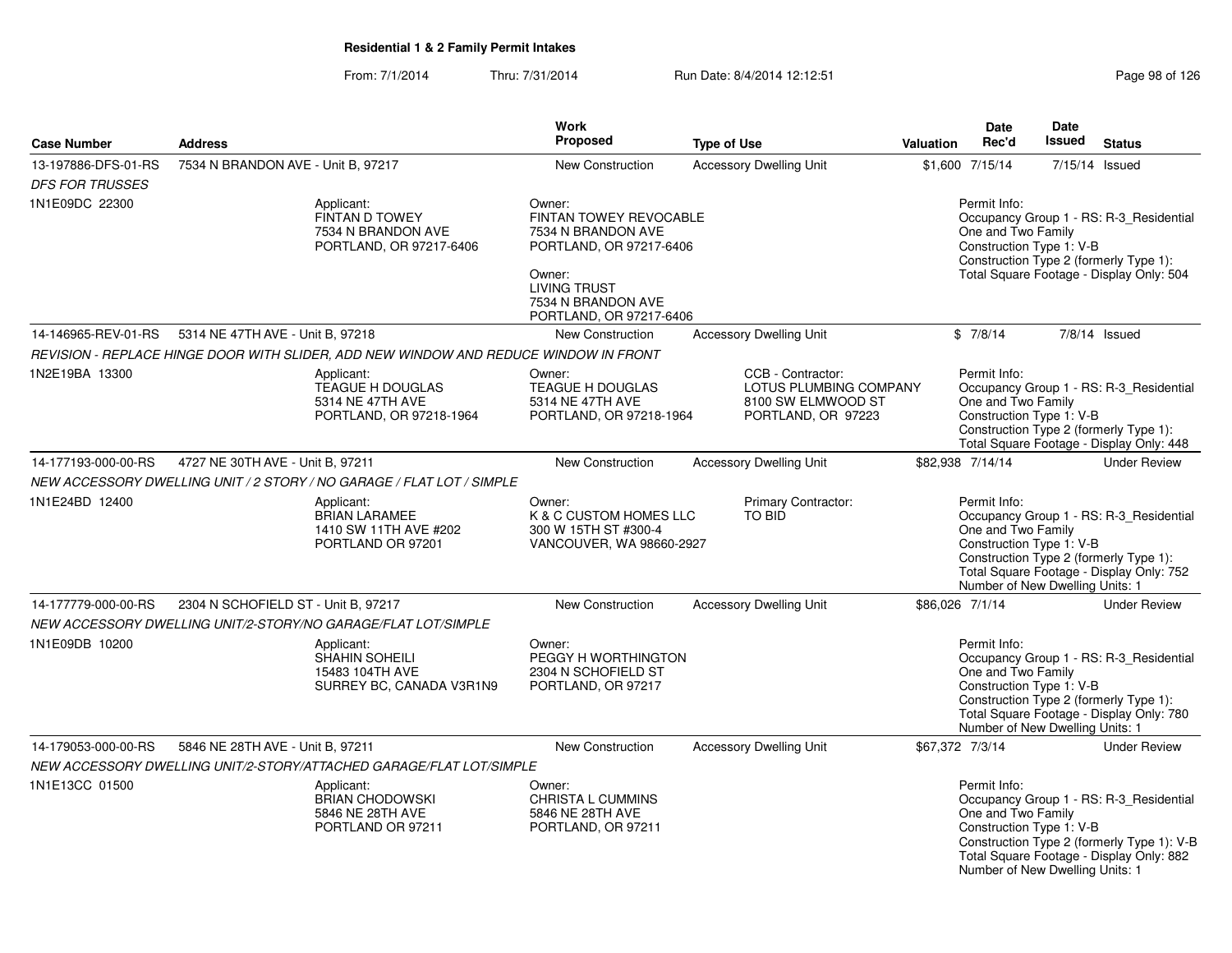|                        |                                                                                      | <b>Work</b>                                                                                                                                                         |                                                                                         |                 | Date                                                                                              | Date          |                                                                                                                                   |
|------------------------|--------------------------------------------------------------------------------------|---------------------------------------------------------------------------------------------------------------------------------------------------------------------|-----------------------------------------------------------------------------------------|-----------------|---------------------------------------------------------------------------------------------------|---------------|-----------------------------------------------------------------------------------------------------------------------------------|
| <b>Case Number</b>     | <b>Address</b>                                                                       | <b>Proposed</b>                                                                                                                                                     | <b>Type of Use</b>                                                                      | Valuation       | Rec'd                                                                                             | <b>Issued</b> | <b>Status</b>                                                                                                                     |
| 13-197886-DFS-01-RS    | 7534 N BRANDON AVE - Unit B. 97217                                                   | <b>New Construction</b>                                                                                                                                             | <b>Accessory Dwelling Unit</b>                                                          |                 | \$1,600 7/15/14                                                                                   |               | 7/15/14 Issued                                                                                                                    |
| <b>DFS FOR TRUSSES</b> |                                                                                      |                                                                                                                                                                     |                                                                                         |                 |                                                                                                   |               |                                                                                                                                   |
| 1N1E09DC 22300         | Applicant:<br>FINTAN D TOWEY<br>7534 N BRANDON AVE<br>PORTLAND, OR 97217-6406        | Owner:<br>FINTAN TOWEY REVOCABLE<br>7534 N BRANDON AVE<br>PORTLAND, OR 97217-6406<br>Owner:<br><b>LIVING TRUST</b><br>7534 N BRANDON AVE<br>PORTLAND, OR 97217-6406 |                                                                                         |                 | Permit Info:<br>One and Two Family<br>Construction Type 1: V-B                                    |               | Occupancy Group 1 - RS: R-3_Residential<br>Construction Type 2 (formerly Type 1):<br>Total Square Footage - Display Only: 504     |
| 14-146965-REV-01-RS    | 5314 NE 47TH AVE - Unit B, 97218                                                     | <b>New Construction</b>                                                                                                                                             | <b>Accessory Dwelling Unit</b>                                                          |                 | \$7/8/14                                                                                          |               | $7/8/14$ Issued                                                                                                                   |
|                        | REVISION - REPLACE HINGE DOOR WITH SLIDER, ADD NEW WINDOW AND REDUCE WINDOW IN FRONT |                                                                                                                                                                     |                                                                                         |                 |                                                                                                   |               |                                                                                                                                   |
| 1N2E19BA 13300         | Applicant:<br><b>TEAGUE H DOUGLAS</b><br>5314 NE 47TH AVE<br>PORTLAND, OR 97218-1964 | Owner:<br><b>TEAGUE H DOUGLAS</b><br>5314 NE 47TH AVE<br>PORTLAND, OR 97218-1964                                                                                    | CCB - Contractor:<br>LOTUS PLUMBING COMPANY<br>8100 SW ELMWOOD ST<br>PORTLAND, OR 97223 |                 | Permit Info:<br>One and Two Family<br>Construction Type 1: V-B                                    |               | Occupancy Group 1 - RS: R-3_Residential<br>Construction Type 2 (formerly Type 1):<br>Total Square Footage - Display Only: 448     |
| 14-177193-000-00-RS    | 4727 NE 30TH AVE - Unit B, 97211                                                     | New Construction                                                                                                                                                    | <b>Accessory Dwelling Unit</b>                                                          |                 | \$82,938 7/14/14                                                                                  |               | <b>Under Review</b>                                                                                                               |
|                        | NEW ACCESSORY DWELLING UNIT / 2 STORY / NO GARAGE / FLAT LOT / SIMPLE                |                                                                                                                                                                     |                                                                                         |                 |                                                                                                   |               |                                                                                                                                   |
| 1N1E24BD 12400         | Applicant:<br><b>BRIAN LARAMEE</b><br>1410 SW 11TH AVE #202<br>PORTLAND OR 97201     | Owner:<br>K & C CUSTOM HOMES LLC<br>300 W 15TH ST #300-4<br>VANCOUVER, WA 98660-2927                                                                                | <b>Primary Contractor:</b><br><b>TO BID</b>                                             |                 | Permit Info:<br>One and Two Family<br>Construction Type 1: V-B<br>Number of New Dwelling Units: 1 |               | Occupancy Group 1 - RS: R-3_Residential<br>Construction Type 2 (formerly Type 1):<br>Total Square Footage - Display Only: 752     |
| 14-177779-000-00-RS    | 2304 N SCHOFIELD ST - Unit B, 97217                                                  | New Construction                                                                                                                                                    | <b>Accessory Dwelling Unit</b>                                                          | \$86,026 7/1/14 |                                                                                                   |               | <b>Under Review</b>                                                                                                               |
|                        | NEW ACCESSORY DWELLING UNIT/2-STORY/NO GARAGE/FLAT LOT/SIMPLE                        |                                                                                                                                                                     |                                                                                         |                 |                                                                                                   |               |                                                                                                                                   |
| 1N1E09DB 10200         | Applicant:<br>SHAHIN SOHEILI<br>15483 104TH AVE<br>SURREY BC, CANADA V3R1N9          | Owner:<br>PEGGY H WORTHINGTON<br>2304 N SCHOFIELD ST<br>PORTLAND, OR 97217                                                                                          |                                                                                         |                 | Permit Info:<br>One and Two Family<br>Construction Type 1: V-B<br>Number of New Dwelling Units: 1 |               | Occupancy Group 1 - RS: R-3_Residential<br>Construction Type 2 (formerly Type 1):<br>Total Square Footage - Display Only: 780     |
| 14-179053-000-00-RS    | 5846 NE 28TH AVE - Unit B, 97211                                                     | New Construction                                                                                                                                                    | <b>Accessory Dwelling Unit</b>                                                          | \$67,372 7/3/14 |                                                                                                   |               | <b>Under Review</b>                                                                                                               |
|                        | NEW ACCESSORY DWELLING UNIT/2-STORY/ATTACHED GARAGE/FLAT LOT/SIMPLE                  |                                                                                                                                                                     |                                                                                         |                 |                                                                                                   |               |                                                                                                                                   |
| 1N1E13CC 01500         | Applicant:<br><b>BRIAN CHODOWSKI</b><br>5846 NE 28TH AVE<br>PORTLAND OR 97211        | Owner:<br>CHRISTA L CUMMINS<br>5846 NE 28TH AVE<br>PORTLAND, OR 97211                                                                                               |                                                                                         |                 | Permit Info:<br>One and Two Family<br>Construction Type 1: V-B<br>Number of New Dwelling Units: 1 |               | Occupancy Group 1 - RS: R-3_Residential<br>Construction Type 2 (formerly Type 1): V-B<br>Total Square Footage - Display Only: 882 |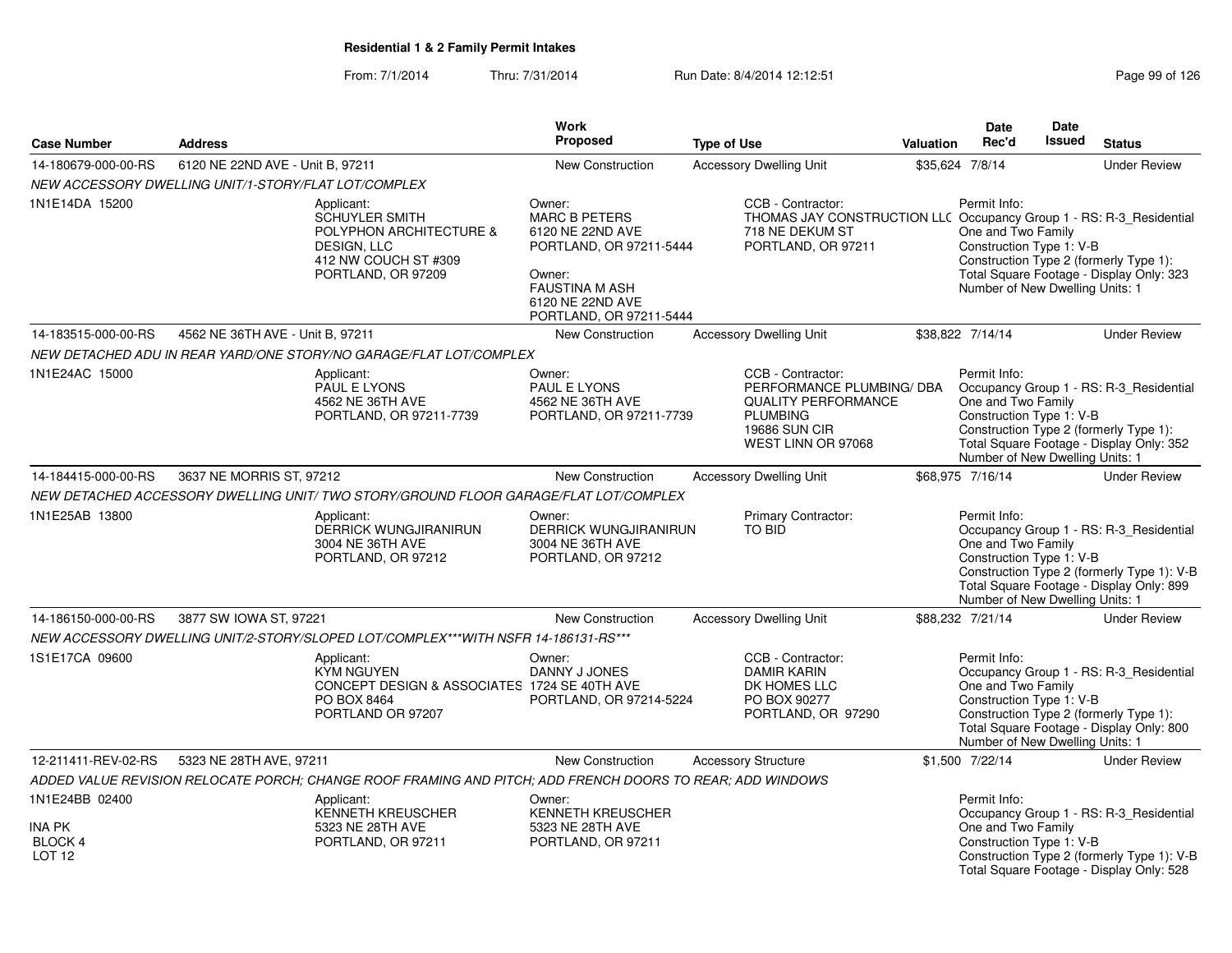|                                                                 |                                                      |                                                                                                                                    | Work                                                                                                                                                            |                                                                                                                                               |                  | <b>Date</b>                                                                                       | Date          |                                                                                                                                   |
|-----------------------------------------------------------------|------------------------------------------------------|------------------------------------------------------------------------------------------------------------------------------------|-----------------------------------------------------------------------------------------------------------------------------------------------------------------|-----------------------------------------------------------------------------------------------------------------------------------------------|------------------|---------------------------------------------------------------------------------------------------|---------------|-----------------------------------------------------------------------------------------------------------------------------------|
| <b>Case Number</b>                                              | <b>Address</b>                                       |                                                                                                                                    | <b>Proposed</b>                                                                                                                                                 | <b>Type of Use</b>                                                                                                                            | <b>Valuation</b> | Rec'd                                                                                             | <b>Issued</b> | <b>Status</b>                                                                                                                     |
| 14-180679-000-00-RS                                             | 6120 NE 22ND AVE - Unit B, 97211                     |                                                                                                                                    | New Construction                                                                                                                                                | <b>Accessory Dwelling Unit</b>                                                                                                                |                  | \$35,624 7/8/14                                                                                   |               | <b>Under Review</b>                                                                                                               |
|                                                                 | NEW ACCESSORY DWELLING UNIT/1-STORY/FLAT LOT/COMPLEX |                                                                                                                                    |                                                                                                                                                                 |                                                                                                                                               |                  |                                                                                                   |               |                                                                                                                                   |
| 1N1E14DA 15200                                                  |                                                      | Applicant:<br><b>SCHUYLER SMITH</b><br>POLYPHON ARCHITECTURE &<br><b>DESIGN, LLC</b><br>412 NW COUCH ST #309<br>PORTLAND, OR 97209 | Owner:<br><b>MARC B PETERS</b><br>6120 NE 22ND AVE<br>PORTLAND, OR 97211-5444<br>Owner:<br><b>FAUSTINA M ASH</b><br>6120 NE 22ND AVE<br>PORTLAND, OR 97211-5444 | CCB - Contractor:<br>THOMAS JAY CONSTRUCTION LLC Occupancy Group 1 - RS: R-3_Residential<br>718 NE DEKUM ST<br>PORTLAND, OR 97211             |                  | Permit Info:<br>One and Two Family<br>Construction Type 1: V-B<br>Number of New Dwelling Units: 1 |               | Construction Type 2 (formerly Type 1):<br>Total Square Footage - Display Only: 323                                                |
| 14-183515-000-00-RS                                             | 4562 NE 36TH AVE - Unit B, 97211                     |                                                                                                                                    | <b>New Construction</b>                                                                                                                                         | <b>Accessory Dwelling Unit</b>                                                                                                                |                  | \$38,822 7/14/14                                                                                  |               | <b>Under Review</b>                                                                                                               |
|                                                                 |                                                      | NEW DETACHED ADU IN REAR YARD/ONE STORY/NO GARAGE/FLAT LOT/COMPLEX                                                                 |                                                                                                                                                                 |                                                                                                                                               |                  |                                                                                                   |               |                                                                                                                                   |
| 1N1E24AC 15000                                                  |                                                      | Applicant:<br><b>PAUL E LYONS</b><br>4562 NE 36TH AVE<br>PORTLAND, OR 97211-7739                                                   | Owner:<br><b>PAUL E LYONS</b><br>4562 NE 36TH AVE<br>PORTLAND, OR 97211-7739                                                                                    | CCB - Contractor:<br>PERFORMANCE PLUMBING/ DBA<br><b>QUALITY PERFORMANCE</b><br><b>PLUMBING</b><br><b>19686 SUN CIR</b><br>WEST LINN OR 97068 |                  | Permit Info:<br>One and Two Family<br>Construction Type 1: V-B<br>Number of New Dwelling Units: 1 |               | Occupancy Group 1 - RS: R-3 Residential<br>Construction Type 2 (formerly Type 1):<br>Total Square Footage - Display Only: 352     |
| 14-184415-000-00-RS                                             | 3637 NE MORRIS ST, 97212                             |                                                                                                                                    | <b>New Construction</b>                                                                                                                                         | <b>Accessory Dwelling Unit</b>                                                                                                                |                  | \$68,975 7/16/14                                                                                  |               | <b>Under Review</b>                                                                                                               |
|                                                                 |                                                      | NEW DETACHED ACCESSORY DWELLING UNIT/ TWO STORY/GROUND FLOOR GARAGE/FLAT LOT/COMPLEX                                               |                                                                                                                                                                 |                                                                                                                                               |                  |                                                                                                   |               |                                                                                                                                   |
| 1N1E25AB 13800                                                  |                                                      | Applicant:<br><b>DERRICK WUNGJIRANIRUN</b><br>3004 NE 36TH AVE<br>PORTLAND, OR 97212                                               | Owner:<br><b>DERRICK WUNGJIRANIRUN</b><br>3004 NE 36TH AVE<br>PORTLAND, OR 97212                                                                                | Primary Contractor:<br>TO BID                                                                                                                 |                  | Permit Info:<br>One and Two Family<br>Construction Type 1: V-B<br>Number of New Dwelling Units: 1 |               | Occupancy Group 1 - RS: R-3_Residential<br>Construction Type 2 (formerly Type 1): V-B<br>Total Square Footage - Display Only: 899 |
| 14-186150-000-00-RS                                             | 3877 SW IOWA ST, 97221                               |                                                                                                                                    | <b>New Construction</b>                                                                                                                                         | <b>Accessory Dwelling Unit</b>                                                                                                                |                  | \$88,232 7/21/14                                                                                  |               | <b>Under Review</b>                                                                                                               |
|                                                                 |                                                      | NEW ACCESSORY DWELLING UNIT/2-STORY/SLOPED LOT/COMPLEX***WITH NSFR 14-186131-RS***                                                 |                                                                                                                                                                 |                                                                                                                                               |                  |                                                                                                   |               |                                                                                                                                   |
| 1S1E17CA 09600                                                  |                                                      | Applicant:<br><b>KYM NGUYEN</b><br>CONCEPT DESIGN & ASSOCIATES 1724 SE 40TH AVE<br>PO BOX 8464<br>PORTLAND OR 97207                | Owner:<br>DANNY J JONES<br>PORTLAND, OR 97214-5224                                                                                                              | CCB - Contractor:<br><b>DAMIR KARIN</b><br>DK HOMES LLC<br>PO BOX 90277<br>PORTLAND, OR 97290                                                 |                  | Permit Info:<br>One and Two Family<br>Construction Type 1: V-B<br>Number of New Dwelling Units: 1 |               | Occupancy Group 1 - RS: R-3_Residential<br>Construction Type 2 (formerly Type 1):<br>Total Square Footage - Display Only: 800     |
| 12-211411-REV-02-RS                                             | 5323 NE 28TH AVE, 97211                              |                                                                                                                                    | <b>New Construction</b>                                                                                                                                         | <b>Accessory Structure</b>                                                                                                                    |                  | \$1,500 7/22/14                                                                                   |               | <b>Under Review</b>                                                                                                               |
|                                                                 |                                                      | ADDED VALUE REVISION RELOCATE PORCH; CHANGE ROOF FRAMING AND PITCH; ADD FRENCH DOORS TO REAR; ADD WINDOWS                          |                                                                                                                                                                 |                                                                                                                                               |                  |                                                                                                   |               |                                                                                                                                   |
| 1N1E24BB 02400<br>INA PK<br><b>BLOCK 4</b><br>LOT <sub>12</sub> |                                                      | Applicant:<br><b>KENNETH KREUSCHER</b><br>5323 NE 28TH AVE<br>PORTLAND, OR 97211                                                   | Owner:<br><b>KENNETH KREUSCHER</b><br>5323 NE 28TH AVE<br>PORTLAND, OR 97211                                                                                    |                                                                                                                                               |                  | Permit Info:<br>One and Two Family<br>Construction Type 1: V-B                                    |               | Occupancy Group 1 - RS: R-3 Residential<br>Construction Type 2 (formerly Type 1): V-B<br>Total Square Footage - Display Only: 528 |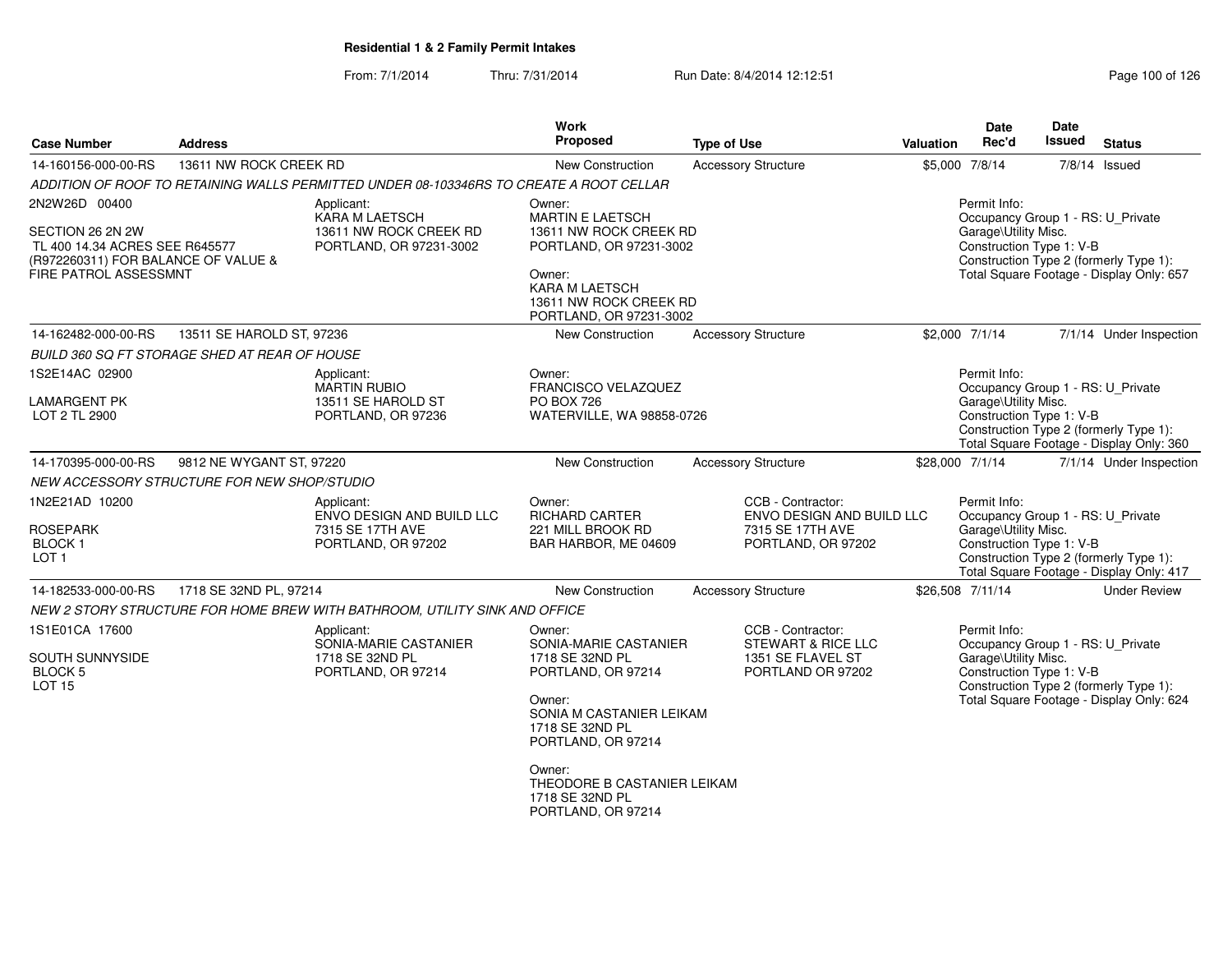| <b>Case Number</b>                                                                        | <b>Address</b>                                |                                                                                         | <b>Work</b><br><b>Proposed</b>                                                       | <b>Type of Use</b>                                                                       | <b>Valuation</b> | Date<br>Rec'd                                                                                         | <b>Date</b><br><b>Issued</b> | <b>Status</b>                                                                      |
|-------------------------------------------------------------------------------------------|-----------------------------------------------|-----------------------------------------------------------------------------------------|--------------------------------------------------------------------------------------|------------------------------------------------------------------------------------------|------------------|-------------------------------------------------------------------------------------------------------|------------------------------|------------------------------------------------------------------------------------|
| 14-160156-000-00-RS                                                                       | 13611 NW ROCK CREEK RD                        |                                                                                         | New Construction                                                                     | <b>Accessory Structure</b>                                                               |                  | \$5,000 7/8/14                                                                                        |                              | $7/8/14$ Issued                                                                    |
|                                                                                           |                                               | ADDITION OF ROOF TO RETAINING WALLS PERMITTED UNDER 08-103346RS TO CREATE A ROOT CELLAR |                                                                                      |                                                                                          |                  |                                                                                                       |                              |                                                                                    |
| 2N2W26D 00400                                                                             |                                               | Applicant:<br>KARA M LAETSCH                                                            | Owner:<br><b>MARTIN E LAETSCH</b>                                                    |                                                                                          |                  | Permit Info:<br>Occupancy Group 1 - RS: U_Private                                                     |                              |                                                                                    |
| SECTION 26 2N 2W<br>TL 400 14.34 ACRES SEE R645577<br>(R972260311) FOR BALANCE OF VALUE & |                                               | 13611 NW ROCK CREEK RD<br>PORTLAND, OR 97231-3002                                       | 13611 NW ROCK CREEK RD<br>PORTLAND, OR 97231-3002                                    |                                                                                          |                  | Garage\Utility Misc.<br>Construction Type 1: V-B                                                      |                              | Construction Type 2 (formerly Type 1):                                             |
| <b>FIRE PATROL ASSESSMNT</b>                                                              |                                               |                                                                                         | Owner:<br><b>KARA M LAETSCH</b><br>13611 NW ROCK CREEK RD<br>PORTLAND, OR 97231-3002 |                                                                                          |                  |                                                                                                       |                              | Total Square Footage - Display Only: 657                                           |
| 14-162482-000-00-RS                                                                       | 13511 SE HAROLD ST, 97236                     |                                                                                         | New Construction                                                                     | <b>Accessory Structure</b>                                                               |                  | \$2,000 7/1/14                                                                                        |                              | 7/1/14 Under Inspection                                                            |
|                                                                                           | BUILD 360 SQ FT STORAGE SHED AT REAR OF HOUSE |                                                                                         |                                                                                      |                                                                                          |                  |                                                                                                       |                              |                                                                                    |
| 1S2E14AC 02900                                                                            |                                               | Applicant:                                                                              | Owner:                                                                               |                                                                                          |                  | Permit Info:                                                                                          |                              |                                                                                    |
| LAMARGENT PK<br>LOT 2 TL 2900                                                             |                                               | <b>MARTIN RUBIO</b><br>13511 SE HAROLD ST<br>PORTLAND, OR 97236                         | <b>FRANCISCO VELAZQUEZ</b><br>PO BOX 726<br>WATERVILLE, WA 98858-0726                |                                                                                          |                  | Occupancy Group 1 - RS: U Private<br>Garage\Utility Misc.<br>Construction Type 1: V-B                 |                              | Construction Type 2 (formerly Type 1):<br>Total Square Footage - Display Only: 360 |
| 14-170395-000-00-RS                                                                       | 9812 NE WYGANT ST, 97220                      |                                                                                         | New Construction                                                                     | <b>Accessory Structure</b>                                                               |                  | \$28,000 7/1/14                                                                                       |                              | 7/1/14 Under Inspection                                                            |
|                                                                                           | NEW ACCESSORY STRUCTURE FOR NEW SHOP/STUDIO   |                                                                                         |                                                                                      |                                                                                          |                  |                                                                                                       |                              |                                                                                    |
| 1N2E21AD 10200<br><b>ROSEPARK</b><br><b>BLOCK1</b><br>LOT 1                               |                                               | Applicant:<br>ENVO DESIGN AND BUILD LLC<br>7315 SE 17TH AVE<br>PORTLAND, OR 97202       | Owner:<br><b>RICHARD CARTER</b><br>221 MILL BROOK RD<br>BAR HARBOR, ME 04609         | CCB - Contractor:<br>ENVO DESIGN AND BUILD LLC<br>7315 SE 17TH AVE<br>PORTLAND, OR 97202 |                  | Permit Info:<br>Occupancy Group 1 - RS: U_Private<br>Garage\Utility Misc.<br>Construction Type 1: V-B |                              | Construction Type 2 (formerly Type 1):<br>Total Square Footage - Display Only: 417 |
| 14-182533-000-00-RS                                                                       | 1718 SE 32ND PL, 97214                        |                                                                                         | New Construction                                                                     | <b>Accessory Structure</b>                                                               |                  | \$26,508 7/11/14                                                                                      |                              | <b>Under Review</b>                                                                |
|                                                                                           |                                               | NEW 2 STORY STRUCTURE FOR HOME BREW WITH BATHROOM, UTILITY SINK AND OFFICE              |                                                                                      |                                                                                          |                  |                                                                                                       |                              |                                                                                    |
| 1S1E01CA 17600                                                                            |                                               | Applicant:<br>SONIA-MARIE CASTANIER                                                     | Owner:<br>SONIA-MARIE CASTANIER                                                      | CCB - Contractor:<br>STEWART & RICE LLC                                                  |                  | Permit Info:<br>Occupancy Group 1 - RS: U_Private                                                     |                              |                                                                                    |
| SOUTH SUNNYSIDE<br><b>BLOCK 5</b><br><b>LOT 15</b>                                        |                                               | 1718 SE 32ND PL<br>PORTLAND, OR 97214                                                   | 1718 SE 32ND PL<br>PORTLAND, OR 97214                                                | 1351 SE FLAVEL ST<br>PORTLAND OR 97202                                                   |                  | Garage\Utility Misc.<br>Construction Type 1: V-B                                                      |                              | Construction Type 2 (formerly Type 1):                                             |
|                                                                                           |                                               |                                                                                         | Owner:<br>SONIA M CASTANIER LEIKAM<br>1718 SE 32ND PL<br>PORTLAND, OR 97214          |                                                                                          |                  |                                                                                                       |                              | Total Square Footage - Display Only: 624                                           |
|                                                                                           |                                               |                                                                                         | Owner:<br>THEODORE B CASTANIER LEIKAM<br>1718 SE 32ND PL<br>PORTLAND, OR 97214       |                                                                                          |                  |                                                                                                       |                              |                                                                                    |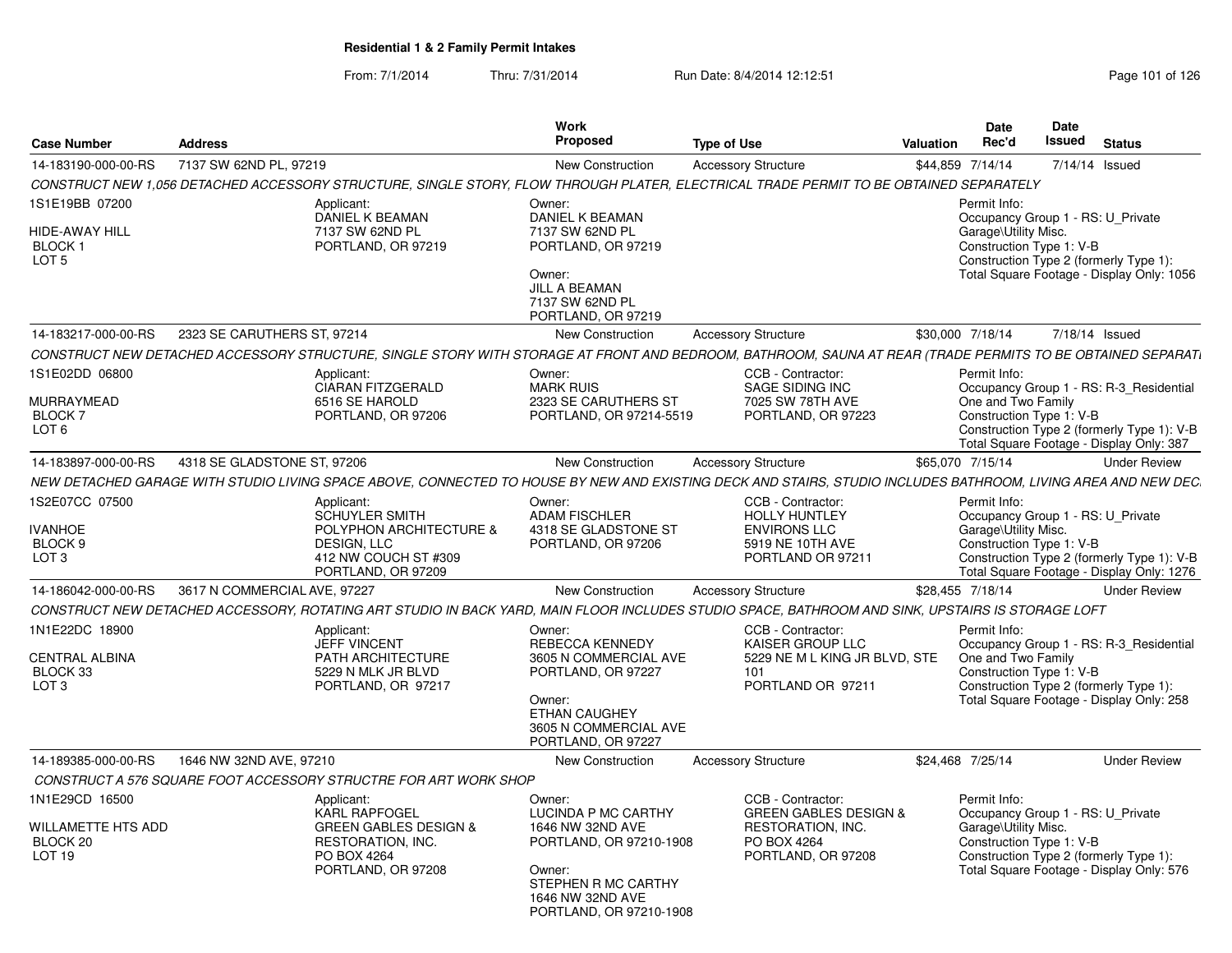| <b>Case Number</b>                                               | <b>Address</b>               |                                                                                                                                                                | Work<br><b>Proposed</b>                                                                                                                                      | <b>Type of Use</b> |                                                                                                                 | Valuation | <b>Date</b><br>Rec'd                                                                                  | Date<br>Issued | <b>Status</b>                                                                                                                     |
|------------------------------------------------------------------|------------------------------|----------------------------------------------------------------------------------------------------------------------------------------------------------------|--------------------------------------------------------------------------------------------------------------------------------------------------------------|--------------------|-----------------------------------------------------------------------------------------------------------------|-----------|-------------------------------------------------------------------------------------------------------|----------------|-----------------------------------------------------------------------------------------------------------------------------------|
| 14-183190-000-00-RS                                              | 7137 SW 62ND PL, 97219       |                                                                                                                                                                | <b>New Construction</b>                                                                                                                                      |                    | <b>Accessory Structure</b>                                                                                      |           | \$44,859 7/14/14                                                                                      |                | 7/14/14 Issued                                                                                                                    |
|                                                                  |                              | CONSTRUCT NEW 1,056 DETACHED ACCESSORY STRUCTURE, SINGLE STORY, FLOW THROUGH PLATER, ELECTRICAL TRADE PERMIT TO BE OBTAINED SEPARATELY                         |                                                                                                                                                              |                    |                                                                                                                 |           |                                                                                                       |                |                                                                                                                                   |
| 1S1E19BB 07200<br>HIDE-AWAY HILL<br>BLOCK 1<br>LOT <sub>5</sub>  |                              | Applicant:<br>DANIEL K BEAMAN<br>7137 SW 62ND PL<br>PORTLAND, OR 97219                                                                                         | Owner:<br>DANIEL K BEAMAN<br>7137 SW 62ND PL<br>PORTLAND, OR 97219<br>Owner:<br>JILL A BEAMAN<br>7137 SW 62ND PL<br>PORTLAND, OR 97219                       |                    |                                                                                                                 |           | Permit Info:<br>Garage\Utility Misc.<br>Construction Type 1: V-B                                      |                | Occupancy Group 1 - RS: U_Private<br>Construction Type 2 (formerly Type 1):<br>Total Square Footage - Display Only: 1056          |
| 14-183217-000-00-RS                                              | 2323 SE CARUTHERS ST, 97214  |                                                                                                                                                                | New Construction                                                                                                                                             |                    | <b>Accessory Structure</b>                                                                                      |           | \$30,000 7/18/14                                                                                      |                | 7/18/14 Issued                                                                                                                    |
|                                                                  |                              | CONSTRUCT NEW DETACHED ACCESSORY STRUCTURE, SINGLE STORY WITH STORAGE AT FRONT AND BEDROOM, BATHROOM, SAUNA AT REAR (TRADE PERMITS TO BE OBTAINED SEPARATI     |                                                                                                                                                              |                    |                                                                                                                 |           |                                                                                                       |                |                                                                                                                                   |
| IS1E02DD 06800<br>MURRAYMEAD<br>BLOCK 7<br>LOT <sub>6</sub>      |                              | Applicant:<br><b>CIARAN FITZGERALD</b><br>6516 SE HAROLD<br>PORTLAND, OR 97206                                                                                 | Owner:<br><b>MARK RUIS</b><br>2323 SE CARUTHERS ST<br>PORTLAND, OR 97214-5519                                                                                |                    | CCB - Contractor:<br>SAGE SIDING INC<br>7025 SW 78TH AVE<br>PORTLAND, OR 97223                                  |           | Permit Info:<br>One and Two Family<br>Construction Type 1: V-B                                        |                | Occupancy Group 1 - RS: R-3 Residential<br>Construction Type 2 (formerly Type 1): V-B<br>Total Square Footage - Display Only: 387 |
| 14-183897-000-00-RS                                              | 4318 SE GLADSTONE ST, 97206  |                                                                                                                                                                | New Construction                                                                                                                                             |                    | <b>Accessory Structure</b>                                                                                      |           | \$65,070 7/15/14                                                                                      |                | <b>Under Review</b>                                                                                                               |
|                                                                  |                              | NEW DETACHED GARAGE WITH STUDIO LIVING SPACE ABOVE, CONNECTED TO HOUSE BY NEW AND EXISTING DECK AND STAIRS, STUDIO INCLUDES BATHROOM, LIVING AREA AND NEW DEC. |                                                                                                                                                              |                    |                                                                                                                 |           |                                                                                                       |                |                                                                                                                                   |
| 1S2E07CC 07500<br><b>IVANHOE</b><br>BLOCK 9<br>LOT <sub>3</sub>  |                              | Applicant:<br><b>SCHUYLER SMITH</b><br>POLYPHON ARCHITECTURE &<br>DESIGN, LLC<br>412 NW COUCH ST #309<br>PORTLAND, OR 97209                                    | Owner:<br><b>ADAM FISCHLER</b><br>4318 SE GLADSTONE ST<br>PORTLAND, OR 97206                                                                                 |                    | CCB - Contractor:<br><b>HOLLY HUNTLEY</b><br><b>ENVIRONS LLC</b><br>5919 NE 10TH AVE<br>PORTLAND OR 97211       |           | Permit Info:<br>Occupancy Group 1 - RS: U_Private<br>Garage\Utility Misc.<br>Construction Type 1: V-B |                | Construction Type 2 (formerly Type 1): V-B<br>Total Square Footage - Display Only: 1276                                           |
| 14-186042-000-00-RS                                              | 3617 N COMMERCIAL AVE, 97227 |                                                                                                                                                                | New Construction                                                                                                                                             |                    | <b>Accessory Structure</b>                                                                                      |           | \$28,455 7/18/14                                                                                      |                | <b>Under Review</b>                                                                                                               |
|                                                                  |                              | CONSTRUCT NEW DETACHED ACCESSORY, ROTATING ART STUDIO IN BACK YARD, MAIN FLOOR INCLUDES STUDIO SPACE, BATHROOM AND SINK, UPSTAIRS IS STORAGE LOFT              |                                                                                                                                                              |                    |                                                                                                                 |           |                                                                                                       |                |                                                                                                                                   |
| 1N1E22DC 18900<br>CENTRAL ALBINA<br>BLOCK 33<br>LOT <sub>3</sub> |                              | Applicant:<br><b>JEFF VINCENT</b><br>PATH ARCHITECTURE<br>5229 N MLK JR BLVD<br>PORTLAND, OR 97217                                                             | Owner:<br>REBECCA KENNEDY<br>3605 N COMMERCIAL AVE<br>PORTLAND, OR 97227<br>Owner:<br><b>ETHAN CAUGHEY</b><br>3605 N COMMERCIAL AVE<br>PORTLAND, OR 97227    |                    | CCB - Contractor:<br>KAISER GROUP LLC<br>5229 NE M L KING JR BLVD, STE<br>101<br>PORTLAND OR 97211              |           | Permit Info:<br>One and Two Family<br>Construction Type 1: V-B                                        |                | Occupancy Group 1 - RS: R-3 Residential<br>Construction Type 2 (formerly Type 1):<br>Total Square Footage - Display Only: 258     |
| 14-189385-000-00-RS                                              | 1646 NW 32ND AVE, 97210      |                                                                                                                                                                | <b>New Construction</b>                                                                                                                                      |                    | <b>Accessory Structure</b>                                                                                      |           | \$24,468 7/25/14                                                                                      |                | <b>Under Review</b>                                                                                                               |
|                                                                  |                              | CONSTRUCT A 576 SQUARE FOOT ACCESSORY STRUCTRE FOR ART WORK SHOP                                                                                               |                                                                                                                                                              |                    |                                                                                                                 |           |                                                                                                       |                |                                                                                                                                   |
| 1N1E29CD 16500<br>WILLAMETTE HTS ADD<br>BLOCK 20<br>LOT 19       |                              | Applicant:<br><b>KARL RAPFOGEL</b><br><b>GREEN GABLES DESIGN &amp;</b><br>RESTORATION, INC.<br>PO BOX 4264<br>PORTLAND, OR 97208                               | Owner:<br>LUCINDA P MC CARTHY<br>1646 NW 32ND AVE<br>PORTLAND, OR 97210-1908<br>Owner:<br>STEPHEN R MC CARTHY<br>1646 NW 32ND AVE<br>PORTLAND, OR 97210-1908 |                    | CCB - Contractor:<br><b>GREEN GABLES DESIGN &amp;</b><br>RESTORATION, INC.<br>PO BOX 4264<br>PORTLAND, OR 97208 |           | Permit Info:<br>Garage\Utility Misc.<br>Construction Type 1: V-B                                      |                | Occupancy Group 1 - RS: U_Private<br>Construction Type 2 (formerly Type 1):<br>Total Square Footage - Display Only: 576           |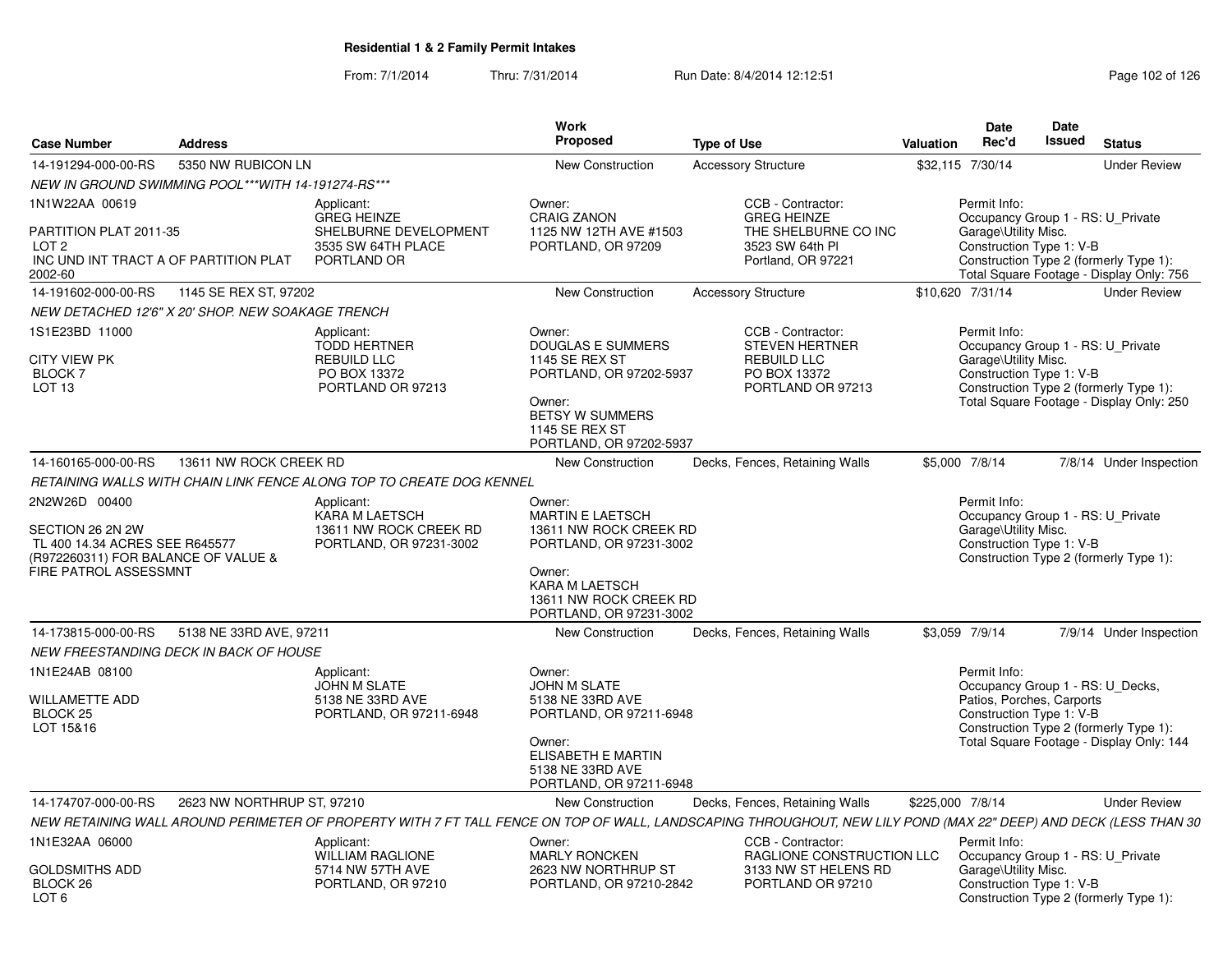|                                                                                                                                            |                            |                                                                                              | <b>Work</b>                                                                                                                                                             |                                                                                                                                                                  |                  | Date                                                                  | Date          |                                                                                                                         |
|--------------------------------------------------------------------------------------------------------------------------------------------|----------------------------|----------------------------------------------------------------------------------------------|-------------------------------------------------------------------------------------------------------------------------------------------------------------------------|------------------------------------------------------------------------------------------------------------------------------------------------------------------|------------------|-----------------------------------------------------------------------|---------------|-------------------------------------------------------------------------------------------------------------------------|
| <b>Case Number</b>                                                                                                                         | <b>Address</b>             |                                                                                              | Proposed                                                                                                                                                                | <b>Type of Use</b>                                                                                                                                               | Valuation        | Rec'd                                                                 | <b>Issued</b> | <b>Status</b>                                                                                                           |
| 14-191294-000-00-RS                                                                                                                        | 5350 NW RUBICON LN         |                                                                                              | New Construction                                                                                                                                                        | <b>Accessory Structure</b>                                                                                                                                       | \$32,115 7/30/14 |                                                                       |               | <b>Under Review</b>                                                                                                     |
| NEW IN GROUND SWIMMING POOL***WITH 14-191274-RS***                                                                                         |                            |                                                                                              |                                                                                                                                                                         |                                                                                                                                                                  |                  |                                                                       |               |                                                                                                                         |
| 1N1W22AA 00619<br>PARTITION PLAT 2011-35<br>LOT 2                                                                                          |                            | Applicant:<br><b>GREG HEINZE</b><br>SHELBURNE DEVELOPMENT<br>3535 SW 64TH PLACE              | Owner:<br><b>CRAIG ZANON</b><br>1125 NW 12TH AVE #1503<br>PORTLAND, OR 97209                                                                                            | CCB - Contractor:<br><b>GREG HEINZE</b><br>THE SHELBURNE CO INC<br>3523 SW 64th PI                                                                               |                  | Permit Info:<br>Garage\Utility Misc.<br>Construction Type 1: V-B      |               | Occupancy Group 1 - RS: U_Private                                                                                       |
| INC UND INT TRACT A OF PARTITION PLAT<br>2002-60                                                                                           |                            | PORTLAND OR                                                                                  |                                                                                                                                                                         | Portland, OR 97221                                                                                                                                               |                  |                                                                       |               | Construction Type 2 (formerly Type 1):<br>Total Square Footage - Display Only: 756                                      |
| 14-191602-000-00-RS                                                                                                                        | 1145 SE REX ST, 97202      |                                                                                              | <b>New Construction</b>                                                                                                                                                 | <b>Accessory Structure</b>                                                                                                                                       | \$10,620 7/31/14 |                                                                       |               | <b>Under Review</b>                                                                                                     |
| NEW DETACHED 12'6" X 20' SHOP. NEW SOAKAGE TRENCH                                                                                          |                            |                                                                                              |                                                                                                                                                                         |                                                                                                                                                                  |                  |                                                                       |               |                                                                                                                         |
| 1S1E23BD 11000<br><b>CITY VIEW PK</b><br><b>BLOCK7</b><br>LOT <sub>13</sub>                                                                |                            | Applicant:<br><b>TODD HERTNER</b><br><b>REBUILD LLC</b><br>PO BOX 13372<br>PORTLAND OR 97213 | Owner:<br><b>DOUGLAS E SUMMERS</b><br><b>1145 SE REX ST</b><br>PORTLAND, OR 97202-5937<br>Owner:<br>BETSY W SUMMERS<br><b>1145 SE REX ST</b><br>PORTLAND, OR 97202-5937 | CCB - Contractor:<br><b>STEVEN HERTNER</b><br><b>REBUILD LLC</b><br>PO BOX 13372<br>PORTLAND OR 97213                                                            |                  | Permit Info:<br>Garage\Utility Misc.<br>Construction Type 1: V-B      |               | Occupancy Group 1 - RS: U_Private<br>Construction Type 2 (formerly Type 1):<br>Total Square Footage - Display Only: 250 |
| 14-160165-000-00-RS                                                                                                                        | 13611 NW ROCK CREEK RD     |                                                                                              | New Construction                                                                                                                                                        | Decks, Fences, Retaining Walls                                                                                                                                   | \$5,000 7/8/14   |                                                                       |               | 7/8/14 Under Inspection                                                                                                 |
|                                                                                                                                            |                            | RETAINING WALLS WITH CHAIN LINK FENCE ALONG TOP TO CREATE DOG KENNEL                         |                                                                                                                                                                         |                                                                                                                                                                  |                  |                                                                       |               |                                                                                                                         |
| 2N2W26D 00400<br>SECTION 26 2N 2W<br>TL 400 14.34 ACRES SEE R645577<br>(R972260311) FOR BALANCE OF VALUE &<br><b>FIRE PATROL ASSESSMNT</b> |                            | Applicant:<br><b>KARA M LAETSCH</b><br>13611 NW ROCK CREEK RD<br>PORTLAND, OR 97231-3002     | Owner:<br><b>MARTIN E LAETSCH</b><br>13611 NW ROCK CREEK RD<br>PORTLAND, OR 97231-3002<br>Owner:<br>KARA M LAETSCH<br>13611 NW ROCK CREEK RD<br>PORTLAND, OR 97231-3002 |                                                                                                                                                                  |                  | Permit Info:<br>Garage\Utility Misc.<br>Construction Type 1: V-B      |               | Occupancy Group 1 - RS: U Private<br>Construction Type 2 (formerly Type 1):                                             |
| 14-173815-000-00-RS                                                                                                                        | 5138 NE 33RD AVE, 97211    |                                                                                              | New Construction                                                                                                                                                        | Decks, Fences, Retaining Walls                                                                                                                                   | \$3.059 7/9/14   |                                                                       |               | 7/9/14 Under Inspection                                                                                                 |
| NEW FREESTANDING DECK IN BACK OF HOUSE                                                                                                     |                            |                                                                                              |                                                                                                                                                                         |                                                                                                                                                                  |                  |                                                                       |               |                                                                                                                         |
| 1N1E24AB 08100<br>WILLAMETTE ADD<br>BLOCK <sub>25</sub><br>LOT 15&16                                                                       |                            | Applicant:<br><b>JOHN M SLATE</b><br>5138 NE 33RD AVE<br>PORTLAND, OR 97211-6948             | Owner:<br><b>JOHN M SLATE</b><br>5138 NE 33RD AVE<br>PORTLAND, OR 97211-6948<br>Owner:<br>ELISABETH E MARTIN<br>5138 NE 33RD AVE<br>PORTLAND, OR 97211-6948             |                                                                                                                                                                  |                  | Permit Info:<br>Patios, Porches, Carports<br>Construction Type 1: V-B |               | Occupancy Group 1 - RS: U_Decks,<br>Construction Type 2 (formerly Type 1):<br>Total Square Footage - Display Only: 144  |
| 14-174707-000-00-RS                                                                                                                        | 2623 NW NORTHRUP ST, 97210 |                                                                                              | <b>New Construction</b>                                                                                                                                                 | Decks, Fences, Retaining Walls                                                                                                                                   | \$225,000 7/8/14 |                                                                       |               | <b>Under Review</b>                                                                                                     |
|                                                                                                                                            |                            |                                                                                              |                                                                                                                                                                         | NEW RETAINING WALL AROUND PERIMETER OF PROPERTY WITH 7 FT TALL FENCE ON TOP OF WALL, LANDSCAPING THROUGHOUT, NEW LILY POND (MAX 22" DEEP) AND DECK (LESS THAN 30 |                  |                                                                       |               |                                                                                                                         |
| 1N1E32AA 06000                                                                                                                             |                            | Applicant:<br><b>WILLIAM RAGLIONE</b>                                                        | Owner:<br>MARLY RONCKEN                                                                                                                                                 | CCB - Contractor:<br>RAGLIONE CONSTRUCTION LLC                                                                                                                   |                  | Permit Info:                                                          |               | Occupancy Group 1 - RS: U_Private                                                                                       |
| GOLDSMITHS ADD<br>BLOCK 26<br>LOT 6                                                                                                        |                            | 5714 NW 57TH AVE<br>PORTLAND, OR 97210                                                       | 2623 NW NORTHRUP ST<br>PORTLAND, OR 97210-2842                                                                                                                          | 3133 NW ST HELENS RD<br>PORTLAND OR 97210                                                                                                                        |                  | Garage\Utility Misc.<br>Construction Type 1: V-B                      |               | Construction Type 2 (formerly Type 1):                                                                                  |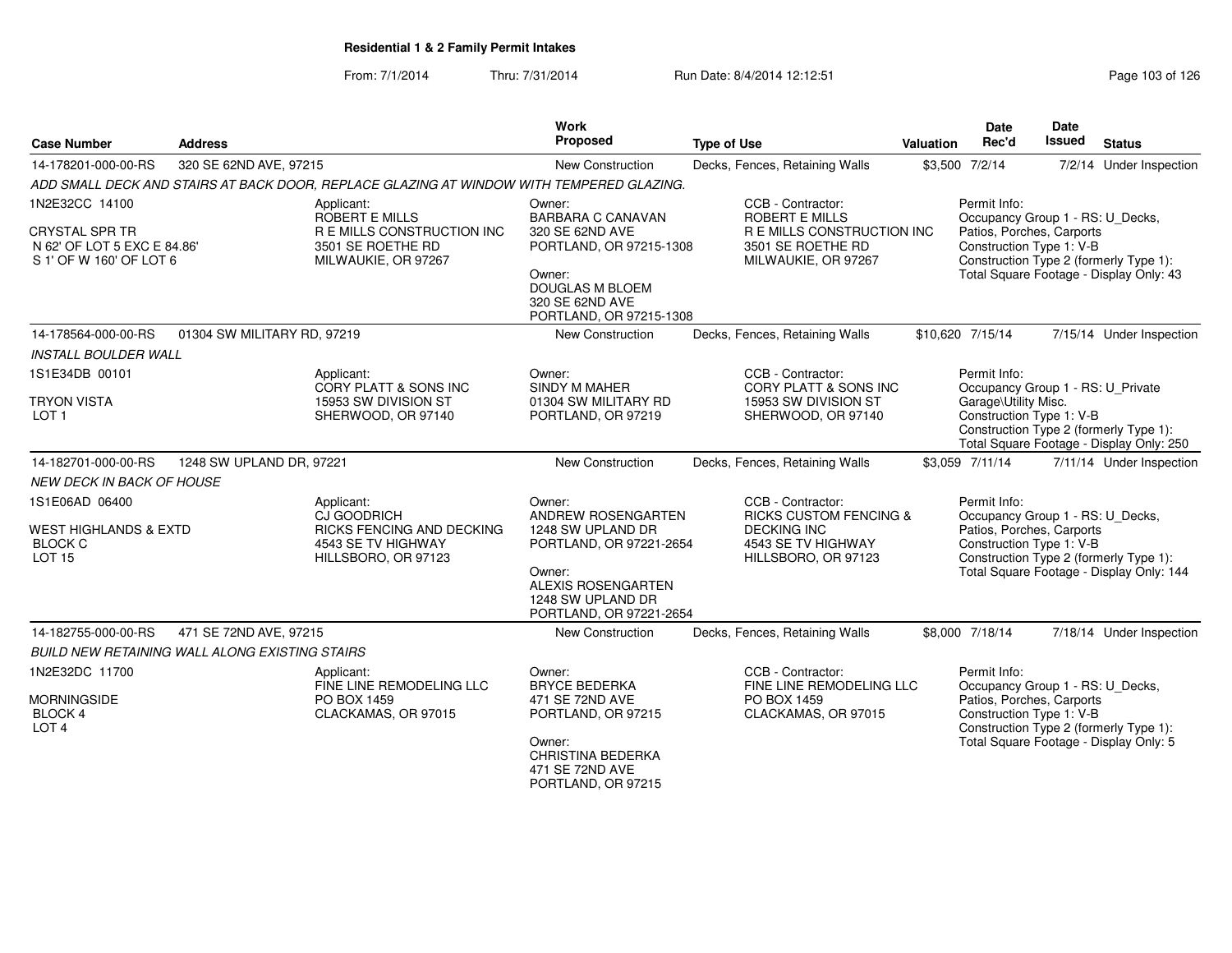| <b>Case Number</b>                                                                                | <b>Address</b>                                        |                                                                                                        | <b>Work</b><br>Proposed                                                             | <b>Type of Use</b>                                                                                                   | Valuation | <b>Date</b><br>Rec'd                                                                                      | <b>Date</b><br><b>Issued</b> | <b>Status</b>                                                                      |
|---------------------------------------------------------------------------------------------------|-------------------------------------------------------|--------------------------------------------------------------------------------------------------------|-------------------------------------------------------------------------------------|----------------------------------------------------------------------------------------------------------------------|-----------|-----------------------------------------------------------------------------------------------------------|------------------------------|------------------------------------------------------------------------------------|
| 14-178201-000-00-RS                                                                               | 320 SE 62ND AVE, 97215                                |                                                                                                        | New Construction                                                                    | Decks, Fences, Retaining Walls                                                                                       |           | \$3,500 7/2/14                                                                                            |                              | 7/2/14 Under Inspection                                                            |
|                                                                                                   |                                                       | ADD SMALL DECK AND STAIRS AT BACK DOOR, REPLACE GLAZING AT WINDOW WITH TEMPERED GLAZING.               |                                                                                     |                                                                                                                      |           |                                                                                                           |                              |                                                                                    |
| 1N2E32CC 14100<br><b>CRYSTAL SPR TR</b><br>N 62' OF LOT 5 EXC E 84.86'<br>S 1' OF W 160' OF LOT 6 |                                                       | Applicant:<br>ROBERT E MILLS<br>R E MILLS CONSTRUCTION INC<br>3501 SE ROETHE RD<br>MILWAUKIE, OR 97267 | Owner:<br>BARBARA C CANAVAN<br>320 SE 62ND AVE<br>PORTLAND, OR 97215-1308           | CCB - Contractor:<br><b>ROBERT E MILLS</b><br>R E MILLS CONSTRUCTION INC<br>3501 SE ROETHE RD<br>MILWAUKIE, OR 97267 |           | Permit Info:<br>Occupancy Group 1 - RS: U_Decks,<br>Patios, Porches, Carports<br>Construction Type 1: V-B |                              | Construction Type 2 (formerly Type 1):                                             |
|                                                                                                   |                                                       |                                                                                                        | Owner:<br><b>DOUGLAS M BLOEM</b><br>320 SE 62ND AVE<br>PORTLAND, OR 97215-1308      |                                                                                                                      |           |                                                                                                           |                              | Total Square Footage - Display Only: 43                                            |
| 14-178564-000-00-RS                                                                               | 01304 SW MILITARY RD, 97219                           |                                                                                                        | <b>New Construction</b>                                                             | Decks, Fences, Retaining Walls                                                                                       |           | \$10,620 7/15/14                                                                                          |                              | 7/15/14 Under Inspection                                                           |
| <b>INSTALL BOULDER WALL</b>                                                                       |                                                       |                                                                                                        |                                                                                     |                                                                                                                      |           |                                                                                                           |                              |                                                                                    |
| 1S1E34DB 00101                                                                                    |                                                       | Applicant:<br>CORY PLATT & SONS INC                                                                    | Owner:<br>SINDY M MAHER                                                             | CCB - Contractor:<br>CORY PLATT & SONS INC                                                                           |           | Permit Info:<br>Occupancy Group 1 - RS: U_Private                                                         |                              |                                                                                    |
| <b>TRYON VISTA</b><br>LOT <sub>1</sub>                                                            |                                                       | 15953 SW DIVISION ST<br>SHERWOOD, OR 97140                                                             | 01304 SW MILITARY RD<br>PORTLAND, OR 97219                                          | 15953 SW DIVISION ST<br>SHERWOOD, OR 97140                                                                           |           | Garage\Utility Misc.<br>Construction Type 1: V-B                                                          |                              | Construction Type 2 (formerly Type 1):<br>Total Square Footage - Display Only: 250 |
| 14-182701-000-00-RS                                                                               | 1248 SW UPLAND DR, 97221                              |                                                                                                        | New Construction                                                                    | Decks, Fences, Retaining Walls                                                                                       |           | \$3,059 7/11/14                                                                                           |                              | 7/11/14 Under Inspection                                                           |
| <b>NEW DECK IN BACK OF HOUSE</b>                                                                  |                                                       |                                                                                                        |                                                                                     |                                                                                                                      |           |                                                                                                           |                              |                                                                                    |
| 1S1E06AD 06400                                                                                    |                                                       | Applicant:<br>CJ GOODRICH                                                                              | Owner:<br>ANDREW ROSENGARTEN                                                        | CCB - Contractor:<br><b>RICKS CUSTOM FENCING &amp;</b>                                                               |           | Permit Info:<br>Occupancy Group 1 - RS: U_Decks,                                                          |                              |                                                                                    |
| <b>WEST HIGHLANDS &amp; EXTD</b><br><b>BLOCK C</b><br><b>LOT 15</b>                               |                                                       | RICKS FENCING AND DECKING<br>4543 SE TV HIGHWAY<br>HILLSBORO, OR 97123                                 | 1248 SW UPLAND DR<br>PORTLAND, OR 97221-2654                                        | <b>DECKING INC</b><br>4543 SE TV HIGHWAY<br>HILLSBORO, OR 97123                                                      |           | Patios, Porches, Carports<br>Construction Type 1: V-B<br>Construction Type 2 (formerly Type 1):           |                              |                                                                                    |
|                                                                                                   |                                                       |                                                                                                        | Owner:<br><b>ALEXIS ROSENGARTEN</b><br>1248 SW UPLAND DR<br>PORTLAND, OR 97221-2654 |                                                                                                                      |           |                                                                                                           |                              | Total Square Footage - Display Only: 144                                           |
| 14-182755-000-00-RS                                                                               | 471 SE 72ND AVE, 97215                                |                                                                                                        | <b>New Construction</b>                                                             | Decks, Fences, Retaining Walls                                                                                       |           | \$8,000 7/18/14                                                                                           |                              | 7/18/14 Under Inspection                                                           |
|                                                                                                   | <b>BUILD NEW RETAINING WALL ALONG EXISTING STAIRS</b> |                                                                                                        |                                                                                     |                                                                                                                      |           |                                                                                                           |                              |                                                                                    |
| 1N2E32DC 11700                                                                                    |                                                       | Applicant:<br>FINE LINE REMODELING LLC                                                                 | Owner:<br><b>BRYCE BEDERKA</b>                                                      | CCB - Contractor:<br>FINE LINE REMODELING LLC                                                                        |           | Permit Info:<br>Occupancy Group 1 - RS: U_Decks,                                                          |                              |                                                                                    |
| <b>MORNINGSIDE</b><br><b>BLOCK 4</b><br>LOT <sub>4</sub>                                          |                                                       | PO BOX 1459<br>CLACKAMAS, OR 97015                                                                     | 471 SE 72ND AVE<br>PORTLAND, OR 97215                                               | PO BOX 1459<br>CLACKAMAS, OR 97015                                                                                   |           | Patios, Porches, Carports<br>Construction Type 1: V-B                                                     |                              | Construction Type 2 (formerly Type 1):                                             |
|                                                                                                   |                                                       |                                                                                                        | Owner:<br><b>CHRISTINA BEDERKA</b><br>471 SE 72ND AVE<br>PORTLAND, OR 97215         |                                                                                                                      |           |                                                                                                           |                              | Total Square Footage - Display Only: 5                                             |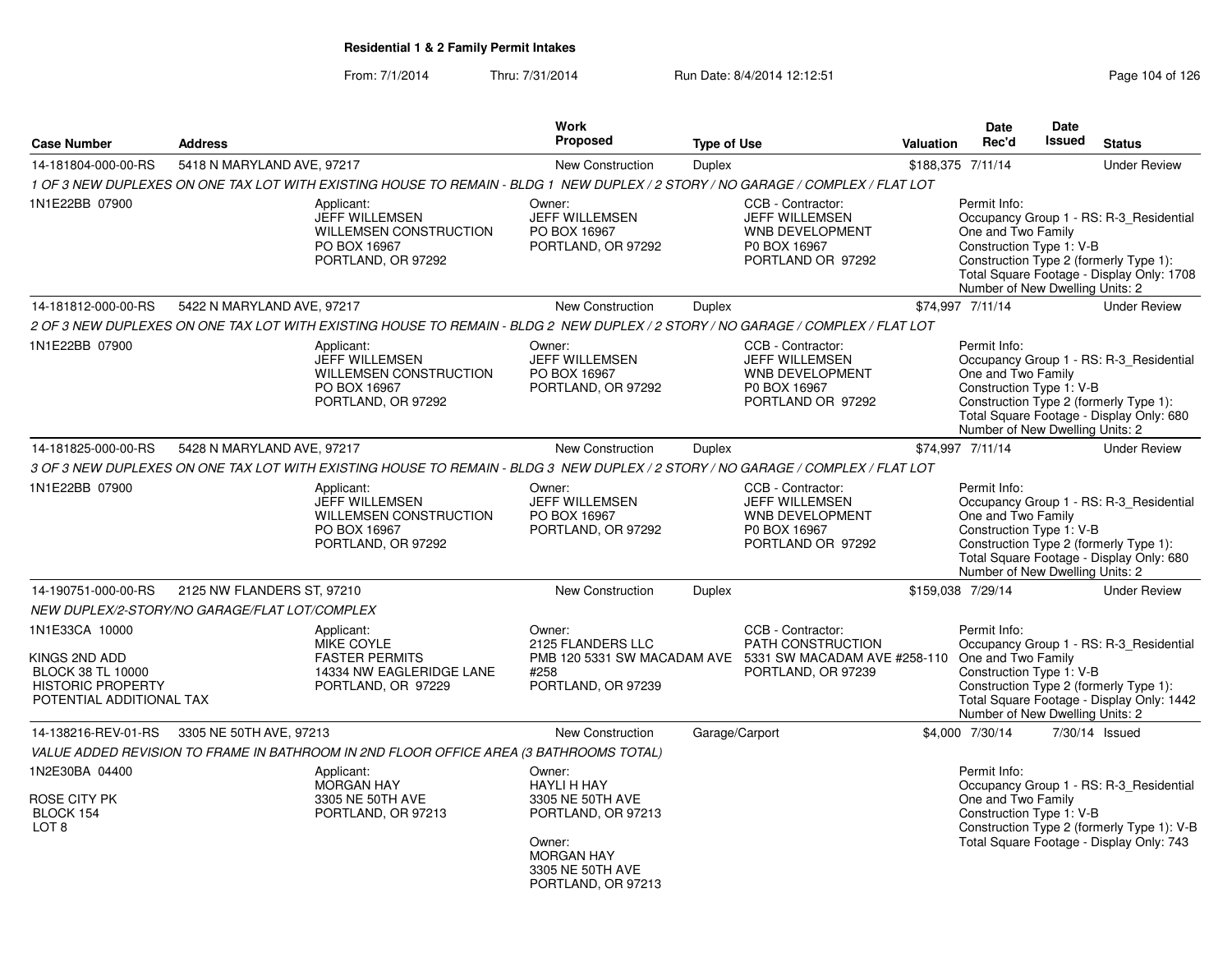### From: 7/1/2014Thru: 7/31/2014 Run Date: 8/4/2014 12:12:51

| Page 104 of 126 |  |  |  |
|-----------------|--|--|--|
|-----------------|--|--|--|

| <b>Case Number</b>                                                                                                  | <b>Address</b>                                |                                                                                                                                 | <b>Work</b><br><b>Proposed</b>                                                                                                                  | <b>Type of Use</b> |                                                                                                                          | <b>Valuation</b> | <b>Date</b><br>Rec'd                                                                              | <b>Date</b><br><b>Issued</b> | <b>Status</b>                                                                                                                     |
|---------------------------------------------------------------------------------------------------------------------|-----------------------------------------------|---------------------------------------------------------------------------------------------------------------------------------|-------------------------------------------------------------------------------------------------------------------------------------------------|--------------------|--------------------------------------------------------------------------------------------------------------------------|------------------|---------------------------------------------------------------------------------------------------|------------------------------|-----------------------------------------------------------------------------------------------------------------------------------|
| 14-181804-000-00-RS                                                                                                 | 5418 N MARYLAND AVE, 97217                    |                                                                                                                                 | <b>New Construction</b>                                                                                                                         | <b>Duplex</b>      |                                                                                                                          |                  | \$188,375 7/11/14                                                                                 |                              | <b>Under Review</b>                                                                                                               |
|                                                                                                                     |                                               | 1 OF 3 NEW DUPLEXES ON ONE TAX LOT WITH EXISTING HOUSE TO REMAIN - BLDG 1 NEW DUPLEX / 2 STORY / NO GARAGE / COMPLEX / FLAT LOT |                                                                                                                                                 |                    |                                                                                                                          |                  |                                                                                                   |                              |                                                                                                                                   |
| 1N1E22BB 07900                                                                                                      |                                               | Applicant:<br><b>JEFF WILLEMSEN</b><br><b>WILLEMSEN CONSTRUCTION</b><br>PO BOX 16967<br>PORTLAND, OR 97292                      | Owner:<br><b>JEFF WILLEMSEN</b><br>PO BOX 16967<br>PORTLAND, OR 97292                                                                           |                    | CCB - Contractor:<br><b>JEFF WILLEMSEN</b><br><b>WNB DEVELOPMENT</b><br>P0 BOX 16967<br>PORTLAND OR 97292                |                  | Permit Info:<br>One and Two Family<br>Construction Type 1: V-B<br>Number of New Dwelling Units: 2 |                              | Occupancy Group 1 - RS: R-3 Residential<br>Construction Type 2 (formerly Type 1):<br>Total Square Footage - Display Only: 1708    |
| 14-181812-000-00-RS                                                                                                 | 5422 N MARYLAND AVE, 97217                    |                                                                                                                                 | New Construction                                                                                                                                | Duplex             |                                                                                                                          |                  | \$74,997 7/11/14                                                                                  |                              | <b>Under Review</b>                                                                                                               |
|                                                                                                                     |                                               | 2 OF 3 NEW DUPLEXES ON ONE TAX LOT WITH EXISTING HOUSE TO REMAIN - BLDG 2 NEW DUPLEX / 2 STORY / NO GARAGE / COMPLEX / FLAT LOT |                                                                                                                                                 |                    |                                                                                                                          |                  |                                                                                                   |                              |                                                                                                                                   |
| 1N1E22BB 07900                                                                                                      |                                               | Applicant:<br><b>JEFF WILLEMSEN</b><br><b>WILLEMSEN CONSTRUCTION</b><br>PO BOX 16967<br>PORTLAND, OR 97292                      | Owner:<br><b>JEFF WILLEMSEN</b><br>PO BOX 16967<br>PORTLAND, OR 97292                                                                           |                    | CCB - Contractor:<br><b>JEFF WILLEMSEN</b><br>WNB DEVELOPMENT<br>P0 BOX 16967<br>PORTLAND OR 97292                       |                  | Permit Info:<br>One and Two Family<br>Construction Type 1: V-B<br>Number of New Dwelling Units: 2 |                              | Occupancy Group 1 - RS: R-3_Residential<br>Construction Type 2 (formerly Type 1):<br>Total Square Footage - Display Only: 680     |
| 14-181825-000-00-RS                                                                                                 | 5428 N MARYLAND AVE, 97217                    |                                                                                                                                 | New Construction                                                                                                                                | <b>Duplex</b>      |                                                                                                                          |                  | \$74,997 7/11/14                                                                                  |                              | <b>Under Review</b>                                                                                                               |
|                                                                                                                     |                                               | 3 OF 3 NEW DUPLEXES ON ONE TAX LOT WITH EXISTING HOUSE TO REMAIN - BLDG 3 NEW DUPLEX / 2 STORY / NO GARAGE / COMPLEX / FLAT LOT |                                                                                                                                                 |                    |                                                                                                                          |                  |                                                                                                   |                              |                                                                                                                                   |
| 1N1E22BB 07900                                                                                                      |                                               | Applicant:<br>JEFF WILLEMSEN<br><b>WILLEMSEN CONSTRUCTION</b><br>PO BOX 16967<br>PORTLAND, OR 97292                             | Owner:<br>JEFF WILLEMSEN<br>PO BOX 16967<br>PORTLAND, OR 97292                                                                                  |                    | CCB - Contractor:<br>JEFF WILLEMSEN<br>WNB DEVELOPMENT<br>P0 BOX 16967<br>PORTLAND OR 97292                              |                  | Permit Info:<br>One and Two Family<br>Construction Type 1: V-B<br>Number of New Dwelling Units: 2 |                              | Occupancy Group 1 - RS: R-3_Residential<br>Construction Type 2 (formerly Type 1):<br>Total Square Footage - Display Only: 680     |
| 14-190751-000-00-RS                                                                                                 | 2125 NW FLANDERS ST, 97210                    |                                                                                                                                 | <b>New Construction</b>                                                                                                                         | <b>Duplex</b>      |                                                                                                                          |                  | \$159,038 7/29/14                                                                                 |                              | <b>Under Review</b>                                                                                                               |
|                                                                                                                     | NEW DUPLEX/2-STORY/NO GARAGE/FLAT LOT/COMPLEX |                                                                                                                                 |                                                                                                                                                 |                    |                                                                                                                          |                  |                                                                                                   |                              |                                                                                                                                   |
| 1N1E33CA 10000<br>KINGS 2ND ADD<br><b>BLOCK 38 TL 10000</b><br><b>HISTORIC PROPERTY</b><br>POTENTIAL ADDITIONAL TAX |                                               | Applicant:<br><b>MIKE COYLE</b><br><b>FASTER PERMITS</b><br>14334 NW EAGLERIDGE LANE<br>PORTLAND, OR 97229                      | Owner:<br>2125 FLANDERS LLC<br>#258<br>PORTLAND, OR 97239                                                                                       |                    | CCB - Contractor:<br>PATH CONSTRUCTION<br>PMB 120 5331 SW MACADAM AVE 5331 SW MACADAM AVE #258-110<br>PORTLAND, OR 97239 |                  | Permit Info:<br>One and Two Family<br>Construction Type 1: V-B<br>Number of New Dwelling Units: 2 |                              | Occupancy Group 1 - RS: R-3 Residential<br>Construction Type 2 (formerly Type 1):<br>Total Square Footage - Display Only: 1442    |
| 14-138216-REV-01-RS                                                                                                 | 3305 NE 50TH AVE, 97213                       |                                                                                                                                 | New Construction                                                                                                                                |                    | Garage/Carport                                                                                                           |                  | \$4,000 7/30/14                                                                                   |                              | 7/30/14 Issued                                                                                                                    |
|                                                                                                                     |                                               | VALUE ADDED REVISION TO FRAME IN BATHROOM IN 2ND FLOOR OFFICE AREA (3 BATHROOMS TOTAL)                                          |                                                                                                                                                 |                    |                                                                                                                          |                  |                                                                                                   |                              |                                                                                                                                   |
| 1N2E30BA 04400<br>ROSE CITY PK<br>BLOCK 154<br>LOT <sub>8</sub>                                                     |                                               | Applicant:<br><b>MORGAN HAY</b><br>3305 NE 50TH AVE<br>PORTLAND, OR 97213                                                       | Owner:<br><b>HAYLI H HAY</b><br>3305 NE 50TH AVE<br>PORTLAND, OR 97213<br>Owner:<br><b>MORGAN HAY</b><br>3305 NE 50TH AVE<br>PORTLAND, OR 97213 |                    |                                                                                                                          |                  | Permit Info:<br>One and Two Family<br>Construction Type 1: V-B                                    |                              | Occupancy Group 1 - RS: R-3 Residential<br>Construction Type 2 (formerly Type 1): V-B<br>Total Square Footage - Display Only: 743 |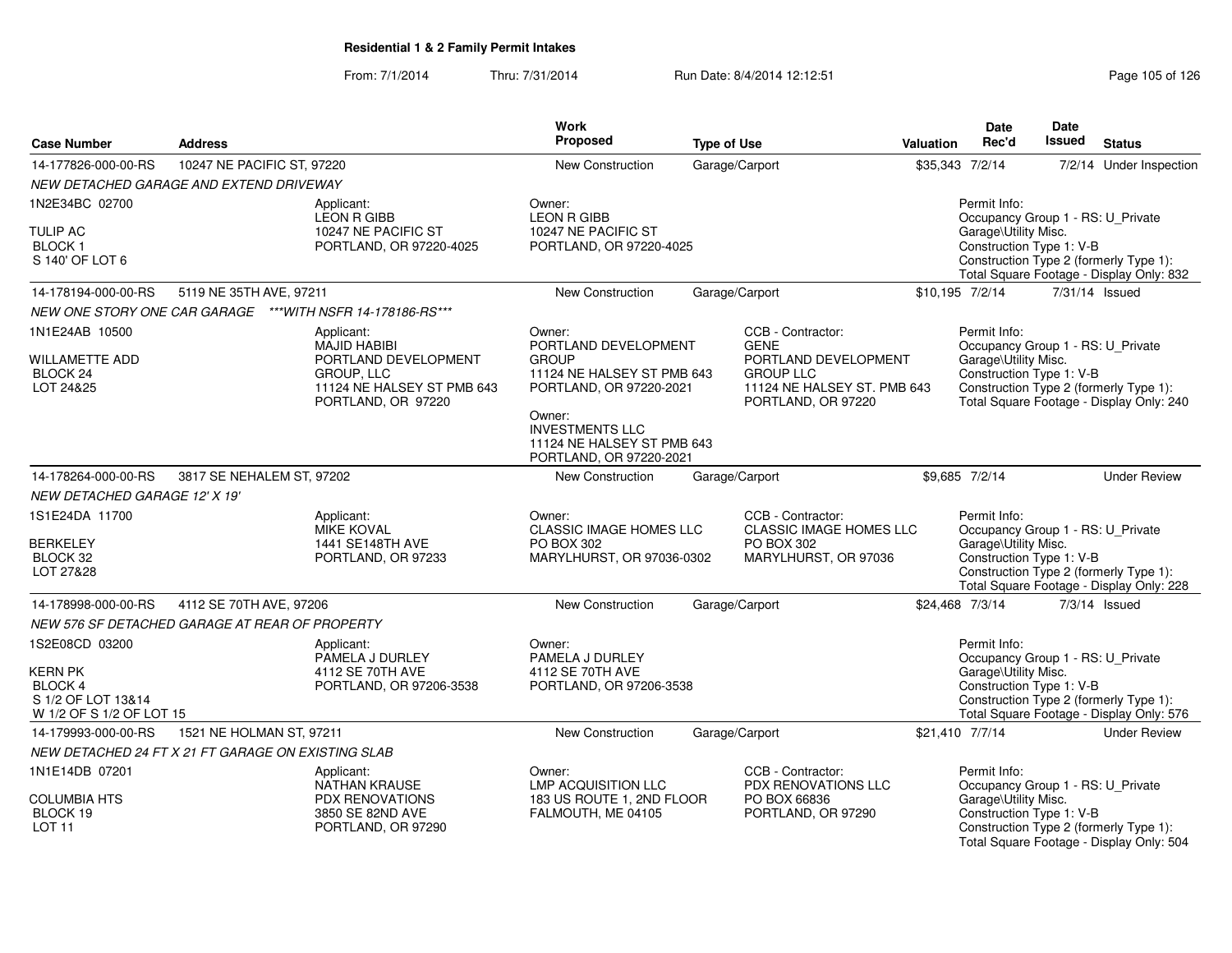| <b>Case Number</b>                                                                                  | <b>Address</b>                                     |                                                                                                               | Work<br><b>Proposed</b>                                                                                                                                                                    | <b>Type of Use</b> | Valuation                                                                                     | <b>Date</b><br>Rec'd                                                                                  | <b>Date</b><br><b>Issued</b> | <b>Status</b>                                                                      |
|-----------------------------------------------------------------------------------------------------|----------------------------------------------------|---------------------------------------------------------------------------------------------------------------|--------------------------------------------------------------------------------------------------------------------------------------------------------------------------------------------|--------------------|-----------------------------------------------------------------------------------------------|-------------------------------------------------------------------------------------------------------|------------------------------|------------------------------------------------------------------------------------|
| 14-177826-000-00-RS                                                                                 | 10247 NE PACIFIC ST, 97220                         |                                                                                                               | New Construction                                                                                                                                                                           | Garage/Carport     |                                                                                               | \$35,343 7/2/14                                                                                       |                              | 7/2/14 Under Inspection                                                            |
|                                                                                                     | NEW DETACHED GARAGE AND EXTEND DRIVEWAY            |                                                                                                               |                                                                                                                                                                                            |                    |                                                                                               |                                                                                                       |                              |                                                                                    |
| 1N2E34BC 02700                                                                                      |                                                    | Applicant:                                                                                                    | Owner:                                                                                                                                                                                     |                    |                                                                                               | Permit Info:                                                                                          |                              |                                                                                    |
| <b>TULIP AC</b><br><b>BLOCK1</b><br>S 140' OF LOT 6                                                 |                                                    | LEON R GIBB<br>10247 NE PACIFIC ST<br>PORTLAND, OR 97220-4025                                                 | <b>LEON R GIBB</b><br>10247 NE PACIFIC ST<br>PORTLAND, OR 97220-4025                                                                                                                       |                    |                                                                                               | Occupancy Group 1 - RS: U_Private<br>Garage\Utility Misc.<br>Construction Type 1: V-B                 |                              | Construction Type 2 (formerly Type 1):<br>Total Square Footage - Display Only: 832 |
| 14-178194-000-00-RS                                                                                 | 5119 NE 35TH AVE, 97211                            |                                                                                                               | New Construction                                                                                                                                                                           | Garage/Carport     |                                                                                               | \$10,195 7/2/14                                                                                       |                              | 7/31/14 Issued                                                                     |
|                                                                                                     |                                                    | NEW ONE STORY ONE CAR GARAGE ***WITH NSFR 14-178186-RS***                                                     |                                                                                                                                                                                            |                    |                                                                                               |                                                                                                       |                              |                                                                                    |
| 1N1E24AB 10500                                                                                      |                                                    | Applicant:                                                                                                    | Owner:                                                                                                                                                                                     |                    | CCB - Contractor:                                                                             | Permit Info:                                                                                          |                              |                                                                                    |
| <b>WILLAMETTE ADD</b><br>BLOCK 24<br>LOT 24&25                                                      |                                                    | <b>MAJID HABIBI</b><br>PORTLAND DEVELOPMENT<br>GROUP, LLC<br>11124 NE HALSEY ST PMB 643<br>PORTLAND, OR 97220 | PORTLAND DEVELOPMENT<br><b>GROUP</b><br>11124 NE HALSEY ST PMB 643<br>PORTLAND, OR 97220-2021<br>Owner:<br><b>INVESTMENTS LLC</b><br>11124 NE HALSEY ST PMB 643<br>PORTLAND, OR 97220-2021 | <b>GENE</b>        | PORTLAND DEVELOPMENT<br><b>GROUP LLC</b><br>11124 NE HALSEY ST. PMB 643<br>PORTLAND, OR 97220 | Occupancy Group 1 - RS: U_Private<br>Garage\Utility Misc.<br>Construction Type 1: V-B                 |                              | Construction Type 2 (formerly Type 1):<br>Total Square Footage - Display Only: 240 |
| 14-178264-000-00-RS                                                                                 | 3817 SE NEHALEM ST, 97202                          |                                                                                                               | New Construction                                                                                                                                                                           | Garage/Carport     |                                                                                               | \$9,685 7/2/14                                                                                        |                              | <b>Under Review</b>                                                                |
| NEW DETACHED GARAGE 12' X 19'                                                                       |                                                    |                                                                                                               |                                                                                                                                                                                            |                    |                                                                                               |                                                                                                       |                              |                                                                                    |
| 1S1E24DA 11700<br><b>BERKELEY</b><br>BLOCK 32<br>LOT 27&28                                          |                                                    | Applicant:<br><b>MIKE KOVAL</b><br>1441 SE148TH AVE<br>PORTLAND, OR 97233                                     | Owner:<br><b>CLASSIC IMAGE HOMES LLC</b><br>PO BOX 302<br>MARYLHURST, OR 97036-0302                                                                                                        |                    | CCB - Contractor:<br>CLASSIC IMAGE HOMES LLC<br>PO BOX 302<br>MARYLHURST, OR 97036            | Permit Info:<br>Occupancy Group 1 - RS: U_Private<br>Garage\Utility Misc.<br>Construction Type 1: V-B |                              | Construction Type 2 (formerly Type 1):<br>Total Square Footage - Display Only: 228 |
| 14-178998-000-00-RS                                                                                 | 4112 SE 70TH AVE, 97206                            |                                                                                                               | <b>New Construction</b>                                                                                                                                                                    | Garage/Carport     |                                                                                               | \$24,468 7/3/14                                                                                       |                              | 7/3/14 Issued                                                                      |
|                                                                                                     | NEW 576 SF DETACHED GARAGE AT REAR OF PROPERTY     |                                                                                                               |                                                                                                                                                                                            |                    |                                                                                               |                                                                                                       |                              |                                                                                    |
| 1S2E08CD 03200<br><b>KERN PK</b><br><b>BLOCK4</b><br>S 1/2 OF LOT 13&14<br>W 1/2 OF S 1/2 OF LOT 15 |                                                    | Applicant:<br>PAMELA J DURLEY<br>4112 SE 70TH AVE<br>PORTLAND, OR 97206-3538                                  | Owner:<br>PAMELA J DURLEY<br>4112 SE 70TH AVE<br>PORTLAND, OR 97206-3538                                                                                                                   |                    |                                                                                               | Permit Info:<br>Occupancy Group 1 - RS: U_Private<br>Garage\Utility Misc.<br>Construction Type 1: V-B |                              | Construction Type 2 (formerly Type 1):<br>Total Square Footage - Display Only: 576 |
| 14-179993-000-00-RS                                                                                 | 1521 NE HOLMAN ST, 97211                           |                                                                                                               | New Construction                                                                                                                                                                           | Garage/Carport     |                                                                                               | \$21,410 7/7/14                                                                                       |                              | <b>Under Review</b>                                                                |
|                                                                                                     | NEW DETACHED 24 FT X 21 FT GARAGE ON EXISTING SLAB |                                                                                                               |                                                                                                                                                                                            |                    |                                                                                               |                                                                                                       |                              |                                                                                    |
| 1N1E14DB 07201<br><b>COLUMBIA HTS</b><br>BLOCK 19<br><b>LOT 11</b>                                  |                                                    | Applicant:<br>NATHAN KRAUSE<br><b>PDX RENOVATIONS</b><br>3850 SE 82ND AVE<br>PORTLAND, OR 97290               | Owner:<br><b>LMP ACQUISITION LLC</b><br>183 US ROUTE 1, 2ND FLOOR<br>FALMOUTH, ME 04105                                                                                                    |                    | CCB - Contractor:<br><b>PDX RENOVATIONS LLC</b><br>PO BOX 66836<br>PORTLAND, OR 97290         | Permit Info:<br>Occupancy Group 1 - RS: U_Private<br>Garage\Utility Misc.<br>Construction Type 1: V-B |                              | Construction Type 2 (formerly Type 1):<br>Total Square Footage - Display Only: 504 |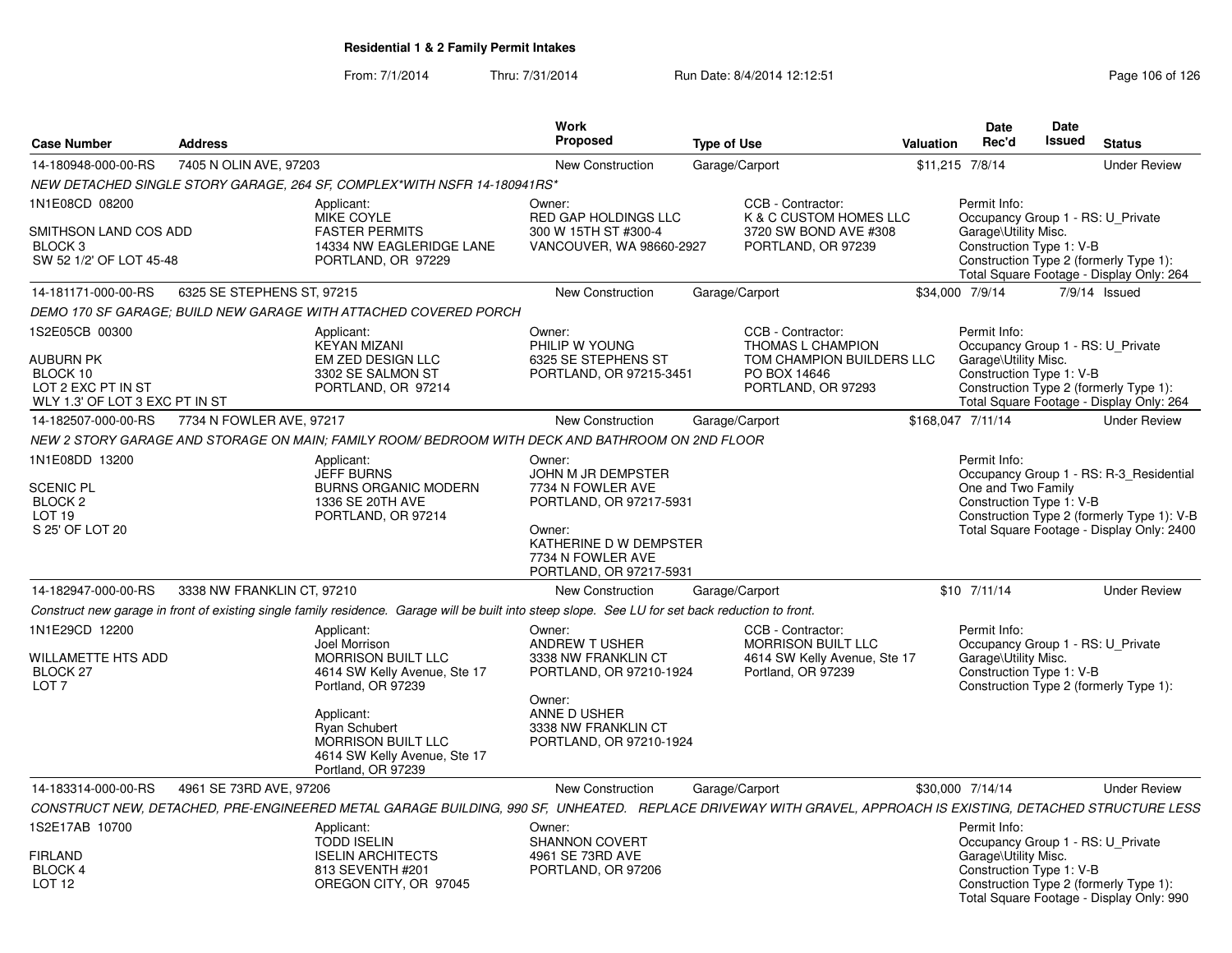| <b>Case Number</b>                                          | <b>Address</b>             |                                                                                                                                                              | Work<br><b>Proposed</b>                                                          | <b>Type of Use</b>                                                                                   | Valuation | <b>Date</b><br>Rec'd                                                                                  | Date<br>Issued | <b>Status</b>                                                                           |
|-------------------------------------------------------------|----------------------------|--------------------------------------------------------------------------------------------------------------------------------------------------------------|----------------------------------------------------------------------------------|------------------------------------------------------------------------------------------------------|-----------|-------------------------------------------------------------------------------------------------------|----------------|-----------------------------------------------------------------------------------------|
| 14-180948-000-00-RS                                         | 7405 N OLIN AVE, 97203     |                                                                                                                                                              | <b>New Construction</b>                                                          | Garage/Carport                                                                                       |           | \$11,215 7/8/14                                                                                       |                | <b>Under Review</b>                                                                     |
|                                                             |                            | NEW DETACHED SINGLE STORY GARAGE, 264 SF, COMPLEX*WITH NSFR 14-180941RS*                                                                                     |                                                                                  |                                                                                                      |           |                                                                                                       |                |                                                                                         |
| 1N1E08CD 08200                                              |                            | Applicant:<br>MIKE COYLE                                                                                                                                     | Owner:<br>RED GAP HOLDINGS LLC                                                   | CCB - Contractor:<br>K & C CUSTOM HOMES LLC                                                          |           | Permit Info:<br>Occupancy Group 1 - RS: U_Private                                                     |                |                                                                                         |
| SMITHSON LAND COS ADD<br>BLOCK 3<br>SW 52 1/2' OF LOT 45-48 |                            | <b>FASTER PERMITS</b><br>14334 NW EAGLERIDGE LANE<br>PORTLAND, OR 97229                                                                                      | 300 W 15TH ST #300-4<br>VANCOUVER, WA 98660-2927                                 | 3720 SW BOND AVE #308<br>PORTLAND, OR 97239                                                          |           | Garage\Utility Misc.<br>Construction Type 1: V-B                                                      |                | Construction Type 2 (formerly Type 1):<br>Total Square Footage - Display Only: 264      |
| 14-181171-000-00-RS                                         | 6325 SE STEPHENS ST. 97215 |                                                                                                                                                              | <b>New Construction</b>                                                          | Garage/Carport                                                                                       |           | \$34,000 7/9/14                                                                                       |                | 7/9/14 Issued                                                                           |
|                                                             |                            | DEMO 170 SF GARAGE: BUILD NEW GARAGE WITH ATTACHED COVERED PORCH                                                                                             |                                                                                  |                                                                                                      |           |                                                                                                       |                |                                                                                         |
| 1S2E05CB 00300                                              |                            | Applicant:<br><b>KEYAN MIZANI</b>                                                                                                                            | Owner:<br>PHILIP W YOUNG                                                         | CCB - Contractor:<br>THOMAS L CHAMPION                                                               |           | Permit Info:<br>Occupancy Group 1 - RS: U_Private                                                     |                |                                                                                         |
| AUBURN PK<br>BLOCK 10<br>LOT 2 EXC PT IN ST                 |                            | EM ZED DESIGN LLC<br>3302 SE SALMON ST<br>PORTLAND, OR 97214                                                                                                 | 6325 SE STEPHENS ST<br>PORTLAND, OR 97215-3451                                   | TOM CHAMPION BUILDERS LLC<br>PO BOX 14646<br>PORTLAND, OR 97293                                      |           | Garage\Utility Misc.<br>Construction Type 1: V-B                                                      |                | Construction Type 2 (formerly Type 1):                                                  |
| WLY 1.3' OF LOT 3 EXC PT IN ST<br>14-182507-000-00-RS       | 7734 N FOWLER AVE, 97217   |                                                                                                                                                              | <b>New Construction</b>                                                          |                                                                                                      |           | \$168,047 7/11/14                                                                                     |                | Total Square Footage - Display Only: 264<br><b>Under Review</b>                         |
|                                                             |                            | NEW 2 STORY GARAGE AND STORAGE ON MAIN: FAMILY ROOM/ BEDROOM WITH DECK AND BATHROOM ON 2ND FLOOR                                                             |                                                                                  | Garage/Carport                                                                                       |           |                                                                                                       |                |                                                                                         |
| 1N1E08DD 13200                                              |                            | Applicant:<br><b>JEFF BURNS</b>                                                                                                                              | Owner:<br>JOHN M JR DEMPSTER                                                     |                                                                                                      |           | Permit Info:                                                                                          |                | Occupancy Group 1 - RS: R-3 Residential                                                 |
| <b>SCENIC PL</b><br>BLOCK <sub>2</sub>                      |                            | <b>BURNS ORGANIC MODERN</b><br>1336 SE 20TH AVE                                                                                                              | 7734 N FOWLER AVE<br>PORTLAND, OR 97217-5931                                     |                                                                                                      |           | One and Two Family<br>Construction Type 1: V-B                                                        |                |                                                                                         |
| LOT <sub>19</sub><br>S 25' OF LOT 20                        |                            | PORTLAND, OR 97214                                                                                                                                           | Owner:<br>KATHERINE D W DEMPSTER<br>7734 N FOWLER AVE<br>PORTLAND, OR 97217-5931 |                                                                                                      |           |                                                                                                       |                | Construction Type 2 (formerly Type 1): V-B<br>Total Square Footage - Display Only: 2400 |
| 14-182947-000-00-RS                                         | 3338 NW FRANKLIN CT, 97210 |                                                                                                                                                              | <b>New Construction</b>                                                          | Garage/Carport                                                                                       |           | $$10$ $7/11/14$                                                                                       |                | <b>Under Review</b>                                                                     |
|                                                             |                            | Construct new garage in front of existing single family residence. Garage will be built into steep slope. See LU for set back reduction to front.            |                                                                                  |                                                                                                      |           |                                                                                                       |                |                                                                                         |
| 1N1E29CD 12200<br>WILLAMETTE HTS ADD<br>BLOCK 27            |                            | Applicant:<br>Joel Morrison<br><b>MORRISON BUILT LLC</b><br>4614 SW Kelly Avenue, Ste 17                                                                     | Owner:<br>ANDREW T USHER<br>3338 NW FRANKLIN CT<br>PORTLAND, OR 97210-1924       | CCB - Contractor:<br><b>MORRISON BUILT LLC</b><br>4614 SW Kelly Avenue, Ste 17<br>Portland, OR 97239 |           | Permit Info:<br>Occupancy Group 1 - RS: U Private<br>Garage\Utility Misc.<br>Construction Type 1: V-B |                |                                                                                         |
| LOT <sub>7</sub>                                            |                            | Portland, OR 97239<br>Applicant:<br><b>Ryan Schubert</b><br>MORRISON BUILT LLC<br>4614 SW Kelly Avenue, Ste 17<br>Portland, OR 97239                         | Owner:<br>ANNE D USHER<br>3338 NW FRANKLIN CT<br>PORTLAND, OR 97210-1924         |                                                                                                      |           |                                                                                                       |                | Construction Type 2 (formerly Type 1):                                                  |
| 14-183314-000-00-RS                                         | 4961 SE 73RD AVE, 97206    |                                                                                                                                                              | <b>New Construction</b>                                                          | Garage/Carport                                                                                       |           | \$30,000 7/14/14                                                                                      |                | <b>Under Review</b>                                                                     |
|                                                             |                            | CONSTRUCT NEW, DETACHED, PRE-ENGINEERED METAL GARAGE BUILDING, 990 SF, UNHEATED. REPLACE DRIVEWAY WITH GRAVEL, APPROACH IS EXISTING, DETACHED STRUCTURE LESS |                                                                                  |                                                                                                      |           |                                                                                                       |                |                                                                                         |
| 1S2E17AB 10700                                              |                            | Applicant:                                                                                                                                                   | Owner:                                                                           |                                                                                                      |           | Permit Info:                                                                                          |                |                                                                                         |
| <b>FIRLAND</b>                                              |                            | <b>TODD ISELIN</b><br><b>ISELIN ARCHITECTS</b>                                                                                                               | <b>SHANNON COVERT</b><br>4961 SE 73RD AVE                                        |                                                                                                      |           | Occupancy Group 1 - RS: U_Private<br>Garage\Utility Misc.                                             |                |                                                                                         |
| <b>BLOCK 4</b>                                              |                            | 813 SEVENTH #201                                                                                                                                             | PORTLAND, OR 97206                                                               |                                                                                                      |           | Construction Type 1: V-B                                                                              |                |                                                                                         |
| LOT <sub>12</sub>                                           |                            | OREGON CITY, OR 97045                                                                                                                                        |                                                                                  |                                                                                                      |           |                                                                                                       |                | Construction Type 2 (formerly Type 1):<br>Total Square Footage - Display Only: 990      |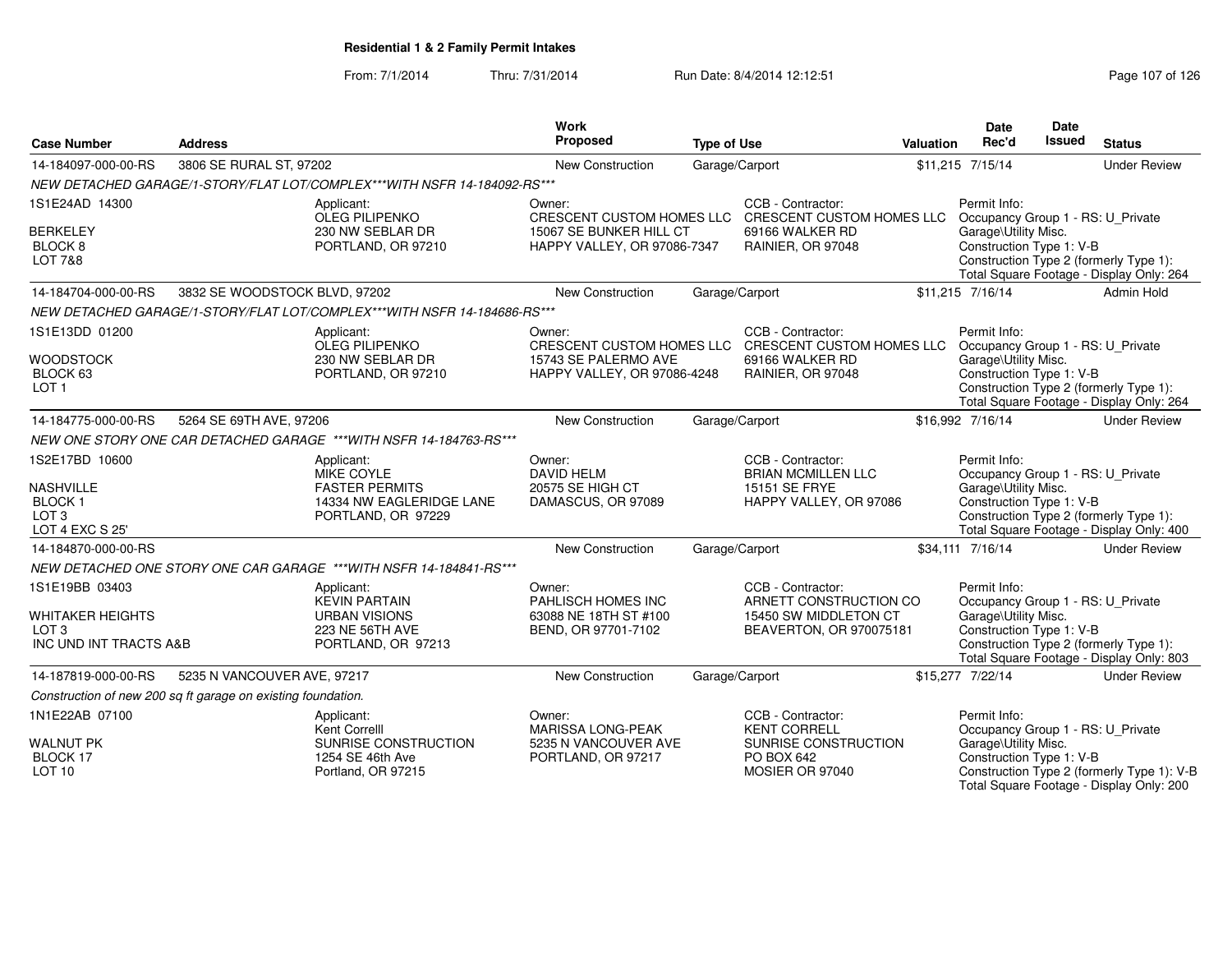| <b>Case Number</b>                                                                  | <b>Address</b>                                               |                                                                                                     | <b>Work</b><br>Proposed                                                          | <b>Type of Use</b> |                                                                                                                                                    | Valuation | Date<br>Rec'd                                                                                                  | <b>Date</b><br><b>Issued</b> | <b>Status</b>                                                                          |
|-------------------------------------------------------------------------------------|--------------------------------------------------------------|-----------------------------------------------------------------------------------------------------|----------------------------------------------------------------------------------|--------------------|----------------------------------------------------------------------------------------------------------------------------------------------------|-----------|----------------------------------------------------------------------------------------------------------------|------------------------------|----------------------------------------------------------------------------------------|
| 14-184097-000-00-RS                                                                 | 3806 SE RURAL ST, 97202                                      |                                                                                                     | <b>New Construction</b>                                                          | Garage/Carport     |                                                                                                                                                    |           | \$11,215 7/15/14                                                                                               |                              | <b>Under Review</b>                                                                    |
|                                                                                     |                                                              | NEW DETACHED GARAGE/1-STORY/FLAT LOT/COMPLEX***WITH NSFR 14-184092-RS***                            |                                                                                  |                    |                                                                                                                                                    |           |                                                                                                                |                              |                                                                                        |
| 1S1E24AD 14300<br><b>BERKELEY</b>                                                   |                                                              | Applicant:<br>OLEG PILIPENKO<br>230 NW SEBLAR DR                                                    | Owner:<br>15067 SE BUNKER HILL CT                                                |                    | CCB - Contractor:<br>CRESCENT CUSTOM HOMES LLC CRESCENT CUSTOM HOMES LLC Occupancy Group 1 - RS: U_Private<br>69166 WALKER RD                      |           | Permit Info:<br>Garage\Utility Misc.                                                                           |                              |                                                                                        |
| BLOCK <sub>8</sub><br><b>LOT 7&amp;8</b>                                            |                                                              | PORTLAND, OR 97210                                                                                  | HAPPY VALLEY, OR 97086-7347                                                      | RAINIER, OR 97048  |                                                                                                                                                    |           | Construction Type 1: V-B<br>Construction Type 2 (formerly Type 1):<br>Total Square Footage - Display Only: 264 |                              |                                                                                        |
| 14-184704-000-00-RS                                                                 | 3832 SE WOODSTOCK BLVD, 97202                                |                                                                                                     | New Construction                                                                 | Garage/Carport     |                                                                                                                                                    |           | \$11,215 7/16/14                                                                                               |                              | Admin Hold                                                                             |
|                                                                                     |                                                              | NEW DETACHED GARAGE/1-STORY/FLAT LOT/COMPLEX***WITH NSFR 14-184686-RS***                            |                                                                                  |                    |                                                                                                                                                    |           |                                                                                                                |                              |                                                                                        |
| 1S1E13DD 01200<br><b>WOODSTOCK</b><br>BLOCK 63<br>LOT <sub>1</sub>                  |                                                              | Applicant:<br><b>OLEG PILIPENKO</b><br>230 NW SEBLAR DR<br>PORTLAND, OR 97210                       | Owner:<br>15743 SE PALERMO AVE<br>HAPPY VALLEY, OR 97086-4248                    |                    | CCB - Contractor:<br>CRESCENT CUSTOM HOMES LLC CRESCENT CUSTOM HOMES LLC Occupancy Group 1 - RS: U_Private<br>69166 WALKER RD<br>RAINIER, OR 97048 |           | Permit Info:<br>Garage\Utility Misc.<br>Construction Type 1: V-B                                               |                              | Construction Type 2 (formerly Type 1):<br>Total Square Footage - Display Only: 264     |
| 14-184775-000-00-RS                                                                 | 5264 SE 69TH AVE, 97206                                      |                                                                                                     | New Construction                                                                 | Garage/Carport     |                                                                                                                                                    |           | \$16.992 7/16/14                                                                                               |                              | <b>Under Review</b>                                                                    |
|                                                                                     |                                                              | NEW ONE STORY ONE CAR DETACHED GARAGE ***WITH NSFR 14-184763-RS***                                  |                                                                                  |                    |                                                                                                                                                    |           |                                                                                                                |                              |                                                                                        |
| 1S2E17BD 10600<br>NASHVILLE<br><b>BLOCK1</b><br>LOT <sub>3</sub><br>LOT 4 EXC S 25' |                                                              | Applicant:<br>MIKE COYLE<br><b>FASTER PERMITS</b><br>14334 NW EAGLERIDGE LANE<br>PORTLAND, OR 97229 | Owner:<br><b>DAVID HELM</b><br>20575 SE HIGH CT<br>DAMASCUS, OR 97089            |                    | CCB - Contractor:<br><b>BRIAN MCMILLEN LLC</b><br>15151 SE FRYE<br>HAPPY VALLEY, OR 97086                                                          |           | Permit Info:<br>Occupancy Group 1 - RS: U_Private<br>Garage\Utility Misc.<br>Construction Type 1: V-B          |                              | Construction Type 2 (formerly Type 1):<br>Total Square Footage - Display Only: 400     |
| 14-184870-000-00-RS                                                                 |                                                              |                                                                                                     | New Construction                                                                 | Garage/Carport     |                                                                                                                                                    |           | \$34,111 7/16/14                                                                                               |                              | <b>Under Review</b>                                                                    |
|                                                                                     |                                                              | NEW DETACHED ONE STORY ONE CAR GARAGE *** WITH NSFR 14-184841-RS ***                                |                                                                                  |                    |                                                                                                                                                    |           |                                                                                                                |                              |                                                                                        |
| 1S1E19BB 03403<br>WHITAKER HEIGHTS<br>LOT <sub>3</sub><br>INC UND INT TRACTS A&B    |                                                              | Applicant:<br><b>KEVIN PARTAIN</b><br><b>URBAN VISIONS</b><br>223 NE 56TH AVE<br>PORTLAND, OR 97213 | Owner:<br>PAHLISCH HOMES INC<br>63088 NE 18TH ST #100<br>BEND, OR 97701-7102     |                    | CCB - Contractor:<br>ARNETT CONSTRUCTION CO<br>15450 SW MIDDLETON CT<br>BEAVERTON, OR 970075181                                                    |           | Permit Info:<br>Occupancy Group 1 - RS: U_Private<br>Garage\Utility Misc.<br>Construction Type 1: V-B          |                              | Construction Type 2 (formerly Type 1):<br>Total Square Footage - Display Only: 803     |
| 14-187819-000-00-RS                                                                 | 5235 N VANCOUVER AVE, 97217                                  |                                                                                                     | New Construction                                                                 | Garage/Carport     |                                                                                                                                                    |           | \$15,277 7/22/14                                                                                               |                              | <b>Under Review</b>                                                                    |
|                                                                                     | Construction of new 200 sq ft garage on existing foundation. |                                                                                                     |                                                                                  |                    |                                                                                                                                                    |           |                                                                                                                |                              |                                                                                        |
| 1N1E22AB 07100<br><b>WALNUT PK</b><br><b>BLOCK 17</b>                               |                                                              | Applicant:<br>Kent Correlll<br>SUNRISE CONSTRUCTION<br>1254 SE 46th Ave                             | Owner:<br><b>MARISSA LONG-PEAK</b><br>5235 N VANCOUVER AVE<br>PORTLAND, OR 97217 |                    | CCB - Contractor:<br><b>KENT CORRELL</b><br>SUNRISE CONSTRUCTION<br>PO BOX 642                                                                     |           | Permit Info:<br>Occupancy Group 1 - RS: U_Private<br>Garage\Utility Misc.<br>Construction Type 1: V-B          |                              |                                                                                        |
| LOT <sub>10</sub>                                                                   |                                                              | Portland, OR 97215                                                                                  |                                                                                  |                    | MOSIER OR 97040                                                                                                                                    |           |                                                                                                                |                              | Construction Type 2 (formerly Type 1): V-B<br>Total Square Footage - Display Only: 200 |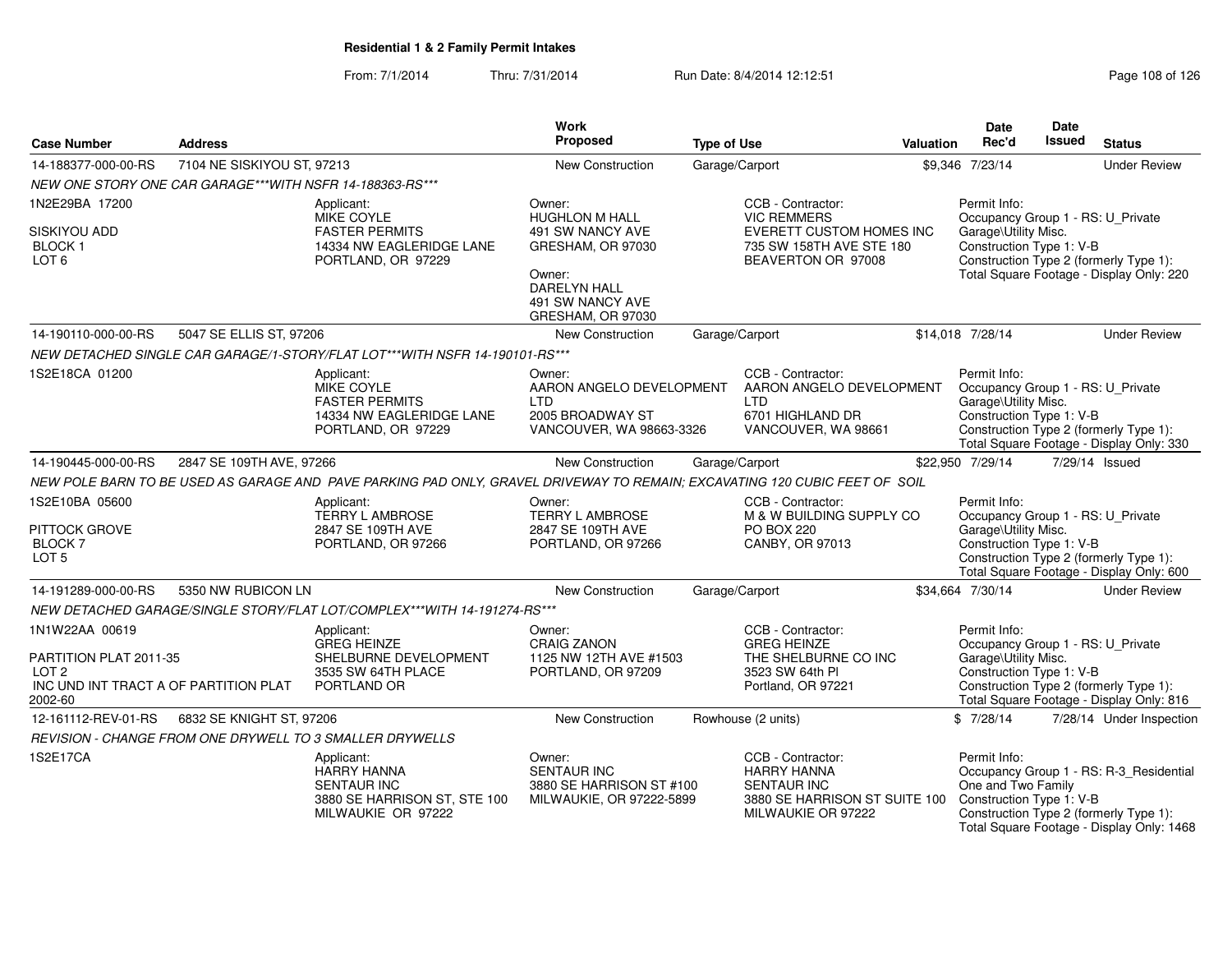| <b>Case Number</b>                                | <b>Address</b>                                           |                                                                                                                            | Work<br>Proposed                                                                                 | <b>Type of Use</b> |                                                                                                                      | <b>Valuation</b>                                     | <b>Date</b><br>Rec'd                                                                                           | <b>Date</b><br><b>Issued</b> | <b>Status</b>                                                                                                                  |
|---------------------------------------------------|----------------------------------------------------------|----------------------------------------------------------------------------------------------------------------------------|--------------------------------------------------------------------------------------------------|--------------------|----------------------------------------------------------------------------------------------------------------------|------------------------------------------------------|----------------------------------------------------------------------------------------------------------------|------------------------------|--------------------------------------------------------------------------------------------------------------------------------|
| 14-188377-000-00-RS                               | 7104 NE SISKIYOU ST, 97213                               |                                                                                                                            | New Construction                                                                                 | Garage/Carport     |                                                                                                                      |                                                      | \$9.346 7/23/14                                                                                                |                              | <b>Under Review</b>                                                                                                            |
|                                                   | NEW ONE STORY ONE CAR GARAGE***WITH NSFR 14-188363-RS*** |                                                                                                                            |                                                                                                  |                    |                                                                                                                      |                                                      |                                                                                                                |                              |                                                                                                                                |
| 1N2E29BA 17200                                    |                                                          | Applicant:<br><b>MIKE COYLE</b>                                                                                            | Owner:<br><b>HUGHLON M HALL</b>                                                                  |                    | CCB - Contractor:<br><b>VIC REMMERS</b>                                                                              |                                                      | Permit Info:<br>Occupancy Group 1 - RS: U_Private                                                              |                              |                                                                                                                                |
| SISKIYOU ADD<br><b>BLOCK1</b><br>LOT <sub>6</sub> |                                                          | <b>FASTER PERMITS</b><br>14334 NW EAGLERIDGE LANE<br>PORTLAND, OR 97229                                                    | 491 SW NANCY AVE<br>GRESHAM, OR 97030                                                            |                    | BEAVERTON OR 97008                                                                                                   | EVERETT CUSTOM HOMES INC<br>735 SW 158TH AVE STE 180 | Garage\Utility Misc.<br>Construction Type 1: V-B<br>Construction Type 2 (formerly Type 1):                     |                              |                                                                                                                                |
|                                                   |                                                          |                                                                                                                            | Owner:<br>DARELYN HALL<br>491 SW NANCY AVE<br>GRESHAM, OR 97030                                  |                    |                                                                                                                      |                                                      | Total Square Footage - Display Only: 220                                                                       |                              |                                                                                                                                |
| 14-190110-000-00-RS                               | 5047 SE ELLIS ST, 97206                                  |                                                                                                                            | <b>New Construction</b>                                                                          | Garage/Carport     |                                                                                                                      |                                                      | \$14,018 7/28/14                                                                                               |                              | <b>Under Review</b>                                                                                                            |
|                                                   |                                                          | NEW DETACHED SINGLE CAR GARAGE/1-STORY/FLAT LOT***WITH NSFR 14-190101-RS***                                                |                                                                                                  |                    |                                                                                                                      |                                                      |                                                                                                                |                              |                                                                                                                                |
| 1S2E18CA 01200                                    |                                                          | Applicant:<br><b>MIKE COYLE</b><br><b>FASTER PERMITS</b><br>14334 NW EAGLERIDGE LANE<br>PORTLAND, OR 97229                 | Owner:<br>AARON ANGELO DEVELOPMENT<br><b>LTD</b><br>2005 BROADWAY ST<br>VANCOUVER, WA 98663-3326 |                    | CCB - Contractor:<br>AARON ANGELO DEVELOPMENT<br><b>LTD</b><br>6701 HIGHLAND DR<br>VANCOUVER, WA 98661               |                                                      | Permit Info:<br>Occupancy Group 1 - RS: U_Private<br>Garage\Utility Misc.<br>Construction Type 1: V-B          |                              | Construction Type 2 (formerly Type 1):<br>Total Square Footage - Display Only: 330                                             |
| 14-190445-000-00-RS                               | 2847 SE 109TH AVE, 97266                                 |                                                                                                                            | <b>New Construction</b>                                                                          | Garage/Carport     |                                                                                                                      |                                                      | \$22,950 7/29/14                                                                                               |                              | 7/29/14 Issued                                                                                                                 |
|                                                   |                                                          | NEW POLE BARN TO BE USED AS GARAGE AND PAVE PARKING PAD ONLY, GRAVEL DRIVEWAY TO REMAIN; EXCAVATING 120 CUBIC FEET OF SOIL |                                                                                                  |                    |                                                                                                                      |                                                      |                                                                                                                |                              |                                                                                                                                |
| 1S2E10BA 05600                                    |                                                          | Applicant:                                                                                                                 | Owner:                                                                                           |                    | CCB - Contractor:                                                                                                    |                                                      | Permit Info:                                                                                                   |                              |                                                                                                                                |
| <b>PITTOCK GROVE</b>                              |                                                          | <b>TERRY L AMBROSE</b><br>2847 SE 109TH AVE                                                                                | TERRY L AMBROSE<br>2847 SE 109TH AVE                                                             |                    | M & W BUILDING SUPPLY CO<br><b>PO BOX 220</b>                                                                        |                                                      | Occupancy Group 1 - RS: U_Private<br>Garage\Utility Misc.                                                      |                              |                                                                                                                                |
| <b>BLOCK7</b>                                     |                                                          | PORTLAND, OR 97266                                                                                                         | PORTLAND, OR 97266                                                                               |                    | CANBY, OR 97013                                                                                                      |                                                      | Construction Type 1: V-B                                                                                       |                              |                                                                                                                                |
| LOT <sub>5</sub>                                  |                                                          |                                                                                                                            |                                                                                                  |                    |                                                                                                                      |                                                      | Construction Type 2 (formerly Type 1):<br>Total Square Footage - Display Only: 600                             |                              |                                                                                                                                |
| 14-191289-000-00-RS                               | 5350 NW RUBICON LN                                       |                                                                                                                            | New Construction                                                                                 | Garage/Carport     |                                                                                                                      |                                                      | \$34.664 7/30/14                                                                                               |                              | <b>Under Review</b>                                                                                                            |
|                                                   |                                                          | NEW DETACHED GARAGE/SINGLE STORY/FLAT LOT/COMPLEX***WITH 14-191274-RS***                                                   |                                                                                                  |                    |                                                                                                                      |                                                      |                                                                                                                |                              |                                                                                                                                |
| 1N1W22AA 00619                                    |                                                          | Applicant:<br><b>GREG HEINZE</b>                                                                                           | Owner:<br><b>CRAIG ZANON</b>                                                                     |                    | CCB - Contractor:<br><b>GREG HEINZE</b>                                                                              |                                                      | Permit Info:<br>Occupancy Group 1 - RS: U_Private                                                              |                              |                                                                                                                                |
| PARTITION PLAT 2011-35<br>LOT <sub>2</sub>        |                                                          | SHELBURNE DEVELOPMENT<br>3535 SW 64TH PLACE                                                                                | 1125 NW 12TH AVE #1503<br>PORTLAND, OR 97209                                                     |                    | THE SHELBURNE CO INC<br>3523 SW 64th PI                                                                              |                                                      | Garage\Utility Misc.                                                                                           |                              |                                                                                                                                |
| INC UND INT TRACT A OF PARTITION PLAT<br>2002-60  |                                                          | PORTLAND OR                                                                                                                |                                                                                                  | Portland, OR 97221 |                                                                                                                      |                                                      | Construction Type 1: V-B<br>Construction Type 2 (formerly Type 1):<br>Total Square Footage - Display Only: 816 |                              |                                                                                                                                |
| 12-161112-REV-01-RS                               | 6832 SE KNIGHT ST, 97206                                 |                                                                                                                            | New Construction                                                                                 |                    | Rowhouse (2 units)                                                                                                   |                                                      | \$7/28/14                                                                                                      |                              | 7/28/14 Under Inspection                                                                                                       |
|                                                   |                                                          | REVISION - CHANGE FROM ONE DRYWELL TO 3 SMALLER DRYWELLS                                                                   |                                                                                                  |                    |                                                                                                                      |                                                      |                                                                                                                |                              |                                                                                                                                |
| 1S2E17CA                                          |                                                          | Applicant:<br><b>HARRY HANNA</b><br><b>SENTAUR INC</b><br>3880 SE HARRISON ST, STE 100<br>MILWAUKIE OR 97222               | Owner:<br><b>SENTAUR INC</b><br>3880 SE HARRISON ST #100<br>MILWAUKIE, OR 97222-5899             |                    | CCB - Contractor:<br><b>HARRY HANNA</b><br><b>SENTAUR INC</b><br>3880 SE HARRISON ST SUITE 100<br>MILWAUKIE OR 97222 |                                                      | Permit Info:<br>One and Two Family<br>Construction Type 1: V-B                                                 |                              | Occupancy Group 1 - RS: R-3_Residential<br>Construction Type 2 (formerly Type 1):<br>Total Square Footage - Display Only: 1468 |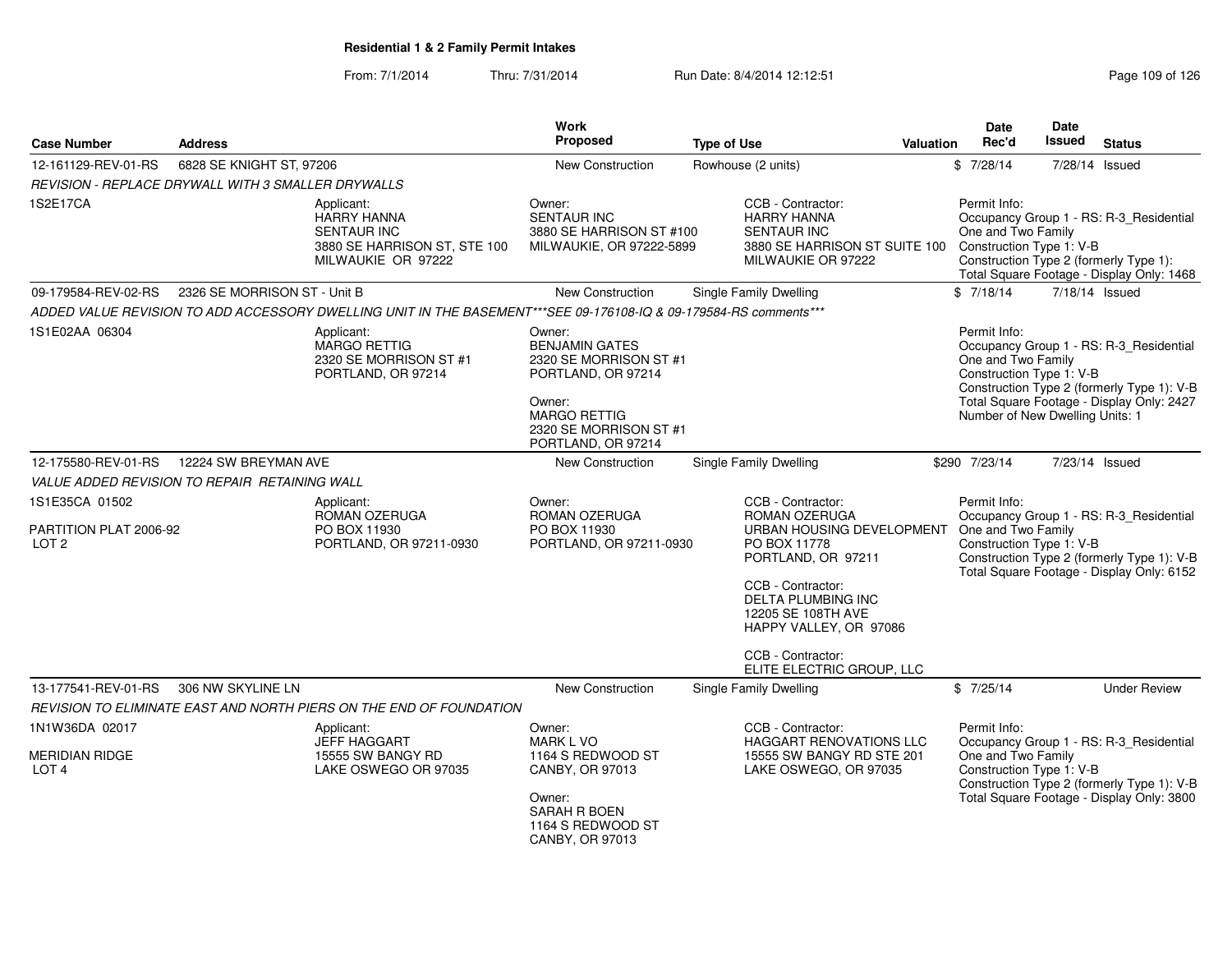From: 7/1/2014Thru: 7/31/2014 Run Date: 8/4/2014 12:12:51 Rege 109 of 126

| <b>Case Number</b><br><b>Address</b>                         |                              |                                                                                                                   | Work<br><b>Proposed</b><br><b>Type of Use</b>                                                                                                                    |  |                                                                                                                                                                                                                                                    | <b>Valuation</b> | <b>Date</b><br>Rec'd                                                                              | <b>Date</b><br>Issued | <b>Status</b>                                                                                                                      |
|--------------------------------------------------------------|------------------------------|-------------------------------------------------------------------------------------------------------------------|------------------------------------------------------------------------------------------------------------------------------------------------------------------|--|----------------------------------------------------------------------------------------------------------------------------------------------------------------------------------------------------------------------------------------------------|------------------|---------------------------------------------------------------------------------------------------|-----------------------|------------------------------------------------------------------------------------------------------------------------------------|
| 12-161129-REV-01-RS                                          | 6828 SE KNIGHT ST, 97206     |                                                                                                                   | New Construction                                                                                                                                                 |  | Rowhouse (2 units)                                                                                                                                                                                                                                 |                  | \$7/28/14                                                                                         | 7/28/14 Issued        |                                                                                                                                    |
| REVISION - REPLACE DRYWALL WITH 3 SMALLER DRYWALLS           |                              |                                                                                                                   |                                                                                                                                                                  |  |                                                                                                                                                                                                                                                    |                  |                                                                                                   |                       |                                                                                                                                    |
| 1S2E17CA                                                     |                              | Applicant:<br><b>HARRY HANNA</b><br><b>SENTAUR INC</b><br>3880 SE HARRISON ST, STE 100<br>MILWAUKIE OR 97222      | Owner:<br><b>SENTAUR INC</b><br>3880 SE HARRISON ST #100<br>MILWAUKIE, OR 97222-5899                                                                             |  | CCB - Contractor:<br><b>HARRY HANNA</b><br><b>SENTAUR INC</b><br>3880 SE HARRISON ST SUITE 100<br>MILWAUKIE OR 97222                                                                                                                               |                  | Permit Info:<br>One and Two Family<br>Construction Type 1: V-B                                    |                       | Occupancy Group 1 - RS: R-3_Residential<br>Construction Type 2 (formerly Type 1):<br>Total Square Footage - Display Only: 1468     |
| 09-179584-REV-02-RS                                          | 2326 SE MORRISON ST - Unit B |                                                                                                                   | New Construction                                                                                                                                                 |  | Single Family Dwelling                                                                                                                                                                                                                             |                  | \$7/18/14                                                                                         | 7/18/14 Issued        |                                                                                                                                    |
|                                                              |                              | ADDED VALUE REVISION TO ADD ACCESSORY DWELLING UNIT IN THE BASEMENT***SEE 09-176108-IQ & 09-179584-RS comments*** |                                                                                                                                                                  |  |                                                                                                                                                                                                                                                    |                  |                                                                                                   |                       |                                                                                                                                    |
| 1S1E02AA 06304                                               |                              | Applicant:<br><b>MARGO RETTIG</b><br>2320 SE MORRISON ST #1<br>PORTLAND, OR 97214                                 | Owner:<br><b>BENJAMIN GATES</b><br>2320 SE MORRISON ST #1<br>PORTLAND, OR 97214<br>Owner:<br><b>MARGO RETTIG</b><br>2320 SE MORRISON ST #1<br>PORTLAND, OR 97214 |  |                                                                                                                                                                                                                                                    |                  | Permit Info:<br>One and Two Family<br>Construction Type 1: V-B<br>Number of New Dwelling Units: 1 |                       | Occupancy Group 1 - RS: R-3_Residential<br>Construction Type 2 (formerly Type 1): V-B<br>Total Square Footage - Display Only: 2427 |
| 12-175580-REV-01-RS                                          | 12224 SW BREYMAN AVE         |                                                                                                                   | New Construction                                                                                                                                                 |  | <b>Single Family Dwelling</b>                                                                                                                                                                                                                      |                  | \$290 7/23/14                                                                                     | 7/23/14 Issued        |                                                                                                                                    |
| VALUE ADDED REVISION TO REPAIR RETAINING WALL                |                              |                                                                                                                   |                                                                                                                                                                  |  |                                                                                                                                                                                                                                                    |                  |                                                                                                   |                       |                                                                                                                                    |
| 1S1E35CA 01502<br>PARTITION PLAT 2006-92<br>LOT <sub>2</sub> |                              | Applicant:<br>ROMAN OZERUGA<br>PO BOX 11930<br>PORTLAND, OR 97211-0930                                            | Owner:<br>ROMAN OZERUGA<br>PO BOX 11930<br>PORTLAND, OR 97211-0930                                                                                               |  | CCB - Contractor:<br>ROMAN OZERUGA<br>URBAN HOUSING DEVELOPMENT<br>PO BOX 11778<br>PORTLAND, OR 97211<br>CCB - Contractor:<br>DELTA PLUMBING INC<br>12205 SE 108TH AVE<br>HAPPY VALLEY, OR 97086<br>CCB - Contractor:<br>ELITE ELECTRIC GROUP, LLC |                  | Permit Info:<br>One and Two Family<br>Construction Type 1: V-B                                    |                       | Occupancy Group 1 - RS: R-3_Residential<br>Construction Type 2 (formerly Type 1): V-B<br>Total Square Footage - Display Only: 6152 |
| 13-177541-REV-01-RS                                          | 306 NW SKYLINE LN            |                                                                                                                   | <b>New Construction</b>                                                                                                                                          |  | Single Family Dwelling                                                                                                                                                                                                                             |                  | \$7/25/14                                                                                         |                       | <b>Under Review</b>                                                                                                                |
|                                                              |                              | REVISION TO ELIMINATE EAST AND NORTH PIERS ON THE END OF FOUNDATION                                               |                                                                                                                                                                  |  |                                                                                                                                                                                                                                                    |                  |                                                                                                   |                       |                                                                                                                                    |
| 1N1W36DA 02017                                               |                              | Applicant:                                                                                                        | Owner:                                                                                                                                                           |  | CCB - Contractor:                                                                                                                                                                                                                                  |                  | Permit Info:                                                                                      |                       |                                                                                                                                    |
| <b>MERIDIAN RIDGE</b><br>LOT <sub>4</sub>                    |                              | <b>JEFF HAGGART</b><br>15555 SW BANGY RD<br>LAKE OSWEGO OR 97035                                                  | <b>MARK L VO</b><br>1164 S REDWOOD ST<br>CANBY, OR 97013<br>Owner:<br>SARAH R BOEN<br>1164 S REDWOOD ST<br>CANBY, OR 97013                                       |  | HAGGART RENOVATIONS LLC<br>15555 SW BANGY RD STE 201<br>LAKE OSWEGO, OR 97035                                                                                                                                                                      |                  | One and Two Family<br>Construction Type 1: V-B                                                    |                       | Occupancy Group 1 - RS: R-3_Residential<br>Construction Type 2 (formerly Type 1): V-B<br>Total Square Footage - Display Only: 3800 |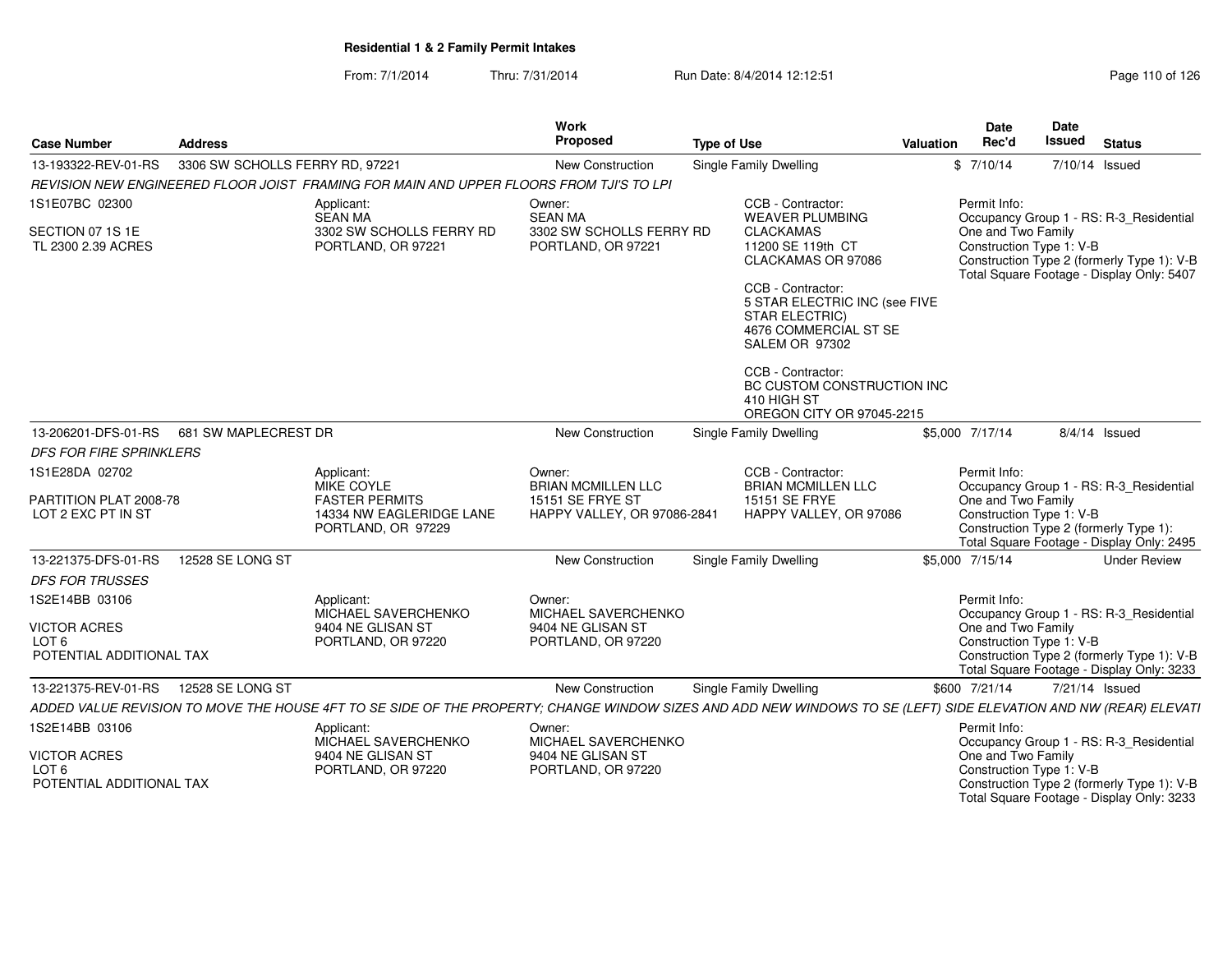From: 7/1/2014Thru: 7/31/2014 Run Date: 8/4/2014 12:12:51 Research 2010 of 126

| <b>Case Number</b>                                                  | <b>Address</b>                             |                                                                                                                                                                  | Work<br>Proposed                                                                       | <b>Type of Use</b> |                                                                                                                                                                                           | Valuation | <b>Date</b><br>Rec'd                                                                                     | <b>Date</b><br>Issued | <b>Status</b>   |                                                                                                                                    |
|---------------------------------------------------------------------|--------------------------------------------|------------------------------------------------------------------------------------------------------------------------------------------------------------------|----------------------------------------------------------------------------------------|--------------------|-------------------------------------------------------------------------------------------------------------------------------------------------------------------------------------------|-----------|----------------------------------------------------------------------------------------------------------|-----------------------|-----------------|------------------------------------------------------------------------------------------------------------------------------------|
| 13-193322-REV-01-RS                                                 | 3306 SW SCHOLLS FERRY RD, 97221            |                                                                                                                                                                  | New Construction                                                                       |                    | Single Family Dwelling                                                                                                                                                                    |           | \$7/10/14                                                                                                | 7/10/14 Issued        |                 |                                                                                                                                    |
|                                                                     |                                            | REVISION NEW ENGINEERED FLOOR JOIST FRAMING FOR MAIN AND UPPER FLOORS FROM TJI'S TO LPI                                                                          |                                                                                        |                    |                                                                                                                                                                                           |           |                                                                                                          |                       |                 |                                                                                                                                    |
| 1S1E07BC 02300<br>SECTION 07 1S 1E<br>TL 2300 2.39 ACRES            |                                            | Applicant:<br>SEAN MA<br>3302 SW SCHOLLS FERRY RD<br>PORTLAND, OR 97221                                                                                          | Owner:<br><b>SEAN MA</b><br>3302 SW SCHOLLS FERRY RD<br>PORTLAND, OR 97221             |                    | CCB - Contractor:<br><b>WEAVER PLUMBING</b><br><b>CLACKAMAS</b><br>11200 SE 119th CT<br>CLACKAMAS OR 97086<br>CCB - Contractor:<br>5 STAR ELECTRIC INC (see FIVE<br><b>STAR ELECTRIC)</b> |           | Permit Info:<br>One and Two Family<br>Construction Type 1: V-B                                           |                       |                 | Occupancy Group 1 - RS: R-3_Residential<br>Construction Type 2 (formerly Type 1): V-B<br>Total Square Footage - Display Only: 5407 |
|                                                                     |                                            |                                                                                                                                                                  |                                                                                        |                    | 4676 COMMERCIAL ST SE<br>SALEM OR 97302<br>CCB - Contractor:<br>BC CUSTOM CONSTRUCTION INC<br>410 HIGH ST<br>OREGON CITY OR 97045-2215                                                    |           |                                                                                                          |                       |                 |                                                                                                                                    |
|                                                                     | 13-206201-DFS-01-RS   681 SW MAPLECREST DR |                                                                                                                                                                  | <b>New Construction</b>                                                                |                    | Single Family Dwelling                                                                                                                                                                    |           | \$5,000 7/17/14                                                                                          |                       | $8/4/14$ Issued |                                                                                                                                    |
| <b>DFS FOR FIRE SPRINKLERS</b>                                      |                                            |                                                                                                                                                                  |                                                                                        |                    |                                                                                                                                                                                           |           |                                                                                                          |                       |                 |                                                                                                                                    |
| 1S1E28DA 02702<br>PARTITION PLAT 2008-78<br>LOT 2 EXC PT IN ST      |                                            | Applicant:<br>MIKE COYLE<br><b>FASTER PERMITS</b><br>14334 NW EAGLERIDGE LANE<br>PORTLAND, OR 97229                                                              | Owner:<br><b>BRIAN MCMILLEN LLC</b><br>15151 SE FRYE ST<br>HAPPY VALLEY, OR 97086-2841 |                    | CCB - Contractor:<br><b>BRIAN MCMILLEN LLC</b><br>15151 SE FRYE<br>HAPPY VALLEY, OR 97086                                                                                                 |           | Permit Info:<br>One and Two Family<br>Construction Type 1: V-B<br>Construction Type 2 (formerly Type 1): |                       |                 | Occupancy Group 1 - RS: R-3_Residential<br>Total Square Footage - Display Only: 2495                                               |
| 13-221375-DFS-01-RS                                                 | 12528 SE LONG ST                           |                                                                                                                                                                  | <b>New Construction</b>                                                                |                    | <b>Single Family Dwelling</b>                                                                                                                                                             |           | \$5,000 7/15/14                                                                                          |                       |                 | <b>Under Review</b>                                                                                                                |
| <b>DFS FOR TRUSSES</b>                                              |                                            |                                                                                                                                                                  |                                                                                        |                    |                                                                                                                                                                                           |           |                                                                                                          |                       |                 |                                                                                                                                    |
| 1S2E14BB 03106                                                      |                                            | Applicant:<br>MICHAEL SAVERCHENKO                                                                                                                                | Owner:<br>MICHAEL SAVERCHENKO                                                          |                    |                                                                                                                                                                                           |           | Permit Info:                                                                                             |                       |                 | Occupancy Group 1 - RS: R-3_Residential                                                                                            |
| <b>VICTOR ACRES</b><br>LOT 6<br>POTENTIAL ADDITIONAL TAX            |                                            | 9404 NE GLISAN ST<br>PORTLAND, OR 97220                                                                                                                          | 9404 NE GLISAN ST<br>PORTLAND, OR 97220                                                |                    |                                                                                                                                                                                           |           | One and Two Family<br>Construction Type 1: V-B                                                           |                       |                 | Construction Type 2 (formerly Type 1): V-B<br>Total Square Footage - Display Only: 3233                                            |
| 13-221375-REV-01-RS                                                 | 12528 SE LONG ST                           |                                                                                                                                                                  | New Construction                                                                       |                    | Single Family Dwelling                                                                                                                                                                    |           | \$600 7/21/14                                                                                            | 7/21/14 Issued        |                 |                                                                                                                                    |
|                                                                     |                                            | ADDED VALUE REVISION TO MOVE THE HOUSE 4FT TO SE SIDE OF THE PROPERTY; CHANGE WINDOW SIZES AND ADD NEW WINDOWS TO SE (LEFT) SIDE ELEVATION AND NW (REAR) ELEVATI |                                                                                        |                    |                                                                                                                                                                                           |           |                                                                                                          |                       |                 |                                                                                                                                    |
| 1S2E14BB 03106                                                      |                                            | Applicant:<br>MICHAEL SAVERCHENKO                                                                                                                                | Owner:<br>MICHAEL SAVERCHENKO                                                          |                    |                                                                                                                                                                                           |           | Permit Info:                                                                                             |                       |                 | Occupancy Group 1 - RS: R-3_Residential                                                                                            |
| <b>VICTOR ACRES</b><br>LOT <sub>6</sub><br>POTENTIAL ADDITIONAL TAX |                                            | 9404 NE GLISAN ST<br>PORTLAND, OR 97220                                                                                                                          | 9404 NE GLISAN ST<br>PORTLAND, OR 97220                                                |                    |                                                                                                                                                                                           |           | One and Two Family<br>Construction Type 1: V-B                                                           |                       |                 | Construction Type 2 (formerly Type 1): V-B<br>Total Square Footage - Display Only: 3233                                            |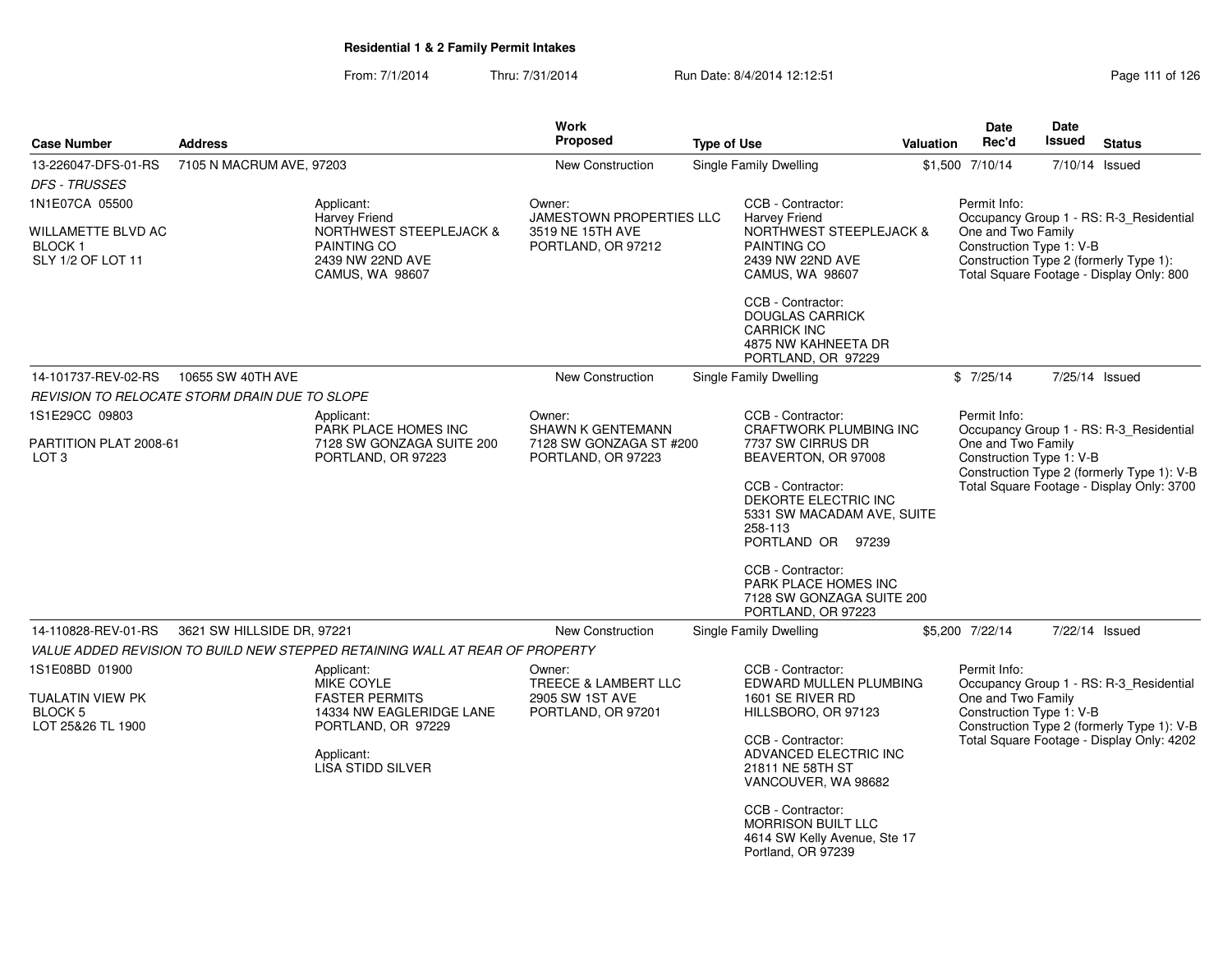From: 7/1/2014Thru: 7/31/2014 Run Date: 8/4/2014 12:12:51 Rege 111 of 126

| <b>Case Number</b>                                                 | <b>Address</b>             |                                                                                          | <b>Work</b><br><b>Proposed</b>                                            | <b>Type of Use</b> |                                                                                                                | <b>Valuation</b> | Date<br>Rec'd                                                                                | <b>Date</b><br>Issued | <b>Status</b>                                                                      |
|--------------------------------------------------------------------|----------------------------|------------------------------------------------------------------------------------------|---------------------------------------------------------------------------|--------------------|----------------------------------------------------------------------------------------------------------------|------------------|----------------------------------------------------------------------------------------------|-----------------------|------------------------------------------------------------------------------------|
| 13-226047-DFS-01-RS<br><b>DFS - TRUSSES</b>                        | 7105 N MACRUM AVE, 97203   |                                                                                          | <b>New Construction</b>                                                   |                    | <b>Single Family Dwelling</b>                                                                                  |                  | \$1,500 7/10/14                                                                              |                       | 7/10/14 Issued                                                                     |
| 1N1E07CA 05500                                                     |                            | Applicant:<br>Harvey Friend                                                              | Owner:<br>JAMESTOWN PROPERTIES LLC                                        |                    | CCB - Contractor:<br><b>Harvey Friend</b>                                                                      |                  | Permit Info:                                                                                 |                       | Occupancy Group 1 - RS: R-3_Residential                                            |
| <b>WILLAMETTE BLVD AC</b><br>BLOCK 1<br>SLY 1/2 OF LOT 11          |                            | <b>NORTHWEST STEEPLEJACK &amp;</b><br>PAINTING CO<br>2439 NW 22ND AVE<br>CAMUS, WA 98607 | 3519 NE 15TH AVE<br>PORTLAND, OR 97212                                    |                    | <b>NORTHWEST STEEPLEJACK &amp;</b><br>PAINTING CO<br>2439 NW 22ND AVE<br>CAMUS, WA 98607                       |                  | One and Two Family<br>Construction Type 1: V-B                                               |                       | Construction Type 2 (formerly Type 1):<br>Total Square Footage - Display Only: 800 |
|                                                                    |                            |                                                                                          |                                                                           |                    | CCB - Contractor:<br><b>DOUGLAS CARRICK</b><br><b>CARRICK INC</b><br>4875 NW KAHNEETA DR<br>PORTLAND, OR 97229 |                  |                                                                                              |                       |                                                                                    |
| 14-101737-REV-02-RS                                                | 10655 SW 40TH AVE          |                                                                                          | <b>New Construction</b>                                                   |                    | Single Family Dwelling                                                                                         |                  | \$7/25/14                                                                                    |                       | 7/25/14 Issued                                                                     |
| REVISION TO RELOCATE STORM DRAIN DUE TO SLOPE                      |                            |                                                                                          |                                                                           |                    |                                                                                                                |                  |                                                                                              |                       |                                                                                    |
| 1S1E29CC 09803                                                     |                            | Applicant:                                                                               | Owner:                                                                    |                    | CCB - Contractor:<br><b>CRAFTWORK PLUMBING INC</b>                                                             |                  | Permit Info:                                                                                 |                       |                                                                                    |
| PARTITION PLAT 2008-61<br>LOT <sub>3</sub>                         |                            | PARK PLACE HOMES INC<br>7128 SW GONZAGA SUITE 200<br>PORTLAND, OR 97223                  | <b>SHAWN K GENTEMANN</b><br>7128 SW GONZAGA ST #200<br>PORTLAND, OR 97223 |                    | 7737 SW CIRRUS DR<br>BEAVERTON, OR 97008                                                                       |                  | One and Two Family<br>Construction Type 1: V-B<br>Construction Type 2 (formerly Type 1): V-B |                       | Occupancy Group 1 - RS: R-3_Residential                                            |
|                                                                    |                            |                                                                                          |                                                                           |                    | CCB - Contractor:<br>DEKORTE ELECTRIC INC<br>5331 SW MACADAM AVE, SUITE<br>258-113<br>PORTLAND OR 97239        |                  |                                                                                              |                       | Total Square Footage - Display Only: 3700                                          |
|                                                                    |                            |                                                                                          |                                                                           |                    | CCB - Contractor:<br>PARK PLACE HOMES INC<br>7128 SW GONZAGA SUITE 200<br>PORTLAND, OR 97223                   |                  |                                                                                              |                       |                                                                                    |
| 14-110828-REV-01-RS                                                | 3621 SW HILLSIDE DR, 97221 |                                                                                          | New Construction                                                          |                    | Single Family Dwelling                                                                                         |                  | \$5,200 7/22/14                                                                              |                       | 7/22/14 Issued                                                                     |
|                                                                    |                            | VALUE ADDED REVISION TO BUILD NEW STEPPED RETAINING WALL AT REAR OF PROPERTY             |                                                                           |                    |                                                                                                                |                  |                                                                                              |                       |                                                                                    |
| 1S1E08BD 01900                                                     |                            | Applicant:<br>MIKE COYLE                                                                 | Owner:<br>TREECE & LAMBERT LLC                                            |                    | CCB - Contractor:<br>EDWARD MULLEN PLUMBING                                                                    |                  | Permit Info:                                                                                 |                       | Occupancy Group 1 - RS: R-3_Residential                                            |
| <b>TUALATIN VIEW PK</b><br>BLOCK <sub>5</sub><br>LOT 25&26 TL 1900 |                            | <b>FASTER PERMITS</b><br>14334 NW EAGLERIDGE LANE<br>PORTLAND, OR 97229                  | 2905 SW 1ST AVE<br>PORTLAND, OR 97201                                     |                    | 1601 SE RIVER RD<br>HILLSBORO, OR 97123                                                                        |                  | One and Two Family<br>Construction Type 1: V-B                                               |                       | Construction Type 2 (formerly Type 1): V-B                                         |
|                                                                    |                            | Applicant:<br><b>LISA STIDD SILVER</b>                                                   |                                                                           |                    | CCB - Contractor:<br>ADVANCED ELECTRIC INC<br>21811 NE 58TH ST<br>VANCOUVER, WA 98682                          |                  |                                                                                              |                       | Total Square Footage - Display Only: 4202                                          |
|                                                                    |                            |                                                                                          |                                                                           |                    | CCB - Contractor:<br><b>MORRISON BUILT LLC</b><br>4614 SW Kelly Avenue, Ste 17<br>Portland, OR 97239           |                  |                                                                                              |                       |                                                                                    |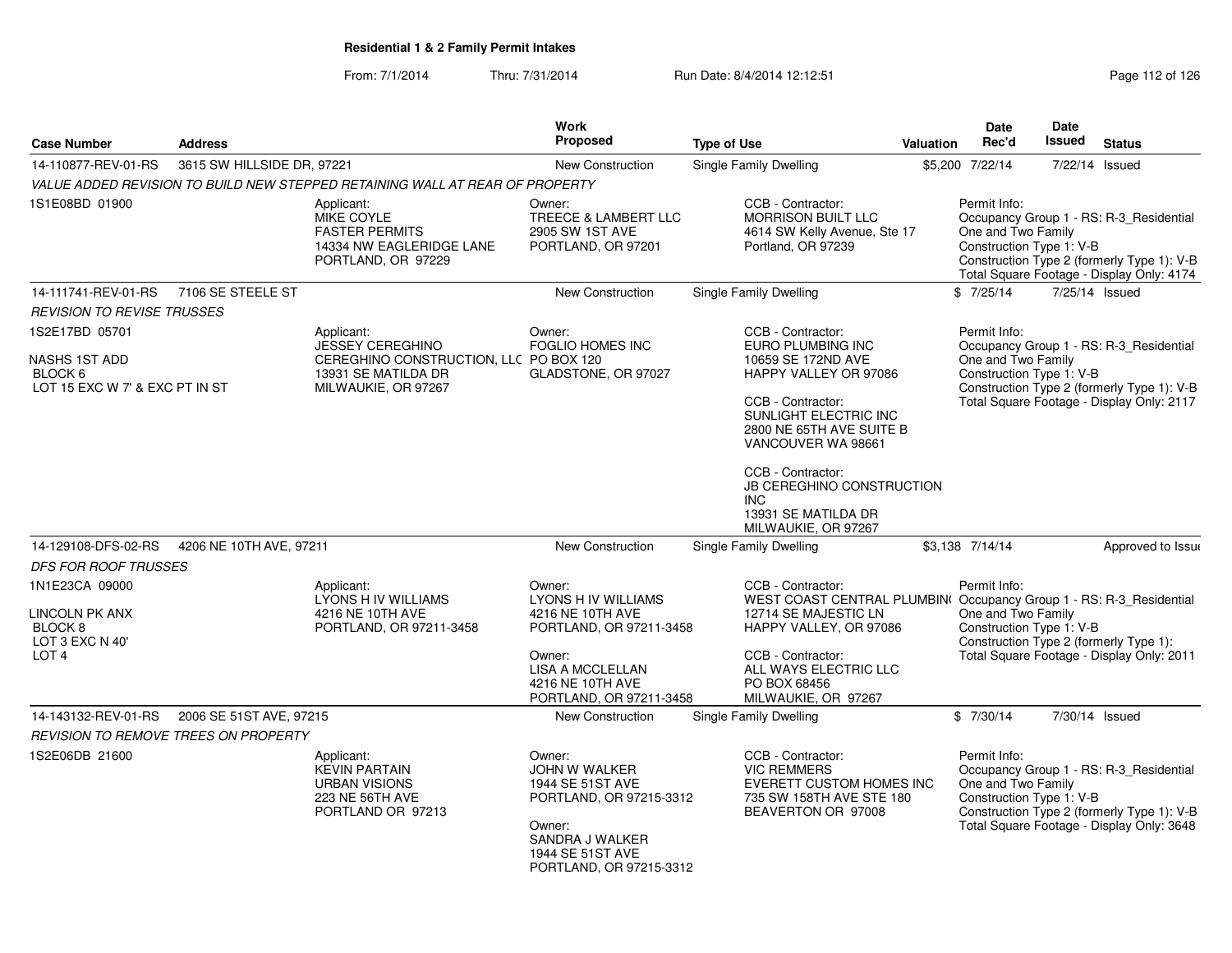From: 7/1/2014Thru: 7/31/2014 Run Date: 8/4/2014 12:12:51 Rege 112 of 126

| <b>Case Number</b>                                                                                   | <b>Address</b>             |                                                                                                          | <b>Work</b><br><b>Proposed</b>                                                                                                                                   | <b>Type of Use</b>                                                                                                                                                                                                              | Valuation | Date<br>Rec'd                                                  | <b>Date</b><br><b>Issued</b> | <b>Status</b>                                                                                                                      |
|------------------------------------------------------------------------------------------------------|----------------------------|----------------------------------------------------------------------------------------------------------|------------------------------------------------------------------------------------------------------------------------------------------------------------------|---------------------------------------------------------------------------------------------------------------------------------------------------------------------------------------------------------------------------------|-----------|----------------------------------------------------------------|------------------------------|------------------------------------------------------------------------------------------------------------------------------------|
| 14-110877-REV-01-RS                                                                                  | 3615 SW HILLSIDE DR, 97221 |                                                                                                          | <b>New Construction</b>                                                                                                                                          | Single Family Dwelling                                                                                                                                                                                                          |           | \$5,200 7/22/14                                                |                              | 7/22/14 Issued                                                                                                                     |
|                                                                                                      |                            | VALUE ADDED REVISION TO BUILD NEW STEPPED RETAINING WALL AT REAR OF PROPERTY                             |                                                                                                                                                                  |                                                                                                                                                                                                                                 |           |                                                                |                              |                                                                                                                                    |
| 1S1E08BD 01900                                                                                       |                            | Applicant:<br>MIKE COYLE<br><b>FASTER PERMITS</b><br>14334 NW EAGLERIDGE LANE<br>PORTLAND, OR 97229      | Owner:<br>TREECE & LAMBERT LLC<br>2905 SW 1ST AVE<br>PORTLAND, OR 97201                                                                                          | CCB - Contractor:<br><b>MORRISON BUILT LLC</b><br>4614 SW Kelly Avenue, Ste 17<br>Portland, OR 97239                                                                                                                            |           | Permit Info:<br>One and Two Family<br>Construction Type 1: V-B |                              | Occupancy Group 1 - RS: R-3_Residential<br>Construction Type 2 (formerly Type 1): V-B<br>Total Square Footage - Display Only: 4174 |
| 14-111741-REV-01-RS                                                                                  | 7106 SE STEELE ST          |                                                                                                          | New Construction                                                                                                                                                 | <b>Single Family Dwelling</b>                                                                                                                                                                                                   |           | \$7/25/14                                                      |                              | 7/25/14 Issued                                                                                                                     |
| <b>REVISION TO REVISE TRUSSES</b>                                                                    |                            |                                                                                                          |                                                                                                                                                                  |                                                                                                                                                                                                                                 |           |                                                                |                              |                                                                                                                                    |
| 1S2E17BD 05701                                                                                       |                            | Applicant:                                                                                               | Owner:                                                                                                                                                           | CCB - Contractor:                                                                                                                                                                                                               |           | Permit Info:                                                   |                              |                                                                                                                                    |
| NASHS 1ST ADD<br>BLOCK 6<br>LOT 15 EXC W 7' & EXC PT IN ST                                           |                            | JESSEY CEREGHINO<br>CEREGHINO CONSTRUCTION, LLC PO BOX 120<br>13931 SE MATILDA DR<br>MILWAUKIE, OR 97267 | <b>FOGLIO HOMES INC</b><br>GLADSTONE, OR 97027                                                                                                                   | EURO PLUMBING INC<br>10659 SE 172ND AVE<br>HAPPY VALLEY OR 97086<br>CCB - Contractor:<br>SUNLIGHT ELECTRIC INC<br>2800 NE 65TH AVE SUITE B<br>VANCOUVER WA 98661                                                                |           | One and Two Family<br>Construction Type 1: V-B                 |                              | Occupancy Group 1 - RS: R-3_Residential<br>Construction Type 2 (formerly Type 1): V-B<br>Total Square Footage - Display Only: 2117 |
|                                                                                                      |                            |                                                                                                          |                                                                                                                                                                  | CCB - Contractor:<br>JB CEREGHINO CONSTRUCTION<br>INC.<br>13931 SE MATILDA DR<br>MILWAUKIE, OR 97267                                                                                                                            |           |                                                                |                              |                                                                                                                                    |
| 14-129108-DFS-02-RS<br><b>DFS FOR ROOF TRUSSES</b>                                                   | 4206 NE 10TH AVE, 97211    |                                                                                                          | New Construction                                                                                                                                                 | Single Family Dwelling                                                                                                                                                                                                          |           | \$3,138 7/14/14                                                |                              | Approved to Issue                                                                                                                  |
| 1N1E23CA 09000<br><b>LINCOLN PK ANX</b><br>BLOCK <sub>8</sub><br>LOT 3 EXC N 40'<br>LOT <sub>4</sub> |                            | Applicant:<br>LYONS H IV WILLIAMS<br>4216 NE 10TH AVE<br>PORTLAND, OR 97211-3458                         | Owner:<br>LYONS H IV WILLIAMS<br>4216 NE 10TH AVE<br>PORTLAND, OR 97211-3458<br>Owner:<br><b>LISA A MCCLELLAN</b><br>4216 NE 10TH AVE<br>PORTLAND, OR 97211-3458 | CCB - Contractor:<br>WEST COAST CENTRAL PLUMBIN( Occupancy Group 1 - RS: R-3_Residential<br>12714 SE MAJESTIC LN<br>HAPPY VALLEY, OR 97086<br>CCB - Contractor:<br>ALL WAYS ELECTRIC LLC<br>PO BOX 68456<br>MILWAUKIE, OR 97267 |           | Permit Info:<br>One and Two Family<br>Construction Type 1: V-B |                              | Construction Type 2 (formerly Type 1):<br>Total Square Footage - Display Only: 2011                                                |
| 14-143132-REV-01-RS                                                                                  | 2006 SE 51ST AVE, 97215    |                                                                                                          | <b>New Construction</b>                                                                                                                                          | Single Family Dwelling                                                                                                                                                                                                          |           | \$7/30/14                                                      |                              | 7/30/14 Issued                                                                                                                     |
| <b>REVISION TO REMOVE TREES ON PROPERTY</b>                                                          |                            |                                                                                                          |                                                                                                                                                                  |                                                                                                                                                                                                                                 |           |                                                                |                              |                                                                                                                                    |
| 1S2E06DB 21600                                                                                       |                            | Applicant:<br><b>KEVIN PARTAIN</b><br><b>URBAN VISIONS</b><br>223 NE 56TH AVE<br>PORTLAND OR 97213       | Owner:<br>JOHN W WALKER<br>1944 SE 51ST AVE<br>PORTLAND, OR 97215-3312<br>Owner:<br>SANDRA J WALKER<br>1944 SE 51ST AVE<br>PORTLAND, OR 97215-3312               | CCB - Contractor:<br><b>VIC REMMERS</b><br>EVERETT CUSTOM HOMES INC<br>735 SW 158TH AVE STE 180<br>BEAVERTON OR 97008                                                                                                           |           | Permit Info:<br>One and Two Family<br>Construction Type 1: V-B |                              | Occupancy Group 1 - RS: R-3_Residential<br>Construction Type 2 (formerly Type 1): V-B<br>Total Square Footage - Display Only: 3648 |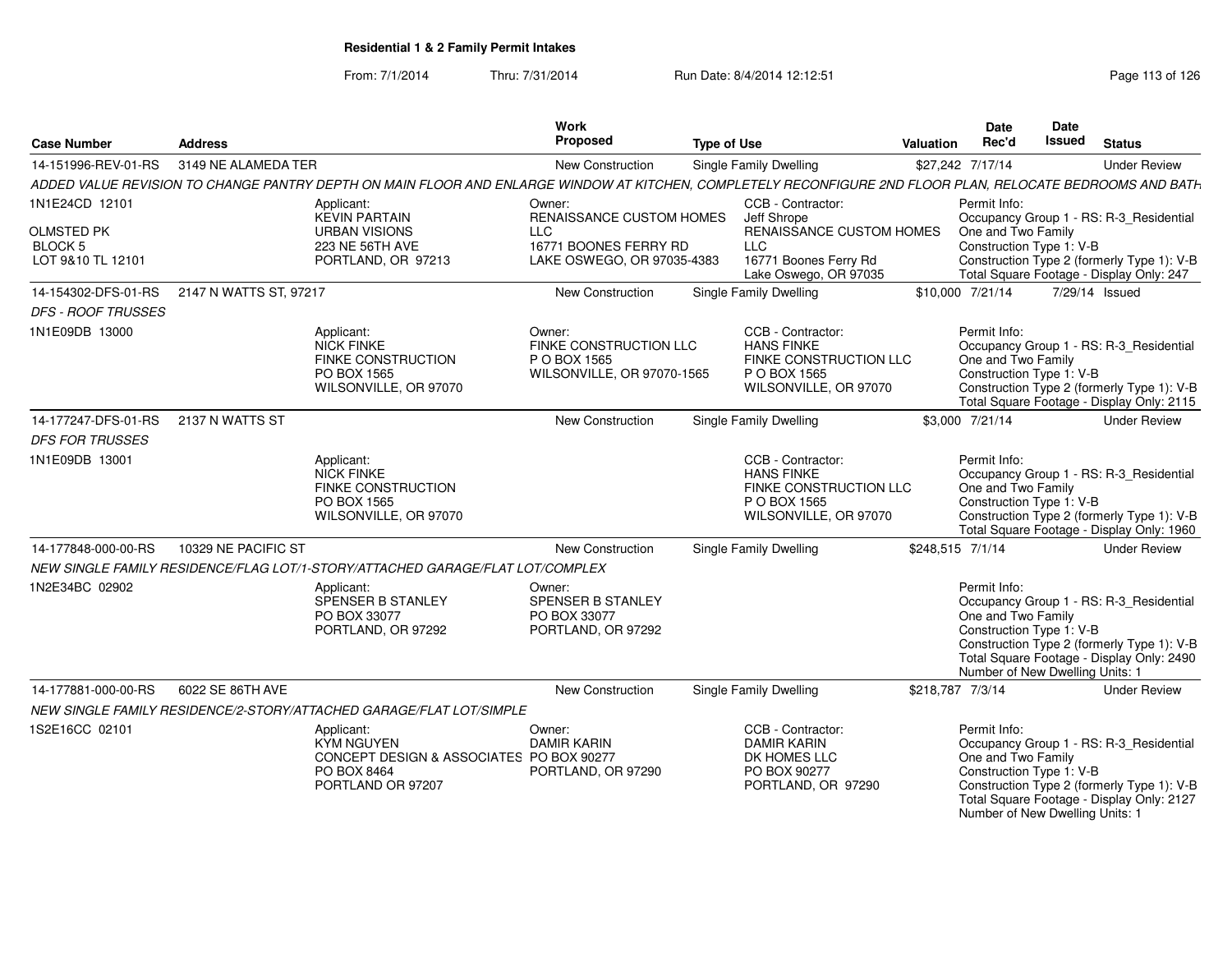From: 7/1/2014Thru: 7/31/2014 Run Date: 8/4/2014 12:12:51 Rege 113 of 126

| <b>Case Number</b>                         | <b>Address</b>      |                                                                                                                                                            | Work<br>Proposed                                                               | <b>Type of Use</b> |                                                                                                           | <b>Valuation</b> | <b>Date</b><br>Rec'd                                                                              | Date<br>Issued | <b>Status</b>                                                                                                                      |
|--------------------------------------------|---------------------|------------------------------------------------------------------------------------------------------------------------------------------------------------|--------------------------------------------------------------------------------|--------------------|-----------------------------------------------------------------------------------------------------------|------------------|---------------------------------------------------------------------------------------------------|----------------|------------------------------------------------------------------------------------------------------------------------------------|
| 14-151996-REV-01-RS                        | 3149 NE ALAMEDA TER |                                                                                                                                                            | <b>New Construction</b>                                                        |                    | Single Family Dwelling                                                                                    |                  | \$27,242 7/17/14                                                                                  |                | <b>Under Review</b>                                                                                                                |
|                                            |                     | ADDED VALUE REVISION TO CHANGE PANTRY DEPTH ON MAIN FLOOR AND ENLARGE WINDOW AT KITCHEN, COMPLETELY RECONFIGURE 2ND FLOOR PLAN, RELOCATE BEDROOMS AND BATH |                                                                                |                    |                                                                                                           |                  |                                                                                                   |                |                                                                                                                                    |
| 1N1E24CD 12101                             |                     | Applicant:<br><b>KEVIN PARTAIN</b>                                                                                                                         | Owner:<br><b>RENAISSANCE CUSTOM HOMES</b>                                      |                    | CCB - Contractor:<br>Jeff Shrope                                                                          |                  | Permit Info:                                                                                      |                | Occupancy Group 1 - RS: R-3_Residential                                                                                            |
| <b>OLMSTED PK</b>                          |                     | <b>URBAN VISIONS</b>                                                                                                                                       | <b>LLC</b>                                                                     |                    | RENAISSANCE CUSTOM HOMES                                                                                  |                  | One and Two Family                                                                                |                |                                                                                                                                    |
| BLOCK 5                                    |                     | 223 NE 56TH AVE                                                                                                                                            | 16771 BOONES FERRY RD                                                          |                    | <b>LLC</b>                                                                                                |                  | Construction Type 1: V-B                                                                          |                |                                                                                                                                    |
| LOT 9&10 TL 12101                          |                     | PORTLAND, OR 97213                                                                                                                                         | LAKE OSWEGO, OR 97035-4383                                                     |                    | 16771 Boones Ferry Rd<br>Lake Oswego, OR 97035                                                            |                  |                                                                                                   |                | Construction Type 2 (formerly Type 1): V-B<br>Total Square Footage - Display Only: 247                                             |
| 14-154302-DFS-01-RS 2147 N WATTS ST, 97217 |                     |                                                                                                                                                            | New Construction                                                               |                    | Single Family Dwelling                                                                                    |                  | \$10,000 7/21/14                                                                                  |                | 7/29/14 Issued                                                                                                                     |
| <b>DFS - ROOF TRUSSES</b>                  |                     |                                                                                                                                                            |                                                                                |                    |                                                                                                           |                  |                                                                                                   |                |                                                                                                                                    |
| 1N1E09DB 13000                             |                     | Applicant:<br>NICK FINKE<br>FINKE CONSTRUCTION<br>PO BOX 1565<br>WILSONVILLE, OR 97070                                                                     | Owner:<br>FINKE CONSTRUCTION LLC<br>P O BOX 1565<br>WILSONVILLE, OR 97070-1565 |                    | CCB - Contractor:<br><b>HANS FINKE</b><br>FINKE CONSTRUCTION LLC<br>P O BOX 1565<br>WILSONVILLE, OR 97070 |                  | Permit Info:<br>One and Two Family<br>Construction Type 1: V-B                                    |                | Occupancy Group 1 - RS: R-3 Residential<br>Construction Type 2 (formerly Type 1): V-B<br>Total Square Footage - Display Only: 2115 |
| 14-177247-DFS-01-RS 2137 N WATTS ST        |                     |                                                                                                                                                            | New Construction                                                               |                    | <b>Single Family Dwelling</b>                                                                             |                  | \$3,000 7/21/14                                                                                   |                | <b>Under Review</b>                                                                                                                |
| <b>DFS FOR TRUSSES</b>                     |                     |                                                                                                                                                            |                                                                                |                    |                                                                                                           |                  |                                                                                                   |                |                                                                                                                                    |
| 1N1E09DB 13001                             |                     | Applicant:<br><b>NICK FINKE</b><br>FINKE CONSTRUCTION<br>PO BOX 1565<br>WILSONVILLE, OR 97070                                                              |                                                                                |                    | CCB - Contractor:<br><b>HANS FINKE</b><br>FINKE CONSTRUCTION LLC<br>P O BOX 1565<br>WILSONVILLE, OR 97070 |                  | Permit Info:<br>One and Two Family<br>Construction Type 1: V-B                                    |                | Occupancy Group 1 - RS: R-3_Residential<br>Construction Type 2 (formerly Type 1): V-B<br>Total Square Footage - Display Only: 1960 |
| 14-177848-000-00-RS                        | 10329 NE PACIFIC ST |                                                                                                                                                            | <b>New Construction</b>                                                        |                    | Single Family Dwelling                                                                                    |                  | \$248,515 7/1/14                                                                                  |                | <b>Under Review</b>                                                                                                                |
|                                            |                     | NEW SINGLE FAMILY RESIDENCE/FLAG LOT/1-STORY/ATTACHED GARAGE/FLAT LOT/COMPLEX                                                                              |                                                                                |                    |                                                                                                           |                  |                                                                                                   |                |                                                                                                                                    |
| 1N2E34BC 02902                             |                     | Applicant:<br>SPENSER B STANLEY<br>PO BOX 33077<br>PORTLAND, OR 97292                                                                                      | Owner:<br>SPENSER B STANLEY<br>PO BOX 33077<br>PORTLAND, OR 97292              |                    |                                                                                                           |                  | Permit Info:<br>One and Two Family<br>Construction Type 1: V-B<br>Number of New Dwelling Units: 1 |                | Occupancy Group 1 - RS: R-3_Residential<br>Construction Type 2 (formerly Type 1): V-B<br>Total Square Footage - Display Only: 2490 |
| 14-177881-000-00-RS                        | 6022 SE 86TH AVE    |                                                                                                                                                            | <b>New Construction</b>                                                        |                    | Single Family Dwelling                                                                                    |                  | \$218.787 7/3/14                                                                                  |                | <b>Under Review</b>                                                                                                                |
|                                            |                     | NEW SINGLE FAMILY RESIDENCE/2-STORY/ATTACHED GARAGE/FLAT LOT/SIMPLE                                                                                        |                                                                                |                    |                                                                                                           |                  |                                                                                                   |                |                                                                                                                                    |
| 1S2E16CC 02101                             |                     | Applicant:<br>KYM NGUYEN<br>CONCEPT DESIGN & ASSOCIATES PO BOX 90277<br>PO BOX 8464<br>PORTLAND OR 97207                                                   | Owner:<br><b>DAMIR KARIN</b><br>PORTLAND, OR 97290                             |                    | CCB - Contractor:<br><b>DAMIR KARIN</b><br>DK HOMES LLC<br>PO BOX 90277<br>PORTLAND, OR 97290             |                  | Permit Info:<br>One and Two Family<br>Construction Type 1: V-B<br>Number of New Dwelling Units: 1 |                | Occupancy Group 1 - RS: R-3 Residential<br>Construction Type 2 (formerly Type 1): V-B<br>Total Square Footage - Display Only: 2127 |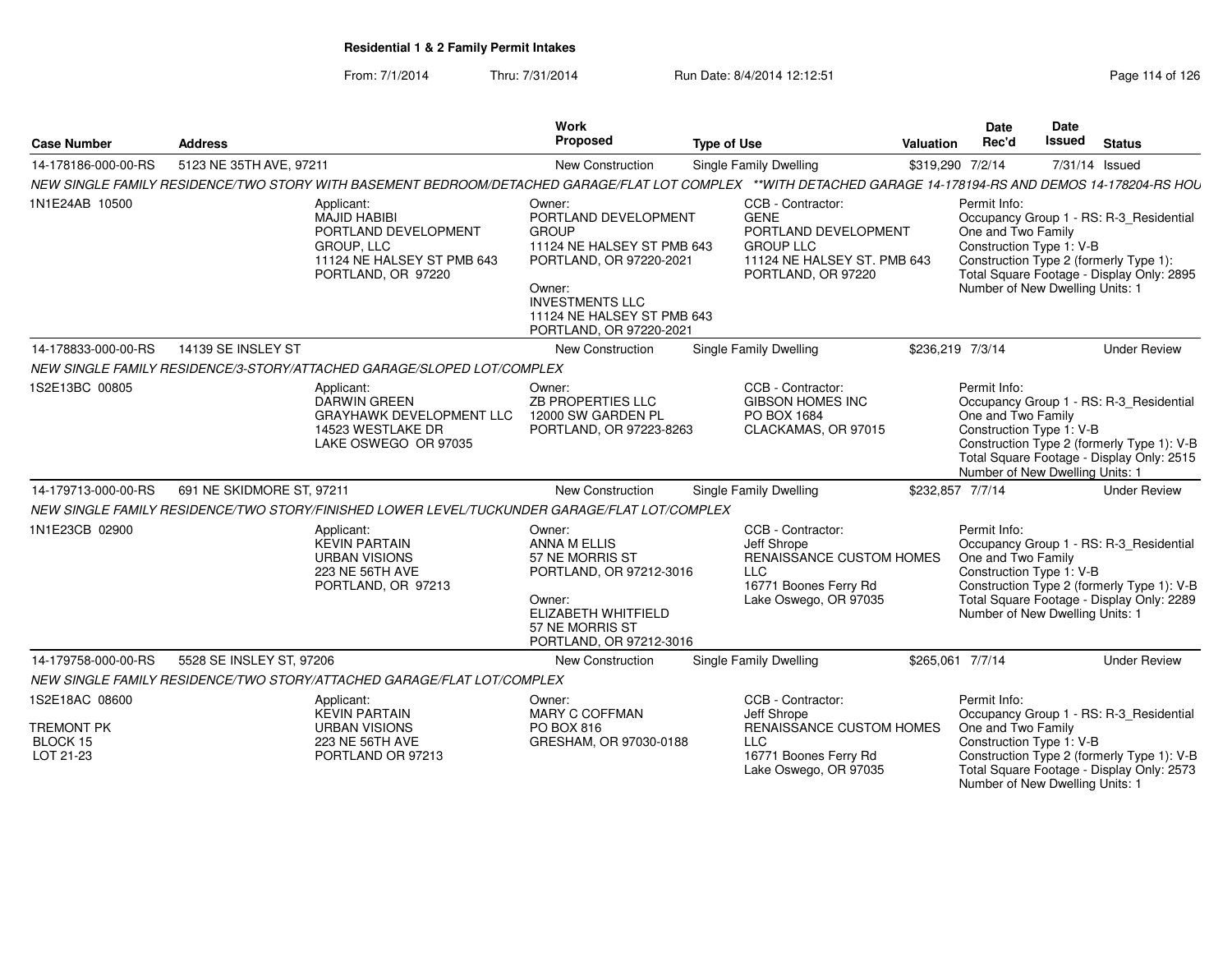From: 7/1/2014Thru: 7/31/2014 Run Date: 8/4/2014 12:12:51 Rege 114 of 126

|                                                              |                           |                                                                                                                                                             | <b>Work</b>                                                                                                                                                                                          |                    |                                                                                                                                   |                  | <b>Date</b>                                                                                       | Date   |                                                                                                                                    |
|--------------------------------------------------------------|---------------------------|-------------------------------------------------------------------------------------------------------------------------------------------------------------|------------------------------------------------------------------------------------------------------------------------------------------------------------------------------------------------------|--------------------|-----------------------------------------------------------------------------------------------------------------------------------|------------------|---------------------------------------------------------------------------------------------------|--------|------------------------------------------------------------------------------------------------------------------------------------|
| <b>Case Number</b>                                           | <b>Address</b>            |                                                                                                                                                             | Proposed                                                                                                                                                                                             | <b>Type of Use</b> |                                                                                                                                   | <b>Valuation</b> | Rec'd                                                                                             | Issued | <b>Status</b>                                                                                                                      |
| 14-178186-000-00-RS                                          | 5123 NE 35TH AVE, 97211   |                                                                                                                                                             | New Construction                                                                                                                                                                                     |                    | Single Family Dwelling                                                                                                            | \$319,290 7/2/14 |                                                                                                   |        | 7/31/14 Issued                                                                                                                     |
|                                                              |                           | NEW SINGLE FAMILY RESIDENCE/TWO STORY WITH BASEMENT BEDROOM/DETACHED GARAGE/FLAT LOT COMPLEX **WITH DETACHED GARAGE 14-178194-RS AND DEMOS 14-178204-RS HOU |                                                                                                                                                                                                      |                    |                                                                                                                                   |                  |                                                                                                   |        |                                                                                                                                    |
| 1N1E24AB 10500                                               |                           | Applicant:<br><b>MAJID HABIBI</b><br>PORTLAND DEVELOPMENT<br>GROUP, LLC<br>11124 NE HALSEY ST PMB 643<br>PORTLAND, OR 97220                                 | Owner:<br>PORTLAND DEVELOPMENT<br><b>GROUP</b><br>11124 NE HALSEY ST PMB 643<br>PORTLAND, OR 97220-2021<br>Owner:<br><b>INVESTMENTS LLC</b><br>11124 NE HALSEY ST PMB 643<br>PORTLAND, OR 97220-2021 |                    | CCB - Contractor:<br><b>GENE</b><br>PORTLAND DEVELOPMENT<br><b>GROUP LLC</b><br>11124 NE HALSEY ST. PMB 643<br>PORTLAND, OR 97220 |                  | Permit Info:<br>One and Two Family<br>Construction Type 1: V-B<br>Number of New Dwelling Units: 1 |        | Occupancy Group 1 - RS: R-3_Residential<br>Construction Type 2 (formerly Type 1):<br>Total Square Footage - Display Only: 2895     |
| 14-178833-000-00-RS                                          | 14139 SE INSLEY ST        |                                                                                                                                                             | New Construction                                                                                                                                                                                     |                    | <b>Single Family Dwelling</b>                                                                                                     | \$236,219 7/3/14 |                                                                                                   |        | <b>Under Review</b>                                                                                                                |
|                                                              |                           | NEW SINGLE FAMILY RESIDENCE/3-STORY/ATTACHED GARAGE/SLOPED LOT/COMPLEX                                                                                      |                                                                                                                                                                                                      |                    |                                                                                                                                   |                  |                                                                                                   |        |                                                                                                                                    |
| 1S2E13BC 00805                                               |                           | Applicant:<br>DARWIN GREEN<br><b>GRAYHAWK DEVELOPMENT LLC</b><br>14523 WESTLAKE DR<br>LAKE OSWEGO OR 97035                                                  | Owner:<br>ZB PROPERTIES LLC<br>12000 SW GARDEN PL<br>PORTLAND, OR 97223-8263                                                                                                                         |                    | CCB - Contractor:<br><b>GIBSON HOMES INC</b><br>PO BOX 1684<br>CLACKAMAS, OR 97015                                                |                  | Permit Info:<br>One and Two Family<br>Construction Type 1: V-B<br>Number of New Dwelling Units: 1 |        | Occupancy Group 1 - RS: R-3_Residential<br>Construction Type 2 (formerly Type 1): V-B<br>Total Square Footage - Display Only: 2515 |
| 14-179713-000-00-RS                                          | 691 NE SKIDMORE ST, 97211 |                                                                                                                                                             | New Construction                                                                                                                                                                                     |                    | <b>Single Family Dwelling</b>                                                                                                     | \$232,857 7/7/14 |                                                                                                   |        | <b>Under Review</b>                                                                                                                |
|                                                              |                           | NEW SINGLE FAMILY RESIDENCE/TWO STORY/FINISHED LOWER LEVEL/TUCKUNDER GARAGE/FLAT LOT/COMPLEX                                                                |                                                                                                                                                                                                      |                    |                                                                                                                                   |                  |                                                                                                   |        |                                                                                                                                    |
| 1N1E23CB 02900                                               |                           | Applicant:<br><b>KEVIN PARTAIN</b><br><b>URBAN VISIONS</b><br>223 NE 56TH AVE<br>PORTLAND, OR 97213                                                         | Owner:<br>ANNA M ELLIS<br>57 NE MORRIS ST<br>PORTLAND, OR 97212-3016<br>Owner:<br>ELIZABETH WHITFIELD<br>57 NE MORRIS ST<br>PORTLAND, OR 97212-3016                                                  |                    | CCB - Contractor:<br>Jeff Shrope<br>RENAISSANCE CUSTOM HOMES<br><b>LLC</b><br>16771 Boones Ferry Rd<br>Lake Oswego, OR 97035      |                  | Permit Info:<br>One and Two Family<br>Construction Type 1: V-B<br>Number of New Dwelling Units: 1 |        | Occupancy Group 1 - RS: R-3_Residential<br>Construction Type 2 (formerly Type 1): V-B<br>Total Square Footage - Display Only: 2289 |
| 14-179758-000-00-RS                                          | 5528 SE INSLEY ST, 97206  |                                                                                                                                                             | New Construction                                                                                                                                                                                     |                    | <b>Single Family Dwelling</b>                                                                                                     | \$265,061 7/7/14 |                                                                                                   |        | <b>Under Review</b>                                                                                                                |
|                                                              |                           | NEW SINGLE FAMILY RESIDENCE/TWO STORY/ATTACHED GARAGE/FLAT LOT/COMPLEX                                                                                      |                                                                                                                                                                                                      |                    |                                                                                                                                   |                  |                                                                                                   |        |                                                                                                                                    |
| 1S2E18AC 08600<br><b>TREMONT PK</b><br>BLOCK 15<br>LOT 21-23 |                           | Applicant:<br><b>KEVIN PARTAIN</b><br><b>URBAN VISIONS</b><br>223 NE 56TH AVE<br>PORTLAND OR 97213                                                          | Owner:<br>MARY C COFFMAN<br>PO BOX 816<br>GRESHAM, OR 97030-0188                                                                                                                                     |                    | CCB - Contractor:<br>Jeff Shrope<br>RENAISSANCE CUSTOM HOMES<br><b>LLC</b><br>16771 Boones Ferry Rd<br>Lake Oswego, OR 97035      |                  | Permit Info:<br>One and Two Family<br>Construction Type 1: V-B<br>Number of New Dwelling Units: 1 |        | Occupancy Group 1 - RS: R-3_Residential<br>Construction Type 2 (formerly Type 1): V-B<br>Total Square Footage - Display Only: 2573 |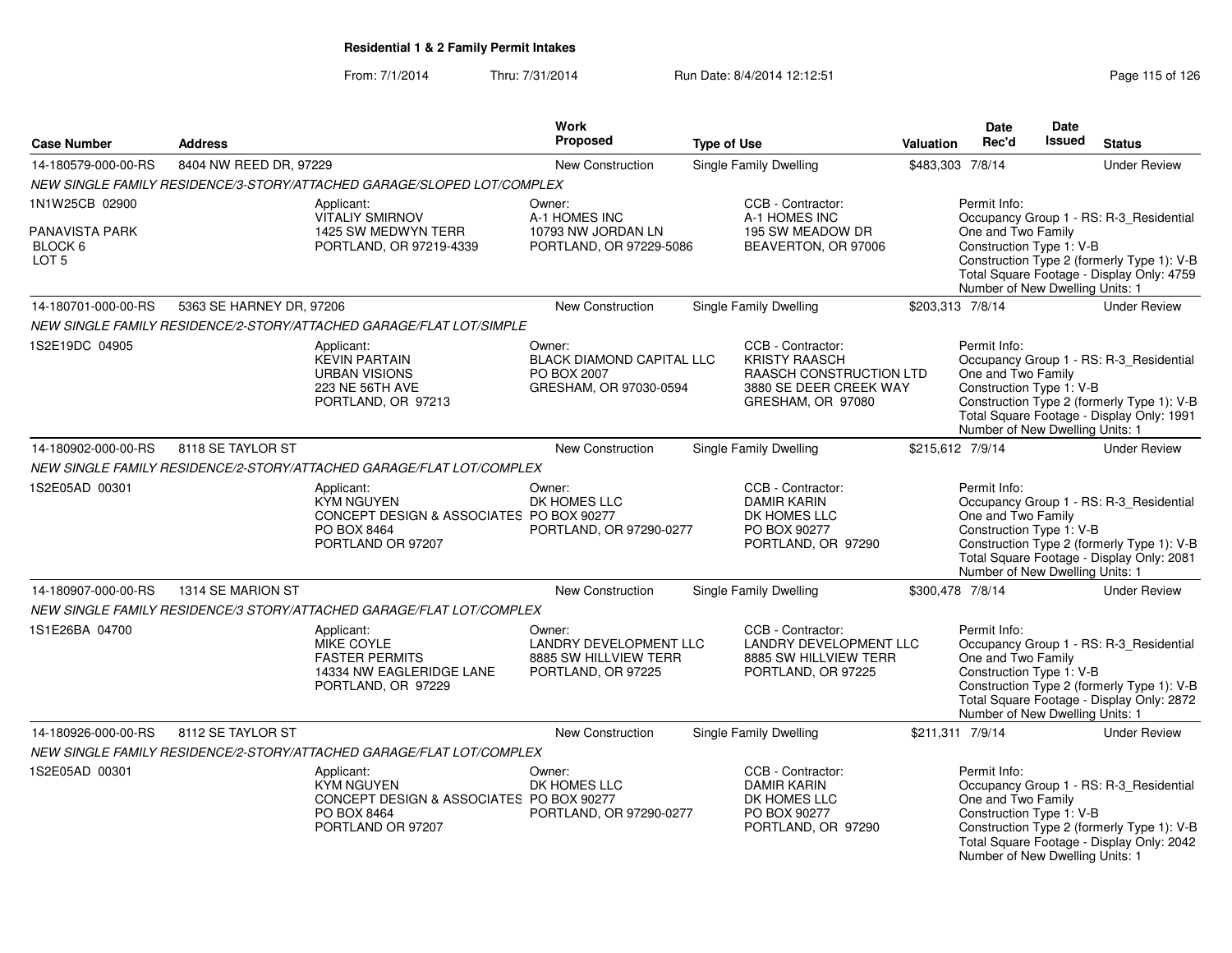### From: 7/1/2014Thru: 7/31/2014 Run Date: 8/4/2014 12:12:51 Rege 115 of 126

| <b>Case Number</b>                            | <b>Address</b>           |                                                                                                                 | <b>Work</b><br>Proposed                                                                | <b>Type of Use</b> |                                                                                                                            | <b>Valuation</b> | Date<br>Rec'd                                                                                     | Date<br><b>Issued</b> | <b>Status</b>                                                                                                                      |
|-----------------------------------------------|--------------------------|-----------------------------------------------------------------------------------------------------------------|----------------------------------------------------------------------------------------|--------------------|----------------------------------------------------------------------------------------------------------------------------|------------------|---------------------------------------------------------------------------------------------------|-----------------------|------------------------------------------------------------------------------------------------------------------------------------|
| 14-180579-000-00-RS                           | 8404 NW REED DR, 97229   |                                                                                                                 | New Construction                                                                       |                    | Single Family Dwelling                                                                                                     | \$483,303 7/8/14 |                                                                                                   |                       | <b>Under Review</b>                                                                                                                |
|                                               |                          | NEW SINGLE FAMILY RESIDENCE/3-STORY/ATTACHED GARAGE/SLOPED LOT/COMPLEX                                          |                                                                                        |                    |                                                                                                                            |                  |                                                                                                   |                       |                                                                                                                                    |
| 1N1W25CB 02900                                |                          | Applicant:                                                                                                      | Owner:                                                                                 |                    | CCB - Contractor:                                                                                                          |                  | Permit Info:                                                                                      |                       |                                                                                                                                    |
| PANAVISTA PARK<br>BLOCK 6<br>LOT <sub>5</sub> |                          | <b>VITALIY SMIRNOV</b><br>1425 SW MEDWYN TERR<br>PORTLAND, OR 97219-4339                                        | A-1 HOMES INC<br>10793 NW JORDAN LN<br>PORTLAND, OR 97229-5086                         |                    | A-1 HOMES INC<br>195 SW MEADOW DR<br>BEAVERTON, OR 97006                                                                   |                  | One and Two Family<br>Construction Type 1: V-B<br>Number of New Dwelling Units: 1                 |                       | Occupancy Group 1 - RS: R-3_Residential<br>Construction Type 2 (formerly Type 1): V-B<br>Total Square Footage - Display Only: 4759 |
| 14-180701-000-00-RS                           | 5363 SE HARNEY DR, 97206 |                                                                                                                 | <b>New Construction</b>                                                                |                    | Single Family Dwelling                                                                                                     | \$203,313 7/8/14 |                                                                                                   |                       | <b>Under Review</b>                                                                                                                |
|                                               |                          | NEW SINGLE FAMILY RESIDENCE/2-STORY/ATTACHED GARAGE/FLAT LOT/SIMPLE                                             |                                                                                        |                    |                                                                                                                            |                  |                                                                                                   |                       |                                                                                                                                    |
| 1S2E19DC 04905                                |                          | Applicant:<br><b>KEVIN PARTAIN</b><br><b>URBAN VISIONS</b><br>223 NE 56TH AVE<br>PORTLAND, OR 97213             | Owner:<br><b>BLACK DIAMOND CAPITAL LLC</b><br>PO BOX 2007<br>GRESHAM, OR 97030-0594    |                    | CCB - Contractor:<br><b>KRISTY RAASCH</b><br><b>RAASCH CONSTRUCTION LTD</b><br>3880 SE DEER CREEK WAY<br>GRESHAM, OR 97080 |                  | Permit Info:<br>One and Two Family<br>Construction Type 1: V-B<br>Number of New Dwelling Units: 1 |                       | Occupancy Group 1 - RS: R-3_Residential<br>Construction Type 2 (formerly Type 1): V-B<br>Total Square Footage - Display Only: 1991 |
| 14-180902-000-00-RS                           | 8118 SE TAYLOR ST        |                                                                                                                 | <b>New Construction</b>                                                                |                    | <b>Single Family Dwelling</b>                                                                                              |                  | \$215,612 7/9/14                                                                                  |                       | <b>Under Review</b>                                                                                                                |
|                                               |                          | NEW SINGLE FAMILY RESIDENCE/2-STORY/ATTACHED GARAGE/FLAT LOT/COMPLEX                                            |                                                                                        |                    |                                                                                                                            |                  |                                                                                                   |                       |                                                                                                                                    |
| 1S2E05AD 00301                                |                          | Applicant:<br><b>KYM NGUYEN</b><br>CONCEPT DESIGN & ASSOCIATES PO BOX 90277<br>PO BOX 8464<br>PORTLAND OR 97207 | Owner:<br>DK HOMES LLC<br>PORTLAND, OR 97290-0277                                      |                    | CCB - Contractor:<br><b>DAMIR KARIN</b><br>DK HOMES LLC<br>PO BOX 90277<br>PORTLAND, OR 97290                              |                  | Permit Info:<br>One and Two Family<br>Construction Type 1: V-B<br>Number of New Dwelling Units: 1 |                       | Occupancy Group 1 - RS: R-3 Residential<br>Construction Type 2 (formerly Type 1): V-B<br>Total Square Footage - Display Only: 2081 |
| 14-180907-000-00-RS                           | 1314 SE MARION ST        |                                                                                                                 | New Construction                                                                       |                    | <b>Single Family Dwelling</b>                                                                                              | \$300,478 7/8/14 |                                                                                                   |                       | <b>Under Review</b>                                                                                                                |
|                                               |                          | NEW SINGLE FAMILY RESIDENCE/3 STORY/ATTACHED GARAGE/FLAT LOT/COMPLEX                                            |                                                                                        |                    |                                                                                                                            |                  |                                                                                                   |                       |                                                                                                                                    |
| 1S1E26BA 04700                                |                          | Applicant:<br><b>MIKE COYLE</b><br><b>FASTER PERMITS</b><br>14334 NW EAGLERIDGE LANE<br>PORTLAND, OR 97229      | Owner:<br><b>LANDRY DEVELOPMENT LLC</b><br>8885 SW HILLVIEW TERR<br>PORTLAND, OR 97225 |                    | CCB - Contractor:<br><b>LANDRY DEVELOPMENT LLC</b><br>8885 SW HILLVIEW TERR<br>PORTLAND, OR 97225                          |                  | Permit Info:<br>One and Two Family<br>Construction Type 1: V-B<br>Number of New Dwelling Units: 1 |                       | Occupancy Group 1 - RS: R-3 Residential<br>Construction Type 2 (formerly Type 1): V-B<br>Total Square Footage - Display Only: 2872 |
| 14-180926-000-00-RS                           | 8112 SE TAYLOR ST        |                                                                                                                 | <b>New Construction</b>                                                                |                    | <b>Single Family Dwelling</b>                                                                                              |                  | \$211,311 7/9/14                                                                                  |                       | <b>Under Review</b>                                                                                                                |
|                                               |                          | NEW SINGLE FAMILY RESIDENCE/2-STORY/ATTACHED GARAGE/FLAT LOT/COMPLEX                                            |                                                                                        |                    |                                                                                                                            |                  |                                                                                                   |                       |                                                                                                                                    |
| 1S2E05AD 00301                                |                          | Applicant:<br><b>KYM NGUYEN</b><br>CONCEPT DESIGN & ASSOCIATES PO BOX 90277<br>PO BOX 8464<br>PORTLAND OR 97207 | Owner:<br>DK HOMES LLC<br>PORTLAND, OR 97290-0277                                      |                    | CCB - Contractor:<br><b>DAMIR KARIN</b><br>DK HOMES LLC<br>PO BOX 90277<br>PORTLAND, OR 97290                              |                  | Permit Info:<br>One and Two Family<br>Construction Type 1: V-B<br>Number of New Dwelling Units: 1 |                       | Occupancy Group 1 - RS: R-3 Residential<br>Construction Type 2 (formerly Type 1): V-B<br>Total Square Footage - Display Only: 2042 |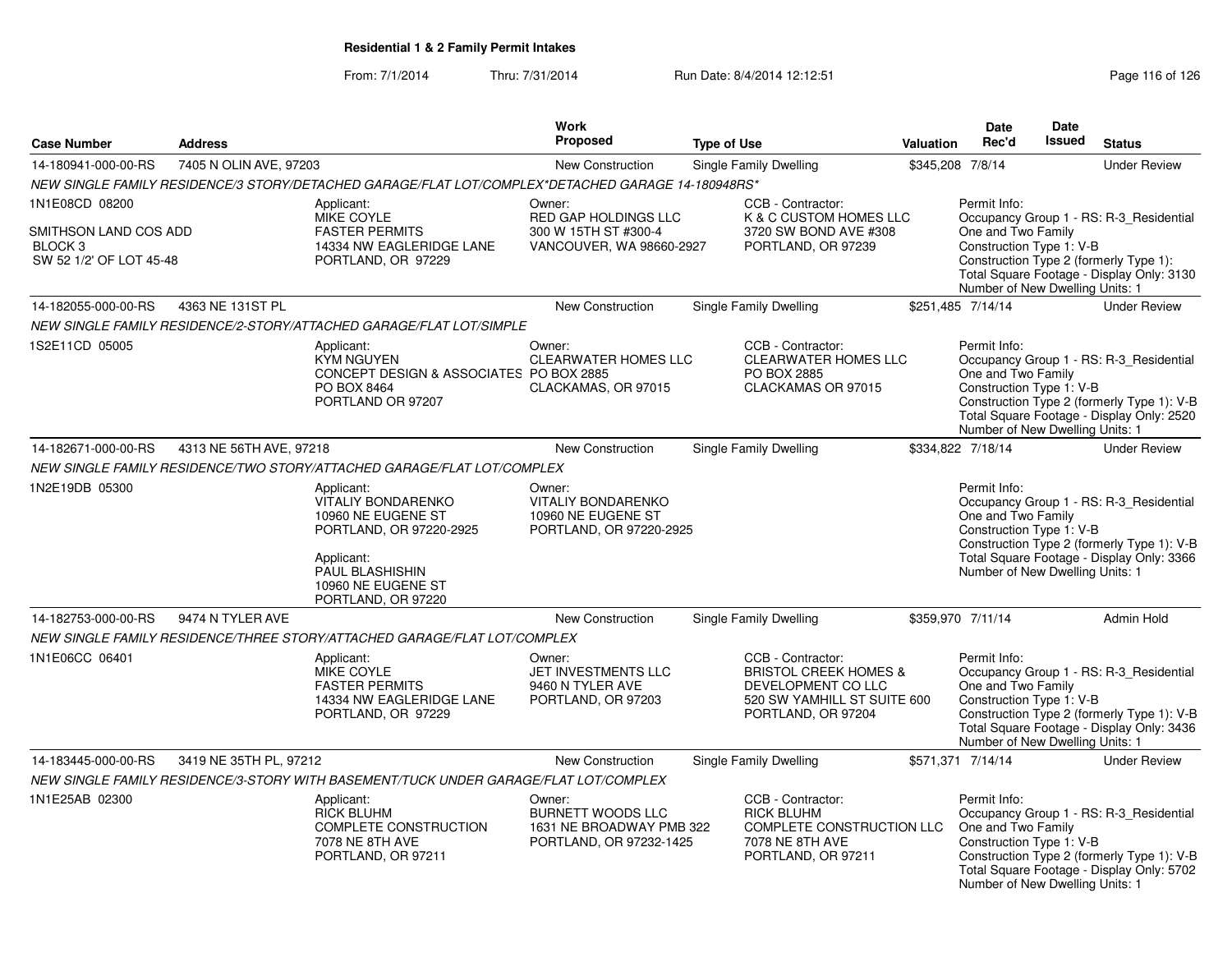### From: 7/1/2014Thru: 7/31/2014 Run Date: 8/4/2014 12:12:51 Rege 116 of 126

|                                                                                          |                         |                                                                                                                           | <b>Work</b>                                                                               |                                                                                                                                  |                  | <b>Date</b>                                                                                       | Date          |                                                                                                                                    |
|------------------------------------------------------------------------------------------|-------------------------|---------------------------------------------------------------------------------------------------------------------------|-------------------------------------------------------------------------------------------|----------------------------------------------------------------------------------------------------------------------------------|------------------|---------------------------------------------------------------------------------------------------|---------------|------------------------------------------------------------------------------------------------------------------------------------|
| <b>Case Number</b>                                                                       | <b>Address</b>          |                                                                                                                           | <b>Proposed</b>                                                                           | <b>Type of Use</b>                                                                                                               | <b>Valuation</b> | Rec'd                                                                                             | <b>Issued</b> | <b>Status</b>                                                                                                                      |
| 14-180941-000-00-RS                                                                      | 7405 N OLIN AVE, 97203  |                                                                                                                           | New Construction                                                                          | <b>Single Family Dwelling</b>                                                                                                    |                  | \$345,208 7/8/14                                                                                  |               | <b>Under Review</b>                                                                                                                |
|                                                                                          |                         | NEW SINGLE FAMILY RESIDENCE/3 STORY/DETACHED GARAGE/FLAT LOT/COMPLEX*DETACHED GARAGE 14-180948RS*                         |                                                                                           |                                                                                                                                  |                  |                                                                                                   |               |                                                                                                                                    |
| 1N1E08CD 08200<br>SMITHSON LAND COS ADD<br>BLOCK <sub>3</sub><br>SW 52 1/2' OF LOT 45-48 |                         | Applicant:<br><b>MIKE COYLE</b><br><b>FASTER PERMITS</b><br>14334 NW EAGLERIDGE LANE<br>PORTLAND, OR 97229                | Owner:<br><b>RED GAP HOLDINGS LLC</b><br>300 W 15TH ST #300-4<br>VANCOUVER, WA 98660-2927 | CCB - Contractor:<br>K & C CUSTOM HOMES LLC<br>3720 SW BOND AVE #308<br>PORTLAND, OR 97239                                       |                  | Permit Info:<br>One and Two Family<br>Construction Type 1: V-B<br>Number of New Dwelling Units: 1 |               | Occupancy Group 1 - RS: R-3 Residential<br>Construction Type 2 (formerly Type 1):<br>Total Square Footage - Display Only: 3130     |
| 14-182055-000-00-RS                                                                      | 4363 NE 131ST PL        |                                                                                                                           | New Construction                                                                          | <b>Single Family Dwelling</b>                                                                                                    |                  | \$251,485 7/14/14                                                                                 |               | <b>Under Review</b>                                                                                                                |
|                                                                                          |                         | NEW SINGLE FAMILY RESIDENCE/2-STORY/ATTACHED GARAGE/FLAT LOT/SIMPLE                                                       |                                                                                           |                                                                                                                                  |                  |                                                                                                   |               |                                                                                                                                    |
| 1S2E11CD 05005                                                                           |                         | Applicant:<br><b>KYM NGUYEN</b><br>CONCEPT DESIGN & ASSOCIATES PO BOX 2885<br>PO BOX 8464<br>PORTLAND OR 97207            | Owner:<br><b>CLEARWATER HOMES LLC</b><br>CLACKAMAS, OR 97015                              | CCB - Contractor:<br>CLEARWATER HOMES LLC<br>PO BOX 2885<br>CLACKAMAS OR 97015                                                   |                  | Permit Info:<br>One and Two Family<br>Construction Type 1: V-B<br>Number of New Dwelling Units: 1 |               | Occupancy Group 1 - RS: R-3_Residential<br>Construction Type 2 (formerly Type 1): V-B<br>Total Square Footage - Display Only: 2520 |
| 14-182671-000-00-RS                                                                      | 4313 NE 56TH AVE, 97218 |                                                                                                                           | New Construction                                                                          | <b>Single Family Dwelling</b>                                                                                                    |                  | \$334.822 7/18/14                                                                                 |               | <b>Under Review</b>                                                                                                                |
|                                                                                          |                         | NEW SINGLE FAMILY RESIDENCE/TWO STORY/ATTACHED GARAGE/FLAT LOT/COMPLEX                                                    |                                                                                           |                                                                                                                                  |                  |                                                                                                   |               |                                                                                                                                    |
| 1N2E19DB 05300                                                                           |                         | Applicant:<br><b>VITALIY BONDARENKO</b><br>10960 NE EUGENE ST<br>PORTLAND, OR 97220-2925<br>Applicant:<br>PAUL BLASHISHIN | Owner:<br><b>VITALIY BONDARENKO</b><br>10960 NE EUGENE ST<br>PORTLAND, OR 97220-2925      |                                                                                                                                  |                  | Permit Info:<br>One and Two Family<br>Construction Type 1: V-B<br>Number of New Dwelling Units: 1 |               | Occupancy Group 1 - RS: R-3_Residential<br>Construction Type 2 (formerly Type 1): V-B<br>Total Square Footage - Display Only: 3366 |
|                                                                                          |                         | 10960 NE EUGENE ST<br>PORTLAND, OR 97220                                                                                  |                                                                                           |                                                                                                                                  |                  |                                                                                                   |               |                                                                                                                                    |
| 14-182753-000-00-RS                                                                      | 9474 N TYLER AVE        |                                                                                                                           | New Construction                                                                          | Single Family Dwelling                                                                                                           |                  | \$359,970 7/11/14                                                                                 |               | Admin Hold                                                                                                                         |
|                                                                                          |                         | NEW SINGLE FAMILY RESIDENCE/THREE STORY/ATTACHED GARAGE/FLAT LOT/COMPLEX                                                  |                                                                                           |                                                                                                                                  |                  |                                                                                                   |               |                                                                                                                                    |
| 1N1E06CC 06401                                                                           |                         | Applicant:<br>MIKE COYLE<br><b>FASTER PERMITS</b><br>14334 NW EAGLERIDGE LANE<br>PORTLAND, OR 97229                       | Owner:<br>JET INVESTMENTS LLC<br>9460 N TYLER AVE<br>PORTLAND, OR 97203                   | CCB - Contractor:<br><b>BRISTOL CREEK HOMES &amp;</b><br>DEVELOPMENT CO LLC<br>520 SW YAMHILL ST SUITE 600<br>PORTLAND, OR 97204 |                  | Permit Info:<br>One and Two Family<br>Construction Type 1: V-B<br>Number of New Dwelling Units: 1 |               | Occupancy Group 1 - RS: R-3_Residential<br>Construction Type 2 (formerly Type 1): V-B<br>Total Square Footage - Display Only: 3436 |
| 14-183445-000-00-RS                                                                      | 3419 NE 35TH PL, 97212  |                                                                                                                           | <b>New Construction</b>                                                                   | Single Family Dwelling                                                                                                           |                  | \$571,371 7/14/14                                                                                 |               | <b>Under Review</b>                                                                                                                |
|                                                                                          |                         | NEW SINGLE FAMILY RESIDENCE/3-STORY WITH BASEMENT/TUCK UNDER GARAGE/FLAT LOT/COMPLEX                                      |                                                                                           |                                                                                                                                  |                  |                                                                                                   |               |                                                                                                                                    |
| 1N1E25AB 02300                                                                           |                         | Applicant:<br><b>RICK BLUHM</b><br><b>COMPLETE CONSTRUCTION</b><br>7078 NE 8TH AVE<br>PORTLAND, OR 97211                  | Owner:<br><b>BURNETT WOODS LLC</b><br>1631 NE BROADWAY PMB 322<br>PORTLAND, OR 97232-1425 | CCB - Contractor:<br><b>RICK BLUHM</b><br><b>COMPLETE CONSTRUCTION LLC</b><br>7078 NE 8TH AVE<br>PORTLAND, OR 97211              |                  | Permit Info:<br>One and Two Family<br>Construction Type 1: V-B<br>Number of New Dwelling Units: 1 |               | Occupancy Group 1 - RS: R-3_Residential<br>Construction Type 2 (formerly Type 1): V-B<br>Total Square Footage - Display Only: 5702 |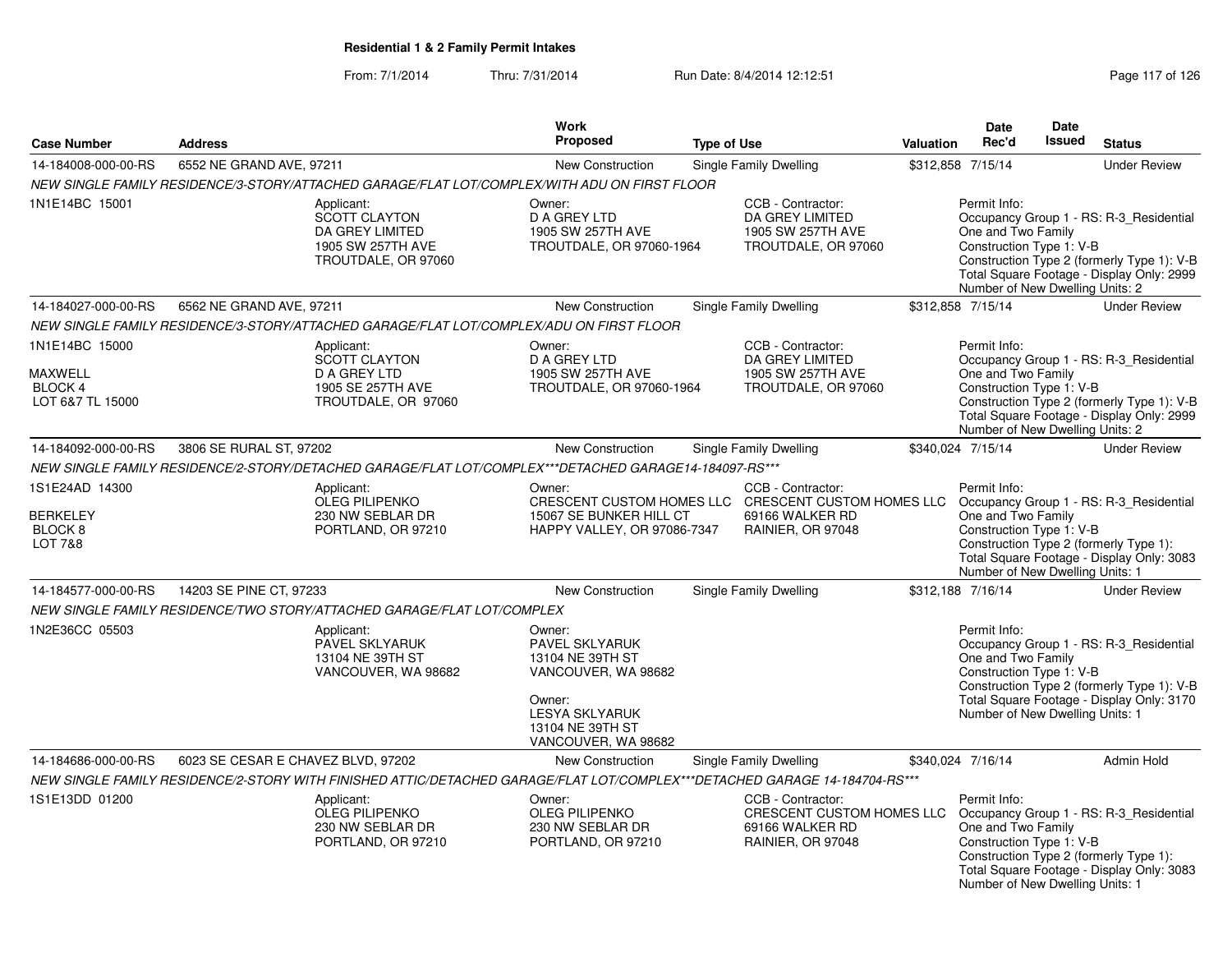### From: 7/1/2014Thru: 7/31/2014 Run Date: 8/4/2014 12:12:51 Rege 117 of 126

|                                                                               |                                    |                                                                                                                            | Work                                                                                                                                              |                    |                                                                                                                                                          |           | <b>Date</b>                                                                                       | Date   |                                                                                                                                    |
|-------------------------------------------------------------------------------|------------------------------------|----------------------------------------------------------------------------------------------------------------------------|---------------------------------------------------------------------------------------------------------------------------------------------------|--------------------|----------------------------------------------------------------------------------------------------------------------------------------------------------|-----------|---------------------------------------------------------------------------------------------------|--------|------------------------------------------------------------------------------------------------------------------------------------|
| <b>Case Number</b>                                                            | <b>Address</b>                     |                                                                                                                            | Proposed                                                                                                                                          | <b>Type of Use</b> |                                                                                                                                                          | Valuation | Rec'd                                                                                             | Issued | <b>Status</b>                                                                                                                      |
| 14-184008-000-00-RS                                                           | 6552 NE GRAND AVE, 97211           |                                                                                                                            | <b>New Construction</b>                                                                                                                           |                    | Single Family Dwelling                                                                                                                                   |           | \$312,858 7/15/14                                                                                 |        | <b>Under Review</b>                                                                                                                |
|                                                                               |                                    | NEW SINGLE FAMILY RESIDENCE/3-STORY/ATTACHED GARAGE/FLAT LOT/COMPLEX/WITH ADU ON FIRST FLOOR                               |                                                                                                                                                   |                    |                                                                                                                                                          |           |                                                                                                   |        |                                                                                                                                    |
| 1N1E14BC 15001                                                                |                                    | Applicant:<br><b>SCOTT CLAYTON</b><br>DA GREY LIMITED<br>1905 SW 257TH AVE<br>TROUTDALE, OR 97060                          | Owner:<br>D A GREY LTD<br>1905 SW 257TH AVE<br>TROUTDALE, OR 97060-1964                                                                           |                    | CCB - Contractor:<br>DA GREY LIMITED<br>1905 SW 257TH AVE<br>TROUTDALE, OR 97060                                                                         |           | Permit Info:<br>One and Two Family<br>Construction Type 1: V-B<br>Number of New Dwelling Units: 2 |        | Occupancy Group 1 - RS: R-3_Residential<br>Construction Type 2 (formerly Type 1): V-B<br>Total Square Footage - Display Only: 2999 |
| 14-184027-000-00-RS                                                           | 6562 NE GRAND AVE, 97211           |                                                                                                                            | New Construction                                                                                                                                  |                    | Single Family Dwelling                                                                                                                                   |           | \$312,858 7/15/14                                                                                 |        | <b>Under Review</b>                                                                                                                |
|                                                                               |                                    | NEW SINGLE FAMILY RESIDENCE/3-STORY/ATTACHED GARAGE/FLAT LOT/COMPLEX/ADU ON FIRST FLOOR                                    |                                                                                                                                                   |                    |                                                                                                                                                          |           |                                                                                                   |        |                                                                                                                                    |
| 1N1E14BC 15000<br>MAXWELL<br>BLOCK 4<br>LOT 6&7 TL 15000                      |                                    | Applicant:<br><b>SCOTT CLAYTON</b><br><b>D A GREY LTD</b><br>1905 SE 257TH AVE<br>TROUTDALE, OR 97060                      | Owner:<br><b>D A GREY LTD</b><br>1905 SW 257TH AVE<br>TROUTDALE, OR 97060-1964                                                                    |                    | CCB - Contractor:<br>DA GREY LIMITED<br>1905 SW 257TH AVE<br>TROUTDALE, OR 97060                                                                         |           | Permit Info:<br>One and Two Family<br>Construction Type 1: V-B                                    |        | Occupancy Group 1 - RS: R-3 Residential<br>Construction Type 2 (formerly Type 1): V-B<br>Total Square Footage - Display Only: 2999 |
| 14-184092-000-00-RS                                                           | 3806 SE RURAL ST, 97202            |                                                                                                                            | New Construction                                                                                                                                  |                    | <b>Single Family Dwelling</b>                                                                                                                            |           | Number of New Dwelling Units: 2<br>\$340,024 7/15/14                                              |        | <b>Under Review</b>                                                                                                                |
|                                                                               |                                    | NEW SINGLE FAMILY RESIDENCE/2-STORY/DETACHED GARAGE/FLAT LOT/COMPLEX***DETACHED GARAGE14-184097-RS***                      |                                                                                                                                                   |                    |                                                                                                                                                          |           |                                                                                                   |        |                                                                                                                                    |
| 1S1E24AD 14300<br><b>BERKELEY</b><br>BLOCK <sub>8</sub><br><b>LOT 7&amp;8</b> |                                    | Applicant:<br><b>OLEG PILIPENKO</b><br>230 NW SEBLAR DR<br>PORTLAND, OR 97210                                              | Owner:<br>15067 SE BUNKER HILL CT<br>HAPPY VALLEY, OR 97086-7347                                                                                  |                    | CCB - Contractor:<br>CRESCENT CUSTOM HOMES LLC CRESCENT CUSTOM HOMES LLC Occupancy Group 1 - RS: R-3 Residential<br>69166 WALKER RD<br>RAINIER, OR 97048 |           | Permit Info:<br>One and Two Family<br>Construction Type 1: V-B<br>Number of New Dwelling Units: 1 |        | Construction Type 2 (formerly Type 1):<br>Total Square Footage - Display Only: 3083                                                |
| 14-184577-000-00-RS                                                           | 14203 SE PINE CT, 97233            |                                                                                                                            | New Construction                                                                                                                                  |                    | <b>Single Family Dwelling</b>                                                                                                                            |           | \$312,188 7/16/14                                                                                 |        | <b>Under Review</b>                                                                                                                |
|                                                                               |                                    | NEW SINGLE FAMILY RESIDENCE/TWO STORY/ATTACHED GARAGE/FLAT LOT/COMPLEX                                                     |                                                                                                                                                   |                    |                                                                                                                                                          |           |                                                                                                   |        |                                                                                                                                    |
| 1N2E36CC 05503                                                                |                                    | Applicant:<br>PAVEL SKLYARUK<br>13104 NE 39TH ST<br>VANCOUVER, WA 98682                                                    | Owner:<br>PAVEL SKLYARUK<br>13104 NE 39TH ST<br>VANCOUVER, WA 98682<br>Owner:<br><b>LESYA SKLYARUK</b><br>13104 NE 39TH ST<br>VANCOUVER, WA 98682 |                    |                                                                                                                                                          |           | Permit Info:<br>One and Two Family<br>Construction Type 1: V-B<br>Number of New Dwelling Units: 1 |        | Occupancy Group 1 - RS: R-3_Residential<br>Construction Type 2 (formerly Type 1): V-B<br>Total Square Footage - Display Only: 3170 |
| 14-184686-000-00-RS                                                           | 6023 SE CESAR E CHAVEZ BLVD, 97202 |                                                                                                                            | <b>New Construction</b>                                                                                                                           |                    | Single Family Dwelling                                                                                                                                   |           | \$340.024 7/16/14                                                                                 |        | <b>Admin Hold</b>                                                                                                                  |
|                                                                               |                                    | NEW SINGLE FAMILY RESIDENCE/2-STORY WITH FINISHED ATTIC/DETACHED GARAGE/FLAT LOT/COMPLEX***DETACHED GARAGE 14-184704-RS*** |                                                                                                                                                   |                    |                                                                                                                                                          |           |                                                                                                   |        |                                                                                                                                    |
| 1S1E13DD 01200                                                                |                                    | Applicant:<br><b>OLEG PILIPENKO</b><br>230 NW SEBLAR DR<br>PORTLAND, OR 97210                                              | Owner:<br><b>OLEG PILIPENKO</b><br>230 NW SEBLAR DR<br>PORTLAND, OR 97210                                                                         |                    | CCB - Contractor:<br>CRESCENT CUSTOM HOMES LLC<br>69166 WALKER RD<br>RAINIER, OR 97048                                                                   |           | Permit Info:<br>One and Two Family<br>Construction Type 1: V-B<br>Number of New Dwelling Units: 1 |        | Occupancy Group 1 - RS: R-3_Residential<br>Construction Type 2 (formerly Type 1):<br>Total Square Footage - Display Only: 3083     |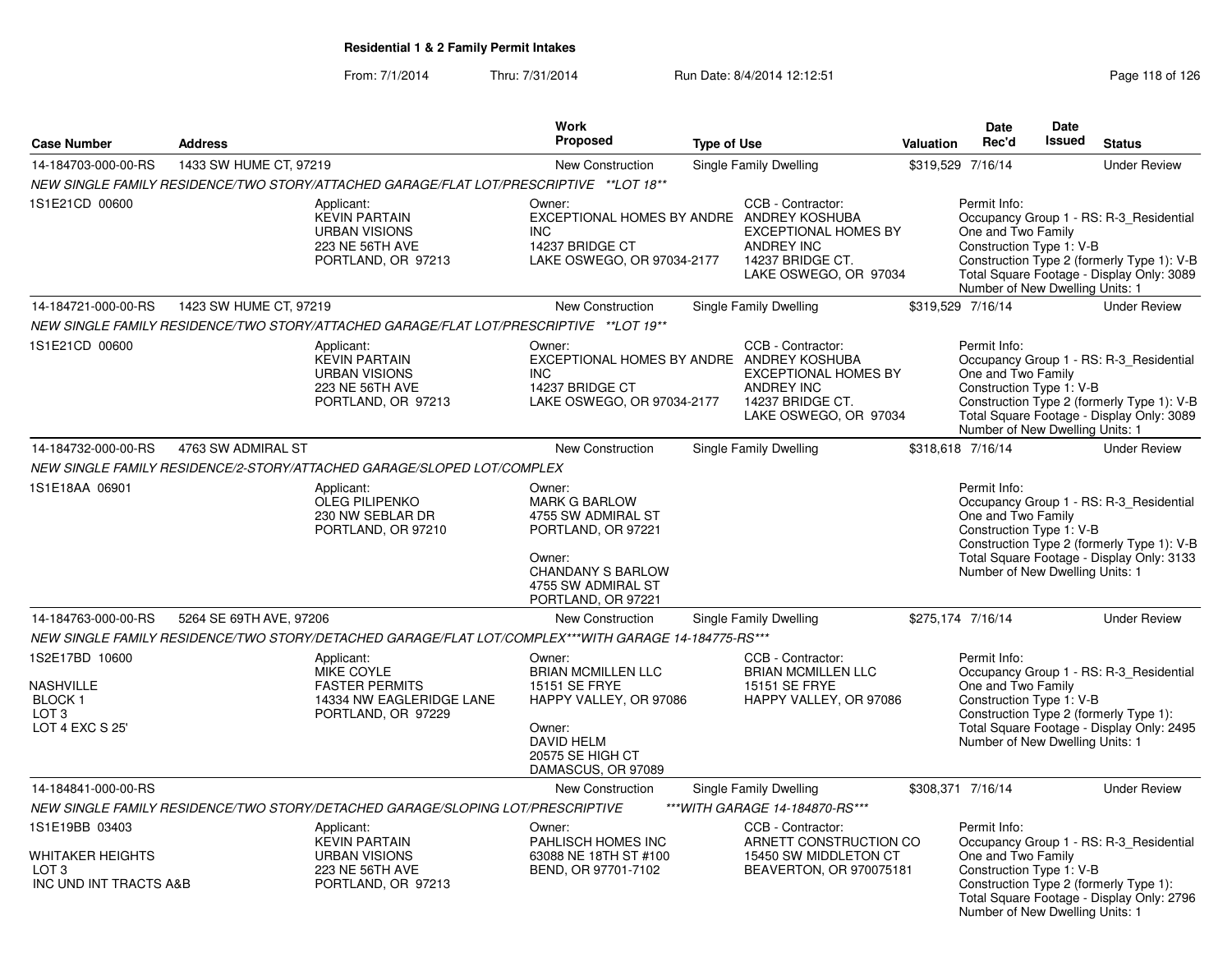### From: 7/1/2014Thru: 7/31/2014 Run Date: 8/4/2014 12:12:51 Research 2010 126

Number of New Dwelling Units: 1

|                                                                                            |                         |                                                                                                            | Work<br>Proposed                                                                                                                                               |                    |                                                                                                                    |           | <b>Date</b><br>Rec'd                                                                              | Date<br><b>Issued</b> |                                                                                                                                    |
|--------------------------------------------------------------------------------------------|-------------------------|------------------------------------------------------------------------------------------------------------|----------------------------------------------------------------------------------------------------------------------------------------------------------------|--------------------|--------------------------------------------------------------------------------------------------------------------|-----------|---------------------------------------------------------------------------------------------------|-----------------------|------------------------------------------------------------------------------------------------------------------------------------|
| <b>Case Number</b>                                                                         | <b>Address</b>          |                                                                                                            |                                                                                                                                                                | <b>Type of Use</b> |                                                                                                                    | Valuation |                                                                                                   |                       | <b>Status</b>                                                                                                                      |
| 14-184703-000-00-RS                                                                        | 1433 SW HUME CT, 97219  |                                                                                                            | New Construction                                                                                                                                               |                    | Single Family Dwelling                                                                                             |           | \$319,529 7/16/14                                                                                 |                       | <b>Under Review</b>                                                                                                                |
|                                                                                            |                         | NEW SINGLE FAMILY RESIDENCE/TWO STORY/ATTACHED GARAGE/FLAT LOT/PRESCRIPTIVE **LOT 18**                     |                                                                                                                                                                |                    |                                                                                                                    |           |                                                                                                   |                       |                                                                                                                                    |
| 1S1E21CD 00600                                                                             |                         | Applicant:<br><b>KEVIN PARTAIN</b><br><b>URBAN VISIONS</b><br>223 NE 56TH AVE<br>PORTLAND, OR 97213        | Owner:<br>EXCEPTIONAL HOMES BY ANDRE ANDREY KOSHUBA<br>INC.<br>14237 BRIDGE CT<br>LAKE OSWEGO, OR 97034-2177                                                   |                    | CCB - Contractor:<br><b>EXCEPTIONAL HOMES BY</b><br><b>ANDREY INC</b><br>14237 BRIDGE CT.<br>LAKE OSWEGO, OR 97034 |           | Permit Info:<br>One and Two Family<br>Construction Type 1: V-B<br>Number of New Dwelling Units: 1 |                       | Occupancy Group 1 - RS: R-3 Residential<br>Construction Type 2 (formerly Type 1): V-B<br>Total Square Footage - Display Only: 3089 |
| 14-184721-000-00-RS                                                                        | 1423 SW HUME CT, 97219  |                                                                                                            | New Construction                                                                                                                                               |                    | Single Family Dwelling                                                                                             |           | \$319,529 7/16/14                                                                                 |                       | <b>Under Review</b>                                                                                                                |
|                                                                                            |                         | NEW SINGLE FAMILY RESIDENCE/TWO STORY/ATTACHED GARAGE/FLAT LOT/PRESCRIPTIVE **LOT 19**                     |                                                                                                                                                                |                    |                                                                                                                    |           |                                                                                                   |                       |                                                                                                                                    |
| 1S1E21CD 00600                                                                             |                         | Applicant:<br><b>KEVIN PARTAIN</b><br><b>URBAN VISIONS</b><br>223 NE 56TH AVE<br>PORTLAND, OR 97213        | Owner:<br>EXCEPTIONAL HOMES BY ANDRE ANDREY KOSHUBA<br><b>INC</b><br>14237 BRIDGE CT<br>LAKE OSWEGO, OR 97034-2177                                             |                    | CCB - Contractor:<br><b>EXCEPTIONAL HOMES BY</b><br><b>ANDREY INC</b><br>14237 BRIDGE CT.<br>LAKE OSWEGO, OR 97034 |           | Permit Info:<br>One and Two Family<br>Construction Type 1: V-B<br>Number of New Dwelling Units: 1 |                       | Occupancy Group 1 - RS: R-3_Residential<br>Construction Type 2 (formerly Type 1): V-B<br>Total Square Footage - Display Only: 3089 |
| 14-184732-000-00-RS                                                                        | 4763 SW ADMIRAL ST      |                                                                                                            | New Construction                                                                                                                                               |                    | Single Family Dwelling                                                                                             |           | \$318,618 7/16/14                                                                                 |                       | <b>Under Review</b>                                                                                                                |
|                                                                                            |                         | NEW SINGLE FAMILY RESIDENCE/2-STORY/ATTACHED GARAGE/SLOPED LOT/COMPLEX                                     |                                                                                                                                                                |                    |                                                                                                                    |           |                                                                                                   |                       |                                                                                                                                    |
| 1S1E18AA 06901                                                                             |                         | Applicant:<br><b>OLEG PILIPENKO</b><br>230 NW SEBLAR DR<br>PORTLAND, OR 97210                              | Owner:<br><b>MARK G BARLOW</b><br>4755 SW ADMIRAL ST<br>PORTLAND, OR 97221<br>Owner:<br><b>CHANDANY S BARLOW</b><br>4755 SW ADMIRAL ST                         |                    |                                                                                                                    |           | Permit Info:<br>One and Two Family<br>Construction Type 1: V-B<br>Number of New Dwelling Units: 1 |                       | Occupancy Group 1 - RS: R-3_Residential<br>Construction Type 2 (formerly Type 1): V-B<br>Total Square Footage - Display Only: 3133 |
|                                                                                            |                         |                                                                                                            | PORTLAND, OR 97221                                                                                                                                             |                    |                                                                                                                    |           |                                                                                                   |                       |                                                                                                                                    |
| 14-184763-000-00-RS                                                                        | 5264 SE 69TH AVE, 97206 |                                                                                                            | <b>New Construction</b>                                                                                                                                        |                    | Single Family Dwelling                                                                                             |           | \$275,174 7/16/14                                                                                 |                       | <b>Under Review</b>                                                                                                                |
|                                                                                            |                         | NEW SINGLE FAMILY RESIDENCE/TWO STORY/DETACHED GARAGE/FLAT LOT/COMPLEX***WITH GARAGE 14-184775-RS***       |                                                                                                                                                                |                    |                                                                                                                    |           |                                                                                                   |                       |                                                                                                                                    |
| 1S2E17BD 10600<br><b>NASHVILLE</b><br><b>BLOCK1</b><br>LOT <sub>3</sub><br>LOT 4 EXC S 25' |                         | Applicant:<br><b>MIKE COYLE</b><br><b>FASTER PERMITS</b><br>14334 NW EAGLERIDGE LANE<br>PORTLAND, OR 97229 | Owner:<br><b>BRIAN MCMILLEN LLC</b><br><b>15151 SE FRYE</b><br>HAPPY VALLEY, OR 97086<br>Owner:<br><b>DAVID HELM</b><br>20575 SE HIGH CT<br>DAMASCUS, OR 97089 |                    | CCB - Contractor:<br><b>BRIAN MCMILLEN LLC</b><br>15151 SE FRYE<br>HAPPY VALLEY, OR 97086                          |           | Permit Info:<br>One and Two Family<br>Construction Type 1: V-B<br>Number of New Dwelling Units: 1 |                       | Occupancy Group 1 - RS: R-3_Residential<br>Construction Type 2 (formerly Type 1):<br>Total Square Footage - Display Only: 2495     |
| 14-184841-000-00-RS                                                                        |                         |                                                                                                            | New Construction                                                                                                                                               |                    | <b>Single Family Dwelling</b>                                                                                      |           | \$308,371 7/16/14                                                                                 |                       | <b>Under Review</b>                                                                                                                |
|                                                                                            |                         | NEW SINGLE FAMILY RESIDENCE/TWO STORY/DETACHED GARAGE/SLOPING LOT/PRESCRIPTIVE                             |                                                                                                                                                                |                    | *** WITH GARAGE 14-184870-RS***                                                                                    |           |                                                                                                   |                       |                                                                                                                                    |
| 1S1E19BB 03403<br>WHITAKER HEIGHTS<br>LOT <sub>3</sub><br>INC UND INT TRACTS A&B           |                         | Applicant:<br><b>KEVIN PARTAIN</b><br><b>URBAN VISIONS</b><br>223 NE 56TH AVE<br>PORTLAND, OR 97213        | Owner:<br>PAHLISCH HOMES INC<br>63088 NE 18TH ST #100<br>BEND, OR 97701-7102                                                                                   |                    | CCB - Contractor:<br>ARNETT CONSTRUCTION CO<br>15450 SW MIDDLETON CT<br>BEAVERTON, OR 970075181                    |           | Permit Info:<br>One and Two Family<br>Construction Type 1: V-B                                    |                       | Occupancy Group 1 - RS: R-3_Residential<br>Construction Type 2 (formerly Type 1):<br>Total Square Footage - Display Only: 2796     |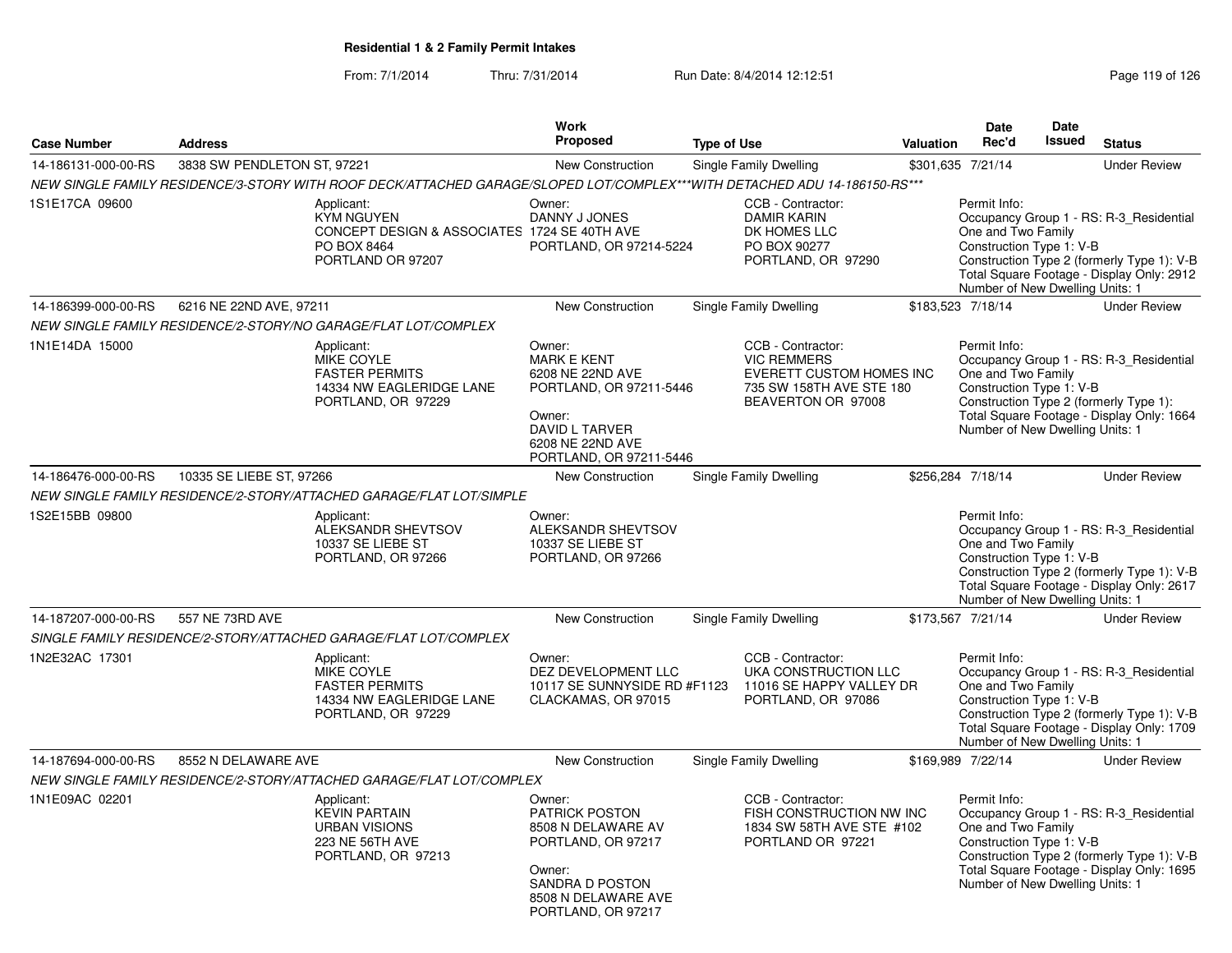### From: 7/1/2014Thru: 7/31/2014 Run Date: 8/4/2014 12:12:51 Rege 119 of 126

|                     |                             |                                                                                                                           | <b>Work</b>                                                                                                                                            |                    |                                                                                                                       |           | <b>Date</b>                                                                                       | <b>Date</b> |                                                                                                                                    |
|---------------------|-----------------------------|---------------------------------------------------------------------------------------------------------------------------|--------------------------------------------------------------------------------------------------------------------------------------------------------|--------------------|-----------------------------------------------------------------------------------------------------------------------|-----------|---------------------------------------------------------------------------------------------------|-------------|------------------------------------------------------------------------------------------------------------------------------------|
| <b>Case Number</b>  | <b>Address</b>              |                                                                                                                           | Proposed                                                                                                                                               | <b>Type of Use</b> |                                                                                                                       | Valuation | Rec'd                                                                                             | Issued      | <b>Status</b>                                                                                                                      |
| 14-186131-000-00-RS | 3838 SW PENDLETON ST, 97221 |                                                                                                                           | <b>New Construction</b>                                                                                                                                |                    | Single Family Dwelling                                                                                                |           | \$301,635 7/21/14                                                                                 |             | <b>Under Review</b>                                                                                                                |
|                     |                             | NEW SINGLE FAMILY RESIDENCE/3-STORY WITH ROOF DECK/ATTACHED GARAGE/SLOPED LOT/COMPLEX***WITH DETACHED ADU 14-186150-RS*** |                                                                                                                                                        |                    |                                                                                                                       |           |                                                                                                   |             |                                                                                                                                    |
| 1S1E17CA 09600      |                             | Applicant:<br><b>KYM NGUYEN</b><br>CONCEPT DESIGN & ASSOCIATES 1724 SE 40TH AVE<br>PO BOX 8464<br>PORTLAND OR 97207       | Owner:<br>DANNY J JONES<br>PORTLAND, OR 97214-5224                                                                                                     |                    | CCB - Contractor:<br><b>DAMIR KARIN</b><br>DK HOMES LLC<br>PO BOX 90277<br>PORTLAND, OR 97290                         |           | Permit Info:<br>One and Two Family<br>Construction Type 1: V-B<br>Number of New Dwelling Units: 1 |             | Occupancy Group 1 - RS: R-3_Residential<br>Construction Type 2 (formerly Type 1): V-B<br>Total Square Footage - Display Only: 2912 |
| 14-186399-000-00-RS | 6216 NE 22ND AVE, 97211     |                                                                                                                           | New Construction                                                                                                                                       |                    | Single Family Dwelling                                                                                                |           | \$183,523 7/18/14                                                                                 |             | <b>Under Review</b>                                                                                                                |
|                     |                             | NEW SINGLE FAMILY RESIDENCE/2-STORY/NO GARAGE/FLAT LOT/COMPLEX                                                            |                                                                                                                                                        |                    |                                                                                                                       |           |                                                                                                   |             |                                                                                                                                    |
| 1N1E14DA 15000      |                             | Applicant:<br>MIKE COYLE<br><b>FASTER PERMITS</b><br>14334 NW EAGLERIDGE LANE<br>PORTLAND, OR 97229                       | Owner:<br><b>MARK E KENT</b><br>6208 NE 22ND AVE<br>PORTLAND, OR 97211-5446<br>Owner:<br>DAVID L TARVER<br>6208 NE 22ND AVE<br>PORTLAND, OR 97211-5446 |                    | CCB - Contractor:<br><b>VIC REMMERS</b><br>EVERETT CUSTOM HOMES INC<br>735 SW 158TH AVE STE 180<br>BEAVERTON OR 97008 |           | Permit Info:<br>One and Two Family<br>Construction Type 1: V-B<br>Number of New Dwelling Units: 1 |             | Occupancy Group 1 - RS: R-3_Residential<br>Construction Type 2 (formerly Type 1):<br>Total Square Footage - Display Only: 1664     |
| 14-186476-000-00-RS | 10335 SE LIEBE ST, 97266    |                                                                                                                           | New Construction                                                                                                                                       |                    | Single Family Dwelling                                                                                                |           | \$256,284 7/18/14                                                                                 |             | <b>Under Review</b>                                                                                                                |
|                     |                             | NEW SINGLE FAMILY RESIDENCE/2-STORY/ATTACHED GARAGE/FLAT LOT/SIMPLE                                                       |                                                                                                                                                        |                    |                                                                                                                       |           |                                                                                                   |             |                                                                                                                                    |
| 1S2E15BB 09800      |                             | Applicant:<br>ALEKSANDR SHEVTSOV<br>10337 SE LIEBE ST<br>PORTLAND, OR 97266                                               | Owner:<br>ALEKSANDR SHEVTSOV<br>10337 SE LIEBE ST<br>PORTLAND, OR 97266                                                                                |                    |                                                                                                                       |           | Permit Info:<br>One and Two Family<br>Construction Type 1: V-B<br>Number of New Dwelling Units: 1 |             | Occupancy Group 1 - RS: R-3_Residential<br>Construction Type 2 (formerly Type 1): V-B<br>Total Square Footage - Display Only: 2617 |
| 14-187207-000-00-RS | 557 NE 73RD AVE             |                                                                                                                           | <b>New Construction</b>                                                                                                                                |                    | Single Family Dwelling                                                                                                |           | \$173,567 7/21/14                                                                                 |             | <b>Under Review</b>                                                                                                                |
|                     |                             | SINGLE FAMILY RESIDENCE/2-STORY/ATTACHED GARAGE/FLAT LOT/COMPLEX                                                          |                                                                                                                                                        |                    |                                                                                                                       |           |                                                                                                   |             |                                                                                                                                    |
| 1N2E32AC 17301      |                             | Applicant:<br><b>MIKE COYLE</b><br><b>FASTER PERMITS</b><br>14334 NW EAGLERIDGE LANE<br>PORTLAND, OR 97229                | Owner:<br>DEZ DEVELOPMENT LLC<br>10117 SE SUNNYSIDE RD #F1123<br>CLACKAMAS, OR 97015                                                                   |                    | CCB - Contractor:<br>UKA CONSTRUCTION LLC<br>11016 SE HAPPY VALLEY DR<br>PORTLAND, OR 97086                           |           | Permit Info:<br>One and Two Family<br>Construction Type 1: V-B<br>Number of New Dwelling Units: 1 |             | Occupancy Group 1 - RS: R-3_Residential<br>Construction Type 2 (formerly Type 1): V-B<br>Total Square Footage - Display Only: 1709 |
| 14-187694-000-00-RS | 8552 N DELAWARE AVE         |                                                                                                                           | <b>New Construction</b>                                                                                                                                |                    | Single Family Dwelling                                                                                                |           | \$169,989 7/22/14                                                                                 |             | <b>Under Review</b>                                                                                                                |
|                     |                             | NEW SINGLE FAMILY RESIDENCE/2-STORY/ATTACHED GARAGE/FLAT LOT/COMPLEX                                                      |                                                                                                                                                        |                    |                                                                                                                       |           |                                                                                                   |             |                                                                                                                                    |
| 1N1E09AC 02201      |                             | Applicant:<br><b>KEVIN PARTAIN</b><br><b>URBAN VISIONS</b><br>223 NE 56TH AVE<br>PORTLAND, OR 97213                       | Owner:<br><b>PATRICK POSTON</b><br>8508 N DELAWARE AV<br>PORTLAND, OR 97217<br>Owner:<br>SANDRA D POSTON<br>8508 N DELAWARE AVE<br>PORTLAND, OR 97217  |                    | CCB - Contractor:<br>FISH CONSTRUCTION NW INC<br>1834 SW 58TH AVE STE #102<br>PORTLAND OR 97221                       |           | Permit Info:<br>One and Two Family<br>Construction Type 1: V-B<br>Number of New Dwelling Units: 1 |             | Occupancy Group 1 - RS: R-3_Residential<br>Construction Type 2 (formerly Type 1): V-B<br>Total Square Footage - Display Only: 1695 |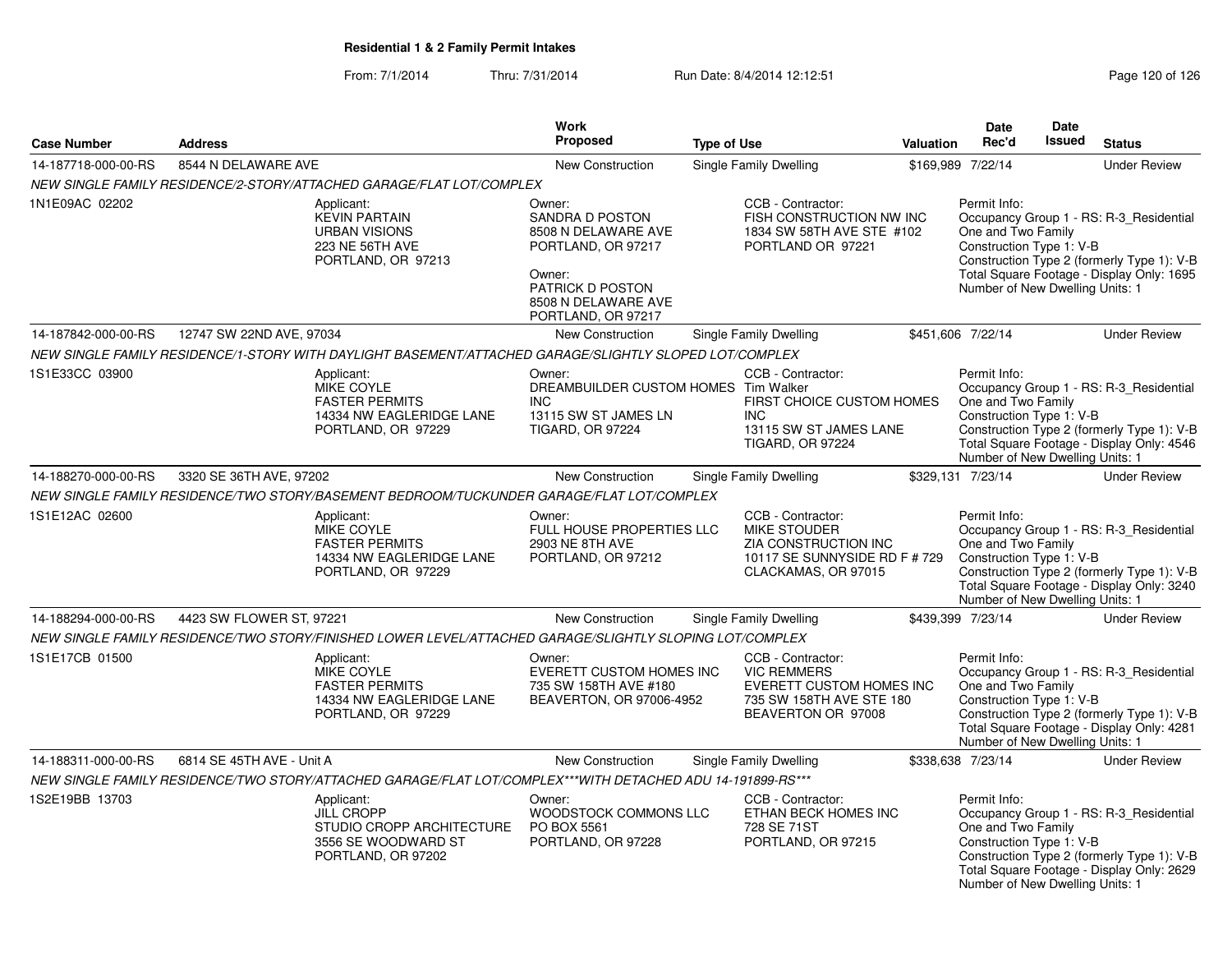From: 7/1/2014Thru: 7/31/2014 Run Date: 8/4/2014 12:12:51 Rege 120 of 126

|                     |                           |                                                                                                            | Work                                                                                                                                                     |                    |                                                                                                                              |                  | <b>Date</b>                                                                                       | Date          |                                                                                                                                    |
|---------------------|---------------------------|------------------------------------------------------------------------------------------------------------|----------------------------------------------------------------------------------------------------------------------------------------------------------|--------------------|------------------------------------------------------------------------------------------------------------------------------|------------------|---------------------------------------------------------------------------------------------------|---------------|------------------------------------------------------------------------------------------------------------------------------------|
| <b>Case Number</b>  | <b>Address</b>            |                                                                                                            | <b>Proposed</b>                                                                                                                                          | <b>Type of Use</b> |                                                                                                                              | <b>Valuation</b> | Rec'd                                                                                             | <b>Issued</b> | <b>Status</b>                                                                                                                      |
| 14-187718-000-00-RS | 8544 N DELAWARE AVE       |                                                                                                            | <b>New Construction</b>                                                                                                                                  |                    | <b>Single Family Dwelling</b>                                                                                                |                  | \$169,989 7/22/14                                                                                 |               | <b>Under Review</b>                                                                                                                |
|                     |                           | NEW SINGLE FAMILY RESIDENCE/2-STORY/ATTACHED GARAGE/FLAT LOT/COMPLEX                                       |                                                                                                                                                          |                    |                                                                                                                              |                  |                                                                                                   |               |                                                                                                                                    |
| 1N1E09AC 02202      |                           | Applicant:<br><b>KEVIN PARTAIN</b><br><b>URBAN VISIONS</b><br>223 NE 56TH AVE<br>PORTLAND, OR 97213        | Owner:<br><b>SANDRA D POSTON</b><br>8508 N DELAWARE AVE<br>PORTLAND, OR 97217<br>Owner:<br>PATRICK D POSTON<br>8508 N DELAWARE AVE<br>PORTLAND, OR 97217 |                    | CCB - Contractor:<br>FISH CONSTRUCTION NW INC<br>1834 SW 58TH AVE STE #102<br>PORTLAND OR 97221                              |                  | Permit Info:<br>One and Two Family<br>Construction Type 1: V-B<br>Number of New Dwelling Units: 1 |               | Occupancy Group 1 - RS: R-3 Residential<br>Construction Type 2 (formerly Type 1): V-B<br>Total Square Footage - Display Only: 1695 |
| 14-187842-000-00-RS | 12747 SW 22ND AVE, 97034  |                                                                                                            | New Construction                                                                                                                                         |                    | <b>Single Family Dwelling</b>                                                                                                |                  | \$451,606 7/22/14                                                                                 |               | <b>Under Review</b>                                                                                                                |
|                     |                           | NEW SINGLE FAMILY RESIDENCE/1-STORY WITH DAYLIGHT BASEMENT/ATTACHED GARAGE/SLIGHTLY SLOPED LOT/COMPLEX     |                                                                                                                                                          |                    |                                                                                                                              |                  |                                                                                                   |               |                                                                                                                                    |
| 1S1E33CC 03900      |                           | Applicant:<br><b>MIKE COYLE</b><br><b>FASTER PERMITS</b><br>14334 NW EAGLERIDGE LANE<br>PORTLAND, OR 97229 | Owner:<br>DREAMBUILDER CUSTOM HOMES Tim Walker<br>INC.<br>13115 SW ST JAMES LN<br><b>TIGARD, OR 97224</b>                                                |                    | CCB - Contractor:<br>FIRST CHOICE CUSTOM HOMES<br><b>INC</b><br>13115 SW ST JAMES LANE<br><b>TIGARD, OR 97224</b>            |                  | Permit Info:<br>One and Two Family<br>Construction Type 1: V-B<br>Number of New Dwelling Units: 1 |               | Occupancy Group 1 - RS: R-3_Residential<br>Construction Type 2 (formerly Type 1): V-B<br>Total Square Footage - Display Only: 4546 |
| 14-188270-000-00-RS | 3320 SE 36TH AVE, 97202   |                                                                                                            | New Construction                                                                                                                                         |                    | <b>Single Family Dwelling</b>                                                                                                |                  | \$329,131 7/23/14                                                                                 |               | <b>Under Review</b>                                                                                                                |
|                     |                           | NEW SINGLE FAMILY RESIDENCE/TWO STORY/BASEMENT BEDROOM/TUCKUNDER GARAGE/FLAT LOT/COMPLEX                   |                                                                                                                                                          |                    |                                                                                                                              |                  |                                                                                                   |               |                                                                                                                                    |
| 1S1E12AC 02600      |                           | Applicant:<br>MIKE COYLE<br><b>FASTER PERMITS</b><br>14334 NW EAGLERIDGE LANE<br>PORTLAND, OR 97229        | Owner:<br>FULL HOUSE PROPERTIES LLC<br>2903 NE 8TH AVE<br>PORTLAND, OR 97212                                                                             |                    | CCB - Contractor:<br><b>MIKE STOUDER</b><br>ZIA CONSTRUCTION INC<br>10117 SE SUNNYSIDE RD F # 729<br>CLACKAMAS, OR 97015     |                  | Permit Info:<br>One and Two Family<br>Construction Type 1: V-B<br>Number of New Dwelling Units: 1 |               | Occupancy Group 1 - RS: R-3 Residential<br>Construction Type 2 (formerly Type 1): V-B<br>Total Square Footage - Display Only: 3240 |
| 14-188294-000-00-RS | 4423 SW FLOWER ST, 97221  |                                                                                                            | New Construction                                                                                                                                         |                    | Single Family Dwelling                                                                                                       |                  | \$439,399 7/23/14                                                                                 |               | <b>Under Review</b>                                                                                                                |
|                     |                           | NEW SINGLE FAMILY RESIDENCE/TWO STORY/FINISHED LOWER LEVEL/ATTACHED GARAGE/SLIGHTLY SLOPING LOT/COMPLEX    |                                                                                                                                                          |                    |                                                                                                                              |                  |                                                                                                   |               |                                                                                                                                    |
| 1S1E17CB 01500      |                           | Applicant:<br>MIKE COYLE<br><b>FASTER PERMITS</b><br>14334 NW EAGLERIDGE LANE<br>PORTLAND, OR 97229        | Owner:<br>EVERETT CUSTOM HOMES INC<br>735 SW 158TH AVE #180<br>BEAVERTON, OR 97006-4952                                                                  |                    | CCB - Contractor:<br><b>VIC REMMERS</b><br><b>EVERETT CUSTOM HOMES INC</b><br>735 SW 158TH AVE STE 180<br>BEAVERTON OR 97008 |                  | Permit Info:<br>One and Two Family<br>Construction Type 1: V-B<br>Number of New Dwelling Units: 1 |               | Occupancy Group 1 - RS: R-3_Residential<br>Construction Type 2 (formerly Type 1): V-B<br>Total Square Footage - Display Only: 4281 |
| 14-188311-000-00-RS | 6814 SE 45TH AVE - Unit A |                                                                                                            | New Construction                                                                                                                                         |                    | <b>Single Family Dwelling</b>                                                                                                |                  | \$338,638 7/23/14                                                                                 |               | <b>Under Review</b>                                                                                                                |
|                     |                           | NEW SINGLE FAMILY RESIDENCE/TWO STORY/ATTACHED GARAGE/FLAT LOT/COMPLEX***WITH DETACHED ADU 14-191899-RS*** |                                                                                                                                                          |                    |                                                                                                                              |                  |                                                                                                   |               |                                                                                                                                    |
| 1S2E19BB 13703      |                           | Applicant:<br><b>JILL CROPP</b><br>STUDIO CROPP ARCHITECTURE<br>3556 SE WOODWARD ST<br>PORTLAND, OR 97202  | Owner:<br>WOODSTOCK COMMONS LLC<br>PO BOX 5561<br>PORTLAND, OR 97228                                                                                     |                    | CCB - Contractor:<br>ETHAN BECK HOMES INC<br>728 SE 71ST<br>PORTLAND, OR 97215                                               |                  | Permit Info:<br>One and Two Family<br>Construction Type 1: V-B<br>Number of New Dwelling Units: 1 |               | Occupancy Group 1 - RS: R-3_Residential<br>Construction Type 2 (formerly Type 1): V-B<br>Total Square Footage - Display Only: 2629 |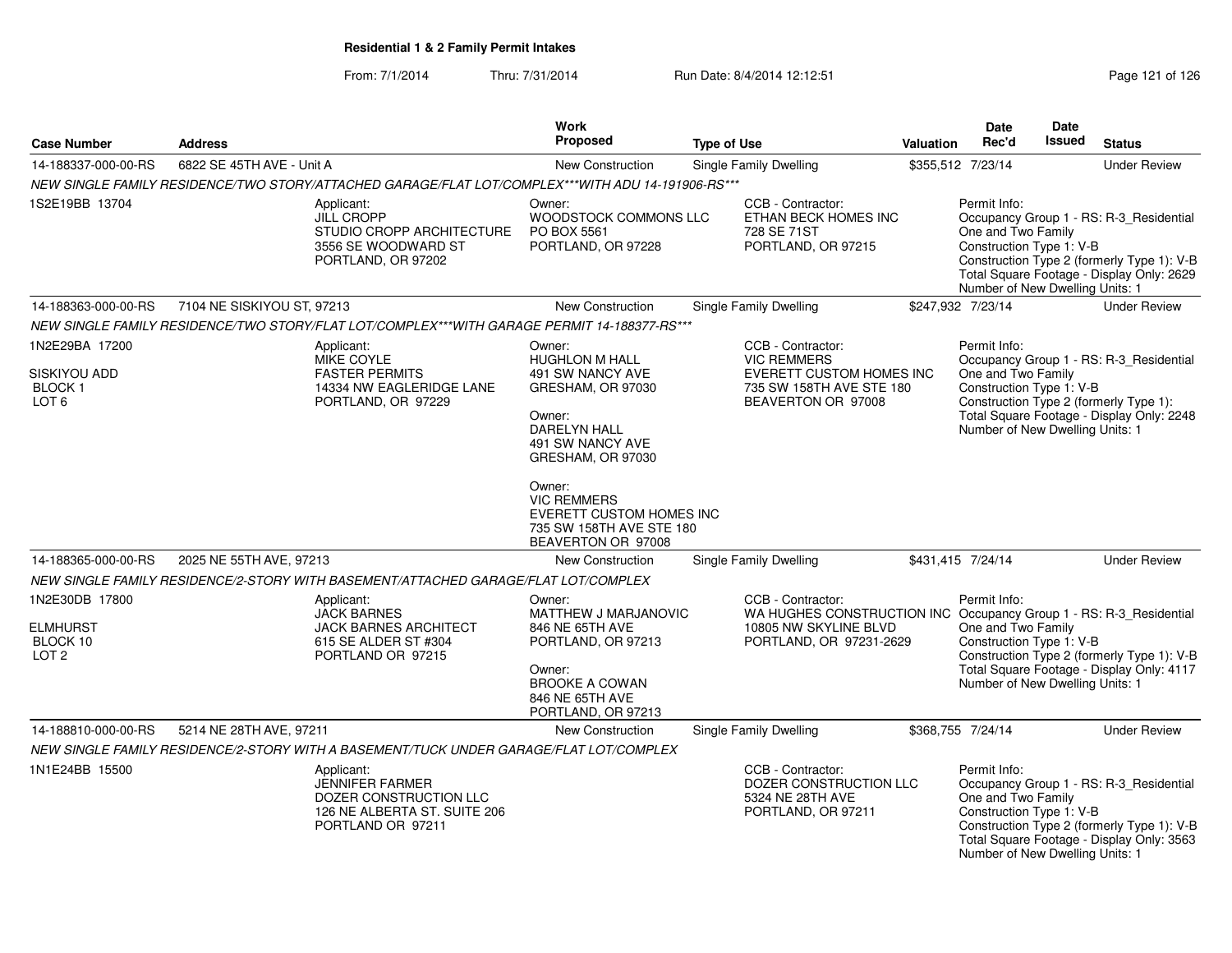From: 7/1/2014Thru: 7/31/2014 Run Date: 8/4/2014 12:12:51 Rege 121 of 126

| <b>Case Number</b>                                         | <b>Address</b>             |                                                                                                                     | <b>Work</b><br><b>Proposed</b>                                                                                    | <b>Type of Use</b> |                                                                                                  | <b>Valuation</b>                                                                                                                                                                                                                | <b>Date</b><br>Rec'd                                                                              | <b>Date</b><br><b>Issued</b> | <b>Status</b>                                                                                                                                                                                                                                                                                                                                                                                        |
|------------------------------------------------------------|----------------------------|---------------------------------------------------------------------------------------------------------------------|-------------------------------------------------------------------------------------------------------------------|--------------------|--------------------------------------------------------------------------------------------------|---------------------------------------------------------------------------------------------------------------------------------------------------------------------------------------------------------------------------------|---------------------------------------------------------------------------------------------------|------------------------------|------------------------------------------------------------------------------------------------------------------------------------------------------------------------------------------------------------------------------------------------------------------------------------------------------------------------------------------------------------------------------------------------------|
| 14-188337-000-00-RS                                        | 6822 SE 45TH AVE - Unit A  |                                                                                                                     | <b>New Construction</b>                                                                                           |                    | <b>Single Family Dwelling</b>                                                                    |                                                                                                                                                                                                                                 | \$355,512 7/23/14                                                                                 |                              | <b>Under Review</b>                                                                                                                                                                                                                                                                                                                                                                                  |
|                                                            |                            | NEW SINGLE FAMILY RESIDENCE/TWO STORY/ATTACHED GARAGE/FLAT LOT/COMPLEX***WITH ADU 14-191906-RS***                   |                                                                                                                   |                    |                                                                                                  |                                                                                                                                                                                                                                 |                                                                                                   |                              |                                                                                                                                                                                                                                                                                                                                                                                                      |
| 1S2E19BB 13704                                             |                            | Applicant:<br><b>JILL CROPP</b><br>STUDIO CROPP ARCHITECTURE<br>3556 SE WOODWARD ST<br>PORTLAND, OR 97202           | Owner:<br>WOODSTOCK COMMONS LLC<br>PO BOX 5561<br>PORTLAND, OR 97228                                              |                    | CCB - Contractor:<br>ETHAN BECK HOMES INC<br>728 SE 71ST<br>PORTLAND, OR 97215                   |                                                                                                                                                                                                                                 | Permit Info:<br>One and Two Family<br>Construction Type 1: V-B                                    |                              |                                                                                                                                                                                                                                                                                                                                                                                                      |
| 14-188363-000-00-RS                                        | 7104 NE SISKIYOU ST, 97213 |                                                                                                                     | <b>New Construction</b>                                                                                           |                    | Single Family Dwelling                                                                           |                                                                                                                                                                                                                                 | \$247,932 7/23/14                                                                                 |                              | <b>Under Review</b>                                                                                                                                                                                                                                                                                                                                                                                  |
|                                                            |                            | NEW SINGLE FAMILY RESIDENCE/TWO STORY/FLAT LOT/COMPLEX***WITH GARAGE PERMIT 14-188377-RS***                         |                                                                                                                   |                    |                                                                                                  |                                                                                                                                                                                                                                 |                                                                                                   |                              |                                                                                                                                                                                                                                                                                                                                                                                                      |
| 1N2E29BA 17200                                             |                            | Applicant:                                                                                                          | Owner:                                                                                                            |                    | CCB - Contractor:                                                                                |                                                                                                                                                                                                                                 | Permit Info:                                                                                      |                              |                                                                                                                                                                                                                                                                                                                                                                                                      |
| SISKIYOU ADD<br><b>BLOCK1</b><br>LOT <sub>6</sub>          |                            | <b>MIKE COYLE</b><br><b>FASTER PERMITS</b><br>14334 NW EAGLERIDGE LANE<br>PORTLAND, OR 97229                        | <b>HUGHLON M HALL</b><br>491 SW NANCY AVE<br>GRESHAM, OR 97030                                                    |                    | <b>VIC REMMERS</b><br>EVERETT CUSTOM HOMES INC<br>735 SW 158TH AVE STE 180<br>BEAVERTON OR 97008 |                                                                                                                                                                                                                                 | One and Two Family<br>Construction Type 1: V-B                                                    |                              | Occupancy Group 1 - RS: R-3_Residential<br>Construction Type 2 (formerly Type 1): V-B<br>Total Square Footage - Display Only: 2629<br>Number of New Dwelling Units: 1<br>Occupancy Group 1 - RS: R-3_Residential<br>Construction Type 2 (formerly Type 1):<br>Total Square Footage - Display Only: 2248<br>Number of New Dwelling Units: 1<br><b>Under Review</b><br>Number of New Dwelling Units: 1 |
|                                                            |                            |                                                                                                                     | Owner:<br><b>DARELYN HALL</b><br>491 SW NANCY AVE<br>GRESHAM, OR 97030                                            |                    |                                                                                                  |                                                                                                                                                                                                                                 |                                                                                                   |                              |                                                                                                                                                                                                                                                                                                                                                                                                      |
|                                                            |                            |                                                                                                                     | Owner:<br><b>VIC REMMERS</b><br><b>EVERETT CUSTOM HOMES INC</b><br>735 SW 158TH AVE STE 180<br>BEAVERTON OR 97008 |                    |                                                                                                  |                                                                                                                                                                                                                                 |                                                                                                   |                              |                                                                                                                                                                                                                                                                                                                                                                                                      |
| 14-188365-000-00-RS                                        | 2025 NE 55TH AVE, 97213    |                                                                                                                     | <b>New Construction</b>                                                                                           |                    | <b>Single Family Dwelling</b>                                                                    |                                                                                                                                                                                                                                 | \$431,415 7/24/14                                                                                 |                              |                                                                                                                                                                                                                                                                                                                                                                                                      |
|                                                            |                            | NEW SINGLE FAMILY RESIDENCE/2-STORY WITH BASEMENT/ATTACHED GARAGE/FLAT LOT/COMPLEX                                  |                                                                                                                   |                    |                                                                                                  |                                                                                                                                                                                                                                 |                                                                                                   |                              |                                                                                                                                                                                                                                                                                                                                                                                                      |
| 1N2E30DB 17800<br>ELMHURST<br>BLOCK 10<br>LOT <sub>2</sub> |                            | Applicant:<br><b>JACK BARNES</b><br>JACK BARNES ARCHITECT<br>615 SE ALDER ST #304<br>PORTLAND OR 97215              | Owner:<br>MATTHEW J MARJANOVIC<br>846 NE 65TH AVE<br>PORTLAND, OR 97213<br>Owner:                                 |                    | CCB - Contractor:<br>10805 NW SKYLINE BLVD<br>PORTLAND, OR 97231-2629                            | Permit Info:<br>WA HUGHES CONSTRUCTION INC Occupancy Group 1 - RS: R-3_Residential<br>One and Two Family<br>Construction Type 1: V-B<br>Construction Type 2 (formerly Type 1): V-B<br>Total Square Footage - Display Only: 4117 |                                                                                                   |                              |                                                                                                                                                                                                                                                                                                                                                                                                      |
|                                                            |                            |                                                                                                                     | <b>BROOKE A COWAN</b><br>846 NE 65TH AVE<br>PORTLAND, OR 97213                                                    |                    |                                                                                                  |                                                                                                                                                                                                                                 |                                                                                                   |                              |                                                                                                                                                                                                                                                                                                                                                                                                      |
| 14-188810-000-00-RS                                        | 5214 NE 28TH AVE, 97211    |                                                                                                                     | <b>New Construction</b>                                                                                           |                    | Single Family Dwelling                                                                           |                                                                                                                                                                                                                                 | \$368,755 7/24/14                                                                                 |                              | <b>Under Review</b>                                                                                                                                                                                                                                                                                                                                                                                  |
|                                                            |                            | NEW SINGLE FAMILY RESIDENCE/2-STORY WITH A BASEMENT/TUCK UNDER GARAGE/FLAT LOT/COMPLEX                              |                                                                                                                   |                    |                                                                                                  |                                                                                                                                                                                                                                 |                                                                                                   |                              |                                                                                                                                                                                                                                                                                                                                                                                                      |
| 1N1E24BB 15500                                             |                            | Applicant:<br><b>JENNIFER FARMER</b><br>DOZER CONSTRUCTION LLC<br>126 NE ALBERTA ST. SUITE 206<br>PORTLAND OR 97211 |                                                                                                                   |                    | CCB - Contractor:<br>DOZER CONSTRUCTION LLC<br>5324 NE 28TH AVE<br>PORTLAND, OR 97211            |                                                                                                                                                                                                                                 | Permit Info:<br>One and Two Family<br>Construction Type 1: V-B<br>Number of New Dwelling Units: 1 |                              | Occupancy Group 1 - RS: R-3_Residential<br>Construction Type 2 (formerly Type 1): V-B<br>Total Square Footage - Display Only: 3563                                                                                                                                                                                                                                                                   |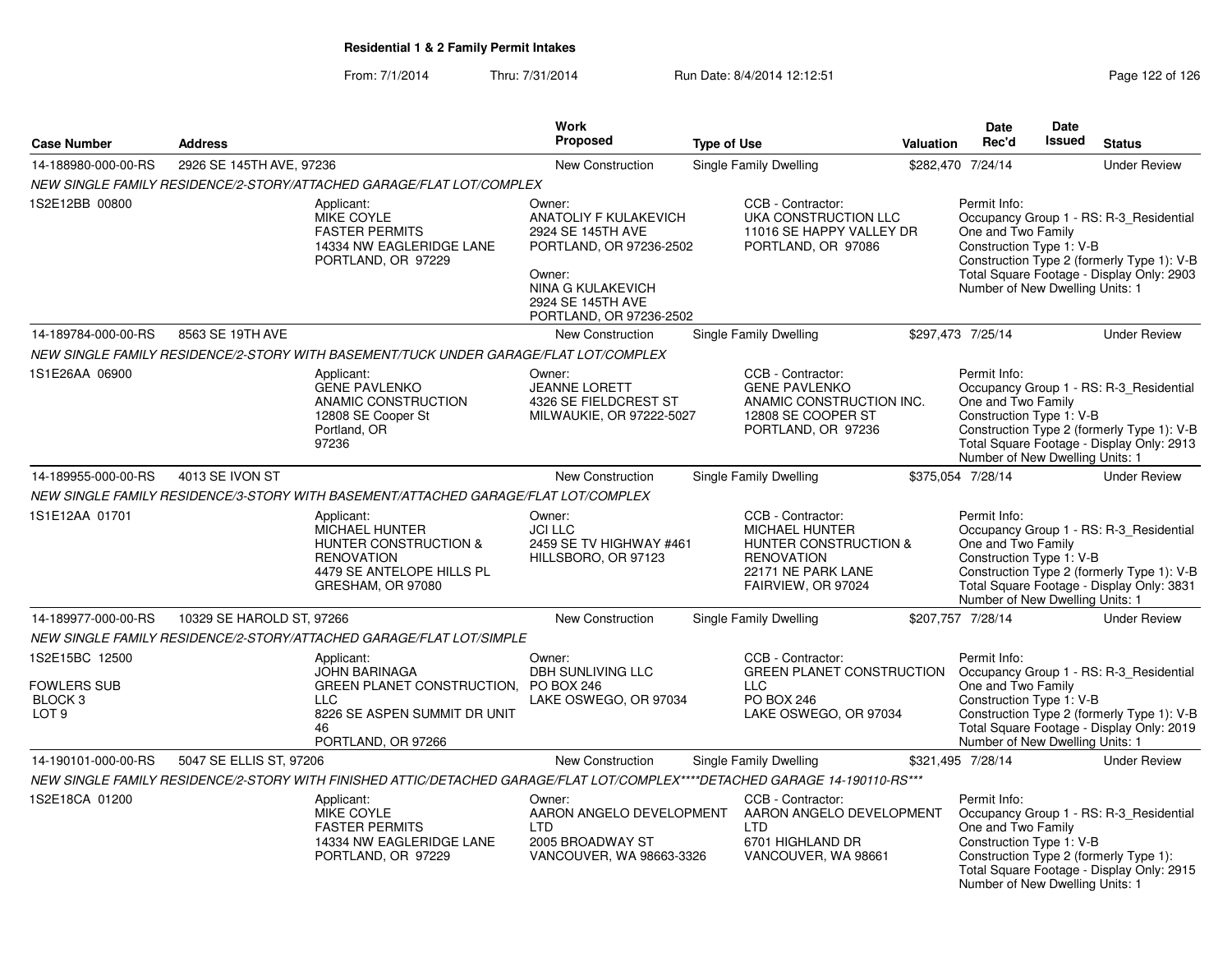From: 7/1/2014Thru: 7/31/2014 Run Date: 8/4/2014 12:12:51 Rege 122 of 126

|                                                                         |                           |                                                                                                                                                       | <b>Work</b>                                                                                                                                                                  |                                                                                                                                      |           | <b>Date</b>                                                                                       | Date   |                                                                                                                                    |
|-------------------------------------------------------------------------|---------------------------|-------------------------------------------------------------------------------------------------------------------------------------------------------|------------------------------------------------------------------------------------------------------------------------------------------------------------------------------|--------------------------------------------------------------------------------------------------------------------------------------|-----------|---------------------------------------------------------------------------------------------------|--------|------------------------------------------------------------------------------------------------------------------------------------|
| <b>Case Number</b>                                                      | <b>Address</b>            |                                                                                                                                                       | <b>Proposed</b>                                                                                                                                                              | <b>Type of Use</b>                                                                                                                   | Valuation | Rec'd                                                                                             | Issued | <b>Status</b>                                                                                                                      |
| 14-188980-000-00-RS                                                     | 2926 SE 145TH AVE, 97236  |                                                                                                                                                       | <b>New Construction</b>                                                                                                                                                      | <b>Single Family Dwelling</b>                                                                                                        |           | \$282,470 7/24/14                                                                                 |        | <b>Under Review</b>                                                                                                                |
|                                                                         |                           | NEW SINGLE FAMILY RESIDENCE/2-STORY/ATTACHED GARAGE/FLAT LOT/COMPLEX                                                                                  |                                                                                                                                                                              |                                                                                                                                      |           |                                                                                                   |        |                                                                                                                                    |
| 1S2E12BB 00800                                                          |                           | Applicant:<br>MIKE COYLE<br><b>FASTER PERMITS</b><br>14334 NW EAGLERIDGE LANE<br>PORTLAND, OR 97229                                                   | Owner:<br><b>ANATOLIY F KULAKEVICH</b><br>2924 SE 145TH AVE<br>PORTLAND, OR 97236-2502<br>Owner:<br><b>NINA G KULAKEVICH</b><br>2924 SE 145TH AVE<br>PORTLAND, OR 97236-2502 | CCB - Contractor:<br>UKA CONSTRUCTION LLC<br>11016 SE HAPPY VALLEY DR<br>PORTLAND, OR 97086                                          |           | Permit Info:<br>One and Two Family<br>Construction Type 1: V-B<br>Number of New Dwelling Units: 1 |        | Occupancy Group 1 - RS: R-3_Residential<br>Construction Type 2 (formerly Type 1): V-B<br>Total Square Footage - Display Only: 2903 |
| 14-189784-000-00-RS                                                     | 8563 SE 19TH AVE          |                                                                                                                                                       | New Construction                                                                                                                                                             | Single Family Dwelling                                                                                                               |           | \$297,473 7/25/14                                                                                 |        | <b>Under Review</b>                                                                                                                |
|                                                                         |                           | NEW SINGLE FAMILY RESIDENCE/2-STORY WITH BASEMENT/TUCK UNDER GARAGE/FLAT LOT/COMPLEX                                                                  |                                                                                                                                                                              |                                                                                                                                      |           |                                                                                                   |        |                                                                                                                                    |
| 1S1E26AA 06900                                                          |                           | Applicant:<br><b>GENE PAVLENKO</b><br>ANAMIC CONSTRUCTION<br>12808 SE Cooper St<br>Portland, OR<br>97236                                              | Owner:<br><b>JEANNE LORETT</b><br>4326 SE FIELDCREST ST<br>MILWAUKIE, OR 97222-5027                                                                                          | CCB - Contractor:<br><b>GENE PAVLENKO</b><br>ANAMIC CONSTRUCTION INC.<br>12808 SE COOPER ST<br>PORTLAND, OR 97236                    |           | Permit Info:<br>One and Two Family<br>Construction Type 1: V-B<br>Number of New Dwelling Units: 1 |        | Occupancy Group 1 - RS: R-3_Residential<br>Construction Type 2 (formerly Type 1): V-B<br>Total Square Footage - Display Only: 2913 |
| 14-189955-000-00-RS                                                     | 4013 SE IVON ST           |                                                                                                                                                       | <b>New Construction</b>                                                                                                                                                      | Single Family Dwelling                                                                                                               |           | \$375,054 7/28/14                                                                                 |        | <b>Under Review</b>                                                                                                                |
|                                                                         |                           | NEW SINGLE FAMILY RESIDENCE/3-STORY WITH BASEMENT/ATTACHED GARAGE/FLAT LOT/COMPLEX                                                                    |                                                                                                                                                                              |                                                                                                                                      |           |                                                                                                   |        |                                                                                                                                    |
| 1S1E12AA 01701                                                          |                           | Applicant:<br><b>MICHAEL HUNTER</b><br><b>HUNTER CONSTRUCTION &amp;</b><br><b>RENOVATION</b><br>4479 SE ANTELOPE HILLS PL<br>GRESHAM, OR 97080        | Owner:<br><b>JCI LLC</b><br>2459 SE TV HIGHWAY #461<br>HILLSBORO, OR 97123                                                                                                   | CCB - Contractor:<br><b>MICHAEL HUNTER</b><br>HUNTER CONSTRUCTION &<br><b>RENOVATION</b><br>22171 NE PARK LANE<br>FAIRVIEW, OR 97024 |           | Permit Info:<br>One and Two Family<br>Construction Type 1: V-B<br>Number of New Dwelling Units: 1 |        | Occupancy Group 1 - RS: R-3_Residential<br>Construction Type 2 (formerly Type 1): V-B<br>Total Square Footage - Display Only: 3831 |
| 14-189977-000-00-RS                                                     | 10329 SE HAROLD ST, 97266 |                                                                                                                                                       | <b>New Construction</b>                                                                                                                                                      | Single Family Dwelling                                                                                                               |           | \$207.757 7/28/14                                                                                 |        | <b>Under Review</b>                                                                                                                |
|                                                                         |                           | NEW SINGLE FAMILY RESIDENCE/2-STORY/ATTACHED GARAGE/FLAT LOT/SIMPLE                                                                                   |                                                                                                                                                                              |                                                                                                                                      |           |                                                                                                   |        |                                                                                                                                    |
| 1S2E15BC 12500<br>FOWLERS SUB<br>BLOCK <sub>3</sub><br>LOT <sub>9</sub> |                           | Applicant:<br><b>JOHN BARINAGA</b><br>GREEN PLANET CONSTRUCTION. PO BOX 246<br><b>LLC</b><br>8226 SE ASPEN SUMMIT DR UNIT<br>46<br>PORTLAND, OR 97266 | Owner:<br><b>DBH SUNLIVING LLC</b><br>LAKE OSWEGO, OR 97034                                                                                                                  | CCB - Contractor:<br><b>GREEN PLANET CONSTRUCTION</b><br><b>LLC</b><br><b>PO BOX 246</b><br>LAKE OSWEGO, OR 97034                    |           | Permit Info:<br>One and Two Family<br>Construction Type 1: V-B<br>Number of New Dwelling Units: 1 |        | Occupancy Group 1 - RS: R-3_Residential<br>Construction Type 2 (formerly Type 1): V-B<br>Total Square Footage - Display Only: 2019 |
| 14-190101-000-00-RS                                                     | 5047 SE ELLIS ST, 97206   |                                                                                                                                                       | <b>New Construction</b>                                                                                                                                                      | Single Family Dwelling                                                                                                               |           | \$321,495 7/28/14                                                                                 |        | <b>Under Review</b>                                                                                                                |
|                                                                         |                           | NEW SINGLE FAMILY RESIDENCE/2-STORY WITH FINISHED ATTIC/DETACHED GARAGE/FLAT LOT/COMPLEX****DETACHED GARAGE 14-190110-RS***                           |                                                                                                                                                                              |                                                                                                                                      |           |                                                                                                   |        |                                                                                                                                    |
| 1S2E18CA 01200                                                          |                           | Applicant:<br>MIKE COYLE<br><b>FASTER PERMITS</b><br>14334 NW EAGLERIDGE LANE<br>PORTLAND, OR 97229                                                   | Owner:<br>AARON ANGELO DEVELOPMENT<br><b>LTD</b><br>2005 BROADWAY ST<br>VANCOUVER, WA 98663-3326                                                                             | CCB - Contractor:<br>AARON ANGELO DEVELOPMENT<br><b>LTD</b><br>6701 HIGHLAND DR<br>VANCOUVER, WA 98661                               |           | Permit Info:<br>One and Two Family<br>Construction Type 1: V-B<br>Number of New Dwelling Units: 1 |        | Occupancy Group 1 - RS: R-3_Residential<br>Construction Type 2 (formerly Type 1):<br>Total Square Footage - Display Only: 2915     |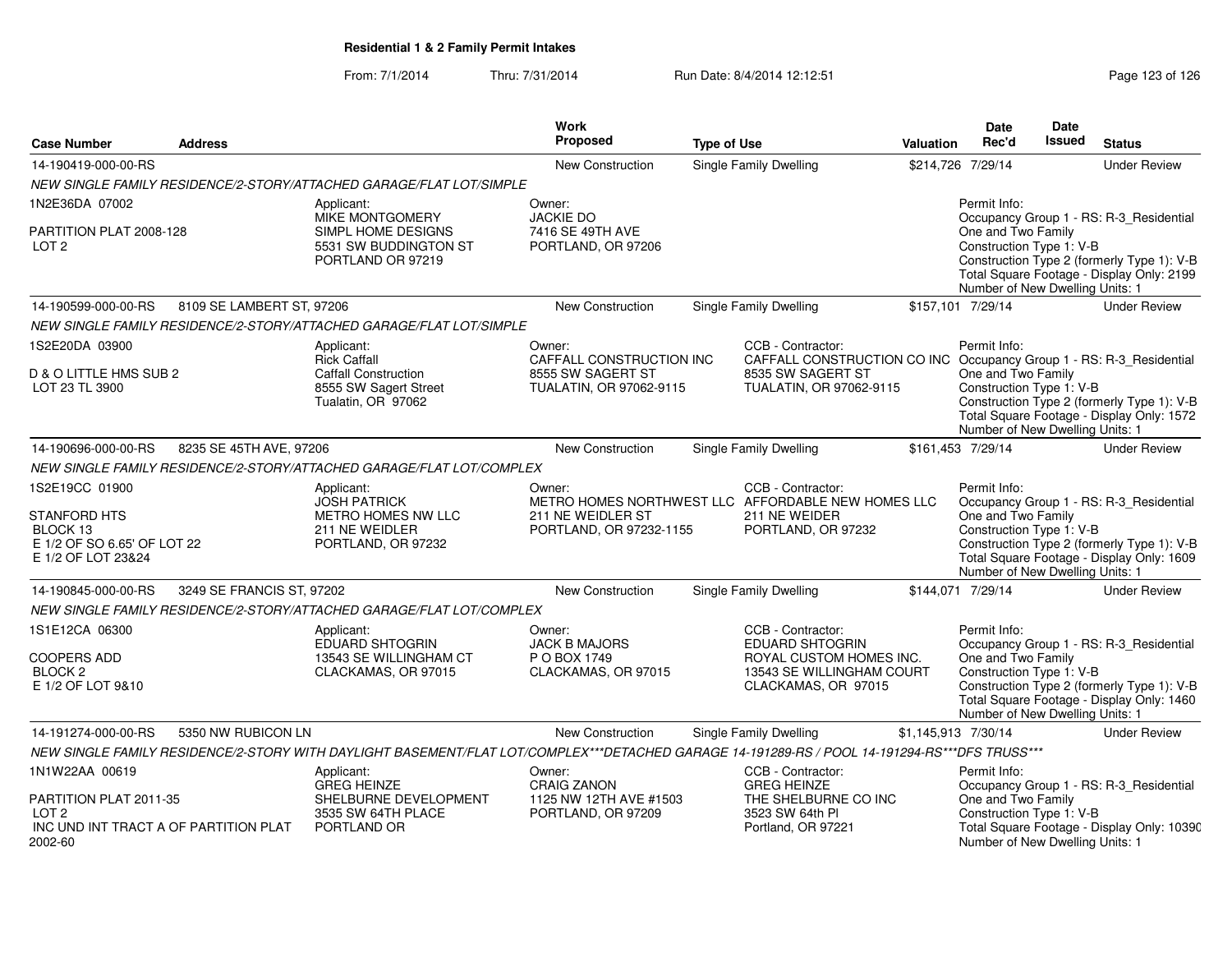### From: 7/1/2014Thru: 7/31/2014 Run Date: 8/4/2014 12:12:51 Rege 123 of 126

| <b>Case Number</b>                                                                                     | <b>Address</b>                        |                                                                                                                                               | Work<br>Proposed                                                                   | <b>Type of Use</b>                                                                                                                       | <b>Valuation</b>    | Date<br>Rec'd                                                                                     | Date<br><b>Issued</b> | <b>Status</b>                                                                                                                      |
|--------------------------------------------------------------------------------------------------------|---------------------------------------|-----------------------------------------------------------------------------------------------------------------------------------------------|------------------------------------------------------------------------------------|------------------------------------------------------------------------------------------------------------------------------------------|---------------------|---------------------------------------------------------------------------------------------------|-----------------------|------------------------------------------------------------------------------------------------------------------------------------|
| 14-190419-000-00-RS                                                                                    |                                       |                                                                                                                                               | <b>New Construction</b>                                                            | <b>Single Family Dwelling</b>                                                                                                            |                     | \$214,726 7/29/14                                                                                 |                       | <b>Under Review</b>                                                                                                                |
|                                                                                                        |                                       | NEW SINGLE FAMILY RESIDENCE/2-STORY/ATTACHED GARAGE/FLAT LOT/SIMPLE                                                                           |                                                                                    |                                                                                                                                          |                     |                                                                                                   |                       |                                                                                                                                    |
| 1N2E36DA 07002                                                                                         |                                       | Applicant:                                                                                                                                    | Owner:                                                                             |                                                                                                                                          |                     | Permit Info:                                                                                      |                       |                                                                                                                                    |
| PARTITION PLAT 2008-128<br>LOT <sub>2</sub>                                                            |                                       | MIKE MONTGOMERY<br>SIMPL HOME DESIGNS<br>5531 SW BUDDINGTON ST<br>PORTLAND OR 97219                                                           | <b>JACKIE DO</b><br>7416 SE 49TH AVE<br>PORTLAND, OR 97206                         |                                                                                                                                          |                     | One and Two Family<br>Construction Type 1: V-B<br>Number of New Dwelling Units: 1                 |                       | Occupancy Group 1 - RS: R-3 Residential<br>Construction Type 2 (formerly Type 1): V-B<br>Total Square Footage - Display Only: 2199 |
| 14-190599-000-00-RS                                                                                    | 8109 SE LAMBERT ST, 97206             |                                                                                                                                               | <b>New Construction</b>                                                            | Single Family Dwelling                                                                                                                   |                     | \$157,101 7/29/14                                                                                 |                       | <b>Under Review</b>                                                                                                                |
|                                                                                                        |                                       | NEW SINGLE FAMILY RESIDENCE/2-STORY/ATTACHED GARAGE/FLAT LOT/SIMPLE                                                                           |                                                                                    |                                                                                                                                          |                     |                                                                                                   |                       |                                                                                                                                    |
| 1S2E20DA 03900<br>D & O LITTLE HMS SUB 2<br>LOT 23 TL 3900                                             |                                       | Applicant:<br><b>Rick Caffall</b><br><b>Caffall Construction</b><br>8555 SW Sagert Street<br>Tualatin, OR 97062                               | Owner:<br>CAFFALL CONSTRUCTION INC<br>8555 SW SAGERT ST<br>TUALATIN, OR 97062-9115 | CCB - Contractor:<br>CAFFALL CONSTRUCTION CO INC Occupancy Group 1 - RS: R-3_Residential<br>8535 SW SAGERT ST<br>TUALATIN, OR 97062-9115 |                     | Permit Info:<br>One and Two Family<br>Construction Type 1: V-B<br>Number of New Dwelling Units: 1 |                       | Construction Type 2 (formerly Type 1): V-B<br>Total Square Footage - Display Only: 1572                                            |
| 14-190696-000-00-RS                                                                                    | 8235 SE 45TH AVE, 97206               |                                                                                                                                               | <b>New Construction</b>                                                            | Single Family Dwelling                                                                                                                   |                     | \$161,453 7/29/14                                                                                 |                       | <b>Under Review</b>                                                                                                                |
|                                                                                                        |                                       | NEW SINGLE FAMILY RESIDENCE/2-STORY/ATTACHED GARAGE/FLAT LOT/COMPLEX                                                                          |                                                                                    |                                                                                                                                          |                     |                                                                                                   |                       |                                                                                                                                    |
| 1S2E19CC 01900<br><b>STANFORD HTS</b><br>BLOCK 13<br>E 1/2 OF SO 6.65' OF LOT 22<br>E 1/2 OF LOT 23&24 |                                       | Applicant:<br><b>JOSH PATRICK</b><br><b>METRO HOMES NW LLC</b><br>211 NE WEIDLER<br>PORTLAND, OR 97232                                        | Owner:<br>211 NE WEIDLER ST<br>PORTLAND, OR 97232-1155                             | CCB - Contractor:<br>METRO HOMES NORTHWEST LLC AFFORDABLE NEW HOMES LLC<br>211 NE WEIDER<br>PORTLAND, OR 97232                           |                     | Permit Info:<br>One and Two Family<br>Construction Type 1: V-B<br>Number of New Dwelling Units: 1 |                       | Occupancy Group 1 - RS: R-3_Residential<br>Construction Type 2 (formerly Type 1): V-B<br>Total Square Footage - Display Only: 1609 |
| 14-190845-000-00-RS                                                                                    | 3249 SE FRANCIS ST, 97202             |                                                                                                                                               | <b>New Construction</b>                                                            | <b>Single Family Dwelling</b>                                                                                                            |                     | \$144,071 7/29/14                                                                                 |                       | <b>Under Review</b>                                                                                                                |
|                                                                                                        |                                       | NEW SINGLE FAMILY RESIDENCE/2-STORY/ATTACHED GARAGE/FLAT LOT/COMPLEX                                                                          |                                                                                    |                                                                                                                                          |                     |                                                                                                   |                       |                                                                                                                                    |
| 1S1E12CA 06300<br><b>COOPERS ADD</b><br><b>BLOCK 2</b><br>E 1/2 OF LOT 9&10                            |                                       | Applicant:<br>EDUARD SHTOGRIN<br>13543 SE WILLINGHAM CT<br>CLACKAMAS, OR 97015                                                                | Owner:<br><b>JACK B MAJORS</b><br>P O BOX 1749<br>CLACKAMAS, OR 97015              | CCB - Contractor:<br><b>EDUARD SHTOGRIN</b><br>ROYAL CUSTOM HOMES INC.<br>13543 SE WILLINGHAM COURT<br>CLACKAMAS, OR 97015               |                     | Permit Info:<br>One and Two Family<br>Construction Type 1: V-B<br>Number of New Dwelling Units: 1 |                       | Occupancy Group 1 - RS: R-3_Residential<br>Construction Type 2 (formerly Type 1): V-B<br>Total Square Footage - Display Only: 1460 |
| 14-191274-000-00-RS                                                                                    | 5350 NW RUBICON LN                    |                                                                                                                                               | New Construction                                                                   | <b>Single Family Dwelling</b>                                                                                                            | \$1,145,913 7/30/14 |                                                                                                   |                       | <b>Under Review</b>                                                                                                                |
|                                                                                                        |                                       | NEW SINGLE FAMILY RESIDENCE/2-STORY WITH DAYLIGHT BASEMENT/FLAT LOT/COMPLEX***DETACHED GARAGE 14-191289-RS / POOL 14-191294-RS***DFS TRUSS*** |                                                                                    |                                                                                                                                          |                     |                                                                                                   |                       |                                                                                                                                    |
| 1N1W22AA 00619<br>PARTITION PLAT 2011-35<br>LOT <sub>2</sub><br>2002-60                                | INC UND INT TRACT A OF PARTITION PLAT | Applicant:<br><b>GREG HEINZE</b><br>SHELBURNE DEVELOPMENT<br>3535 SW 64TH PLACE<br>PORTLAND OR                                                | Owner:<br><b>CRAIG ZANON</b><br>1125 NW 12TH AVE #1503<br>PORTLAND, OR 97209       | CCB - Contractor:<br><b>GREG HEINZE</b><br>THE SHELBURNE CO INC<br>3523 SW 64th PI<br>Portland, OR 97221                                 |                     | Permit Info:<br>One and Two Family<br>Construction Type 1: V-B<br>Number of New Dwelling Units: 1 |                       | Occupancy Group 1 - RS: R-3_Residential<br>Total Square Footage - Display Only: 10390                                              |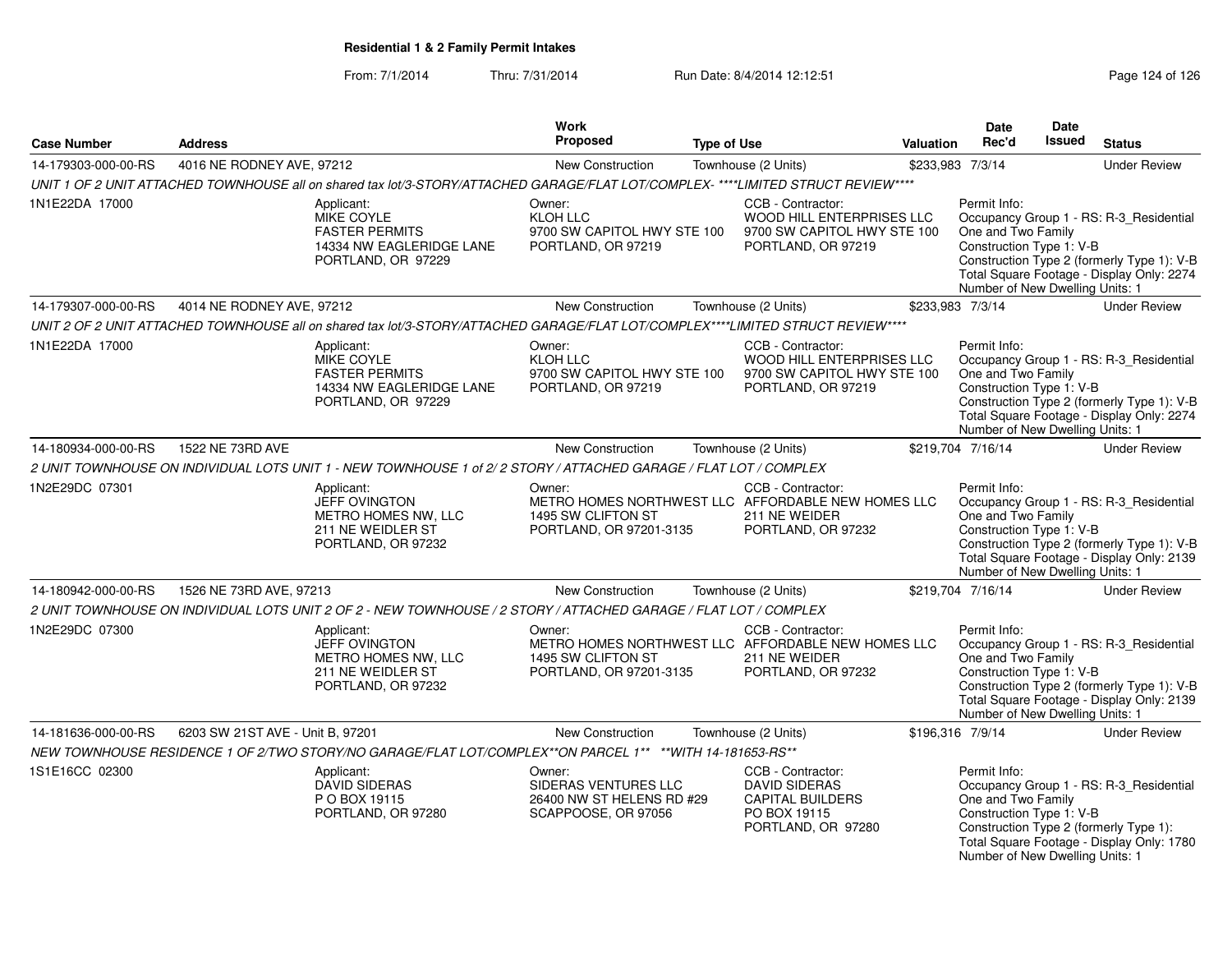From: 7/1/2014Thru: 7/31/2014 Run Date: 8/4/2014 12:12:51 Research 26 Page 124 of 126

| <b>Case Number</b>  | <b>Address</b>                   |                                                                                                                                  | Work<br>Proposed                                                                   | <b>Type of Use</b> |                                                                                                                | <b>Valuation</b> | <b>Date</b><br>Rec'd                                                                              | Date<br>Issued | <b>Status</b>                                                                                                                      |
|---------------------|----------------------------------|----------------------------------------------------------------------------------------------------------------------------------|------------------------------------------------------------------------------------|--------------------|----------------------------------------------------------------------------------------------------------------|------------------|---------------------------------------------------------------------------------------------------|----------------|------------------------------------------------------------------------------------------------------------------------------------|
| 14-179303-000-00-RS | 4016 NE RODNEY AVE, 97212        |                                                                                                                                  | New Construction                                                                   |                    | Townhouse (2 Units)                                                                                            |                  | \$233,983 7/3/14                                                                                  |                | <b>Under Review</b>                                                                                                                |
|                     |                                  | UNIT 1 OF 2 UNIT ATTACHED TOWNHOUSE all on shared tax lot/3-STORY/ATTACHED GARAGE/FLAT LOT/COMPLEX-****LIMITED STRUCT REVIEW**** |                                                                                    |                    |                                                                                                                |                  |                                                                                                   |                |                                                                                                                                    |
| 1N1E22DA 17000      |                                  | Applicant:<br>MIKE COYLE<br><b>FASTER PERMITS</b><br>14334 NW EAGLERIDGE LANE<br>PORTLAND, OR 97229                              | Owner:<br><b>KLOH LLC</b><br>9700 SW CAPITOL HWY STE 100<br>PORTLAND, OR 97219     |                    | CCB - Contractor:<br>WOOD HILL ENTERPRISES LLC<br>9700 SW CAPITOL HWY STE 100<br>PORTLAND, OR 97219            |                  | Permit Info:<br>One and Two Family<br>Construction Type 1: V-B<br>Number of New Dwelling Units: 1 |                | Occupancy Group 1 - RS: R-3_Residential<br>Construction Type 2 (formerly Type 1): V-B<br>Total Square Footage - Display Only: 2274 |
| 14-179307-000-00-RS | 4014 NE RODNEY AVE, 97212        |                                                                                                                                  | <b>New Construction</b>                                                            |                    | Townhouse (2 Units)                                                                                            |                  | \$233,983 7/3/14                                                                                  |                | <b>Under Review</b>                                                                                                                |
|                     |                                  | UNIT 2 OF 2 UNIT ATTACHED TOWNHOUSE all on shared tax lot/3-STORY/ATTACHED GARAGE/FLAT LOT/COMPLEX****LIMITED STRUCT REVIEW****  |                                                                                    |                    |                                                                                                                |                  |                                                                                                   |                |                                                                                                                                    |
| 1N1E22DA 17000      |                                  | Applicant:<br>MIKE COYLE<br><b>FASTER PERMITS</b><br>14334 NW EAGLERIDGE LANE<br>PORTLAND, OR 97229                              | Owner:<br><b>KLOH LLC</b><br>9700 SW CAPITOL HWY STE 100<br>PORTLAND, OR 97219     |                    | CCB - Contractor:<br>WOOD HILL ENTERPRISES LLC<br>9700 SW CAPITOL HWY STE 100<br>PORTLAND, OR 97219            |                  | Permit Info:<br>One and Two Family<br>Construction Type 1: V-B<br>Number of New Dwelling Units: 1 |                | Occupancy Group 1 - RS: R-3_Residential<br>Construction Type 2 (formerly Type 1): V-B<br>Total Square Footage - Display Only: 2274 |
| 14-180934-000-00-RS | 1522 NE 73RD AVE                 |                                                                                                                                  | New Construction                                                                   |                    | Townhouse (2 Units)                                                                                            |                  | \$219,704 7/16/14                                                                                 |                | <b>Under Review</b>                                                                                                                |
|                     |                                  | 2 UNIT TOWNHOUSE ON INDIVIDUAL LOTS UNIT 1 - NEW TOWNHOUSE 1 of 2/2 STORY / ATTACHED GARAGE / FLAT LOT / COMPLEX                 |                                                                                    |                    |                                                                                                                |                  |                                                                                                   |                |                                                                                                                                    |
| 1N2E29DC 07301      |                                  | Applicant:<br>JEFF OVINGTON<br>METRO HOMES NW, LLC<br>211 NE WEIDLER ST<br>PORTLAND, OR 97232                                    | Owner:<br>1495 SW CLIFTON ST<br>PORTLAND, OR 97201-3135                            |                    | CCB - Contractor:<br>METRO HOMES NORTHWEST LLC AFFORDABLE NEW HOMES LLC<br>211 NE WEIDER<br>PORTLAND, OR 97232 |                  | Permit Info:<br>One and Two Family<br>Construction Type 1: V-B<br>Number of New Dwelling Units: 1 |                | Occupancy Group 1 - RS: R-3 Residential<br>Construction Type 2 (formerly Type 1): V-B<br>Total Square Footage - Display Only: 2139 |
| 14-180942-000-00-RS | 1526 NE 73RD AVE, 97213          |                                                                                                                                  | <b>New Construction</b>                                                            |                    | Townhouse (2 Units)                                                                                            |                  | \$219,704 7/16/14                                                                                 |                | <b>Under Review</b>                                                                                                                |
|                     |                                  | 2 UNIT TOWNHOUSE ON INDIVIDUAL LOTS UNIT 2 OF 2 - NEW TOWNHOUSE / 2 STORY / ATTACHED GARAGE / FLAT LOT / COMPLEX                 |                                                                                    |                    |                                                                                                                |                  |                                                                                                   |                |                                                                                                                                    |
| 1N2E29DC 07300      |                                  | Applicant:<br>JEFF OVINGTON<br>METRO HOMES NW, LLC<br>211 NE WEIDLER ST<br>PORTLAND, OR 97232                                    | Owner:<br>1495 SW CLIFTON ST<br>PORTLAND, OR 97201-3135                            |                    | CCB - Contractor:<br>METRO HOMES NORTHWEST LLC AFFORDABLE NEW HOMES LLC<br>211 NE WEIDER<br>PORTLAND, OR 97232 |                  | Permit Info:<br>One and Two Family<br>Construction Type 1: V-B<br>Number of New Dwelling Units: 1 |                | Occupancy Group 1 - RS: R-3 Residential<br>Construction Type 2 (formerly Type 1): V-B<br>Total Square Footage - Display Only: 2139 |
| 14-181636-000-00-RS | 6203 SW 21ST AVE - Unit B, 97201 |                                                                                                                                  | New Construction                                                                   |                    | Townhouse (2 Units)                                                                                            |                  | \$196,316 7/9/14                                                                                  |                | <b>Under Review</b>                                                                                                                |
|                     |                                  | NEW TOWNHOUSE RESIDENCE 1 OF 2/TWO STORY/NO GARAGE/FLAT LOT/COMPLEX**ON PARCEL 1** **WITH 14-181653-RS**                         |                                                                                    |                    |                                                                                                                |                  |                                                                                                   |                |                                                                                                                                    |
| 1S1E16CC 02300      |                                  | Applicant:<br><b>DAVID SIDERAS</b><br>P O BOX 19115<br>PORTLAND, OR 97280                                                        | Owner:<br>SIDERAS VENTURES LLC<br>26400 NW ST HELENS RD #29<br>SCAPPOOSE, OR 97056 |                    | CCB - Contractor:<br><b>DAVID SIDERAS</b><br><b>CAPITAL BUILDERS</b><br>PO BOX 19115<br>PORTLAND, OR 97280     |                  | Permit Info:<br>One and Two Family<br>Construction Type 1: V-B<br>Number of New Dwelling Units: 1 |                | Occupancy Group 1 - RS: R-3_Residential<br>Construction Type 2 (formerly Type 1):<br>Total Square Footage - Display Only: 1780     |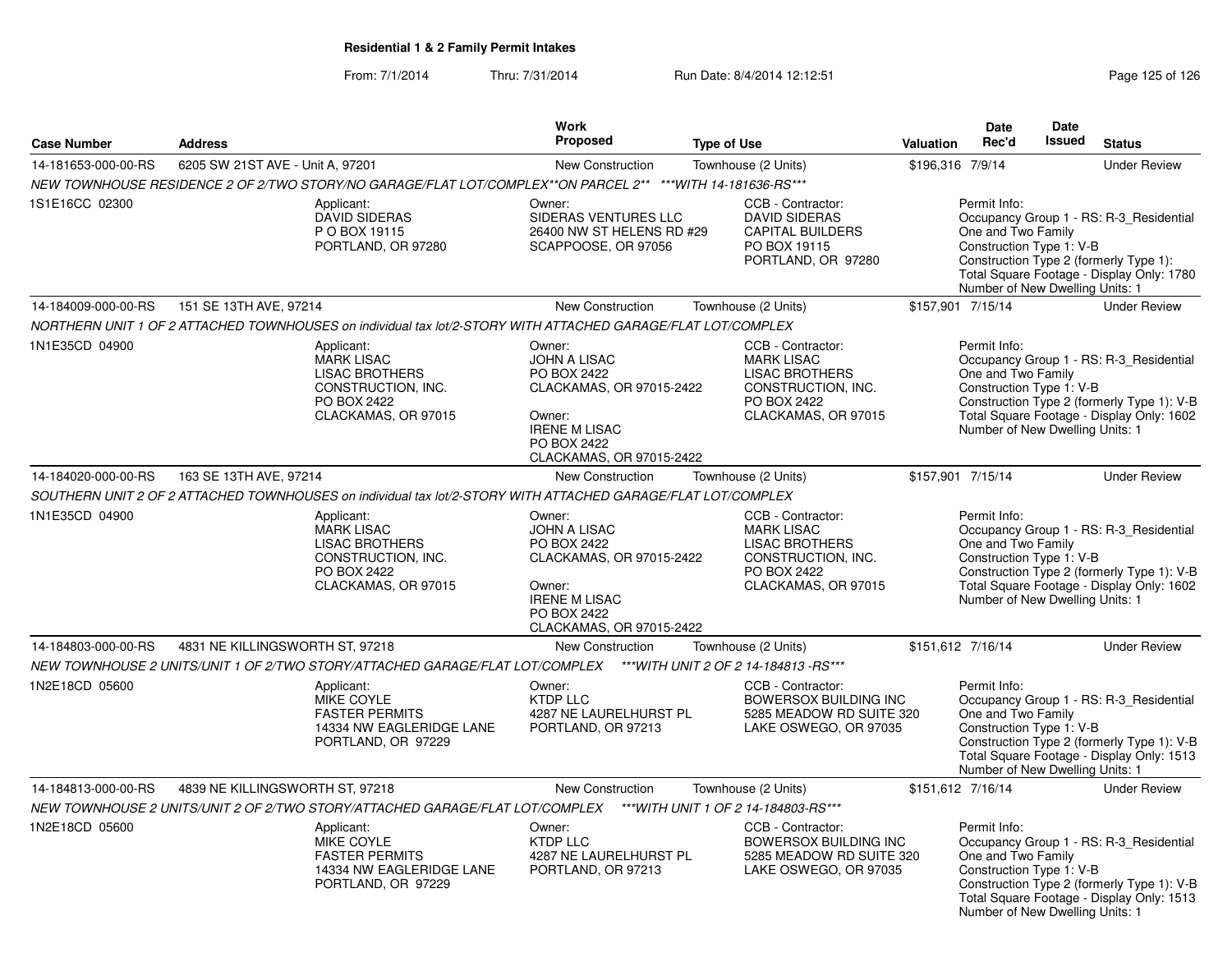### From: 7/1/2014Thru: 7/31/2014 Run Date: 8/4/2014 12:12:51 Rege 125 of 126

| <b>Case Number</b>  | <b>Address</b>                   |                                                                                                                                                                                         | <b>Work</b><br>Proposed                                                                                                                               | <b>Type of Use</b> |                                                                                                                             | Valuation        | Date<br>Rec'd                                                                                     | Date<br><b>Issued</b> | <b>Status</b>                                                                                                                      |
|---------------------|----------------------------------|-----------------------------------------------------------------------------------------------------------------------------------------------------------------------------------------|-------------------------------------------------------------------------------------------------------------------------------------------------------|--------------------|-----------------------------------------------------------------------------------------------------------------------------|------------------|---------------------------------------------------------------------------------------------------|-----------------------|------------------------------------------------------------------------------------------------------------------------------------|
|                     |                                  |                                                                                                                                                                                         |                                                                                                                                                       |                    |                                                                                                                             |                  |                                                                                                   |                       |                                                                                                                                    |
| 14-181653-000-00-RS | 6205 SW 21ST AVE - Unit A, 97201 |                                                                                                                                                                                         | New Construction                                                                                                                                      |                    | Townhouse (2 Units)                                                                                                         | \$196,316 7/9/14 |                                                                                                   |                       | <b>Under Review</b>                                                                                                                |
| 1S1E16CC 02300      |                                  | NEW TOWNHOUSE RESIDENCE 2 OF 2/TWO STORY/NO GARAGE/FLAT LOT/COMPLEX**ON PARCEL 2** ***WITH 14-181636-RS***<br>Applicant:<br><b>DAVID SIDERAS</b><br>P O BOX 19115<br>PORTLAND, OR 97280 | Owner:<br>SIDERAS VENTURES LLC<br>26400 NW ST HELENS RD #29<br>SCAPPOOSE, OR 97056                                                                    |                    | CCB - Contractor:<br><b>DAVID SIDERAS</b><br><b>CAPITAL BUILDERS</b><br>PO BOX 19115<br>PORTLAND, OR 97280                  |                  | Permit Info:<br>One and Two Family<br>Construction Type 1: V-B<br>Number of New Dwelling Units: 1 |                       | Occupancy Group 1 - RS: R-3_Residential<br>Construction Type 2 (formerly Type 1):<br>Total Square Footage - Display Only: 1780     |
| 14-184009-000-00-RS | 151 SE 13TH AVE, 97214           |                                                                                                                                                                                         | New Construction                                                                                                                                      |                    | Townhouse (2 Units)                                                                                                         |                  | \$157,901 7/15/14                                                                                 |                       | <b>Under Review</b>                                                                                                                |
|                     |                                  | NORTHERN UNIT 1 OF 2 ATTACHED TOWNHOUSES on individual tax lot/2-STORY WITH ATTACHED GARAGE/FLAT LOT/COMPLEX                                                                            |                                                                                                                                                       |                    |                                                                                                                             |                  |                                                                                                   |                       |                                                                                                                                    |
| 1N1E35CD 04900      |                                  | Applicant:<br><b>MARK LISAC</b><br><b>LISAC BROTHERS</b><br>CONSTRUCTION, INC.<br>PO BOX 2422<br>CLACKAMAS, OR 97015                                                                    | Owner:<br><b>JOHN A LISAC</b><br>PO BOX 2422<br>CLACKAMAS, OR 97015-2422<br>Owner:<br><b>IRENE M LISAC</b><br>PO BOX 2422<br>CLACKAMAS, OR 97015-2422 |                    | CCB - Contractor:<br><b>MARK LISAC</b><br><b>LISAC BROTHERS</b><br>CONSTRUCTION, INC.<br>PO BOX 2422<br>CLACKAMAS, OR 97015 |                  | Permit Info:<br>One and Two Family<br>Construction Type 1: V-B<br>Number of New Dwelling Units: 1 |                       | Occupancy Group 1 - RS: R-3 Residential<br>Construction Type 2 (formerly Type 1): V-B<br>Total Square Footage - Display Only: 1602 |
| 14-184020-000-00-RS | 163 SE 13TH AVE, 97214           |                                                                                                                                                                                         | New Construction                                                                                                                                      |                    | Townhouse (2 Units)                                                                                                         |                  | \$157,901 7/15/14                                                                                 |                       | <b>Under Review</b>                                                                                                                |
|                     |                                  | SOUTHERN UNIT 2 OF 2 ATTACHED TOWNHOUSES on individual tax lot/2-STORY WITH ATTACHED GARAGE/FLAT LOT/COMPLEX                                                                            |                                                                                                                                                       |                    |                                                                                                                             |                  |                                                                                                   |                       |                                                                                                                                    |
| 1N1E35CD 04900      |                                  | Applicant:<br><b>MARK LISAC</b><br><b>LISAC BROTHERS</b><br>CONSTRUCTION, INC.<br>PO BOX 2422<br>CLACKAMAS, OR 97015                                                                    | Owner:<br><b>JOHN A LISAC</b><br>PO BOX 2422<br>CLACKAMAS, OR 97015-2422<br>Owner:<br><b>IRENE M LISAC</b><br>PO BOX 2422<br>CLACKAMAS, OR 97015-2422 |                    | CCB - Contractor:<br><b>MARK LISAC</b><br><b>LISAC BROTHERS</b><br>CONSTRUCTION, INC.<br>PO BOX 2422<br>CLACKAMAS, OR 97015 |                  | Permit Info:<br>One and Two Family<br>Construction Type 1: V-B<br>Number of New Dwelling Units: 1 |                       | Occupancy Group 1 - RS: R-3_Residential<br>Construction Type 2 (formerly Type 1): V-B<br>Total Square Footage - Display Only: 1602 |
| 14-184803-000-00-RS | 4831 NE KILLINGSWORTH ST, 97218  |                                                                                                                                                                                         | New Construction                                                                                                                                      |                    | Townhouse (2 Units)                                                                                                         |                  | \$151,612 7/16/14                                                                                 |                       | <b>Under Review</b>                                                                                                                |
|                     |                                  | NEW TOWNHOUSE 2 UNITS/UNIT 1 OF 2/TWO STORY/ATTACHED GARAGE/FLAT LOT/COMPLEX                                                                                                            |                                                                                                                                                       |                    | *** WITH UNIT 2 OF 2 14-184813 - RS***                                                                                      |                  |                                                                                                   |                       |                                                                                                                                    |
| 1N2E18CD 05600      |                                  | Applicant:<br>MIKE COYLE<br><b>FASTER PERMITS</b><br>14334 NW EAGLERIDGE LANE<br>PORTLAND, OR 97229                                                                                     | Owner:<br><b>KTDP LLC</b><br>4287 NE LAURELHURST PL<br>PORTLAND, OR 97213                                                                             |                    | CCB - Contractor:<br><b>BOWERSOX BUILDING INC</b><br>5285 MEADOW RD SUITE 320<br>LAKE OSWEGO, OR 97035                      |                  | Permit Info:<br>One and Two Family<br>Construction Type 1: V-B<br>Number of New Dwelling Units: 1 |                       | Occupancy Group 1 - RS: R-3_Residential<br>Construction Type 2 (formerly Type 1): V-B<br>Total Square Footage - Display Only: 1513 |
| 14-184813-000-00-RS | 4839 NE KILLINGSWORTH ST, 97218  |                                                                                                                                                                                         | New Construction                                                                                                                                      |                    | Townhouse (2 Units)                                                                                                         |                  | \$151,612 7/16/14                                                                                 |                       | <b>Under Review</b>                                                                                                                |
|                     |                                  | NEW TOWNHOUSE 2 UNITS/UNIT 2 OF 2/TWO STORY/ATTACHED GARAGE/FLAT LOT/COMPLEX                                                                                                            |                                                                                                                                                       |                    | *** WITH UNIT 1 OF 2 14-184803-RS***                                                                                        |                  |                                                                                                   |                       |                                                                                                                                    |
| 1N2E18CD 05600      |                                  | Applicant:<br><b>MIKE COYLE</b><br><b>FASTER PERMITS</b><br>14334 NW EAGLERIDGE LANE<br>PORTLAND, OR 97229                                                                              | Owner:<br>KTDP LLC<br>4287 NE LAURELHURST PL<br>PORTLAND, OR 97213                                                                                    |                    | CCB - Contractor:<br><b>BOWERSOX BUILDING INC</b><br>5285 MEADOW RD SUITE 320<br>LAKE OSWEGO, OR 97035                      |                  | Permit Info:<br>One and Two Family<br>Construction Type 1: V-B<br>Number of New Dwelling Units: 1 |                       | Occupancy Group 1 - RS: R-3_Residential<br>Construction Type 2 (formerly Type 1): V-B<br>Total Square Footage - Display Only: 1513 |